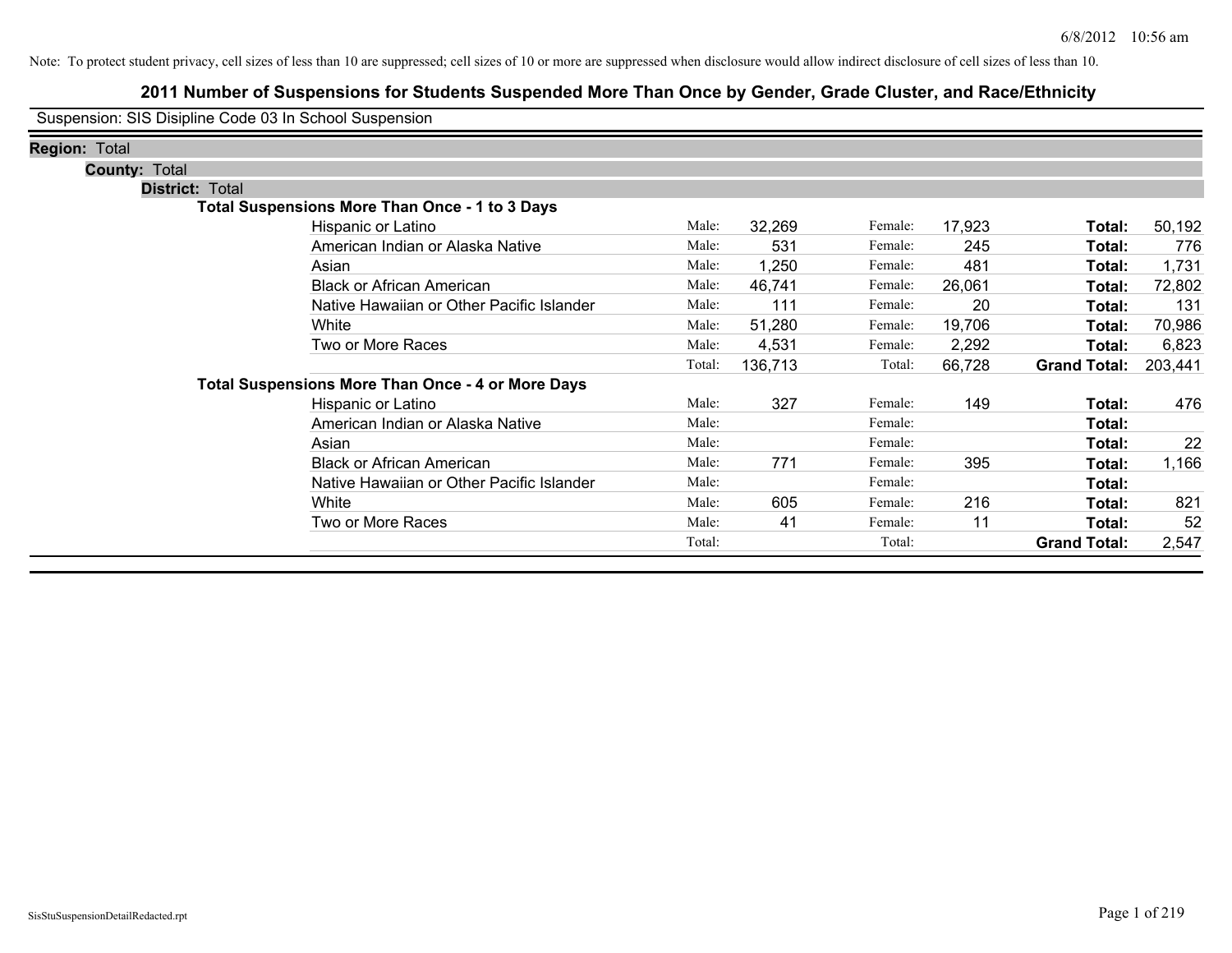# **2011 Number of Suspensions for Students Suspended More Than Once by Gender, Grade Cluster, and Race/Ethnicity**

Suspension: SIS Disipline Code 03 In School Suspension

| <b>Region: Total</b> |                        |                                                          |        |         |         |        |                     |         |
|----------------------|------------------------|----------------------------------------------------------|--------|---------|---------|--------|---------------------|---------|
|                      | <b>County: Total</b>   |                                                          |        |         |         |        |                     |         |
|                      | <b>District: Total</b> |                                                          |        |         |         |        |                     |         |
|                      |                        | <b>Total Suspensions More Than Once - 1 to 3 Days</b>    |        |         |         |        |                     |         |
|                      |                        | Hispanic or Latino                                       | Male:  | 32,269  | Female: | 17,923 | Total:              | 50,192  |
|                      |                        | American Indian or Alaska Native                         | Male:  | 531     | Female: | 245    | Total:              | 776     |
|                      |                        | Asian                                                    | Male:  | 1,250   | Female: | 481    | Total:              | 1,731   |
|                      |                        | <b>Black or African American</b>                         | Male:  | 46,741  | Female: | 26,061 | Total:              | 72,802  |
|                      |                        | Native Hawaiian or Other Pacific Islander                | Male:  | 111     | Female: | 20     | Total:              | 131     |
|                      |                        | White                                                    | Male:  | 51,280  | Female: | 19,706 | Total:              | 70,986  |
|                      |                        | Two or More Races                                        | Male:  | 4,531   | Female: | 2,292  | Total:              | 6,823   |
|                      |                        |                                                          | Total: | 136,713 | Total:  | 66,728 | <b>Grand Total:</b> | 203,441 |
|                      |                        | <b>Total Suspensions More Than Once - 4 or More Days</b> |        |         |         |        |                     |         |
|                      |                        | Hispanic or Latino                                       | Male:  | 327     | Female: | 149    | Total:              | 476     |
|                      |                        | American Indian or Alaska Native                         | Male:  |         | Female: |        | Total:              |         |
|                      |                        | Asian                                                    | Male:  |         | Female: |        | Total:              | 22      |
|                      |                        | <b>Black or African American</b>                         | Male:  | 771     | Female: | 395    | Total:              | 1,166   |
|                      |                        | Native Hawaiian or Other Pacific Islander                | Male:  |         | Female: |        | Total:              |         |
|                      |                        | White                                                    | Male:  | 605     | Female: | 216    | Total:              | 821     |
|                      |                        | Two or More Races                                        | Male:  | 41      | Female: | 11     | Total:              | 52      |
|                      |                        |                                                          | Total: |         | Total:  |        | <b>Grand Total:</b> | 2,547   |
|                      |                        |                                                          |        |         |         |        |                     |         |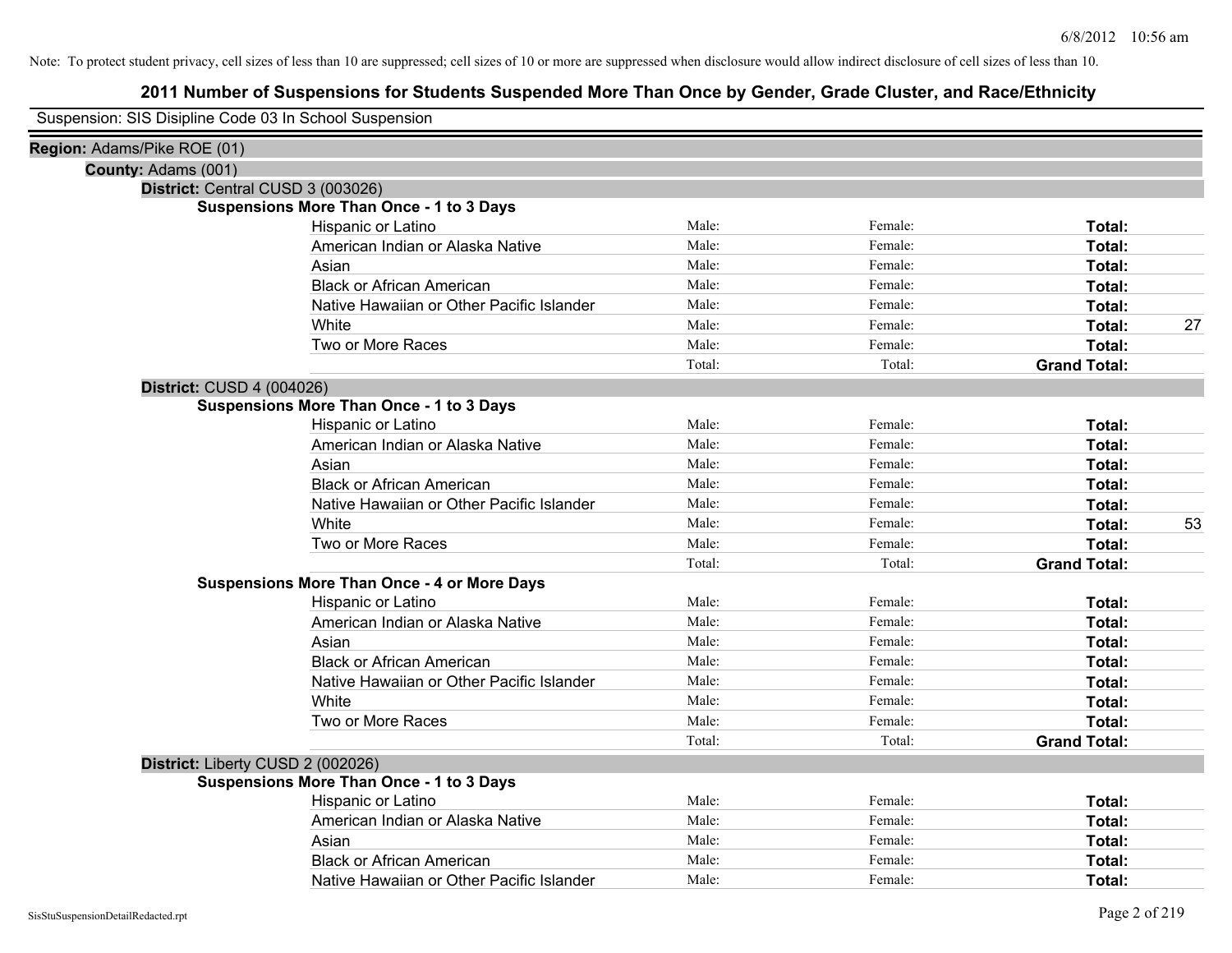# **2011 Number of Suspensions for Students Suspended More Than Once by Gender, Grade Cluster, and Race/Ethnicity**

# Suspension: SIS Disipline Code 03 In School Suspension

| Region: Adams/Pike ROE (01) |                                                    |        |         |                     |    |
|-----------------------------|----------------------------------------------------|--------|---------|---------------------|----|
| County: Adams (001)         |                                                    |        |         |                     |    |
|                             | District: Central CUSD 3 (003026)                  |        |         |                     |    |
|                             | <b>Suspensions More Than Once - 1 to 3 Days</b>    |        |         |                     |    |
|                             | Hispanic or Latino                                 | Male:  | Female: | Total:              |    |
|                             | American Indian or Alaska Native                   | Male:  | Female: | Total:              |    |
|                             | Asian                                              | Male:  | Female: | Total:              |    |
|                             | <b>Black or African American</b>                   | Male:  | Female: | Total:              |    |
|                             | Native Hawaiian or Other Pacific Islander          | Male:  | Female: | Total:              |    |
|                             | White                                              | Male:  | Female: | Total:              | 27 |
|                             | Two or More Races                                  | Male:  | Female: | Total:              |    |
|                             |                                                    | Total: | Total:  | <b>Grand Total:</b> |    |
| District: CUSD 4 (004026)   |                                                    |        |         |                     |    |
|                             | <b>Suspensions More Than Once - 1 to 3 Days</b>    |        |         |                     |    |
|                             | Hispanic or Latino                                 | Male:  | Female: | Total:              |    |
|                             | American Indian or Alaska Native                   | Male:  | Female: | Total:              |    |
|                             | Asian                                              | Male:  | Female: | Total:              |    |
|                             | <b>Black or African American</b>                   | Male:  | Female: | Total:              |    |
|                             | Native Hawaiian or Other Pacific Islander          | Male:  | Female: | Total:              |    |
|                             | White                                              | Male:  | Female: | Total:              | 53 |
|                             | Two or More Races                                  | Male:  | Female: | Total:              |    |
|                             |                                                    | Total: | Total:  | <b>Grand Total:</b> |    |
|                             | <b>Suspensions More Than Once - 4 or More Days</b> |        |         |                     |    |
|                             | Hispanic or Latino                                 | Male:  | Female: | Total:              |    |
|                             | American Indian or Alaska Native                   | Male:  | Female: | Total:              |    |
|                             | Asian                                              | Male:  | Female: | Total:              |    |
|                             | <b>Black or African American</b>                   | Male:  | Female: | Total:              |    |
|                             | Native Hawaiian or Other Pacific Islander          | Male:  | Female: | Total:              |    |
|                             | White                                              | Male:  | Female: | Total:              |    |
|                             | Two or More Races                                  | Male:  | Female: | Total:              |    |
|                             |                                                    | Total: | Total:  | <b>Grand Total:</b> |    |
|                             | District: Liberty CUSD 2 (002026)                  |        |         |                     |    |
|                             | <b>Suspensions More Than Once - 1 to 3 Days</b>    |        |         |                     |    |
|                             | Hispanic or Latino                                 | Male:  | Female: | Total:              |    |
|                             | American Indian or Alaska Native                   | Male:  | Female: | Total:              |    |
|                             | Asian                                              | Male:  | Female: | Total:              |    |
|                             | <b>Black or African American</b>                   | Male:  | Female: | Total:              |    |
|                             | Native Hawaiian or Other Pacific Islander          | Male:  | Female: | Total:              |    |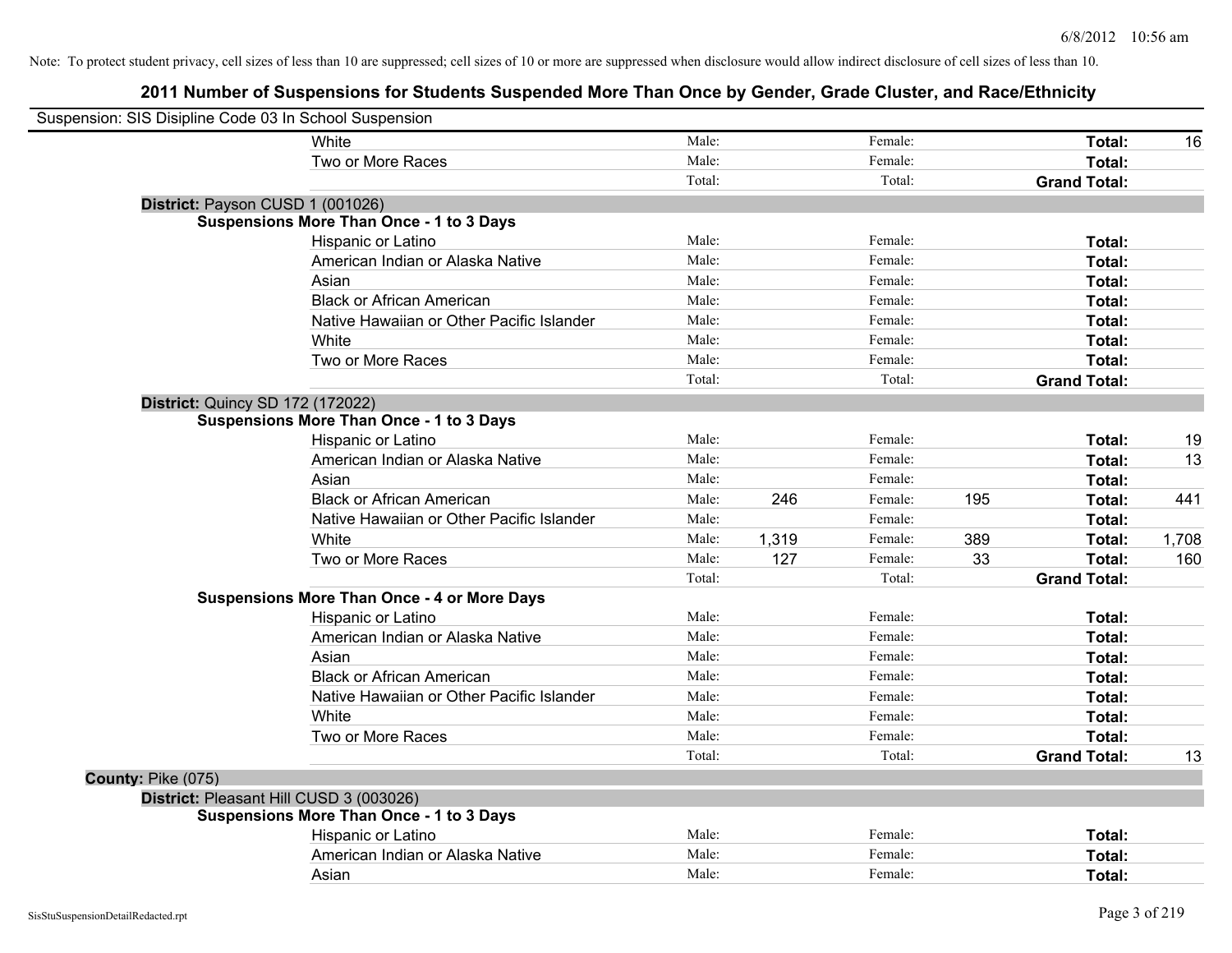| Suspension: SIS Disipline Code 03 In School Suspension |                                                    |        |       |         |     |                     |       |
|--------------------------------------------------------|----------------------------------------------------|--------|-------|---------|-----|---------------------|-------|
|                                                        | White                                              | Male:  |       | Female: |     | Total:              | 16    |
|                                                        | Two or More Races                                  | Male:  |       | Female: |     | Total:              |       |
|                                                        |                                                    | Total: |       | Total:  |     | <b>Grand Total:</b> |       |
| District: Payson CUSD 1 (001026)                       |                                                    |        |       |         |     |                     |       |
|                                                        | <b>Suspensions More Than Once - 1 to 3 Days</b>    |        |       |         |     |                     |       |
|                                                        | Hispanic or Latino                                 | Male:  |       | Female: |     | Total:              |       |
|                                                        | American Indian or Alaska Native                   | Male:  |       | Female: |     | Total:              |       |
|                                                        | Asian                                              | Male:  |       | Female: |     | Total:              |       |
|                                                        | <b>Black or African American</b>                   | Male:  |       | Female: |     | Total:              |       |
|                                                        | Native Hawaiian or Other Pacific Islander          | Male:  |       | Female: |     | Total:              |       |
|                                                        | White                                              | Male:  |       | Female: |     | Total:              |       |
|                                                        | Two or More Races                                  | Male:  |       | Female: |     | Total:              |       |
|                                                        |                                                    | Total: |       | Total:  |     | <b>Grand Total:</b> |       |
| <b>District: Quincy SD 172 (172022)</b>                |                                                    |        |       |         |     |                     |       |
|                                                        | <b>Suspensions More Than Once - 1 to 3 Days</b>    |        |       |         |     |                     |       |
|                                                        | Hispanic or Latino                                 | Male:  |       | Female: |     | Total:              | 19    |
|                                                        | American Indian or Alaska Native                   | Male:  |       | Female: |     | Total:              | 13    |
|                                                        | Asian                                              | Male:  |       | Female: |     | Total:              |       |
|                                                        | <b>Black or African American</b>                   | Male:  | 246   | Female: | 195 | Total:              | 441   |
|                                                        | Native Hawaiian or Other Pacific Islander          | Male:  |       | Female: |     | Total:              |       |
|                                                        | White                                              | Male:  | 1,319 | Female: | 389 | Total:              | 1,708 |
|                                                        | Two or More Races                                  | Male:  | 127   | Female: | 33  | Total:              | 160   |
|                                                        |                                                    | Total: |       | Total:  |     | <b>Grand Total:</b> |       |
|                                                        | <b>Suspensions More Than Once - 4 or More Days</b> |        |       |         |     |                     |       |
|                                                        | Hispanic or Latino                                 | Male:  |       | Female: |     | Total:              |       |
|                                                        | American Indian or Alaska Native                   | Male:  |       | Female: |     | Total:              |       |
|                                                        | Asian                                              | Male:  |       | Female: |     | Total:              |       |
|                                                        | <b>Black or African American</b>                   | Male:  |       | Female: |     | Total:              |       |
|                                                        | Native Hawaiian or Other Pacific Islander          | Male:  |       | Female: |     | Total:              |       |
|                                                        | White                                              | Male:  |       | Female: |     | Total:              |       |
|                                                        | Two or More Races                                  | Male:  |       | Female: |     | Total:              |       |
|                                                        |                                                    | Total: |       | Total:  |     | <b>Grand Total:</b> | 13    |
| County: Pike (075)                                     |                                                    |        |       |         |     |                     |       |
| District: Pleasant Hill CUSD 3 (003026)                |                                                    |        |       |         |     |                     |       |
|                                                        | <b>Suspensions More Than Once - 1 to 3 Days</b>    |        |       |         |     |                     |       |
|                                                        | Hispanic or Latino                                 | Male:  |       | Female: |     | Total:              |       |
|                                                        | American Indian or Alaska Native                   | Male:  |       | Female: |     | Total:              |       |
|                                                        | Asian                                              | Male:  |       | Female: |     | Total:              |       |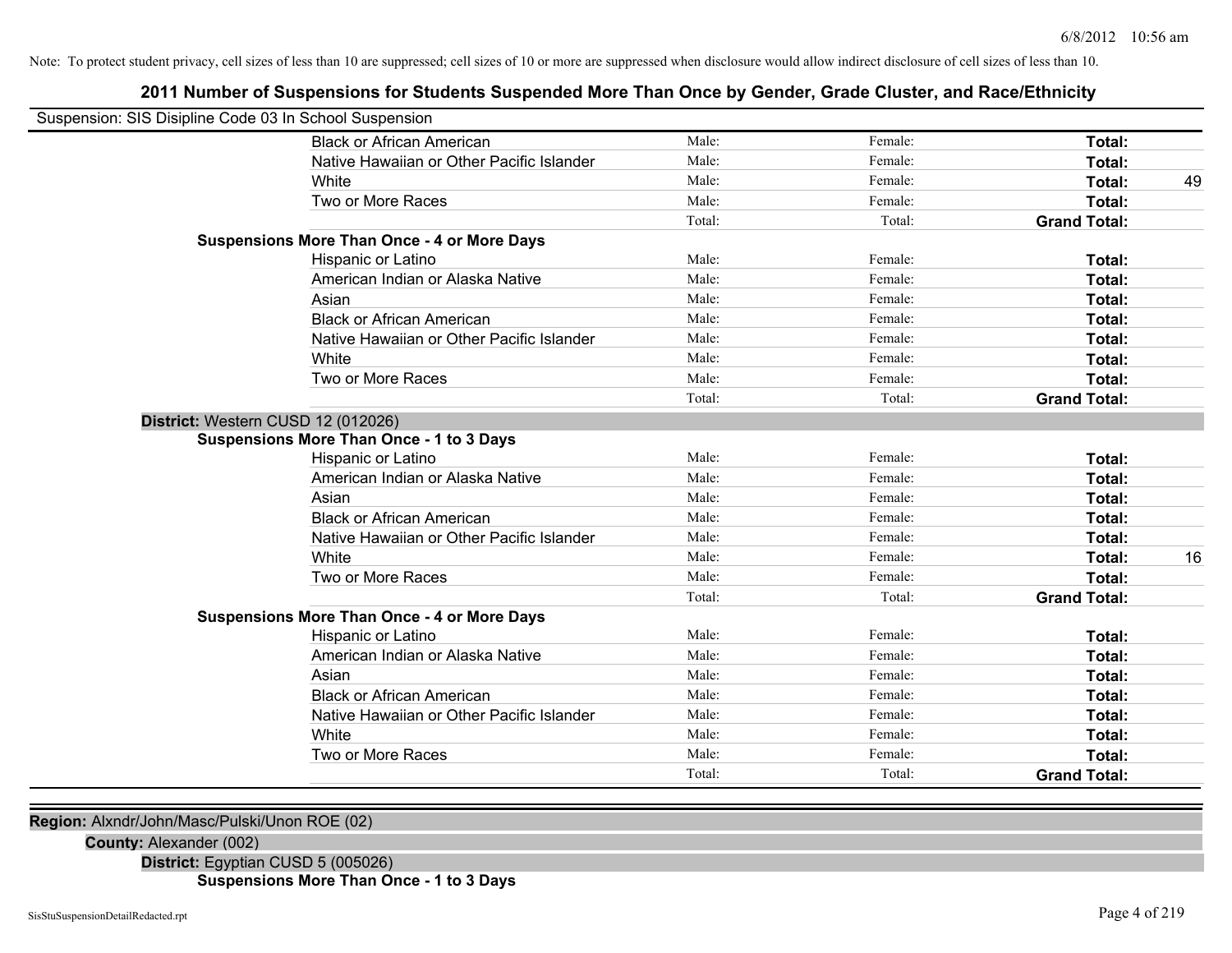# **2011 Number of Suspensions for Students Suspended More Than Once by Gender, Grade Cluster, and Race/Ethnicity**

| Suspension: SIS Disipline Code 03 In School Suspension |                                                    |        |         |                     |    |
|--------------------------------------------------------|----------------------------------------------------|--------|---------|---------------------|----|
|                                                        | <b>Black or African American</b>                   | Male:  | Female: | <b>Total:</b>       |    |
|                                                        | Native Hawaiian or Other Pacific Islander          | Male:  | Female: | Total:              |    |
|                                                        | White                                              | Male:  | Female: | Total:              | 49 |
|                                                        | Two or More Races                                  | Male:  | Female: | Total:              |    |
|                                                        |                                                    | Total: | Total:  | <b>Grand Total:</b> |    |
|                                                        | <b>Suspensions More Than Once - 4 or More Days</b> |        |         |                     |    |
|                                                        | Hispanic or Latino                                 | Male:  | Female: | Total:              |    |
|                                                        | American Indian or Alaska Native                   | Male:  | Female: | Total:              |    |
|                                                        | Asian                                              | Male:  | Female: | Total:              |    |
|                                                        | <b>Black or African American</b>                   | Male:  | Female: | <b>Total:</b>       |    |
|                                                        | Native Hawaiian or Other Pacific Islander          | Male:  | Female: | <b>Total:</b>       |    |
|                                                        | White                                              | Male:  | Female: | Total:              |    |
|                                                        | Two or More Races                                  | Male:  | Female: | Total:              |    |
|                                                        |                                                    | Total: | Total:  | <b>Grand Total:</b> |    |
| District: Western CUSD 12 (012026)                     |                                                    |        |         |                     |    |
|                                                        | <b>Suspensions More Than Once - 1 to 3 Days</b>    |        |         |                     |    |
|                                                        | Hispanic or Latino                                 | Male:  | Female: | Total:              |    |
|                                                        | American Indian or Alaska Native                   | Male:  | Female: | Total:              |    |
|                                                        | Asian                                              | Male:  | Female: | Total:              |    |
|                                                        | <b>Black or African American</b>                   | Male:  | Female: | Total:              |    |
|                                                        | Native Hawaiian or Other Pacific Islander          | Male:  | Female: | <b>Total:</b>       |    |
|                                                        | White                                              | Male:  | Female: | Total:              | 16 |
|                                                        | Two or More Races                                  | Male:  | Female: | Total:              |    |
|                                                        |                                                    | Total: | Total:  | <b>Grand Total:</b> |    |
|                                                        | <b>Suspensions More Than Once - 4 or More Days</b> |        |         |                     |    |
|                                                        | Hispanic or Latino                                 | Male:  | Female: | Total:              |    |
|                                                        | American Indian or Alaska Native                   | Male:  | Female: | Total:              |    |
|                                                        | Asian                                              | Male:  | Female: | Total:              |    |
|                                                        | <b>Black or African American</b>                   | Male:  | Female: | Total:              |    |
|                                                        | Native Hawaiian or Other Pacific Islander          | Male:  | Female: | <b>Total:</b>       |    |
|                                                        | White                                              | Male:  | Female: | Total:              |    |
|                                                        | Two or More Races                                  | Male:  | Female: | Total:              |    |
|                                                        |                                                    | Total: | Total:  | <b>Grand Total:</b> |    |
|                                                        |                                                    |        |         |                     |    |

**Region:** Alxndr/John/Masc/Pulski/Unon ROE (02)

### **County:** Alexander (002)

**District:** Egyptian CUSD 5 (005026)

**Suspensions More Than Once - 1 to 3 Days**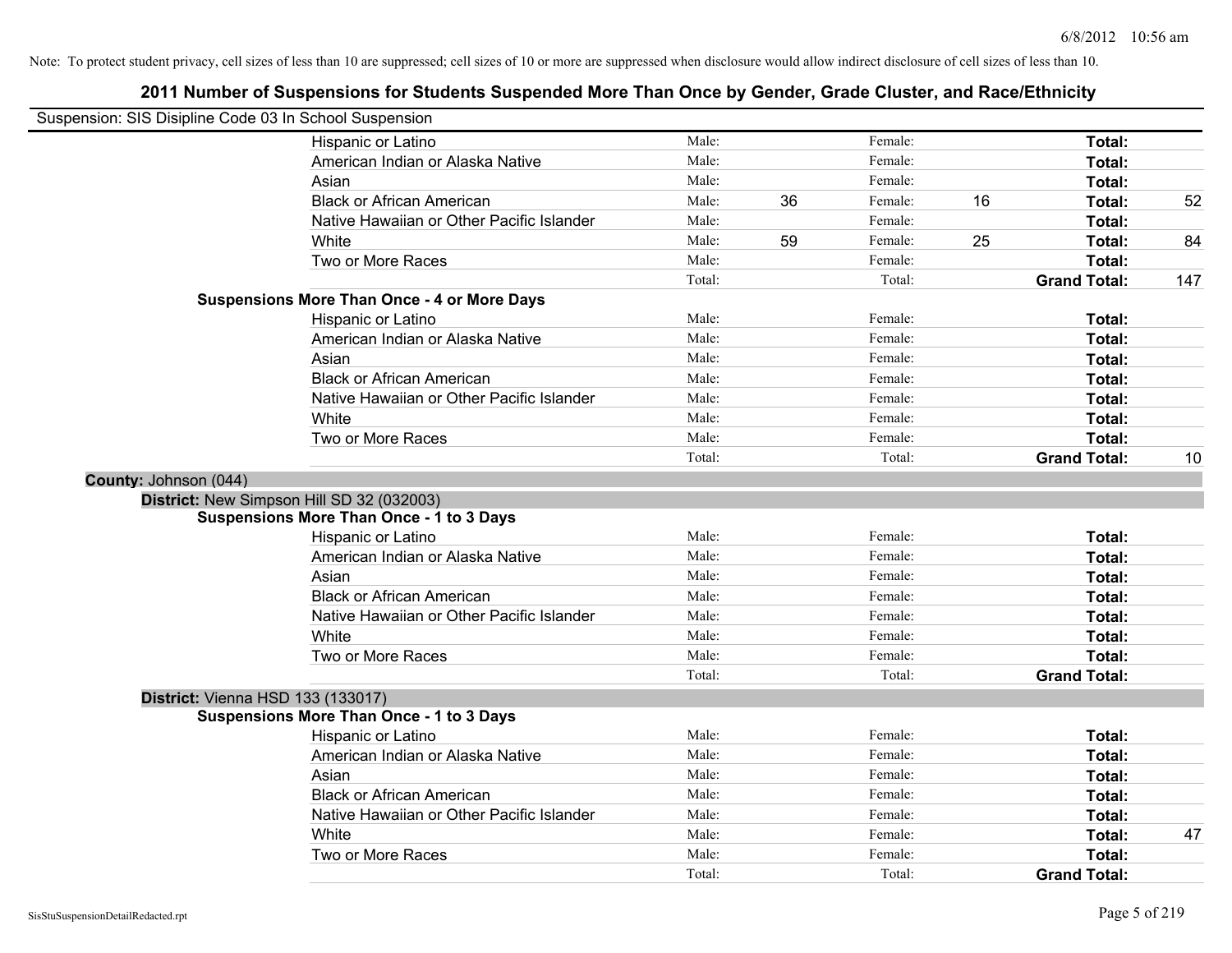|                       | Suspension: SIS Disipline Code 03 In School Suspension |        |    |         |    |                     |     |
|-----------------------|--------------------------------------------------------|--------|----|---------|----|---------------------|-----|
|                       | Hispanic or Latino                                     | Male:  |    | Female: |    | Total:              |     |
|                       | American Indian or Alaska Native                       | Male:  |    | Female: |    | Total:              |     |
|                       | Asian                                                  | Male:  |    | Female: |    | Total:              |     |
|                       | <b>Black or African American</b>                       | Male:  | 36 | Female: | 16 | Total:              | 52  |
|                       | Native Hawaiian or Other Pacific Islander              | Male:  |    | Female: |    | Total:              |     |
|                       | White                                                  | Male:  | 59 | Female: | 25 | Total:              | 84  |
|                       | Two or More Races                                      | Male:  |    | Female: |    | <b>Total:</b>       |     |
|                       |                                                        | Total: |    | Total:  |    | <b>Grand Total:</b> | 147 |
|                       | <b>Suspensions More Than Once - 4 or More Days</b>     |        |    |         |    |                     |     |
|                       | <b>Hispanic or Latino</b>                              | Male:  |    | Female: |    | Total:              |     |
|                       | American Indian or Alaska Native                       | Male:  |    | Female: |    | Total:              |     |
|                       | Asian                                                  | Male:  |    | Female: |    | Total:              |     |
|                       | <b>Black or African American</b>                       | Male:  |    | Female: |    | Total:              |     |
|                       | Native Hawaiian or Other Pacific Islander              | Male:  |    | Female: |    | Total:              |     |
|                       | White                                                  | Male:  |    | Female: |    | Total:              |     |
|                       | Two or More Races                                      | Male:  |    | Female: |    | Total:              |     |
|                       |                                                        | Total: |    | Total:  |    | <b>Grand Total:</b> | 10  |
| County: Johnson (044) |                                                        |        |    |         |    |                     |     |
|                       | District: New Simpson Hill SD 32 (032003)              |        |    |         |    |                     |     |
|                       | <b>Suspensions More Than Once - 1 to 3 Days</b>        |        |    |         |    |                     |     |
|                       | Hispanic or Latino                                     | Male:  |    | Female: |    | Total:              |     |
|                       | American Indian or Alaska Native                       | Male:  |    | Female: |    | Total:              |     |
|                       | Asian                                                  | Male:  |    | Female: |    | Total:              |     |
|                       | <b>Black or African American</b>                       | Male:  |    | Female: |    | Total:              |     |
|                       | Native Hawaiian or Other Pacific Islander              | Male:  |    | Female: |    | Total:              |     |
|                       | White                                                  | Male:  |    | Female: |    | Total:              |     |
|                       | Two or More Races                                      | Male:  |    | Female: |    | Total:              |     |
|                       |                                                        | Total: |    | Total:  |    | <b>Grand Total:</b> |     |
|                       | <b>District: Vienna HSD 133 (133017)</b>               |        |    |         |    |                     |     |
|                       | <b>Suspensions More Than Once - 1 to 3 Days</b>        |        |    |         |    |                     |     |
|                       | Hispanic or Latino                                     | Male:  |    | Female: |    | Total:              |     |
|                       | American Indian or Alaska Native                       | Male:  |    | Female: |    | Total:              |     |
|                       | Asian                                                  | Male:  |    | Female: |    | Total:              |     |
|                       | <b>Black or African American</b>                       | Male:  |    | Female: |    | Total:              |     |
|                       | Native Hawaiian or Other Pacific Islander              | Male:  |    | Female: |    | Total:              |     |
|                       | White                                                  | Male:  |    | Female: |    | Total:              | 47  |
|                       | Two or More Races                                      | Male:  |    | Female: |    | Total:              |     |
|                       |                                                        | Total: |    | Total:  |    | <b>Grand Total:</b> |     |
|                       |                                                        |        |    |         |    |                     |     |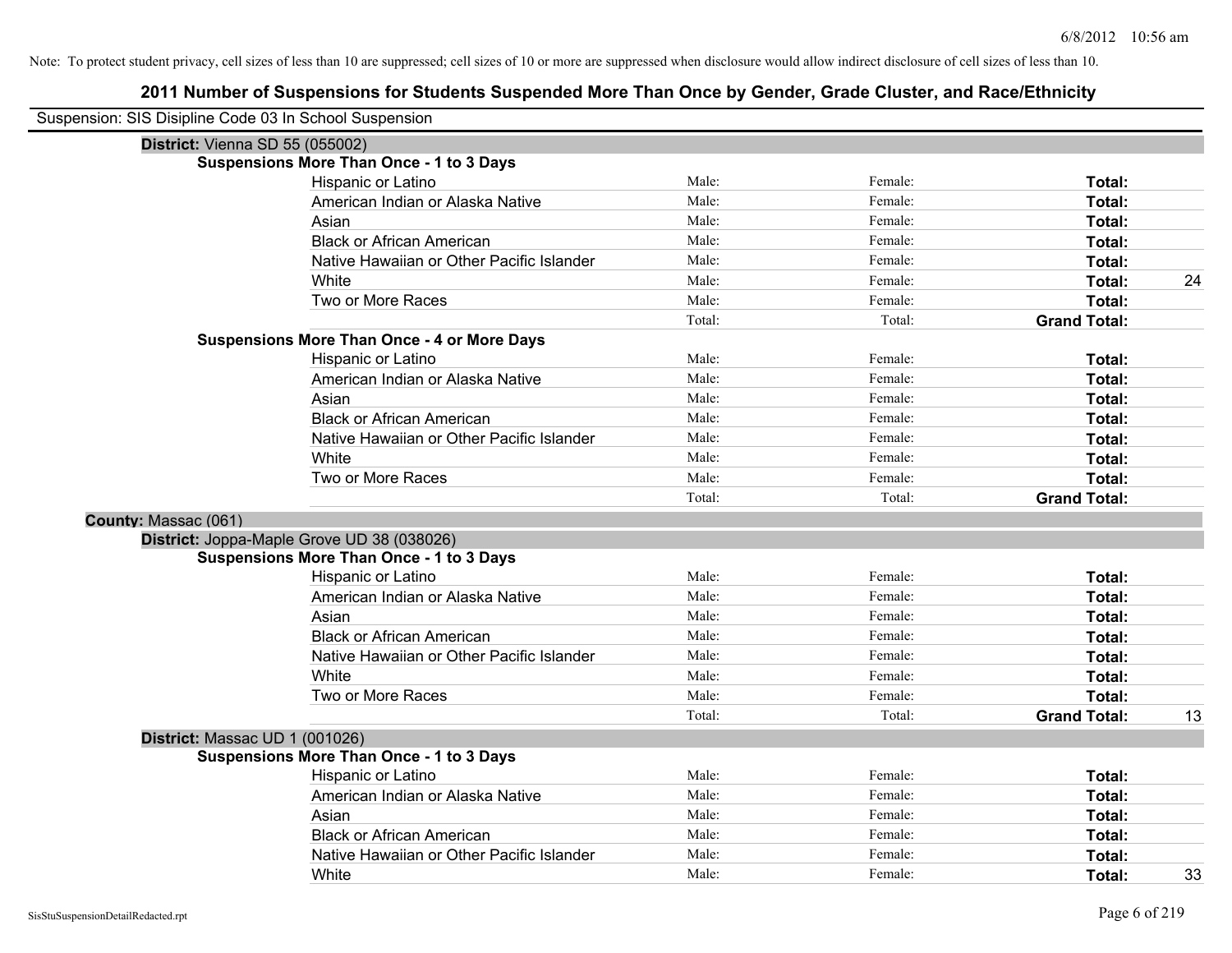| Suspension: SIS Disipline Code 03 In School Suspension |        |         |                     |    |
|--------------------------------------------------------|--------|---------|---------------------|----|
| District: Vienna SD 55 (055002)                        |        |         |                     |    |
| <b>Suspensions More Than Once - 1 to 3 Days</b>        |        |         |                     |    |
| Hispanic or Latino                                     | Male:  | Female: | Total:              |    |
| American Indian or Alaska Native                       | Male:  | Female: | Total:              |    |
| Asian                                                  | Male:  | Female: | Total:              |    |
| <b>Black or African American</b>                       | Male:  | Female: | Total:              |    |
| Native Hawaiian or Other Pacific Islander              | Male:  | Female: | Total:              |    |
| White                                                  | Male:  | Female: | Total:              | 24 |
| Two or More Races                                      | Male:  | Female: | Total:              |    |
|                                                        | Total: | Total:  | <b>Grand Total:</b> |    |
| <b>Suspensions More Than Once - 4 or More Days</b>     |        |         |                     |    |
| Hispanic or Latino                                     | Male:  | Female: | Total:              |    |
| American Indian or Alaska Native                       | Male:  | Female: | Total:              |    |
| Asian                                                  | Male:  | Female: | Total:              |    |
| <b>Black or African American</b>                       | Male:  | Female: | Total:              |    |
| Native Hawaiian or Other Pacific Islander              | Male:  | Female: | Total:              |    |
| White                                                  | Male:  | Female: | Total:              |    |
| Two or More Races                                      | Male:  | Female: | Total:              |    |
|                                                        | Total: | Total:  | <b>Grand Total:</b> |    |
| County: Massac (061)                                   |        |         |                     |    |
| District: Joppa-Maple Grove UD 38 (038026)             |        |         |                     |    |
| <b>Suspensions More Than Once - 1 to 3 Days</b>        |        |         |                     |    |
| Hispanic or Latino                                     | Male:  | Female: | Total:              |    |
| American Indian or Alaska Native                       | Male:  | Female: | Total:              |    |
| Asian                                                  | Male:  | Female: | Total:              |    |
| <b>Black or African American</b>                       | Male:  | Female: | Total:              |    |
| Native Hawaiian or Other Pacific Islander              | Male:  | Female: | Total:              |    |
| White                                                  | Male:  | Female: | Total:              |    |
| Two or More Races                                      | Male:  | Female: | Total:              |    |
|                                                        | Total: | Total:  | <b>Grand Total:</b> | 13 |
| District: Massac UD 1 (001026)                         |        |         |                     |    |
| <b>Suspensions More Than Once - 1 to 3 Days</b>        |        |         |                     |    |
| Hispanic or Latino                                     | Male:  | Female: | Total:              |    |
| American Indian or Alaska Native                       | Male:  | Female: | Total:              |    |
| Asian                                                  | Male:  | Female: | Total:              |    |
| <b>Black or African American</b>                       | Male:  | Female: | Total:              |    |
| Native Hawaiian or Other Pacific Islander              | Male:  | Female: | Total:              |    |
| White                                                  | Male:  | Female: | Total:              | 33 |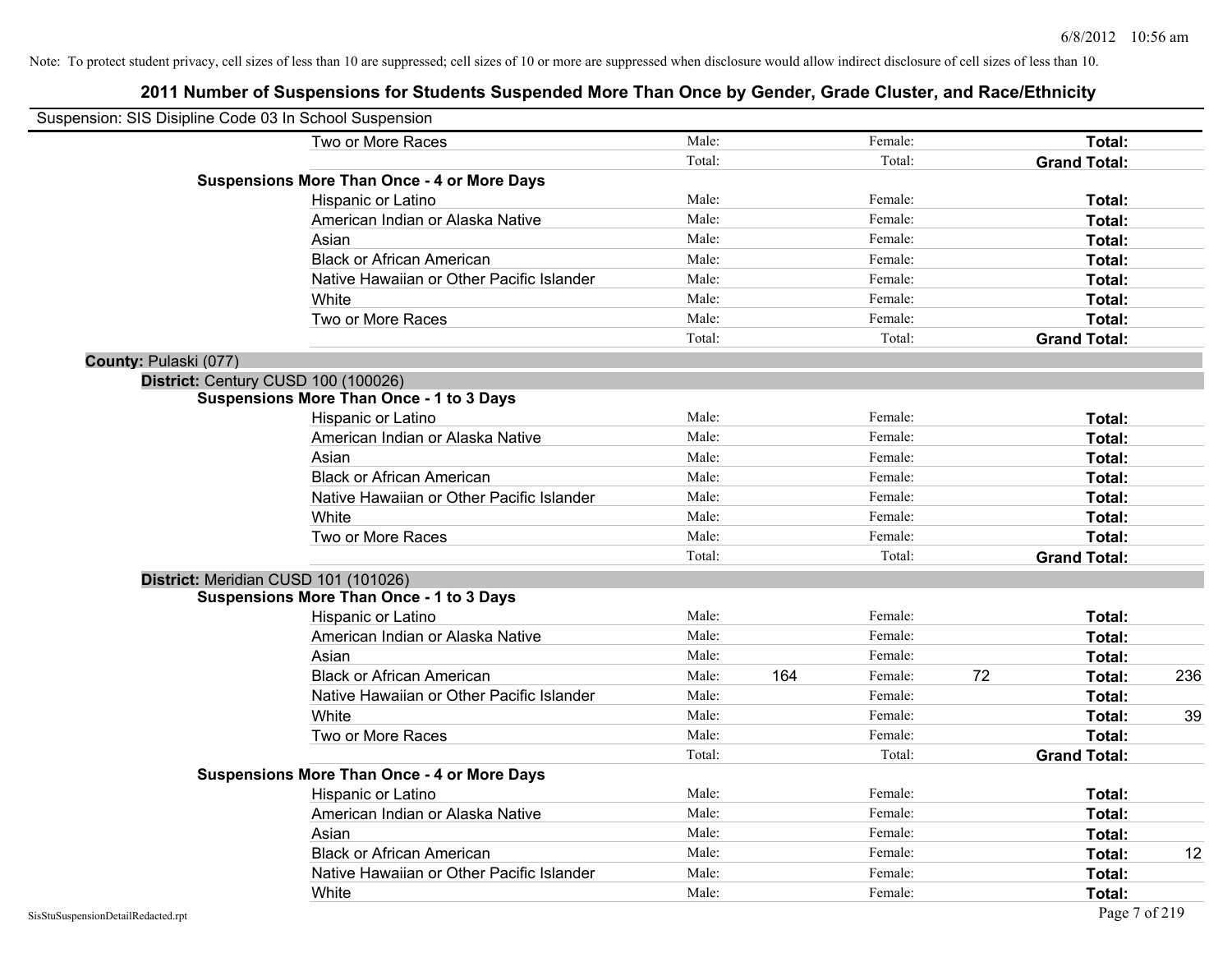| Suspension: SIS Disipline Code 03 In School Suspension |                                                    |        |     |         |    |                     |     |
|--------------------------------------------------------|----------------------------------------------------|--------|-----|---------|----|---------------------|-----|
|                                                        | Two or More Races                                  | Male:  |     | Female: |    | Total:              |     |
|                                                        |                                                    | Total: |     | Total:  |    | <b>Grand Total:</b> |     |
|                                                        | <b>Suspensions More Than Once - 4 or More Days</b> |        |     |         |    |                     |     |
|                                                        | Hispanic or Latino                                 | Male:  |     | Female: |    | Total:              |     |
|                                                        | American Indian or Alaska Native                   | Male:  |     | Female: |    | Total:              |     |
|                                                        | Asian                                              | Male:  |     | Female: |    | Total:              |     |
|                                                        | <b>Black or African American</b>                   | Male:  |     | Female: |    | Total:              |     |
|                                                        | Native Hawaiian or Other Pacific Islander          | Male:  |     | Female: |    | Total:              |     |
|                                                        | White                                              | Male:  |     | Female: |    | Total:              |     |
|                                                        | Two or More Races                                  | Male:  |     | Female: |    | Total:              |     |
|                                                        |                                                    | Total: |     | Total:  |    | <b>Grand Total:</b> |     |
| County: Pulaski (077)                                  |                                                    |        |     |         |    |                     |     |
|                                                        | District: Century CUSD 100 (100026)                |        |     |         |    |                     |     |
|                                                        | Suspensions More Than Once - 1 to 3 Days           |        |     |         |    |                     |     |
|                                                        | Hispanic or Latino                                 | Male:  |     | Female: |    | Total:              |     |
|                                                        | American Indian or Alaska Native                   | Male:  |     | Female: |    | Total:              |     |
|                                                        | Asian                                              | Male:  |     | Female: |    | Total:              |     |
|                                                        | <b>Black or African American</b>                   | Male:  |     | Female: |    | Total:              |     |
|                                                        | Native Hawaiian or Other Pacific Islander          | Male:  |     | Female: |    | Total:              |     |
|                                                        | White                                              | Male:  |     | Female: |    | Total:              |     |
|                                                        | Two or More Races                                  | Male:  |     | Female: |    | Total:              |     |
|                                                        |                                                    | Total: |     | Total:  |    | <b>Grand Total:</b> |     |
|                                                        | District: Meridian CUSD 101 (101026)               |        |     |         |    |                     |     |
|                                                        | <b>Suspensions More Than Once - 1 to 3 Days</b>    |        |     |         |    |                     |     |
|                                                        | Hispanic or Latino                                 | Male:  |     | Female: |    | Total:              |     |
|                                                        | American Indian or Alaska Native                   | Male:  |     | Female: |    | Total:              |     |
|                                                        | Asian                                              | Male:  |     | Female: |    | Total:              |     |
|                                                        | <b>Black or African American</b>                   | Male:  | 164 | Female: | 72 | Total:              | 236 |
|                                                        | Native Hawaiian or Other Pacific Islander          | Male:  |     | Female: |    | Total:              |     |
|                                                        | White                                              | Male:  |     | Female: |    | Total:              | 39  |
|                                                        | Two or More Races                                  | Male:  |     | Female: |    | Total:              |     |
|                                                        |                                                    | Total: |     | Total:  |    | <b>Grand Total:</b> |     |
|                                                        | <b>Suspensions More Than Once - 4 or More Days</b> |        |     |         |    |                     |     |
|                                                        | Hispanic or Latino                                 | Male:  |     | Female: |    | Total:              |     |
|                                                        | American Indian or Alaska Native                   | Male:  |     | Female: |    | Total:              |     |
|                                                        | Asian                                              | Male:  |     | Female: |    | Total:              |     |
|                                                        | <b>Black or African American</b>                   | Male:  |     | Female: |    | Total:              | 12  |
|                                                        | Native Hawaiian or Other Pacific Islander          | Male:  |     | Female: |    | Total:              |     |
|                                                        | White                                              | Male:  |     | Female: |    | Total:              |     |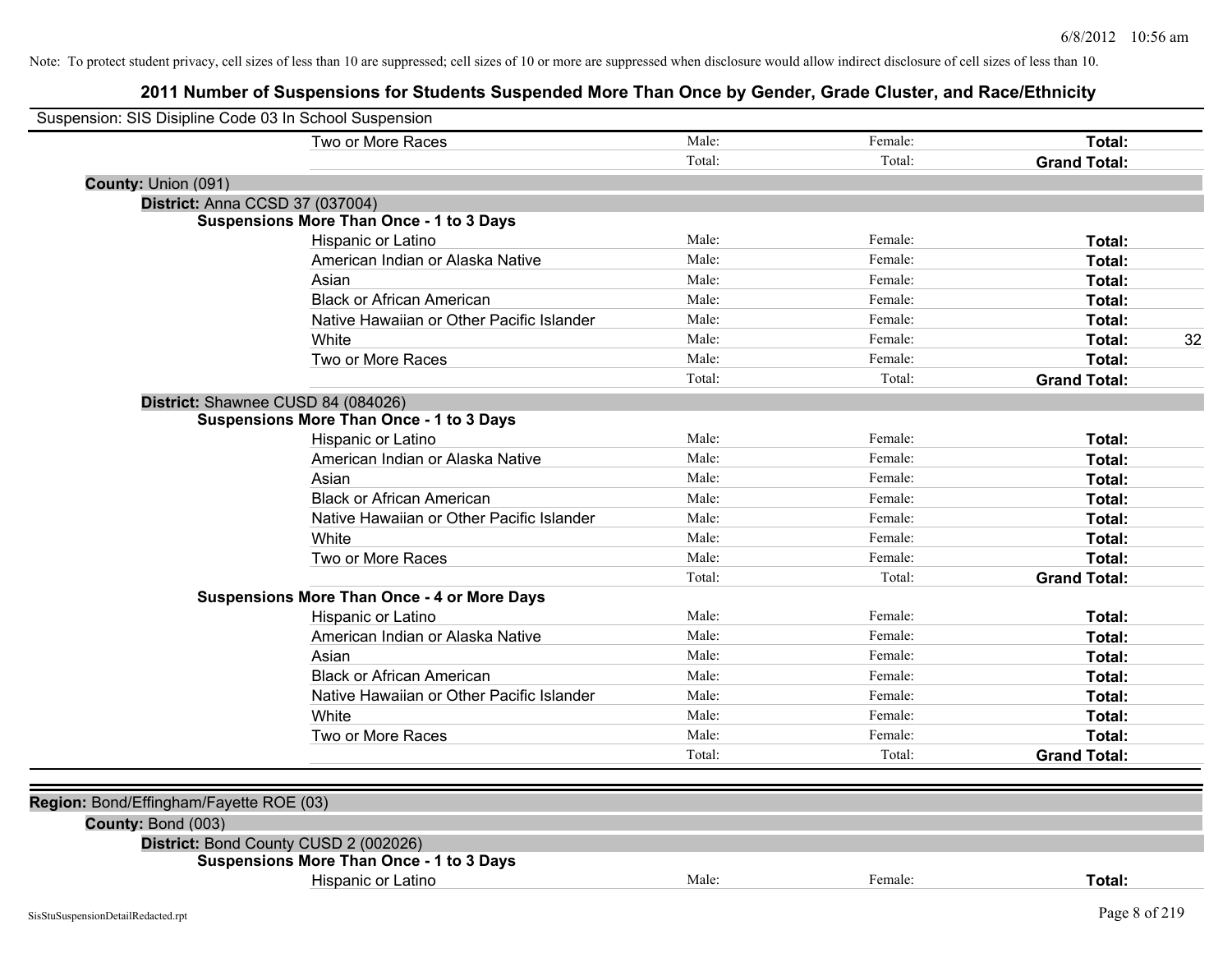|                                         | Two or More Races                                  | Male:  | Female: | Total:              |
|-----------------------------------------|----------------------------------------------------|--------|---------|---------------------|
|                                         |                                                    | Total: | Total:  | <b>Grand Total:</b> |
| County: Union (091)                     |                                                    |        |         |                     |
| District: Anna CCSD 37 (037004)         |                                                    |        |         |                     |
|                                         | <b>Suspensions More Than Once - 1 to 3 Days</b>    |        |         |                     |
|                                         | Hispanic or Latino                                 | Male:  | Female: | Total:              |
|                                         | American Indian or Alaska Native                   | Male:  | Female: | Total:              |
|                                         | Asian                                              | Male:  | Female: | Total:              |
|                                         | <b>Black or African American</b>                   | Male:  | Female: | Total:              |
|                                         | Native Hawaiian or Other Pacific Islander          | Male:  | Female: | Total:              |
|                                         | White                                              | Male:  | Female: | Total:              |
|                                         | Two or More Races                                  | Male:  | Female: | Total:              |
|                                         |                                                    | Total: | Total:  | <b>Grand Total:</b> |
|                                         | District: Shawnee CUSD 84 (084026)                 |        |         |                     |
|                                         | <b>Suspensions More Than Once - 1 to 3 Days</b>    |        |         |                     |
|                                         | Hispanic or Latino                                 | Male:  | Female: | Total:              |
|                                         | American Indian or Alaska Native                   | Male:  | Female: | Total:              |
|                                         | Asian                                              | Male:  | Female: | Total:              |
|                                         | <b>Black or African American</b>                   | Male:  | Female: | Total:              |
|                                         | Native Hawaiian or Other Pacific Islander          | Male:  | Female: | Total:              |
|                                         | White                                              | Male:  | Female: | Total:              |
|                                         | Two or More Races                                  | Male:  | Female: | Total:              |
|                                         |                                                    | Total: | Total:  | <b>Grand Total:</b> |
|                                         | <b>Suspensions More Than Once - 4 or More Days</b> |        |         |                     |
|                                         | Hispanic or Latino                                 | Male:  | Female: | Total:              |
|                                         | American Indian or Alaska Native                   | Male:  | Female: | Total:              |
|                                         | Asian                                              | Male:  | Female: | Total:              |
|                                         | <b>Black or African American</b>                   | Male:  | Female: | Total:              |
|                                         | Native Hawaiian or Other Pacific Islander          | Male:  | Female: | Total:              |
|                                         | White                                              | Male:  | Female: | Total:              |
|                                         | Two or More Races                                  | Male:  | Female: | Total:              |
|                                         |                                                    | Total: | Total:  | <b>Grand Total:</b> |
|                                         |                                                    |        |         |                     |
| Region: Bond/Effingham/Fayette ROE (03) |                                                    |        |         |                     |
| County: Bond (003)                      |                                                    |        |         |                     |
|                                         | District: Bond County CUSD 2 (002026)              |        |         |                     |
|                                         | <b>Suspensions More Than Once - 1 to 3 Days</b>    |        |         |                     |
|                                         | Hispanic or Latino                                 | Male:  | Female: | Total:              |
| SisStuSuspensionDetailRedacted.rpt      |                                                    |        |         | Page 8 of 219       |
|                                         |                                                    |        |         |                     |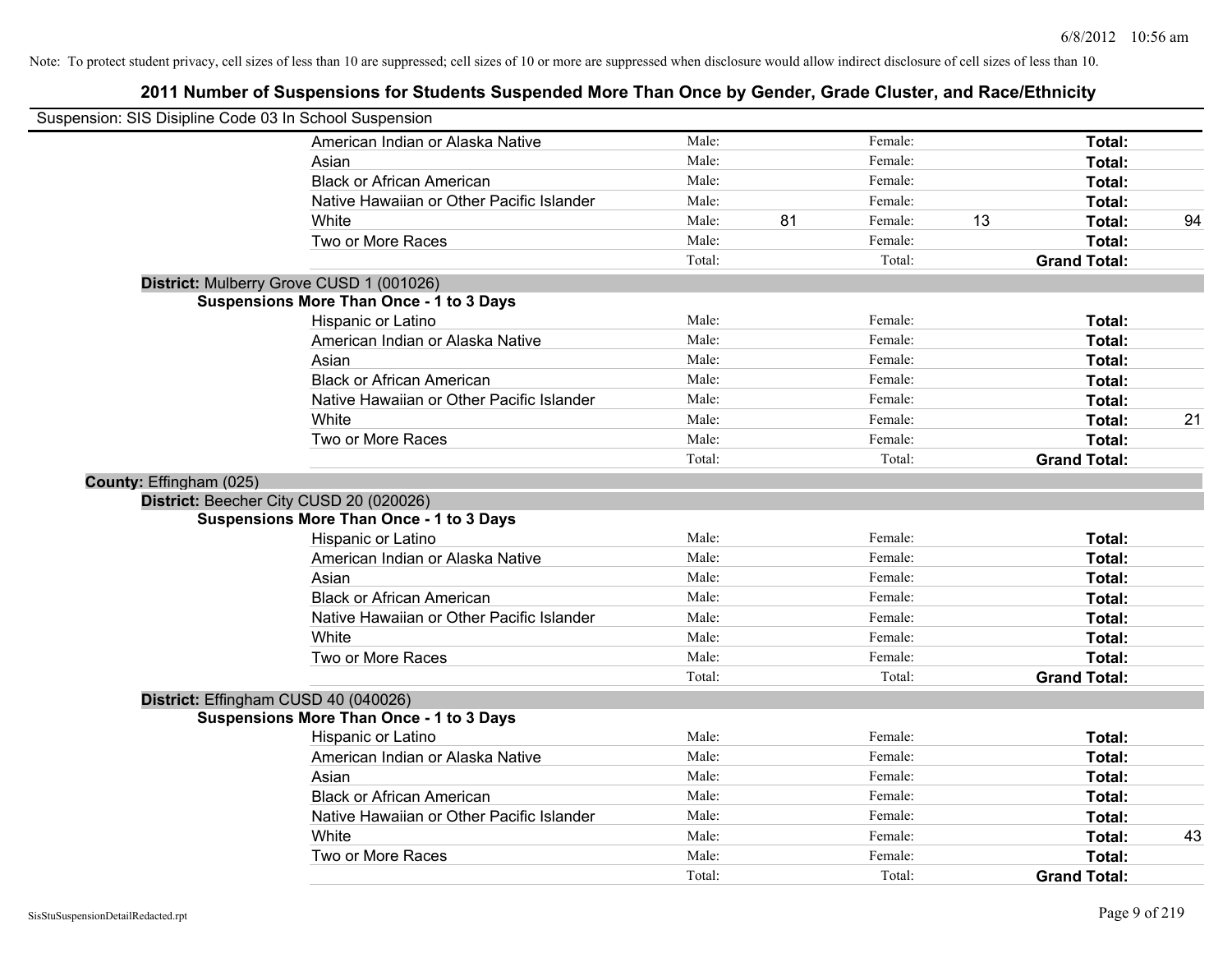| Suspension: SIS Disipline Code 03 In School Suspension |                                                 |        |    |         |    |                     |    |
|--------------------------------------------------------|-------------------------------------------------|--------|----|---------|----|---------------------|----|
|                                                        | American Indian or Alaska Native                | Male:  |    | Female: |    | Total:              |    |
|                                                        | Asian                                           | Male:  |    | Female: |    | Total:              |    |
|                                                        | <b>Black or African American</b>                | Male:  |    | Female: |    | Total:              |    |
|                                                        | Native Hawaiian or Other Pacific Islander       | Male:  |    | Female: |    | Total:              |    |
|                                                        | White                                           | Male:  | 81 | Female: | 13 | Total:              | 94 |
|                                                        | Two or More Races                               | Male:  |    | Female: |    | Total:              |    |
|                                                        |                                                 | Total: |    | Total:  |    | <b>Grand Total:</b> |    |
|                                                        | District: Mulberry Grove CUSD 1 (001026)        |        |    |         |    |                     |    |
|                                                        | Suspensions More Than Once - 1 to 3 Days        |        |    |         |    |                     |    |
|                                                        | Hispanic or Latino                              | Male:  |    | Female: |    | Total:              |    |
|                                                        | American Indian or Alaska Native                | Male:  |    | Female: |    | Total:              |    |
|                                                        | Asian                                           | Male:  |    | Female: |    | Total:              |    |
|                                                        | <b>Black or African American</b>                | Male:  |    | Female: |    | Total:              |    |
|                                                        | Native Hawaiian or Other Pacific Islander       | Male:  |    | Female: |    | Total:              |    |
|                                                        | White                                           | Male:  |    | Female: |    | Total:              | 21 |
|                                                        | Two or More Races                               | Male:  |    | Female: |    | Total:              |    |
|                                                        |                                                 | Total: |    | Total:  |    | <b>Grand Total:</b> |    |
| County: Effingham (025)                                |                                                 |        |    |         |    |                     |    |
|                                                        | District: Beecher City CUSD 20 (020026)         |        |    |         |    |                     |    |
|                                                        | <b>Suspensions More Than Once - 1 to 3 Days</b> |        |    |         |    |                     |    |
|                                                        | Hispanic or Latino                              | Male:  |    | Female: |    | Total:              |    |
|                                                        | American Indian or Alaska Native                | Male:  |    | Female: |    | Total:              |    |
|                                                        | Asian                                           | Male:  |    | Female: |    | Total:              |    |
|                                                        | <b>Black or African American</b>                | Male:  |    | Female: |    | Total:              |    |
|                                                        | Native Hawaiian or Other Pacific Islander       | Male:  |    | Female: |    | Total:              |    |
|                                                        | White                                           | Male:  |    | Female: |    | <b>Total:</b>       |    |
|                                                        | Two or More Races                               | Male:  |    | Female: |    | Total:              |    |
|                                                        |                                                 | Total: |    | Total:  |    | <b>Grand Total:</b> |    |
| District: Effingham CUSD 40 (040026)                   |                                                 |        |    |         |    |                     |    |
|                                                        | <b>Suspensions More Than Once - 1 to 3 Days</b> |        |    |         |    |                     |    |
|                                                        | Hispanic or Latino                              | Male:  |    | Female: |    | Total:              |    |
|                                                        | American Indian or Alaska Native                | Male:  |    | Female: |    | Total:              |    |
|                                                        | Asian                                           | Male:  |    | Female: |    | Total:              |    |
|                                                        | <b>Black or African American</b>                | Male:  |    | Female: |    | Total:              |    |
|                                                        | Native Hawaiian or Other Pacific Islander       | Male:  |    | Female: |    | Total:              |    |
|                                                        | White                                           | Male:  |    | Female: |    | Total:              | 43 |
|                                                        | Two or More Races                               | Male:  |    | Female: |    | Total:              |    |
|                                                        |                                                 | Total: |    | Total:  |    | <b>Grand Total:</b> |    |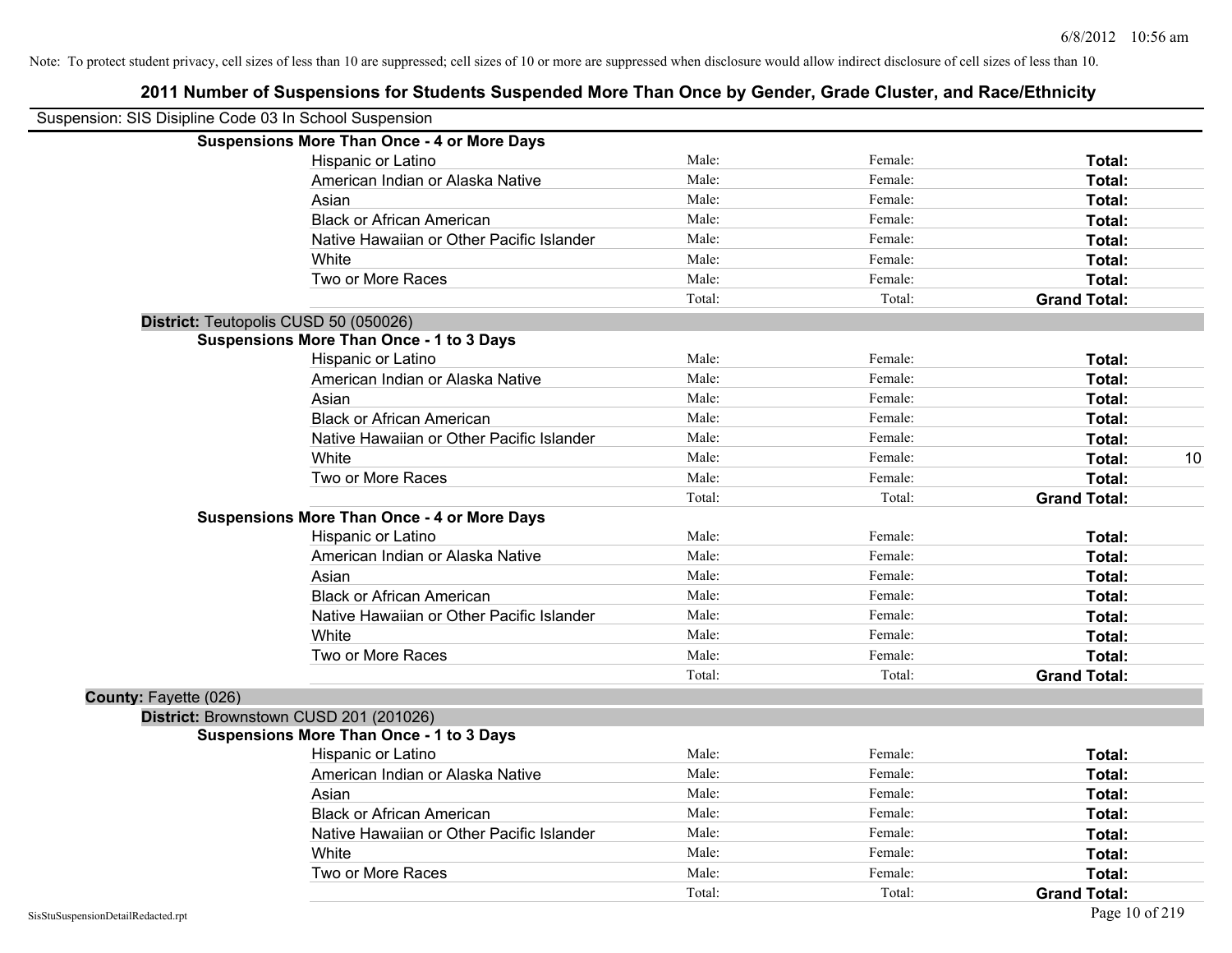| Suspension: SIS Disipline Code 03 In School Suspension |                                                    |        |         |                     |
|--------------------------------------------------------|----------------------------------------------------|--------|---------|---------------------|
|                                                        | <b>Suspensions More Than Once - 4 or More Days</b> |        |         |                     |
|                                                        | Hispanic or Latino                                 | Male:  | Female: | Total:              |
|                                                        | American Indian or Alaska Native                   | Male:  | Female: | Total:              |
|                                                        | Asian                                              | Male:  | Female: | Total:              |
|                                                        | <b>Black or African American</b>                   | Male:  | Female: | Total:              |
|                                                        | Native Hawaiian or Other Pacific Islander          | Male:  | Female: | Total:              |
|                                                        | White                                              | Male:  | Female: | Total:              |
|                                                        | Two or More Races                                  | Male:  | Female: | Total:              |
|                                                        |                                                    | Total: | Total:  | <b>Grand Total:</b> |
| District: Teutopolis CUSD 50 (050026)                  |                                                    |        |         |                     |
|                                                        | <b>Suspensions More Than Once - 1 to 3 Days</b>    |        |         |                     |
|                                                        | Hispanic or Latino                                 | Male:  | Female: | Total:              |
|                                                        | American Indian or Alaska Native                   | Male:  | Female: | Total:              |
|                                                        | Asian                                              | Male:  | Female: | Total:              |
|                                                        | <b>Black or African American</b>                   | Male:  | Female: | Total:              |
|                                                        | Native Hawaiian or Other Pacific Islander          | Male:  | Female: | Total:              |
|                                                        | White                                              | Male:  | Female: | 10<br>Total:        |
|                                                        | Two or More Races                                  | Male:  | Female: | Total:              |
|                                                        |                                                    | Total: | Total:  | <b>Grand Total:</b> |
|                                                        | <b>Suspensions More Than Once - 4 or More Days</b> |        |         |                     |
|                                                        | Hispanic or Latino                                 | Male:  | Female: | Total:              |
|                                                        | American Indian or Alaska Native                   | Male:  | Female: | Total:              |
|                                                        | Asian                                              | Male:  | Female: | Total:              |
|                                                        | <b>Black or African American</b>                   | Male:  | Female: | Total:              |
|                                                        | Native Hawaiian or Other Pacific Islander          | Male:  | Female: | Total:              |
|                                                        | White                                              | Male:  | Female: | Total:              |
|                                                        | Two or More Races                                  | Male:  | Female: | Total:              |
|                                                        |                                                    | Total: | Total:  | <b>Grand Total:</b> |
| County: Fayette (026)                                  |                                                    |        |         |                     |
| District: Brownstown CUSD 201 (201026)                 |                                                    |        |         |                     |
|                                                        | <b>Suspensions More Than Once - 1 to 3 Days</b>    |        |         |                     |
|                                                        | Hispanic or Latino                                 | Male:  | Female: | Total:              |
|                                                        | American Indian or Alaska Native                   | Male:  | Female: | Total:              |
|                                                        | Asian                                              | Male:  | Female: | Total:              |
|                                                        | <b>Black or African American</b>                   | Male:  | Female: | Total:              |
|                                                        | Native Hawaiian or Other Pacific Islander          | Male:  | Female: | Total:              |
|                                                        | White                                              | Male:  | Female: | Total:              |
|                                                        | Two or More Races                                  | Male:  | Female: | Total:              |
|                                                        |                                                    | Total: | Total:  | <b>Grand Total:</b> |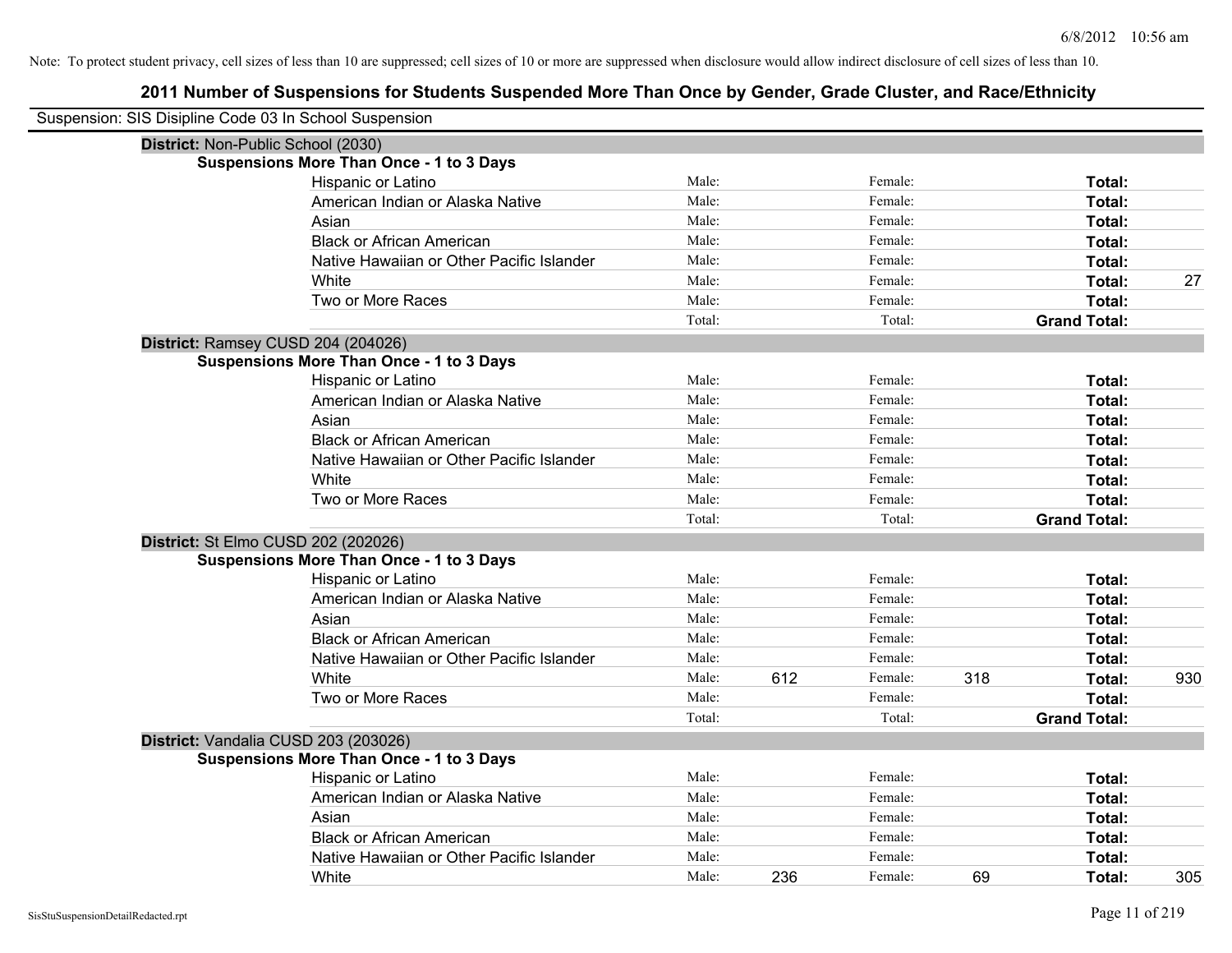| Suspension: SIS Disipline Code 03 In School Suspension<br>District: Non-Public School (2030)<br><b>Suspensions More Than Once - 1 to 3 Days</b><br>Hispanic or Latino<br>Male:<br>Female:<br>Total:<br>American Indian or Alaska Native<br>Male:<br>Female:<br>Total:<br>Male:<br>Female:<br>Asian<br>Total:<br><b>Black or African American</b><br>Male:<br>Female:<br>Total:<br>Male:<br>Female:<br>Native Hawaiian or Other Pacific Islander<br>Total:<br>White<br>Male:<br>Female:<br>27<br>Total:<br>Two or More Races<br>Male:<br>Female:<br>Total:<br>Total:<br>Total:<br><b>Grand Total:</b><br>District: Ramsey CUSD 204 (204026)<br><b>Suspensions More Than Once - 1 to 3 Days</b><br>Male:<br>Female:<br>Hispanic or Latino<br>Total:<br>Male:<br>Female:<br>American Indian or Alaska Native<br>Total:<br>Male:<br>Female:<br>Total:<br>Asian<br>Male:<br><b>Black or African American</b><br>Female:<br>Total:<br>Male:<br>Female:<br>Native Hawaiian or Other Pacific Islander<br>Total:<br>Male:<br>Female:<br>White<br>Total:<br>Male:<br>Female:<br>Total:<br>Two or More Races<br>Total:<br>Total:<br><b>Grand Total:</b><br>District: St Elmo CUSD 202 (202026)<br><b>Suspensions More Than Once - 1 to 3 Days</b><br>Male:<br>Hispanic or Latino<br>Female:<br>Total:<br>American Indian or Alaska Native<br>Male:<br>Female:<br>Total:<br>Asian<br>Male:<br>Female:<br>Total:<br>Male:<br><b>Black or African American</b><br>Female:<br>Total:<br>Male:<br>Female:<br>Native Hawaiian or Other Pacific Islander<br>Total:<br>White<br>612<br>318<br>Male:<br>Female:<br>930<br>Total:<br>Two or More Races<br>Male:<br>Female:<br>Total:<br>Total:<br>Total:<br><b>Grand Total:</b><br>District: Vandalia CUSD 203 (203026)<br><b>Suspensions More Than Once - 1 to 3 Days</b><br>Male:<br>Female:<br>Total:<br>Hispanic or Latino<br>American Indian or Alaska Native<br>Male:<br>Female:<br>Total:<br>Male:<br>Asian<br>Female:<br>Total:<br>Male:<br>Female:<br><b>Black or African American</b><br>Total: |                                           |       |         |        |  |
|--------------------------------------------------------------------------------------------------------------------------------------------------------------------------------------------------------------------------------------------------------------------------------------------------------------------------------------------------------------------------------------------------------------------------------------------------------------------------------------------------------------------------------------------------------------------------------------------------------------------------------------------------------------------------------------------------------------------------------------------------------------------------------------------------------------------------------------------------------------------------------------------------------------------------------------------------------------------------------------------------------------------------------------------------------------------------------------------------------------------------------------------------------------------------------------------------------------------------------------------------------------------------------------------------------------------------------------------------------------------------------------------------------------------------------------------------------------------------------------------------------------------------------------------------------------------------------------------------------------------------------------------------------------------------------------------------------------------------------------------------------------------------------------------------------------------------------------------------------------------------------------------------------------------------------------------------------------------------------------------------------------------------------------|-------------------------------------------|-------|---------|--------|--|
|                                                                                                                                                                                                                                                                                                                                                                                                                                                                                                                                                                                                                                                                                                                                                                                                                                                                                                                                                                                                                                                                                                                                                                                                                                                                                                                                                                                                                                                                                                                                                                                                                                                                                                                                                                                                                                                                                                                                                                                                                                      |                                           |       |         |        |  |
|                                                                                                                                                                                                                                                                                                                                                                                                                                                                                                                                                                                                                                                                                                                                                                                                                                                                                                                                                                                                                                                                                                                                                                                                                                                                                                                                                                                                                                                                                                                                                                                                                                                                                                                                                                                                                                                                                                                                                                                                                                      |                                           |       |         |        |  |
|                                                                                                                                                                                                                                                                                                                                                                                                                                                                                                                                                                                                                                                                                                                                                                                                                                                                                                                                                                                                                                                                                                                                                                                                                                                                                                                                                                                                                                                                                                                                                                                                                                                                                                                                                                                                                                                                                                                                                                                                                                      |                                           |       |         |        |  |
|                                                                                                                                                                                                                                                                                                                                                                                                                                                                                                                                                                                                                                                                                                                                                                                                                                                                                                                                                                                                                                                                                                                                                                                                                                                                                                                                                                                                                                                                                                                                                                                                                                                                                                                                                                                                                                                                                                                                                                                                                                      |                                           |       |         |        |  |
|                                                                                                                                                                                                                                                                                                                                                                                                                                                                                                                                                                                                                                                                                                                                                                                                                                                                                                                                                                                                                                                                                                                                                                                                                                                                                                                                                                                                                                                                                                                                                                                                                                                                                                                                                                                                                                                                                                                                                                                                                                      |                                           |       |         |        |  |
|                                                                                                                                                                                                                                                                                                                                                                                                                                                                                                                                                                                                                                                                                                                                                                                                                                                                                                                                                                                                                                                                                                                                                                                                                                                                                                                                                                                                                                                                                                                                                                                                                                                                                                                                                                                                                                                                                                                                                                                                                                      |                                           |       |         |        |  |
|                                                                                                                                                                                                                                                                                                                                                                                                                                                                                                                                                                                                                                                                                                                                                                                                                                                                                                                                                                                                                                                                                                                                                                                                                                                                                                                                                                                                                                                                                                                                                                                                                                                                                                                                                                                                                                                                                                                                                                                                                                      |                                           |       |         |        |  |
|                                                                                                                                                                                                                                                                                                                                                                                                                                                                                                                                                                                                                                                                                                                                                                                                                                                                                                                                                                                                                                                                                                                                                                                                                                                                                                                                                                                                                                                                                                                                                                                                                                                                                                                                                                                                                                                                                                                                                                                                                                      |                                           |       |         |        |  |
|                                                                                                                                                                                                                                                                                                                                                                                                                                                                                                                                                                                                                                                                                                                                                                                                                                                                                                                                                                                                                                                                                                                                                                                                                                                                                                                                                                                                                                                                                                                                                                                                                                                                                                                                                                                                                                                                                                                                                                                                                                      |                                           |       |         |        |  |
|                                                                                                                                                                                                                                                                                                                                                                                                                                                                                                                                                                                                                                                                                                                                                                                                                                                                                                                                                                                                                                                                                                                                                                                                                                                                                                                                                                                                                                                                                                                                                                                                                                                                                                                                                                                                                                                                                                                                                                                                                                      |                                           |       |         |        |  |
|                                                                                                                                                                                                                                                                                                                                                                                                                                                                                                                                                                                                                                                                                                                                                                                                                                                                                                                                                                                                                                                                                                                                                                                                                                                                                                                                                                                                                                                                                                                                                                                                                                                                                                                                                                                                                                                                                                                                                                                                                                      |                                           |       |         |        |  |
|                                                                                                                                                                                                                                                                                                                                                                                                                                                                                                                                                                                                                                                                                                                                                                                                                                                                                                                                                                                                                                                                                                                                                                                                                                                                                                                                                                                                                                                                                                                                                                                                                                                                                                                                                                                                                                                                                                                                                                                                                                      |                                           |       |         |        |  |
|                                                                                                                                                                                                                                                                                                                                                                                                                                                                                                                                                                                                                                                                                                                                                                                                                                                                                                                                                                                                                                                                                                                                                                                                                                                                                                                                                                                                                                                                                                                                                                                                                                                                                                                                                                                                                                                                                                                                                                                                                                      |                                           |       |         |        |  |
|                                                                                                                                                                                                                                                                                                                                                                                                                                                                                                                                                                                                                                                                                                                                                                                                                                                                                                                                                                                                                                                                                                                                                                                                                                                                                                                                                                                                                                                                                                                                                                                                                                                                                                                                                                                                                                                                                                                                                                                                                                      |                                           |       |         |        |  |
|                                                                                                                                                                                                                                                                                                                                                                                                                                                                                                                                                                                                                                                                                                                                                                                                                                                                                                                                                                                                                                                                                                                                                                                                                                                                                                                                                                                                                                                                                                                                                                                                                                                                                                                                                                                                                                                                                                                                                                                                                                      |                                           |       |         |        |  |
|                                                                                                                                                                                                                                                                                                                                                                                                                                                                                                                                                                                                                                                                                                                                                                                                                                                                                                                                                                                                                                                                                                                                                                                                                                                                                                                                                                                                                                                                                                                                                                                                                                                                                                                                                                                                                                                                                                                                                                                                                                      |                                           |       |         |        |  |
|                                                                                                                                                                                                                                                                                                                                                                                                                                                                                                                                                                                                                                                                                                                                                                                                                                                                                                                                                                                                                                                                                                                                                                                                                                                                                                                                                                                                                                                                                                                                                                                                                                                                                                                                                                                                                                                                                                                                                                                                                                      |                                           |       |         |        |  |
|                                                                                                                                                                                                                                                                                                                                                                                                                                                                                                                                                                                                                                                                                                                                                                                                                                                                                                                                                                                                                                                                                                                                                                                                                                                                                                                                                                                                                                                                                                                                                                                                                                                                                                                                                                                                                                                                                                                                                                                                                                      |                                           |       |         |        |  |
|                                                                                                                                                                                                                                                                                                                                                                                                                                                                                                                                                                                                                                                                                                                                                                                                                                                                                                                                                                                                                                                                                                                                                                                                                                                                                                                                                                                                                                                                                                                                                                                                                                                                                                                                                                                                                                                                                                                                                                                                                                      |                                           |       |         |        |  |
|                                                                                                                                                                                                                                                                                                                                                                                                                                                                                                                                                                                                                                                                                                                                                                                                                                                                                                                                                                                                                                                                                                                                                                                                                                                                                                                                                                                                                                                                                                                                                                                                                                                                                                                                                                                                                                                                                                                                                                                                                                      |                                           |       |         |        |  |
|                                                                                                                                                                                                                                                                                                                                                                                                                                                                                                                                                                                                                                                                                                                                                                                                                                                                                                                                                                                                                                                                                                                                                                                                                                                                                                                                                                                                                                                                                                                                                                                                                                                                                                                                                                                                                                                                                                                                                                                                                                      |                                           |       |         |        |  |
|                                                                                                                                                                                                                                                                                                                                                                                                                                                                                                                                                                                                                                                                                                                                                                                                                                                                                                                                                                                                                                                                                                                                                                                                                                                                                                                                                                                                                                                                                                                                                                                                                                                                                                                                                                                                                                                                                                                                                                                                                                      |                                           |       |         |        |  |
|                                                                                                                                                                                                                                                                                                                                                                                                                                                                                                                                                                                                                                                                                                                                                                                                                                                                                                                                                                                                                                                                                                                                                                                                                                                                                                                                                                                                                                                                                                                                                                                                                                                                                                                                                                                                                                                                                                                                                                                                                                      |                                           |       |         |        |  |
|                                                                                                                                                                                                                                                                                                                                                                                                                                                                                                                                                                                                                                                                                                                                                                                                                                                                                                                                                                                                                                                                                                                                                                                                                                                                                                                                                                                                                                                                                                                                                                                                                                                                                                                                                                                                                                                                                                                                                                                                                                      |                                           |       |         |        |  |
|                                                                                                                                                                                                                                                                                                                                                                                                                                                                                                                                                                                                                                                                                                                                                                                                                                                                                                                                                                                                                                                                                                                                                                                                                                                                                                                                                                                                                                                                                                                                                                                                                                                                                                                                                                                                                                                                                                                                                                                                                                      |                                           |       |         |        |  |
|                                                                                                                                                                                                                                                                                                                                                                                                                                                                                                                                                                                                                                                                                                                                                                                                                                                                                                                                                                                                                                                                                                                                                                                                                                                                                                                                                                                                                                                                                                                                                                                                                                                                                                                                                                                                                                                                                                                                                                                                                                      |                                           |       |         |        |  |
|                                                                                                                                                                                                                                                                                                                                                                                                                                                                                                                                                                                                                                                                                                                                                                                                                                                                                                                                                                                                                                                                                                                                                                                                                                                                                                                                                                                                                                                                                                                                                                                                                                                                                                                                                                                                                                                                                                                                                                                                                                      |                                           |       |         |        |  |
|                                                                                                                                                                                                                                                                                                                                                                                                                                                                                                                                                                                                                                                                                                                                                                                                                                                                                                                                                                                                                                                                                                                                                                                                                                                                                                                                                                                                                                                                                                                                                                                                                                                                                                                                                                                                                                                                                                                                                                                                                                      |                                           |       |         |        |  |
|                                                                                                                                                                                                                                                                                                                                                                                                                                                                                                                                                                                                                                                                                                                                                                                                                                                                                                                                                                                                                                                                                                                                                                                                                                                                                                                                                                                                                                                                                                                                                                                                                                                                                                                                                                                                                                                                                                                                                                                                                                      |                                           |       |         |        |  |
|                                                                                                                                                                                                                                                                                                                                                                                                                                                                                                                                                                                                                                                                                                                                                                                                                                                                                                                                                                                                                                                                                                                                                                                                                                                                                                                                                                                                                                                                                                                                                                                                                                                                                                                                                                                                                                                                                                                                                                                                                                      |                                           |       |         |        |  |
|                                                                                                                                                                                                                                                                                                                                                                                                                                                                                                                                                                                                                                                                                                                                                                                                                                                                                                                                                                                                                                                                                                                                                                                                                                                                                                                                                                                                                                                                                                                                                                                                                                                                                                                                                                                                                                                                                                                                                                                                                                      |                                           |       |         |        |  |
|                                                                                                                                                                                                                                                                                                                                                                                                                                                                                                                                                                                                                                                                                                                                                                                                                                                                                                                                                                                                                                                                                                                                                                                                                                                                                                                                                                                                                                                                                                                                                                                                                                                                                                                                                                                                                                                                                                                                                                                                                                      |                                           |       |         |        |  |
|                                                                                                                                                                                                                                                                                                                                                                                                                                                                                                                                                                                                                                                                                                                                                                                                                                                                                                                                                                                                                                                                                                                                                                                                                                                                                                                                                                                                                                                                                                                                                                                                                                                                                                                                                                                                                                                                                                                                                                                                                                      |                                           |       |         |        |  |
|                                                                                                                                                                                                                                                                                                                                                                                                                                                                                                                                                                                                                                                                                                                                                                                                                                                                                                                                                                                                                                                                                                                                                                                                                                                                                                                                                                                                                                                                                                                                                                                                                                                                                                                                                                                                                                                                                                                                                                                                                                      |                                           |       |         |        |  |
|                                                                                                                                                                                                                                                                                                                                                                                                                                                                                                                                                                                                                                                                                                                                                                                                                                                                                                                                                                                                                                                                                                                                                                                                                                                                                                                                                                                                                                                                                                                                                                                                                                                                                                                                                                                                                                                                                                                                                                                                                                      |                                           |       |         |        |  |
|                                                                                                                                                                                                                                                                                                                                                                                                                                                                                                                                                                                                                                                                                                                                                                                                                                                                                                                                                                                                                                                                                                                                                                                                                                                                                                                                                                                                                                                                                                                                                                                                                                                                                                                                                                                                                                                                                                                                                                                                                                      |                                           |       |         |        |  |
|                                                                                                                                                                                                                                                                                                                                                                                                                                                                                                                                                                                                                                                                                                                                                                                                                                                                                                                                                                                                                                                                                                                                                                                                                                                                                                                                                                                                                                                                                                                                                                                                                                                                                                                                                                                                                                                                                                                                                                                                                                      |                                           |       |         |        |  |
|                                                                                                                                                                                                                                                                                                                                                                                                                                                                                                                                                                                                                                                                                                                                                                                                                                                                                                                                                                                                                                                                                                                                                                                                                                                                                                                                                                                                                                                                                                                                                                                                                                                                                                                                                                                                                                                                                                                                                                                                                                      | Native Hawaiian or Other Pacific Islander | Male: | Female: | Total: |  |
| 236<br>69<br>305<br>White<br>Male:<br>Female:<br>Total:                                                                                                                                                                                                                                                                                                                                                                                                                                                                                                                                                                                                                                                                                                                                                                                                                                                                                                                                                                                                                                                                                                                                                                                                                                                                                                                                                                                                                                                                                                                                                                                                                                                                                                                                                                                                                                                                                                                                                                              |                                           |       |         |        |  |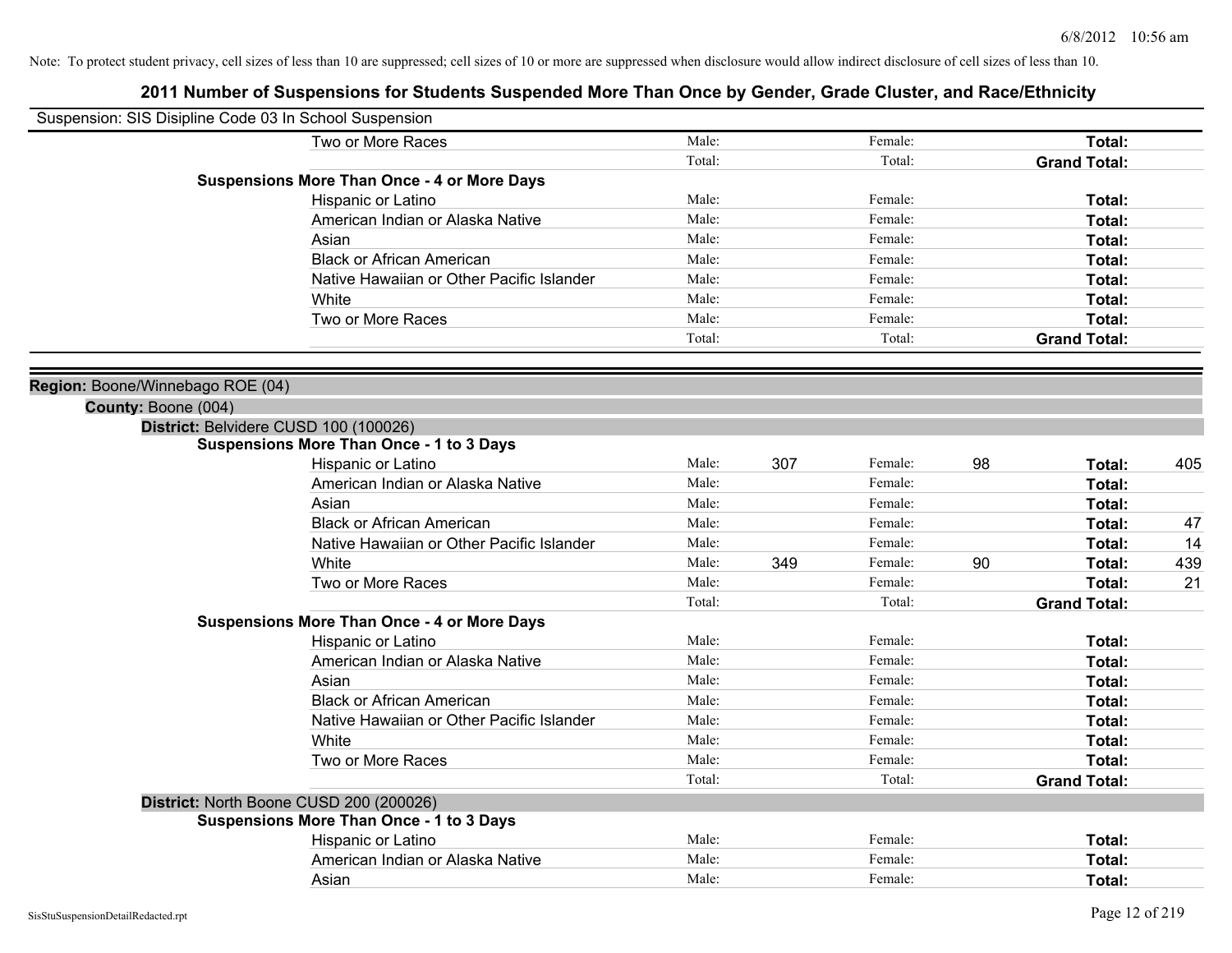| Suspension: SIS Disipline Code 03 In School Suspension |                                                    |        |     |         |    |                     |     |
|--------------------------------------------------------|----------------------------------------------------|--------|-----|---------|----|---------------------|-----|
|                                                        | Two or More Races                                  | Male:  |     | Female: |    | Total:              |     |
|                                                        |                                                    | Total: |     | Total:  |    | <b>Grand Total:</b> |     |
|                                                        | <b>Suspensions More Than Once - 4 or More Days</b> |        |     |         |    |                     |     |
|                                                        | Hispanic or Latino                                 | Male:  |     | Female: |    | Total:              |     |
|                                                        | American Indian or Alaska Native                   | Male:  |     | Female: |    | Total:              |     |
|                                                        | Asian                                              | Male:  |     | Female: |    | Total:              |     |
|                                                        | <b>Black or African American</b>                   | Male:  |     | Female: |    | Total:              |     |
|                                                        | Native Hawaiian or Other Pacific Islander          | Male:  |     | Female: |    | Total:              |     |
|                                                        | White                                              | Male:  |     | Female: |    | Total:              |     |
|                                                        | Two or More Races                                  | Male:  |     | Female: |    | Total:              |     |
|                                                        |                                                    | Total: |     | Total:  |    | <b>Grand Total:</b> |     |
|                                                        |                                                    |        |     |         |    |                     |     |
| Region: Boone/Winnebago ROE (04)                       |                                                    |        |     |         |    |                     |     |
| County: Boone (004)                                    |                                                    |        |     |         |    |                     |     |
|                                                        | District: Belvidere CUSD 100 (100026)              |        |     |         |    |                     |     |
|                                                        | <b>Suspensions More Than Once - 1 to 3 Days</b>    |        |     |         |    |                     |     |
|                                                        | Hispanic or Latino                                 | Male:  | 307 | Female: | 98 | Total:              | 405 |
|                                                        | American Indian or Alaska Native                   | Male:  |     | Female: |    | Total:              |     |
|                                                        | Asian                                              | Male:  |     | Female: |    | Total:              |     |
|                                                        | <b>Black or African American</b>                   | Male:  |     | Female: |    | Total:              | 47  |
|                                                        | Native Hawaiian or Other Pacific Islander          | Male:  |     | Female: |    | Total:              | 14  |
|                                                        | White                                              | Male:  | 349 | Female: | 90 | Total:              | 439 |
|                                                        | Two or More Races                                  | Male:  |     | Female: |    | Total:              | 21  |
|                                                        |                                                    | Total: |     | Total:  |    | <b>Grand Total:</b> |     |
|                                                        | <b>Suspensions More Than Once - 4 or More Days</b> |        |     |         |    |                     |     |
|                                                        | Hispanic or Latino                                 | Male:  |     | Female: |    | Total:              |     |
|                                                        | American Indian or Alaska Native                   | Male:  |     | Female: |    | Total:              |     |
|                                                        | Asian                                              | Male:  |     | Female: |    | Total:              |     |
|                                                        | <b>Black or African American</b>                   | Male:  |     | Female: |    | Total:              |     |
|                                                        | Native Hawaiian or Other Pacific Islander          | Male:  |     | Female: |    | Total:              |     |
|                                                        | White                                              | Male:  |     | Female: |    | Total:              |     |
|                                                        | Two or More Races                                  | Male:  |     | Female: |    | Total:              |     |
|                                                        |                                                    | Total: |     | Total:  |    | <b>Grand Total:</b> |     |
|                                                        | District: North Boone CUSD 200 (200026)            |        |     |         |    |                     |     |
|                                                        | <b>Suspensions More Than Once - 1 to 3 Days</b>    |        |     |         |    |                     |     |
|                                                        | Hispanic or Latino                                 | Male:  |     | Female: |    | Total:              |     |
|                                                        | American Indian or Alaska Native                   | Male:  |     | Female: |    | Total:              |     |
|                                                        | Asian                                              | Male:  |     | Female: |    | Total:              |     |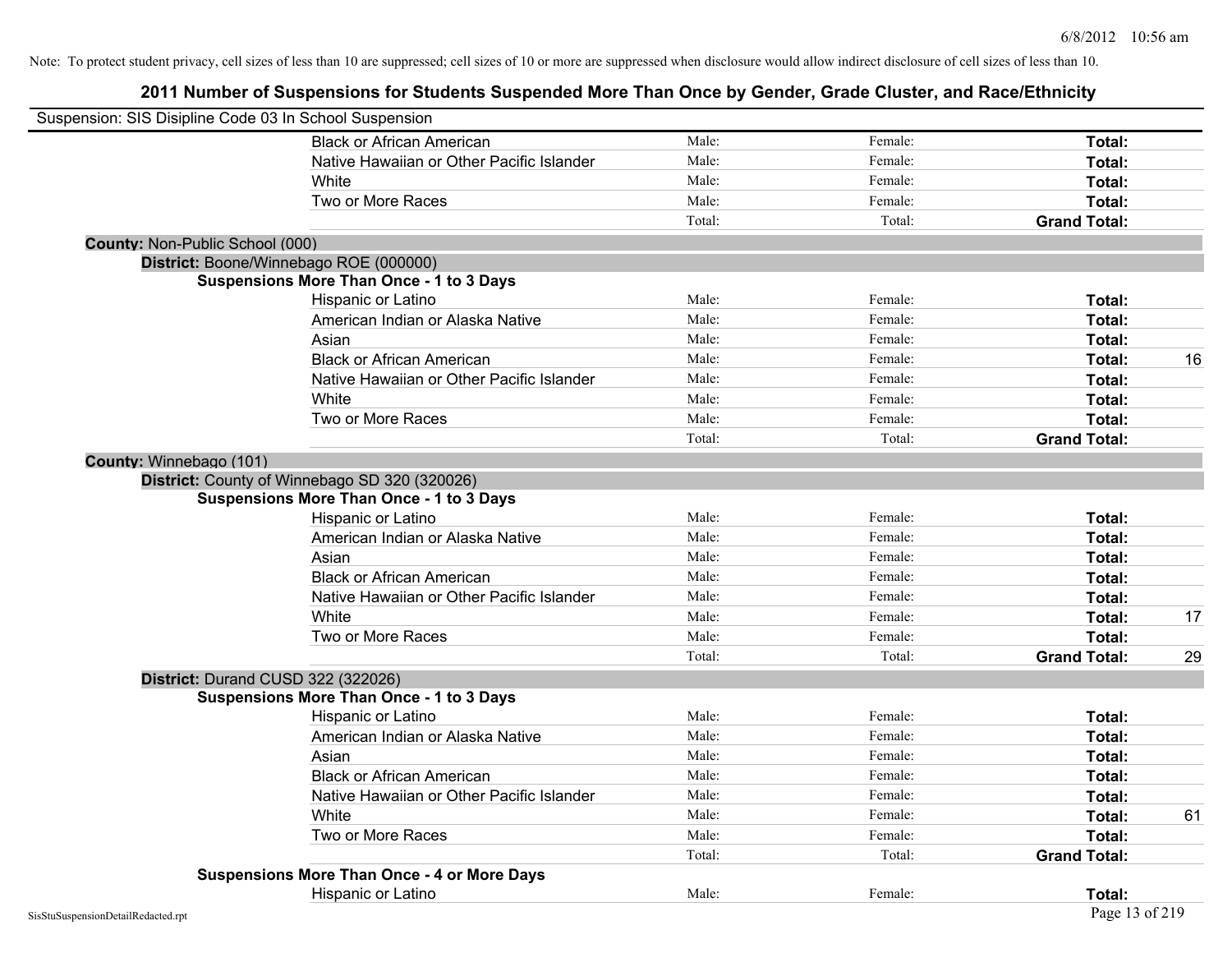| Suspension: SIS Disipline Code 03 In School Suspension |                                                    |        |         |                     |    |
|--------------------------------------------------------|----------------------------------------------------|--------|---------|---------------------|----|
|                                                        | <b>Black or African American</b>                   | Male:  | Female: | Total:              |    |
|                                                        | Native Hawaiian or Other Pacific Islander          | Male:  | Female: | Total:              |    |
|                                                        | White                                              | Male:  | Female: | Total:              |    |
|                                                        | Two or More Races                                  | Male:  | Female: | Total:              |    |
|                                                        |                                                    | Total: | Total:  | <b>Grand Total:</b> |    |
| County: Non-Public School (000)                        |                                                    |        |         |                     |    |
|                                                        | District: Boone/Winnebago ROE (000000)             |        |         |                     |    |
|                                                        | <b>Suspensions More Than Once - 1 to 3 Days</b>    |        |         |                     |    |
|                                                        | Hispanic or Latino                                 | Male:  | Female: | Total:              |    |
|                                                        | American Indian or Alaska Native                   | Male:  | Female: | Total:              |    |
|                                                        | Asian                                              | Male:  | Female: | Total:              |    |
|                                                        | <b>Black or African American</b>                   | Male:  | Female: | Total:              | 16 |
|                                                        | Native Hawaiian or Other Pacific Islander          | Male:  | Female: | Total:              |    |
|                                                        | White                                              | Male:  | Female: | Total:              |    |
|                                                        | Two or More Races                                  | Male:  | Female: | Total:              |    |
|                                                        |                                                    | Total: | Total:  | <b>Grand Total:</b> |    |
| County: Winnebago (101)                                |                                                    |        |         |                     |    |
|                                                        | District: County of Winnebago SD 320 (320026)      |        |         |                     |    |
|                                                        | <b>Suspensions More Than Once - 1 to 3 Days</b>    |        |         |                     |    |
|                                                        | Hispanic or Latino                                 | Male:  | Female: | Total:              |    |
|                                                        | American Indian or Alaska Native                   | Male:  | Female: | Total:              |    |
|                                                        | Asian                                              | Male:  | Female: | Total:              |    |
|                                                        | <b>Black or African American</b>                   | Male:  | Female: | Total:              |    |
|                                                        | Native Hawaiian or Other Pacific Islander          | Male:  | Female: | Total:              |    |
|                                                        | White                                              | Male:  | Female: | Total:              | 17 |
|                                                        | Two or More Races                                  | Male:  | Female: | Total:              |    |
|                                                        |                                                    | Total: | Total:  | <b>Grand Total:</b> | 29 |
| District: Durand CUSD 322 (322026)                     |                                                    |        |         |                     |    |
|                                                        | <b>Suspensions More Than Once - 1 to 3 Days</b>    |        |         |                     |    |
|                                                        | Hispanic or Latino                                 | Male:  | Female: | Total:              |    |
|                                                        | American Indian or Alaska Native                   | Male:  | Female: | Total:              |    |
|                                                        | Asian                                              | Male:  | Female: | Total:              |    |
|                                                        | <b>Black or African American</b>                   | Male:  | Female: | Total:              |    |
|                                                        | Native Hawaiian or Other Pacific Islander          | Male:  | Female: | Total:              |    |
|                                                        | White                                              | Male:  | Female: | Total:              | 61 |
|                                                        | Two or More Races                                  | Male:  | Female: | Total:              |    |
|                                                        |                                                    | Total: | Total:  | <b>Grand Total:</b> |    |
|                                                        | <b>Suspensions More Than Once - 4 or More Days</b> |        |         |                     |    |
|                                                        | Hispanic or Latino                                 | Male:  | Female: | Total:              |    |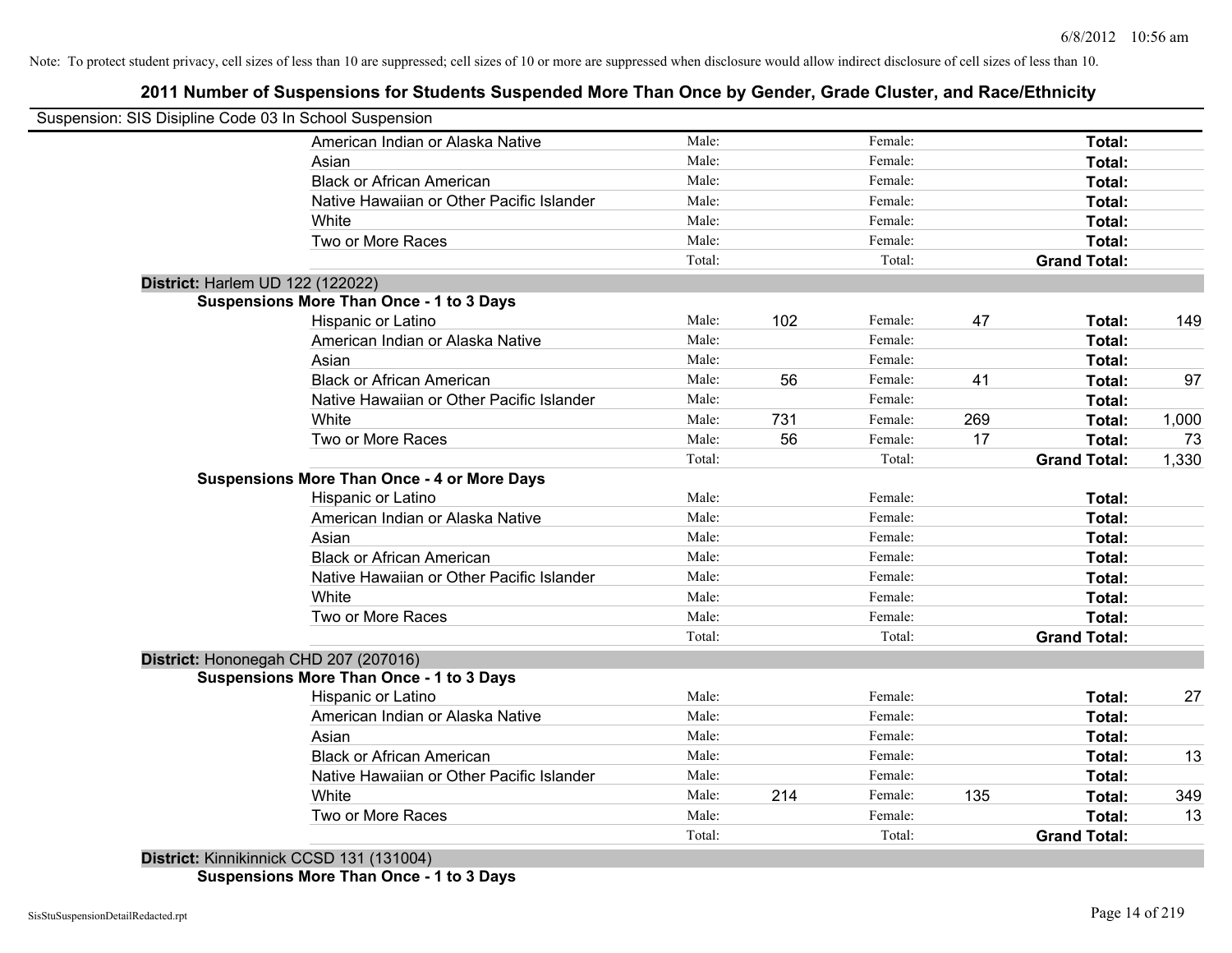# **2011 Number of Suspensions for Students Suspended More Than Once by Gender, Grade Cluster, and Race/Ethnicity**

|                                  | Suspension: SIS Disipline Code 03 In School Suspension |        |     |         |     |                     |       |
|----------------------------------|--------------------------------------------------------|--------|-----|---------|-----|---------------------|-------|
|                                  | American Indian or Alaska Native                       | Male:  |     | Female: |     | Total:              |       |
|                                  | Asian                                                  | Male:  |     | Female: |     | Total:              |       |
|                                  | <b>Black or African American</b>                       | Male:  |     | Female: |     | Total:              |       |
|                                  | Native Hawaiian or Other Pacific Islander              | Male:  |     | Female: |     | Total:              |       |
|                                  | White                                                  | Male:  |     | Female: |     | Total:              |       |
|                                  | Two or More Races                                      | Male:  |     | Female: |     | Total:              |       |
|                                  |                                                        | Total: |     | Total:  |     | <b>Grand Total:</b> |       |
| District: Harlem UD 122 (122022) |                                                        |        |     |         |     |                     |       |
|                                  | <b>Suspensions More Than Once - 1 to 3 Days</b>        |        |     |         |     |                     |       |
|                                  | Hispanic or Latino                                     | Male:  | 102 | Female: | 47  | Total:              | 149   |
|                                  | American Indian or Alaska Native                       | Male:  |     | Female: |     | <b>Total:</b>       |       |
|                                  | Asian                                                  | Male:  |     | Female: |     | Total:              |       |
|                                  | <b>Black or African American</b>                       | Male:  | 56  | Female: | 41  | Total:              | 97    |
|                                  | Native Hawaiian or Other Pacific Islander              | Male:  |     | Female: |     | Total:              |       |
|                                  | White                                                  | Male:  | 731 | Female: | 269 | Total:              | 1,000 |
|                                  | Two or More Races                                      | Male:  | 56  | Female: | 17  | Total:              | 73    |
|                                  |                                                        | Total: |     | Total:  |     | <b>Grand Total:</b> | 1,330 |
|                                  | <b>Suspensions More Than Once - 4 or More Days</b>     |        |     |         |     |                     |       |
|                                  | Hispanic or Latino                                     | Male:  |     | Female: |     | Total:              |       |
|                                  | American Indian or Alaska Native                       | Male:  |     | Female: |     | Total:              |       |
|                                  | Asian                                                  | Male:  |     | Female: |     | Total:              |       |
|                                  | <b>Black or African American</b>                       | Male:  |     | Female: |     | Total:              |       |
|                                  | Native Hawaiian or Other Pacific Islander              | Male:  |     | Female: |     | Total:              |       |
|                                  | White                                                  | Male:  |     | Female: |     | Total:              |       |
|                                  | Two or More Races                                      | Male:  |     | Female: |     | Total:              |       |
|                                  |                                                        | Total: |     | Total:  |     | <b>Grand Total:</b> |       |
|                                  | District: Hononegah CHD 207 (207016)                   |        |     |         |     |                     |       |
|                                  | <b>Suspensions More Than Once - 1 to 3 Days</b>        |        |     |         |     |                     |       |
|                                  | Hispanic or Latino                                     | Male:  |     | Female: |     | Total:              | 27    |
|                                  | American Indian or Alaska Native                       | Male:  |     | Female: |     | Total:              |       |
|                                  | Asian                                                  | Male:  |     | Female: |     | Total:              |       |
|                                  | <b>Black or African American</b>                       | Male:  |     | Female: |     | Total:              | 13    |
|                                  | Native Hawaiian or Other Pacific Islander              | Male:  |     | Female: |     | Total:              |       |
|                                  | White                                                  | Male:  | 214 | Female: | 135 | Total:              | 349   |
|                                  | Two or More Races                                      | Male:  |     | Female: |     | Total:              | 13    |
|                                  |                                                        | Total: |     | Total:  |     | <b>Grand Total:</b> |       |
|                                  | District: Kinnikinnick CCSD 131 (131004)               |        |     |         |     |                     |       |

**Suspensions More Than Once - 1 to 3 Days**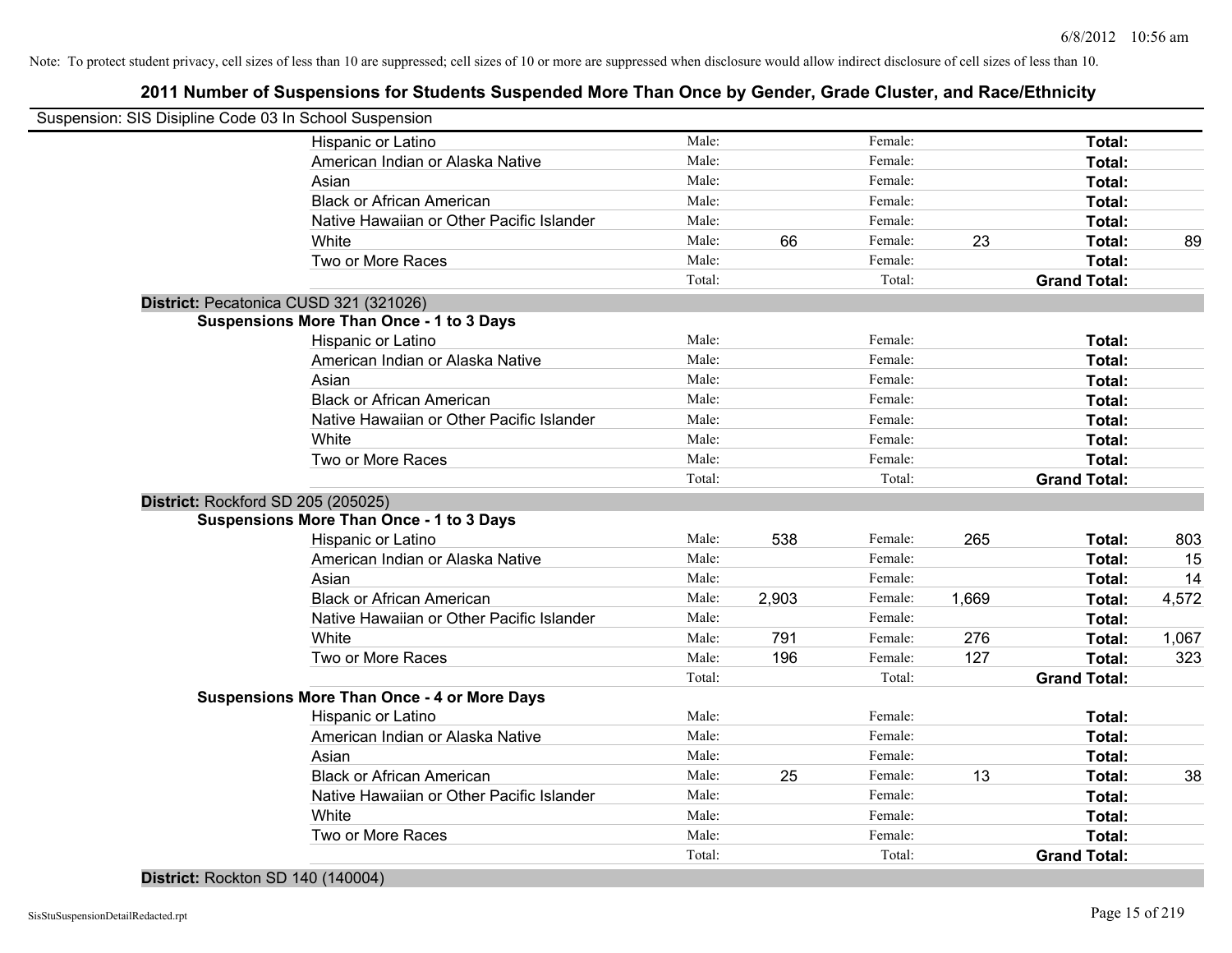# **2011 Number of Suspensions for Students Suspended More Than Once by Gender, Grade Cluster, and Race/Ethnicity**

| Suspension: SIS Disipline Code 03 In School Suspension |        |       |         |       |                     |       |
|--------------------------------------------------------|--------|-------|---------|-------|---------------------|-------|
| Hispanic or Latino                                     | Male:  |       | Female: |       | Total:              |       |
| American Indian or Alaska Native                       | Male:  |       | Female: |       | Total:              |       |
| Asian                                                  | Male:  |       | Female: |       | Total:              |       |
| <b>Black or African American</b>                       | Male:  |       | Female: |       | Total:              |       |
| Native Hawaiian or Other Pacific Islander              | Male:  |       | Female: |       | Total:              |       |
| White                                                  | Male:  | 66    | Female: | 23    | Total:              | 89    |
| Two or More Races                                      | Male:  |       | Female: |       | Total:              |       |
|                                                        | Total: |       | Total:  |       | <b>Grand Total:</b> |       |
| District: Pecatonica CUSD 321 (321026)                 |        |       |         |       |                     |       |
| <b>Suspensions More Than Once - 1 to 3 Days</b>        |        |       |         |       |                     |       |
| Hispanic or Latino                                     | Male:  |       | Female: |       | Total:              |       |
| American Indian or Alaska Native                       | Male:  |       | Female: |       | Total:              |       |
| Asian                                                  | Male:  |       | Female: |       | Total:              |       |
| <b>Black or African American</b>                       | Male:  |       | Female: |       | Total:              |       |
| Native Hawaiian or Other Pacific Islander              | Male:  |       | Female: |       | Total:              |       |
| White                                                  | Male:  |       | Female: |       | Total:              |       |
| Two or More Races                                      | Male:  |       | Female: |       | Total:              |       |
|                                                        | Total: |       | Total:  |       | <b>Grand Total:</b> |       |
| District: Rockford SD 205 (205025)                     |        |       |         |       |                     |       |
| <b>Suspensions More Than Once - 1 to 3 Days</b>        |        |       |         |       |                     |       |
| Hispanic or Latino                                     | Male:  | 538   | Female: | 265   | Total:              | 803   |
| American Indian or Alaska Native                       | Male:  |       | Female: |       | Total:              | 15    |
| Asian                                                  | Male:  |       | Female: |       | Total:              | 14    |
| <b>Black or African American</b>                       | Male:  | 2,903 | Female: | 1,669 | Total:              | 4,572 |
| Native Hawaiian or Other Pacific Islander              | Male:  |       | Female: |       | Total:              |       |
| White                                                  | Male:  | 791   | Female: | 276   | Total:              | 1,067 |
| Two or More Races                                      | Male:  | 196   | Female: | 127   | Total:              | 323   |
|                                                        | Total: |       | Total:  |       | <b>Grand Total:</b> |       |
| <b>Suspensions More Than Once - 4 or More Days</b>     |        |       |         |       |                     |       |
| Hispanic or Latino                                     | Male:  |       | Female: |       | Total:              |       |
| American Indian or Alaska Native                       | Male:  |       | Female: |       | Total:              |       |
| Asian                                                  | Male:  |       | Female: |       | Total:              |       |
| <b>Black or African American</b>                       | Male:  | 25    | Female: | 13    | Total:              | 38    |
| Native Hawaiian or Other Pacific Islander              | Male:  |       | Female: |       | Total:              |       |
| White                                                  | Male:  |       | Female: |       | Total:              |       |
| Two or More Races                                      | Male:  |       | Female: |       | Total:              |       |
|                                                        | Total: |       | Total:  |       | <b>Grand Total:</b> |       |
|                                                        |        |       |         |       |                     |       |

**District:** Rockton SD 140 (140004)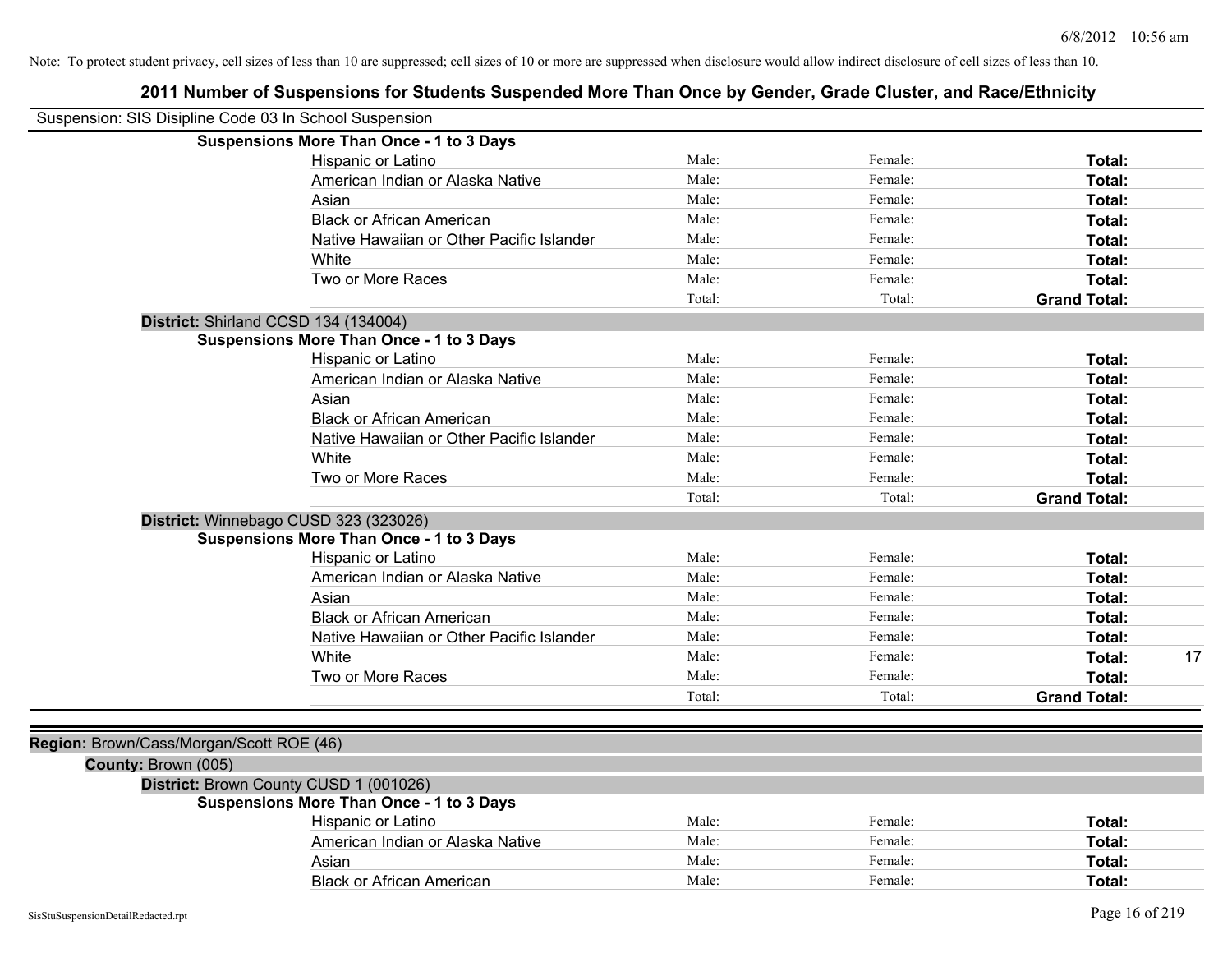| Suspension: SIS Disipline Code 03 In School Suspension |                                                 |        |         |                     |
|--------------------------------------------------------|-------------------------------------------------|--------|---------|---------------------|
|                                                        | <b>Suspensions More Than Once - 1 to 3 Days</b> |        |         |                     |
|                                                        | Hispanic or Latino                              | Male:  | Female: | Total:              |
|                                                        | American Indian or Alaska Native                | Male:  | Female: | Total:              |
|                                                        | Asian                                           | Male:  | Female: | Total:              |
|                                                        | <b>Black or African American</b>                | Male:  | Female: | Total:              |
|                                                        | Native Hawaiian or Other Pacific Islander       | Male:  | Female: | Total:              |
|                                                        | White                                           | Male:  | Female: | Total:              |
|                                                        | Two or More Races                               | Male:  | Female: | Total:              |
|                                                        |                                                 | Total: | Total:  | <b>Grand Total:</b> |
|                                                        | District: Shirland CCSD 134 (134004)            |        |         |                     |
|                                                        | <b>Suspensions More Than Once - 1 to 3 Days</b> |        |         |                     |
|                                                        | Hispanic or Latino                              | Male:  | Female: | Total:              |
|                                                        | American Indian or Alaska Native                | Male:  | Female: | Total:              |
|                                                        | Asian                                           | Male:  | Female: | Total:              |
|                                                        | <b>Black or African American</b>                | Male:  | Female: | Total:              |
|                                                        | Native Hawaiian or Other Pacific Islander       | Male:  | Female: | Total:              |
|                                                        | White                                           | Male:  | Female: | Total:              |
|                                                        | Two or More Races                               | Male:  | Female: | Total:              |
|                                                        |                                                 | Total: | Total:  | <b>Grand Total:</b> |
|                                                        | District: Winnebago CUSD 323 (323026)           |        |         |                     |
|                                                        | <b>Suspensions More Than Once - 1 to 3 Days</b> |        |         |                     |
|                                                        | Hispanic or Latino                              | Male:  | Female: | Total:              |
|                                                        | American Indian or Alaska Native                | Male:  | Female: | Total:              |
|                                                        | Asian                                           | Male:  | Female: | Total:              |
|                                                        | <b>Black or African American</b>                | Male:  | Female: | Total:              |
|                                                        | Native Hawaiian or Other Pacific Islander       | Male:  | Female: | Total:              |
|                                                        | White                                           | Male:  | Female: | Total:<br>17        |
|                                                        | Two or More Races                               | Male:  | Female: | Total:              |
|                                                        |                                                 | Total: | Total:  | <b>Grand Total:</b> |
|                                                        |                                                 |        |         |                     |
| Region: Brown/Cass/Morgan/Scott ROE (46)               |                                                 |        |         |                     |
| County: Brown (005)                                    |                                                 |        |         |                     |
|                                                        | District: Brown County CUSD 1 (001026)          |        |         |                     |
|                                                        | <b>Suspensions More Than Once - 1 to 3 Days</b> |        |         |                     |
|                                                        | Hispanic or Latino                              | Male:  | Female: | Total:              |
|                                                        | American Indian or Alaska Native                | Male:  | Female: | Total:              |
|                                                        | Asian                                           | Male:  | Female: | Total:              |
|                                                        | <b>Black or African American</b>                | Male:  | Female: | Total:              |
|                                                        |                                                 |        |         |                     |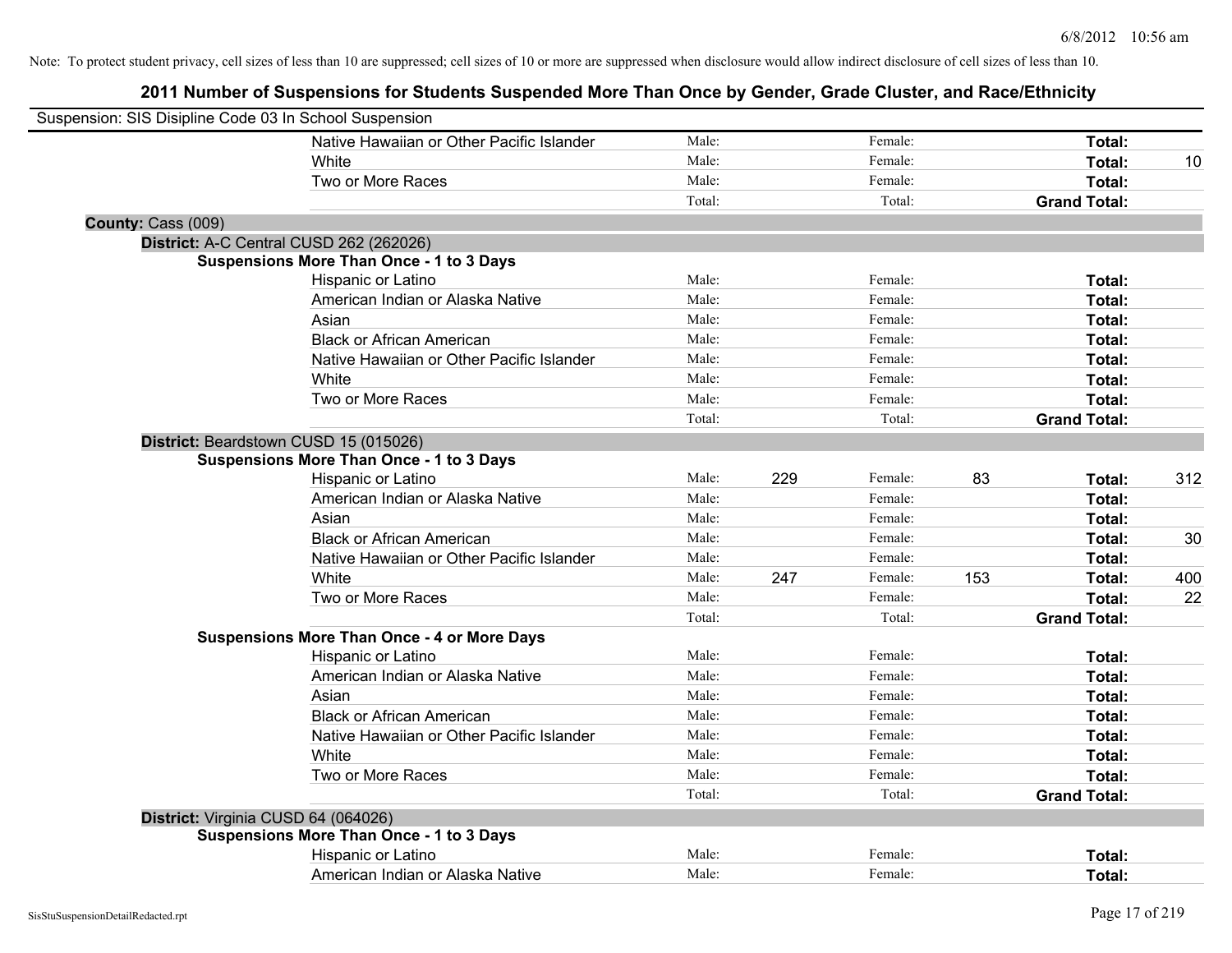| Suspension: SIS Disipline Code 03 In School Suspension |                                                    |        |     |         |     |                     |     |
|--------------------------------------------------------|----------------------------------------------------|--------|-----|---------|-----|---------------------|-----|
|                                                        | Native Hawaiian or Other Pacific Islander          | Male:  |     | Female: |     | Total:              |     |
|                                                        | White                                              | Male:  |     | Female: |     | Total:              | 10  |
|                                                        | Two or More Races                                  | Male:  |     | Female: |     | Total:              |     |
|                                                        |                                                    | Total: |     | Total:  |     | <b>Grand Total:</b> |     |
| County: Cass (009)                                     |                                                    |        |     |         |     |                     |     |
|                                                        | District: A-C Central CUSD 262 (262026)            |        |     |         |     |                     |     |
|                                                        | <b>Suspensions More Than Once - 1 to 3 Days</b>    |        |     |         |     |                     |     |
|                                                        | Hispanic or Latino                                 | Male:  |     | Female: |     | Total:              |     |
|                                                        | American Indian or Alaska Native                   | Male:  |     | Female: |     | Total:              |     |
|                                                        | Asian                                              | Male:  |     | Female: |     | Total:              |     |
|                                                        | <b>Black or African American</b>                   | Male:  |     | Female: |     | Total:              |     |
|                                                        | Native Hawaiian or Other Pacific Islander          | Male:  |     | Female: |     | Total:              |     |
|                                                        | White                                              | Male:  |     | Female: |     | Total:              |     |
|                                                        | Two or More Races                                  | Male:  |     | Female: |     | Total:              |     |
|                                                        |                                                    | Total: |     | Total:  |     | <b>Grand Total:</b> |     |
|                                                        | District: Beardstown CUSD 15 (015026)              |        |     |         |     |                     |     |
|                                                        | <b>Suspensions More Than Once - 1 to 3 Days</b>    |        |     |         |     |                     |     |
|                                                        | Hispanic or Latino                                 | Male:  | 229 | Female: | 83  | Total:              | 312 |
|                                                        | American Indian or Alaska Native                   | Male:  |     | Female: |     | Total:              |     |
|                                                        | Asian                                              | Male:  |     | Female: |     | Total:              |     |
|                                                        | <b>Black or African American</b>                   | Male:  |     | Female: |     | Total:              | 30  |
|                                                        | Native Hawaiian or Other Pacific Islander          | Male:  |     | Female: |     | Total:              |     |
|                                                        | White                                              | Male:  | 247 | Female: | 153 | Total:              | 400 |
|                                                        | Two or More Races                                  | Male:  |     | Female: |     | Total:              | 22  |
|                                                        |                                                    | Total: |     | Total:  |     | <b>Grand Total:</b> |     |
|                                                        | <b>Suspensions More Than Once - 4 or More Days</b> |        |     |         |     |                     |     |
|                                                        | Hispanic or Latino                                 | Male:  |     | Female: |     | Total:              |     |
|                                                        | American Indian or Alaska Native                   | Male:  |     | Female: |     | Total:              |     |
|                                                        | Asian                                              | Male:  |     | Female: |     | Total:              |     |
|                                                        | <b>Black or African American</b>                   | Male:  |     | Female: |     | Total:              |     |
|                                                        | Native Hawaiian or Other Pacific Islander          | Male:  |     | Female: |     | Total:              |     |
|                                                        | White                                              | Male:  |     | Female: |     | Total:              |     |
|                                                        | Two or More Races                                  | Male:  |     | Female: |     | Total:              |     |
|                                                        |                                                    | Total: |     | Total:  |     | <b>Grand Total:</b> |     |
| District: Virginia CUSD 64 (064026)                    |                                                    |        |     |         |     |                     |     |
|                                                        | <b>Suspensions More Than Once - 1 to 3 Days</b>    |        |     |         |     |                     |     |
|                                                        | Hispanic or Latino                                 | Male:  |     | Female: |     | Total:              |     |
|                                                        | American Indian or Alaska Native                   | Male:  |     | Female: |     | Total:              |     |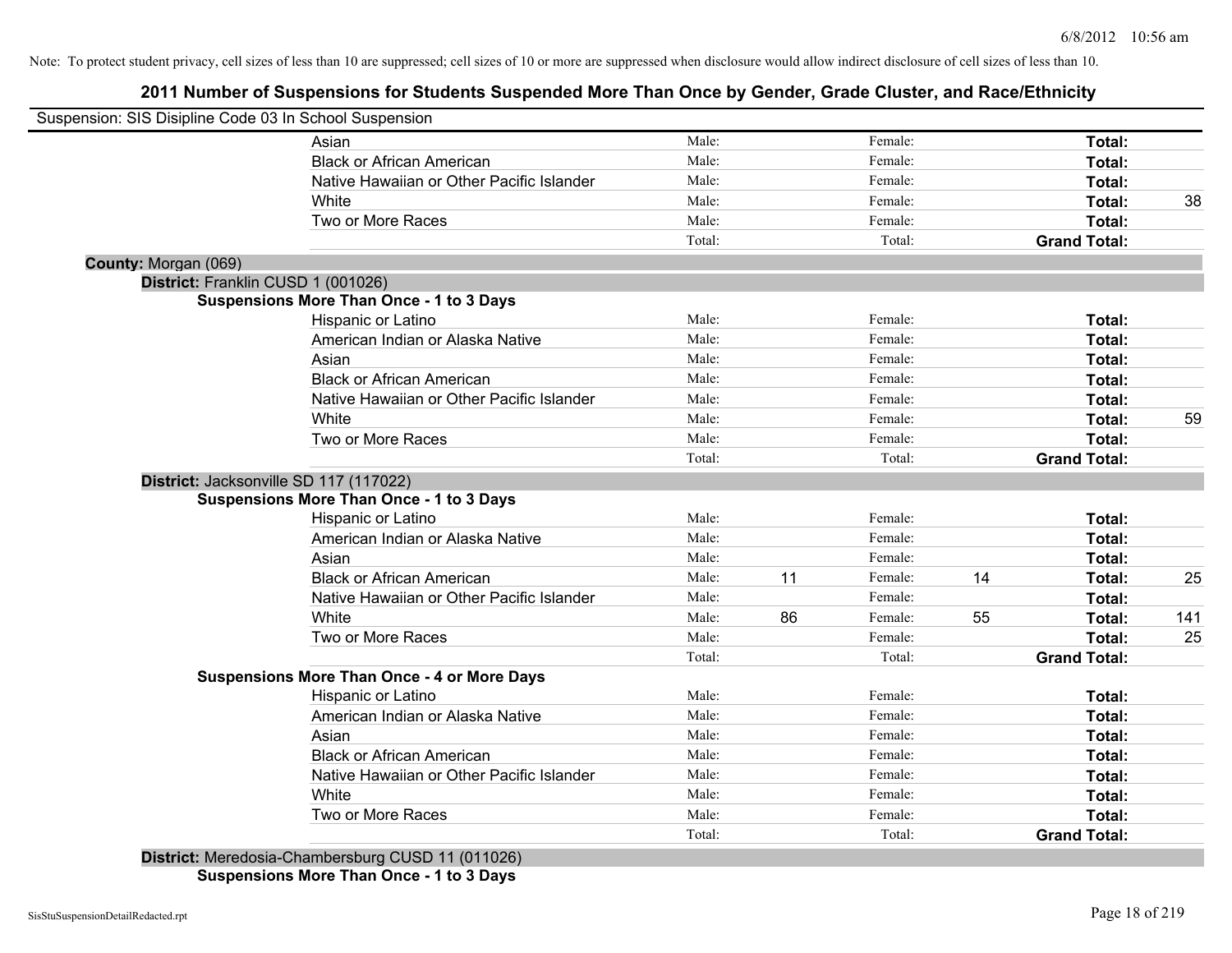# **2011 Number of Suspensions for Students Suspended More Than Once by Gender, Grade Cluster, and Race/Ethnicity**

| Suspension: SIS Disipline Code 03 In School Suspension |                                                    |        |    |         |    |                     |     |
|--------------------------------------------------------|----------------------------------------------------|--------|----|---------|----|---------------------|-----|
|                                                        | Asian                                              | Male:  |    | Female: |    | Total:              |     |
|                                                        | <b>Black or African American</b>                   | Male:  |    | Female: |    | Total:              |     |
|                                                        | Native Hawaiian or Other Pacific Islander          | Male:  |    | Female: |    | Total:              |     |
|                                                        | White                                              | Male:  |    | Female: |    | Total:              | 38  |
|                                                        | Two or More Races                                  | Male:  |    | Female: |    | Total:              |     |
|                                                        |                                                    | Total: |    | Total:  |    | <b>Grand Total:</b> |     |
| County: Morgan (069)                                   |                                                    |        |    |         |    |                     |     |
|                                                        | District: Franklin CUSD 1 (001026)                 |        |    |         |    |                     |     |
|                                                        | <b>Suspensions More Than Once - 1 to 3 Days</b>    |        |    |         |    |                     |     |
|                                                        | Hispanic or Latino                                 | Male:  |    | Female: |    | Total:              |     |
|                                                        | American Indian or Alaska Native                   | Male:  |    | Female: |    | Total:              |     |
|                                                        | Asian                                              | Male:  |    | Female: |    | Total:              |     |
|                                                        | <b>Black or African American</b>                   | Male:  |    | Female: |    | Total:              |     |
|                                                        | Native Hawaiian or Other Pacific Islander          | Male:  |    | Female: |    | Total:              |     |
|                                                        | White                                              | Male:  |    | Female: |    | Total:              | 59  |
|                                                        | Two or More Races                                  | Male:  |    | Female: |    | Total:              |     |
|                                                        |                                                    | Total: |    | Total:  |    | <b>Grand Total:</b> |     |
|                                                        | District: Jacksonville SD 117 (117022)             |        |    |         |    |                     |     |
|                                                        | <b>Suspensions More Than Once - 1 to 3 Days</b>    |        |    |         |    |                     |     |
|                                                        | Hispanic or Latino                                 | Male:  |    | Female: |    | Total:              |     |
|                                                        | American Indian or Alaska Native                   | Male:  |    | Female: |    | Total:              |     |
|                                                        | Asian                                              | Male:  |    | Female: |    | Total:              |     |
|                                                        | <b>Black or African American</b>                   | Male:  | 11 | Female: | 14 | Total:              | 25  |
|                                                        | Native Hawaiian or Other Pacific Islander          | Male:  |    | Female: |    | Total:              |     |
|                                                        | White                                              | Male:  | 86 | Female: | 55 | Total:              | 141 |
|                                                        | Two or More Races                                  | Male:  |    | Female: |    | Total:              | 25  |
|                                                        |                                                    | Total: |    | Total:  |    | <b>Grand Total:</b> |     |
|                                                        | <b>Suspensions More Than Once - 4 or More Days</b> |        |    |         |    |                     |     |
|                                                        | Hispanic or Latino                                 | Male:  |    | Female: |    | Total:              |     |
|                                                        | American Indian or Alaska Native                   | Male:  |    | Female: |    | Total:              |     |
|                                                        | Asian                                              | Male:  |    | Female: |    | Total:              |     |
|                                                        | <b>Black or African American</b>                   | Male:  |    | Female: |    | Total:              |     |
|                                                        | Native Hawaiian or Other Pacific Islander          | Male:  |    | Female: |    | Total:              |     |
|                                                        | White                                              | Male:  |    | Female: |    | Total:              |     |
|                                                        | Two or More Races                                  | Male:  |    | Female: |    | Total:              |     |
|                                                        |                                                    | Total: |    | Total:  |    | <b>Grand Total:</b> |     |
|                                                        | District: Meredosia-Chambersburg CUSD 11 (011026)  |        |    |         |    |                     |     |

**Suspensions More Than Once - 1 to 3 Days**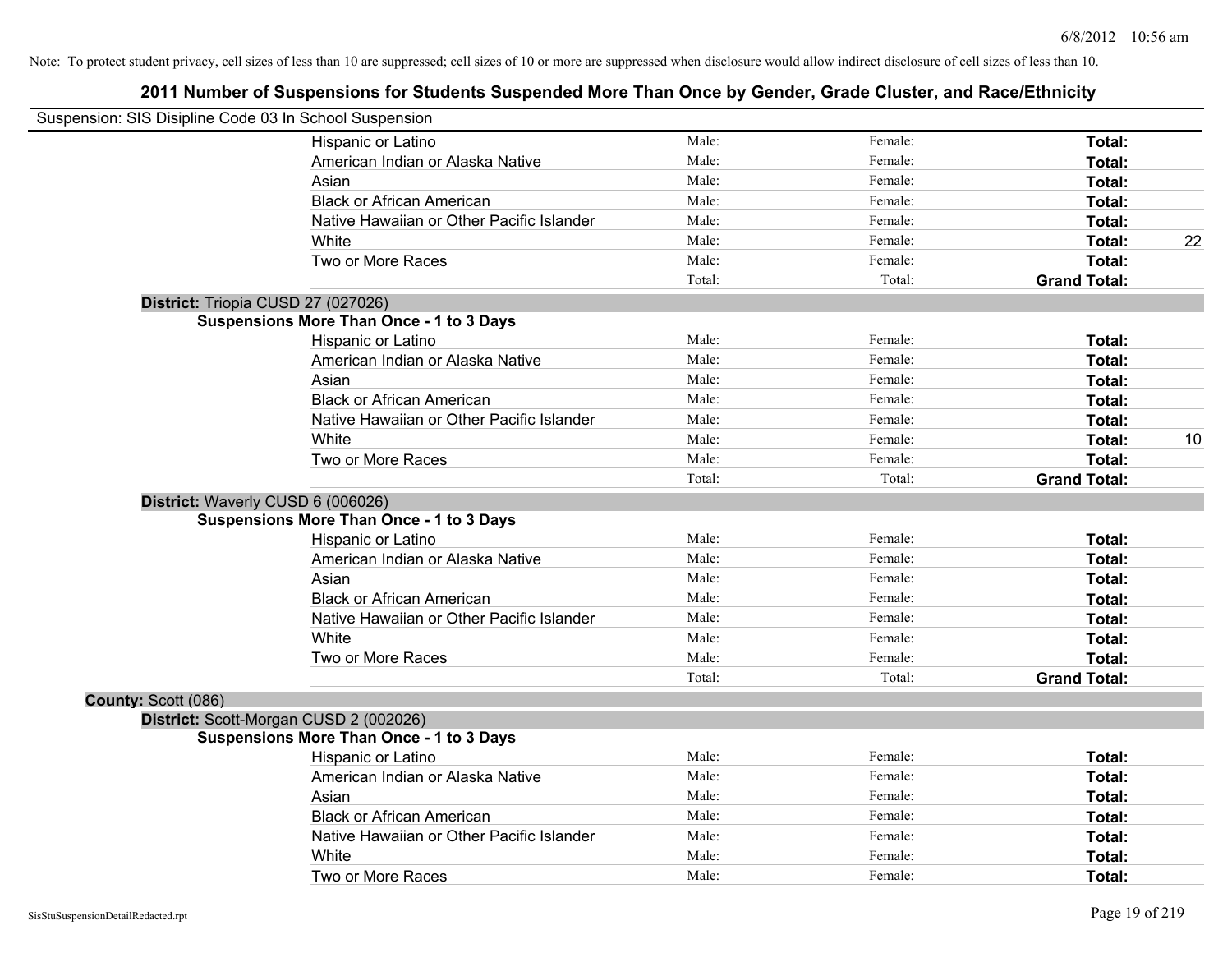| Suspension: SIS Disipline Code 03 In School Suspension |                                                 |        |         |                     |    |
|--------------------------------------------------------|-------------------------------------------------|--------|---------|---------------------|----|
|                                                        | Hispanic or Latino                              | Male:  | Female: | Total:              |    |
|                                                        | American Indian or Alaska Native                | Male:  | Female: | Total:              |    |
|                                                        | Asian                                           | Male:  | Female: | Total:              |    |
|                                                        | <b>Black or African American</b>                | Male:  | Female: | Total:              |    |
|                                                        | Native Hawaiian or Other Pacific Islander       | Male:  | Female: | Total:              |    |
|                                                        | White                                           | Male:  | Female: | Total:              | 22 |
|                                                        | Two or More Races                               | Male:  | Female: | Total:              |    |
|                                                        |                                                 | Total: | Total:  | <b>Grand Total:</b> |    |
|                                                        | District: Triopia CUSD 27 (027026)              |        |         |                     |    |
|                                                        | <b>Suspensions More Than Once - 1 to 3 Days</b> |        |         |                     |    |
|                                                        | Hispanic or Latino                              | Male:  | Female: | Total:              |    |
|                                                        | American Indian or Alaska Native                | Male:  | Female: | Total:              |    |
|                                                        | Asian                                           | Male:  | Female: | Total:              |    |
|                                                        | <b>Black or African American</b>                | Male:  | Female: | Total:              |    |
|                                                        | Native Hawaiian or Other Pacific Islander       | Male:  | Female: | Total:              |    |
|                                                        | White                                           | Male:  | Female: | Total:              | 10 |
|                                                        | Two or More Races                               | Male:  | Female: | Total:              |    |
|                                                        |                                                 | Total: | Total:  | <b>Grand Total:</b> |    |
|                                                        | District: Waverly CUSD 6 (006026)               |        |         |                     |    |
|                                                        | <b>Suspensions More Than Once - 1 to 3 Days</b> |        |         |                     |    |
|                                                        | Hispanic or Latino                              | Male:  | Female: | Total:              |    |
|                                                        | American Indian or Alaska Native                | Male:  | Female: | Total:              |    |
|                                                        | Asian                                           | Male:  | Female: | Total:              |    |
|                                                        | <b>Black or African American</b>                | Male:  | Female: | Total:              |    |
|                                                        | Native Hawaiian or Other Pacific Islander       | Male:  | Female: | Total:              |    |
|                                                        | White                                           | Male:  | Female: | Total:              |    |
|                                                        | Two or More Races                               | Male:  | Female: | Total:              |    |
|                                                        |                                                 | Total: | Total:  | <b>Grand Total:</b> |    |
| County: Scott (086)                                    |                                                 |        |         |                     |    |
|                                                        | District: Scott-Morgan CUSD 2 (002026)          |        |         |                     |    |
|                                                        | <b>Suspensions More Than Once - 1 to 3 Days</b> |        |         |                     |    |
|                                                        | Hispanic or Latino                              | Male:  | Female: | Total:              |    |
|                                                        | American Indian or Alaska Native                | Male:  | Female: | Total:              |    |
|                                                        | Asian                                           | Male:  | Female: | Total:              |    |
|                                                        | <b>Black or African American</b>                | Male:  | Female: | Total:              |    |
|                                                        | Native Hawaiian or Other Pacific Islander       | Male:  | Female: | Total:              |    |
|                                                        | White                                           | Male:  | Female: | Total:              |    |
|                                                        | Two or More Races                               | Male:  | Female: | Total:              |    |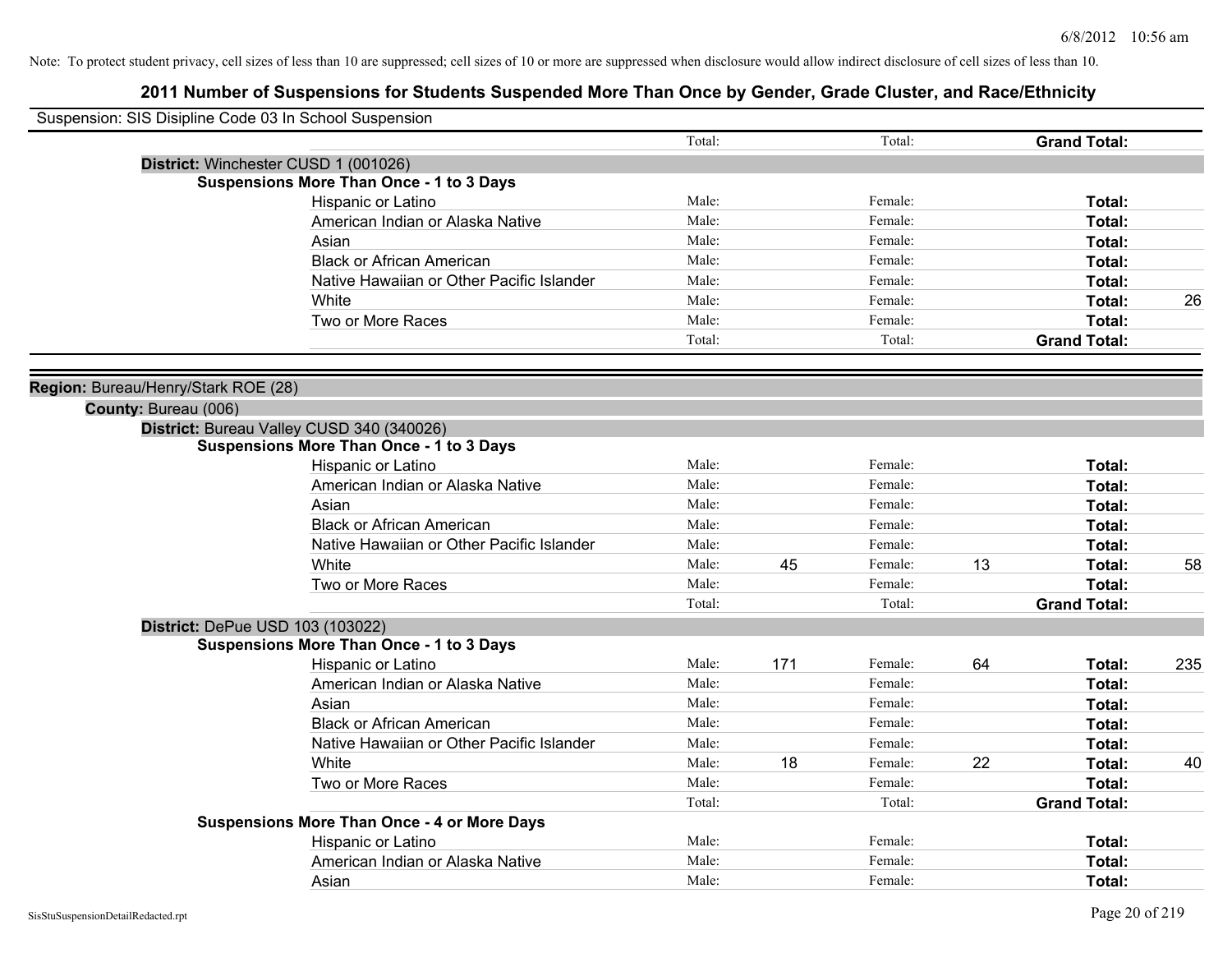| Suspension: SIS Disipline Code 03 In School Suspension |                                                    |        |     |         |    |                     |     |
|--------------------------------------------------------|----------------------------------------------------|--------|-----|---------|----|---------------------|-----|
|                                                        |                                                    | Total: |     | Total:  |    | <b>Grand Total:</b> |     |
|                                                        | District: Winchester CUSD 1 (001026)               |        |     |         |    |                     |     |
|                                                        | <b>Suspensions More Than Once - 1 to 3 Days</b>    |        |     |         |    |                     |     |
|                                                        | Hispanic or Latino                                 | Male:  |     | Female: |    | Total:              |     |
|                                                        | American Indian or Alaska Native                   | Male:  |     | Female: |    | Total:              |     |
|                                                        | Asian                                              | Male:  |     | Female: |    | Total:              |     |
|                                                        | <b>Black or African American</b>                   | Male:  |     | Female: |    | Total:              |     |
|                                                        | Native Hawaiian or Other Pacific Islander          | Male:  |     | Female: |    | Total:              |     |
|                                                        | White                                              | Male:  |     | Female: |    | Total:              | 26  |
|                                                        | Two or More Races                                  | Male:  |     | Female: |    | Total:              |     |
|                                                        |                                                    | Total: |     | Total:  |    | <b>Grand Total:</b> |     |
|                                                        |                                                    |        |     |         |    |                     |     |
| Region: Bureau/Henry/Stark ROE (28)                    |                                                    |        |     |         |    |                     |     |
| County: Bureau (006)                                   |                                                    |        |     |         |    |                     |     |
|                                                        | District: Bureau Valley CUSD 340 (340026)          |        |     |         |    |                     |     |
|                                                        | <b>Suspensions More Than Once - 1 to 3 Days</b>    |        |     |         |    |                     |     |
|                                                        | Hispanic or Latino                                 | Male:  |     | Female: |    | Total:              |     |
|                                                        | American Indian or Alaska Native                   | Male:  |     | Female: |    | Total:              |     |
|                                                        | Asian                                              | Male:  |     | Female: |    | Total:              |     |
|                                                        | <b>Black or African American</b>                   | Male:  |     | Female: |    | Total:              |     |
|                                                        | Native Hawaiian or Other Pacific Islander          | Male:  |     | Female: |    | Total:              |     |
|                                                        | White                                              | Male:  | 45  | Female: | 13 | Total:              | 58  |
|                                                        | Two or More Races                                  | Male:  |     | Female: |    | Total:              |     |
|                                                        |                                                    | Total: |     | Total:  |    | <b>Grand Total:</b> |     |
|                                                        | District: DePue USD 103 (103022)                   |        |     |         |    |                     |     |
|                                                        | <b>Suspensions More Than Once - 1 to 3 Days</b>    |        |     |         |    |                     |     |
|                                                        | Hispanic or Latino                                 | Male:  | 171 | Female: | 64 | Total:              | 235 |
|                                                        | American Indian or Alaska Native                   | Male:  |     | Female: |    | Total:              |     |
|                                                        | Asian                                              | Male:  |     | Female: |    | Total:              |     |
|                                                        | <b>Black or African American</b>                   | Male:  |     | Female: |    | Total:              |     |
|                                                        | Native Hawaiian or Other Pacific Islander          | Male:  |     | Female: |    | Total:              |     |
|                                                        | <b>White</b>                                       | Male:  | 18  | Female: | 22 | Total:              | 40  |
|                                                        | Two or More Races                                  | Male:  |     | Female: |    | Total:              |     |
|                                                        |                                                    | Total: |     | Total:  |    | <b>Grand Total:</b> |     |
|                                                        | <b>Suspensions More Than Once - 4 or More Days</b> |        |     |         |    |                     |     |
|                                                        | Hispanic or Latino                                 | Male:  |     | Female: |    | Total:              |     |
|                                                        | American Indian or Alaska Native                   | Male:  |     | Female: |    | <b>Total:</b>       |     |
|                                                        | Asian                                              | Male:  |     | Female: |    | Total:              |     |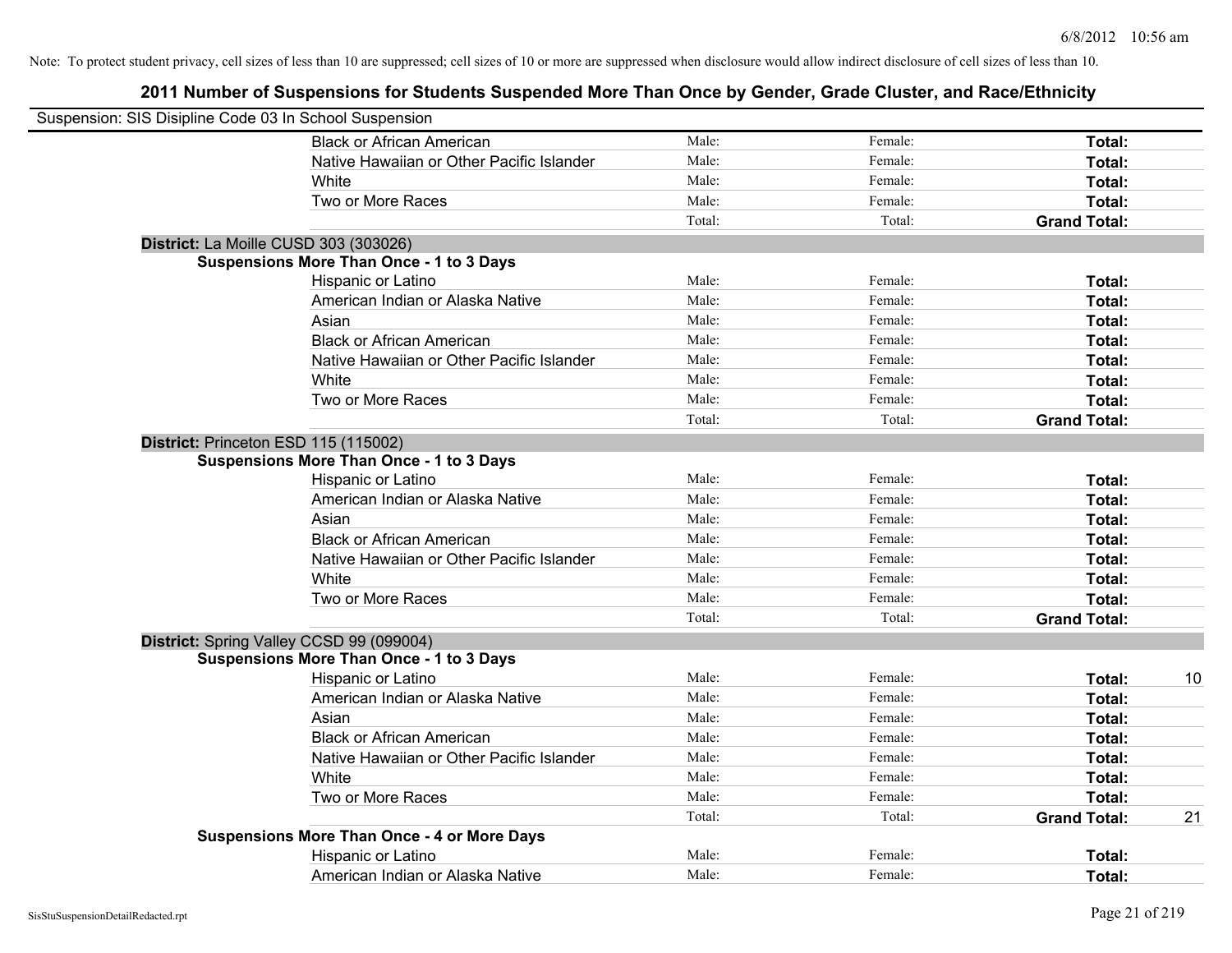| Suspension: SIS Disipline Code 03 In School Suspension |                                                    |        |         |                     |    |
|--------------------------------------------------------|----------------------------------------------------|--------|---------|---------------------|----|
|                                                        | <b>Black or African American</b>                   | Male:  | Female: | Total:              |    |
|                                                        | Native Hawaiian or Other Pacific Islander          | Male:  | Female: | Total:              |    |
|                                                        | White                                              | Male:  | Female: | Total:              |    |
|                                                        | Two or More Races                                  | Male:  | Female: | Total:              |    |
|                                                        |                                                    | Total: | Total:  | <b>Grand Total:</b> |    |
|                                                        | District: La Moille CUSD 303 (303026)              |        |         |                     |    |
|                                                        | <b>Suspensions More Than Once - 1 to 3 Days</b>    |        |         |                     |    |
|                                                        | Hispanic or Latino                                 | Male:  | Female: | Total:              |    |
|                                                        | American Indian or Alaska Native                   | Male:  | Female: | Total:              |    |
|                                                        | Asian                                              | Male:  | Female: | Total:              |    |
|                                                        | <b>Black or African American</b>                   | Male:  | Female: | Total:              |    |
|                                                        | Native Hawaiian or Other Pacific Islander          | Male:  | Female: | Total:              |    |
|                                                        | White                                              | Male:  | Female: | Total:              |    |
|                                                        | Two or More Races                                  | Male:  | Female: | Total:              |    |
|                                                        |                                                    | Total: | Total:  | <b>Grand Total:</b> |    |
|                                                        | District: Princeton ESD 115 (115002)               |        |         |                     |    |
|                                                        | <b>Suspensions More Than Once - 1 to 3 Days</b>    |        |         |                     |    |
|                                                        | Hispanic or Latino                                 | Male:  | Female: | Total:              |    |
|                                                        | American Indian or Alaska Native                   | Male:  | Female: | Total:              |    |
|                                                        | Asian                                              | Male:  | Female: | Total:              |    |
|                                                        | <b>Black or African American</b>                   | Male:  | Female: | Total:              |    |
|                                                        | Native Hawaiian or Other Pacific Islander          | Male:  | Female: | Total:              |    |
|                                                        | White                                              | Male:  | Female: | Total:              |    |
|                                                        | Two or More Races                                  | Male:  | Female: | Total:              |    |
|                                                        |                                                    | Total: | Total:  | <b>Grand Total:</b> |    |
|                                                        | District: Spring Valley CCSD 99 (099004)           |        |         |                     |    |
|                                                        | <b>Suspensions More Than Once - 1 to 3 Days</b>    |        |         |                     |    |
|                                                        | Hispanic or Latino                                 | Male:  | Female: | Total:              | 10 |
|                                                        | American Indian or Alaska Native                   | Male:  | Female: | Total:              |    |
|                                                        | Asian                                              | Male:  | Female: | Total:              |    |
|                                                        | <b>Black or African American</b>                   | Male:  | Female: | Total:              |    |
|                                                        | Native Hawaiian or Other Pacific Islander          | Male:  | Female: | Total:              |    |
|                                                        | <b>White</b>                                       | Male:  | Female: | Total:              |    |
|                                                        | Two or More Races                                  | Male:  | Female: | Total:              |    |
|                                                        |                                                    | Total: | Total:  | <b>Grand Total:</b> | 21 |
|                                                        | <b>Suspensions More Than Once - 4 or More Days</b> |        |         |                     |    |
|                                                        | Hispanic or Latino                                 | Male:  | Female: | Total:              |    |
|                                                        | American Indian or Alaska Native                   | Male:  | Female: | Total:              |    |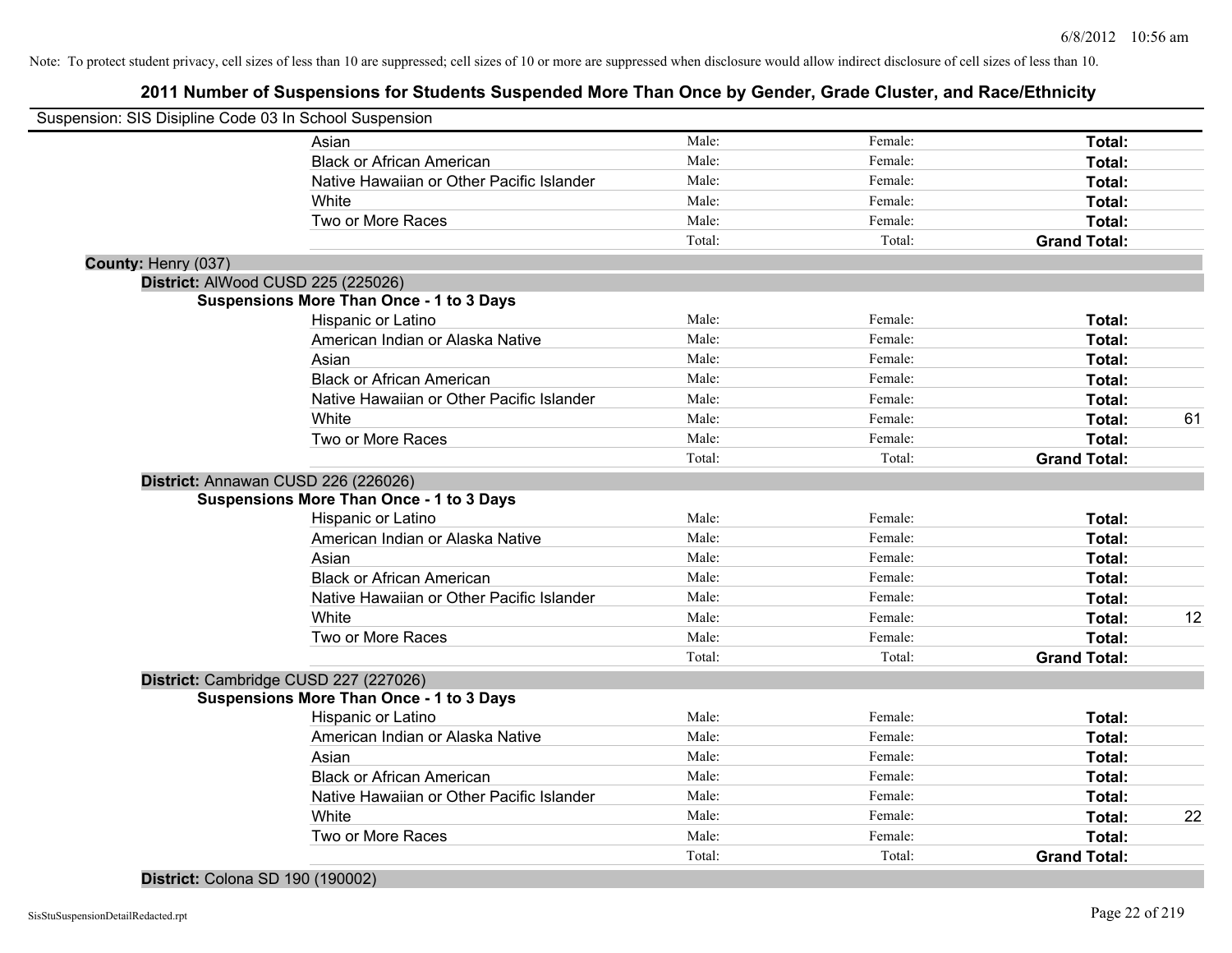# **2011 Number of Suspensions for Students Suspended More Than Once by Gender, Grade Cluster, and Race/Ethnicity**

| Suspension: SIS Disipline Code 03 In School Suspension |                                                 |        |         |                     |    |
|--------------------------------------------------------|-------------------------------------------------|--------|---------|---------------------|----|
|                                                        | Asian                                           | Male:  | Female: | Total:              |    |
|                                                        | <b>Black or African American</b>                | Male:  | Female: | Total:              |    |
|                                                        | Native Hawaiian or Other Pacific Islander       | Male:  | Female: | Total:              |    |
|                                                        | White                                           | Male:  | Female: | Total:              |    |
|                                                        | Two or More Races                               | Male:  | Female: | Total:              |    |
|                                                        |                                                 | Total: | Total:  | <b>Grand Total:</b> |    |
| County: Henry (037)                                    |                                                 |        |         |                     |    |
| District: AlWood CUSD 225 (225026)                     |                                                 |        |         |                     |    |
|                                                        | <b>Suspensions More Than Once - 1 to 3 Days</b> |        |         |                     |    |
|                                                        | Hispanic or Latino                              | Male:  | Female: | Total:              |    |
|                                                        | American Indian or Alaska Native                | Male:  | Female: | Total:              |    |
|                                                        | Asian                                           | Male:  | Female: | Total:              |    |
|                                                        | <b>Black or African American</b>                | Male:  | Female: | Total:              |    |
|                                                        | Native Hawaiian or Other Pacific Islander       | Male:  | Female: | Total:              |    |
|                                                        | White                                           | Male:  | Female: | Total:              | 61 |
|                                                        | Two or More Races                               | Male:  | Female: | Total:              |    |
|                                                        |                                                 | Total: | Total:  | <b>Grand Total:</b> |    |
|                                                        | District: Annawan CUSD 226 (226026)             |        |         |                     |    |
|                                                        | <b>Suspensions More Than Once - 1 to 3 Days</b> |        |         |                     |    |
|                                                        | Hispanic or Latino                              | Male:  | Female: | Total:              |    |
|                                                        | American Indian or Alaska Native                | Male:  | Female: | Total:              |    |
|                                                        | Asian                                           | Male:  | Female: | Total:              |    |
|                                                        | <b>Black or African American</b>                | Male:  | Female: | Total:              |    |
|                                                        | Native Hawaiian or Other Pacific Islander       | Male:  | Female: | Total:              |    |
|                                                        | White                                           | Male:  | Female: | Total:              | 12 |
|                                                        | Two or More Races                               | Male:  | Female: | Total:              |    |
|                                                        |                                                 | Total: | Total:  | <b>Grand Total:</b> |    |
|                                                        | District: Cambridge CUSD 227 (227026)           |        |         |                     |    |
|                                                        | <b>Suspensions More Than Once - 1 to 3 Days</b> |        |         |                     |    |
|                                                        | Hispanic or Latino                              | Male:  | Female: | Total:              |    |
|                                                        | American Indian or Alaska Native                | Male:  | Female: | Total:              |    |
|                                                        | Asian                                           | Male:  | Female: | Total:              |    |
|                                                        | <b>Black or African American</b>                | Male:  | Female: | Total:              |    |
|                                                        | Native Hawaiian or Other Pacific Islander       | Male:  | Female: | Total:              |    |
|                                                        | White                                           | Male:  | Female: | Total:              | 22 |
|                                                        | Two or More Races                               | Male:  | Female: | Total:              |    |
|                                                        |                                                 | Total: | Total:  | <b>Grand Total:</b> |    |

**District:** Colona SD 190 (190002)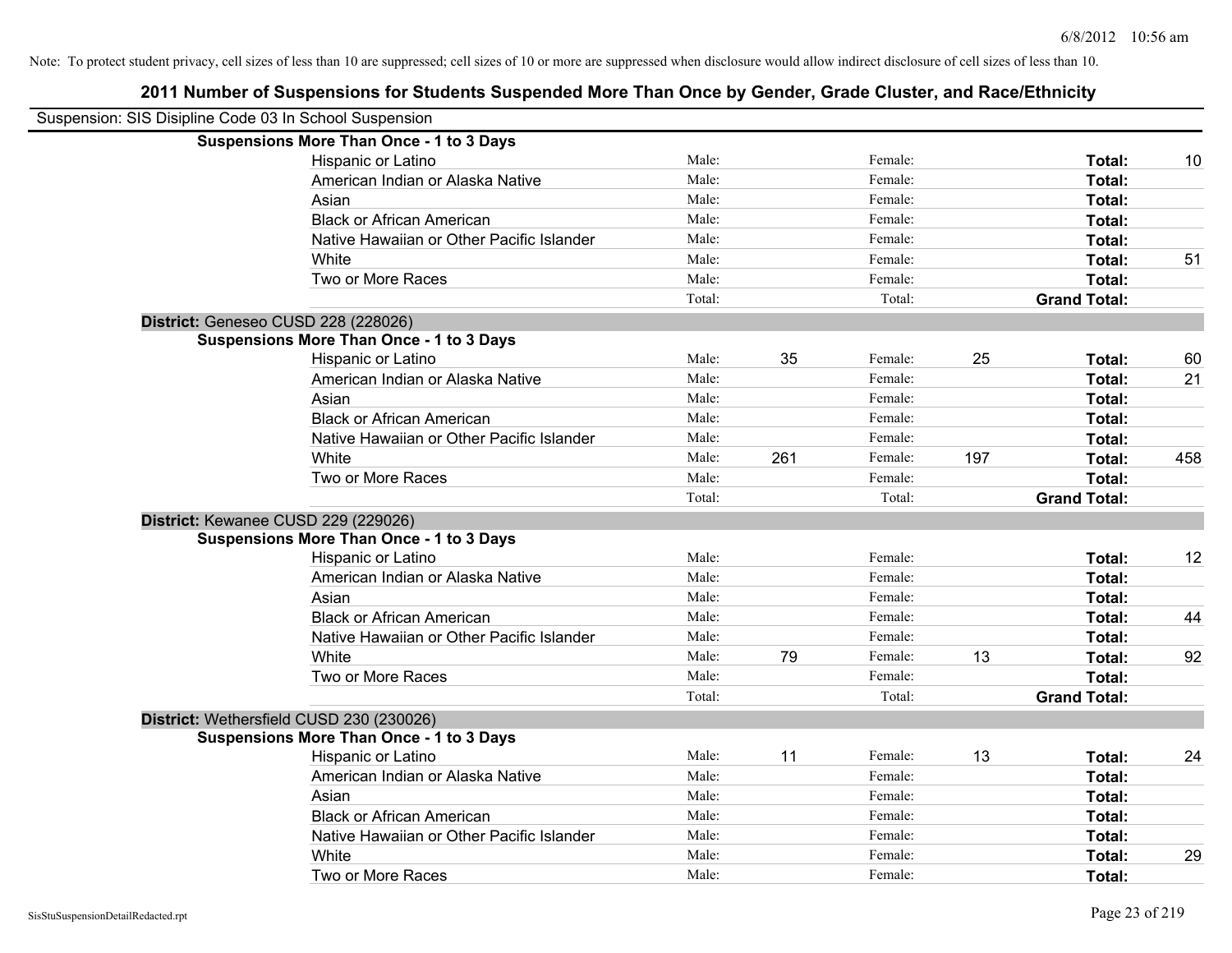| Suspension: SIS Disipline Code 03 In School Suspension |                                                 |        |     |         |     |                     |     |
|--------------------------------------------------------|-------------------------------------------------|--------|-----|---------|-----|---------------------|-----|
|                                                        | <b>Suspensions More Than Once - 1 to 3 Days</b> |        |     |         |     |                     |     |
|                                                        | Hispanic or Latino                              | Male:  |     | Female: |     | Total:              | 10  |
|                                                        | American Indian or Alaska Native                | Male:  |     | Female: |     | Total:              |     |
|                                                        | Asian                                           | Male:  |     | Female: |     | Total:              |     |
|                                                        | <b>Black or African American</b>                | Male:  |     | Female: |     | Total:              |     |
|                                                        | Native Hawaiian or Other Pacific Islander       | Male:  |     | Female: |     | Total:              |     |
|                                                        | White                                           | Male:  |     | Female: |     | Total:              | 51  |
|                                                        | Two or More Races                               | Male:  |     | Female: |     | Total:              |     |
|                                                        |                                                 | Total: |     | Total:  |     | <b>Grand Total:</b> |     |
| District: Geneseo CUSD 228 (228026)                    |                                                 |        |     |         |     |                     |     |
|                                                        | <b>Suspensions More Than Once - 1 to 3 Days</b> |        |     |         |     |                     |     |
|                                                        | Hispanic or Latino                              | Male:  | 35  | Female: | 25  | Total:              | 60  |
|                                                        | American Indian or Alaska Native                | Male:  |     | Female: |     | Total:              | 21  |
|                                                        | Asian                                           | Male:  |     | Female: |     | Total:              |     |
|                                                        | <b>Black or African American</b>                | Male:  |     | Female: |     | Total:              |     |
|                                                        | Native Hawaiian or Other Pacific Islander       | Male:  |     | Female: |     | Total:              |     |
|                                                        | White                                           | Male:  | 261 | Female: | 197 | Total:              | 458 |
|                                                        | Two or More Races                               | Male:  |     | Female: |     | Total:              |     |
|                                                        |                                                 | Total: |     | Total:  |     | <b>Grand Total:</b> |     |
| District: Kewanee CUSD 229 (229026)                    |                                                 |        |     |         |     |                     |     |
|                                                        | <b>Suspensions More Than Once - 1 to 3 Days</b> |        |     |         |     |                     |     |
|                                                        | Hispanic or Latino                              | Male:  |     | Female: |     | Total:              | 12  |
|                                                        | American Indian or Alaska Native                | Male:  |     | Female: |     | Total:              |     |
|                                                        | Asian                                           | Male:  |     | Female: |     | Total:              |     |
|                                                        | <b>Black or African American</b>                | Male:  |     | Female: |     | Total:              | 44  |
|                                                        | Native Hawaiian or Other Pacific Islander       | Male:  |     | Female: |     | Total:              |     |
|                                                        | White                                           | Male:  | 79  | Female: | 13  | Total:              | 92  |
|                                                        | Two or More Races                               | Male:  |     | Female: |     | Total:              |     |
|                                                        |                                                 | Total: |     | Total:  |     | <b>Grand Total:</b> |     |
| District: Wethersfield CUSD 230 (230026)               |                                                 |        |     |         |     |                     |     |
|                                                        | <b>Suspensions More Than Once - 1 to 3 Days</b> |        |     |         |     |                     |     |
|                                                        | Hispanic or Latino                              | Male:  | 11  | Female: | 13  | Total:              | 24  |
|                                                        | American Indian or Alaska Native                | Male:  |     | Female: |     | Total:              |     |
|                                                        | Asian                                           | Male:  |     | Female: |     | Total:              |     |
|                                                        | <b>Black or African American</b>                | Male:  |     | Female: |     | Total:              |     |
|                                                        | Native Hawaiian or Other Pacific Islander       | Male:  |     | Female: |     | Total:              |     |
|                                                        | White                                           | Male:  |     | Female: |     | Total:              | 29  |
|                                                        | Two or More Races                               | Male:  |     | Female: |     | Total:              |     |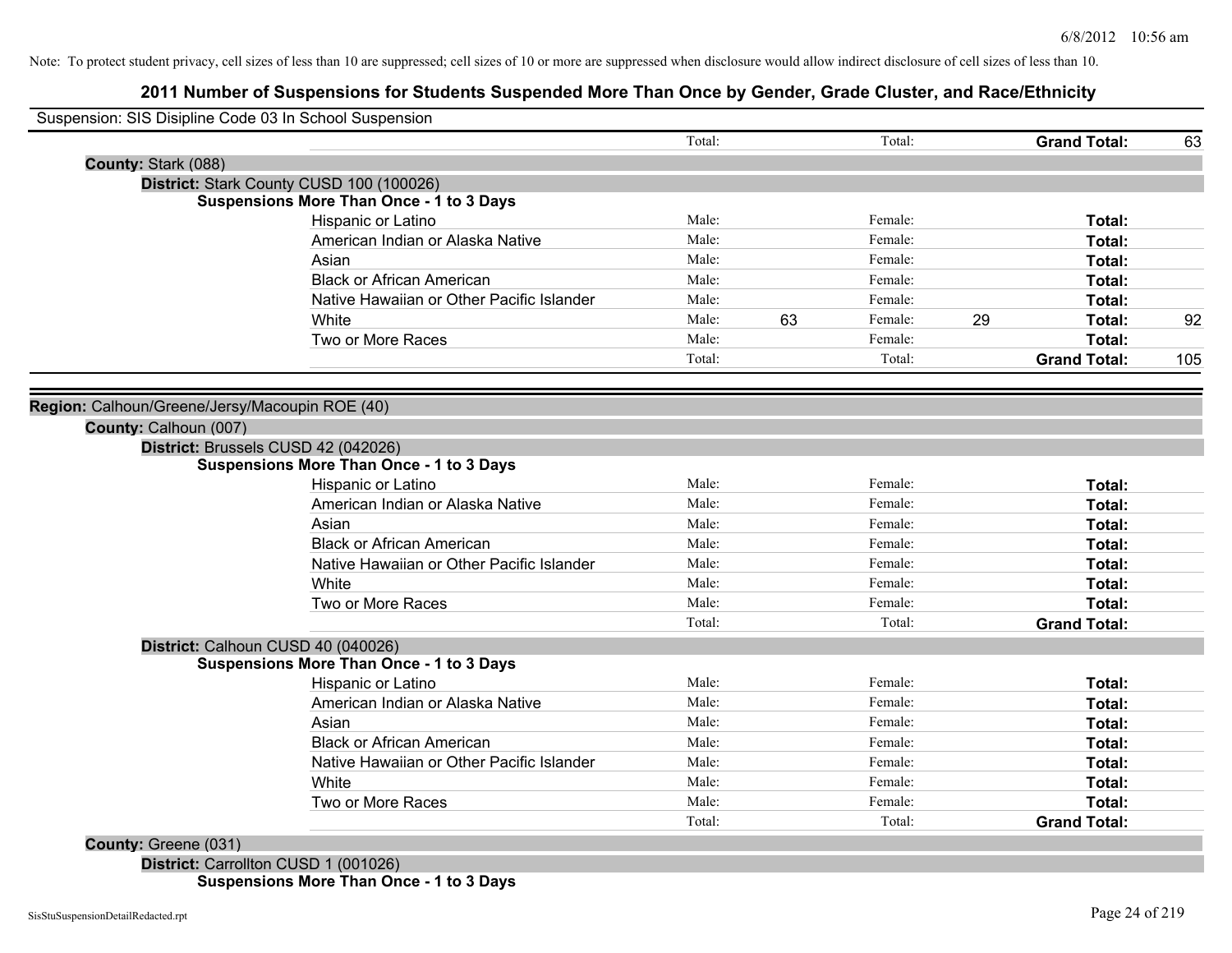# **2011 Number of Suspensions for Students Suspended More Than Once by Gender, Grade Cluster, and Race/Ethnicity**

| Suspension: SIS Disipline Code 03 In School Suspension | Total: |    | Total:  | <b>Grand Total:</b> | 63  |
|--------------------------------------------------------|--------|----|---------|---------------------|-----|
| County: Stark (088)                                    |        |    |         |                     |     |
| District: Stark County CUSD 100 (100026)               |        |    |         |                     |     |
| <b>Suspensions More Than Once - 1 to 3 Days</b>        |        |    |         |                     |     |
| Hispanic or Latino                                     | Male:  |    | Female: | Total:              |     |
| American Indian or Alaska Native                       | Male:  |    | Female: | Total:              |     |
| Asian                                                  | Male:  |    | Female: | Total:              |     |
| <b>Black or African American</b>                       | Male:  |    | Female: | Total:              |     |
| Native Hawaiian or Other Pacific Islander              | Male:  |    | Female: | Total:              |     |
| White                                                  | Male:  | 63 | Female: | 29<br>Total:        | 92  |
| Two or More Races                                      | Male:  |    | Female: | Total:              |     |
|                                                        | Total: |    | Total:  | <b>Grand Total:</b> | 105 |
| Region: Calhoun/Greene/Jersy/Macoupin ROE (40)         |        |    |         |                     |     |
| County: Calhoun (007)                                  |        |    |         |                     |     |
| District: Brussels CUSD 42 (042026)                    |        |    |         |                     |     |
| <b>Suspensions More Than Once - 1 to 3 Days</b>        |        |    |         |                     |     |
| Hispanic or Latino                                     | Male:  |    | Female: | Total:              |     |
| American Indian or Alaska Native                       | Male:  |    | Female: | Total:              |     |
| Asian                                                  | Male:  |    | Female: | Total:              |     |
| <b>Black or African American</b>                       | Male:  |    | Female: | Total:              |     |
| Native Hawaiian or Other Pacific Islander              | Male:  |    | Female: | Total:              |     |
| White                                                  | Male:  |    | Female: | Total:              |     |
| Two or More Races                                      | Male:  |    | Female: | Total:              |     |
|                                                        | Total: |    | Total:  | <b>Grand Total:</b> |     |
| District: Calhoun CUSD 40 (040026)                     |        |    |         |                     |     |
| <b>Suspensions More Than Once - 1 to 3 Days</b>        |        |    |         |                     |     |
| Hispanic or Latino                                     | Male:  |    | Female: | Total:              |     |
| American Indian or Alaska Native                       | Male:  |    | Female: | Total:              |     |
| Asian                                                  | Male:  |    | Female: | Total:              |     |
| <b>Black or African American</b>                       | Male:  |    | Female: | Total:              |     |
| Native Hawaiian or Other Pacific Islander              | Male:  |    | Female: | Total:              |     |
| White                                                  | Male:  |    | Female: | Total:              |     |
| Two or More Races                                      | Male:  |    | Female: | Total:              |     |
|                                                        | Total: |    | Total:  | <b>Grand Total:</b> |     |
| <b>County: Greene (031)</b>                            |        |    |         |                     |     |

**District:** Carrollton CUSD 1 (001026) **Suspensions More Than Once - 1 to 3 Days**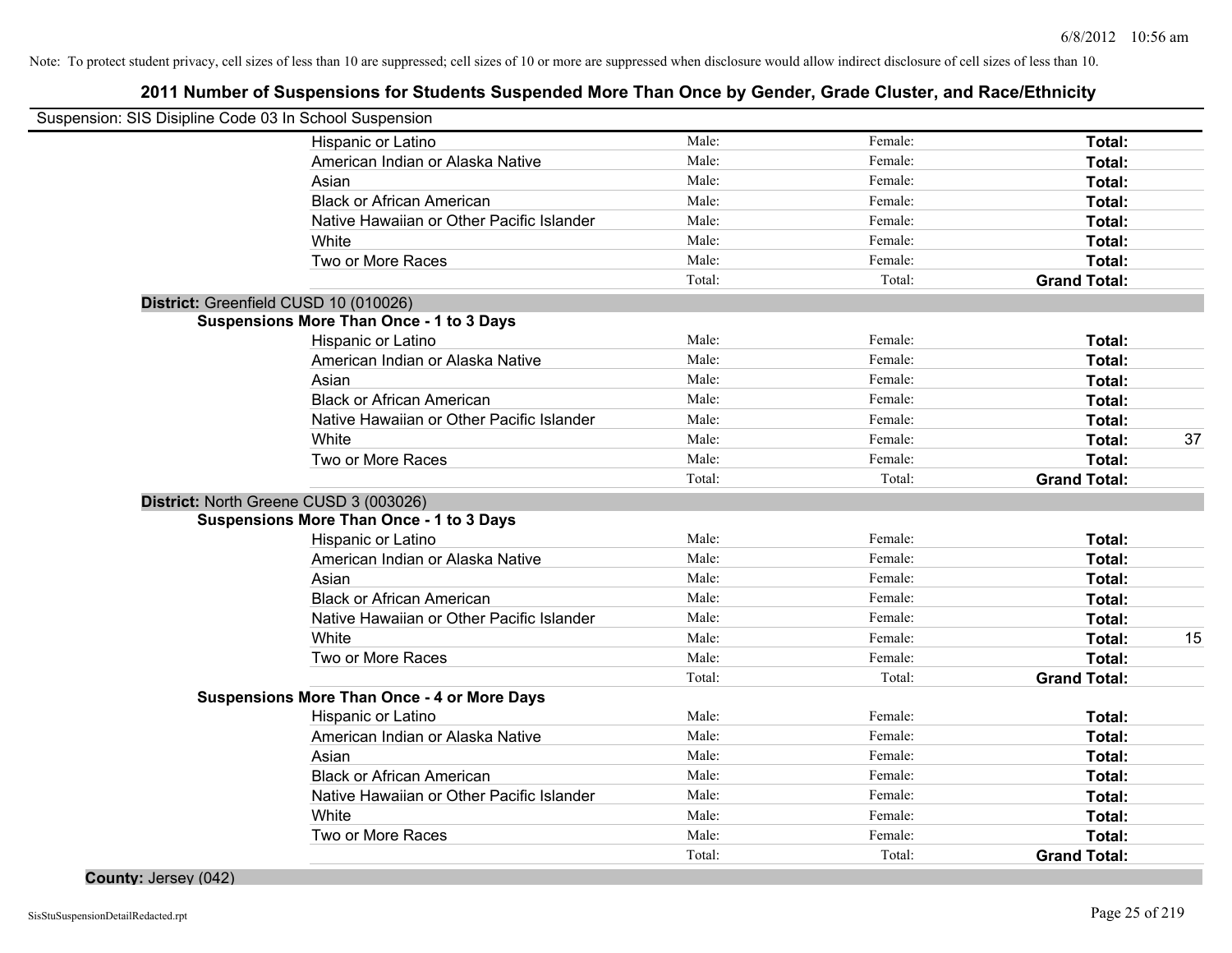# **2011 Number of Suspensions for Students Suspended More Than Once by Gender, Grade Cluster, and Race/Ethnicity**

| Suspension: SIS Disipline Code 03 In School Suspension |                                                    |        |         |                     |    |
|--------------------------------------------------------|----------------------------------------------------|--------|---------|---------------------|----|
|                                                        | Hispanic or Latino                                 | Male:  | Female: | Total:              |    |
|                                                        | American Indian or Alaska Native                   | Male:  | Female: | Total:              |    |
|                                                        | Asian                                              | Male:  | Female: | Total:              |    |
|                                                        | <b>Black or African American</b>                   | Male:  | Female: | Total:              |    |
|                                                        | Native Hawaiian or Other Pacific Islander          | Male:  | Female: | Total:              |    |
|                                                        | White                                              | Male:  | Female: | Total:              |    |
|                                                        | Two or More Races                                  | Male:  | Female: | Total:              |    |
|                                                        |                                                    | Total: | Total:  | <b>Grand Total:</b> |    |
| District: Greenfield CUSD 10 (010026)                  |                                                    |        |         |                     |    |
|                                                        | <b>Suspensions More Than Once - 1 to 3 Days</b>    |        |         |                     |    |
|                                                        | Hispanic or Latino                                 | Male:  | Female: | Total:              |    |
|                                                        | American Indian or Alaska Native                   | Male:  | Female: | Total:              |    |
|                                                        | Asian                                              | Male:  | Female: | Total:              |    |
|                                                        | <b>Black or African American</b>                   | Male:  | Female: | Total:              |    |
|                                                        | Native Hawaiian or Other Pacific Islander          | Male:  | Female: | Total:              |    |
|                                                        | White                                              | Male:  | Female: | Total:              | 37 |
|                                                        | Two or More Races                                  | Male:  | Female: | <b>Total:</b>       |    |
|                                                        |                                                    | Total: | Total:  | <b>Grand Total:</b> |    |
| District: North Greene CUSD 3 (003026)                 |                                                    |        |         |                     |    |
|                                                        | <b>Suspensions More Than Once - 1 to 3 Days</b>    |        |         |                     |    |
|                                                        | Hispanic or Latino                                 | Male:  | Female: | Total:              |    |
|                                                        | American Indian or Alaska Native                   | Male:  | Female: | Total:              |    |
|                                                        | Asian                                              | Male:  | Female: | Total:              |    |
|                                                        | <b>Black or African American</b>                   | Male:  | Female: | Total:              |    |
|                                                        | Native Hawaiian or Other Pacific Islander          | Male:  | Female: | Total:              |    |
|                                                        | White                                              | Male:  | Female: | Total:              | 15 |
|                                                        | Two or More Races                                  | Male:  | Female: | Total:              |    |
|                                                        |                                                    | Total: | Total:  | <b>Grand Total:</b> |    |
|                                                        | <b>Suspensions More Than Once - 4 or More Days</b> |        |         |                     |    |
|                                                        | Hispanic or Latino                                 | Male:  | Female: | <b>Total:</b>       |    |
|                                                        | American Indian or Alaska Native                   | Male:  | Female: | Total:              |    |
|                                                        | Asian                                              | Male:  | Female: | Total:              |    |
|                                                        | <b>Black or African American</b>                   | Male:  | Female: | Total:              |    |
|                                                        | Native Hawaiian or Other Pacific Islander          | Male:  | Female: | Total:              |    |
|                                                        | White                                              | Male:  | Female: | Total:              |    |
|                                                        | Two or More Races                                  | Male:  | Female: | Total:              |    |
|                                                        |                                                    | Total: | Total:  | <b>Grand Total:</b> |    |

**County:** Jersey (042)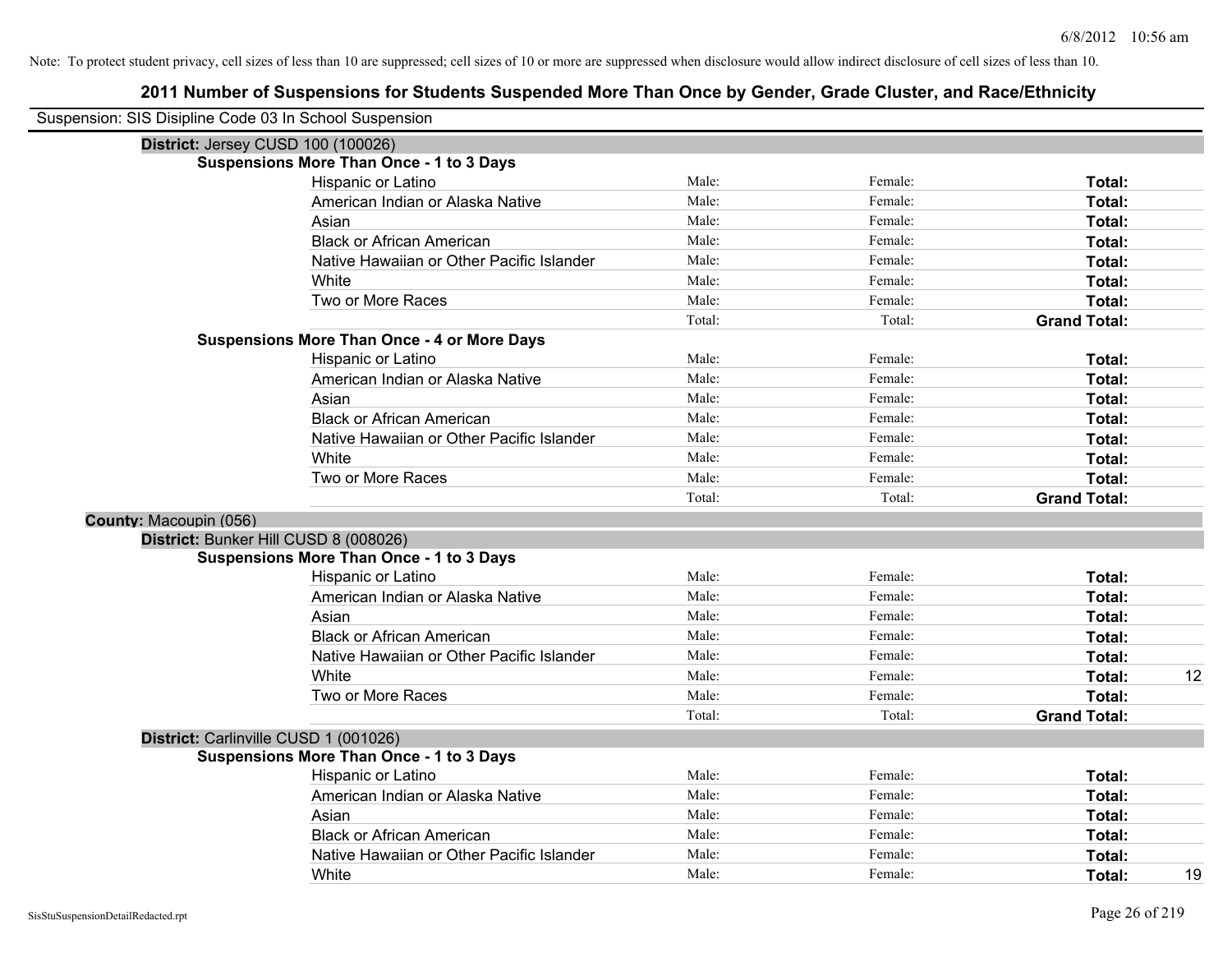| Suspension: SIS Disipline Code 03 In School Suspension |                                                    |        |         |                     |    |
|--------------------------------------------------------|----------------------------------------------------|--------|---------|---------------------|----|
| District: Jersey CUSD 100 (100026)                     |                                                    |        |         |                     |    |
| <b>Suspensions More Than Once - 1 to 3 Days</b>        |                                                    |        |         |                     |    |
|                                                        | Hispanic or Latino                                 | Male:  | Female: | Total:              |    |
|                                                        | American Indian or Alaska Native                   | Male:  | Female: | Total:              |    |
| Asian                                                  |                                                    | Male:  | Female: | Total:              |    |
|                                                        | <b>Black or African American</b>                   | Male:  | Female: | Total:              |    |
|                                                        | Native Hawaiian or Other Pacific Islander          | Male:  | Female: | Total:              |    |
| <b>White</b>                                           |                                                    | Male:  | Female: | Total:              |    |
|                                                        | Two or More Races                                  | Male:  | Female: | Total:              |    |
|                                                        |                                                    | Total: | Total:  | <b>Grand Total:</b> |    |
|                                                        | <b>Suspensions More Than Once - 4 or More Days</b> |        |         |                     |    |
|                                                        | Hispanic or Latino                                 | Male:  | Female: | Total:              |    |
|                                                        | American Indian or Alaska Native                   | Male:  | Female: | Total:              |    |
| Asian                                                  |                                                    | Male:  | Female: | Total:              |    |
|                                                        | <b>Black or African American</b>                   | Male:  | Female: | Total:              |    |
|                                                        | Native Hawaiian or Other Pacific Islander          | Male:  | Female: | Total:              |    |
| White                                                  |                                                    | Male:  | Female: | Total:              |    |
|                                                        | Two or More Races                                  | Male:  | Female: | <b>Total:</b>       |    |
|                                                        |                                                    | Total: | Total:  | <b>Grand Total:</b> |    |
| County: Macoupin (056)                                 |                                                    |        |         |                     |    |
| District: Bunker Hill CUSD 8 (008026)                  |                                                    |        |         |                     |    |
| <b>Suspensions More Than Once - 1 to 3 Days</b>        |                                                    |        |         |                     |    |
|                                                        | Hispanic or Latino                                 | Male:  | Female: | Total:              |    |
|                                                        | American Indian or Alaska Native                   | Male:  | Female: | Total:              |    |
| Asian                                                  |                                                    | Male:  | Female: | Total:              |    |
|                                                        | <b>Black or African American</b>                   | Male:  | Female: | Total:              |    |
|                                                        | Native Hawaiian or Other Pacific Islander          | Male:  | Female: | Total:              |    |
| White                                                  |                                                    | Male:  | Female: | Total:              | 12 |
|                                                        | Two or More Races                                  | Male:  | Female: | Total:              |    |
|                                                        |                                                    | Total: | Total:  | <b>Grand Total:</b> |    |
| District: Carlinville CUSD 1 (001026)                  |                                                    |        |         |                     |    |
| <b>Suspensions More Than Once - 1 to 3 Days</b>        |                                                    |        |         |                     |    |
|                                                        | Hispanic or Latino                                 | Male:  | Female: | Total:              |    |
|                                                        | American Indian or Alaska Native                   | Male:  | Female: | Total:              |    |
| Asian                                                  |                                                    | Male:  | Female: | Total:              |    |
|                                                        | <b>Black or African American</b>                   | Male:  | Female: | Total:              |    |
|                                                        | Native Hawaiian or Other Pacific Islander          | Male:  | Female: | Total:              |    |
| White                                                  |                                                    | Male:  | Female: | Total:              | 19 |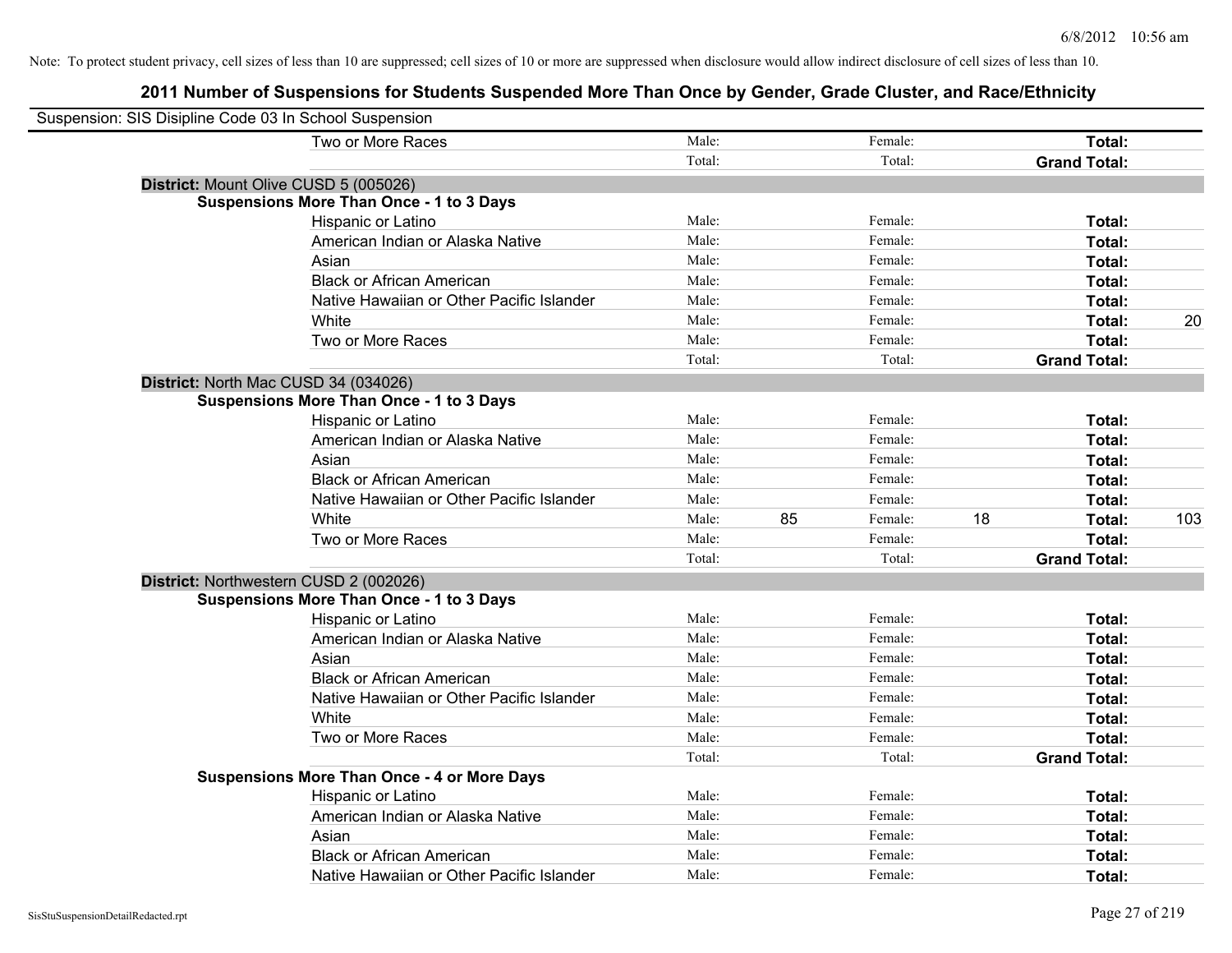| Suspension: SIS Disipline Code 03 In School Suspension |                                                    |        |    |         |    |                     |     |
|--------------------------------------------------------|----------------------------------------------------|--------|----|---------|----|---------------------|-----|
|                                                        | Two or More Races                                  | Male:  |    | Female: |    | Total:              |     |
|                                                        |                                                    | Total: |    | Total:  |    | <b>Grand Total:</b> |     |
| District: Mount Olive CUSD 5 (005026)                  |                                                    |        |    |         |    |                     |     |
|                                                        | <b>Suspensions More Than Once - 1 to 3 Days</b>    |        |    |         |    |                     |     |
|                                                        | Hispanic or Latino                                 | Male:  |    | Female: |    | Total:              |     |
|                                                        | American Indian or Alaska Native                   | Male:  |    | Female: |    | Total:              |     |
|                                                        | Asian                                              | Male:  |    | Female: |    | Total:              |     |
|                                                        | <b>Black or African American</b>                   | Male:  |    | Female: |    | Total:              |     |
|                                                        | Native Hawaiian or Other Pacific Islander          | Male:  |    | Female: |    | Total:              |     |
|                                                        | White                                              | Male:  |    | Female: |    | Total:              | 20  |
|                                                        | Two or More Races                                  | Male:  |    | Female: |    | Total:              |     |
|                                                        |                                                    | Total: |    | Total:  |    | <b>Grand Total:</b> |     |
| District: North Mac CUSD 34 (034026)                   |                                                    |        |    |         |    |                     |     |
|                                                        | <b>Suspensions More Than Once - 1 to 3 Days</b>    |        |    |         |    |                     |     |
|                                                        | Hispanic or Latino                                 | Male:  |    | Female: |    | Total:              |     |
|                                                        | American Indian or Alaska Native                   | Male:  |    | Female: |    | Total:              |     |
|                                                        | Asian                                              | Male:  |    | Female: |    | Total:              |     |
|                                                        | <b>Black or African American</b>                   | Male:  |    | Female: |    | Total:              |     |
|                                                        | Native Hawaiian or Other Pacific Islander          | Male:  |    | Female: |    | Total:              |     |
|                                                        | White                                              | Male:  | 85 | Female: | 18 | Total:              | 103 |
|                                                        | Two or More Races                                  | Male:  |    | Female: |    | Total:              |     |
|                                                        |                                                    | Total: |    | Total:  |    | <b>Grand Total:</b> |     |
| District: Northwestern CUSD 2 (002026)                 |                                                    |        |    |         |    |                     |     |
|                                                        | <b>Suspensions More Than Once - 1 to 3 Days</b>    |        |    |         |    |                     |     |
|                                                        | Hispanic or Latino                                 | Male:  |    | Female: |    | Total:              |     |
|                                                        | American Indian or Alaska Native                   | Male:  |    | Female: |    | Total:              |     |
|                                                        | Asian                                              | Male:  |    | Female: |    | Total:              |     |
|                                                        | <b>Black or African American</b>                   | Male:  |    | Female: |    | Total:              |     |
|                                                        | Native Hawaiian or Other Pacific Islander          | Male:  |    | Female: |    | Total:              |     |
|                                                        | White                                              | Male:  |    | Female: |    | Total:              |     |
|                                                        | Two or More Races                                  | Male:  |    | Female: |    | Total:              |     |
|                                                        |                                                    | Total: |    | Total:  |    | <b>Grand Total:</b> |     |
|                                                        | <b>Suspensions More Than Once - 4 or More Days</b> |        |    |         |    |                     |     |
|                                                        | Hispanic or Latino                                 | Male:  |    | Female: |    | Total:              |     |
|                                                        | American Indian or Alaska Native                   | Male:  |    | Female: |    | Total:              |     |
|                                                        | Asian                                              | Male:  |    | Female: |    | Total:              |     |
|                                                        | <b>Black or African American</b>                   | Male:  |    | Female: |    | Total:              |     |
|                                                        | Native Hawaiian or Other Pacific Islander          | Male:  |    | Female: |    | Total:              |     |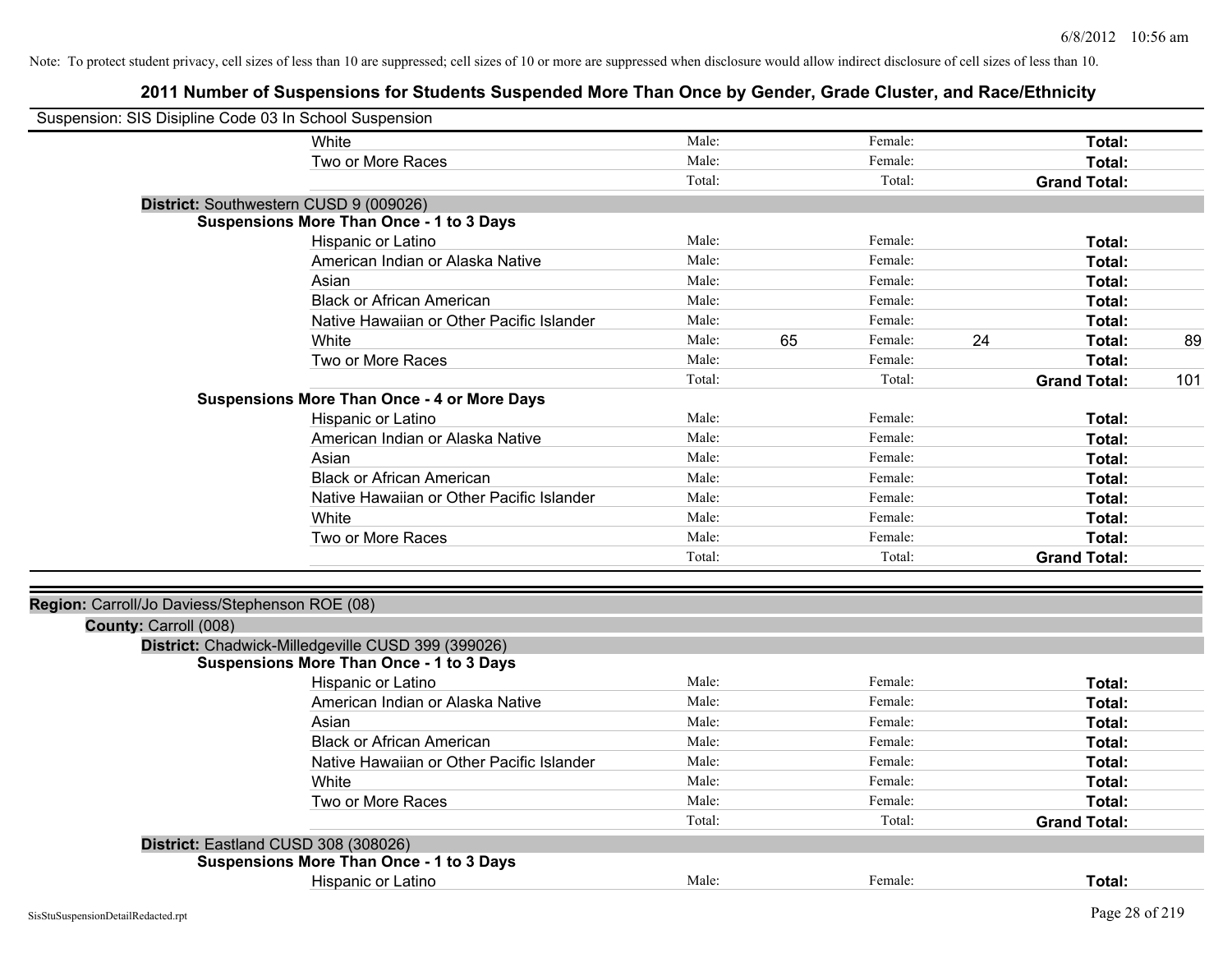| Suspension: SIS Disipline Code 03 In School Suspension |                                                    |        |    |         |    |                     |     |
|--------------------------------------------------------|----------------------------------------------------|--------|----|---------|----|---------------------|-----|
|                                                        | White                                              | Male:  |    | Female: |    | Total:              |     |
|                                                        | Two or More Races                                  | Male:  |    | Female: |    | Total:              |     |
|                                                        |                                                    | Total: |    | Total:  |    | <b>Grand Total:</b> |     |
| District: Southwestern CUSD 9 (009026)                 |                                                    |        |    |         |    |                     |     |
|                                                        | <b>Suspensions More Than Once - 1 to 3 Days</b>    |        |    |         |    |                     |     |
|                                                        | Hispanic or Latino                                 | Male:  |    | Female: |    | Total:              |     |
|                                                        | American Indian or Alaska Native                   | Male:  |    | Female: |    | Total:              |     |
|                                                        | Asian                                              | Male:  |    | Female: |    | Total:              |     |
|                                                        | <b>Black or African American</b>                   | Male:  |    | Female: |    | Total:              |     |
|                                                        | Native Hawaiian or Other Pacific Islander          | Male:  |    | Female: |    | Total:              |     |
|                                                        | White                                              | Male:  | 65 | Female: | 24 | Total:              | 89  |
|                                                        | Two or More Races                                  | Male:  |    | Female: |    | Total:              |     |
|                                                        |                                                    | Total: |    | Total:  |    | <b>Grand Total:</b> | 101 |
|                                                        | <b>Suspensions More Than Once - 4 or More Days</b> |        |    |         |    |                     |     |
|                                                        | Hispanic or Latino                                 | Male:  |    | Female: |    | Total:              |     |
|                                                        | American Indian or Alaska Native                   | Male:  |    | Female: |    | Total:              |     |
|                                                        | Asian                                              | Male:  |    | Female: |    | Total:              |     |
|                                                        | <b>Black or African American</b>                   | Male:  |    | Female: |    | Total:              |     |
|                                                        | Native Hawaiian or Other Pacific Islander          | Male:  |    | Female: |    | Total:              |     |
|                                                        | White                                              | Male:  |    | Female: |    | Total:              |     |
|                                                        | Two or More Races                                  | Male:  |    | Female: |    | Total:              |     |
|                                                        |                                                    | Total: |    | Total:  |    | <b>Grand Total:</b> |     |
|                                                        |                                                    |        |    |         |    |                     |     |
| Region: Carroll/Jo Daviess/Stephenson ROE (08)         |                                                    |        |    |         |    |                     |     |
| County: Carroll (008)                                  |                                                    |        |    |         |    |                     |     |
|                                                        | District: Chadwick-Milledgeville CUSD 399 (399026) |        |    |         |    |                     |     |
|                                                        | <b>Suspensions More Than Once - 1 to 3 Days</b>    |        |    |         |    |                     |     |
|                                                        | Hispanic or Latino                                 | Male:  |    | Female: |    | Total:              |     |
|                                                        | American Indian or Alaska Native                   | Male:  |    | Female: |    | Total:              |     |
|                                                        | Asian                                              | Male:  |    | Female: |    | Total:              |     |
|                                                        | <b>Black or African American</b>                   | Male:  |    | Female: |    | Total:              |     |
|                                                        | Native Hawaiian or Other Pacific Islander          | Male:  |    | Female: |    | Total:              |     |
|                                                        | White                                              | Male:  |    | Female: |    | Total:              |     |
|                                                        | Two or More Races                                  | Male:  |    | Female: |    | Total:              |     |
|                                                        |                                                    | Total: |    | Total:  |    | <b>Grand Total:</b> |     |
| District: Eastland CUSD 308 (308026)                   |                                                    |        |    |         |    |                     |     |
|                                                        | <b>Suspensions More Than Once - 1 to 3 Days</b>    |        |    |         |    |                     |     |
|                                                        | Hispanic or Latino                                 | Male:  |    | Female: |    | Total:              |     |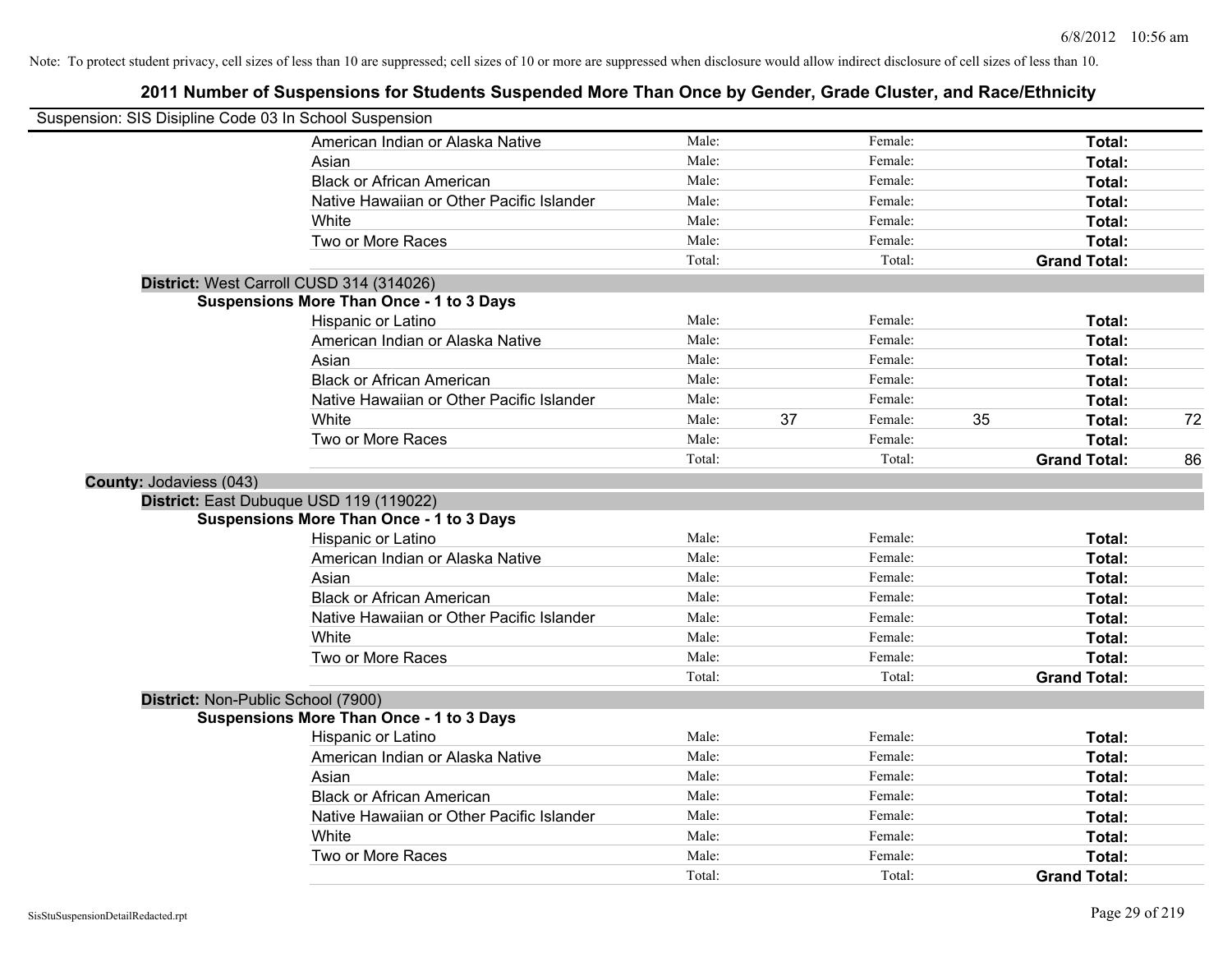| Suspension: SIS Disipline Code 03 In School Suspension |                                                 |        |               |                     |    |
|--------------------------------------------------------|-------------------------------------------------|--------|---------------|---------------------|----|
|                                                        | American Indian or Alaska Native                | Male:  | Female:       | Total:              |    |
|                                                        | Asian                                           | Male:  | Female:       | Total:              |    |
|                                                        | <b>Black or African American</b>                | Male:  | Female:       | Total:              |    |
|                                                        | Native Hawaiian or Other Pacific Islander       | Male:  | Female:       | Total:              |    |
|                                                        | White                                           | Male:  | Female:       | Total:              |    |
|                                                        | Two or More Races                               | Male:  | Female:       | Total:              |    |
|                                                        |                                                 | Total: | Total:        | <b>Grand Total:</b> |    |
|                                                        | District: West Carroll CUSD 314 (314026)        |        |               |                     |    |
|                                                        | <b>Suspensions More Than Once - 1 to 3 Days</b> |        |               |                     |    |
|                                                        | Hispanic or Latino                              | Male:  | Female:       | Total:              |    |
|                                                        | American Indian or Alaska Native                | Male:  | Female:       | Total:              |    |
|                                                        | Asian                                           | Male:  | Female:       | Total:              |    |
|                                                        | <b>Black or African American</b>                | Male:  | Female:       | Total:              |    |
|                                                        | Native Hawaiian or Other Pacific Islander       | Male:  | Female:       | Total:              |    |
|                                                        | White                                           | Male:  | 37<br>Female: | 35<br>Total:        | 72 |
|                                                        | Two or More Races                               | Male:  | Female:       | Total:              |    |
|                                                        |                                                 | Total: | Total:        | <b>Grand Total:</b> | 86 |
| County: Jodaviess (043)                                |                                                 |        |               |                     |    |
|                                                        | District: East Dubuque USD 119 (119022)         |        |               |                     |    |
|                                                        | <b>Suspensions More Than Once - 1 to 3 Days</b> |        |               |                     |    |
|                                                        | Hispanic or Latino                              | Male:  | Female:       | Total:              |    |
|                                                        | American Indian or Alaska Native                | Male:  | Female:       | Total:              |    |
|                                                        | Asian                                           | Male:  | Female:       | Total:              |    |
|                                                        | <b>Black or African American</b>                | Male:  | Female:       | Total:              |    |
|                                                        | Native Hawaiian or Other Pacific Islander       | Male:  | Female:       | Total:              |    |
|                                                        | White                                           | Male:  | Female:       | Total:              |    |
|                                                        | Two or More Races                               | Male:  | Female:       | Total:              |    |
|                                                        |                                                 | Total: | Total:        | <b>Grand Total:</b> |    |
| District: Non-Public School (7900)                     |                                                 |        |               |                     |    |
|                                                        | <b>Suspensions More Than Once - 1 to 3 Days</b> |        |               |                     |    |
|                                                        | Hispanic or Latino                              | Male:  | Female:       | Total:              |    |
|                                                        | American Indian or Alaska Native                | Male:  | Female:       | Total:              |    |
|                                                        | Asian                                           | Male:  | Female:       | Total:              |    |
|                                                        | <b>Black or African American</b>                | Male:  | Female:       | Total:              |    |
|                                                        | Native Hawaiian or Other Pacific Islander       | Male:  | Female:       | Total:              |    |
|                                                        | White                                           | Male:  | Female:       | Total:              |    |
|                                                        | Two or More Races                               | Male:  | Female:       | Total:              |    |
|                                                        |                                                 | Total: | Total:        | <b>Grand Total:</b> |    |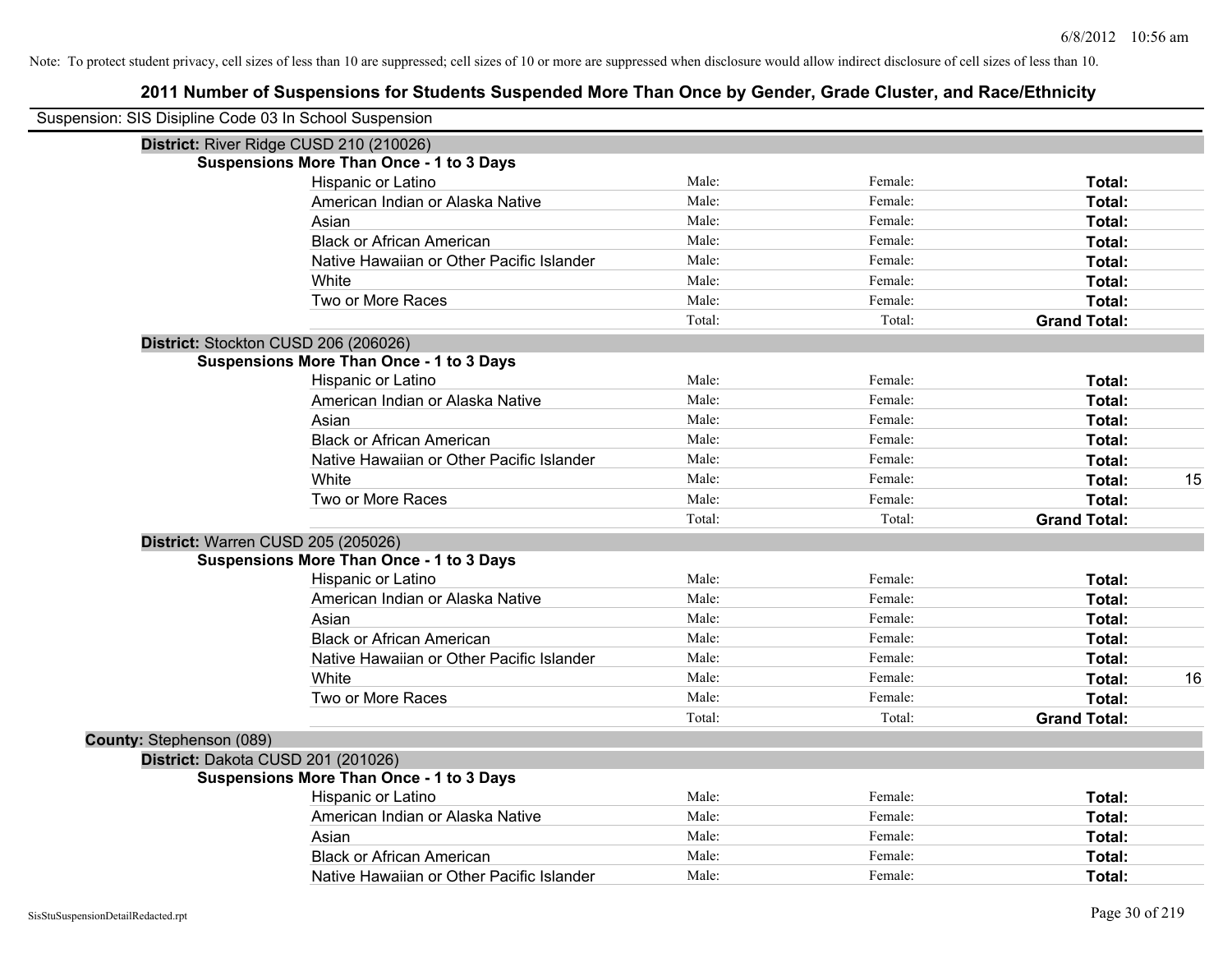| Suspension: SIS Disipline Code 03 In School Suspension |                                                 |        |         |                     |    |
|--------------------------------------------------------|-------------------------------------------------|--------|---------|---------------------|----|
|                                                        | District: River Ridge CUSD 210 (210026)         |        |         |                     |    |
|                                                        | <b>Suspensions More Than Once - 1 to 3 Days</b> |        |         |                     |    |
|                                                        | Hispanic or Latino                              | Male:  | Female: | Total:              |    |
|                                                        | American Indian or Alaska Native                | Male:  | Female: | Total:              |    |
|                                                        | Asian                                           | Male:  | Female: | Total:              |    |
|                                                        | <b>Black or African American</b>                | Male:  | Female: | Total:              |    |
|                                                        | Native Hawaiian or Other Pacific Islander       | Male:  | Female: | Total:              |    |
|                                                        | White                                           | Male:  | Female: | Total:              |    |
|                                                        | Two or More Races                               | Male:  | Female: | Total:              |    |
|                                                        |                                                 | Total: | Total:  | <b>Grand Total:</b> |    |
|                                                        | District: Stockton CUSD 206 (206026)            |        |         |                     |    |
|                                                        | <b>Suspensions More Than Once - 1 to 3 Days</b> |        |         |                     |    |
|                                                        | Hispanic or Latino                              | Male:  | Female: | Total:              |    |
|                                                        | American Indian or Alaska Native                | Male:  | Female: | Total:              |    |
|                                                        | Asian                                           | Male:  | Female: | Total:              |    |
|                                                        | <b>Black or African American</b>                | Male:  | Female: | Total:              |    |
|                                                        | Native Hawaiian or Other Pacific Islander       | Male:  | Female: | Total:              |    |
|                                                        | White                                           | Male:  | Female: | Total:              | 15 |
|                                                        | Two or More Races                               | Male:  | Female: | Total:              |    |
|                                                        |                                                 | Total: | Total:  | <b>Grand Total:</b> |    |
|                                                        | District: Warren CUSD 205 (205026)              |        |         |                     |    |
|                                                        | <b>Suspensions More Than Once - 1 to 3 Days</b> |        |         |                     |    |
|                                                        | Hispanic or Latino                              | Male:  | Female: | Total:              |    |
|                                                        | American Indian or Alaska Native                | Male:  | Female: | Total:              |    |
|                                                        | Asian                                           | Male:  | Female: | Total:              |    |
|                                                        | <b>Black or African American</b>                | Male:  | Female: | Total:              |    |
|                                                        | Native Hawaiian or Other Pacific Islander       | Male:  | Female: | Total:              |    |
|                                                        | White                                           | Male:  | Female: | Total:              | 16 |
|                                                        | Two or More Races                               | Male:  | Female: | Total:              |    |
|                                                        |                                                 | Total: | Total:  | <b>Grand Total:</b> |    |
| County: Stephenson (089)                               |                                                 |        |         |                     |    |
|                                                        | District: Dakota CUSD 201 (201026)              |        |         |                     |    |
|                                                        | <b>Suspensions More Than Once - 1 to 3 Days</b> |        |         |                     |    |
|                                                        | Hispanic or Latino                              | Male:  | Female: | Total:              |    |
|                                                        | American Indian or Alaska Native                | Male:  | Female: | Total:              |    |
|                                                        | Asian                                           | Male:  | Female: | Total:              |    |
|                                                        | <b>Black or African American</b>                | Male:  | Female: | Total:              |    |
|                                                        | Native Hawaiian or Other Pacific Islander       | Male:  | Female: | Total:              |    |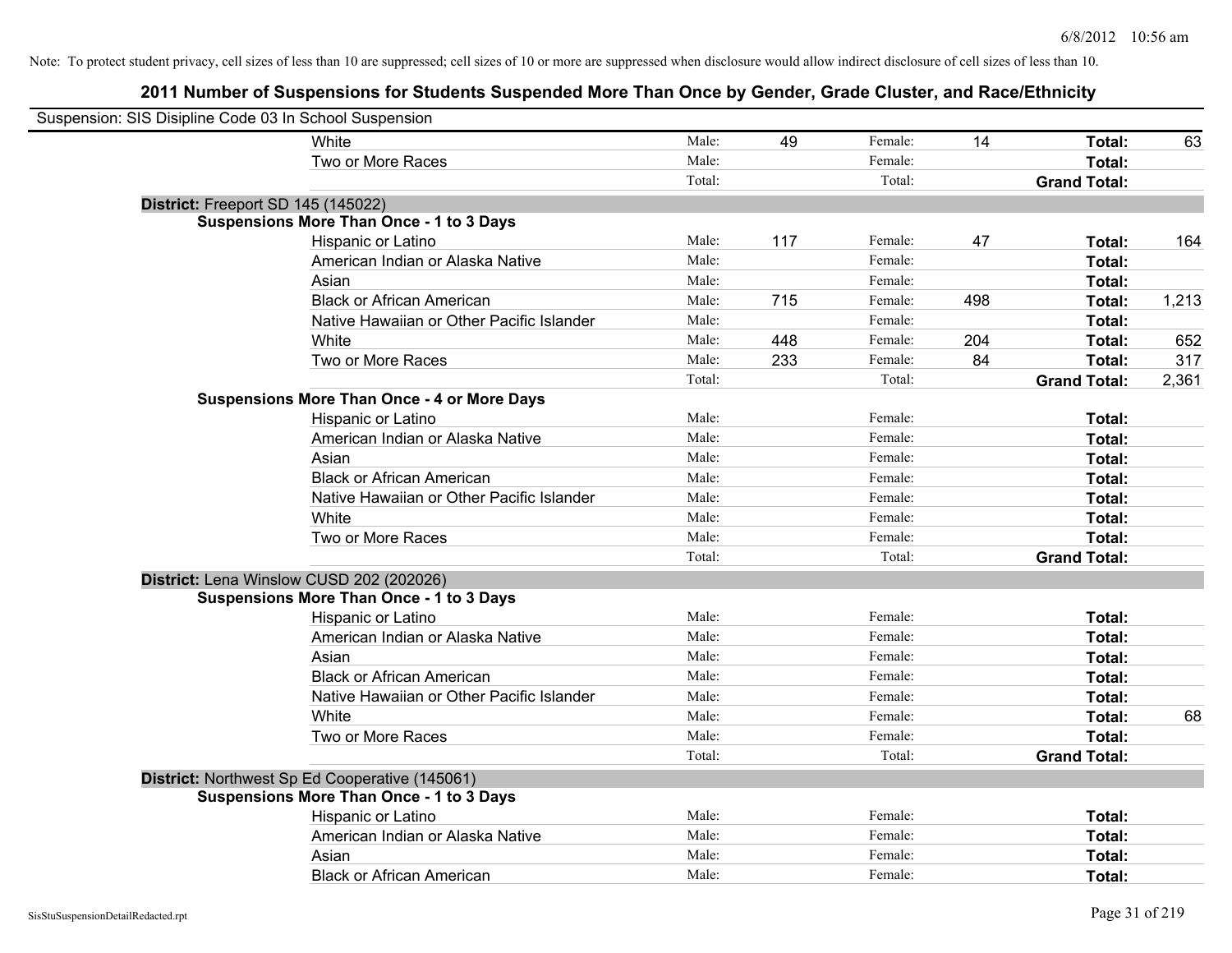| Suspension: SIS Disipline Code 03 In School Suspension |                                                    |        |     |         |     |                     |       |
|--------------------------------------------------------|----------------------------------------------------|--------|-----|---------|-----|---------------------|-------|
|                                                        | White                                              | Male:  | 49  | Female: | 14  | Total:              | 63    |
|                                                        | Two or More Races                                  | Male:  |     | Female: |     | Total:              |       |
|                                                        |                                                    | Total: |     | Total:  |     | <b>Grand Total:</b> |       |
| District: Freeport SD 145 (145022)                     |                                                    |        |     |         |     |                     |       |
|                                                        | Suspensions More Than Once - 1 to 3 Days           |        |     |         |     |                     |       |
|                                                        | Hispanic or Latino                                 | Male:  | 117 | Female: | 47  | Total:              | 164   |
|                                                        | American Indian or Alaska Native                   | Male:  |     | Female: |     | Total:              |       |
|                                                        | Asian                                              | Male:  |     | Female: |     | Total:              |       |
|                                                        | <b>Black or African American</b>                   | Male:  | 715 | Female: | 498 | Total:              | 1,213 |
|                                                        | Native Hawaiian or Other Pacific Islander          | Male:  |     | Female: |     | Total:              |       |
|                                                        | White                                              | Male:  | 448 | Female: | 204 | Total:              | 652   |
|                                                        | Two or More Races                                  | Male:  | 233 | Female: | 84  | Total:              | 317   |
|                                                        |                                                    | Total: |     | Total:  |     | <b>Grand Total:</b> | 2,361 |
|                                                        | <b>Suspensions More Than Once - 4 or More Days</b> |        |     |         |     |                     |       |
|                                                        | Hispanic or Latino                                 | Male:  |     | Female: |     | Total:              |       |
|                                                        | American Indian or Alaska Native                   | Male:  |     | Female: |     | Total:              |       |
|                                                        | Asian                                              | Male:  |     | Female: |     | Total:              |       |
|                                                        | <b>Black or African American</b>                   | Male:  |     | Female: |     | Total:              |       |
|                                                        | Native Hawaiian or Other Pacific Islander          | Male:  |     | Female: |     | Total:              |       |
|                                                        | White                                              | Male:  |     | Female: |     | Total:              |       |
|                                                        | Two or More Races                                  | Male:  |     | Female: |     | Total:              |       |
|                                                        |                                                    | Total: |     | Total:  |     | <b>Grand Total:</b> |       |
|                                                        | District: Lena Winslow CUSD 202 (202026)           |        |     |         |     |                     |       |
|                                                        | <b>Suspensions More Than Once - 1 to 3 Days</b>    |        |     |         |     |                     |       |
|                                                        | Hispanic or Latino                                 | Male:  |     | Female: |     | Total:              |       |
|                                                        | American Indian or Alaska Native                   | Male:  |     | Female: |     | Total:              |       |
|                                                        | Asian                                              | Male:  |     | Female: |     | Total:              |       |
|                                                        | <b>Black or African American</b>                   | Male:  |     | Female: |     | Total:              |       |
|                                                        | Native Hawaiian or Other Pacific Islander          | Male:  |     | Female: |     | Total:              |       |
|                                                        | White                                              | Male:  |     | Female: |     | Total:              | 68    |
|                                                        | Two or More Races                                  | Male:  |     | Female: |     | Total:              |       |
|                                                        |                                                    | Total: |     | Total:  |     | <b>Grand Total:</b> |       |
|                                                        | District: Northwest Sp Ed Cooperative (145061)     |        |     |         |     |                     |       |
|                                                        | <b>Suspensions More Than Once - 1 to 3 Days</b>    |        |     |         |     |                     |       |
|                                                        | Hispanic or Latino                                 | Male:  |     | Female: |     | Total:              |       |
|                                                        | American Indian or Alaska Native                   | Male:  |     | Female: |     | Total:              |       |
|                                                        | Asian                                              | Male:  |     | Female: |     | Total:              |       |
|                                                        | <b>Black or African American</b>                   | Male:  |     | Female: |     | Total:              |       |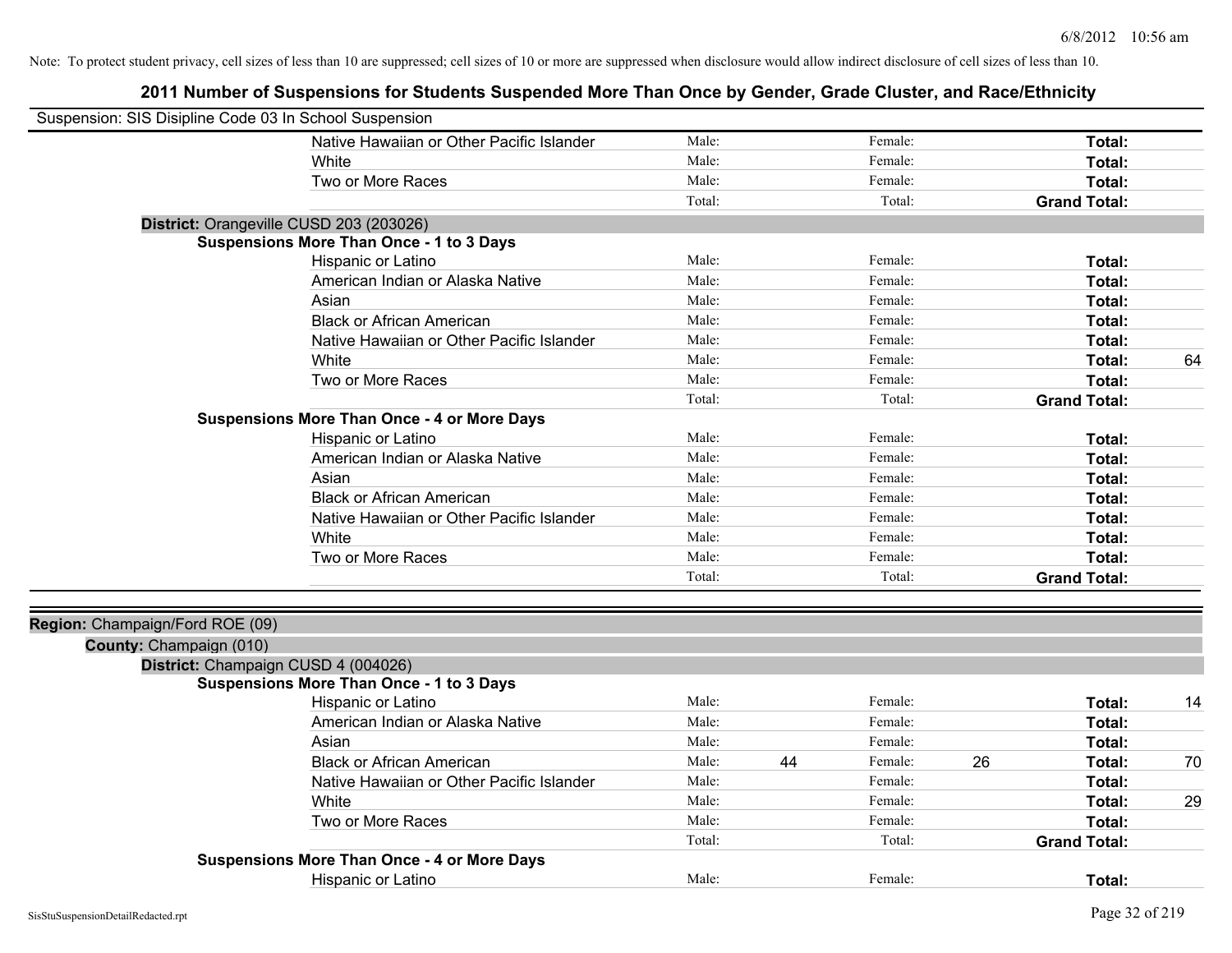| Suspension: SIS Disipline Code 03 In School Suspension     |                                                    |        |               |    |                     |    |
|------------------------------------------------------------|----------------------------------------------------|--------|---------------|----|---------------------|----|
|                                                            | Native Hawaiian or Other Pacific Islander          | Male:  | Female:       |    | Total:              |    |
|                                                            | White                                              | Male:  | Female:       |    | Total:              |    |
|                                                            | Two or More Races                                  | Male:  | Female:       |    | Total:              |    |
|                                                            |                                                    | Total: | Total:        |    | <b>Grand Total:</b> |    |
|                                                            | District: Orangeville CUSD 203 (203026)            |        |               |    |                     |    |
|                                                            | <b>Suspensions More Than Once - 1 to 3 Days</b>    |        |               |    |                     |    |
|                                                            | Hispanic or Latino                                 | Male:  | Female:       |    | Total:              |    |
|                                                            | American Indian or Alaska Native                   | Male:  | Female:       |    | Total:              |    |
|                                                            | Asian                                              | Male:  | Female:       |    | Total:              |    |
|                                                            | <b>Black or African American</b>                   | Male:  | Female:       |    | Total:              |    |
|                                                            | Native Hawaiian or Other Pacific Islander          | Male:  | Female:       |    | Total:              |    |
|                                                            | White                                              | Male:  | Female:       |    | Total:              | 64 |
|                                                            | Two or More Races                                  | Male:  | Female:       |    | Total:              |    |
|                                                            |                                                    | Total: | Total:        |    | <b>Grand Total:</b> |    |
|                                                            | <b>Suspensions More Than Once - 4 or More Days</b> |        |               |    |                     |    |
|                                                            | Hispanic or Latino                                 | Male:  | Female:       |    | Total:              |    |
|                                                            | American Indian or Alaska Native                   | Male:  | Female:       |    | Total:              |    |
|                                                            | Asian                                              | Male:  | Female:       |    | Total:              |    |
|                                                            | <b>Black or African American</b>                   | Male:  | Female:       |    | Total:              |    |
|                                                            | Native Hawaiian or Other Pacific Islander          | Male:  | Female:       |    | Total:              |    |
|                                                            | White                                              | Male:  | Female:       |    | Total:              |    |
|                                                            | Two or More Races                                  | Male:  | Female:       |    | Total:              |    |
|                                                            |                                                    | Total: | Total:        |    | <b>Grand Total:</b> |    |
|                                                            |                                                    |        |               |    |                     |    |
| Region: Champaign/Ford ROE (09)<br>County: Champaign (010) |                                                    |        |               |    |                     |    |
|                                                            | District: Champaign CUSD 4 (004026)                |        |               |    |                     |    |
|                                                            | <b>Suspensions More Than Once - 1 to 3 Days</b>    |        |               |    |                     |    |
|                                                            | Hispanic or Latino                                 | Male:  | Female:       |    | Total:              | 14 |
|                                                            | American Indian or Alaska Native                   | Male:  | Female:       |    | Total:              |    |
|                                                            | Asian                                              | Male:  | Female:       |    | Total:              |    |
|                                                            | <b>Black or African American</b>                   | Male:  | 44<br>Female: | 26 | Total:              | 70 |
|                                                            | Native Hawaiian or Other Pacific Islander          | Male:  | Female:       |    | Total:              |    |
|                                                            | White                                              | Male:  | Female:       |    | Total:              | 29 |
|                                                            | Two or More Races                                  | Male:  | Female:       |    | Total:              |    |
|                                                            |                                                    | Total: | Total:        |    | <b>Grand Total:</b> |    |
|                                                            | <b>Suspensions More Than Once - 4 or More Days</b> |        |               |    |                     |    |
|                                                            | Hispanic or Latino                                 | Male:  | Female:       |    | Total:              |    |
|                                                            |                                                    |        |               |    |                     |    |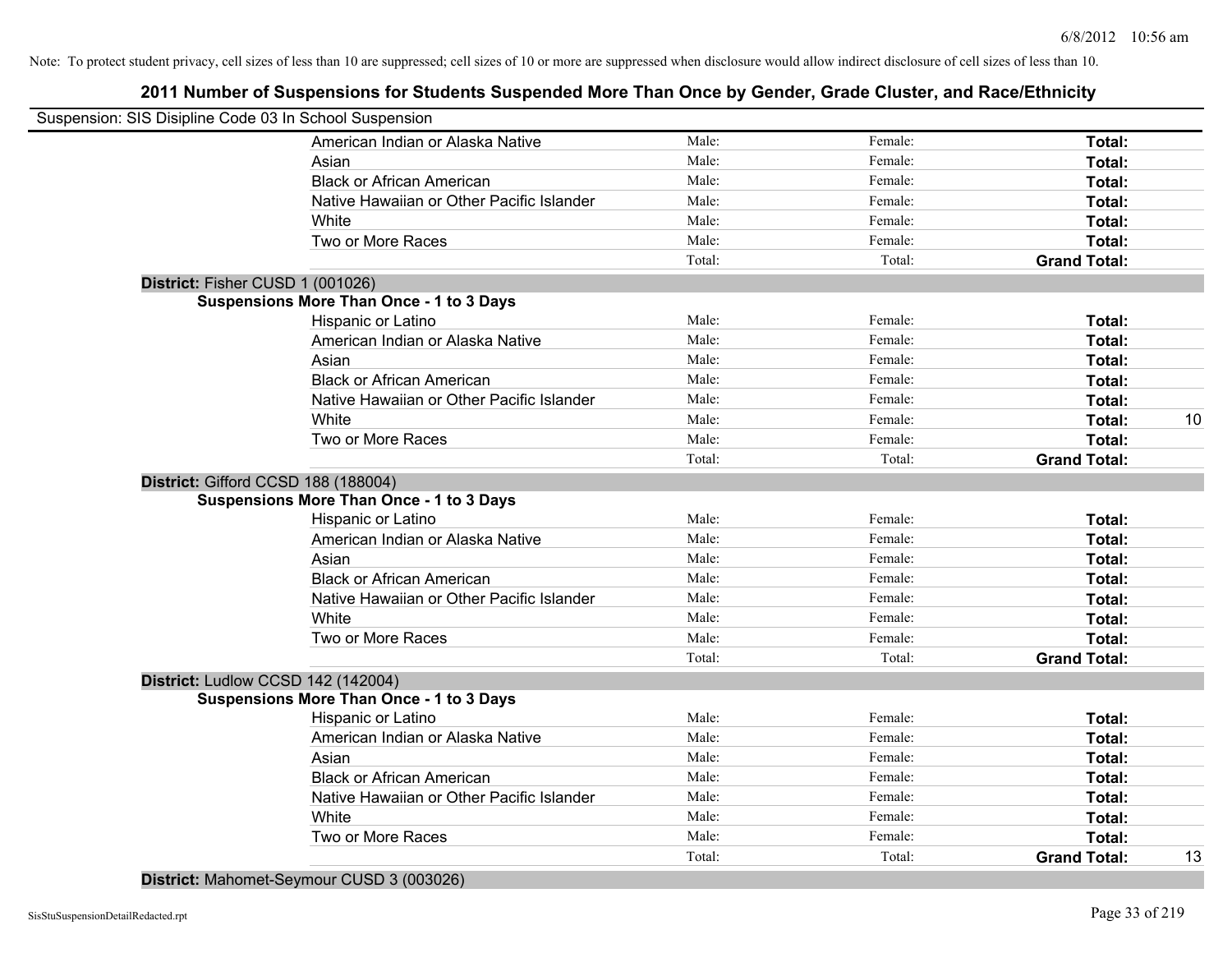# **2011 Number of Suspensions for Students Suspended More Than Once by Gender, Grade Cluster, and Race/Ethnicity**

|                                  | Suspension: SIS Disipline Code 03 In School Suspension |        |         |                     |    |
|----------------------------------|--------------------------------------------------------|--------|---------|---------------------|----|
|                                  | American Indian or Alaska Native                       | Male:  | Female: | Total:              |    |
|                                  | Asian                                                  | Male:  | Female: | Total:              |    |
|                                  | <b>Black or African American</b>                       | Male:  | Female: | Total:              |    |
|                                  | Native Hawaiian or Other Pacific Islander              | Male:  | Female: | Total:              |    |
|                                  | White                                                  | Male:  | Female: | Total:              |    |
|                                  | Two or More Races                                      | Male:  | Female: | Total:              |    |
|                                  |                                                        | Total: | Total:  | <b>Grand Total:</b> |    |
| District: Fisher CUSD 1 (001026) |                                                        |        |         |                     |    |
|                                  | <b>Suspensions More Than Once - 1 to 3 Days</b>        |        |         |                     |    |
|                                  | Hispanic or Latino                                     | Male:  | Female: | Total:              |    |
|                                  | American Indian or Alaska Native                       | Male:  | Female: | Total:              |    |
|                                  | Asian                                                  | Male:  | Female: | Total:              |    |
|                                  | <b>Black or African American</b>                       | Male:  | Female: | Total:              |    |
|                                  | Native Hawaiian or Other Pacific Islander              | Male:  | Female: | Total:              |    |
|                                  | White                                                  | Male:  | Female: | Total:              | 10 |
|                                  | Two or More Races                                      | Male:  | Female: | Total:              |    |
|                                  |                                                        | Total: | Total:  | <b>Grand Total:</b> |    |
|                                  | District: Gifford CCSD 188 (188004)                    |        |         |                     |    |
|                                  | <b>Suspensions More Than Once - 1 to 3 Days</b>        |        |         |                     |    |
|                                  | Hispanic or Latino                                     | Male:  | Female: | Total:              |    |
|                                  | American Indian or Alaska Native                       | Male:  | Female: | Total:              |    |
|                                  | Asian                                                  | Male:  | Female: | Total:              |    |
|                                  | <b>Black or African American</b>                       | Male:  | Female: | Total:              |    |
|                                  | Native Hawaiian or Other Pacific Islander              | Male:  | Female: | Total:              |    |
|                                  | White                                                  | Male:  | Female: | Total:              |    |
|                                  | Two or More Races                                      | Male:  | Female: | Total:              |    |
|                                  |                                                        | Total: | Total:  | <b>Grand Total:</b> |    |
|                                  | District: Ludlow CCSD 142 (142004)                     |        |         |                     |    |
|                                  | <b>Suspensions More Than Once - 1 to 3 Days</b>        |        |         |                     |    |
|                                  | Hispanic or Latino                                     | Male:  | Female: | Total:              |    |
|                                  | American Indian or Alaska Native                       | Male:  | Female: | Total:              |    |
|                                  | Asian                                                  | Male:  | Female: | Total:              |    |
|                                  | <b>Black or African American</b>                       | Male:  | Female: | Total:              |    |
|                                  | Native Hawaiian or Other Pacific Islander              | Male:  | Female: | Total:              |    |
|                                  | White                                                  | Male:  | Female: | Total:              |    |
|                                  | Two or More Races                                      | Male:  | Female: | <b>Total:</b>       |    |
|                                  |                                                        | Total: | Total:  | <b>Grand Total:</b> | 13 |
|                                  |                                                        |        |         |                     |    |

**District:** Mahomet-Seymour CUSD 3 (003026)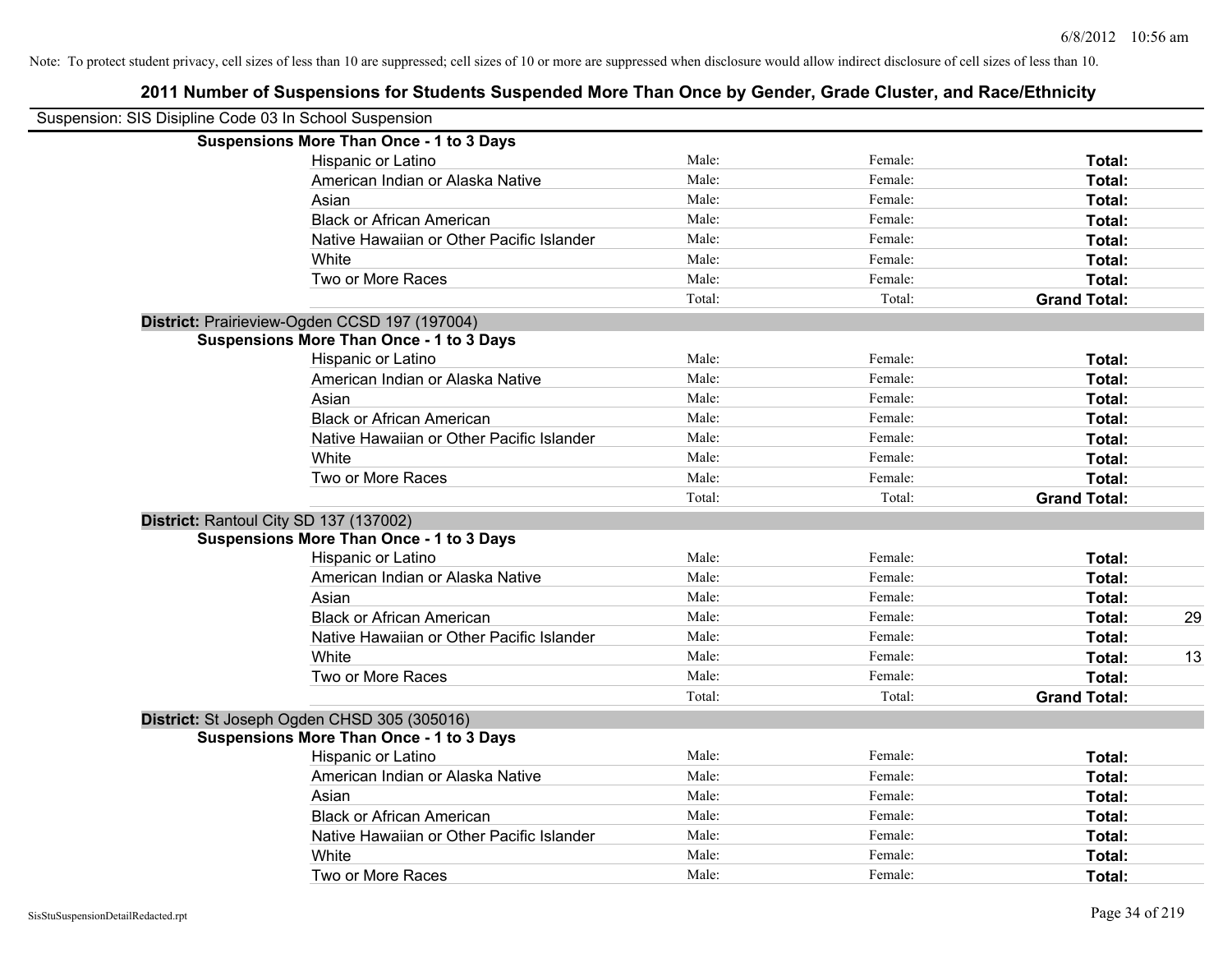| Suspension: SIS Disipline Code 03 In School Suspension |                                                 |        |         |                     |    |
|--------------------------------------------------------|-------------------------------------------------|--------|---------|---------------------|----|
|                                                        | <b>Suspensions More Than Once - 1 to 3 Days</b> |        |         |                     |    |
|                                                        | Hispanic or Latino                              | Male:  | Female: | Total:              |    |
|                                                        | American Indian or Alaska Native                | Male:  | Female: | Total:              |    |
|                                                        | Asian                                           | Male:  | Female: | Total:              |    |
|                                                        | <b>Black or African American</b>                | Male:  | Female: | Total:              |    |
|                                                        | Native Hawaiian or Other Pacific Islander       | Male:  | Female: | Total:              |    |
|                                                        | White                                           | Male:  | Female: | Total:              |    |
|                                                        | Two or More Races                               | Male:  | Female: | Total:              |    |
|                                                        |                                                 | Total: | Total:  | <b>Grand Total:</b> |    |
|                                                        | District: Prairieview-Ogden CCSD 197 (197004)   |        |         |                     |    |
|                                                        | <b>Suspensions More Than Once - 1 to 3 Days</b> |        |         |                     |    |
|                                                        | Hispanic or Latino                              | Male:  | Female: | Total:              |    |
|                                                        | American Indian or Alaska Native                | Male:  | Female: | Total:              |    |
|                                                        | Asian                                           | Male:  | Female: | Total:              |    |
|                                                        | <b>Black or African American</b>                | Male:  | Female: | Total:              |    |
|                                                        | Native Hawaiian or Other Pacific Islander       | Male:  | Female: | Total:              |    |
|                                                        | White                                           | Male:  | Female: | Total:              |    |
|                                                        | Two or More Races                               | Male:  | Female: | Total:              |    |
|                                                        |                                                 | Total: | Total:  | <b>Grand Total:</b> |    |
|                                                        | District: Rantoul City SD 137 (137002)          |        |         |                     |    |
|                                                        | <b>Suspensions More Than Once - 1 to 3 Days</b> |        |         |                     |    |
|                                                        | Hispanic or Latino                              | Male:  | Female: | Total:              |    |
|                                                        | American Indian or Alaska Native                | Male:  | Female: | Total:              |    |
|                                                        | Asian                                           | Male:  | Female: | Total:              |    |
|                                                        | <b>Black or African American</b>                | Male:  | Female: | Total:              | 29 |
|                                                        | Native Hawaiian or Other Pacific Islander       | Male:  | Female: | Total:              |    |
|                                                        | White                                           | Male:  | Female: | Total:              | 13 |
|                                                        | Two or More Races                               | Male:  | Female: | Total:              |    |
|                                                        |                                                 | Total: | Total:  | <b>Grand Total:</b> |    |
|                                                        | District: St Joseph Ogden CHSD 305 (305016)     |        |         |                     |    |
|                                                        | <b>Suspensions More Than Once - 1 to 3 Days</b> |        |         |                     |    |
|                                                        | Hispanic or Latino                              | Male:  | Female: | Total:              |    |
|                                                        | American Indian or Alaska Native                | Male:  | Female: | Total:              |    |
|                                                        | Asian                                           | Male:  | Female: | Total:              |    |
|                                                        | <b>Black or African American</b>                | Male:  | Female: | Total:              |    |
|                                                        | Native Hawaiian or Other Pacific Islander       | Male:  | Female: | Total:              |    |
|                                                        | White                                           | Male:  | Female: | Total:              |    |
|                                                        | Two or More Races                               | Male:  | Female: | Total:              |    |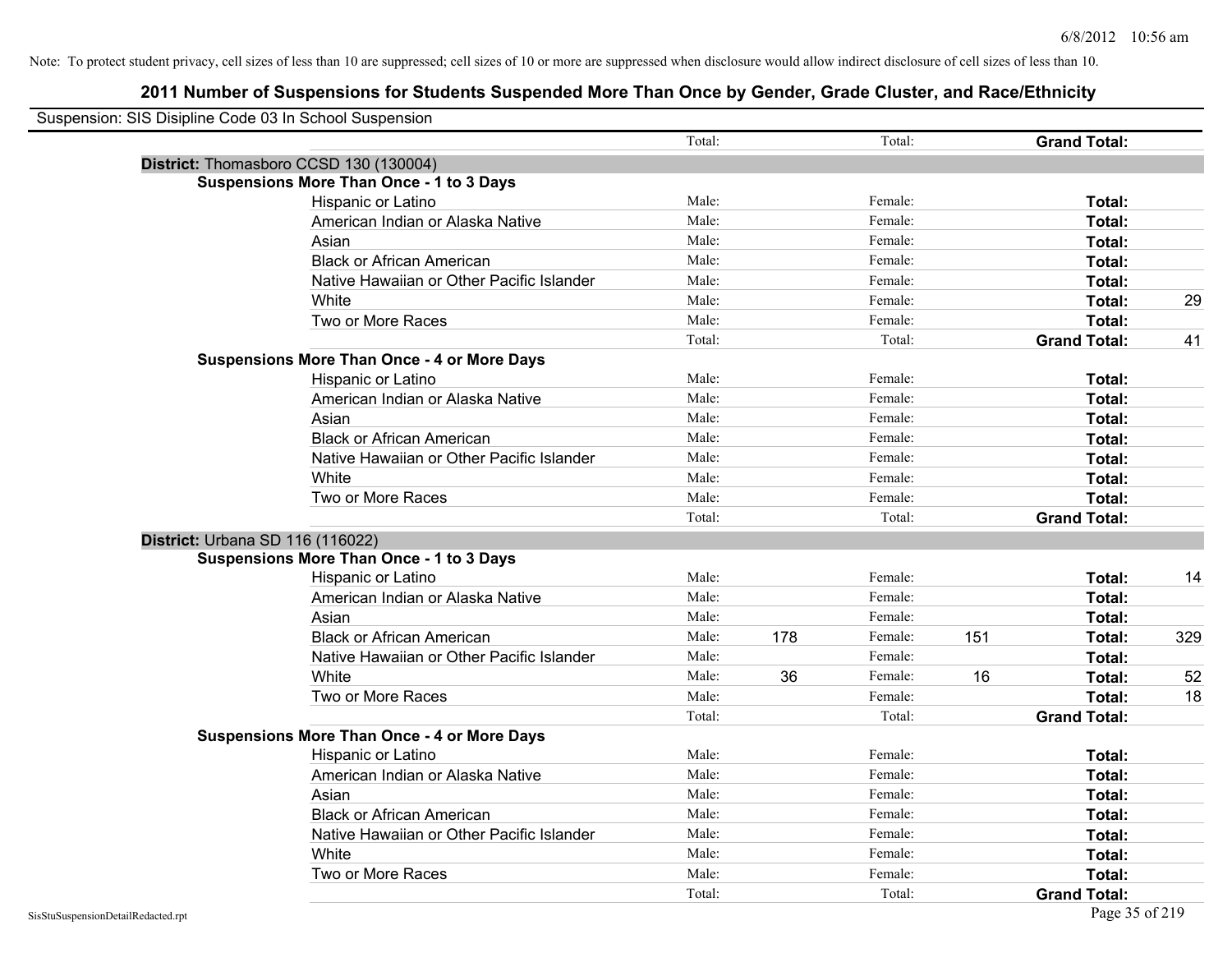| Suspension: SIS Disipline Code 03 In School Suspension |                                                    |        |     |         |     |                     |     |
|--------------------------------------------------------|----------------------------------------------------|--------|-----|---------|-----|---------------------|-----|
|                                                        |                                                    | Total: |     | Total:  |     | <b>Grand Total:</b> |     |
| District: Thomasboro CCSD 130 (130004)                 |                                                    |        |     |         |     |                     |     |
|                                                        | <b>Suspensions More Than Once - 1 to 3 Days</b>    |        |     |         |     |                     |     |
|                                                        | Hispanic or Latino                                 | Male:  |     | Female: |     | Total:              |     |
|                                                        | American Indian or Alaska Native                   | Male:  |     | Female: |     | Total:              |     |
|                                                        | Asian                                              | Male:  |     | Female: |     | Total:              |     |
|                                                        | <b>Black or African American</b>                   | Male:  |     | Female: |     | Total:              |     |
|                                                        | Native Hawaiian or Other Pacific Islander          | Male:  |     | Female: |     | Total:              |     |
|                                                        | White                                              | Male:  |     | Female: |     | Total:              | 29  |
|                                                        | Two or More Races                                  | Male:  |     | Female: |     | Total:              |     |
|                                                        |                                                    | Total: |     | Total:  |     | <b>Grand Total:</b> | 41  |
|                                                        | <b>Suspensions More Than Once - 4 or More Days</b> |        |     |         |     |                     |     |
|                                                        | Hispanic or Latino                                 | Male:  |     | Female: |     | Total:              |     |
|                                                        | American Indian or Alaska Native                   | Male:  |     | Female: |     | Total:              |     |
|                                                        | Asian                                              | Male:  |     | Female: |     | Total:              |     |
|                                                        | <b>Black or African American</b>                   | Male:  |     | Female: |     | Total:              |     |
|                                                        | Native Hawaiian or Other Pacific Islander          | Male:  |     | Female: |     | Total:              |     |
|                                                        | White                                              | Male:  |     | Female: |     | Total:              |     |
|                                                        | Two or More Races                                  | Male:  |     | Female: |     | Total:              |     |
|                                                        |                                                    | Total: |     | Total:  |     | <b>Grand Total:</b> |     |
| District: Urbana SD 116 (116022)                       |                                                    |        |     |         |     |                     |     |
|                                                        | <b>Suspensions More Than Once - 1 to 3 Days</b>    |        |     |         |     |                     |     |
|                                                        | Hispanic or Latino                                 | Male:  |     | Female: |     | Total:              | 14  |
|                                                        | American Indian or Alaska Native                   | Male:  |     | Female: |     | Total:              |     |
|                                                        | Asian                                              | Male:  |     | Female: |     | Total:              |     |
|                                                        | <b>Black or African American</b>                   | Male:  | 178 | Female: | 151 | Total:              | 329 |
|                                                        | Native Hawaiian or Other Pacific Islander          | Male:  |     | Female: |     | Total:              |     |
|                                                        | White                                              | Male:  | 36  | Female: | 16  | Total:              | 52  |
|                                                        | Two or More Races                                  | Male:  |     | Female: |     | Total:              | 18  |
|                                                        |                                                    | Total: |     | Total:  |     | <b>Grand Total:</b> |     |
|                                                        | <b>Suspensions More Than Once - 4 or More Days</b> |        |     |         |     |                     |     |
|                                                        | Hispanic or Latino                                 | Male:  |     | Female: |     | Total:              |     |
|                                                        | American Indian or Alaska Native                   | Male:  |     | Female: |     | Total:              |     |
|                                                        | Asian                                              | Male:  |     | Female: |     | Total:              |     |
|                                                        | <b>Black or African American</b>                   | Male:  |     | Female: |     | Total:              |     |
|                                                        | Native Hawaiian or Other Pacific Islander          | Male:  |     | Female: |     | Total:              |     |
|                                                        | White                                              | Male:  |     | Female: |     | Total:              |     |
|                                                        | Two or More Races                                  | Male:  |     | Female: |     | <b>Total:</b>       |     |
|                                                        |                                                    | Total: |     | Total:  |     | <b>Grand Total:</b> |     |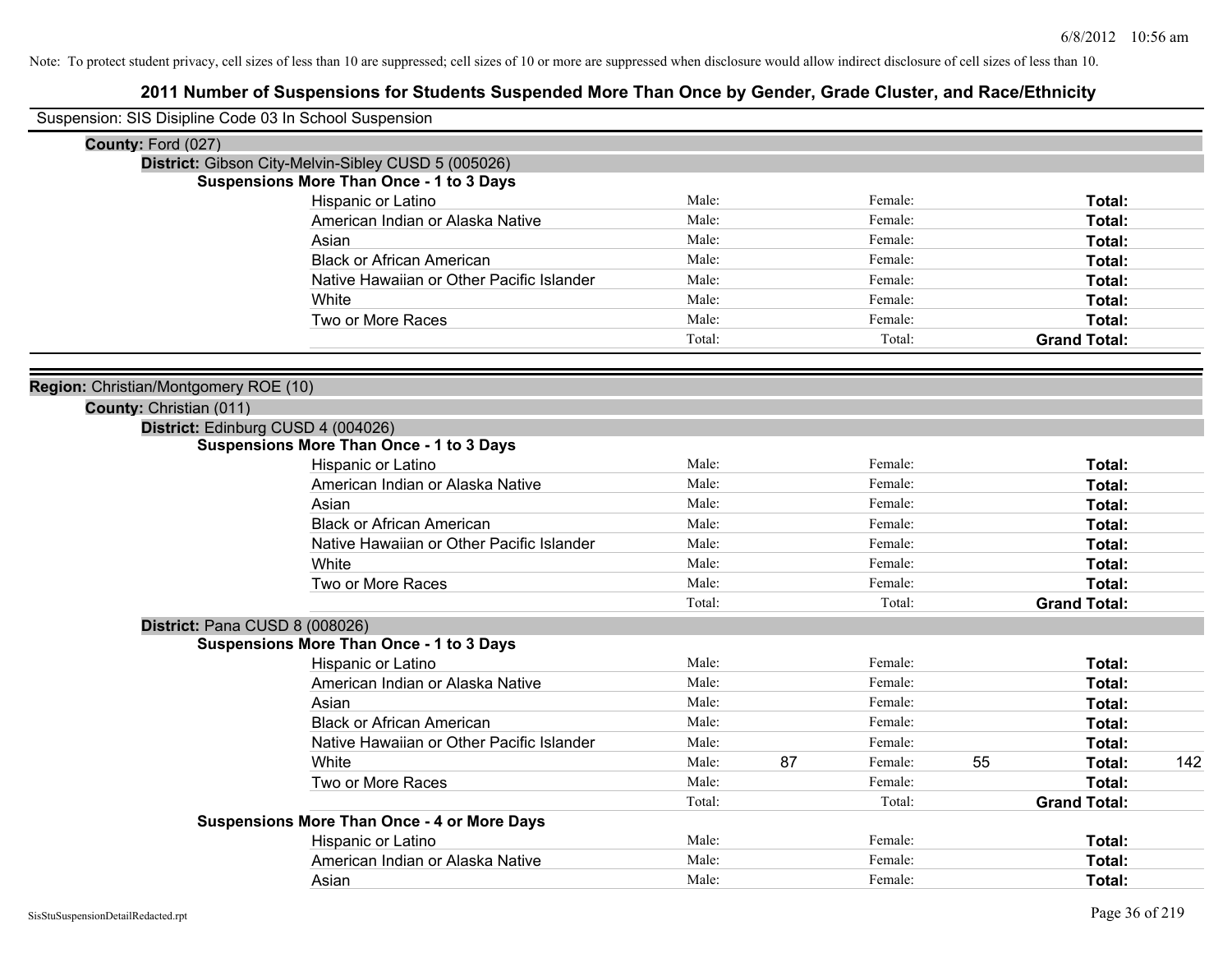| Suspension: SIS Disipline Code 03 In School Suspension |                                                     |        |    |         |    |                     |     |
|--------------------------------------------------------|-----------------------------------------------------|--------|----|---------|----|---------------------|-----|
| County: Ford (027)                                     |                                                     |        |    |         |    |                     |     |
|                                                        | District: Gibson City-Melvin-Sibley CUSD 5 (005026) |        |    |         |    |                     |     |
|                                                        | <b>Suspensions More Than Once - 1 to 3 Days</b>     |        |    |         |    |                     |     |
|                                                        | Hispanic or Latino                                  | Male:  |    | Female: |    | Total:              |     |
|                                                        | American Indian or Alaska Native                    | Male:  |    | Female: |    | Total:              |     |
|                                                        | Asian                                               | Male:  |    | Female: |    | Total:              |     |
|                                                        | <b>Black or African American</b>                    | Male:  |    | Female: |    | Total:              |     |
|                                                        | Native Hawaiian or Other Pacific Islander           | Male:  |    | Female: |    | Total:              |     |
|                                                        | White                                               | Male:  |    | Female: |    | Total:              |     |
|                                                        | Two or More Races                                   | Male:  |    | Female: |    | Total:              |     |
|                                                        |                                                     | Total: |    | Total:  |    | <b>Grand Total:</b> |     |
| Region: Christian/Montgomery ROE (10)                  |                                                     |        |    |         |    |                     |     |
| County: Christian (011)                                |                                                     |        |    |         |    |                     |     |
|                                                        | District: Edinburg CUSD 4 (004026)                  |        |    |         |    |                     |     |
|                                                        | <b>Suspensions More Than Once - 1 to 3 Days</b>     |        |    |         |    |                     |     |
|                                                        | Hispanic or Latino                                  | Male:  |    | Female: |    | Total:              |     |
|                                                        | American Indian or Alaska Native                    | Male:  |    | Female: |    | Total:              |     |
|                                                        | Asian                                               | Male:  |    | Female: |    | Total:              |     |
|                                                        | <b>Black or African American</b>                    | Male:  |    | Female: |    | Total:              |     |
|                                                        | Native Hawaiian or Other Pacific Islander           | Male:  |    | Female: |    | Total:              |     |
|                                                        | White                                               | Male:  |    | Female: |    | Total:              |     |
|                                                        | Two or More Races                                   | Male:  |    | Female: |    | Total:              |     |
|                                                        |                                                     | Total: |    | Total:  |    | <b>Grand Total:</b> |     |
|                                                        | District: Pana CUSD 8 (008026)                      |        |    |         |    |                     |     |
|                                                        | <b>Suspensions More Than Once - 1 to 3 Days</b>     |        |    |         |    |                     |     |
|                                                        | Hispanic or Latino                                  | Male:  |    | Female: |    | Total:              |     |
|                                                        | American Indian or Alaska Native                    | Male:  |    | Female: |    | Total:              |     |
|                                                        | Asian                                               | Male:  |    | Female: |    | Total:              |     |
|                                                        | <b>Black or African American</b>                    | Male:  |    | Female: |    | Total:              |     |
|                                                        | Native Hawaiian or Other Pacific Islander           | Male:  |    | Female: |    | Total:              |     |
|                                                        | White                                               | Male:  | 87 | Female: | 55 | Total:              | 142 |
|                                                        | Two or More Races                                   | Male:  |    | Female: |    | Total:              |     |
|                                                        |                                                     | Total: |    | Total:  |    | <b>Grand Total:</b> |     |
|                                                        | <b>Suspensions More Than Once - 4 or More Days</b>  |        |    |         |    |                     |     |
|                                                        | Hispanic or Latino                                  | Male:  |    | Female: |    | Total:              |     |
|                                                        | American Indian or Alaska Native                    | Male:  |    | Female: |    | Total:              |     |
|                                                        | Asian                                               | Male:  |    | Female: |    | Total:              |     |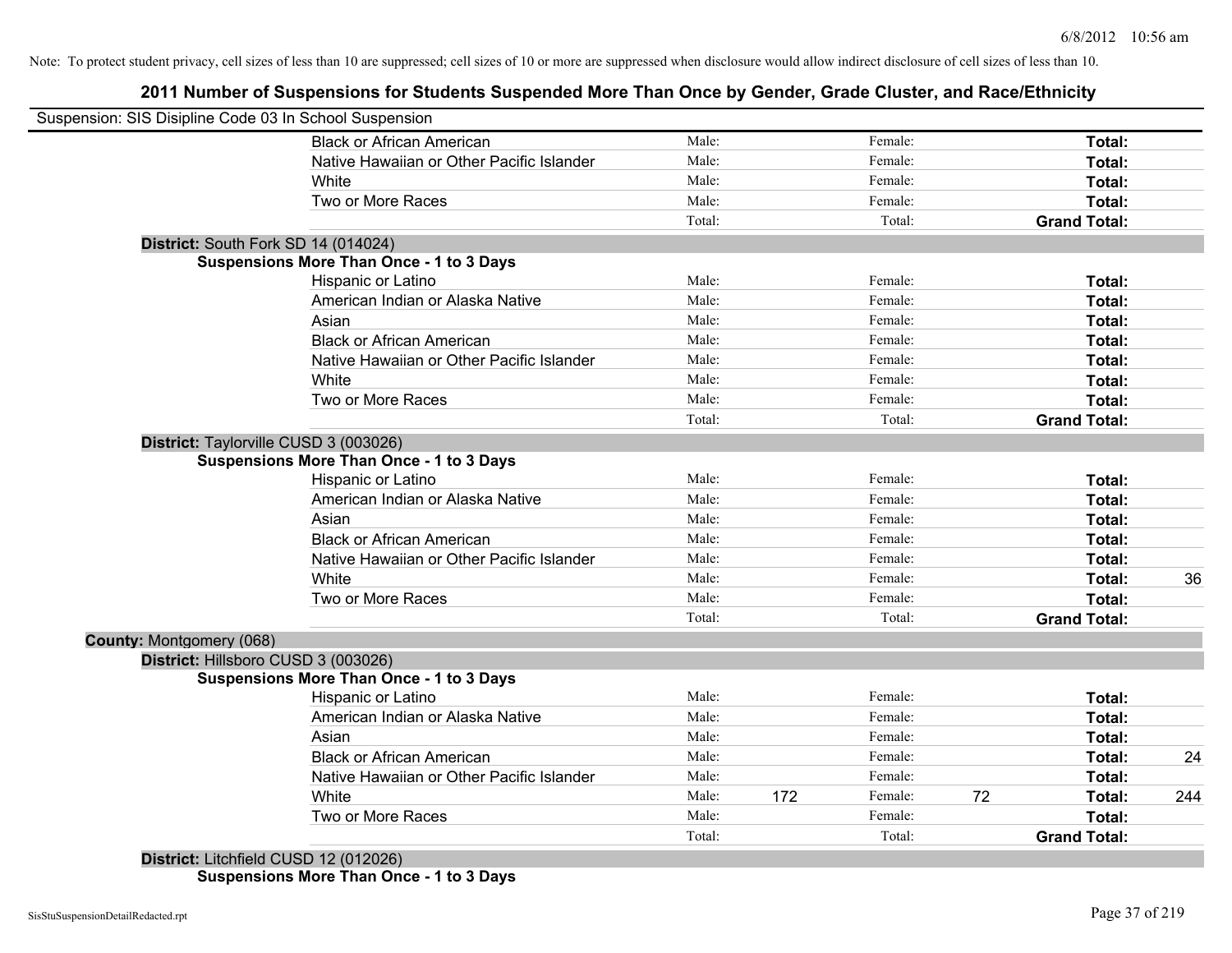## **2011 Number of Suspensions for Students Suspended More Than Once by Gender, Grade Cluster, and Race/Ethnicity**

| Suspension: SIS Disipline Code 03 In School Suspension |                                                 |        |     |         |    |                     |     |
|--------------------------------------------------------|-------------------------------------------------|--------|-----|---------|----|---------------------|-----|
|                                                        | <b>Black or African American</b>                | Male:  |     | Female: |    | Total:              |     |
|                                                        | Native Hawaiian or Other Pacific Islander       | Male:  |     | Female: |    | Total:              |     |
|                                                        | White                                           | Male:  |     | Female: |    | Total:              |     |
|                                                        | Two or More Races                               | Male:  |     | Female: |    | Total:              |     |
|                                                        |                                                 | Total: |     | Total:  |    | <b>Grand Total:</b> |     |
|                                                        | District: South Fork SD 14 (014024)             |        |     |         |    |                     |     |
|                                                        | <b>Suspensions More Than Once - 1 to 3 Days</b> |        |     |         |    |                     |     |
|                                                        | Hispanic or Latino                              | Male:  |     | Female: |    | Total:              |     |
|                                                        | American Indian or Alaska Native                | Male:  |     | Female: |    | Total:              |     |
|                                                        | Asian                                           | Male:  |     | Female: |    | Total:              |     |
|                                                        | <b>Black or African American</b>                | Male:  |     | Female: |    | Total:              |     |
|                                                        | Native Hawaiian or Other Pacific Islander       | Male:  |     | Female: |    | Total:              |     |
|                                                        | White                                           | Male:  |     | Female: |    | Total:              |     |
|                                                        | Two or More Races                               | Male:  |     | Female: |    | Total:              |     |
|                                                        |                                                 | Total: |     | Total:  |    | <b>Grand Total:</b> |     |
|                                                        | District: Taylorville CUSD 3 (003026)           |        |     |         |    |                     |     |
|                                                        | <b>Suspensions More Than Once - 1 to 3 Days</b> |        |     |         |    |                     |     |
|                                                        | Hispanic or Latino                              | Male:  |     | Female: |    | Total:              |     |
|                                                        | American Indian or Alaska Native                | Male:  |     | Female: |    | Total:              |     |
|                                                        | Asian                                           | Male:  |     | Female: |    | Total:              |     |
|                                                        | <b>Black or African American</b>                | Male:  |     | Female: |    | Total:              |     |
|                                                        | Native Hawaiian or Other Pacific Islander       | Male:  |     | Female: |    | Total:              |     |
|                                                        | White                                           | Male:  |     | Female: |    | Total:              | 36  |
|                                                        | Two or More Races                               | Male:  |     | Female: |    | Total:              |     |
|                                                        |                                                 | Total: |     | Total:  |    | <b>Grand Total:</b> |     |
| County: Montgomery (068)                               |                                                 |        |     |         |    |                     |     |
|                                                        | District: Hillsboro CUSD 3 (003026)             |        |     |         |    |                     |     |
|                                                        | <b>Suspensions More Than Once - 1 to 3 Days</b> |        |     |         |    |                     |     |
|                                                        | Hispanic or Latino                              | Male:  |     | Female: |    | Total:              |     |
|                                                        | American Indian or Alaska Native                | Male:  |     | Female: |    | Total:              |     |
|                                                        | Asian                                           | Male:  |     | Female: |    | Total:              |     |
|                                                        | <b>Black or African American</b>                | Male:  |     | Female: |    | Total:              | 24  |
|                                                        | Native Hawaiian or Other Pacific Islander       | Male:  |     | Female: |    | Total:              |     |
|                                                        | White                                           | Male:  | 172 | Female: | 72 | Total:              | 244 |
|                                                        | Two or More Races                               | Male:  |     | Female: |    | <b>Total:</b>       |     |
|                                                        |                                                 | Total: |     | Total:  |    | <b>Grand Total:</b> |     |
|                                                        | District: Litchfield CUSD 12 (012026)           |        |     |         |    |                     |     |

**Suspensions More Than Once - 1 to 3 Days**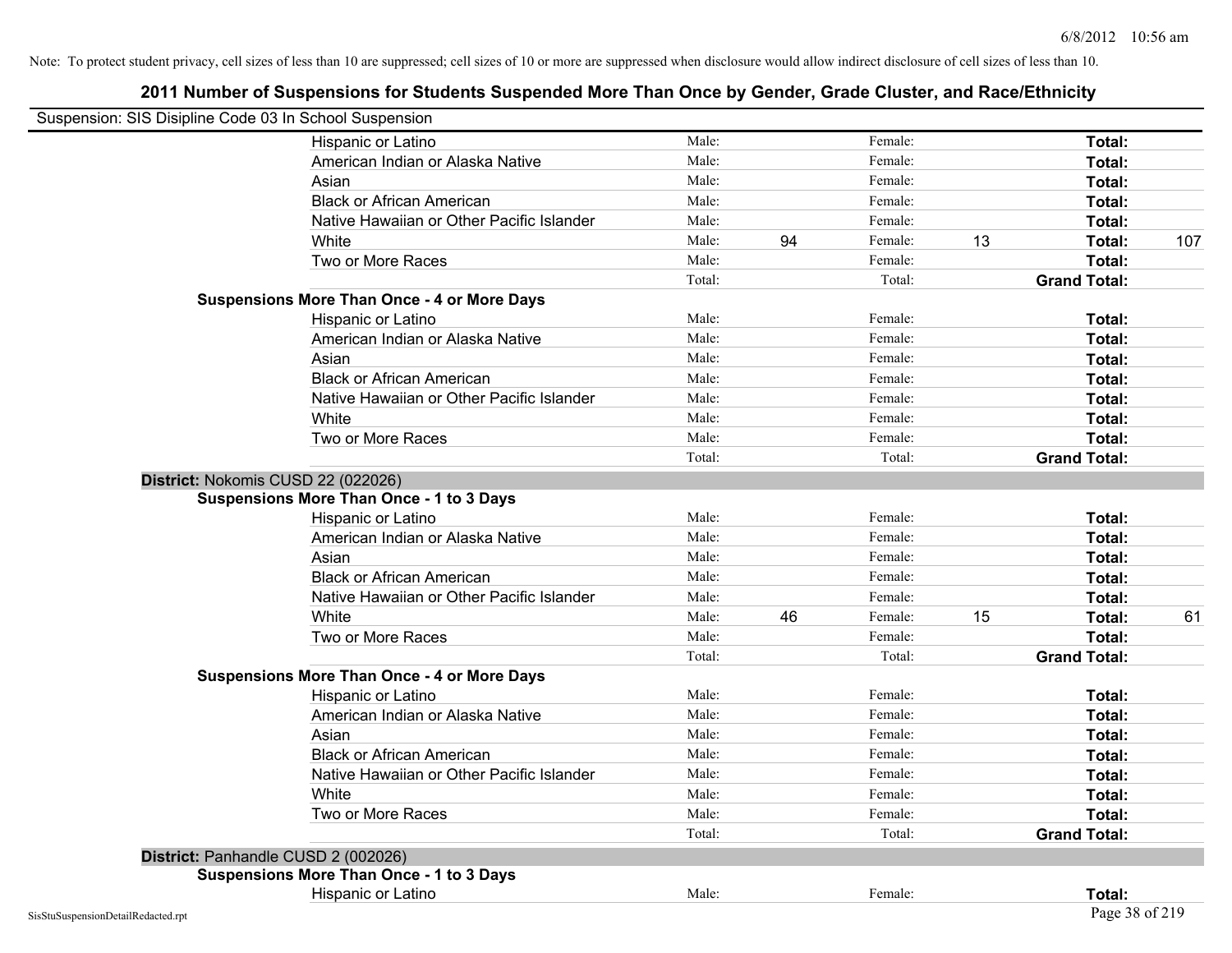| Suspension: SIS Disipline Code 03 In School Suspension |                                                    |        |    |         |    |                     |     |
|--------------------------------------------------------|----------------------------------------------------|--------|----|---------|----|---------------------|-----|
|                                                        | Hispanic or Latino                                 | Male:  |    | Female: |    | Total:              |     |
|                                                        | American Indian or Alaska Native                   | Male:  |    | Female: |    | Total:              |     |
|                                                        | Asian                                              | Male:  |    | Female: |    | Total:              |     |
|                                                        | <b>Black or African American</b>                   | Male:  |    | Female: |    | Total:              |     |
|                                                        | Native Hawaiian or Other Pacific Islander          | Male:  |    | Female: |    | Total:              |     |
|                                                        | White                                              | Male:  | 94 | Female: | 13 | Total:              | 107 |
|                                                        | Two or More Races                                  | Male:  |    | Female: |    | Total:              |     |
|                                                        |                                                    | Total: |    | Total:  |    | <b>Grand Total:</b> |     |
|                                                        | <b>Suspensions More Than Once - 4 or More Days</b> |        |    |         |    |                     |     |
|                                                        | Hispanic or Latino                                 | Male:  |    | Female: |    | Total:              |     |
|                                                        | American Indian or Alaska Native                   | Male:  |    | Female: |    | Total:              |     |
|                                                        | Asian                                              | Male:  |    | Female: |    | Total:              |     |
|                                                        | <b>Black or African American</b>                   | Male:  |    | Female: |    | Total:              |     |
|                                                        | Native Hawaiian or Other Pacific Islander          | Male:  |    | Female: |    | Total:              |     |
|                                                        | White                                              | Male:  |    | Female: |    | Total:              |     |
|                                                        | Two or More Races                                  | Male:  |    | Female: |    | Total:              |     |
|                                                        |                                                    | Total: |    | Total:  |    | <b>Grand Total:</b> |     |
|                                                        | District: Nokomis CUSD 22 (022026)                 |        |    |         |    |                     |     |
|                                                        | <b>Suspensions More Than Once - 1 to 3 Days</b>    |        |    |         |    |                     |     |
|                                                        | Hispanic or Latino                                 | Male:  |    | Female: |    | Total:              |     |
|                                                        | American Indian or Alaska Native                   | Male:  |    | Female: |    | Total:              |     |
|                                                        | Asian                                              | Male:  |    | Female: |    | Total:              |     |
|                                                        | <b>Black or African American</b>                   | Male:  |    | Female: |    | Total:              |     |
|                                                        | Native Hawaiian or Other Pacific Islander          | Male:  |    | Female: |    | Total:              |     |
|                                                        | White                                              | Male:  | 46 | Female: | 15 | Total:              | 61  |
|                                                        | Two or More Races                                  | Male:  |    | Female: |    | Total:              |     |
|                                                        |                                                    | Total: |    | Total:  |    | <b>Grand Total:</b> |     |
|                                                        | <b>Suspensions More Than Once - 4 or More Days</b> |        |    |         |    |                     |     |
|                                                        | Hispanic or Latino                                 | Male:  |    | Female: |    | Total:              |     |
|                                                        | American Indian or Alaska Native                   | Male:  |    | Female: |    | Total:              |     |
|                                                        | Asian                                              | Male:  |    | Female: |    | Total:              |     |
|                                                        | <b>Black or African American</b>                   | Male:  |    | Female: |    | Total:              |     |
|                                                        | Native Hawaiian or Other Pacific Islander          | Male:  |    | Female: |    | <b>Total:</b>       |     |
|                                                        | White                                              | Male:  |    | Female: |    | Total:              |     |
|                                                        | Two or More Races                                  | Male:  |    | Female: |    | Total:              |     |
|                                                        |                                                    | Total: |    | Total:  |    | <b>Grand Total:</b> |     |
|                                                        | District: Panhandle CUSD 2 (002026)                |        |    |         |    |                     |     |
|                                                        | <b>Suspensions More Than Once - 1 to 3 Days</b>    |        |    |         |    |                     |     |
|                                                        | Hispanic or Latino                                 | Male:  |    | Female: |    | Total:              |     |
| SisStuSuspensionDetailRedacted.rpt                     |                                                    |        |    |         |    | Page 38 of 219      |     |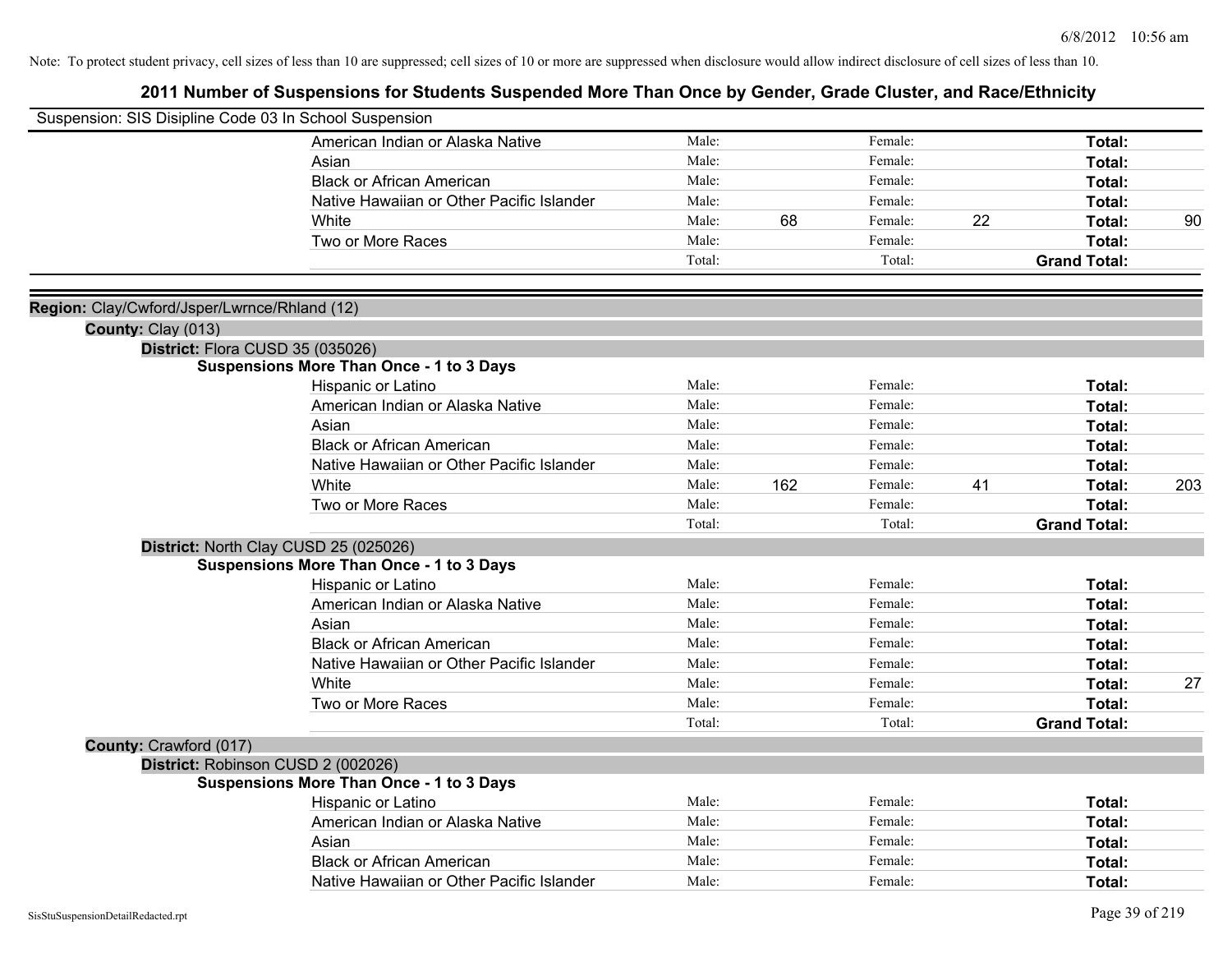| Suspension: SIS Disipline Code 03 In School Suspension |                                                 |        |     |         |    |                     |     |
|--------------------------------------------------------|-------------------------------------------------|--------|-----|---------|----|---------------------|-----|
|                                                        | American Indian or Alaska Native                | Male:  |     | Female: |    | Total:              |     |
|                                                        | Asian                                           | Male:  |     | Female: |    | Total:              |     |
|                                                        | <b>Black or African American</b>                | Male:  |     | Female: |    | Total:              |     |
|                                                        | Native Hawaiian or Other Pacific Islander       | Male:  |     | Female: |    | Total:              |     |
|                                                        | White                                           | Male:  | 68  | Female: | 22 | Total:              | 90  |
|                                                        | Two or More Races                               | Male:  |     | Female: |    | Total:              |     |
|                                                        |                                                 | Total: |     | Total:  |    | <b>Grand Total:</b> |     |
|                                                        |                                                 |        |     |         |    |                     |     |
| Region: Clay/Cwford/Jsper/Lwrnce/Rhland (12)           |                                                 |        |     |         |    |                     |     |
| County: Clay (013)                                     | District: Flora CUSD 35 (035026)                |        |     |         |    |                     |     |
|                                                        | <b>Suspensions More Than Once - 1 to 3 Days</b> |        |     |         |    |                     |     |
|                                                        | Hispanic or Latino                              | Male:  |     | Female: |    | Total:              |     |
|                                                        | American Indian or Alaska Native                | Male:  |     | Female: |    | Total:              |     |
|                                                        | Asian                                           | Male:  |     | Female: |    | Total:              |     |
|                                                        | <b>Black or African American</b>                | Male:  |     | Female: |    | Total:              |     |
|                                                        | Native Hawaiian or Other Pacific Islander       | Male:  |     | Female: |    | Total:              |     |
|                                                        | White                                           | Male:  | 162 | Female: | 41 | Total:              | 203 |
|                                                        | Two or More Races                               | Male:  |     | Female: |    | Total:              |     |
|                                                        |                                                 | Total: |     | Total:  |    | <b>Grand Total:</b> |     |
|                                                        | District: North Clay CUSD 25 (025026)           |        |     |         |    |                     |     |
|                                                        | <b>Suspensions More Than Once - 1 to 3 Days</b> |        |     |         |    |                     |     |
|                                                        | Hispanic or Latino                              | Male:  |     | Female: |    | Total:              |     |
|                                                        | American Indian or Alaska Native                | Male:  |     | Female: |    | Total:              |     |
|                                                        | Asian                                           | Male:  |     | Female: |    | Total:              |     |
|                                                        | <b>Black or African American</b>                | Male:  |     | Female: |    | Total:              |     |
|                                                        | Native Hawaiian or Other Pacific Islander       | Male:  |     | Female: |    | Total:              |     |
|                                                        | White                                           | Male:  |     | Female: |    | Total:              | 27  |
|                                                        | Two or More Races                               | Male:  |     | Female: |    | Total:              |     |
|                                                        |                                                 | Total: |     | Total:  |    | <b>Grand Total:</b> |     |
| County: Crawford (017)                                 |                                                 |        |     |         |    |                     |     |
|                                                        | District: Robinson CUSD 2 (002026)              |        |     |         |    |                     |     |
|                                                        | <b>Suspensions More Than Once - 1 to 3 Days</b> |        |     |         |    |                     |     |
|                                                        | <b>Hispanic or Latino</b>                       | Male:  |     | Female: |    | Total:              |     |
|                                                        | American Indian or Alaska Native                | Male:  |     | Female: |    | Total:              |     |
|                                                        | Asian                                           | Male:  |     | Female: |    | Total:              |     |
|                                                        | <b>Black or African American</b>                | Male:  |     | Female: |    | Total:              |     |
|                                                        | Native Hawaiian or Other Pacific Islander       | Male:  |     | Female: |    | Total:              |     |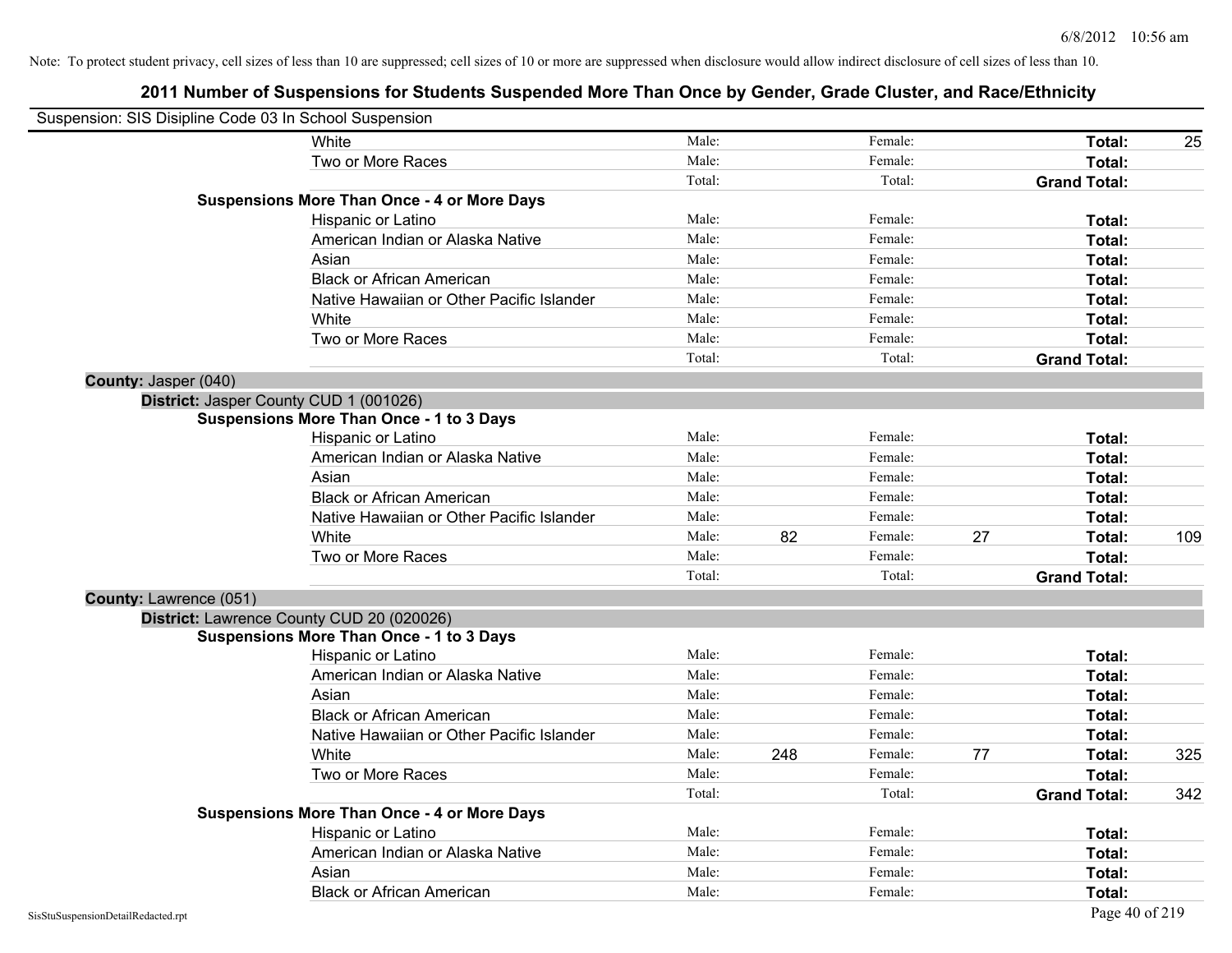| Suspension: SIS Disipline Code 03 In School Suspension |                                                    |        |     |         |    |                     |     |
|--------------------------------------------------------|----------------------------------------------------|--------|-----|---------|----|---------------------|-----|
|                                                        | <b>White</b>                                       | Male:  |     | Female: |    | Total:              | 25  |
|                                                        | Two or More Races                                  | Male:  |     | Female: |    | Total:              |     |
|                                                        |                                                    | Total: |     | Total:  |    | <b>Grand Total:</b> |     |
|                                                        | <b>Suspensions More Than Once - 4 or More Days</b> |        |     |         |    |                     |     |
|                                                        | Hispanic or Latino                                 | Male:  |     | Female: |    | Total:              |     |
|                                                        | American Indian or Alaska Native                   | Male:  |     | Female: |    | Total:              |     |
|                                                        | Asian                                              | Male:  |     | Female: |    | Total:              |     |
|                                                        | <b>Black or African American</b>                   | Male:  |     | Female: |    | Total:              |     |
|                                                        | Native Hawaiian or Other Pacific Islander          | Male:  |     | Female: |    | Total:              |     |
|                                                        | White                                              | Male:  |     | Female: |    | Total:              |     |
|                                                        | Two or More Races                                  | Male:  |     | Female: |    | Total:              |     |
|                                                        |                                                    | Total: |     | Total:  |    | <b>Grand Total:</b> |     |
| County: Jasper (040)                                   |                                                    |        |     |         |    |                     |     |
|                                                        | District: Jasper County CUD 1 (001026)             |        |     |         |    |                     |     |
|                                                        | <b>Suspensions More Than Once - 1 to 3 Days</b>    |        |     |         |    |                     |     |
|                                                        | Hispanic or Latino                                 | Male:  |     | Female: |    | Total:              |     |
|                                                        | American Indian or Alaska Native                   | Male:  |     | Female: |    | Total:              |     |
|                                                        | Asian                                              | Male:  |     | Female: |    | Total:              |     |
|                                                        | <b>Black or African American</b>                   | Male:  |     | Female: |    | Total:              |     |
|                                                        | Native Hawaiian or Other Pacific Islander          | Male:  |     | Female: |    | Total:              |     |
|                                                        | White                                              | Male:  | 82  | Female: | 27 | Total:              | 109 |
|                                                        | Two or More Races                                  | Male:  |     | Female: |    | Total:              |     |
|                                                        |                                                    | Total: |     | Total:  |    | <b>Grand Total:</b> |     |
| County: Lawrence (051)                                 |                                                    |        |     |         |    |                     |     |
|                                                        | District: Lawrence County CUD 20 (020026)          |        |     |         |    |                     |     |
|                                                        | <b>Suspensions More Than Once - 1 to 3 Days</b>    |        |     |         |    |                     |     |
|                                                        | Hispanic or Latino                                 | Male:  |     | Female: |    | Total:              |     |
|                                                        | American Indian or Alaska Native                   | Male:  |     | Female: |    | Total:              |     |
|                                                        | Asian                                              | Male:  |     | Female: |    | Total:              |     |
|                                                        | <b>Black or African American</b>                   | Male:  |     | Female: |    | Total:              |     |
|                                                        | Native Hawaiian or Other Pacific Islander          | Male:  |     | Female: |    | Total:              |     |
|                                                        | White                                              | Male:  | 248 | Female: | 77 | Total:              | 325 |
|                                                        | Two or More Races                                  | Male:  |     | Female: |    | Total:              |     |
|                                                        |                                                    | Total: |     | Total:  |    | <b>Grand Total:</b> | 342 |
|                                                        | <b>Suspensions More Than Once - 4 or More Days</b> |        |     |         |    |                     |     |
|                                                        | Hispanic or Latino                                 | Male:  |     | Female: |    | Total:              |     |
|                                                        | American Indian or Alaska Native                   | Male:  |     | Female: |    | Total:              |     |
|                                                        | Asian                                              | Male:  |     | Female: |    | Total:              |     |
|                                                        | <b>Black or African American</b>                   | Male:  |     | Female: |    | Total:              |     |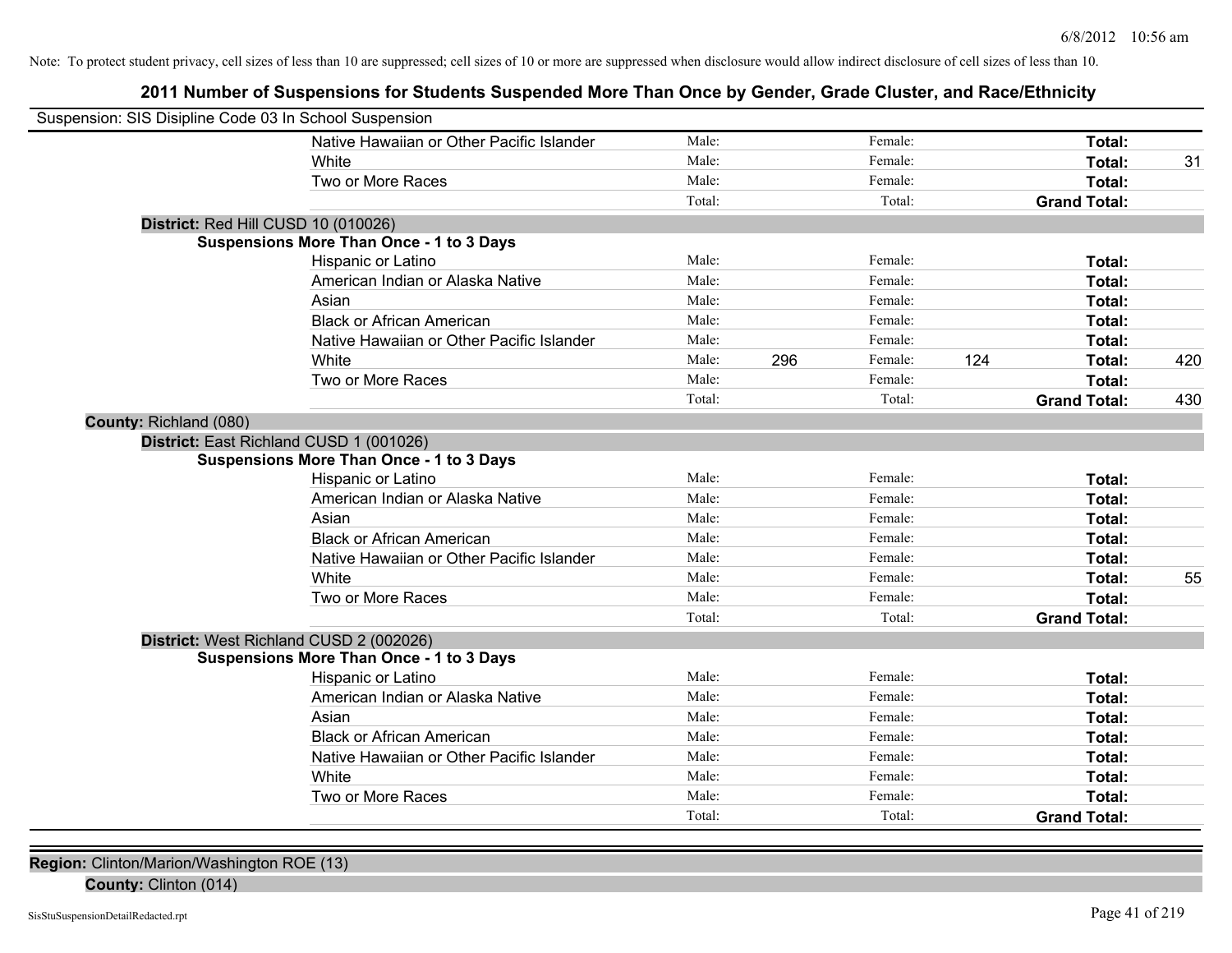## **2011 Number of Suspensions for Students Suspended More Than Once by Gender, Grade Cluster, and Race/Ethnicity**

| Suspension: SIS Disipline Code 03 In School Suspension |        |     |         |     |                     |     |
|--------------------------------------------------------|--------|-----|---------|-----|---------------------|-----|
| Native Hawaiian or Other Pacific Islander              | Male:  |     | Female: |     | Total:              |     |
| White                                                  | Male:  |     | Female: |     | Total:              | 31  |
| Two or More Races                                      | Male:  |     | Female: |     | Total:              |     |
|                                                        | Total: |     | Total:  |     | <b>Grand Total:</b> |     |
| District: Red Hill CUSD 10 (010026)                    |        |     |         |     |                     |     |
| Suspensions More Than Once - 1 to 3 Days               |        |     |         |     |                     |     |
| Hispanic or Latino                                     | Male:  |     | Female: |     | Total:              |     |
| American Indian or Alaska Native                       | Male:  |     | Female: |     | Total:              |     |
| Asian                                                  | Male:  |     | Female: |     | Total:              |     |
| <b>Black or African American</b>                       | Male:  |     | Female: |     | Total:              |     |
| Native Hawaiian or Other Pacific Islander              | Male:  |     | Female: |     | Total:              |     |
| White                                                  | Male:  | 296 | Female: | 124 | Total:              | 420 |
| Two or More Races                                      | Male:  |     | Female: |     | Total:              |     |
|                                                        | Total: |     | Total:  |     | <b>Grand Total:</b> | 430 |
| County: Richland (080)                                 |        |     |         |     |                     |     |
| District: East Richland CUSD 1 (001026)                |        |     |         |     |                     |     |
| <b>Suspensions More Than Once - 1 to 3 Days</b>        |        |     |         |     |                     |     |
| Hispanic or Latino                                     | Male:  |     | Female: |     | Total:              |     |
| American Indian or Alaska Native                       | Male:  |     | Female: |     | Total:              |     |
| Asian                                                  | Male:  |     | Female: |     | Total:              |     |
| <b>Black or African American</b>                       | Male:  |     | Female: |     | Total:              |     |
| Native Hawaiian or Other Pacific Islander              | Male:  |     | Female: |     | Total:              |     |
| White                                                  | Male:  |     | Female: |     | Total:              | 55  |
| Two or More Races                                      | Male:  |     | Female: |     | Total:              |     |
|                                                        | Total: |     | Total:  |     | <b>Grand Total:</b> |     |
| District: West Richland CUSD 2 (002026)                |        |     |         |     |                     |     |
| <b>Suspensions More Than Once - 1 to 3 Days</b>        |        |     |         |     |                     |     |
| Hispanic or Latino                                     | Male:  |     | Female: |     | Total:              |     |
| American Indian or Alaska Native                       | Male:  |     | Female: |     | Total:              |     |
| Asian                                                  | Male:  |     | Female: |     | Total:              |     |
| <b>Black or African American</b>                       | Male:  |     | Female: |     | Total:              |     |
| Native Hawaiian or Other Pacific Islander              | Male:  |     | Female: |     | Total:              |     |
| White                                                  | Male:  |     | Female: |     | Total:              |     |
| Two or More Races                                      | Male:  |     | Female: |     | Total:              |     |
|                                                        | Total: |     | Total:  |     | <b>Grand Total:</b> |     |

**Region:** Clinton/Marion/Washington ROE (13)

**County:** Clinton (014)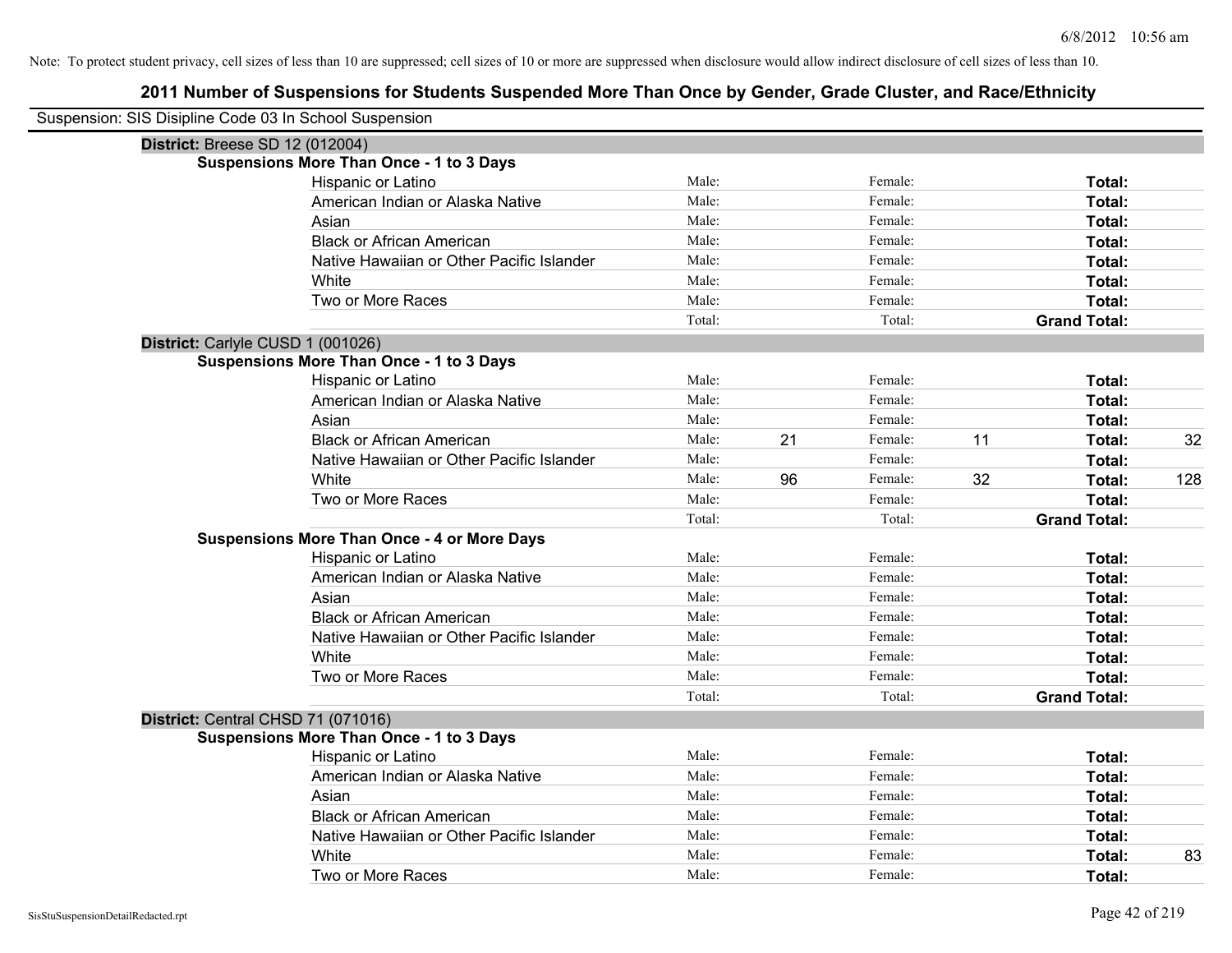| Suspension: SIS Disipline Code 03 In School Suspension |                                                    |        |    |         |    |                     |     |
|--------------------------------------------------------|----------------------------------------------------|--------|----|---------|----|---------------------|-----|
| <b>District: Breese SD 12 (012004)</b>                 |                                                    |        |    |         |    |                     |     |
|                                                        | <b>Suspensions More Than Once - 1 to 3 Days</b>    |        |    |         |    |                     |     |
|                                                        | Hispanic or Latino                                 | Male:  |    | Female: |    | Total:              |     |
|                                                        | American Indian or Alaska Native                   | Male:  |    | Female: |    | Total:              |     |
|                                                        | Asian                                              | Male:  |    | Female: |    | Total:              |     |
|                                                        | <b>Black or African American</b>                   | Male:  |    | Female: |    | Total:              |     |
|                                                        | Native Hawaiian or Other Pacific Islander          | Male:  |    | Female: |    | Total:              |     |
|                                                        | White                                              | Male:  |    | Female: |    | Total:              |     |
|                                                        | Two or More Races                                  | Male:  |    | Female: |    | Total:              |     |
|                                                        |                                                    | Total: |    | Total:  |    | <b>Grand Total:</b> |     |
| District: Carlyle CUSD 1 (001026)                      |                                                    |        |    |         |    |                     |     |
|                                                        | <b>Suspensions More Than Once - 1 to 3 Days</b>    |        |    |         |    |                     |     |
|                                                        | Hispanic or Latino                                 | Male:  |    | Female: |    | Total:              |     |
|                                                        | American Indian or Alaska Native                   | Male:  |    | Female: |    | Total:              |     |
|                                                        | Asian                                              | Male:  |    | Female: |    | Total:              |     |
|                                                        | <b>Black or African American</b>                   | Male:  | 21 | Female: | 11 | Total:              | 32  |
|                                                        | Native Hawaiian or Other Pacific Islander          | Male:  |    | Female: |    | Total:              |     |
|                                                        | White                                              | Male:  | 96 | Female: | 32 | Total:              | 128 |
|                                                        | Two or More Races                                  | Male:  |    | Female: |    | Total:              |     |
|                                                        |                                                    | Total: |    | Total:  |    | <b>Grand Total:</b> |     |
|                                                        | <b>Suspensions More Than Once - 4 or More Days</b> |        |    |         |    |                     |     |
|                                                        | Hispanic or Latino                                 | Male:  |    | Female: |    | Total:              |     |
|                                                        | American Indian or Alaska Native                   | Male:  |    | Female: |    | Total:              |     |
|                                                        | Asian                                              | Male:  |    | Female: |    | Total:              |     |
|                                                        | <b>Black or African American</b>                   | Male:  |    | Female: |    | Total:              |     |
|                                                        | Native Hawaiian or Other Pacific Islander          | Male:  |    | Female: |    | Total:              |     |
|                                                        | White                                              | Male:  |    | Female: |    | Total:              |     |
|                                                        | Two or More Races                                  | Male:  |    | Female: |    | Total:              |     |
|                                                        |                                                    | Total: |    | Total:  |    | <b>Grand Total:</b> |     |
| District: Central CHSD 71 (071016)                     |                                                    |        |    |         |    |                     |     |
|                                                        | <b>Suspensions More Than Once - 1 to 3 Days</b>    |        |    |         |    |                     |     |
|                                                        | Hispanic or Latino                                 | Male:  |    | Female: |    | Total:              |     |
|                                                        | American Indian or Alaska Native                   | Male:  |    | Female: |    | Total:              |     |
|                                                        | Asian                                              | Male:  |    | Female: |    | Total:              |     |
|                                                        | <b>Black or African American</b>                   | Male:  |    | Female: |    | Total:              |     |
|                                                        | Native Hawaiian or Other Pacific Islander          | Male:  |    | Female: |    | Total:              |     |
|                                                        | White                                              | Male:  |    | Female: |    | <b>Total:</b>       | 83  |
|                                                        | Two or More Races                                  | Male:  |    | Female: |    | Total:              |     |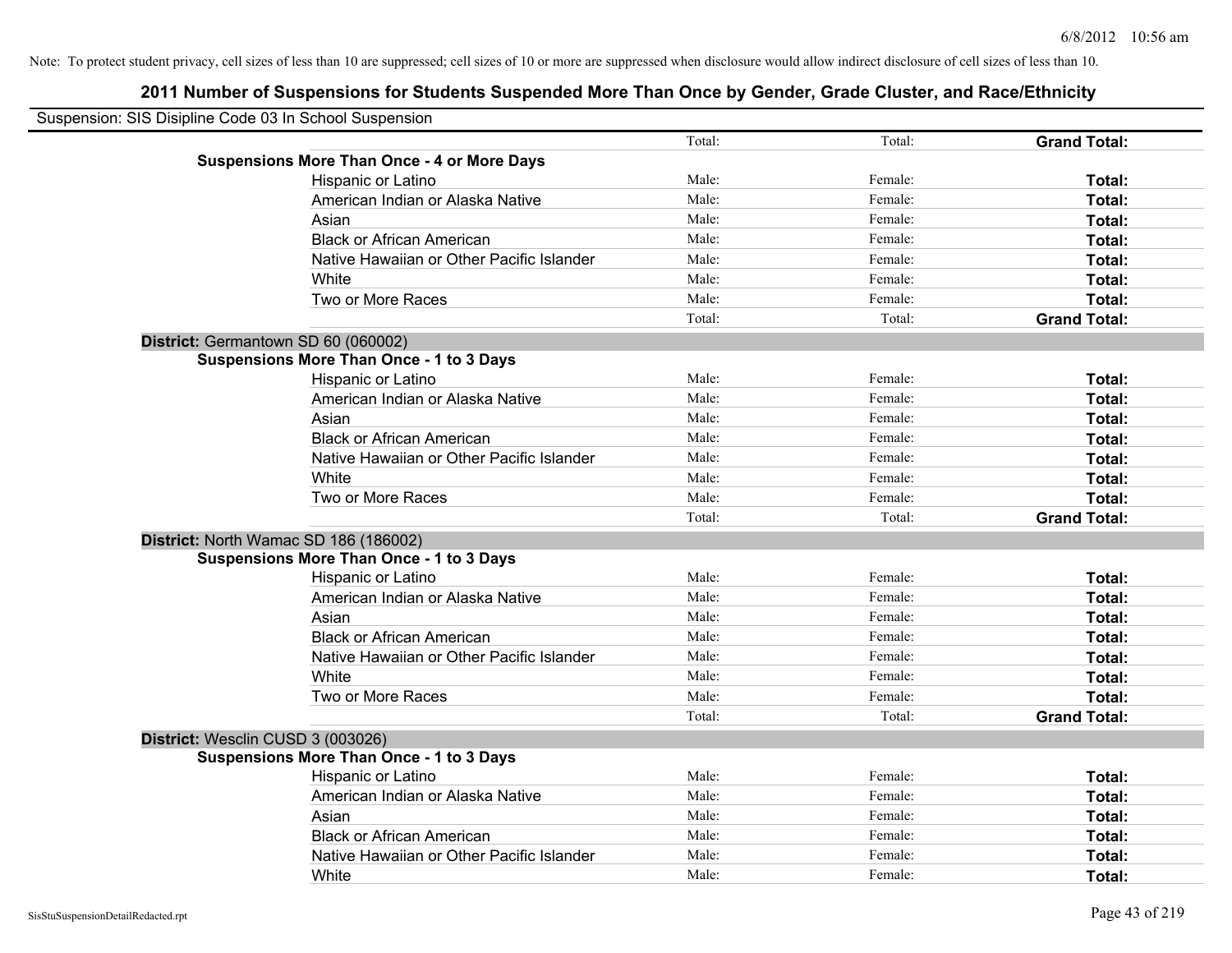| Suspension: SIS Disipline Code 03 In School Suspension |                                                    |        |         |                     |
|--------------------------------------------------------|----------------------------------------------------|--------|---------|---------------------|
|                                                        |                                                    | Total: | Total:  | <b>Grand Total:</b> |
|                                                        | <b>Suspensions More Than Once - 4 or More Days</b> |        |         |                     |
|                                                        | Hispanic or Latino                                 | Male:  | Female: | Total:              |
|                                                        | American Indian or Alaska Native                   | Male:  | Female: | Total:              |
|                                                        | Asian                                              | Male:  | Female: | Total:              |
|                                                        | <b>Black or African American</b>                   | Male:  | Female: | Total:              |
|                                                        | Native Hawaiian or Other Pacific Islander          | Male:  | Female: | Total:              |
|                                                        | White                                              | Male:  | Female: | Total:              |
|                                                        | Two or More Races                                  | Male:  | Female: | Total:              |
|                                                        |                                                    | Total: | Total:  | <b>Grand Total:</b> |
| District: Germantown SD 60 (060002)                    |                                                    |        |         |                     |
|                                                        | <b>Suspensions More Than Once - 1 to 3 Days</b>    |        |         |                     |
|                                                        | Hispanic or Latino                                 | Male:  | Female: | Total:              |
|                                                        | American Indian or Alaska Native                   | Male:  | Female: | Total:              |
|                                                        | Asian                                              | Male:  | Female: | Total:              |
|                                                        | <b>Black or African American</b>                   | Male:  | Female: | Total:              |
|                                                        | Native Hawaiian or Other Pacific Islander          | Male:  | Female: | Total:              |
|                                                        | White                                              | Male:  | Female: | Total:              |
|                                                        | Two or More Races                                  | Male:  | Female: | Total:              |
|                                                        |                                                    | Total: | Total:  | <b>Grand Total:</b> |
|                                                        | District: North Wamac SD 186 (186002)              |        |         |                     |
|                                                        | <b>Suspensions More Than Once - 1 to 3 Days</b>    |        |         |                     |
|                                                        | Hispanic or Latino                                 | Male:  | Female: | Total:              |
|                                                        | American Indian or Alaska Native                   | Male:  | Female: | Total:              |
|                                                        | Asian                                              | Male:  | Female: | Total:              |
|                                                        | <b>Black or African American</b>                   | Male:  | Female: | Total:              |
|                                                        | Native Hawaiian or Other Pacific Islander          | Male:  | Female: | Total:              |
|                                                        | White                                              | Male:  | Female: | Total:              |
|                                                        | Two or More Races                                  | Male:  | Female: | Total:              |
|                                                        |                                                    | Total: | Total:  | <b>Grand Total:</b> |
| District: Wesclin CUSD 3 (003026)                      |                                                    |        |         |                     |
|                                                        | <b>Suspensions More Than Once - 1 to 3 Days</b>    |        |         |                     |
|                                                        | Hispanic or Latino                                 | Male:  | Female: | Total:              |
|                                                        | American Indian or Alaska Native                   | Male:  | Female: | Total:              |
|                                                        | Asian                                              | Male:  | Female: | Total:              |
|                                                        | <b>Black or African American</b>                   | Male:  | Female: | Total:              |
|                                                        | Native Hawaiian or Other Pacific Islander          | Male:  | Female: | <b>Total:</b>       |
|                                                        | White                                              | Male:  | Female: | Total:              |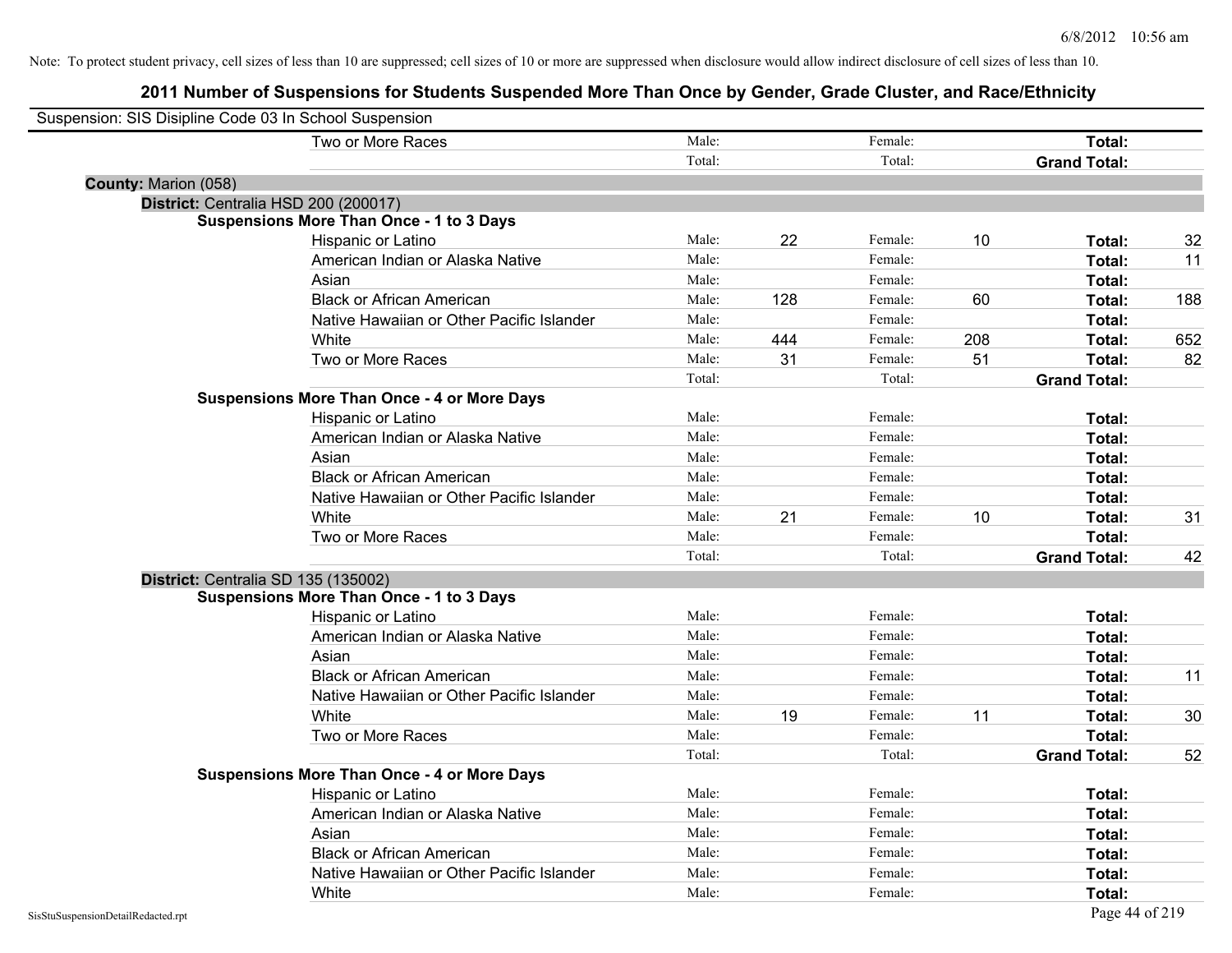| Suspension: SIS Disipline Code 03 In School Suspension |                                                    |        |     |         |     |                     |     |
|--------------------------------------------------------|----------------------------------------------------|--------|-----|---------|-----|---------------------|-----|
|                                                        | Two or More Races                                  | Male:  |     | Female: |     | Total:              |     |
|                                                        |                                                    | Total: |     | Total:  |     | <b>Grand Total:</b> |     |
| County: Marion (058)                                   |                                                    |        |     |         |     |                     |     |
| District: Centralia HSD 200 (200017)                   |                                                    |        |     |         |     |                     |     |
|                                                        | <b>Suspensions More Than Once - 1 to 3 Days</b>    |        |     |         |     |                     |     |
|                                                        | Hispanic or Latino                                 | Male:  | 22  | Female: | 10  | Total:              | 32  |
|                                                        | American Indian or Alaska Native                   | Male:  |     | Female: |     | Total:              | 11  |
|                                                        | Asian                                              | Male:  |     | Female: |     | Total:              |     |
|                                                        | <b>Black or African American</b>                   | Male:  | 128 | Female: | 60  | Total:              | 188 |
|                                                        | Native Hawaiian or Other Pacific Islander          | Male:  |     | Female: |     | Total:              |     |
|                                                        | White                                              | Male:  | 444 | Female: | 208 | Total:              | 652 |
|                                                        | Two or More Races                                  | Male:  | 31  | Female: | 51  | Total:              | 82  |
|                                                        |                                                    | Total: |     | Total:  |     | <b>Grand Total:</b> |     |
|                                                        | <b>Suspensions More Than Once - 4 or More Days</b> |        |     |         |     |                     |     |
|                                                        | Hispanic or Latino                                 | Male:  |     | Female: |     | Total:              |     |
|                                                        | American Indian or Alaska Native                   | Male:  |     | Female: |     | Total:              |     |
|                                                        | Asian                                              | Male:  |     | Female: |     | Total:              |     |
|                                                        | <b>Black or African American</b>                   | Male:  |     | Female: |     | Total:              |     |
|                                                        | Native Hawaiian or Other Pacific Islander          | Male:  |     | Female: |     | Total:              |     |
|                                                        | White                                              | Male:  | 21  | Female: | 10  | Total:              | 31  |
|                                                        | Two or More Races                                  | Male:  |     | Female: |     | Total:              |     |
|                                                        |                                                    | Total: |     | Total:  |     | <b>Grand Total:</b> | 42  |
| District: Centralia SD 135 (135002)                    |                                                    |        |     |         |     |                     |     |
|                                                        | <b>Suspensions More Than Once - 1 to 3 Days</b>    |        |     |         |     |                     |     |
|                                                        | Hispanic or Latino                                 | Male:  |     | Female: |     | Total:              |     |
|                                                        | American Indian or Alaska Native                   | Male:  |     | Female: |     | Total:              |     |
|                                                        | Asian                                              | Male:  |     | Female: |     | Total:              |     |
|                                                        | <b>Black or African American</b>                   | Male:  |     | Female: |     | Total:              | 11  |
|                                                        | Native Hawaiian or Other Pacific Islander          | Male:  |     | Female: |     | Total:              |     |
|                                                        | White                                              | Male:  | 19  | Female: | 11  | Total:              | 30  |
|                                                        | Two or More Races                                  | Male:  |     | Female: |     | Total:              |     |
|                                                        |                                                    | Total: |     | Total:  |     | <b>Grand Total:</b> | 52  |
|                                                        | <b>Suspensions More Than Once - 4 or More Days</b> |        |     |         |     |                     |     |
|                                                        | Hispanic or Latino                                 | Male:  |     | Female: |     | Total:              |     |
|                                                        | American Indian or Alaska Native                   | Male:  |     | Female: |     | Total:              |     |
|                                                        | Asian                                              | Male:  |     | Female: |     | Total:              |     |
|                                                        | <b>Black or African American</b>                   | Male:  |     | Female: |     | Total:              |     |
|                                                        | Native Hawaiian or Other Pacific Islander          | Male:  |     | Female: |     | Total:              |     |
|                                                        | White                                              | Male:  |     | Female: |     | Total:              |     |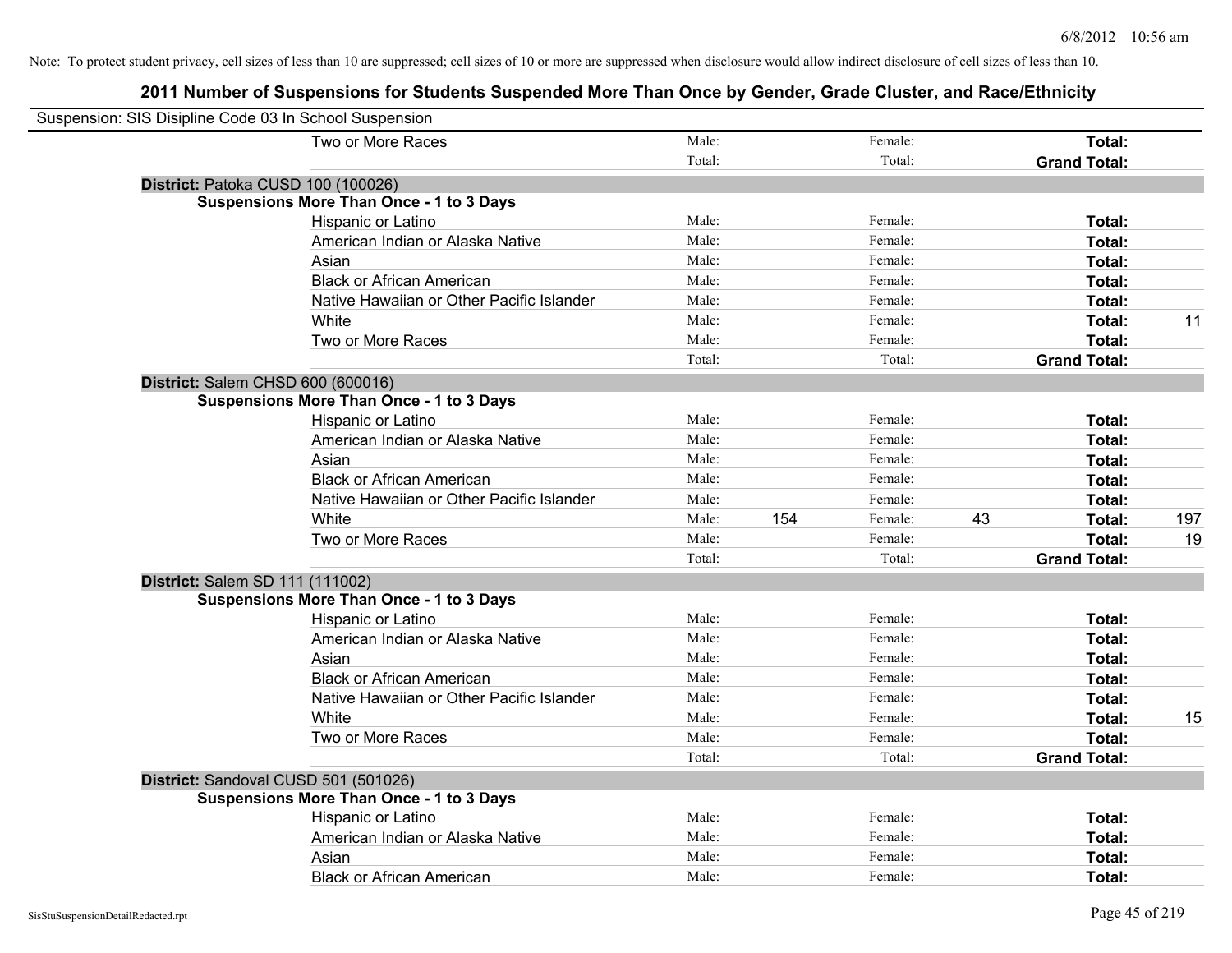| Suspension: SIS Disipline Code 03 In School Suspension |        |     |         |    |                     |     |
|--------------------------------------------------------|--------|-----|---------|----|---------------------|-----|
| Two or More Races                                      | Male:  |     | Female: |    | Total:              |     |
|                                                        | Total: |     | Total:  |    | <b>Grand Total:</b> |     |
| District: Patoka CUSD 100 (100026)                     |        |     |         |    |                     |     |
| <b>Suspensions More Than Once - 1 to 3 Days</b>        |        |     |         |    |                     |     |
| Hispanic or Latino                                     | Male:  |     | Female: |    | Total:              |     |
| American Indian or Alaska Native                       | Male:  |     | Female: |    | Total:              |     |
| Asian                                                  | Male:  |     | Female: |    | Total:              |     |
| <b>Black or African American</b>                       | Male:  |     | Female: |    | Total:              |     |
| Native Hawaiian or Other Pacific Islander              | Male:  |     | Female: |    | Total:              |     |
| White                                                  | Male:  |     | Female: |    | Total:              | 11  |
| Two or More Races                                      | Male:  |     | Female: |    | Total:              |     |
|                                                        | Total: |     | Total:  |    | <b>Grand Total:</b> |     |
| District: Salem CHSD 600 (600016)                      |        |     |         |    |                     |     |
| <b>Suspensions More Than Once - 1 to 3 Days</b>        |        |     |         |    |                     |     |
| Hispanic or Latino                                     | Male:  |     | Female: |    | Total:              |     |
| American Indian or Alaska Native                       | Male:  |     | Female: |    | Total:              |     |
| Asian                                                  | Male:  |     | Female: |    | Total:              |     |
| <b>Black or African American</b>                       | Male:  |     | Female: |    | Total:              |     |
| Native Hawaiian or Other Pacific Islander              | Male:  |     | Female: |    | Total:              |     |
| White                                                  | Male:  | 154 | Female: | 43 | Total:              | 197 |
| Two or More Races                                      | Male:  |     | Female: |    | Total:              | 19  |
|                                                        | Total: |     | Total:  |    | <b>Grand Total:</b> |     |
| District: Salem SD 111 (111002)                        |        |     |         |    |                     |     |
| <b>Suspensions More Than Once - 1 to 3 Days</b>        |        |     |         |    |                     |     |
| Hispanic or Latino                                     | Male:  |     | Female: |    | Total:              |     |
| American Indian or Alaska Native                       | Male:  |     | Female: |    | Total:              |     |
| Asian                                                  | Male:  |     | Female: |    | Total:              |     |
| <b>Black or African American</b>                       | Male:  |     | Female: |    | Total:              |     |
| Native Hawaiian or Other Pacific Islander              | Male:  |     | Female: |    | Total:              |     |
| White                                                  | Male:  |     | Female: |    | Total:              | 15  |
| Two or More Races                                      | Male:  |     | Female: |    | Total:              |     |
|                                                        | Total: |     | Total:  |    | <b>Grand Total:</b> |     |
| District: Sandoval CUSD 501 (501026)                   |        |     |         |    |                     |     |
| <b>Suspensions More Than Once - 1 to 3 Days</b>        |        |     |         |    |                     |     |
| Hispanic or Latino                                     | Male:  |     | Female: |    | Total:              |     |
| American Indian or Alaska Native                       | Male:  |     | Female: |    | Total:              |     |
| Asian                                                  | Male:  |     | Female: |    | Total:              |     |
| <b>Black or African American</b>                       | Male:  |     | Female: |    | Total:              |     |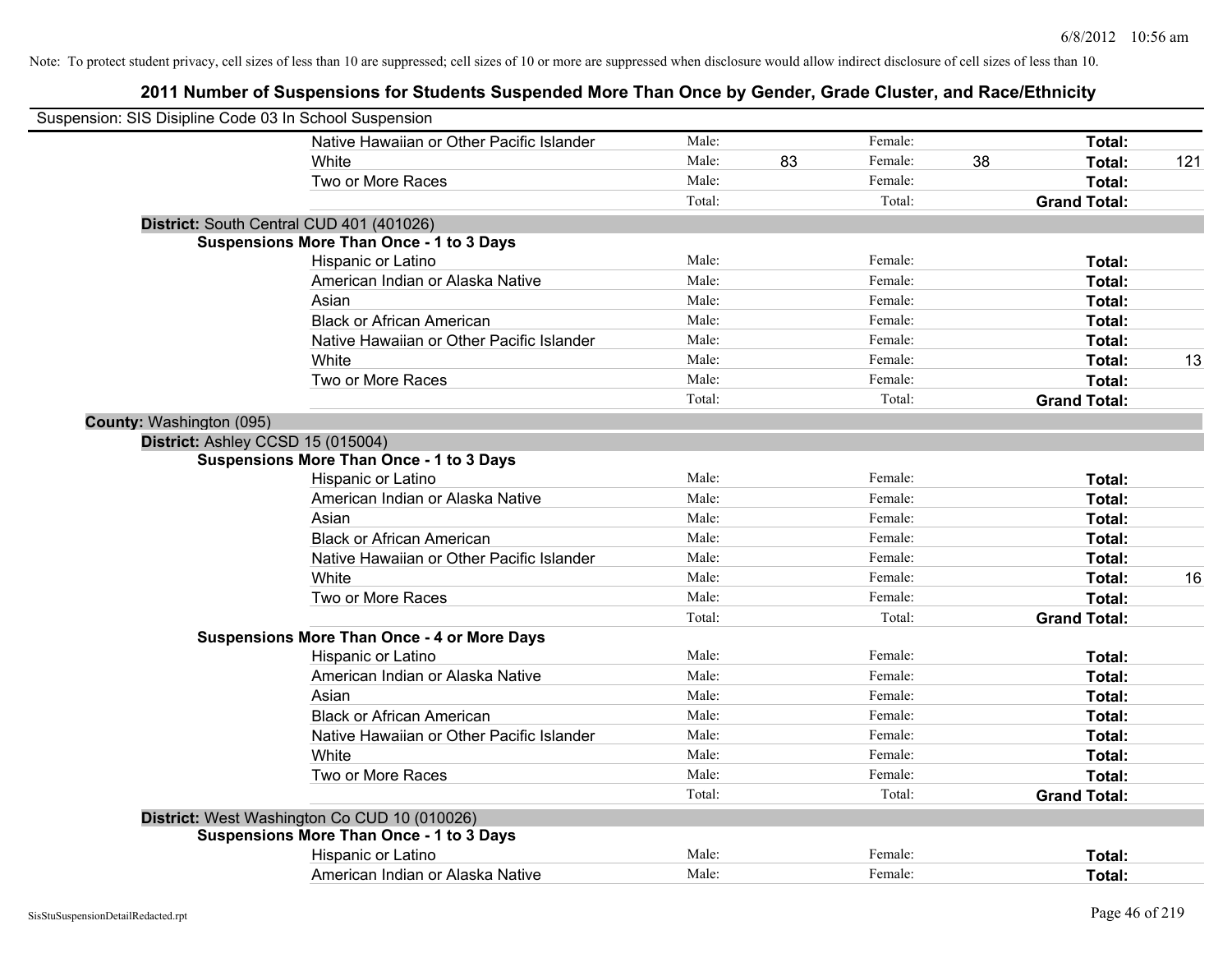| Suspension: SIS Disipline Code 03 In School Suspension |                                                    |        |    |         |    |                     |     |
|--------------------------------------------------------|----------------------------------------------------|--------|----|---------|----|---------------------|-----|
|                                                        | Native Hawaiian or Other Pacific Islander          | Male:  |    | Female: |    | Total:              |     |
|                                                        | <b>White</b>                                       | Male:  | 83 | Female: | 38 | Total:              | 121 |
|                                                        | Two or More Races                                  | Male:  |    | Female: |    | <b>Total:</b>       |     |
|                                                        |                                                    | Total: |    | Total:  |    | <b>Grand Total:</b> |     |
| District: South Central CUD 401 (401026)               |                                                    |        |    |         |    |                     |     |
|                                                        | <b>Suspensions More Than Once - 1 to 3 Days</b>    |        |    |         |    |                     |     |
|                                                        | Hispanic or Latino                                 | Male:  |    | Female: |    | Total:              |     |
|                                                        | American Indian or Alaska Native                   | Male:  |    | Female: |    | Total:              |     |
|                                                        | Asian                                              | Male:  |    | Female: |    | Total:              |     |
|                                                        | <b>Black or African American</b>                   | Male:  |    | Female: |    | Total:              |     |
|                                                        | Native Hawaiian or Other Pacific Islander          | Male:  |    | Female: |    | Total:              |     |
|                                                        | White                                              | Male:  |    | Female: |    | Total:              | 13  |
|                                                        | Two or More Races                                  | Male:  |    | Female: |    | Total:              |     |
|                                                        |                                                    | Total: |    | Total:  |    | <b>Grand Total:</b> |     |
| County: Washington (095)                               |                                                    |        |    |         |    |                     |     |
| District: Ashley CCSD 15 (015004)                      |                                                    |        |    |         |    |                     |     |
|                                                        | <b>Suspensions More Than Once - 1 to 3 Days</b>    |        |    |         |    |                     |     |
|                                                        | Hispanic or Latino                                 | Male:  |    | Female: |    | Total:              |     |
|                                                        | American Indian or Alaska Native                   | Male:  |    | Female: |    | Total:              |     |
|                                                        | Asian                                              | Male:  |    | Female: |    | Total:              |     |
|                                                        | <b>Black or African American</b>                   | Male:  |    | Female: |    | Total:              |     |
|                                                        | Native Hawaiian or Other Pacific Islander          | Male:  |    | Female: |    | Total:              |     |
|                                                        | White                                              | Male:  |    | Female: |    | Total:              | 16  |
|                                                        | Two or More Races                                  | Male:  |    | Female: |    | Total:              |     |
|                                                        |                                                    | Total: |    | Total:  |    | <b>Grand Total:</b> |     |
|                                                        | <b>Suspensions More Than Once - 4 or More Days</b> |        |    |         |    |                     |     |
|                                                        | Hispanic or Latino                                 | Male:  |    | Female: |    | Total:              |     |
|                                                        | American Indian or Alaska Native                   | Male:  |    | Female: |    | Total:              |     |
|                                                        | Asian                                              | Male:  |    | Female: |    | Total:              |     |
|                                                        | <b>Black or African American</b>                   | Male:  |    | Female: |    | Total:              |     |
|                                                        | Native Hawaiian or Other Pacific Islander          | Male:  |    | Female: |    | Total:              |     |
|                                                        | White                                              | Male:  |    | Female: |    | Total:              |     |
|                                                        | Two or More Races                                  | Male:  |    | Female: |    | Total:              |     |
|                                                        |                                                    | Total: |    | Total:  |    | <b>Grand Total:</b> |     |
|                                                        | District: West Washington Co CUD 10 (010026)       |        |    |         |    |                     |     |
|                                                        | <b>Suspensions More Than Once - 1 to 3 Days</b>    |        |    |         |    |                     |     |
|                                                        | Hispanic or Latino                                 | Male:  |    | Female: |    | Total:              |     |
|                                                        | American Indian or Alaska Native                   | Male:  |    | Female: |    | Total:              |     |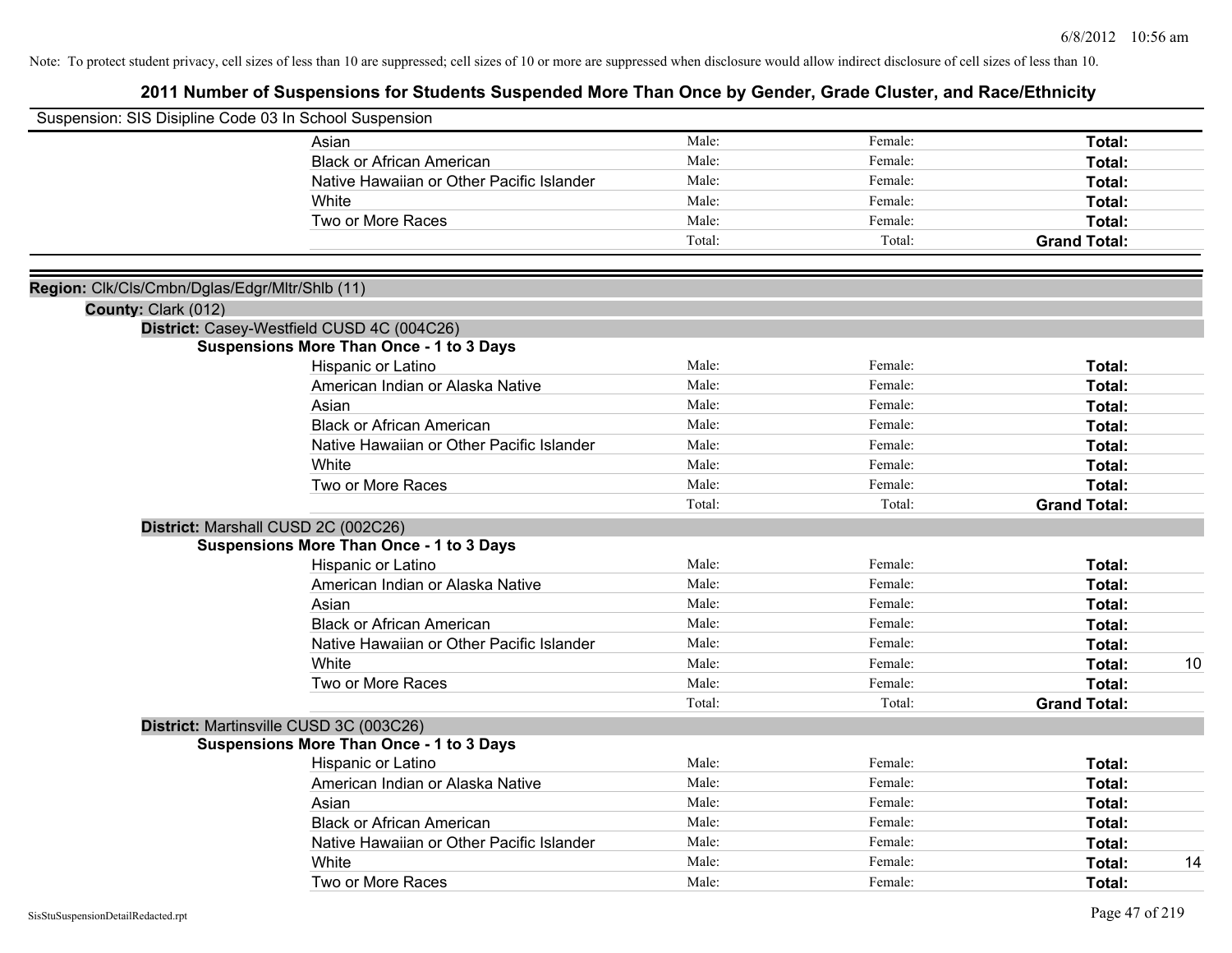| Suspension: SIS Disipline Code 03 In School Suspension                |                                                 |        |         |                     |    |
|-----------------------------------------------------------------------|-------------------------------------------------|--------|---------|---------------------|----|
|                                                                       | Asian                                           | Male:  | Female: | Total:              |    |
|                                                                       | <b>Black or African American</b>                | Male:  | Female: | Total:              |    |
|                                                                       | Native Hawaiian or Other Pacific Islander       | Male:  | Female: | Total:              |    |
|                                                                       | White                                           | Male:  | Female: | Total:              |    |
|                                                                       | Two or More Races                               | Male:  | Female: | Total:              |    |
|                                                                       |                                                 | Total: | Total:  | <b>Grand Total:</b> |    |
|                                                                       |                                                 |        |         |                     |    |
| Region: Clk/Cls/Cmbn/Dglas/Edgr/Mltr/Shlb (11)<br>County: Clark (012) |                                                 |        |         |                     |    |
|                                                                       | District: Casey-Westfield CUSD 4C (004C26)      |        |         |                     |    |
|                                                                       | <b>Suspensions More Than Once - 1 to 3 Days</b> |        |         |                     |    |
|                                                                       | Hispanic or Latino                              | Male:  | Female: | Total:              |    |
|                                                                       | American Indian or Alaska Native                | Male:  | Female: | Total:              |    |
|                                                                       | Asian                                           | Male:  | Female: | Total:              |    |
|                                                                       | <b>Black or African American</b>                | Male:  | Female: | Total:              |    |
|                                                                       | Native Hawaiian or Other Pacific Islander       | Male:  | Female: | Total:              |    |
|                                                                       | White                                           | Male:  | Female: | Total:              |    |
|                                                                       | Two or More Races                               | Male:  | Female: | Total:              |    |
|                                                                       |                                                 | Total: | Total:  | <b>Grand Total:</b> |    |
|                                                                       | District: Marshall CUSD 2C (002C26)             |        |         |                     |    |
|                                                                       | <b>Suspensions More Than Once - 1 to 3 Days</b> |        |         |                     |    |
|                                                                       | Hispanic or Latino                              | Male:  | Female: | Total:              |    |
|                                                                       | American Indian or Alaska Native                | Male:  | Female: | Total:              |    |
|                                                                       | Asian                                           | Male:  | Female: | Total:              |    |
|                                                                       | <b>Black or African American</b>                | Male:  | Female: | Total:              |    |
|                                                                       | Native Hawaiian or Other Pacific Islander       | Male:  | Female: | Total:              |    |
|                                                                       | White                                           | Male:  | Female: | Total:              | 10 |
|                                                                       | Two or More Races                               | Male:  | Female: | Total:              |    |
|                                                                       |                                                 | Total: | Total:  | <b>Grand Total:</b> |    |
|                                                                       | District: Martinsville CUSD 3C (003C26)         |        |         |                     |    |
|                                                                       | <b>Suspensions More Than Once - 1 to 3 Days</b> |        |         |                     |    |
|                                                                       | Hispanic or Latino                              | Male:  | Female: | Total:              |    |
|                                                                       | American Indian or Alaska Native                | Male:  | Female: | Total:              |    |
|                                                                       | Asian                                           | Male:  | Female: | Total:              |    |
|                                                                       | <b>Black or African American</b>                | Male:  | Female: | Total:              |    |
|                                                                       | Native Hawaiian or Other Pacific Islander       | Male:  | Female: | Total:              |    |
|                                                                       | White                                           | Male:  | Female: | Total:              | 14 |
|                                                                       | Two or More Races                               | Male:  | Female: | Total:              |    |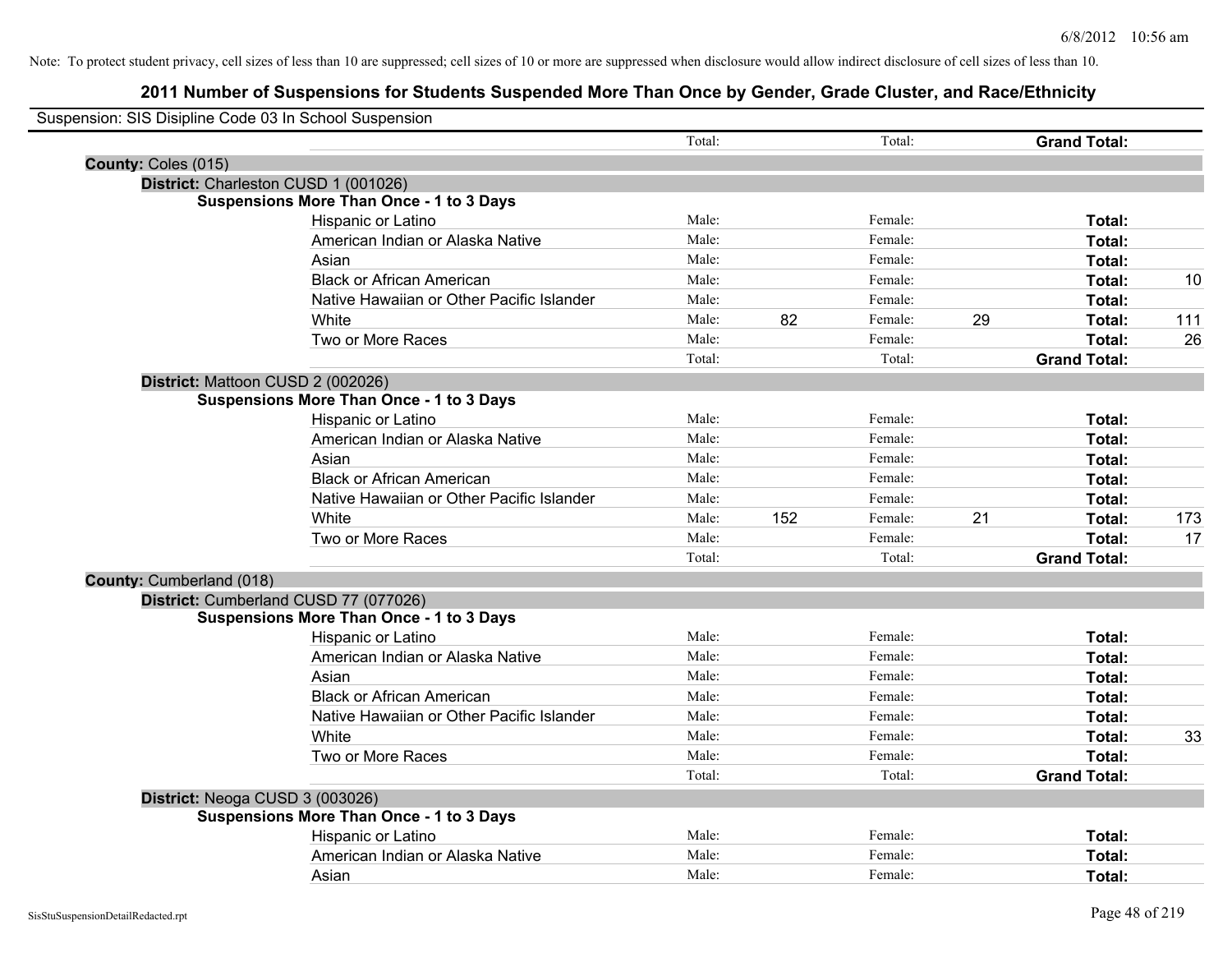| Suspension: SIS Disipline Code 03 In School Suspension |                                                 |        |     |         |    |                     |     |
|--------------------------------------------------------|-------------------------------------------------|--------|-----|---------|----|---------------------|-----|
|                                                        |                                                 | Total: |     | Total:  |    | <b>Grand Total:</b> |     |
| County: Coles (015)                                    |                                                 |        |     |         |    |                     |     |
|                                                        | District: Charleston CUSD 1 (001026)            |        |     |         |    |                     |     |
|                                                        | <b>Suspensions More Than Once - 1 to 3 Days</b> |        |     |         |    |                     |     |
|                                                        | Hispanic or Latino                              | Male:  |     | Female: |    | Total:              |     |
|                                                        | American Indian or Alaska Native                | Male:  |     | Female: |    | Total:              |     |
|                                                        | Asian                                           | Male:  |     | Female: |    | Total:              |     |
|                                                        | <b>Black or African American</b>                | Male:  |     | Female: |    | Total:              | 10  |
|                                                        | Native Hawaiian or Other Pacific Islander       | Male:  |     | Female: |    | Total:              |     |
|                                                        | White                                           | Male:  | 82  | Female: | 29 | Total:              | 111 |
|                                                        | Two or More Races                               | Male:  |     | Female: |    | Total:              | 26  |
|                                                        |                                                 | Total: |     | Total:  |    | <b>Grand Total:</b> |     |
|                                                        | District: Mattoon CUSD 2 (002026)               |        |     |         |    |                     |     |
|                                                        | <b>Suspensions More Than Once - 1 to 3 Days</b> |        |     |         |    |                     |     |
|                                                        | Hispanic or Latino                              | Male:  |     | Female: |    | Total:              |     |
|                                                        | American Indian or Alaska Native                | Male:  |     | Female: |    | Total:              |     |
|                                                        | Asian                                           | Male:  |     | Female: |    | Total:              |     |
|                                                        | <b>Black or African American</b>                | Male:  |     | Female: |    | Total:              |     |
|                                                        | Native Hawaiian or Other Pacific Islander       | Male:  |     | Female: |    | Total:              |     |
|                                                        | White                                           | Male:  | 152 | Female: | 21 | Total:              | 173 |
|                                                        | Two or More Races                               | Male:  |     | Female: |    | Total:              | 17  |
|                                                        |                                                 | Total: |     | Total:  |    | <b>Grand Total:</b> |     |
| County: Cumberland (018)                               |                                                 |        |     |         |    |                     |     |
|                                                        | District: Cumberland CUSD 77 (077026)           |        |     |         |    |                     |     |
|                                                        | <b>Suspensions More Than Once - 1 to 3 Days</b> |        |     |         |    |                     |     |
|                                                        | Hispanic or Latino                              | Male:  |     | Female: |    | Total:              |     |
|                                                        | American Indian or Alaska Native                | Male:  |     | Female: |    | Total:              |     |
|                                                        | Asian                                           | Male:  |     | Female: |    | Total:              |     |
|                                                        | <b>Black or African American</b>                | Male:  |     | Female: |    | Total:              |     |
|                                                        | Native Hawaiian or Other Pacific Islander       | Male:  |     | Female: |    | Total:              |     |
|                                                        | White                                           | Male:  |     | Female: |    | Total:              | 33  |
|                                                        | Two or More Races                               | Male:  |     | Female: |    | Total:              |     |
|                                                        |                                                 | Total: |     | Total:  |    | <b>Grand Total:</b> |     |
| District: Neoga CUSD 3 (003026)                        |                                                 |        |     |         |    |                     |     |
|                                                        | <b>Suspensions More Than Once - 1 to 3 Days</b> |        |     |         |    |                     |     |
|                                                        | Hispanic or Latino                              | Male:  |     | Female: |    | Total:              |     |
|                                                        | American Indian or Alaska Native                | Male:  |     | Female: |    | Total:              |     |
|                                                        | Asian                                           | Male:  |     | Female: |    | Total:              |     |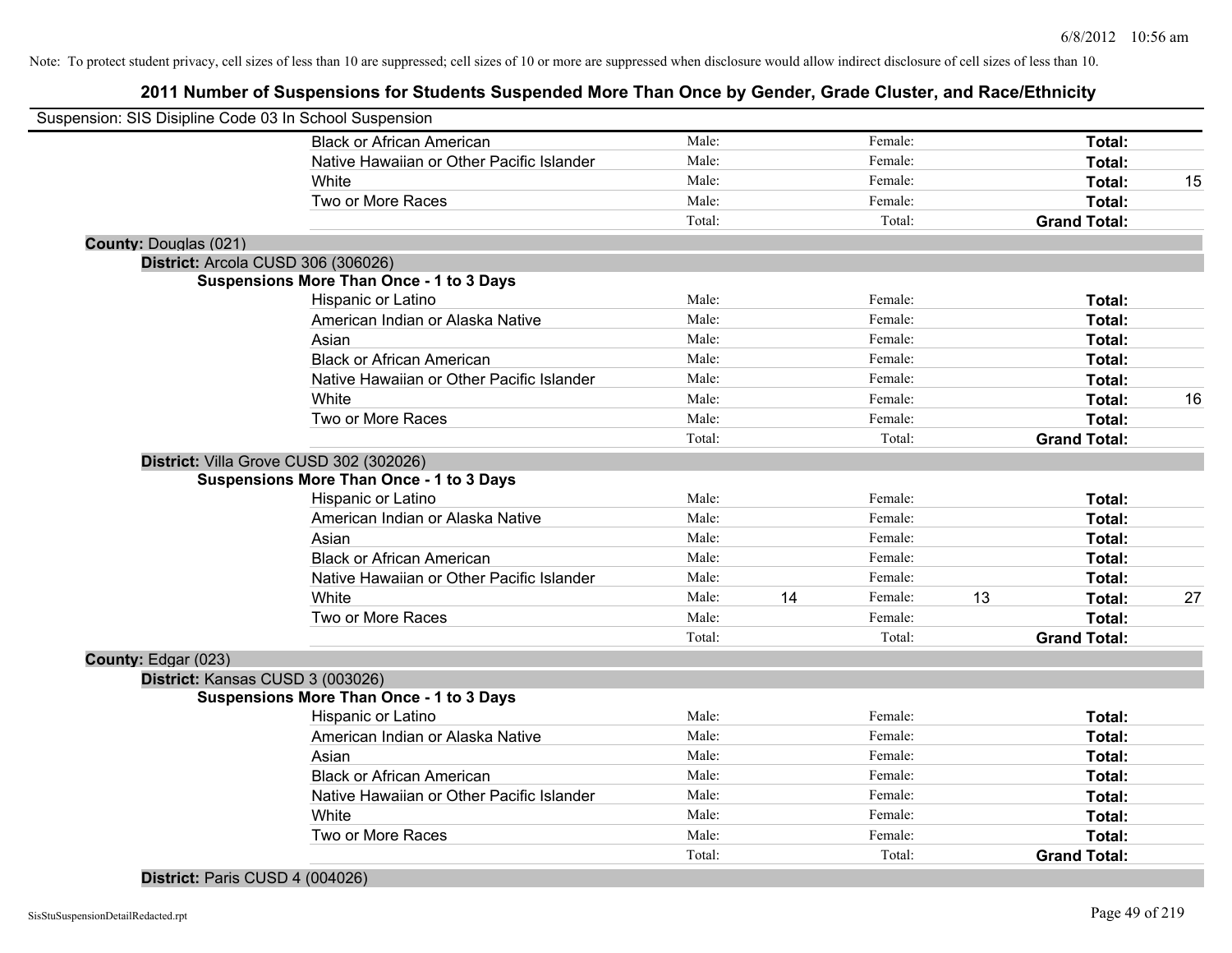## **2011 Number of Suspensions for Students Suspended More Than Once by Gender, Grade Cluster, and Race/Ethnicity**

| Suspension: SIS Disipline Code 03 In School Suspension |                                                 |        |               |                     |        |    |
|--------------------------------------------------------|-------------------------------------------------|--------|---------------|---------------------|--------|----|
|                                                        | <b>Black or African American</b>                | Male:  | Female:       |                     | Total: |    |
|                                                        | Native Hawaiian or Other Pacific Islander       | Male:  | Female:       |                     | Total: |    |
|                                                        | White                                           | Male:  | Female:       |                     | Total: | 15 |
|                                                        | Two or More Races                               | Male:  | Female:       |                     | Total: |    |
|                                                        |                                                 | Total: | Total:        | <b>Grand Total:</b> |        |    |
| <b>County: Douglas (021)</b>                           |                                                 |        |               |                     |        |    |
| District: Arcola CUSD 306 (306026)                     |                                                 |        |               |                     |        |    |
|                                                        | <b>Suspensions More Than Once - 1 to 3 Days</b> |        |               |                     |        |    |
|                                                        | Hispanic or Latino                              | Male:  | Female:       |                     | Total: |    |
|                                                        | American Indian or Alaska Native                | Male:  | Female:       |                     | Total: |    |
|                                                        | Asian                                           | Male:  | Female:       |                     | Total: |    |
|                                                        | <b>Black or African American</b>                | Male:  | Female:       |                     | Total: |    |
|                                                        | Native Hawaiian or Other Pacific Islander       | Male:  | Female:       |                     | Total: |    |
|                                                        | White                                           | Male:  | Female:       |                     | Total: | 16 |
|                                                        | Two or More Races                               | Male:  | Female:       |                     | Total: |    |
|                                                        |                                                 | Total: | Total:        | <b>Grand Total:</b> |        |    |
| District: Villa Grove CUSD 302 (302026)                |                                                 |        |               |                     |        |    |
|                                                        | <b>Suspensions More Than Once - 1 to 3 Days</b> |        |               |                     |        |    |
|                                                        | Hispanic or Latino                              | Male:  | Female:       |                     | Total: |    |
|                                                        | American Indian or Alaska Native                | Male:  | Female:       |                     | Total: |    |
|                                                        | Asian                                           | Male:  | Female:       |                     | Total: |    |
|                                                        | <b>Black or African American</b>                | Male:  | Female:       |                     | Total: |    |
|                                                        | Native Hawaiian or Other Pacific Islander       | Male:  | Female:       |                     | Total: |    |
|                                                        | White                                           | Male:  | 14<br>Female: | 13                  | Total: | 27 |
|                                                        | Two or More Races                               | Male:  | Female:       |                     | Total: |    |
|                                                        |                                                 | Total: | Total:        | <b>Grand Total:</b> |        |    |
| County: Edgar (023)                                    |                                                 |        |               |                     |        |    |
| District: Kansas CUSD 3 (003026)                       |                                                 |        |               |                     |        |    |
|                                                        | <b>Suspensions More Than Once - 1 to 3 Days</b> |        |               |                     |        |    |
|                                                        | Hispanic or Latino                              | Male:  | Female:       |                     | Total: |    |
|                                                        | American Indian or Alaska Native                | Male:  | Female:       |                     | Total: |    |
|                                                        | Asian                                           | Male:  | Female:       |                     | Total: |    |
|                                                        | <b>Black or African American</b>                | Male:  | Female:       |                     | Total: |    |
|                                                        | Native Hawaiian or Other Pacific Islander       | Male:  | Female:       |                     | Total: |    |
|                                                        | White                                           | Male:  | Female:       |                     | Total: |    |
|                                                        | Two or More Races                               | Male:  | Female:       |                     | Total: |    |
|                                                        |                                                 | Total: | Total:        | <b>Grand Total:</b> |        |    |

#### **District:** Paris CUSD 4 (004026)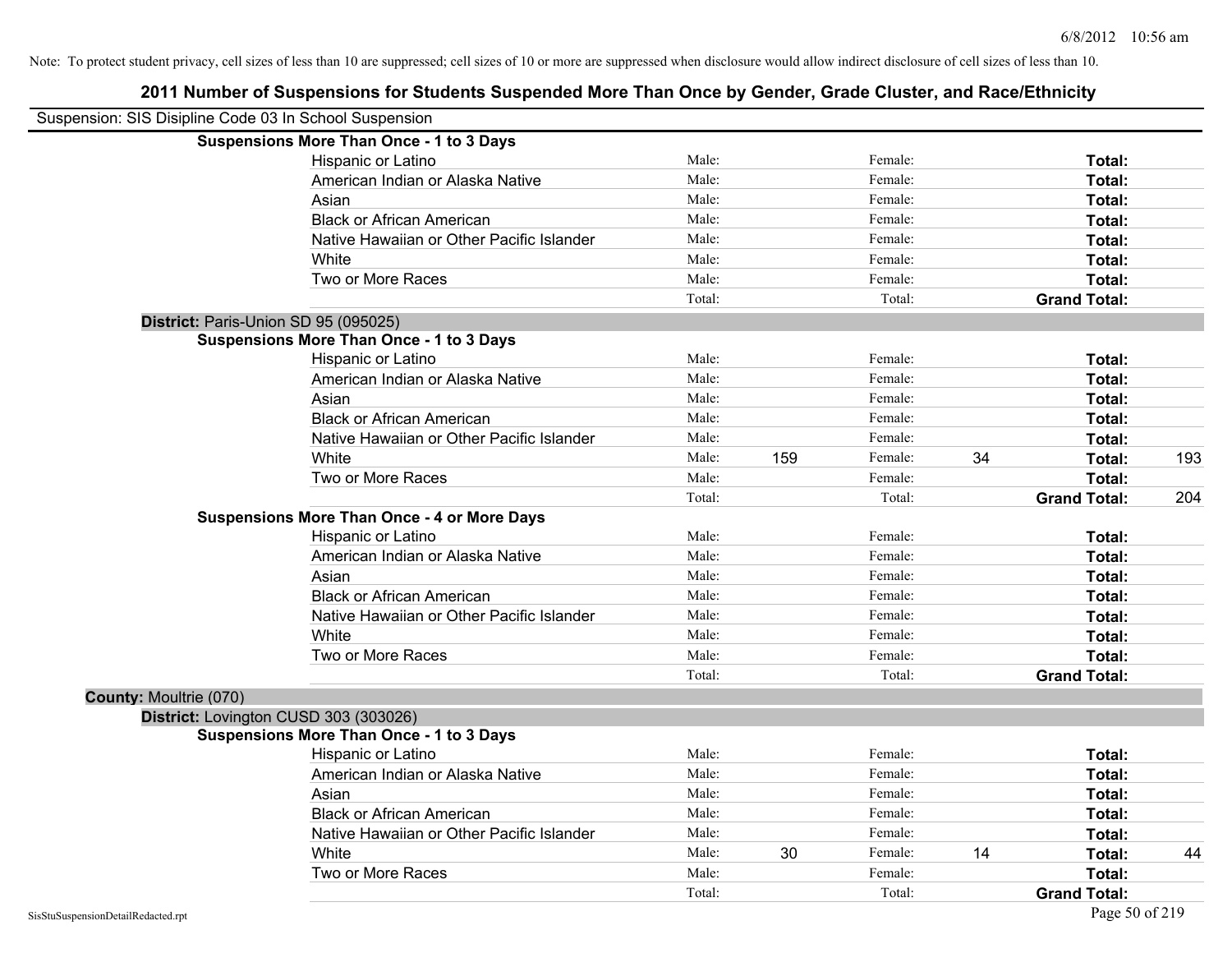| Suspension: SIS Disipline Code 03 In School Suspension |                                                    |        |     |         |    |                     |     |
|--------------------------------------------------------|----------------------------------------------------|--------|-----|---------|----|---------------------|-----|
|                                                        | <b>Suspensions More Than Once - 1 to 3 Days</b>    |        |     |         |    |                     |     |
|                                                        | Hispanic or Latino                                 | Male:  |     | Female: |    | Total:              |     |
|                                                        | American Indian or Alaska Native                   | Male:  |     | Female: |    | Total:              |     |
|                                                        | Asian                                              | Male:  |     | Female: |    | Total:              |     |
|                                                        | <b>Black or African American</b>                   | Male:  |     | Female: |    | Total:              |     |
|                                                        | Native Hawaiian or Other Pacific Islander          | Male:  |     | Female: |    | Total:              |     |
|                                                        | White                                              | Male:  |     | Female: |    | Total:              |     |
|                                                        | Two or More Races                                  | Male:  |     | Female: |    | Total:              |     |
|                                                        |                                                    | Total: |     | Total:  |    | <b>Grand Total:</b> |     |
| District: Paris-Union SD 95 (095025)                   |                                                    |        |     |         |    |                     |     |
|                                                        | <b>Suspensions More Than Once - 1 to 3 Days</b>    |        |     |         |    |                     |     |
|                                                        | Hispanic or Latino                                 | Male:  |     | Female: |    | Total:              |     |
|                                                        | American Indian or Alaska Native                   | Male:  |     | Female: |    | Total:              |     |
|                                                        | Asian                                              | Male:  |     | Female: |    | Total:              |     |
|                                                        | <b>Black or African American</b>                   | Male:  |     | Female: |    | Total:              |     |
|                                                        | Native Hawaiian or Other Pacific Islander          | Male:  |     | Female: |    | Total:              |     |
|                                                        | White                                              | Male:  | 159 | Female: | 34 | Total:              | 193 |
|                                                        | Two or More Races                                  | Male:  |     | Female: |    | Total:              |     |
|                                                        |                                                    | Total: |     | Total:  |    | <b>Grand Total:</b> | 204 |
|                                                        | <b>Suspensions More Than Once - 4 or More Days</b> |        |     |         |    |                     |     |
|                                                        | Hispanic or Latino                                 | Male:  |     | Female: |    | Total:              |     |
|                                                        | American Indian or Alaska Native                   | Male:  |     | Female: |    | Total:              |     |
|                                                        | Asian                                              | Male:  |     | Female: |    | Total:              |     |
|                                                        | <b>Black or African American</b>                   | Male:  |     | Female: |    | Total:              |     |
|                                                        | Native Hawaiian or Other Pacific Islander          | Male:  |     | Female: |    | Total:              |     |
|                                                        | White                                              | Male:  |     | Female: |    | Total:              |     |
|                                                        | Two or More Races                                  | Male:  |     | Female: |    | Total:              |     |
|                                                        |                                                    | Total: |     | Total:  |    | <b>Grand Total:</b> |     |
| County: Moultrie (070)                                 |                                                    |        |     |         |    |                     |     |
| District: Lovington CUSD 303 (303026)                  |                                                    |        |     |         |    |                     |     |
|                                                        | <b>Suspensions More Than Once - 1 to 3 Days</b>    |        |     |         |    |                     |     |
|                                                        | Hispanic or Latino                                 | Male:  |     | Female: |    | Total:              |     |
|                                                        | American Indian or Alaska Native                   | Male:  |     | Female: |    | Total:              |     |
|                                                        | Asian                                              | Male:  |     | Female: |    | Total:              |     |
|                                                        | <b>Black or African American</b>                   | Male:  |     | Female: |    | Total:              |     |
|                                                        | Native Hawaiian or Other Pacific Islander          | Male:  |     | Female: |    | Total:              |     |
|                                                        | White                                              | Male:  | 30  | Female: | 14 | Total:              | 44  |
|                                                        | Two or More Races                                  | Male:  |     | Female: |    | Total:              |     |
|                                                        |                                                    | Total: |     | Total:  |    | <b>Grand Total:</b> |     |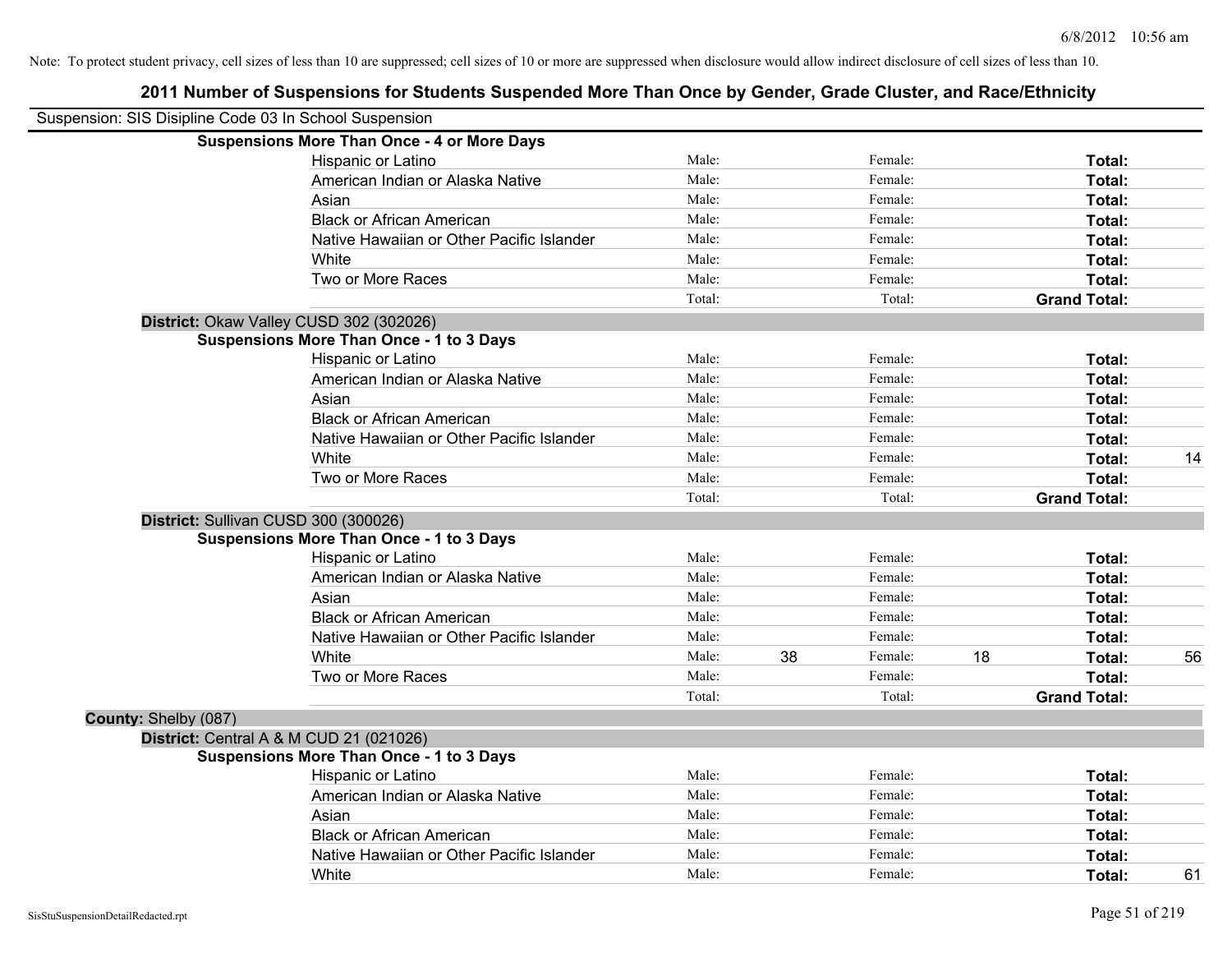| Suspension: SIS Disipline Code 03 In School Suspension |                                                    |        |    |         |    |                     |    |
|--------------------------------------------------------|----------------------------------------------------|--------|----|---------|----|---------------------|----|
|                                                        | <b>Suspensions More Than Once - 4 or More Days</b> |        |    |         |    |                     |    |
|                                                        | Hispanic or Latino                                 | Male:  |    | Female: |    | Total:              |    |
|                                                        | American Indian or Alaska Native                   | Male:  |    | Female: |    | Total:              |    |
|                                                        | Asian                                              | Male:  |    | Female: |    | Total:              |    |
|                                                        | <b>Black or African American</b>                   | Male:  |    | Female: |    | Total:              |    |
|                                                        | Native Hawaiian or Other Pacific Islander          | Male:  |    | Female: |    | Total:              |    |
|                                                        | White                                              | Male:  |    | Female: |    | Total:              |    |
|                                                        | Two or More Races                                  | Male:  |    | Female: |    | Total:              |    |
|                                                        |                                                    | Total: |    | Total:  |    | <b>Grand Total:</b> |    |
|                                                        | District: Okaw Valley CUSD 302 (302026)            |        |    |         |    |                     |    |
|                                                        | <b>Suspensions More Than Once - 1 to 3 Days</b>    |        |    |         |    |                     |    |
|                                                        | Hispanic or Latino                                 | Male:  |    | Female: |    | Total:              |    |
|                                                        | American Indian or Alaska Native                   | Male:  |    | Female: |    | Total:              |    |
|                                                        | Asian                                              | Male:  |    | Female: |    | Total:              |    |
|                                                        | <b>Black or African American</b>                   | Male:  |    | Female: |    | Total:              |    |
|                                                        | Native Hawaiian or Other Pacific Islander          | Male:  |    | Female: |    | Total:              |    |
|                                                        | White                                              | Male:  |    | Female: |    | Total:              | 14 |
|                                                        | Two or More Races                                  | Male:  |    | Female: |    | Total:              |    |
|                                                        |                                                    | Total: |    | Total:  |    | <b>Grand Total:</b> |    |
|                                                        | District: Sullivan CUSD 300 (300026)               |        |    |         |    |                     |    |
|                                                        | <b>Suspensions More Than Once - 1 to 3 Days</b>    |        |    |         |    |                     |    |
|                                                        | Hispanic or Latino                                 | Male:  |    | Female: |    | Total:              |    |
|                                                        | American Indian or Alaska Native                   | Male:  |    | Female: |    | Total:              |    |
|                                                        | Asian                                              | Male:  |    | Female: |    | Total:              |    |
|                                                        | <b>Black or African American</b>                   | Male:  |    | Female: |    | Total:              |    |
|                                                        | Native Hawaiian or Other Pacific Islander          | Male:  |    | Female: |    | Total:              |    |
|                                                        | White                                              | Male:  | 38 | Female: | 18 | Total:              | 56 |
|                                                        | Two or More Races                                  | Male:  |    | Female: |    | Total:              |    |
|                                                        |                                                    | Total: |    | Total:  |    | <b>Grand Total:</b> |    |
| County: Shelby (087)                                   |                                                    |        |    |         |    |                     |    |
|                                                        | <b>District:</b> Central A & M CUD 21 (021026)     |        |    |         |    |                     |    |
|                                                        | <b>Suspensions More Than Once - 1 to 3 Days</b>    |        |    |         |    |                     |    |
|                                                        | Hispanic or Latino                                 | Male:  |    | Female: |    | Total:              |    |
|                                                        | American Indian or Alaska Native                   | Male:  |    | Female: |    | Total:              |    |
|                                                        | Asian                                              | Male:  |    | Female: |    | Total:              |    |
|                                                        | <b>Black or African American</b>                   | Male:  |    | Female: |    | Total:              |    |
|                                                        | Native Hawaiian or Other Pacific Islander          | Male:  |    | Female: |    | <b>Total:</b>       |    |
|                                                        | White                                              | Male:  |    | Female: |    | Total:              | 61 |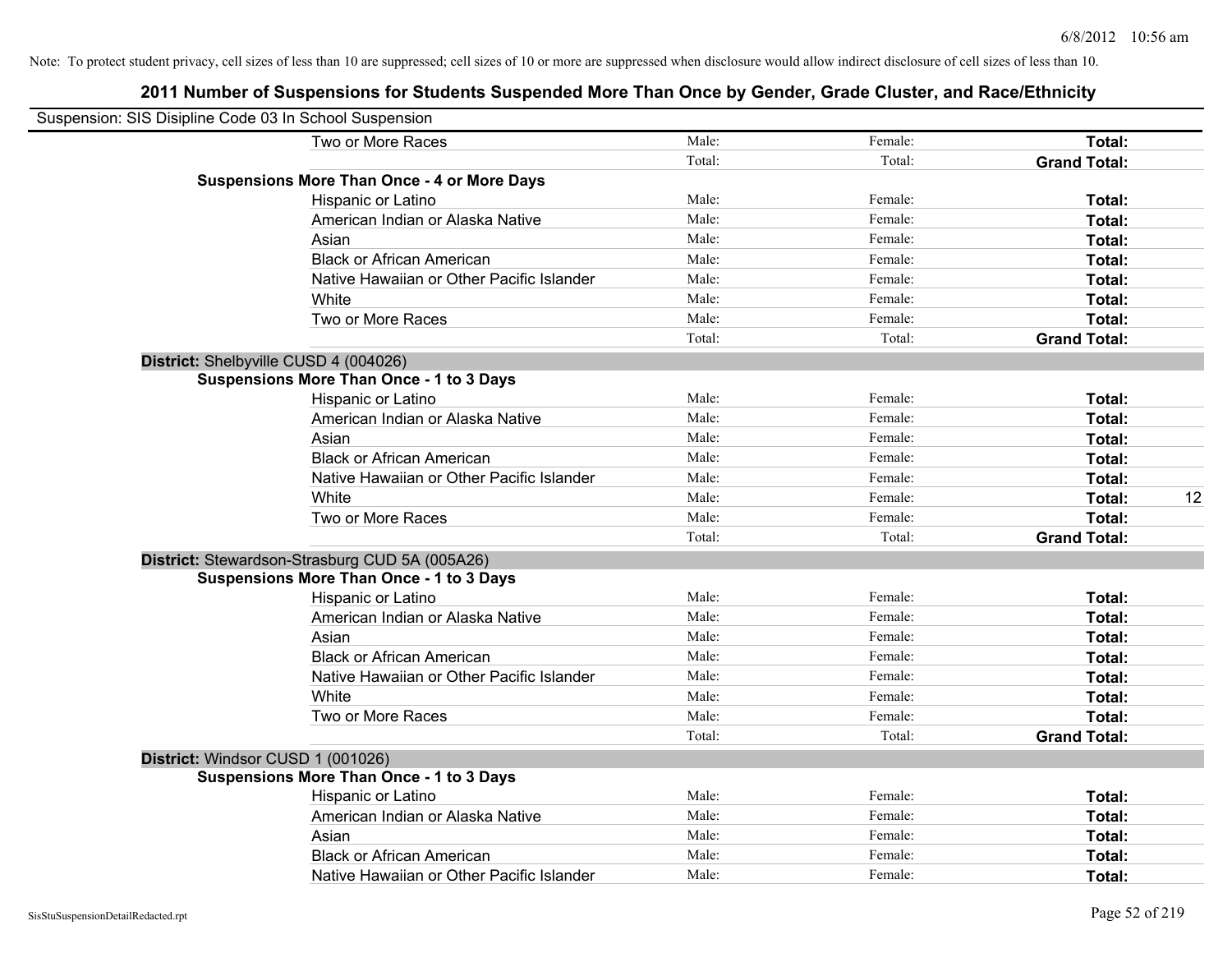| Suspension: SIS Disipline Code 03 In School Suspension |                                                    |        |         |                     |    |
|--------------------------------------------------------|----------------------------------------------------|--------|---------|---------------------|----|
|                                                        | Two or More Races                                  | Male:  | Female: | Total:              |    |
|                                                        |                                                    | Total: | Total:  | <b>Grand Total:</b> |    |
|                                                        | <b>Suspensions More Than Once - 4 or More Days</b> |        |         |                     |    |
|                                                        | Hispanic or Latino                                 | Male:  | Female: | Total:              |    |
|                                                        | American Indian or Alaska Native                   | Male:  | Female: | Total:              |    |
|                                                        | Asian                                              | Male:  | Female: | Total:              |    |
|                                                        | <b>Black or African American</b>                   | Male:  | Female: | Total:              |    |
|                                                        | Native Hawaiian or Other Pacific Islander          | Male:  | Female: | Total:              |    |
|                                                        | White                                              | Male:  | Female: | Total:              |    |
|                                                        | Two or More Races                                  | Male:  | Female: | Total:              |    |
|                                                        |                                                    | Total: | Total:  | <b>Grand Total:</b> |    |
|                                                        | District: Shelbyville CUSD 4 (004026)              |        |         |                     |    |
|                                                        | <b>Suspensions More Than Once - 1 to 3 Days</b>    |        |         |                     |    |
|                                                        | Hispanic or Latino                                 | Male:  | Female: | Total:              |    |
|                                                        | American Indian or Alaska Native                   | Male:  | Female: | Total:              |    |
|                                                        | Asian                                              | Male:  | Female: | Total:              |    |
|                                                        | <b>Black or African American</b>                   | Male:  | Female: | Total:              |    |
|                                                        | Native Hawaiian or Other Pacific Islander          | Male:  | Female: | Total:              |    |
|                                                        | White                                              | Male:  | Female: | Total:              | 12 |
|                                                        | Two or More Races                                  | Male:  | Female: | Total:              |    |
|                                                        |                                                    | Total: | Total:  | <b>Grand Total:</b> |    |
|                                                        | District: Stewardson-Strasburg CUD 5A (005A26)     |        |         |                     |    |
|                                                        | <b>Suspensions More Than Once - 1 to 3 Days</b>    |        |         |                     |    |
|                                                        | Hispanic or Latino                                 | Male:  | Female: | Total:              |    |
|                                                        | American Indian or Alaska Native                   | Male:  | Female: | Total:              |    |
|                                                        | Asian                                              | Male:  | Female: | Total:              |    |
|                                                        | <b>Black or African American</b>                   | Male:  | Female: | Total:              |    |
|                                                        | Native Hawaiian or Other Pacific Islander          | Male:  | Female: | Total:              |    |
|                                                        | White                                              | Male:  | Female: | Total:              |    |
|                                                        | Two or More Races                                  | Male:  | Female: | Total:              |    |
|                                                        |                                                    | Total: | Total:  | <b>Grand Total:</b> |    |
|                                                        | District: Windsor CUSD 1 (001026)                  |        |         |                     |    |
|                                                        | <b>Suspensions More Than Once - 1 to 3 Days</b>    |        |         |                     |    |
|                                                        | Hispanic or Latino                                 | Male:  | Female: | Total:              |    |
|                                                        | American Indian or Alaska Native                   | Male:  | Female: | Total:              |    |
|                                                        | Asian                                              | Male:  | Female: | Total:              |    |
|                                                        | <b>Black or African American</b>                   | Male:  | Female: | Total:              |    |
|                                                        | Native Hawaiian or Other Pacific Islander          | Male:  | Female: | Total:              |    |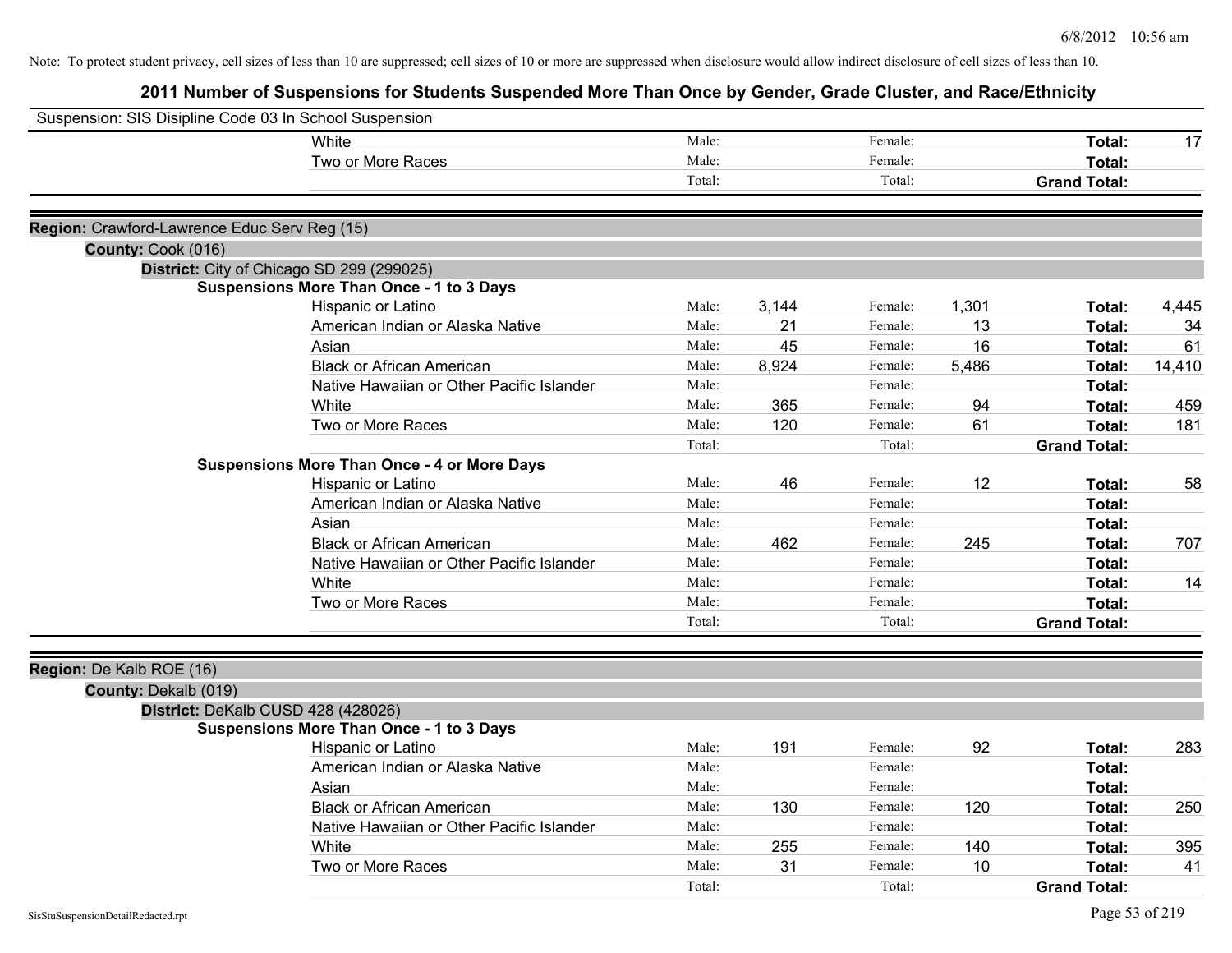| Male:<br>White<br>Female:<br>Total:<br>17<br>Two or More Races<br>Male:<br>Female:<br>Total:<br>Total:<br>Total:<br><b>Grand Total:</b><br>Region: Crawford-Lawrence Educ Serv Reg (15)<br>County: Cook (016)<br>District: City of Chicago SD 299 (299025)<br><b>Suspensions More Than Once - 1 to 3 Days</b><br>Male:<br>3,144<br>Female:<br>1,301<br>Hispanic or Latino<br>Total:<br>4,445<br>Male:<br>American Indian or Alaska Native<br>21<br>Female:<br>13<br>Total:<br>34<br>16<br>Male:<br>45<br>Female:<br>Asian<br>Total:<br>61<br><b>Black or African American</b><br>Male:<br>8,924<br>5,486<br>Female:<br>Total:<br>14,410<br>Male:<br>Female:<br>Native Hawaiian or Other Pacific Islander<br>Total:<br>White<br>Male:<br>365<br>Female:<br>94<br>Total:<br>Two or More Races<br>Male:<br>Female:<br>61<br>Total:<br>120<br>181<br>Total:<br>Total:<br><b>Grand Total:</b><br><b>Suspensions More Than Once - 4 or More Days</b><br>Male:<br>46<br>12<br>58<br>Hispanic or Latino<br>Female:<br>Total:<br>American Indian or Alaska Native<br>Male:<br>Female:<br>Total:<br>Male:<br>Female:<br>Asian<br>Total:<br>Male:<br>Female:<br><b>Black or African American</b><br>462<br>245<br>Total:<br>707<br>Male:<br>Female:<br>Native Hawaiian or Other Pacific Islander<br>Total:<br>Male:<br>White<br>Female:<br>Total:<br>Male:<br>Female:<br>Total:<br>Two or More Races<br>Total:<br>Total:<br><b>Grand Total:</b><br>Region: De Kalb ROE (16)<br>County: Dekalb (019)<br>District: DeKalb CUSD 428 (428026)<br><b>Suspensions More Than Once - 1 to 3 Days</b><br>Male:<br>191<br>92<br>Female:<br>283<br>Hispanic or Latino<br>Total:<br>Male:<br>American Indian or Alaska Native<br>Female:<br>Total:<br>Asian<br>Male:<br>Female:<br>Total:<br><b>Black or African American</b><br>Male:<br>Female:<br>120<br>250<br>130<br>Total:<br>Native Hawaiian or Other Pacific Islander<br>Male:<br>Female:<br>Total:<br>Male:<br>Female:<br>140<br>White<br>255<br>395<br>Total:<br>Male:<br>Two or More Races<br>31<br>Female:<br>10<br>Total:<br>41<br>Total:<br>Total:<br><b>Grand Total:</b> | Suspension: SIS Disipline Code 03 In School Suspension |  |  |  |  |
|------------------------------------------------------------------------------------------------------------------------------------------------------------------------------------------------------------------------------------------------------------------------------------------------------------------------------------------------------------------------------------------------------------------------------------------------------------------------------------------------------------------------------------------------------------------------------------------------------------------------------------------------------------------------------------------------------------------------------------------------------------------------------------------------------------------------------------------------------------------------------------------------------------------------------------------------------------------------------------------------------------------------------------------------------------------------------------------------------------------------------------------------------------------------------------------------------------------------------------------------------------------------------------------------------------------------------------------------------------------------------------------------------------------------------------------------------------------------------------------------------------------------------------------------------------------------------------------------------------------------------------------------------------------------------------------------------------------------------------------------------------------------------------------------------------------------------------------------------------------------------------------------------------------------------------------------------------------------------------------------------------------------------------------------------------------------------------------------------------------|--------------------------------------------------------|--|--|--|--|
| 459<br>14                                                                                                                                                                                                                                                                                                                                                                                                                                                                                                                                                                                                                                                                                                                                                                                                                                                                                                                                                                                                                                                                                                                                                                                                                                                                                                                                                                                                                                                                                                                                                                                                                                                                                                                                                                                                                                                                                                                                                                                                                                                                                                        |                                                        |  |  |  |  |
|                                                                                                                                                                                                                                                                                                                                                                                                                                                                                                                                                                                                                                                                                                                                                                                                                                                                                                                                                                                                                                                                                                                                                                                                                                                                                                                                                                                                                                                                                                                                                                                                                                                                                                                                                                                                                                                                                                                                                                                                                                                                                                                  |                                                        |  |  |  |  |
|                                                                                                                                                                                                                                                                                                                                                                                                                                                                                                                                                                                                                                                                                                                                                                                                                                                                                                                                                                                                                                                                                                                                                                                                                                                                                                                                                                                                                                                                                                                                                                                                                                                                                                                                                                                                                                                                                                                                                                                                                                                                                                                  |                                                        |  |  |  |  |
|                                                                                                                                                                                                                                                                                                                                                                                                                                                                                                                                                                                                                                                                                                                                                                                                                                                                                                                                                                                                                                                                                                                                                                                                                                                                                                                                                                                                                                                                                                                                                                                                                                                                                                                                                                                                                                                                                                                                                                                                                                                                                                                  |                                                        |  |  |  |  |
|                                                                                                                                                                                                                                                                                                                                                                                                                                                                                                                                                                                                                                                                                                                                                                                                                                                                                                                                                                                                                                                                                                                                                                                                                                                                                                                                                                                                                                                                                                                                                                                                                                                                                                                                                                                                                                                                                                                                                                                                                                                                                                                  |                                                        |  |  |  |  |
|                                                                                                                                                                                                                                                                                                                                                                                                                                                                                                                                                                                                                                                                                                                                                                                                                                                                                                                                                                                                                                                                                                                                                                                                                                                                                                                                                                                                                                                                                                                                                                                                                                                                                                                                                                                                                                                                                                                                                                                                                                                                                                                  |                                                        |  |  |  |  |
|                                                                                                                                                                                                                                                                                                                                                                                                                                                                                                                                                                                                                                                                                                                                                                                                                                                                                                                                                                                                                                                                                                                                                                                                                                                                                                                                                                                                                                                                                                                                                                                                                                                                                                                                                                                                                                                                                                                                                                                                                                                                                                                  |                                                        |  |  |  |  |
|                                                                                                                                                                                                                                                                                                                                                                                                                                                                                                                                                                                                                                                                                                                                                                                                                                                                                                                                                                                                                                                                                                                                                                                                                                                                                                                                                                                                                                                                                                                                                                                                                                                                                                                                                                                                                                                                                                                                                                                                                                                                                                                  |                                                        |  |  |  |  |
|                                                                                                                                                                                                                                                                                                                                                                                                                                                                                                                                                                                                                                                                                                                                                                                                                                                                                                                                                                                                                                                                                                                                                                                                                                                                                                                                                                                                                                                                                                                                                                                                                                                                                                                                                                                                                                                                                                                                                                                                                                                                                                                  |                                                        |  |  |  |  |
|                                                                                                                                                                                                                                                                                                                                                                                                                                                                                                                                                                                                                                                                                                                                                                                                                                                                                                                                                                                                                                                                                                                                                                                                                                                                                                                                                                                                                                                                                                                                                                                                                                                                                                                                                                                                                                                                                                                                                                                                                                                                                                                  |                                                        |  |  |  |  |
|                                                                                                                                                                                                                                                                                                                                                                                                                                                                                                                                                                                                                                                                                                                                                                                                                                                                                                                                                                                                                                                                                                                                                                                                                                                                                                                                                                                                                                                                                                                                                                                                                                                                                                                                                                                                                                                                                                                                                                                                                                                                                                                  |                                                        |  |  |  |  |
|                                                                                                                                                                                                                                                                                                                                                                                                                                                                                                                                                                                                                                                                                                                                                                                                                                                                                                                                                                                                                                                                                                                                                                                                                                                                                                                                                                                                                                                                                                                                                                                                                                                                                                                                                                                                                                                                                                                                                                                                                                                                                                                  |                                                        |  |  |  |  |
|                                                                                                                                                                                                                                                                                                                                                                                                                                                                                                                                                                                                                                                                                                                                                                                                                                                                                                                                                                                                                                                                                                                                                                                                                                                                                                                                                                                                                                                                                                                                                                                                                                                                                                                                                                                                                                                                                                                                                                                                                                                                                                                  |                                                        |  |  |  |  |
|                                                                                                                                                                                                                                                                                                                                                                                                                                                                                                                                                                                                                                                                                                                                                                                                                                                                                                                                                                                                                                                                                                                                                                                                                                                                                                                                                                                                                                                                                                                                                                                                                                                                                                                                                                                                                                                                                                                                                                                                                                                                                                                  |                                                        |  |  |  |  |
|                                                                                                                                                                                                                                                                                                                                                                                                                                                                                                                                                                                                                                                                                                                                                                                                                                                                                                                                                                                                                                                                                                                                                                                                                                                                                                                                                                                                                                                                                                                                                                                                                                                                                                                                                                                                                                                                                                                                                                                                                                                                                                                  |                                                        |  |  |  |  |
|                                                                                                                                                                                                                                                                                                                                                                                                                                                                                                                                                                                                                                                                                                                                                                                                                                                                                                                                                                                                                                                                                                                                                                                                                                                                                                                                                                                                                                                                                                                                                                                                                                                                                                                                                                                                                                                                                                                                                                                                                                                                                                                  |                                                        |  |  |  |  |
|                                                                                                                                                                                                                                                                                                                                                                                                                                                                                                                                                                                                                                                                                                                                                                                                                                                                                                                                                                                                                                                                                                                                                                                                                                                                                                                                                                                                                                                                                                                                                                                                                                                                                                                                                                                                                                                                                                                                                                                                                                                                                                                  |                                                        |  |  |  |  |
|                                                                                                                                                                                                                                                                                                                                                                                                                                                                                                                                                                                                                                                                                                                                                                                                                                                                                                                                                                                                                                                                                                                                                                                                                                                                                                                                                                                                                                                                                                                                                                                                                                                                                                                                                                                                                                                                                                                                                                                                                                                                                                                  |                                                        |  |  |  |  |
|                                                                                                                                                                                                                                                                                                                                                                                                                                                                                                                                                                                                                                                                                                                                                                                                                                                                                                                                                                                                                                                                                                                                                                                                                                                                                                                                                                                                                                                                                                                                                                                                                                                                                                                                                                                                                                                                                                                                                                                                                                                                                                                  |                                                        |  |  |  |  |
|                                                                                                                                                                                                                                                                                                                                                                                                                                                                                                                                                                                                                                                                                                                                                                                                                                                                                                                                                                                                                                                                                                                                                                                                                                                                                                                                                                                                                                                                                                                                                                                                                                                                                                                                                                                                                                                                                                                                                                                                                                                                                                                  |                                                        |  |  |  |  |
|                                                                                                                                                                                                                                                                                                                                                                                                                                                                                                                                                                                                                                                                                                                                                                                                                                                                                                                                                                                                                                                                                                                                                                                                                                                                                                                                                                                                                                                                                                                                                                                                                                                                                                                                                                                                                                                                                                                                                                                                                                                                                                                  |                                                        |  |  |  |  |
|                                                                                                                                                                                                                                                                                                                                                                                                                                                                                                                                                                                                                                                                                                                                                                                                                                                                                                                                                                                                                                                                                                                                                                                                                                                                                                                                                                                                                                                                                                                                                                                                                                                                                                                                                                                                                                                                                                                                                                                                                                                                                                                  |                                                        |  |  |  |  |
|                                                                                                                                                                                                                                                                                                                                                                                                                                                                                                                                                                                                                                                                                                                                                                                                                                                                                                                                                                                                                                                                                                                                                                                                                                                                                                                                                                                                                                                                                                                                                                                                                                                                                                                                                                                                                                                                                                                                                                                                                                                                                                                  |                                                        |  |  |  |  |
|                                                                                                                                                                                                                                                                                                                                                                                                                                                                                                                                                                                                                                                                                                                                                                                                                                                                                                                                                                                                                                                                                                                                                                                                                                                                                                                                                                                                                                                                                                                                                                                                                                                                                                                                                                                                                                                                                                                                                                                                                                                                                                                  |                                                        |  |  |  |  |
|                                                                                                                                                                                                                                                                                                                                                                                                                                                                                                                                                                                                                                                                                                                                                                                                                                                                                                                                                                                                                                                                                                                                                                                                                                                                                                                                                                                                                                                                                                                                                                                                                                                                                                                                                                                                                                                                                                                                                                                                                                                                                                                  |                                                        |  |  |  |  |
|                                                                                                                                                                                                                                                                                                                                                                                                                                                                                                                                                                                                                                                                                                                                                                                                                                                                                                                                                                                                                                                                                                                                                                                                                                                                                                                                                                                                                                                                                                                                                                                                                                                                                                                                                                                                                                                                                                                                                                                                                                                                                                                  |                                                        |  |  |  |  |
|                                                                                                                                                                                                                                                                                                                                                                                                                                                                                                                                                                                                                                                                                                                                                                                                                                                                                                                                                                                                                                                                                                                                                                                                                                                                                                                                                                                                                                                                                                                                                                                                                                                                                                                                                                                                                                                                                                                                                                                                                                                                                                                  |                                                        |  |  |  |  |
|                                                                                                                                                                                                                                                                                                                                                                                                                                                                                                                                                                                                                                                                                                                                                                                                                                                                                                                                                                                                                                                                                                                                                                                                                                                                                                                                                                                                                                                                                                                                                                                                                                                                                                                                                                                                                                                                                                                                                                                                                                                                                                                  |                                                        |  |  |  |  |
|                                                                                                                                                                                                                                                                                                                                                                                                                                                                                                                                                                                                                                                                                                                                                                                                                                                                                                                                                                                                                                                                                                                                                                                                                                                                                                                                                                                                                                                                                                                                                                                                                                                                                                                                                                                                                                                                                                                                                                                                                                                                                                                  |                                                        |  |  |  |  |
|                                                                                                                                                                                                                                                                                                                                                                                                                                                                                                                                                                                                                                                                                                                                                                                                                                                                                                                                                                                                                                                                                                                                                                                                                                                                                                                                                                                                                                                                                                                                                                                                                                                                                                                                                                                                                                                                                                                                                                                                                                                                                                                  |                                                        |  |  |  |  |
|                                                                                                                                                                                                                                                                                                                                                                                                                                                                                                                                                                                                                                                                                                                                                                                                                                                                                                                                                                                                                                                                                                                                                                                                                                                                                                                                                                                                                                                                                                                                                                                                                                                                                                                                                                                                                                                                                                                                                                                                                                                                                                                  |                                                        |  |  |  |  |
|                                                                                                                                                                                                                                                                                                                                                                                                                                                                                                                                                                                                                                                                                                                                                                                                                                                                                                                                                                                                                                                                                                                                                                                                                                                                                                                                                                                                                                                                                                                                                                                                                                                                                                                                                                                                                                                                                                                                                                                                                                                                                                                  |                                                        |  |  |  |  |
|                                                                                                                                                                                                                                                                                                                                                                                                                                                                                                                                                                                                                                                                                                                                                                                                                                                                                                                                                                                                                                                                                                                                                                                                                                                                                                                                                                                                                                                                                                                                                                                                                                                                                                                                                                                                                                                                                                                                                                                                                                                                                                                  |                                                        |  |  |  |  |
|                                                                                                                                                                                                                                                                                                                                                                                                                                                                                                                                                                                                                                                                                                                                                                                                                                                                                                                                                                                                                                                                                                                                                                                                                                                                                                                                                                                                                                                                                                                                                                                                                                                                                                                                                                                                                                                                                                                                                                                                                                                                                                                  |                                                        |  |  |  |  |
|                                                                                                                                                                                                                                                                                                                                                                                                                                                                                                                                                                                                                                                                                                                                                                                                                                                                                                                                                                                                                                                                                                                                                                                                                                                                                                                                                                                                                                                                                                                                                                                                                                                                                                                                                                                                                                                                                                                                                                                                                                                                                                                  |                                                        |  |  |  |  |
|                                                                                                                                                                                                                                                                                                                                                                                                                                                                                                                                                                                                                                                                                                                                                                                                                                                                                                                                                                                                                                                                                                                                                                                                                                                                                                                                                                                                                                                                                                                                                                                                                                                                                                                                                                                                                                                                                                                                                                                                                                                                                                                  |                                                        |  |  |  |  |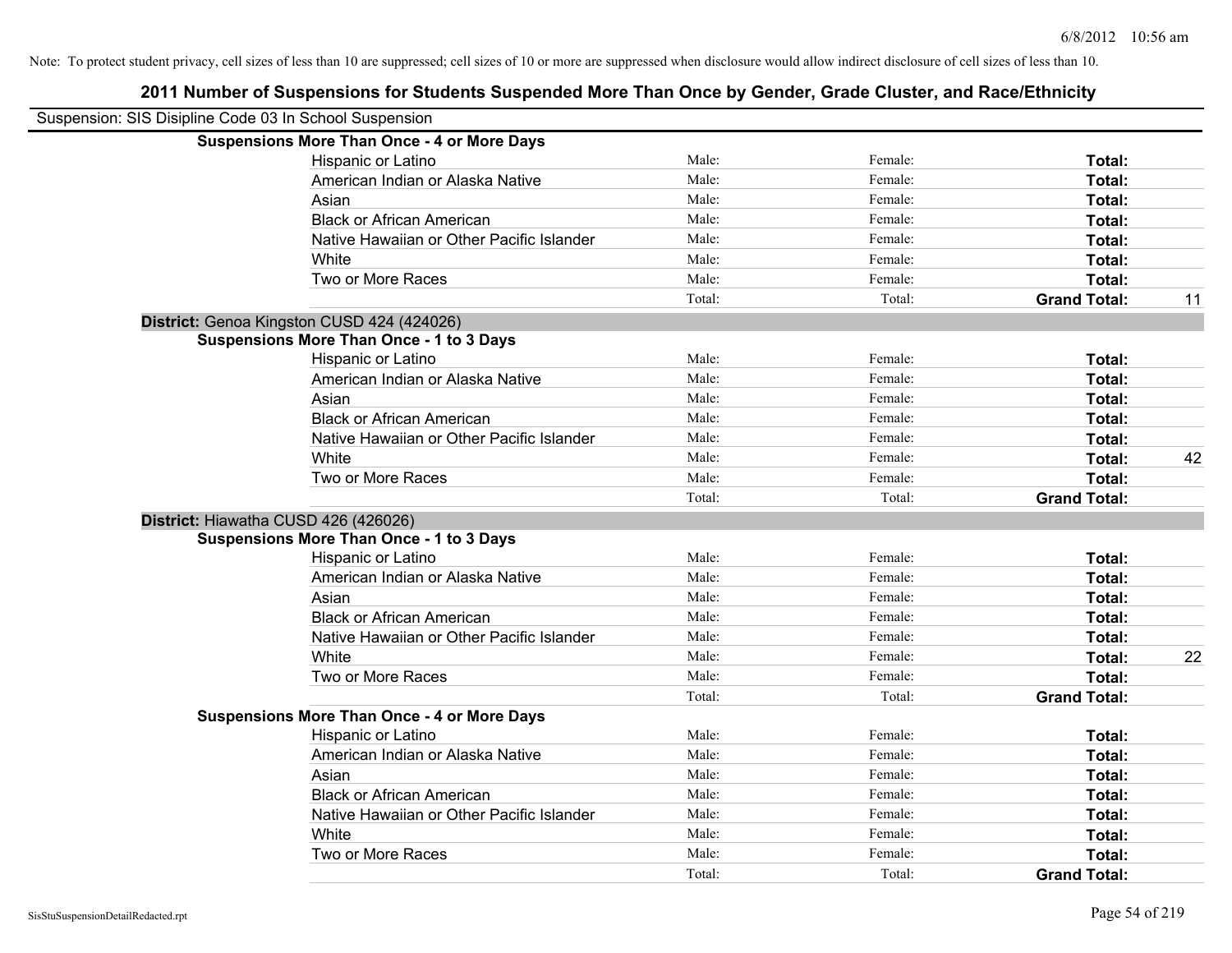| Suspension: SIS Disipline Code 03 In School Suspension |                                                    |        |         |                     |    |
|--------------------------------------------------------|----------------------------------------------------|--------|---------|---------------------|----|
|                                                        | <b>Suspensions More Than Once - 4 or More Days</b> |        |         |                     |    |
|                                                        | Hispanic or Latino                                 | Male:  | Female: | Total:              |    |
|                                                        | American Indian or Alaska Native                   | Male:  | Female: | Total:              |    |
|                                                        | Asian                                              | Male:  | Female: | Total:              |    |
|                                                        | <b>Black or African American</b>                   | Male:  | Female: | Total:              |    |
|                                                        | Native Hawaiian or Other Pacific Islander          | Male:  | Female: | Total:              |    |
|                                                        | White                                              | Male:  | Female: | Total:              |    |
|                                                        | Two or More Races                                  | Male:  | Female: | Total:              |    |
|                                                        |                                                    | Total: | Total:  | <b>Grand Total:</b> | 11 |
|                                                        | District: Genoa Kingston CUSD 424 (424026)         |        |         |                     |    |
|                                                        | <b>Suspensions More Than Once - 1 to 3 Days</b>    |        |         |                     |    |
|                                                        | Hispanic or Latino                                 | Male:  | Female: | Total:              |    |
|                                                        | American Indian or Alaska Native                   | Male:  | Female: | Total:              |    |
|                                                        | Asian                                              | Male:  | Female: | Total:              |    |
|                                                        | <b>Black or African American</b>                   | Male:  | Female: | Total:              |    |
|                                                        | Native Hawaiian or Other Pacific Islander          | Male:  | Female: | Total:              |    |
|                                                        | White                                              | Male:  | Female: | Total:              | 42 |
|                                                        | Two or More Races                                  | Male:  | Female: | <b>Total:</b>       |    |
|                                                        |                                                    | Total: | Total:  | <b>Grand Total:</b> |    |
|                                                        | District: Hiawatha CUSD 426 (426026)               |        |         |                     |    |
|                                                        | <b>Suspensions More Than Once - 1 to 3 Days</b>    |        |         |                     |    |
|                                                        | Hispanic or Latino                                 | Male:  | Female: | Total:              |    |
|                                                        | American Indian or Alaska Native                   | Male:  | Female: | Total:              |    |
|                                                        | Asian                                              | Male:  | Female: | Total:              |    |
|                                                        | <b>Black or African American</b>                   | Male:  | Female: | Total:              |    |
|                                                        | Native Hawaiian or Other Pacific Islander          | Male:  | Female: | Total:              |    |
|                                                        | White                                              | Male:  | Female: | Total:              | 22 |
|                                                        | Two or More Races                                  | Male:  | Female: | <b>Total:</b>       |    |
|                                                        |                                                    | Total: | Total:  | <b>Grand Total:</b> |    |
|                                                        | <b>Suspensions More Than Once - 4 or More Days</b> |        |         |                     |    |
|                                                        | Hispanic or Latino                                 | Male:  | Female: | Total:              |    |
|                                                        | American Indian or Alaska Native                   | Male:  | Female: | Total:              |    |
|                                                        | Asian                                              | Male:  | Female: | Total:              |    |
|                                                        | <b>Black or African American</b>                   | Male:  | Female: | Total:              |    |
|                                                        | Native Hawaiian or Other Pacific Islander          | Male:  | Female: | Total:              |    |
|                                                        | White                                              | Male:  | Female: | Total:              |    |
|                                                        | Two or More Races                                  | Male:  | Female: | <b>Total:</b>       |    |
|                                                        |                                                    | Total: | Total:  | <b>Grand Total:</b> |    |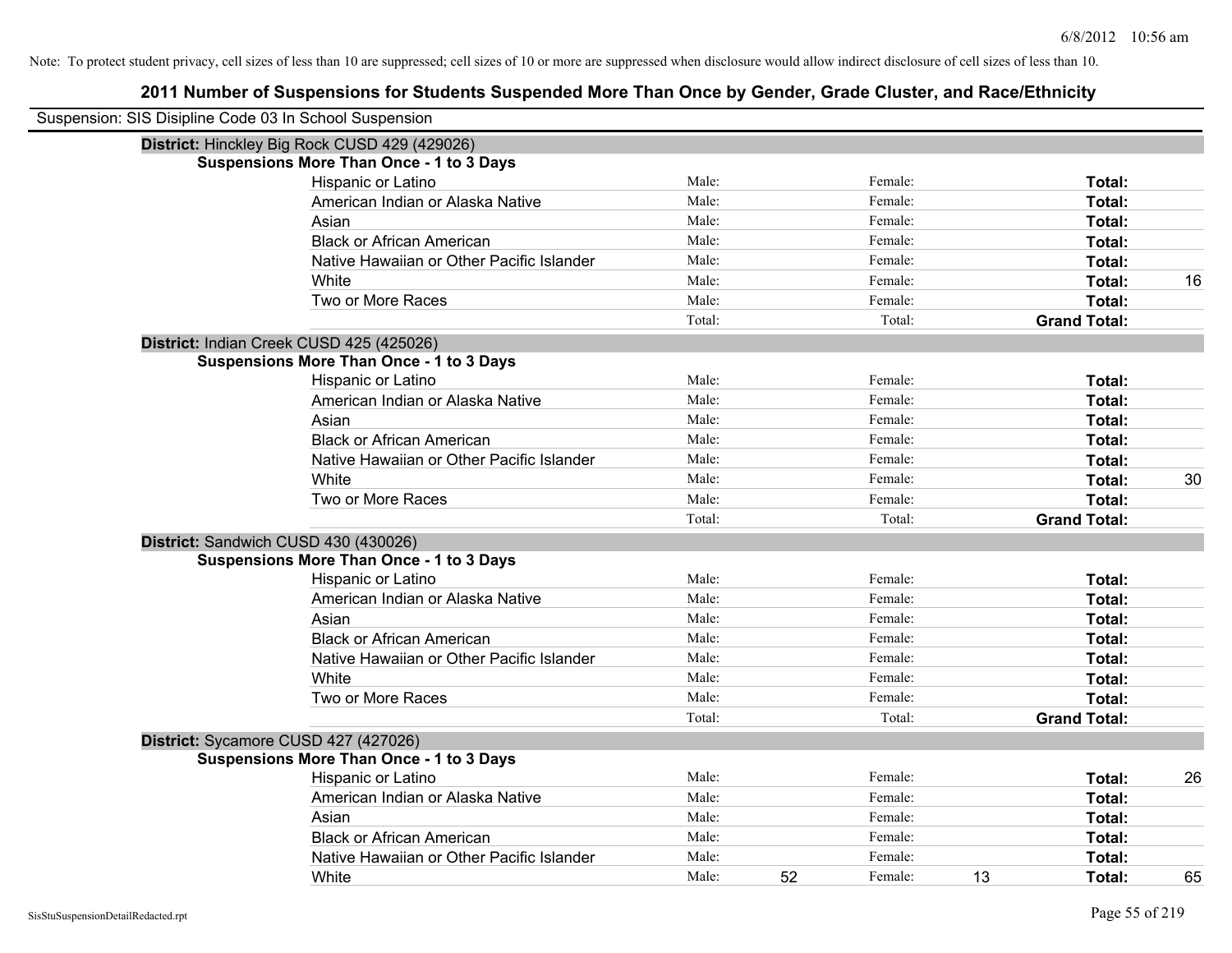| Suspension: SIS Disipline Code 03 In School Suspension |                                                 |        |    |         |    |                     |    |
|--------------------------------------------------------|-------------------------------------------------|--------|----|---------|----|---------------------|----|
|                                                        | District: Hinckley Big Rock CUSD 429 (429026)   |        |    |         |    |                     |    |
|                                                        | <b>Suspensions More Than Once - 1 to 3 Days</b> |        |    |         |    |                     |    |
|                                                        | Hispanic or Latino                              | Male:  |    | Female: |    | Total:              |    |
|                                                        | American Indian or Alaska Native                | Male:  |    | Female: |    | Total:              |    |
|                                                        | Asian                                           | Male:  |    | Female: |    | Total:              |    |
|                                                        | <b>Black or African American</b>                | Male:  |    | Female: |    | Total:              |    |
|                                                        | Native Hawaiian or Other Pacific Islander       | Male:  |    | Female: |    | Total:              |    |
|                                                        | White                                           | Male:  |    | Female: |    | Total:              | 16 |
|                                                        | Two or More Races                               | Male:  |    | Female: |    | Total:              |    |
|                                                        |                                                 | Total: |    | Total:  |    | <b>Grand Total:</b> |    |
|                                                        | District: Indian Creek CUSD 425 (425026)        |        |    |         |    |                     |    |
|                                                        | <b>Suspensions More Than Once - 1 to 3 Days</b> |        |    |         |    |                     |    |
|                                                        | Hispanic or Latino                              | Male:  |    | Female: |    | Total:              |    |
|                                                        | American Indian or Alaska Native                | Male:  |    | Female: |    | Total:              |    |
|                                                        | Asian                                           | Male:  |    | Female: |    | Total:              |    |
|                                                        | <b>Black or African American</b>                | Male:  |    | Female: |    | Total:              |    |
|                                                        | Native Hawaiian or Other Pacific Islander       | Male:  |    | Female: |    | Total:              |    |
|                                                        | White                                           | Male:  |    | Female: |    | Total:              | 30 |
|                                                        | Two or More Races                               | Male:  |    | Female: |    | Total:              |    |
|                                                        |                                                 | Total: |    | Total:  |    | <b>Grand Total:</b> |    |
|                                                        | District: Sandwich CUSD 430 (430026)            |        |    |         |    |                     |    |
|                                                        | <b>Suspensions More Than Once - 1 to 3 Days</b> |        |    |         |    |                     |    |
|                                                        | Hispanic or Latino                              | Male:  |    | Female: |    | Total:              |    |
|                                                        | American Indian or Alaska Native                | Male:  |    | Female: |    | Total:              |    |
|                                                        | Asian                                           | Male:  |    | Female: |    | Total:              |    |
|                                                        | <b>Black or African American</b>                | Male:  |    | Female: |    | Total:              |    |
|                                                        | Native Hawaiian or Other Pacific Islander       | Male:  |    | Female: |    | Total:              |    |
|                                                        | White                                           | Male:  |    | Female: |    | Total:              |    |
|                                                        | Two or More Races                               | Male:  |    | Female: |    | Total:              |    |
|                                                        |                                                 | Total: |    | Total:  |    | <b>Grand Total:</b> |    |
|                                                        | District: Sycamore CUSD 427 (427026)            |        |    |         |    |                     |    |
|                                                        | <b>Suspensions More Than Once - 1 to 3 Days</b> |        |    |         |    |                     |    |
|                                                        | Hispanic or Latino                              | Male:  |    | Female: |    | Total:              | 26 |
|                                                        | American Indian or Alaska Native                | Male:  |    | Female: |    | Total:              |    |
|                                                        | Asian                                           | Male:  |    | Female: |    | Total:              |    |
|                                                        | <b>Black or African American</b>                | Male:  |    | Female: |    | Total:              |    |
|                                                        | Native Hawaiian or Other Pacific Islander       | Male:  |    | Female: |    | Total:              |    |
|                                                        | White                                           | Male:  | 52 | Female: | 13 | Total:              | 65 |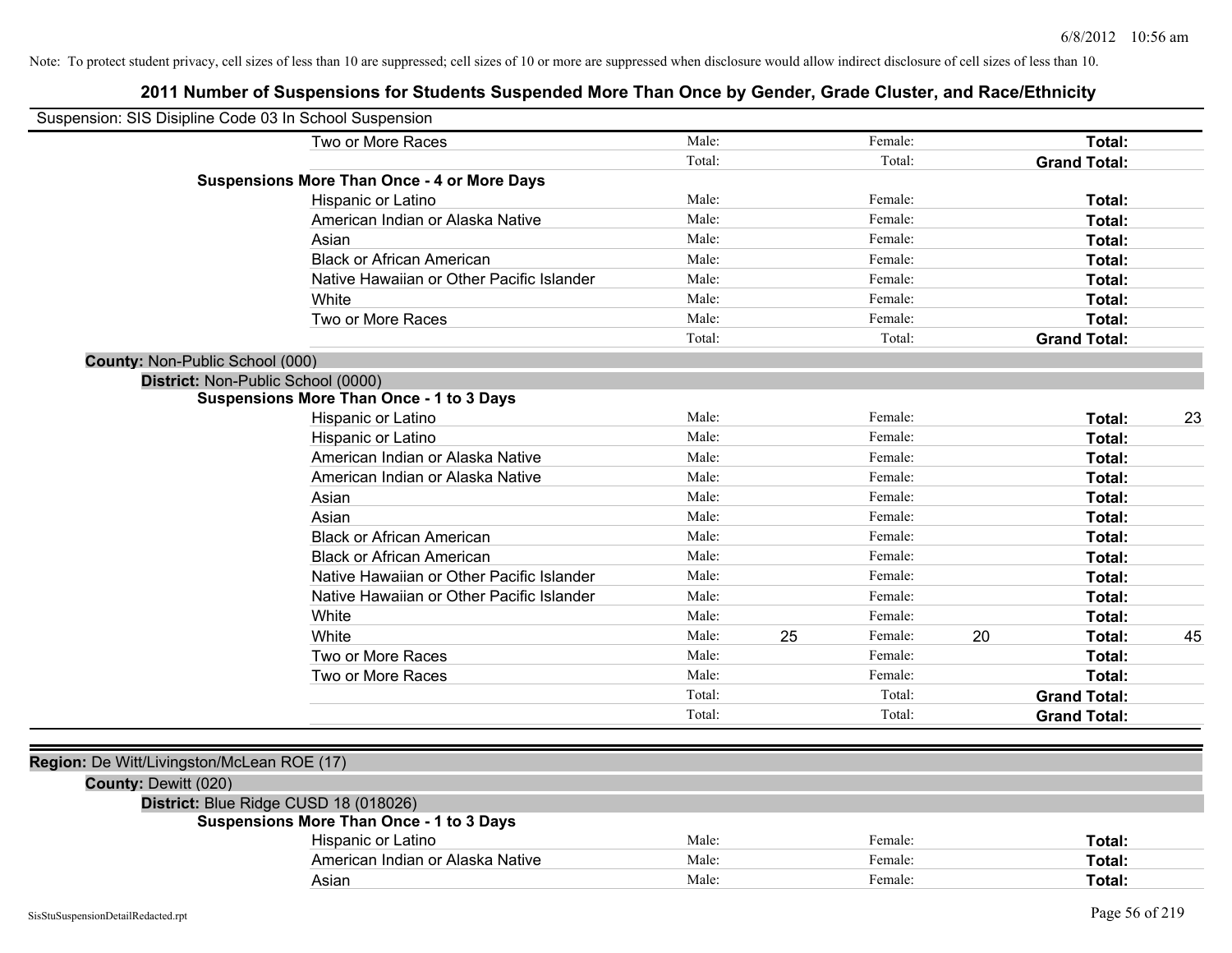|                      | Suspension: SIS Disipline Code 03 In School Suspension |        |    |         |    |                     |    |
|----------------------|--------------------------------------------------------|--------|----|---------|----|---------------------|----|
|                      | Two or More Races                                      | Male:  |    | Female: |    | Total:              |    |
|                      |                                                        | Total: |    | Total:  |    | <b>Grand Total:</b> |    |
|                      | <b>Suspensions More Than Once - 4 or More Days</b>     |        |    |         |    |                     |    |
|                      | Hispanic or Latino                                     | Male:  |    | Female: |    | Total:              |    |
|                      | American Indian or Alaska Native                       | Male:  |    | Female: |    | Total:              |    |
|                      | Asian                                                  | Male:  |    | Female: |    | Total:              |    |
|                      | <b>Black or African American</b>                       | Male:  |    | Female: |    | Total:              |    |
|                      | Native Hawaiian or Other Pacific Islander              | Male:  |    | Female: |    | Total:              |    |
|                      | White                                                  | Male:  |    | Female: |    | Total:              |    |
|                      | Two or More Races                                      | Male:  |    | Female: |    | Total:              |    |
|                      |                                                        | Total: |    | Total:  |    | <b>Grand Total:</b> |    |
|                      | County: Non-Public School (000)                        |        |    |         |    |                     |    |
|                      | District: Non-Public School (0000)                     |        |    |         |    |                     |    |
|                      | <b>Suspensions More Than Once - 1 to 3 Days</b>        |        |    |         |    |                     |    |
|                      | Hispanic or Latino                                     | Male:  |    | Female: |    | Total:              | 23 |
|                      | Hispanic or Latino                                     | Male:  |    | Female: |    | Total:              |    |
|                      | American Indian or Alaska Native                       | Male:  |    | Female: |    | Total:              |    |
|                      | American Indian or Alaska Native                       | Male:  |    | Female: |    | Total:              |    |
|                      | Asian                                                  | Male:  |    | Female: |    | Total:              |    |
|                      | Asian                                                  | Male:  |    | Female: |    | Total:              |    |
|                      | <b>Black or African American</b>                       | Male:  |    | Female: |    | Total:              |    |
|                      | <b>Black or African American</b>                       | Male:  |    | Female: |    | Total:              |    |
|                      | Native Hawaiian or Other Pacific Islander              | Male:  |    | Female: |    | Total:              |    |
|                      | Native Hawaiian or Other Pacific Islander              | Male:  |    | Female: |    | Total:              |    |
|                      | White                                                  | Male:  |    | Female: |    | Total:              |    |
|                      | White                                                  | Male:  | 25 | Female: | 20 | Total:              | 45 |
|                      | Two or More Races                                      | Male:  |    | Female: |    | Total:              |    |
|                      | Two or More Races                                      | Male:  |    | Female: |    | Total:              |    |
|                      |                                                        | Total: |    | Total:  |    | <b>Grand Total:</b> |    |
|                      |                                                        | Total: |    | Total:  |    | <b>Grand Total:</b> |    |
|                      |                                                        |        |    |         |    |                     |    |
|                      | Region: De Witt/Livingston/McLean ROE (17)             |        |    |         |    |                     |    |
| County: Dewitt (020) |                                                        |        |    |         |    |                     |    |
|                      | District: Blue Ridge CUSD 18 (018026)                  |        |    |         |    |                     |    |
|                      | <b>Suspensions More Than Once - 1 to 3 Days</b>        |        |    |         |    |                     |    |
|                      | Hispanic or Latino                                     | Male:  |    | Female: |    | Total:              |    |
|                      | American Indian or Alaska Native                       | Male:  |    | Female: |    | Total:              |    |
|                      | Asian                                                  | Male:  |    | Female: |    | Total:              |    |
|                      |                                                        |        |    |         |    |                     |    |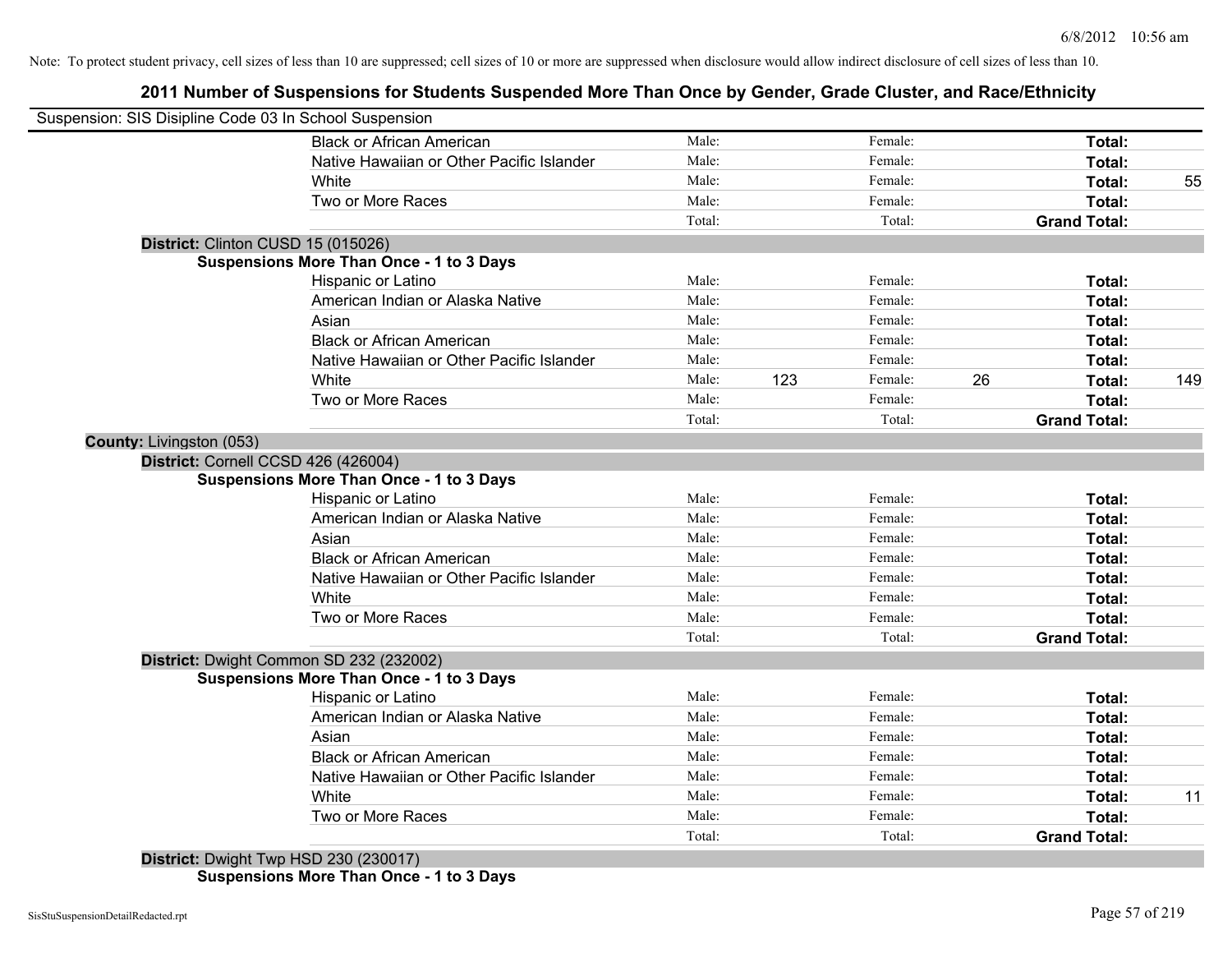## **2011 Number of Suspensions for Students Suspended More Than Once by Gender, Grade Cluster, and Race/Ethnicity**

| Suspension: SIS Disipline Code 03 In School Suspension |                                                 |        |     |         |    |                     |     |
|--------------------------------------------------------|-------------------------------------------------|--------|-----|---------|----|---------------------|-----|
|                                                        | <b>Black or African American</b>                | Male:  |     | Female: |    | Total:              |     |
|                                                        | Native Hawaiian or Other Pacific Islander       | Male:  |     | Female: |    | Total:              |     |
|                                                        | <b>White</b>                                    | Male:  |     | Female: |    | Total:              | 55  |
|                                                        | Two or More Races                               | Male:  |     | Female: |    | Total:              |     |
|                                                        |                                                 | Total: |     | Total:  |    | <b>Grand Total:</b> |     |
| District: Clinton CUSD 15 (015026)                     |                                                 |        |     |         |    |                     |     |
|                                                        | <b>Suspensions More Than Once - 1 to 3 Days</b> |        |     |         |    |                     |     |
|                                                        | Hispanic or Latino                              | Male:  |     | Female: |    | Total:              |     |
|                                                        | American Indian or Alaska Native                | Male:  |     | Female: |    | Total:              |     |
|                                                        | Asian                                           | Male:  |     | Female: |    | Total:              |     |
|                                                        | <b>Black or African American</b>                | Male:  |     | Female: |    | Total:              |     |
|                                                        | Native Hawaiian or Other Pacific Islander       | Male:  |     | Female: |    | Total:              |     |
|                                                        | White                                           | Male:  | 123 | Female: | 26 | Total:              | 149 |
|                                                        | Two or More Races                               | Male:  |     | Female: |    | <b>Total:</b>       |     |
|                                                        |                                                 | Total: |     | Total:  |    | <b>Grand Total:</b> |     |
| County: Livingston (053)                               |                                                 |        |     |         |    |                     |     |
| District: Cornell CCSD 426 (426004)                    |                                                 |        |     |         |    |                     |     |
|                                                        | <b>Suspensions More Than Once - 1 to 3 Days</b> |        |     |         |    |                     |     |
|                                                        | Hispanic or Latino                              | Male:  |     | Female: |    | Total:              |     |
|                                                        | American Indian or Alaska Native                | Male:  |     | Female: |    | Total:              |     |
|                                                        | Asian                                           | Male:  |     | Female: |    | Total:              |     |
|                                                        | <b>Black or African American</b>                | Male:  |     | Female: |    | Total:              |     |
|                                                        | Native Hawaiian or Other Pacific Islander       | Male:  |     | Female: |    | Total:              |     |
|                                                        | White                                           | Male:  |     | Female: |    | Total:              |     |
|                                                        | Two or More Races                               | Male:  |     | Female: |    | Total:              |     |
|                                                        |                                                 | Total: |     | Total:  |    | <b>Grand Total:</b> |     |
|                                                        | District: Dwight Common SD 232 (232002)         |        |     |         |    |                     |     |
|                                                        | <b>Suspensions More Than Once - 1 to 3 Days</b> |        |     |         |    |                     |     |
|                                                        | Hispanic or Latino                              | Male:  |     | Female: |    | Total:              |     |
|                                                        | American Indian or Alaska Native                | Male:  |     | Female: |    | Total:              |     |
|                                                        | Asian                                           | Male:  |     | Female: |    | Total:              |     |
|                                                        | <b>Black or African American</b>                | Male:  |     | Female: |    | Total:              |     |
|                                                        | Native Hawaiian or Other Pacific Islander       | Male:  |     | Female: |    | Total:              |     |
|                                                        | White                                           | Male:  |     | Female: |    | Total:              | 11  |
|                                                        | Two or More Races                               | Male:  |     | Female: |    | <b>Total:</b>       |     |
|                                                        |                                                 | Total: |     | Total:  |    | <b>Grand Total:</b> |     |
|                                                        | District: Dwight Twp HSD 230 (230017)           |        |     |         |    |                     |     |

**Suspensions More Than Once - 1 to 3 Days**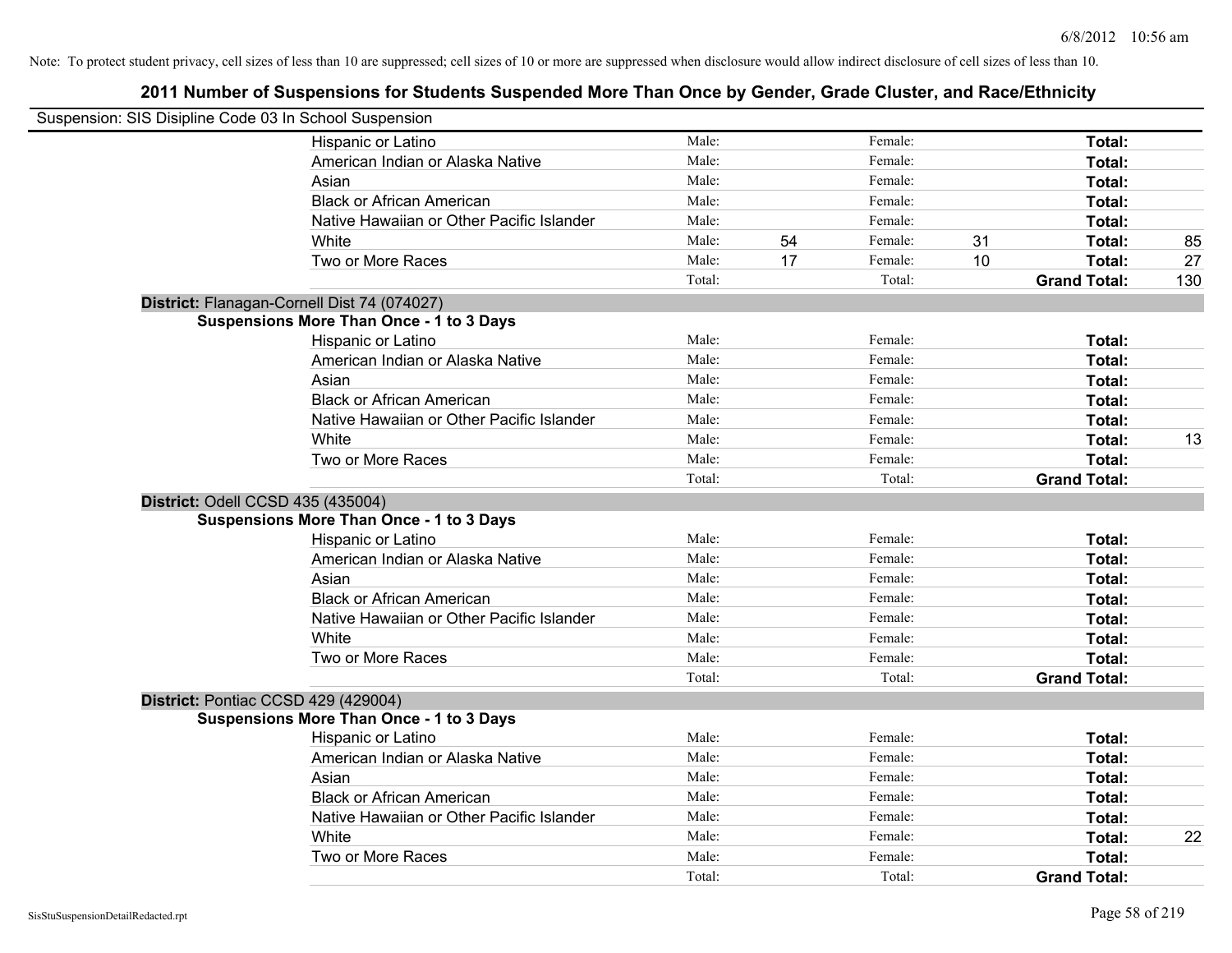| Suspension: SIS Disipline Code 03 In School Suspension |        |    |         |    |                     |     |
|--------------------------------------------------------|--------|----|---------|----|---------------------|-----|
| Hispanic or Latino                                     | Male:  |    | Female: |    | Total:              |     |
| American Indian or Alaska Native                       | Male:  |    | Female: |    | Total:              |     |
| Asian                                                  | Male:  |    | Female: |    | Total:              |     |
| <b>Black or African American</b>                       | Male:  |    | Female: |    | Total:              |     |
| Native Hawaiian or Other Pacific Islander              | Male:  |    | Female: |    | Total:              |     |
| White                                                  | Male:  | 54 | Female: | 31 | Total:              | 85  |
| Two or More Races                                      | Male:  | 17 | Female: | 10 | Total:              | 27  |
|                                                        | Total: |    | Total:  |    | <b>Grand Total:</b> | 130 |
| District: Flanagan-Cornell Dist 74 (074027)            |        |    |         |    |                     |     |
| <b>Suspensions More Than Once - 1 to 3 Days</b>        |        |    |         |    |                     |     |
| Hispanic or Latino                                     | Male:  |    | Female: |    | Total:              |     |
| American Indian or Alaska Native                       | Male:  |    | Female: |    | Total:              |     |
| Asian                                                  | Male:  |    | Female: |    | Total:              |     |
| <b>Black or African American</b>                       | Male:  |    | Female: |    | Total:              |     |
| Native Hawaiian or Other Pacific Islander              | Male:  |    | Female: |    | Total:              |     |
| White                                                  | Male:  |    | Female: |    | Total:              | 13  |
| Two or More Races                                      | Male:  |    | Female: |    | Total:              |     |
|                                                        | Total: |    | Total:  |    | <b>Grand Total:</b> |     |
| District: Odell CCSD 435 (435004)                      |        |    |         |    |                     |     |
| <b>Suspensions More Than Once - 1 to 3 Days</b>        |        |    |         |    |                     |     |
| Hispanic or Latino                                     | Male:  |    | Female: |    | Total:              |     |
| American Indian or Alaska Native                       | Male:  |    | Female: |    | Total:              |     |
| Asian                                                  | Male:  |    | Female: |    | Total:              |     |
| <b>Black or African American</b>                       | Male:  |    | Female: |    | Total:              |     |
| Native Hawaiian or Other Pacific Islander              | Male:  |    | Female: |    | Total:              |     |
| White                                                  | Male:  |    | Female: |    | Total:              |     |
| Two or More Races                                      | Male:  |    | Female: |    | Total:              |     |
|                                                        | Total: |    | Total:  |    | <b>Grand Total:</b> |     |
| District: Pontiac CCSD 429 (429004)                    |        |    |         |    |                     |     |
| <b>Suspensions More Than Once - 1 to 3 Days</b>        |        |    |         |    |                     |     |
| Hispanic or Latino                                     | Male:  |    | Female: |    | Total:              |     |
| American Indian or Alaska Native                       | Male:  |    | Female: |    | Total:              |     |
| Asian                                                  | Male:  |    | Female: |    | Total:              |     |
| <b>Black or African American</b>                       | Male:  |    | Female: |    | Total:              |     |
| Native Hawaiian or Other Pacific Islander              | Male:  |    | Female: |    | Total:              |     |
| White                                                  | Male:  |    | Female: |    | Total:              | 22  |
| Two or More Races                                      | Male:  |    | Female: |    | Total:              |     |
|                                                        | Total: |    | Total:  |    | <b>Grand Total:</b> |     |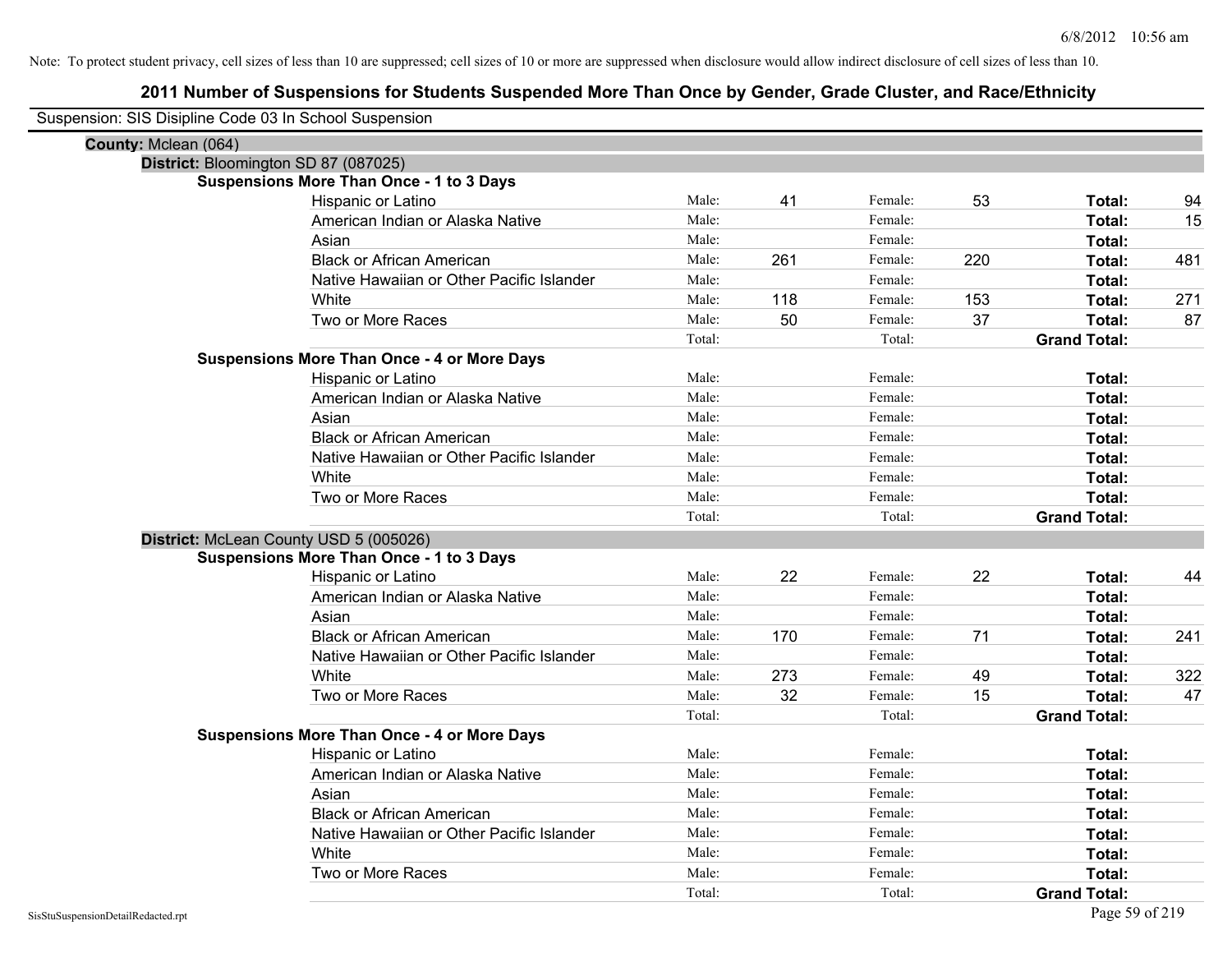| Suspension: SIS Disipline Code 03 In School Suspension |                                                    |        |     |         |     |                     |     |
|--------------------------------------------------------|----------------------------------------------------|--------|-----|---------|-----|---------------------|-----|
| County: Mclean (064)                                   |                                                    |        |     |         |     |                     |     |
| District: Bloomington SD 87 (087025)                   |                                                    |        |     |         |     |                     |     |
|                                                        | <b>Suspensions More Than Once - 1 to 3 Days</b>    |        |     |         |     |                     |     |
|                                                        | Hispanic or Latino                                 | Male:  | 41  | Female: | 53  | Total:              | 94  |
|                                                        | American Indian or Alaska Native                   | Male:  |     | Female: |     | Total:              | 15  |
|                                                        | Asian                                              | Male:  |     | Female: |     | Total:              |     |
|                                                        | <b>Black or African American</b>                   | Male:  | 261 | Female: | 220 | Total:              | 481 |
|                                                        | Native Hawaiian or Other Pacific Islander          | Male:  |     | Female: |     | Total:              |     |
|                                                        | White                                              | Male:  | 118 | Female: | 153 | Total:              | 271 |
|                                                        | Two or More Races                                  | Male:  | 50  | Female: | 37  | Total:              | 87  |
|                                                        |                                                    | Total: |     | Total:  |     | <b>Grand Total:</b> |     |
|                                                        | <b>Suspensions More Than Once - 4 or More Days</b> |        |     |         |     |                     |     |
|                                                        | Hispanic or Latino                                 | Male:  |     | Female: |     | Total:              |     |
|                                                        | American Indian or Alaska Native                   | Male:  |     | Female: |     | Total:              |     |
|                                                        | Asian                                              | Male:  |     | Female: |     | Total:              |     |
|                                                        | <b>Black or African American</b>                   | Male:  |     | Female: |     | Total:              |     |
|                                                        | Native Hawaiian or Other Pacific Islander          | Male:  |     | Female: |     | Total:              |     |
|                                                        | White                                              | Male:  |     | Female: |     | Total:              |     |
|                                                        | Two or More Races                                  | Male:  |     | Female: |     | Total:              |     |
|                                                        |                                                    | Total: |     | Total:  |     | <b>Grand Total:</b> |     |
| District: McLean County USD 5 (005026)                 |                                                    |        |     |         |     |                     |     |
|                                                        | <b>Suspensions More Than Once - 1 to 3 Days</b>    |        |     |         |     |                     |     |
|                                                        | Hispanic or Latino                                 | Male:  | 22  | Female: | 22  | Total:              | 44  |
|                                                        | American Indian or Alaska Native                   | Male:  |     | Female: |     | Total:              |     |
|                                                        | Asian                                              | Male:  |     | Female: |     | Total:              |     |
|                                                        | <b>Black or African American</b>                   | Male:  | 170 | Female: | 71  | Total:              | 241 |
|                                                        | Native Hawaiian or Other Pacific Islander          | Male:  |     | Female: |     | Total:              |     |
|                                                        | White                                              | Male:  | 273 | Female: | 49  | Total:              | 322 |
|                                                        | Two or More Races                                  | Male:  | 32  | Female: | 15  | Total:              | 47  |
|                                                        |                                                    | Total: |     | Total:  |     | <b>Grand Total:</b> |     |
|                                                        | <b>Suspensions More Than Once - 4 or More Days</b> |        |     |         |     |                     |     |
|                                                        | Hispanic or Latino                                 | Male:  |     | Female: |     | Total:              |     |
|                                                        | American Indian or Alaska Native                   | Male:  |     | Female: |     | Total:              |     |
|                                                        | Asian                                              | Male:  |     | Female: |     | Total:              |     |
|                                                        | <b>Black or African American</b>                   | Male:  |     | Female: |     | Total:              |     |
|                                                        | Native Hawaiian or Other Pacific Islander          | Male:  |     | Female: |     | Total:              |     |
|                                                        | White                                              | Male:  |     | Female: |     | Total:              |     |
|                                                        | Two or More Races                                  | Male:  |     | Female: |     | Total:              |     |
|                                                        |                                                    | Total: |     | Total:  |     | <b>Grand Total:</b> |     |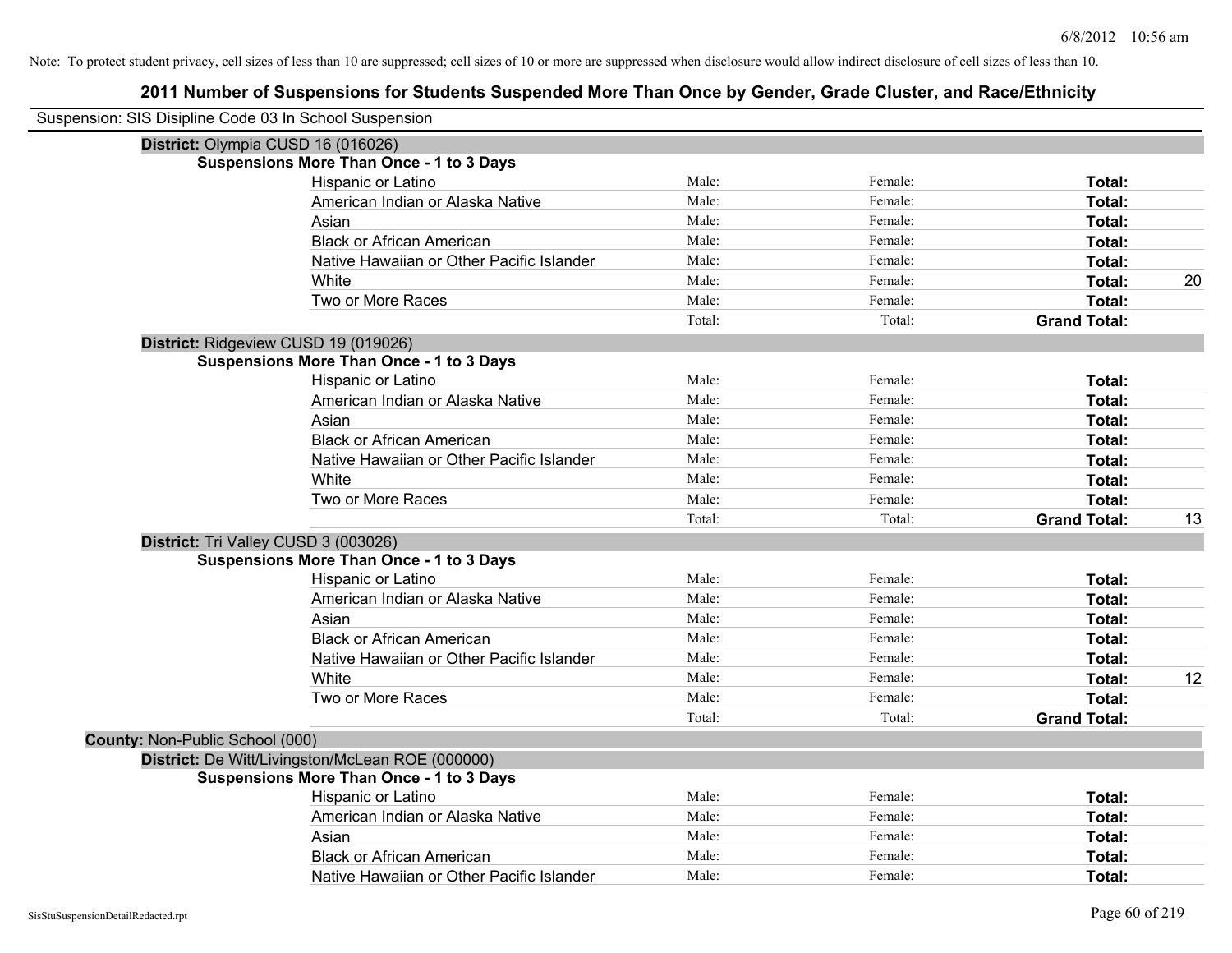| Suspension: SIS Disipline Code 03 In School Suspension |                                                  |        |         |                     |    |
|--------------------------------------------------------|--------------------------------------------------|--------|---------|---------------------|----|
|                                                        | District: Olympia CUSD 16 (016026)               |        |         |                     |    |
|                                                        | <b>Suspensions More Than Once - 1 to 3 Days</b>  |        |         |                     |    |
|                                                        | Hispanic or Latino                               | Male:  | Female: | Total:              |    |
|                                                        | American Indian or Alaska Native                 | Male:  | Female: | Total:              |    |
|                                                        | Asian                                            | Male:  | Female: | Total:              |    |
|                                                        | <b>Black or African American</b>                 | Male:  | Female: | Total:              |    |
|                                                        | Native Hawaiian or Other Pacific Islander        | Male:  | Female: | Total:              |    |
|                                                        | White                                            | Male:  | Female: | Total:              | 20 |
|                                                        | Two or More Races                                | Male:  | Female: | Total:              |    |
|                                                        |                                                  | Total: | Total:  | <b>Grand Total:</b> |    |
|                                                        | District: Ridgeview CUSD 19 (019026)             |        |         |                     |    |
|                                                        | <b>Suspensions More Than Once - 1 to 3 Days</b>  |        |         |                     |    |
|                                                        | Hispanic or Latino                               | Male:  | Female: | Total:              |    |
|                                                        | American Indian or Alaska Native                 | Male:  | Female: | <b>Total:</b>       |    |
|                                                        | Asian                                            | Male:  | Female: | Total:              |    |
|                                                        | <b>Black or African American</b>                 | Male:  | Female: | Total:              |    |
|                                                        | Native Hawaiian or Other Pacific Islander        | Male:  | Female: | Total:              |    |
|                                                        | White                                            | Male:  | Female: | Total:              |    |
|                                                        | Two or More Races                                | Male:  | Female: | Total:              |    |
|                                                        |                                                  | Total: | Total:  | <b>Grand Total:</b> | 13 |
|                                                        | District: Tri Valley CUSD 3 (003026)             |        |         |                     |    |
|                                                        | <b>Suspensions More Than Once - 1 to 3 Days</b>  |        |         |                     |    |
|                                                        | Hispanic or Latino                               | Male:  | Female: | Total:              |    |
|                                                        | American Indian or Alaska Native                 | Male:  | Female: | Total:              |    |
|                                                        | Asian                                            | Male:  | Female: | <b>Total:</b>       |    |
|                                                        | <b>Black or African American</b>                 | Male:  | Female: | Total:              |    |
|                                                        | Native Hawaiian or Other Pacific Islander        | Male:  | Female: | Total:              |    |
|                                                        | White                                            | Male:  | Female: | Total:              | 12 |
|                                                        | Two or More Races                                | Male:  | Female: | Total:              |    |
|                                                        |                                                  | Total: | Total:  | <b>Grand Total:</b> |    |
| County: Non-Public School (000)                        |                                                  |        |         |                     |    |
|                                                        | District: De Witt/Livingston/McLean ROE (000000) |        |         |                     |    |
|                                                        | <b>Suspensions More Than Once - 1 to 3 Days</b>  |        |         |                     |    |
|                                                        | Hispanic or Latino                               | Male:  | Female: | Total:              |    |
|                                                        | American Indian or Alaska Native                 | Male:  | Female: | Total:              |    |
|                                                        | Asian                                            | Male:  | Female: | Total:              |    |
|                                                        | <b>Black or African American</b>                 | Male:  | Female: | Total:              |    |
|                                                        | Native Hawaiian or Other Pacific Islander        | Male:  | Female: | Total:              |    |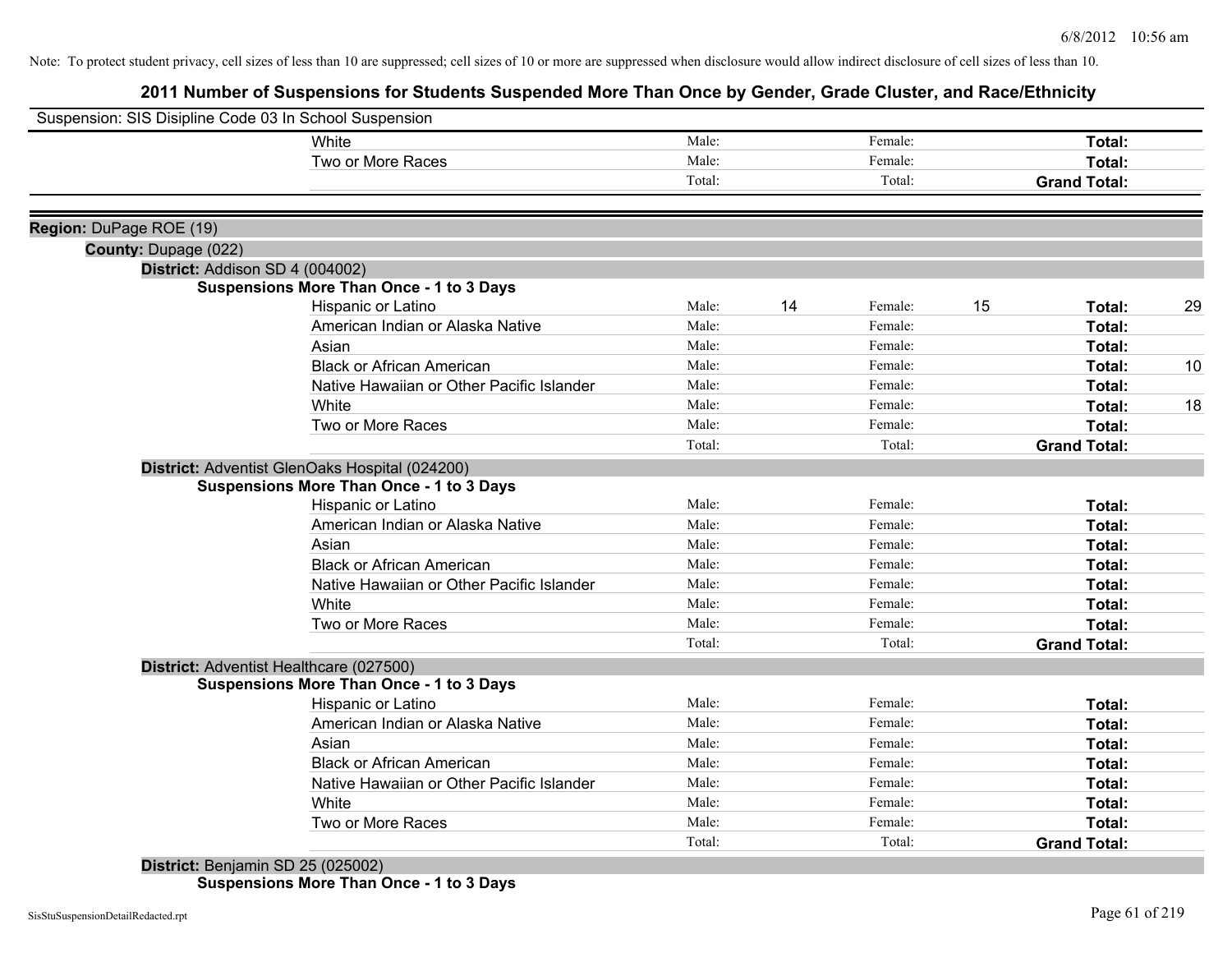## **2011 Number of Suspensions for Students Suspended More Than Once by Gender, Grade Cluster, and Race/Ethnicity**

| Suspension: SIS Disipline Code 03 In School Suspension  |                                                                                            |        |    |         |    |                     |    |
|---------------------------------------------------------|--------------------------------------------------------------------------------------------|--------|----|---------|----|---------------------|----|
|                                                         | White                                                                                      | Male:  |    | Female: |    | Total:              |    |
|                                                         | Two or More Races                                                                          | Male:  |    | Female: |    | <b>Total:</b>       |    |
|                                                         |                                                                                            | Total: |    | Total:  |    | <b>Grand Total:</b> |    |
| Region: DuPage ROE (19)                                 |                                                                                            |        |    |         |    |                     |    |
|                                                         |                                                                                            |        |    |         |    |                     |    |
| County: Dupage (022)<br>District: Addison SD 4 (004002) |                                                                                            |        |    |         |    |                     |    |
|                                                         | Suspensions More Than Once - 1 to 3 Days                                                   |        |    |         |    |                     |    |
|                                                         | Hispanic or Latino                                                                         | Male:  | 14 | Female: | 15 | Total:              | 29 |
|                                                         | American Indian or Alaska Native                                                           | Male:  |    | Female: |    | Total:              |    |
|                                                         | Asian                                                                                      | Male:  |    | Female: |    | Total:              |    |
|                                                         | <b>Black or African American</b>                                                           | Male:  |    | Female: |    | <b>Total:</b>       | 10 |
|                                                         | Native Hawaiian or Other Pacific Islander                                                  | Male:  |    | Female: |    | <b>Total:</b>       |    |
|                                                         | White                                                                                      | Male:  |    | Female: |    | <b>Total:</b>       | 18 |
|                                                         | Two or More Races                                                                          | Male:  |    | Female: |    | Total:              |    |
|                                                         |                                                                                            | Total: |    | Total:  |    | <b>Grand Total:</b> |    |
|                                                         | District: Adventist GlenOaks Hospital (024200)                                             |        |    |         |    |                     |    |
|                                                         | <b>Suspensions More Than Once - 1 to 3 Days</b>                                            |        |    |         |    |                     |    |
|                                                         | Hispanic or Latino                                                                         | Male:  |    | Female: |    | Total:              |    |
|                                                         | American Indian or Alaska Native                                                           | Male:  |    | Female: |    | Total:              |    |
|                                                         | Asian                                                                                      | Male:  |    | Female: |    | <b>Total:</b>       |    |
|                                                         | <b>Black or African American</b>                                                           | Male:  |    | Female: |    | Total:              |    |
|                                                         | Native Hawaiian or Other Pacific Islander                                                  | Male:  |    | Female: |    | Total:              |    |
|                                                         | White                                                                                      | Male:  |    | Female: |    | <b>Total:</b>       |    |
|                                                         | Two or More Races                                                                          | Male:  |    | Female: |    | Total:              |    |
|                                                         |                                                                                            | Total: |    | Total:  |    | <b>Grand Total:</b> |    |
|                                                         |                                                                                            |        |    |         |    |                     |    |
|                                                         | District: Adventist Healthcare (027500)<br><b>Suspensions More Than Once - 1 to 3 Days</b> |        |    |         |    |                     |    |
|                                                         | Hispanic or Latino                                                                         | Male:  |    | Female: |    | Total:              |    |
|                                                         | American Indian or Alaska Native                                                           | Male:  |    | Female: |    | Total:              |    |
|                                                         | Asian                                                                                      | Male:  |    | Female: |    | Total:              |    |
|                                                         | <b>Black or African American</b>                                                           | Male:  |    | Female: |    | <b>Total:</b>       |    |
|                                                         | Native Hawaiian or Other Pacific Islander                                                  | Male:  |    | Female: |    | Total:              |    |
|                                                         | White                                                                                      | Male:  |    | Female: |    | <b>Total:</b>       |    |
|                                                         | Two or More Races                                                                          | Male:  |    | Female: |    | Total:              |    |
|                                                         |                                                                                            | Total: |    | Total:  |    | <b>Grand Total:</b> |    |
|                                                         |                                                                                            |        |    |         |    |                     |    |
|                                                         | District: Benjamin SD 25 (025002)                                                          |        |    |         |    |                     |    |

**Suspensions More Than Once - 1 to 3 Days**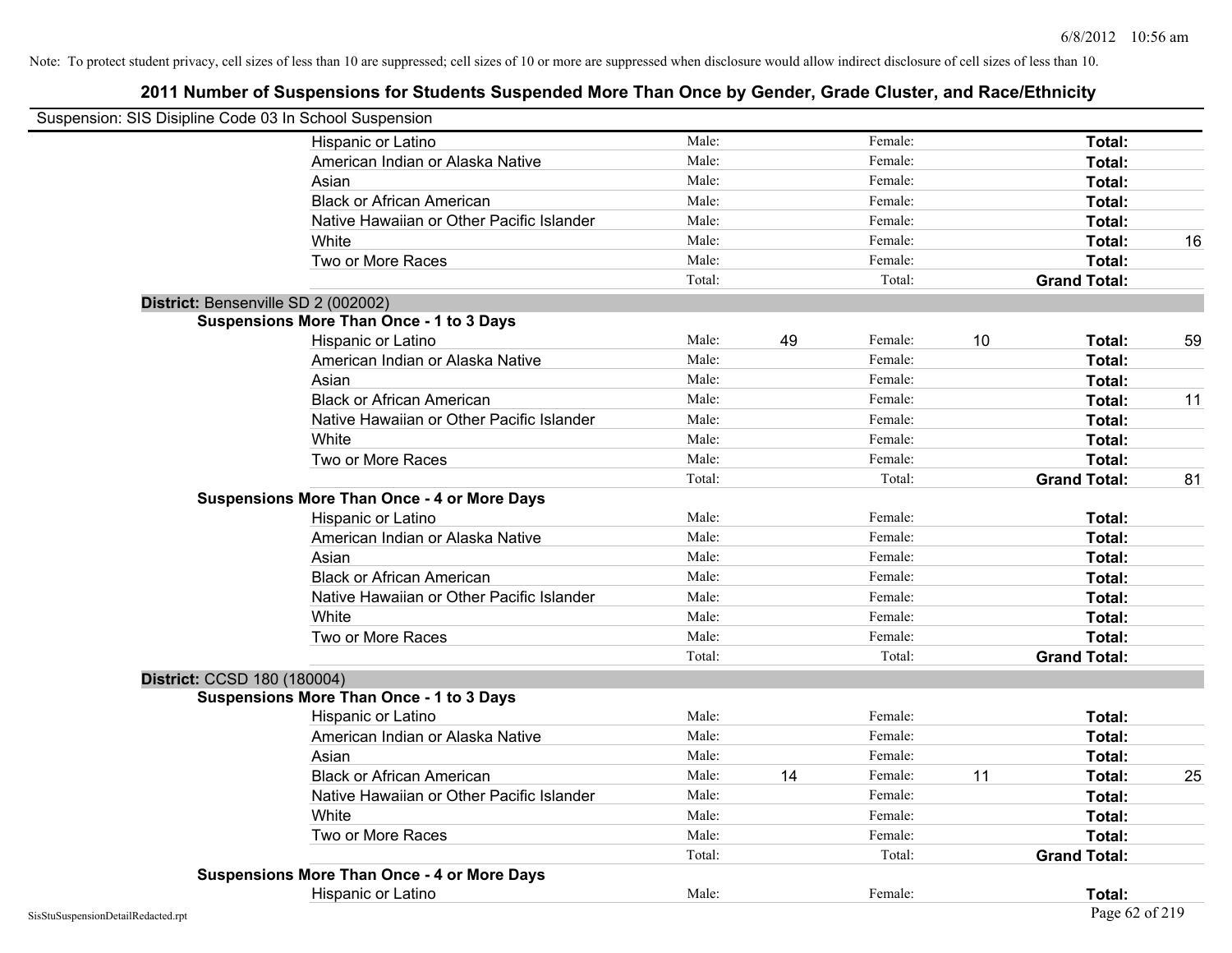| Suspension: SIS Disipline Code 03 In School Suspension |                                                    |        |    |         |    |                     |    |
|--------------------------------------------------------|----------------------------------------------------|--------|----|---------|----|---------------------|----|
|                                                        | Hispanic or Latino                                 | Male:  |    | Female: |    | Total:              |    |
|                                                        | American Indian or Alaska Native                   | Male:  |    | Female: |    | Total:              |    |
|                                                        | Asian                                              | Male:  |    | Female: |    | Total:              |    |
|                                                        | <b>Black or African American</b>                   | Male:  |    | Female: |    | Total:              |    |
|                                                        | Native Hawaiian or Other Pacific Islander          | Male:  |    | Female: |    | Total:              |    |
|                                                        | White                                              | Male:  |    | Female: |    | Total:              | 16 |
|                                                        | Two or More Races                                  | Male:  |    | Female: |    | Total:              |    |
|                                                        |                                                    | Total: |    | Total:  |    | <b>Grand Total:</b> |    |
| District: Bensenville SD 2 (002002)                    |                                                    |        |    |         |    |                     |    |
|                                                        | <b>Suspensions More Than Once - 1 to 3 Days</b>    |        |    |         |    |                     |    |
|                                                        | Hispanic or Latino                                 | Male:  | 49 | Female: | 10 | Total:              | 59 |
|                                                        | American Indian or Alaska Native                   | Male:  |    | Female: |    | Total:              |    |
|                                                        | Asian                                              | Male:  |    | Female: |    | Total:              |    |
|                                                        | <b>Black or African American</b>                   | Male:  |    | Female: |    | Total:              | 11 |
|                                                        | Native Hawaiian or Other Pacific Islander          | Male:  |    | Female: |    | Total:              |    |
|                                                        | White                                              | Male:  |    | Female: |    | Total:              |    |
|                                                        | Two or More Races                                  | Male:  |    | Female: |    | Total:              |    |
|                                                        |                                                    | Total: |    | Total:  |    | <b>Grand Total:</b> | 81 |
|                                                        | <b>Suspensions More Than Once - 4 or More Days</b> |        |    |         |    |                     |    |
|                                                        | Hispanic or Latino                                 | Male:  |    | Female: |    | Total:              |    |
|                                                        | American Indian or Alaska Native                   | Male:  |    | Female: |    | Total:              |    |
|                                                        | Asian                                              | Male:  |    | Female: |    | Total:              |    |
|                                                        | <b>Black or African American</b>                   | Male:  |    | Female: |    | Total:              |    |
|                                                        | Native Hawaiian or Other Pacific Islander          | Male:  |    | Female: |    | Total:              |    |
|                                                        | White                                              | Male:  |    | Female: |    | Total:              |    |
|                                                        | Two or More Races                                  | Male:  |    | Female: |    | Total:              |    |
|                                                        |                                                    | Total: |    | Total:  |    | <b>Grand Total:</b> |    |
| District: CCSD 180 (180004)                            |                                                    |        |    |         |    |                     |    |
|                                                        | <b>Suspensions More Than Once - 1 to 3 Days</b>    |        |    |         |    |                     |    |
|                                                        | Hispanic or Latino                                 | Male:  |    | Female: |    | Total:              |    |
|                                                        | American Indian or Alaska Native                   | Male:  |    | Female: |    | Total:              |    |
|                                                        | Asian                                              | Male:  |    | Female: |    | Total:              |    |
|                                                        | <b>Black or African American</b>                   | Male:  | 14 | Female: | 11 | Total:              | 25 |
|                                                        | Native Hawaiian or Other Pacific Islander          | Male:  |    | Female: |    | Total:              |    |
|                                                        | White                                              | Male:  |    | Female: |    | Total:              |    |
|                                                        | Two or More Races                                  | Male:  |    | Female: |    | Total:              |    |
|                                                        |                                                    | Total: |    | Total:  |    | <b>Grand Total:</b> |    |
|                                                        | <b>Suspensions More Than Once - 4 or More Days</b> |        |    |         |    |                     |    |
|                                                        | Hispanic or Latino                                 | Male:  |    | Female: |    | Total:              |    |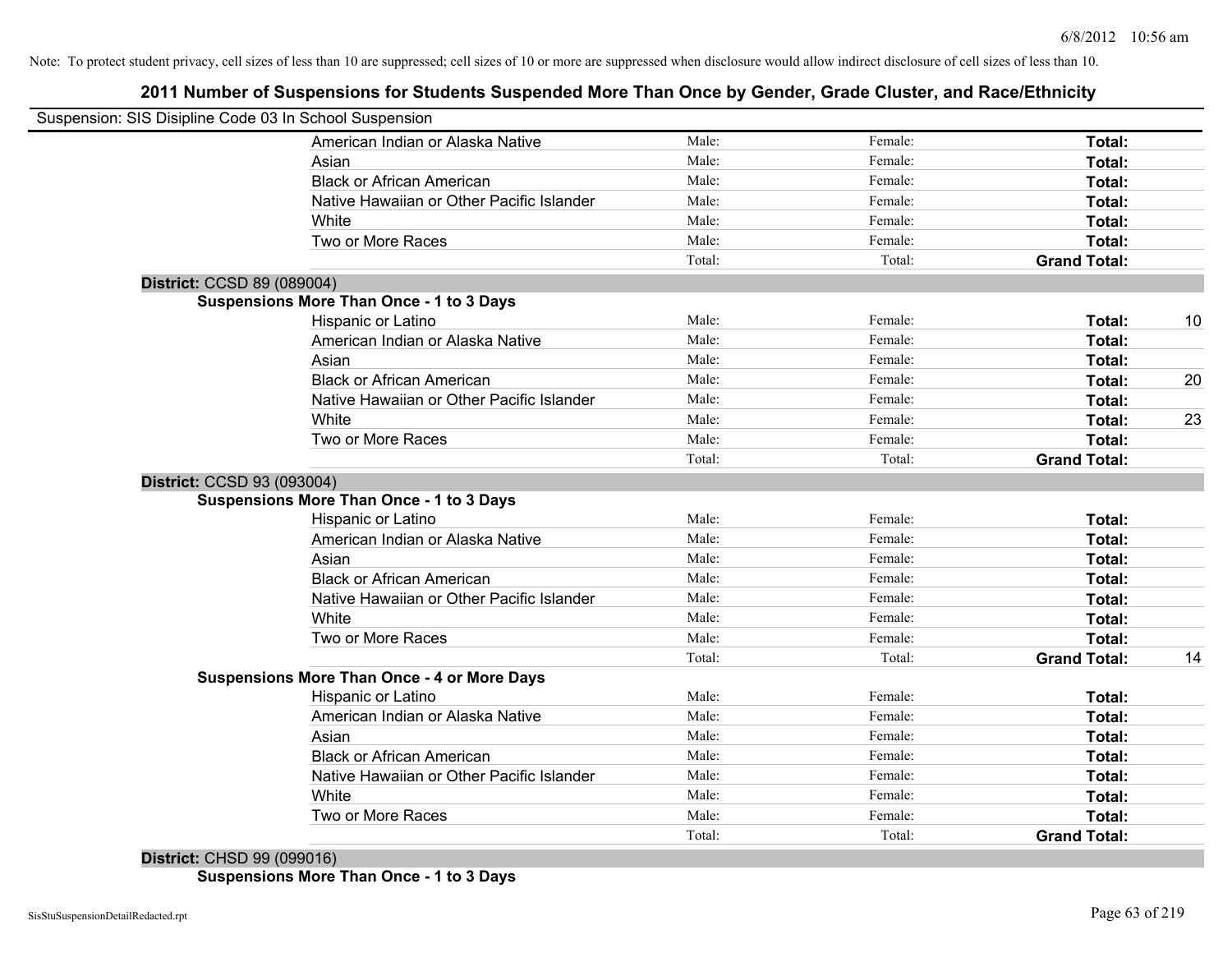## **2011 Number of Suspensions for Students Suspended More Than Once by Gender, Grade Cluster, and Race/Ethnicity**

| Suspension: SIS Disipline Code 03 In School Suspension |                                                    |        |         |                     |    |
|--------------------------------------------------------|----------------------------------------------------|--------|---------|---------------------|----|
|                                                        |                                                    |        |         |                     |    |
|                                                        | American Indian or Alaska Native                   | Male:  | Female: | Total:              |    |
|                                                        | Asian                                              | Male:  | Female: | Total:              |    |
|                                                        | <b>Black or African American</b>                   | Male:  | Female: | Total:              |    |
|                                                        | Native Hawaiian or Other Pacific Islander          | Male:  | Female: | Total:              |    |
|                                                        | White                                              | Male:  | Female: | Total:              |    |
|                                                        | Two or More Races                                  | Male:  | Female: | Total:              |    |
|                                                        |                                                    | Total: | Total:  | <b>Grand Total:</b> |    |
| District: CCSD 89 (089004)                             |                                                    |        |         |                     |    |
|                                                        | <b>Suspensions More Than Once - 1 to 3 Days</b>    |        |         |                     |    |
|                                                        | Hispanic or Latino                                 | Male:  | Female: | Total:              | 10 |
|                                                        | American Indian or Alaska Native                   | Male:  | Female: | Total:              |    |
|                                                        | Asian                                              | Male:  | Female: | Total:              |    |
|                                                        | <b>Black or African American</b>                   | Male:  | Female: | Total:              | 20 |
|                                                        | Native Hawaiian or Other Pacific Islander          | Male:  | Female: | Total:              |    |
|                                                        | White                                              | Male:  | Female: | Total:              | 23 |
|                                                        | Two or More Races                                  | Male:  | Female: | Total:              |    |
|                                                        |                                                    | Total: | Total:  | <b>Grand Total:</b> |    |
| District: CCSD 93 (093004)                             |                                                    |        |         |                     |    |
|                                                        | <b>Suspensions More Than Once - 1 to 3 Days</b>    |        |         |                     |    |
|                                                        | Hispanic or Latino                                 | Male:  | Female: | Total:              |    |
|                                                        | American Indian or Alaska Native                   | Male:  | Female: | Total:              |    |
|                                                        | Asian                                              | Male:  | Female: | Total:              |    |
|                                                        | <b>Black or African American</b>                   | Male:  | Female: | Total:              |    |
|                                                        | Native Hawaiian or Other Pacific Islander          | Male:  | Female: | Total:              |    |
|                                                        | White                                              | Male:  | Female: | Total:              |    |
|                                                        | Two or More Races                                  | Male:  | Female: | Total:              |    |
|                                                        |                                                    | Total: | Total:  | <b>Grand Total:</b> | 14 |
|                                                        | <b>Suspensions More Than Once - 4 or More Days</b> |        |         |                     |    |
|                                                        | Hispanic or Latino                                 | Male:  | Female: | Total:              |    |
|                                                        | American Indian or Alaska Native                   | Male:  | Female: | Total:              |    |
|                                                        | Asian                                              | Male:  | Female: | Total:              |    |
|                                                        | <b>Black or African American</b>                   | Male:  | Female: | Total:              |    |
|                                                        | Native Hawaiian or Other Pacific Islander          | Male:  | Female: | Total:              |    |
|                                                        | White                                              | Male:  | Female: | Total:              |    |
|                                                        |                                                    |        |         |                     |    |
|                                                        | Two or More Races                                  | Male:  | Female: | Total:              |    |

**District:** CHSD 99 (099016) **Suspensions More Than Once - 1 to 3 Days**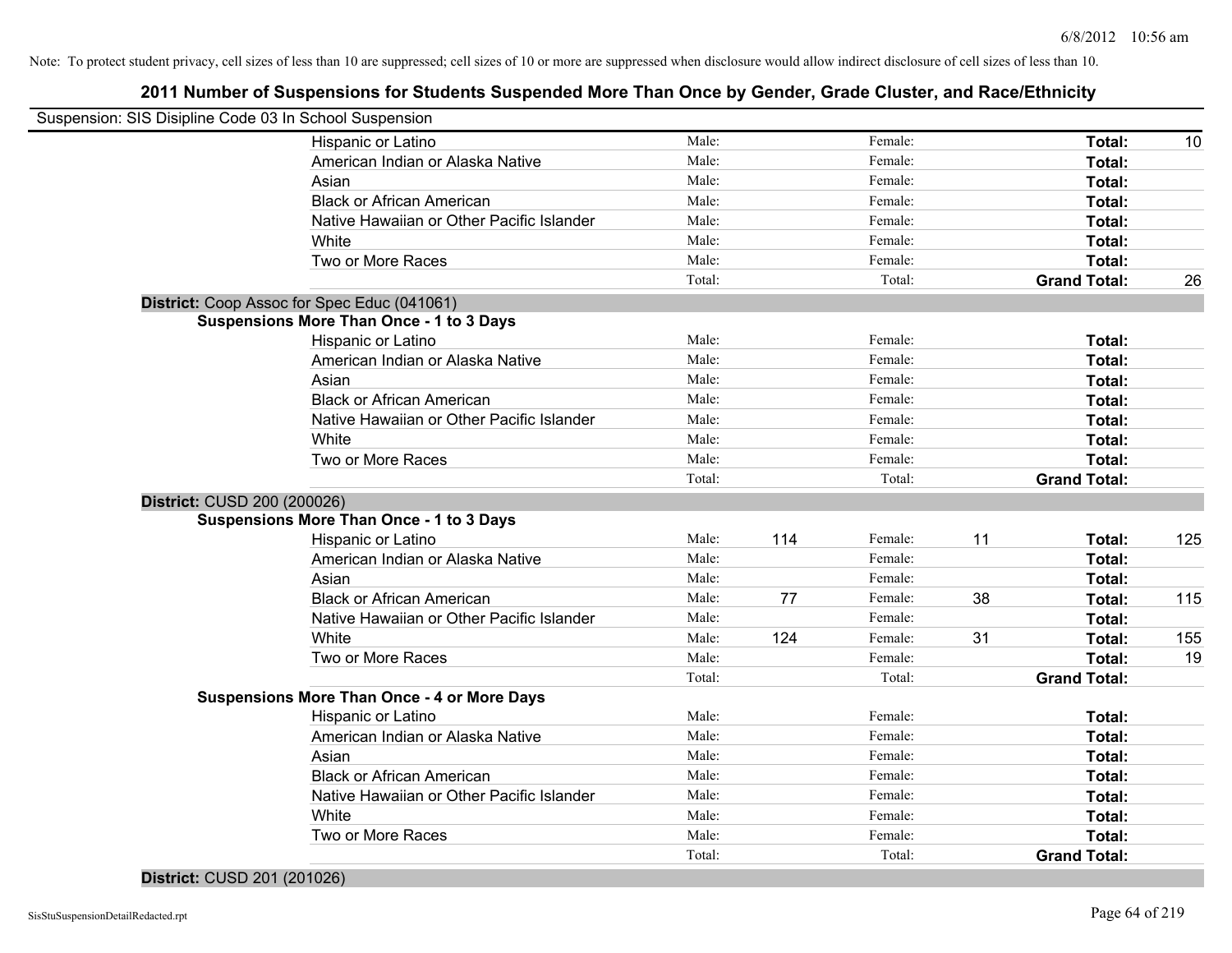## **2011 Number of Suspensions for Students Suspended More Than Once by Gender, Grade Cluster, and Race/Ethnicity**

| Suspension: SIS Disipline Code 03 In School Suspension |                                                    |                 |     |                    |    |                     |     |
|--------------------------------------------------------|----------------------------------------------------|-----------------|-----|--------------------|----|---------------------|-----|
|                                                        | Hispanic or Latino                                 | Male:           |     | Female:            |    | Total:              | 10  |
|                                                        | American Indian or Alaska Native                   | Male:           |     | Female:            |    | Total:              |     |
|                                                        | Asian                                              | Male:           |     | Female:            |    | Total:              |     |
|                                                        | <b>Black or African American</b>                   | Male:           |     | Female:            |    | Total:              |     |
|                                                        | Native Hawaiian or Other Pacific Islander          | Male:           |     | Female:            |    | Total:              |     |
|                                                        | White                                              | Male:           |     | Female:            |    | Total:              |     |
|                                                        | Two or More Races                                  | Male:           |     | Female:            |    | Total:              |     |
|                                                        |                                                    | Total:          |     | Total:             |    | <b>Grand Total:</b> | 26  |
|                                                        | District: Coop Assoc for Spec Educ (041061)        |                 |     |                    |    |                     |     |
|                                                        | <b>Suspensions More Than Once - 1 to 3 Days</b>    |                 |     |                    |    |                     |     |
|                                                        | Hispanic or Latino                                 | Male:           |     | Female:            |    | Total:              |     |
|                                                        | American Indian or Alaska Native                   | Male:           |     | Female:            |    | Total:              |     |
|                                                        | Asian                                              | Male:           |     | Female:            |    | Total:              |     |
|                                                        | <b>Black or African American</b>                   | Male:           |     | Female:            |    | Total:              |     |
|                                                        | Native Hawaiian or Other Pacific Islander          | Male:           |     | Female:            |    | Total:              |     |
|                                                        | White                                              | Male:           |     | Female:            |    | Total:              |     |
|                                                        | Two or More Races                                  | Male:           |     | Female:            |    | Total:              |     |
|                                                        |                                                    | Total:          |     | Total:             |    | <b>Grand Total:</b> |     |
| District: CUSD 200 (200026)                            |                                                    |                 |     |                    |    |                     |     |
|                                                        | <b>Suspensions More Than Once - 1 to 3 Days</b>    |                 |     |                    |    |                     |     |
|                                                        | Hispanic or Latino                                 | Male:           | 114 | Female:            | 11 | Total:              | 125 |
|                                                        | American Indian or Alaska Native                   | Male:           |     | Female:            |    | Total:              |     |
|                                                        | Asian                                              | Male:           |     | Female:            |    | Total:              |     |
|                                                        | <b>Black or African American</b>                   | Male:           | 77  | Female:            | 38 | Total:              | 115 |
|                                                        | Native Hawaiian or Other Pacific Islander          | Male:           |     | Female:            |    | Total:              |     |
|                                                        | White                                              | Male:           | 124 | Female:            | 31 | <b>Total:</b>       | 155 |
|                                                        | Two or More Races                                  | Male:           |     | Female:            |    | Total:              | 19  |
|                                                        |                                                    | Total:          |     | Total:             |    | <b>Grand Total:</b> |     |
|                                                        | <b>Suspensions More Than Once - 4 or More Days</b> |                 |     |                    |    |                     |     |
|                                                        | Hispanic or Latino                                 | Male:           |     | Female:            |    | Total:              |     |
|                                                        | American Indian or Alaska Native                   | Male:           |     | Female:            |    | Total:              |     |
|                                                        | Asian                                              | Male:           |     | Female:<br>Female: |    | Total:              |     |
|                                                        | <b>Black or African American</b>                   | Male:           |     |                    |    | Total:              |     |
|                                                        | Native Hawaiian or Other Pacific Islander          | Male:           |     | Female:            |    | Total:              |     |
|                                                        | White                                              | Male:           |     | Female:<br>Female: |    | Total:              |     |
|                                                        | Two or More Races                                  | Male:<br>Total: |     | Total:             |    | Total:              |     |
|                                                        |                                                    |                 |     |                    |    | <b>Grand Total:</b> |     |

#### **District:** CUSD 201 (201026)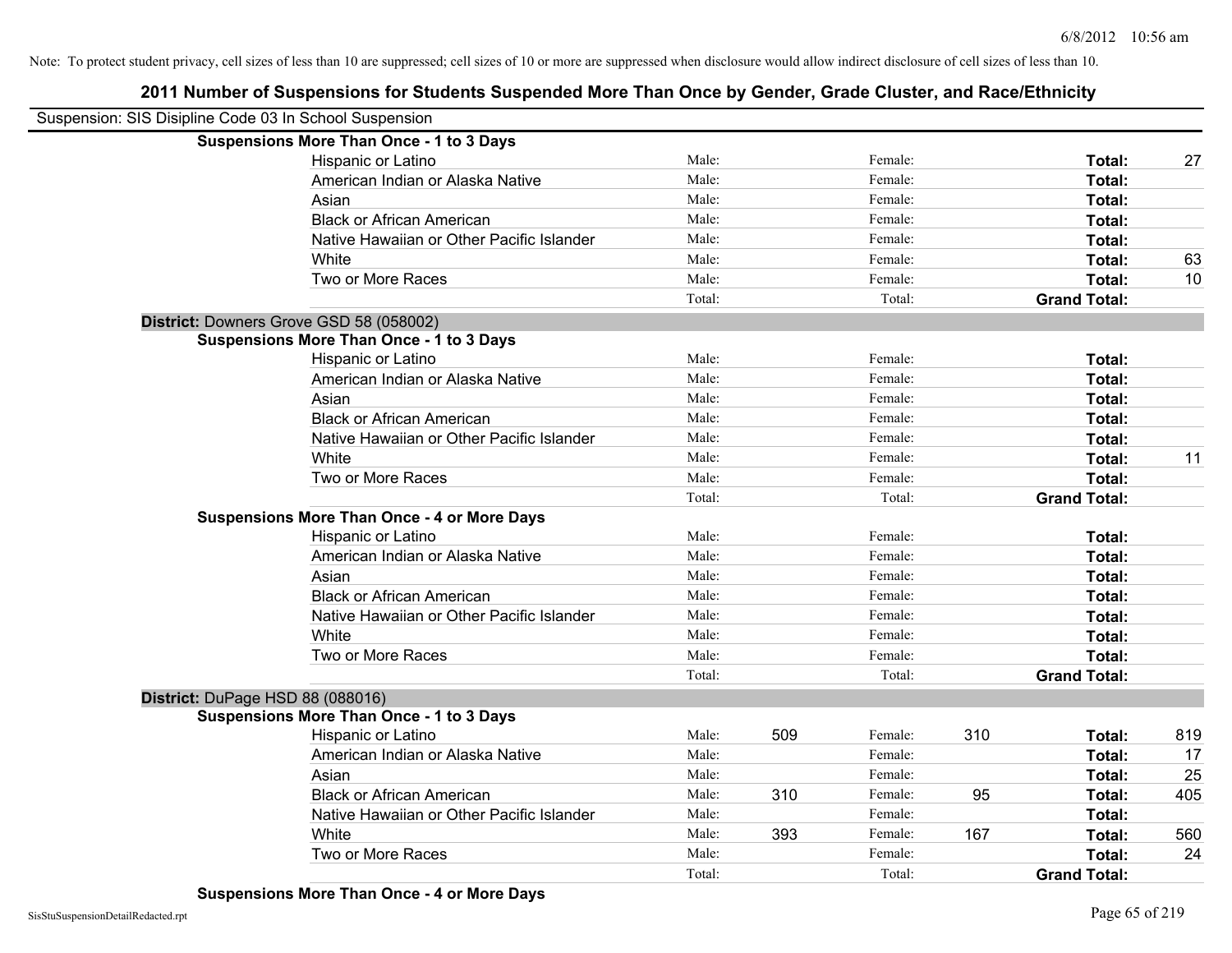| Suspension: SIS Disipline Code 03 In School Suspension |                                                    |        |     |         |     |                     |     |
|--------------------------------------------------------|----------------------------------------------------|--------|-----|---------|-----|---------------------|-----|
|                                                        | <b>Suspensions More Than Once - 1 to 3 Days</b>    |        |     |         |     |                     |     |
|                                                        | Hispanic or Latino                                 | Male:  |     | Female: |     | Total:              | 27  |
|                                                        | American Indian or Alaska Native                   | Male:  |     | Female: |     | Total:              |     |
| Asian                                                  |                                                    | Male:  |     | Female: |     | Total:              |     |
|                                                        | <b>Black or African American</b>                   | Male:  |     | Female: |     | Total:              |     |
|                                                        | Native Hawaiian or Other Pacific Islander          | Male:  |     | Female: |     | Total:              |     |
| White                                                  |                                                    | Male:  |     | Female: |     | Total:              | 63  |
|                                                        | Two or More Races                                  | Male:  |     | Female: |     | Total:              | 10  |
|                                                        |                                                    | Total: |     | Total:  |     | <b>Grand Total:</b> |     |
| District: Downers Grove GSD 58 (058002)                |                                                    |        |     |         |     |                     |     |
|                                                        | <b>Suspensions More Than Once - 1 to 3 Days</b>    |        |     |         |     |                     |     |
|                                                        | Hispanic or Latino                                 | Male:  |     | Female: |     | Total:              |     |
|                                                        | American Indian or Alaska Native                   | Male:  |     | Female: |     | Total:              |     |
| Asian                                                  |                                                    | Male:  |     | Female: |     | Total:              |     |
|                                                        | <b>Black or African American</b>                   | Male:  |     | Female: |     | Total:              |     |
|                                                        | Native Hawaiian or Other Pacific Islander          | Male:  |     | Female: |     | Total:              |     |
| White                                                  |                                                    | Male:  |     | Female: |     | Total:              | 11  |
|                                                        | Two or More Races                                  | Male:  |     | Female: |     | Total:              |     |
|                                                        |                                                    | Total: |     | Total:  |     | <b>Grand Total:</b> |     |
|                                                        | <b>Suspensions More Than Once - 4 or More Days</b> |        |     |         |     |                     |     |
|                                                        | Hispanic or Latino                                 | Male:  |     | Female: |     | Total:              |     |
|                                                        | American Indian or Alaska Native                   | Male:  |     | Female: |     | Total:              |     |
| Asian                                                  |                                                    | Male:  |     | Female: |     | Total:              |     |
|                                                        | <b>Black or African American</b>                   | Male:  |     | Female: |     | Total:              |     |
|                                                        | Native Hawaiian or Other Pacific Islander          | Male:  |     | Female: |     | Total:              |     |
| White                                                  |                                                    | Male:  |     | Female: |     | Total:              |     |
|                                                        | Two or More Races                                  | Male:  |     | Female: |     | Total:              |     |
|                                                        |                                                    | Total: |     | Total:  |     | <b>Grand Total:</b> |     |
| District: DuPage HSD 88 (088016)                       |                                                    |        |     |         |     |                     |     |
|                                                        | <b>Suspensions More Than Once - 1 to 3 Days</b>    |        |     |         |     |                     |     |
|                                                        | Hispanic or Latino                                 | Male:  | 509 | Female: | 310 | Total:              | 819 |
|                                                        | American Indian or Alaska Native                   | Male:  |     | Female: |     | Total:              | 17  |
| Asian                                                  |                                                    | Male:  |     | Female: |     | Total:              | 25  |
|                                                        | <b>Black or African American</b>                   | Male:  | 310 | Female: | 95  | Total:              | 405 |
|                                                        | Native Hawaiian or Other Pacific Islander          | Male:  |     | Female: |     | Total:              |     |
| White                                                  |                                                    | Male:  | 393 | Female: | 167 | Total:              | 560 |
|                                                        | Two or More Races                                  | Male:  |     | Female: |     | Total:              | 24  |
|                                                        |                                                    | Total: |     | Total:  |     | <b>Grand Total:</b> |     |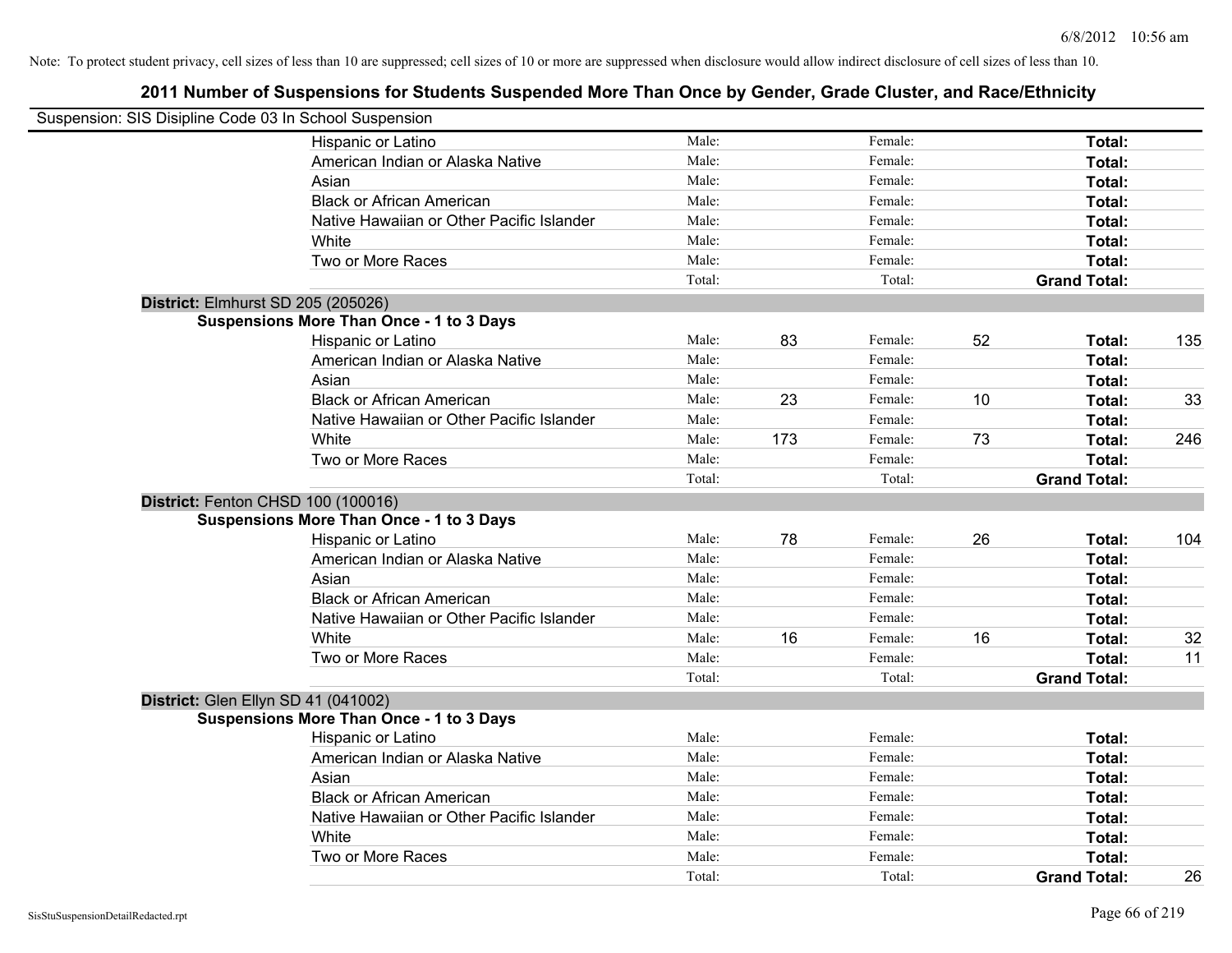| Suspension: SIS Disipline Code 03 In School Suspension |                                                 |        |     |         |    |                     |     |
|--------------------------------------------------------|-------------------------------------------------|--------|-----|---------|----|---------------------|-----|
|                                                        | Hispanic or Latino                              | Male:  |     | Female: |    | Total:              |     |
|                                                        | American Indian or Alaska Native                | Male:  |     | Female: |    | Total:              |     |
|                                                        | Asian                                           | Male:  |     | Female: |    | Total:              |     |
|                                                        | <b>Black or African American</b>                | Male:  |     | Female: |    | Total:              |     |
|                                                        | Native Hawaiian or Other Pacific Islander       | Male:  |     | Female: |    | Total:              |     |
|                                                        | White                                           | Male:  |     | Female: |    | Total:              |     |
|                                                        | Two or More Races                               | Male:  |     | Female: |    | Total:              |     |
|                                                        |                                                 | Total: |     | Total:  |    | <b>Grand Total:</b> |     |
| District: Elmhurst SD 205 (205026)                     |                                                 |        |     |         |    |                     |     |
|                                                        | <b>Suspensions More Than Once - 1 to 3 Days</b> |        |     |         |    |                     |     |
|                                                        | Hispanic or Latino                              | Male:  | 83  | Female: | 52 | Total:              | 135 |
|                                                        | American Indian or Alaska Native                | Male:  |     | Female: |    | Total:              |     |
|                                                        | Asian                                           | Male:  |     | Female: |    | Total:              |     |
|                                                        | <b>Black or African American</b>                | Male:  | 23  | Female: | 10 | Total:              | 33  |
|                                                        | Native Hawaiian or Other Pacific Islander       | Male:  |     | Female: |    | Total:              |     |
|                                                        | White                                           | Male:  | 173 | Female: | 73 | Total:              | 246 |
|                                                        | Two or More Races                               | Male:  |     | Female: |    | Total:              |     |
|                                                        |                                                 | Total: |     | Total:  |    | <b>Grand Total:</b> |     |
| District: Fenton CHSD 100 (100016)                     |                                                 |        |     |         |    |                     |     |
|                                                        | <b>Suspensions More Than Once - 1 to 3 Days</b> |        |     |         |    |                     |     |
|                                                        | Hispanic or Latino                              | Male:  | 78  | Female: | 26 | Total:              | 104 |
|                                                        | American Indian or Alaska Native                | Male:  |     | Female: |    | Total:              |     |
|                                                        | Asian                                           | Male:  |     | Female: |    | Total:              |     |
|                                                        | <b>Black or African American</b>                | Male:  |     | Female: |    | Total:              |     |
|                                                        | Native Hawaiian or Other Pacific Islander       | Male:  |     | Female: |    | Total:              |     |
|                                                        | White                                           | Male:  | 16  | Female: | 16 | Total:              | 32  |
|                                                        | Two or More Races                               | Male:  |     | Female: |    | Total:              | 11  |
|                                                        |                                                 | Total: |     | Total:  |    | <b>Grand Total:</b> |     |
| District: Glen Ellyn SD 41 (041002)                    |                                                 |        |     |         |    |                     |     |
|                                                        | <b>Suspensions More Than Once - 1 to 3 Days</b> |        |     |         |    |                     |     |
|                                                        | Hispanic or Latino                              | Male:  |     | Female: |    | Total:              |     |
|                                                        | American Indian or Alaska Native                | Male:  |     | Female: |    | Total:              |     |
|                                                        | Asian                                           | Male:  |     | Female: |    | Total:              |     |
|                                                        | <b>Black or African American</b>                | Male:  |     | Female: |    | Total:              |     |
|                                                        | Native Hawaiian or Other Pacific Islander       | Male:  |     | Female: |    | Total:              |     |
|                                                        | White                                           | Male:  |     | Female: |    | Total:              |     |
|                                                        | Two or More Races                               | Male:  |     | Female: |    | Total:              |     |
|                                                        |                                                 | Total: |     | Total:  |    | <b>Grand Total:</b> | 26  |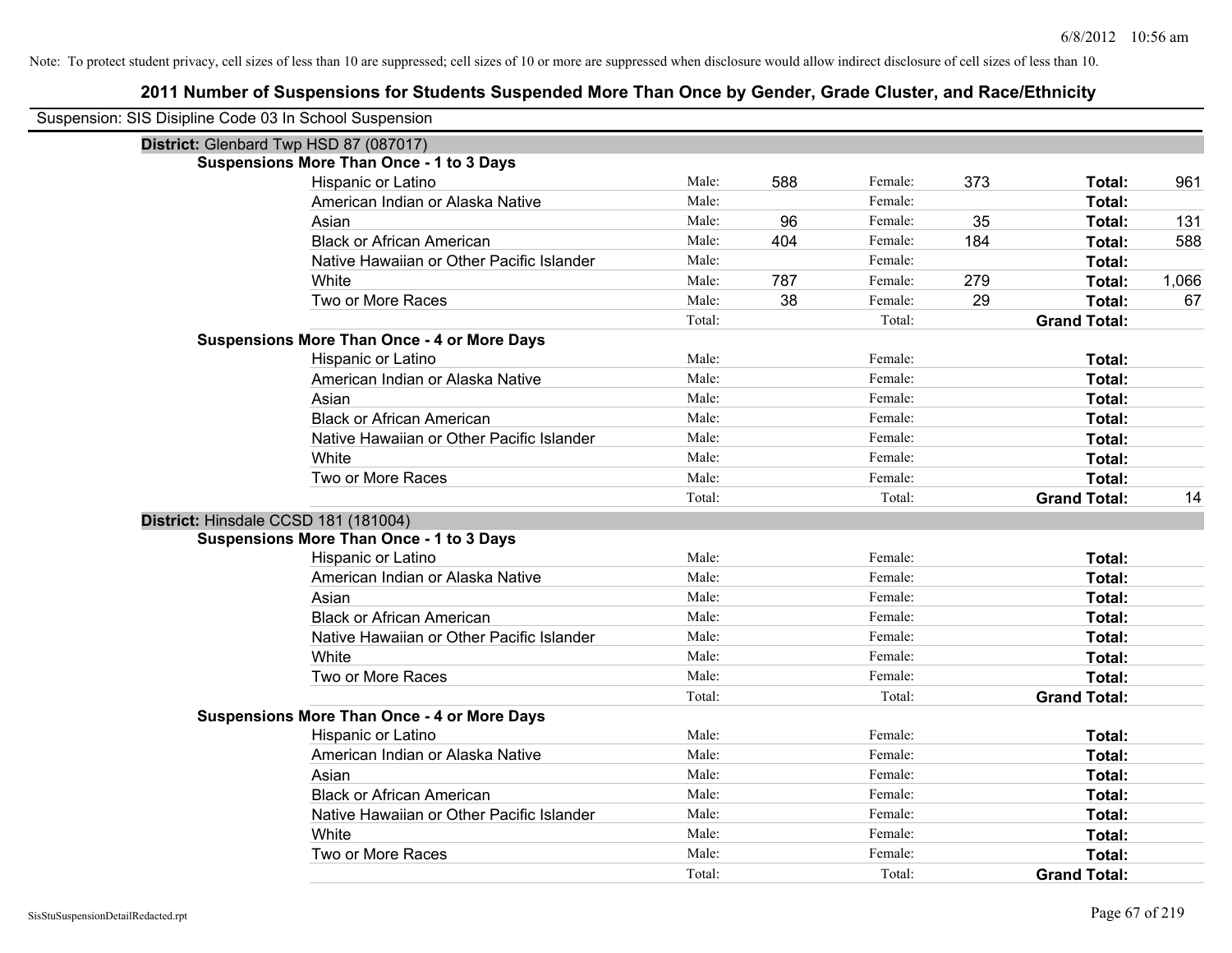| Suspension: SIS Disipline Code 03 In School Suspension |                                                    |        |     |         |     |                     |       |
|--------------------------------------------------------|----------------------------------------------------|--------|-----|---------|-----|---------------------|-------|
| District: Glenbard Twp HSD 87 (087017)                 |                                                    |        |     |         |     |                     |       |
|                                                        | <b>Suspensions More Than Once - 1 to 3 Days</b>    |        |     |         |     |                     |       |
|                                                        | Hispanic or Latino                                 | Male:  | 588 | Female: | 373 | Total:              | 961   |
|                                                        | American Indian or Alaska Native                   | Male:  |     | Female: |     | Total:              |       |
|                                                        | Asian                                              | Male:  | 96  | Female: | 35  | Total:              | 131   |
|                                                        | <b>Black or African American</b>                   | Male:  | 404 | Female: | 184 | Total:              | 588   |
|                                                        | Native Hawaiian or Other Pacific Islander          | Male:  |     | Female: |     | Total:              |       |
|                                                        | White                                              | Male:  | 787 | Female: | 279 | Total:              | 1,066 |
|                                                        | Two or More Races                                  | Male:  | 38  | Female: | 29  | Total:              | 67    |
|                                                        |                                                    | Total: |     | Total:  |     | <b>Grand Total:</b> |       |
|                                                        | <b>Suspensions More Than Once - 4 or More Days</b> |        |     |         |     |                     |       |
|                                                        | Hispanic or Latino                                 | Male:  |     | Female: |     | Total:              |       |
|                                                        | American Indian or Alaska Native                   | Male:  |     | Female: |     | Total:              |       |
|                                                        | Asian                                              | Male:  |     | Female: |     | Total:              |       |
|                                                        | <b>Black or African American</b>                   | Male:  |     | Female: |     | Total:              |       |
|                                                        | Native Hawaiian or Other Pacific Islander          | Male:  |     | Female: |     | Total:              |       |
|                                                        | White                                              | Male:  |     | Female: |     | Total:              |       |
|                                                        | Two or More Races                                  | Male:  |     | Female: |     | Total:              |       |
|                                                        |                                                    | Total: |     | Total:  |     | <b>Grand Total:</b> | 14    |
| District: Hinsdale CCSD 181 (181004)                   |                                                    |        |     |         |     |                     |       |
|                                                        | <b>Suspensions More Than Once - 1 to 3 Days</b>    |        |     |         |     |                     |       |
|                                                        | Hispanic or Latino                                 | Male:  |     | Female: |     | Total:              |       |
|                                                        | American Indian or Alaska Native                   | Male:  |     | Female: |     | Total:              |       |
|                                                        | Asian                                              | Male:  |     | Female: |     | Total:              |       |
|                                                        | <b>Black or African American</b>                   | Male:  |     | Female: |     | Total:              |       |
|                                                        | Native Hawaiian or Other Pacific Islander          | Male:  |     | Female: |     | Total:              |       |
|                                                        | White                                              | Male:  |     | Female: |     | Total:              |       |
|                                                        | Two or More Races                                  | Male:  |     | Female: |     | Total:              |       |
|                                                        |                                                    | Total: |     | Total:  |     | <b>Grand Total:</b> |       |
|                                                        | <b>Suspensions More Than Once - 4 or More Days</b> |        |     |         |     |                     |       |
|                                                        | Hispanic or Latino                                 | Male:  |     | Female: |     | Total:              |       |
|                                                        | American Indian or Alaska Native                   | Male:  |     | Female: |     | Total:              |       |
|                                                        | Asian                                              | Male:  |     | Female: |     | Total:              |       |
|                                                        | <b>Black or African American</b>                   | Male:  |     | Female: |     | Total:              |       |
|                                                        | Native Hawaiian or Other Pacific Islander          | Male:  |     | Female: |     | Total:              |       |
|                                                        | White                                              | Male:  |     | Female: |     | Total:              |       |
|                                                        | Two or More Races                                  | Male:  |     | Female: |     | <b>Total:</b>       |       |
|                                                        |                                                    | Total: |     | Total:  |     | <b>Grand Total:</b> |       |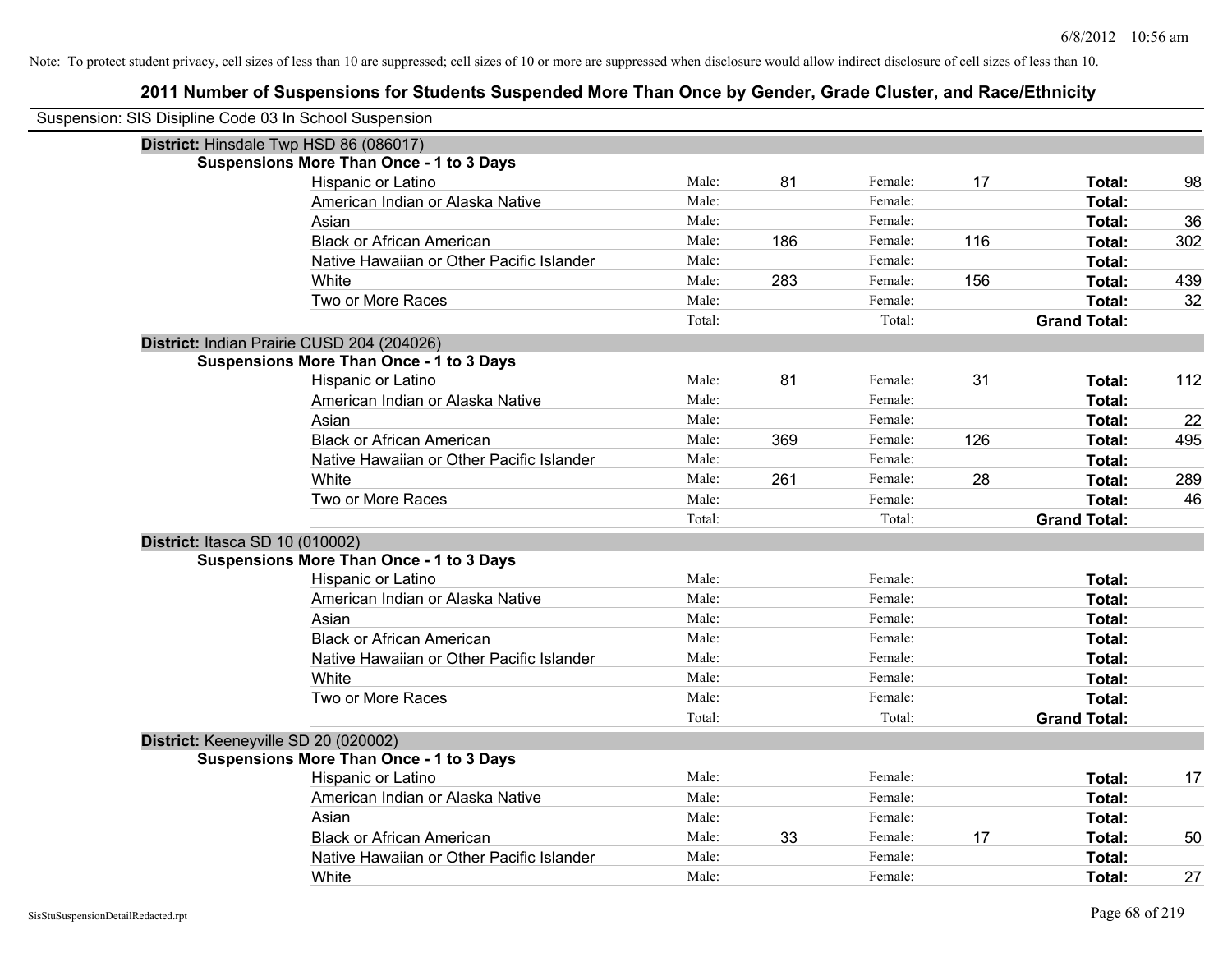| Suspension: SIS Disipline Code 03 In School Suspension |                                                 |        |     |         |     |                     |     |
|--------------------------------------------------------|-------------------------------------------------|--------|-----|---------|-----|---------------------|-----|
| District: Hinsdale Twp HSD 86 (086017)                 |                                                 |        |     |         |     |                     |     |
|                                                        | <b>Suspensions More Than Once - 1 to 3 Days</b> |        |     |         |     |                     |     |
|                                                        | Hispanic or Latino                              | Male:  | 81  | Female: | 17  | Total:              | 98  |
|                                                        | American Indian or Alaska Native                | Male:  |     | Female: |     | Total:              |     |
|                                                        | Asian                                           | Male:  |     | Female: |     | Total:              | 36  |
|                                                        | <b>Black or African American</b>                | Male:  | 186 | Female: | 116 | Total:              | 302 |
|                                                        | Native Hawaiian or Other Pacific Islander       | Male:  |     | Female: |     | Total:              |     |
|                                                        | White                                           | Male:  | 283 | Female: | 156 | Total:              | 439 |
|                                                        | Two or More Races                               | Male:  |     | Female: |     | Total:              | 32  |
|                                                        |                                                 | Total: |     | Total:  |     | <b>Grand Total:</b> |     |
| District: Indian Prairie CUSD 204 (204026)             |                                                 |        |     |         |     |                     |     |
|                                                        | <b>Suspensions More Than Once - 1 to 3 Days</b> |        |     |         |     |                     |     |
|                                                        | Hispanic or Latino                              | Male:  | 81  | Female: | 31  | Total:              | 112 |
|                                                        | American Indian or Alaska Native                | Male:  |     | Female: |     | Total:              |     |
|                                                        | Asian                                           | Male:  |     | Female: |     | Total:              | 22  |
|                                                        | <b>Black or African American</b>                | Male:  | 369 | Female: | 126 | Total:              | 495 |
|                                                        | Native Hawaiian or Other Pacific Islander       | Male:  |     | Female: |     | Total:              |     |
|                                                        | White                                           | Male:  | 261 | Female: | 28  | Total:              | 289 |
|                                                        | Two or More Races                               | Male:  |     | Female: |     | Total:              | 46  |
|                                                        |                                                 | Total: |     | Total:  |     | <b>Grand Total:</b> |     |
| District: Itasca SD 10 (010002)                        |                                                 |        |     |         |     |                     |     |
|                                                        | <b>Suspensions More Than Once - 1 to 3 Days</b> |        |     |         |     |                     |     |
|                                                        | Hispanic or Latino                              | Male:  |     | Female: |     | Total:              |     |
|                                                        | American Indian or Alaska Native                | Male:  |     | Female: |     | Total:              |     |
|                                                        | Asian                                           | Male:  |     | Female: |     | Total:              |     |
|                                                        | <b>Black or African American</b>                | Male:  |     | Female: |     | Total:              |     |
|                                                        | Native Hawaiian or Other Pacific Islander       | Male:  |     | Female: |     | Total:              |     |
|                                                        | White                                           | Male:  |     | Female: |     | Total:              |     |
|                                                        | Two or More Races                               | Male:  |     | Female: |     | Total:              |     |
|                                                        |                                                 | Total: |     | Total:  |     | <b>Grand Total:</b> |     |
| District: Keeneyville SD 20 (020002)                   |                                                 |        |     |         |     |                     |     |
|                                                        | <b>Suspensions More Than Once - 1 to 3 Days</b> |        |     |         |     |                     |     |
|                                                        | Hispanic or Latino                              | Male:  |     | Female: |     | Total:              | 17  |
|                                                        | American Indian or Alaska Native                | Male:  |     | Female: |     | Total:              |     |
|                                                        | Asian                                           | Male:  |     | Female: |     | Total:              |     |
|                                                        | <b>Black or African American</b>                | Male:  | 33  | Female: | 17  | Total:              | 50  |
|                                                        | Native Hawaiian or Other Pacific Islander       | Male:  |     | Female: |     | Total:              |     |
|                                                        | White                                           | Male:  |     | Female: |     | Total:              | 27  |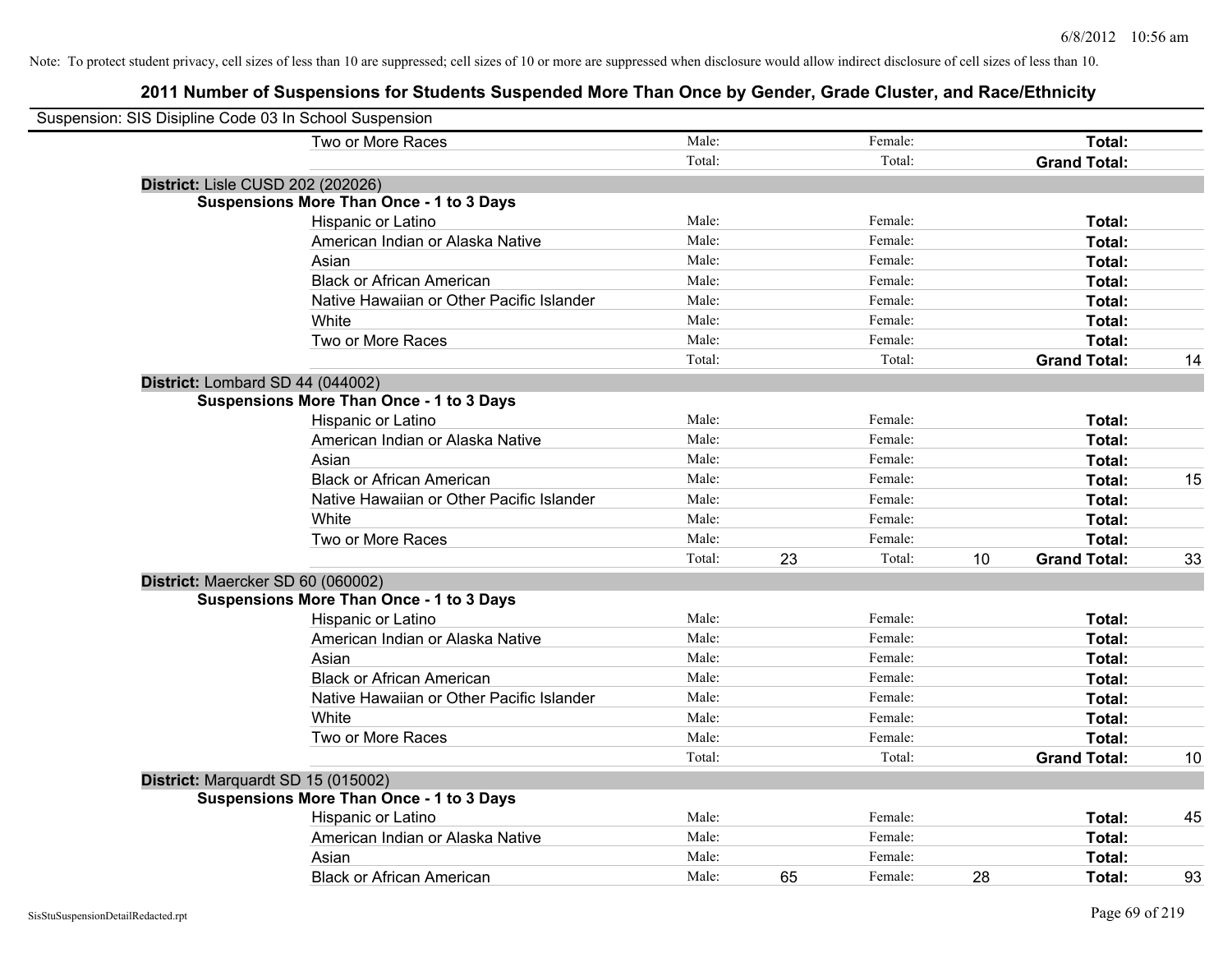| Suspension: SIS Disipline Code 03 In School Suspension |                                                 |        |    |         |    |                     |    |
|--------------------------------------------------------|-------------------------------------------------|--------|----|---------|----|---------------------|----|
|                                                        | Two or More Races                               | Male:  |    | Female: |    | Total:              |    |
|                                                        |                                                 | Total: |    | Total:  |    | <b>Grand Total:</b> |    |
|                                                        | District: Lisle CUSD 202 (202026)               |        |    |         |    |                     |    |
|                                                        | <b>Suspensions More Than Once - 1 to 3 Days</b> |        |    |         |    |                     |    |
|                                                        | Hispanic or Latino                              | Male:  |    | Female: |    | Total:              |    |
|                                                        | American Indian or Alaska Native                | Male:  |    | Female: |    | Total:              |    |
|                                                        | Asian                                           | Male:  |    | Female: |    | Total:              |    |
|                                                        | <b>Black or African American</b>                | Male:  |    | Female: |    | Total:              |    |
|                                                        | Native Hawaiian or Other Pacific Islander       | Male:  |    | Female: |    | Total:              |    |
|                                                        | White                                           | Male:  |    | Female: |    | Total:              |    |
|                                                        | Two or More Races                               | Male:  |    | Female: |    | Total:              |    |
|                                                        |                                                 | Total: |    | Total:  |    | <b>Grand Total:</b> | 14 |
|                                                        | District: Lombard SD 44 (044002)                |        |    |         |    |                     |    |
|                                                        | <b>Suspensions More Than Once - 1 to 3 Days</b> |        |    |         |    |                     |    |
|                                                        | Hispanic or Latino                              | Male:  |    | Female: |    | Total:              |    |
|                                                        | American Indian or Alaska Native                | Male:  |    | Female: |    | Total:              |    |
|                                                        | Asian                                           | Male:  |    | Female: |    | Total:              |    |
|                                                        | <b>Black or African American</b>                | Male:  |    | Female: |    | Total:              | 15 |
|                                                        | Native Hawaiian or Other Pacific Islander       | Male:  |    | Female: |    | Total:              |    |
|                                                        | White                                           | Male:  |    | Female: |    | Total:              |    |
|                                                        | Two or More Races                               | Male:  |    | Female: |    | Total:              |    |
|                                                        |                                                 | Total: | 23 | Total:  | 10 | <b>Grand Total:</b> | 33 |
|                                                        | District: Maercker SD 60 (060002)               |        |    |         |    |                     |    |
|                                                        | <b>Suspensions More Than Once - 1 to 3 Days</b> |        |    |         |    |                     |    |
|                                                        | Hispanic or Latino                              | Male:  |    | Female: |    | Total:              |    |
|                                                        | American Indian or Alaska Native                | Male:  |    | Female: |    | Total:              |    |
|                                                        | Asian                                           | Male:  |    | Female: |    | Total:              |    |
|                                                        | <b>Black or African American</b>                | Male:  |    | Female: |    | Total:              |    |
|                                                        | Native Hawaiian or Other Pacific Islander       | Male:  |    | Female: |    | Total:              |    |
|                                                        | White                                           | Male:  |    | Female: |    | Total:              |    |
|                                                        | Two or More Races                               | Male:  |    | Female: |    | Total:              |    |
|                                                        |                                                 | Total: |    | Total:  |    | <b>Grand Total:</b> | 10 |
|                                                        | District: Marquardt SD 15 (015002)              |        |    |         |    |                     |    |
|                                                        | <b>Suspensions More Than Once - 1 to 3 Days</b> |        |    |         |    |                     |    |
|                                                        | Hispanic or Latino                              | Male:  |    | Female: |    | Total:              | 45 |
|                                                        | American Indian or Alaska Native                | Male:  |    | Female: |    | Total:              |    |
|                                                        | Asian                                           | Male:  |    | Female: |    | Total:              |    |
|                                                        | <b>Black or African American</b>                | Male:  | 65 | Female: | 28 | Total:              | 93 |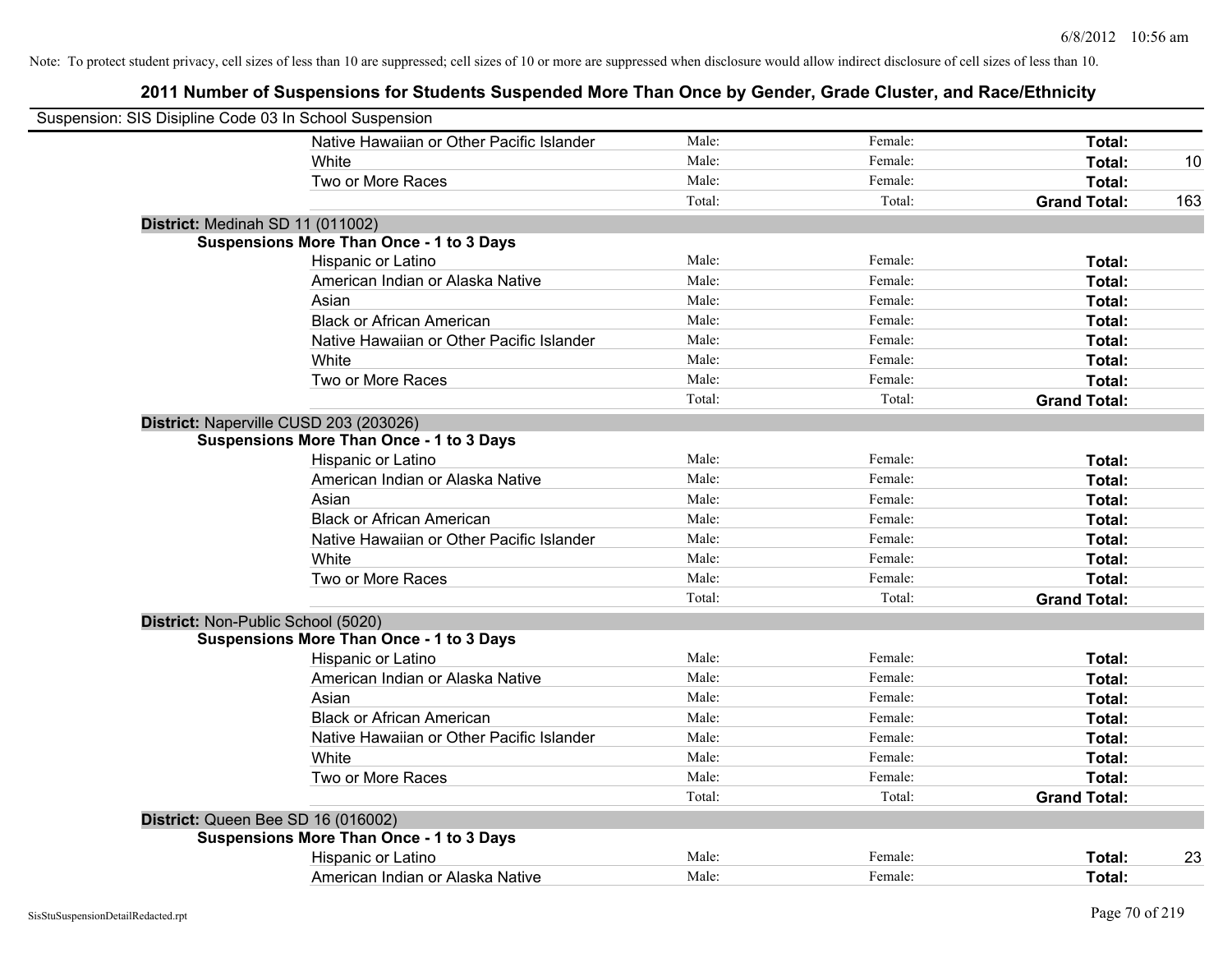| Suspension: SIS Disipline Code 03 In School Suspension |                                                 |        |         |                     |     |
|--------------------------------------------------------|-------------------------------------------------|--------|---------|---------------------|-----|
|                                                        | Native Hawaiian or Other Pacific Islander       | Male:  | Female: | Total:              |     |
|                                                        | White                                           | Male:  | Female: | Total:              | 10  |
|                                                        | Two or More Races                               | Male:  | Female: | Total:              |     |
|                                                        |                                                 | Total: | Total:  | <b>Grand Total:</b> | 163 |
| District: Medinah SD 11 (011002)                       |                                                 |        |         |                     |     |
|                                                        | <b>Suspensions More Than Once - 1 to 3 Days</b> |        |         |                     |     |
|                                                        | Hispanic or Latino                              | Male:  | Female: | Total:              |     |
|                                                        | American Indian or Alaska Native                | Male:  | Female: | Total:              |     |
|                                                        | Asian                                           | Male:  | Female: | Total:              |     |
|                                                        | <b>Black or African American</b>                | Male:  | Female: | Total:              |     |
|                                                        | Native Hawaiian or Other Pacific Islander       | Male:  | Female: | Total:              |     |
|                                                        | White                                           | Male:  | Female: | Total:              |     |
|                                                        | Two or More Races                               | Male:  | Female: | Total:              |     |
|                                                        |                                                 | Total: | Total:  | <b>Grand Total:</b> |     |
| District: Naperville CUSD 203 (203026)                 |                                                 |        |         |                     |     |
|                                                        | <b>Suspensions More Than Once - 1 to 3 Days</b> |        |         |                     |     |
|                                                        | Hispanic or Latino                              | Male:  | Female: | Total:              |     |
|                                                        | American Indian or Alaska Native                | Male:  | Female: | Total:              |     |
|                                                        | Asian                                           | Male:  | Female: | Total:              |     |
|                                                        | <b>Black or African American</b>                | Male:  | Female: | Total:              |     |
|                                                        | Native Hawaiian or Other Pacific Islander       | Male:  | Female: | Total:              |     |
|                                                        | White                                           | Male:  | Female: | Total:              |     |
|                                                        | Two or More Races                               | Male:  | Female: | Total:              |     |
|                                                        |                                                 | Total: | Total:  | <b>Grand Total:</b> |     |
| District: Non-Public School (5020)                     |                                                 |        |         |                     |     |
|                                                        | <b>Suspensions More Than Once - 1 to 3 Days</b> |        |         |                     |     |
|                                                        | Hispanic or Latino                              | Male:  | Female: | Total:              |     |
|                                                        | American Indian or Alaska Native                | Male:  | Female: | Total:              |     |
|                                                        | Asian                                           | Male:  | Female: | Total:              |     |
|                                                        | <b>Black or African American</b>                | Male:  | Female: | Total:              |     |
|                                                        | Native Hawaiian or Other Pacific Islander       | Male:  | Female: | Total:              |     |
|                                                        | White                                           | Male:  | Female: | Total:              |     |
|                                                        | Two or More Races                               | Male:  | Female: | Total:              |     |
|                                                        |                                                 | Total: | Total:  | <b>Grand Total:</b> |     |
| District: Queen Bee SD 16 (016002)                     |                                                 |        |         |                     |     |
|                                                        | <b>Suspensions More Than Once - 1 to 3 Days</b> |        |         |                     |     |
|                                                        | Hispanic or Latino                              | Male:  | Female: | Total:              | 23  |
|                                                        | American Indian or Alaska Native                | Male:  | Female: | Total:              |     |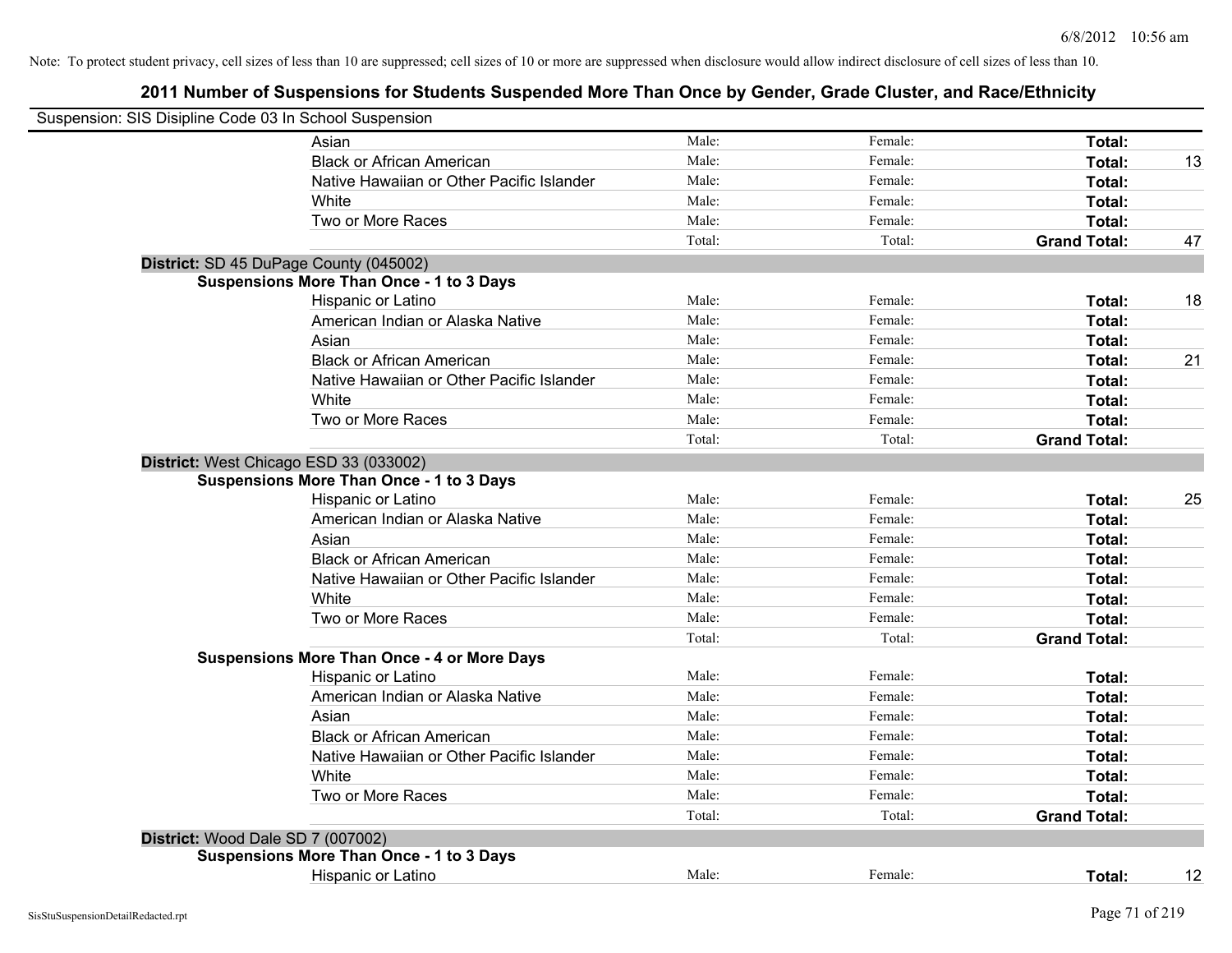| Suspension: SIS Disipline Code 03 In School Suspension |                                                    |        |         |                     |    |
|--------------------------------------------------------|----------------------------------------------------|--------|---------|---------------------|----|
|                                                        | Asian                                              | Male:  | Female: | Total:              |    |
|                                                        | <b>Black or African American</b>                   | Male:  | Female: | Total:              | 13 |
|                                                        | Native Hawaiian or Other Pacific Islander          | Male:  | Female: | Total:              |    |
|                                                        | White                                              | Male:  | Female: | Total:              |    |
|                                                        | Two or More Races                                  | Male:  | Female: | Total:              |    |
|                                                        |                                                    | Total: | Total:  | <b>Grand Total:</b> | 47 |
|                                                        | District: SD 45 DuPage County (045002)             |        |         |                     |    |
|                                                        | <b>Suspensions More Than Once - 1 to 3 Days</b>    |        |         |                     |    |
|                                                        | Hispanic or Latino                                 | Male:  | Female: | Total:              | 18 |
|                                                        | American Indian or Alaska Native                   | Male:  | Female: | Total:              |    |
|                                                        | Asian                                              | Male:  | Female: | Total:              |    |
|                                                        | <b>Black or African American</b>                   | Male:  | Female: | Total:              | 21 |
|                                                        | Native Hawaiian or Other Pacific Islander          | Male:  | Female: | Total:              |    |
|                                                        | White                                              | Male:  | Female: | Total:              |    |
|                                                        | Two or More Races                                  | Male:  | Female: | Total:              |    |
|                                                        |                                                    | Total: | Total:  | <b>Grand Total:</b> |    |
|                                                        | District: West Chicago ESD 33 (033002)             |        |         |                     |    |
|                                                        | <b>Suspensions More Than Once - 1 to 3 Days</b>    |        |         |                     |    |
|                                                        | Hispanic or Latino                                 | Male:  | Female: | Total:              | 25 |
|                                                        | American Indian or Alaska Native                   | Male:  | Female: | Total:              |    |
|                                                        | Asian                                              | Male:  | Female: | Total:              |    |
|                                                        | <b>Black or African American</b>                   | Male:  | Female: | Total:              |    |
|                                                        | Native Hawaiian or Other Pacific Islander          | Male:  | Female: | Total:              |    |
|                                                        | White                                              | Male:  | Female: | Total:              |    |
|                                                        | Two or More Races                                  | Male:  | Female: | Total:              |    |
|                                                        |                                                    | Total: | Total:  | <b>Grand Total:</b> |    |
|                                                        | <b>Suspensions More Than Once - 4 or More Days</b> |        |         |                     |    |
|                                                        | Hispanic or Latino                                 | Male:  | Female: | Total:              |    |
|                                                        | American Indian or Alaska Native                   | Male:  | Female: | Total:              |    |
|                                                        | Asian                                              | Male:  | Female: | Total:              |    |
|                                                        | <b>Black or African American</b>                   | Male:  | Female: | Total:              |    |
|                                                        | Native Hawaiian or Other Pacific Islander          | Male:  | Female: | Total:              |    |
|                                                        | White                                              | Male:  | Female: | Total:              |    |
|                                                        | Two or More Races                                  | Male:  | Female: | Total:              |    |
|                                                        |                                                    | Total: | Total:  | <b>Grand Total:</b> |    |
| District: Wood Dale SD 7 (007002)                      |                                                    |        |         |                     |    |
|                                                        | <b>Suspensions More Than Once - 1 to 3 Days</b>    |        |         |                     |    |
|                                                        | Hispanic or Latino                                 | Male:  | Female: | Total:              | 12 |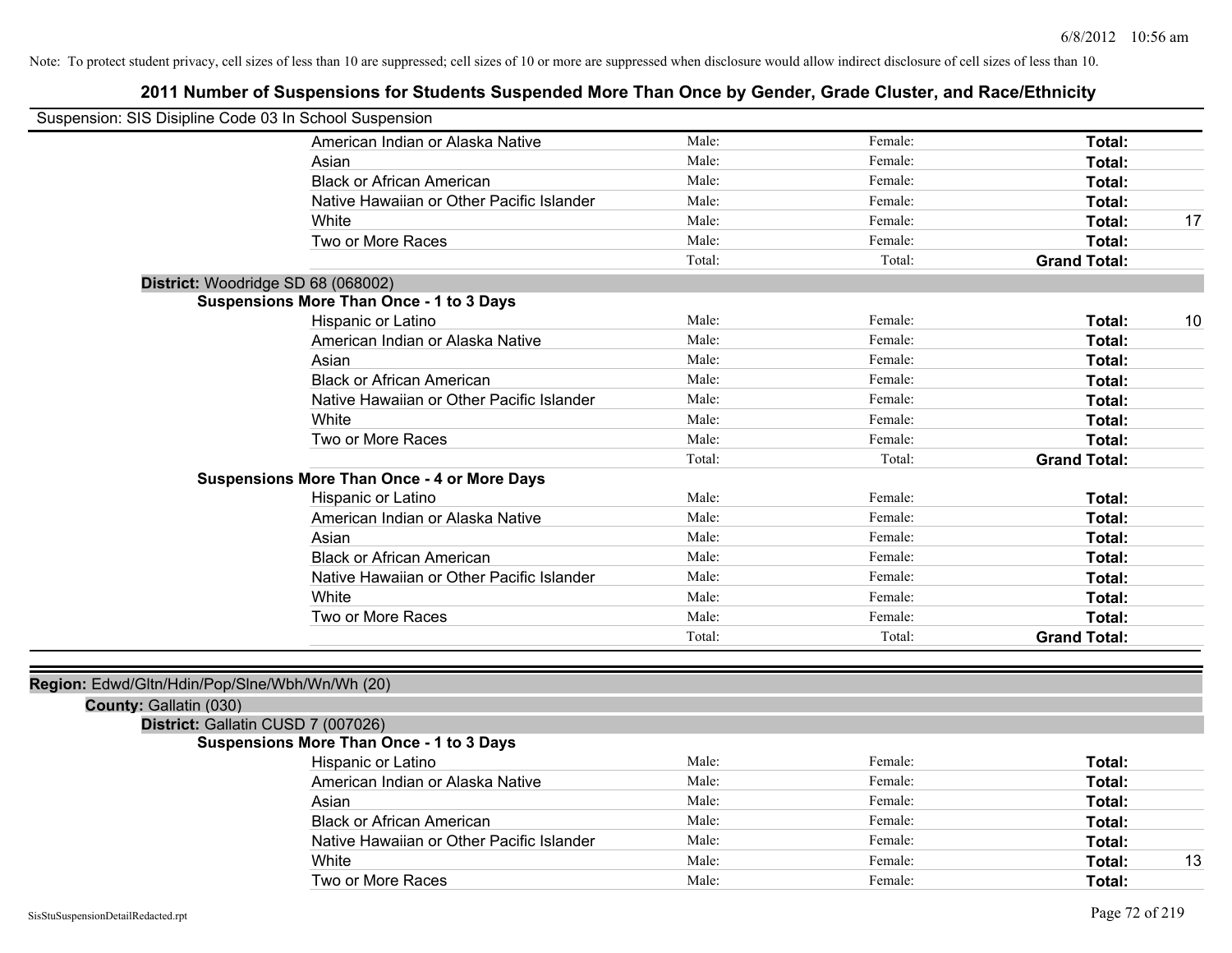#### **2011 Number of Suspensions for Students Suspended More Than Once by Gender, Grade Cluster, and Race/Ethnicity**

| Suspension: SIS Disipline Code 03 In School Suspension |                                                    |        |         |                     |    |
|--------------------------------------------------------|----------------------------------------------------|--------|---------|---------------------|----|
|                                                        | American Indian or Alaska Native                   | Male:  | Female: | <b>Total:</b>       |    |
|                                                        | Asian                                              | Male:  | Female: | Total:              |    |
|                                                        | <b>Black or African American</b>                   | Male:  | Female: | <b>Total:</b>       |    |
|                                                        | Native Hawaiian or Other Pacific Islander          | Male:  | Female: | Total:              |    |
|                                                        | White                                              | Male:  | Female: | <b>Total:</b>       | 17 |
|                                                        | Two or More Races                                  | Male:  | Female: | Total:              |    |
|                                                        |                                                    | Total: | Total:  | <b>Grand Total:</b> |    |
|                                                        | District: Woodridge SD 68 (068002)                 |        |         |                     |    |
|                                                        | <b>Suspensions More Than Once - 1 to 3 Days</b>    |        |         |                     |    |
|                                                        | Hispanic or Latino                                 | Male:  | Female: | Total:              | 10 |
|                                                        | American Indian or Alaska Native                   | Male:  | Female: | Total:              |    |
|                                                        | Asian                                              | Male:  | Female: | Total:              |    |
|                                                        | <b>Black or African American</b>                   | Male:  | Female: | <b>Total:</b>       |    |
|                                                        | Native Hawaiian or Other Pacific Islander          | Male:  | Female: | Total:              |    |
|                                                        | White                                              | Male:  | Female: | Total:              |    |
|                                                        | Two or More Races                                  | Male:  | Female: | <b>Total:</b>       |    |
|                                                        |                                                    | Total: | Total:  | <b>Grand Total:</b> |    |
|                                                        | <b>Suspensions More Than Once - 4 or More Days</b> |        |         |                     |    |
|                                                        | Hispanic or Latino                                 | Male:  | Female: | Total:              |    |
|                                                        | American Indian or Alaska Native                   | Male:  | Female: | <b>Total:</b>       |    |
|                                                        | Asian                                              | Male:  | Female: | <b>Total:</b>       |    |
|                                                        | <b>Black or African American</b>                   | Male:  | Female: | <b>Total:</b>       |    |
|                                                        | Native Hawaiian or Other Pacific Islander          | Male:  | Female: | Total:              |    |
|                                                        | White                                              | Male:  | Female: | <b>Total:</b>       |    |
|                                                        | Two or More Races                                  | Male:  | Female: | <b>Total:</b>       |    |
|                                                        |                                                    | Total: | Total:  | <b>Grand Total:</b> |    |
|                                                        |                                                    |        |         |                     |    |
| Region: Edwd/Gltn/Hdin/Pop/Slne/Wbh/Wn/Wh (20)         |                                                    |        |         |                     |    |
| County: Gallatin (030)                                 |                                                    |        |         |                     |    |
|                                                        | District: Gallatin CUSD 7 (007026)                 |        |         |                     |    |
|                                                        | <b>Suspensions More Than Once - 1 to 3 Days</b>    |        |         |                     |    |
|                                                        | Hispanic or Latino                                 | Male:  | Female: | Total:              |    |
|                                                        | American Indian or Alaska Native                   | Male:  | Female: | Total:              |    |
|                                                        | Asian                                              | Male:  | Female: | Total:              |    |

Black or African American **Figure 1** and Male: **Female:** Female: **Fotal: Total: Total: Figure 1** Native Hawaiian or Other Pacific Islander Male: Female: Female: **Fotal:** Total:

Two or More Races **Total:** Total: Male: Female: Female: **Total:** Total:

White **Male:** Male: **Total: 13** Male: **Total: 13**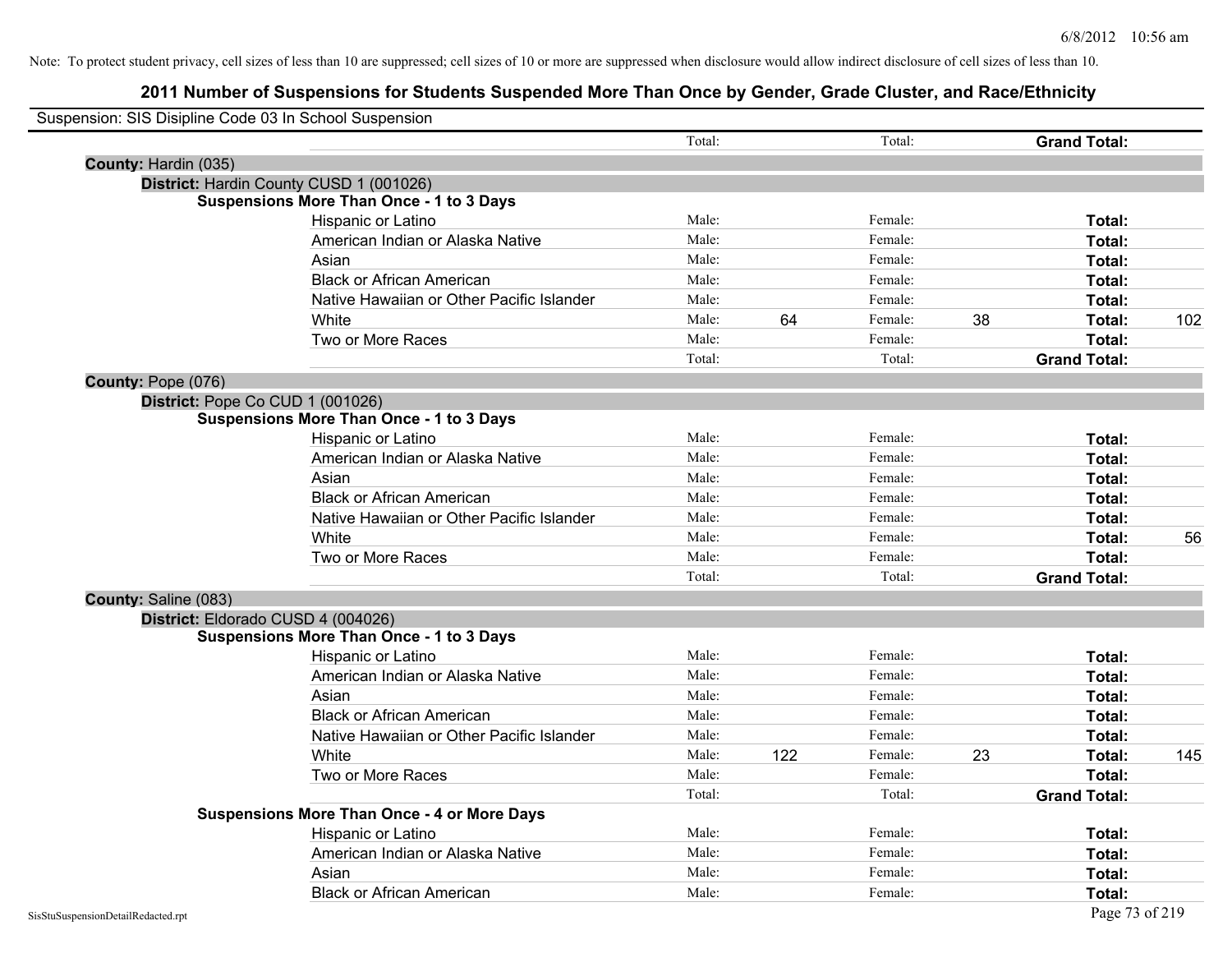| Suspension: SIS Disipline Code 03 In School Suspension |                                                    |        |     |         |    |                     |     |
|--------------------------------------------------------|----------------------------------------------------|--------|-----|---------|----|---------------------|-----|
|                                                        |                                                    | Total: |     | Total:  |    | <b>Grand Total:</b> |     |
| County: Hardin (035)                                   |                                                    |        |     |         |    |                     |     |
|                                                        | District: Hardin County CUSD 1 (001026)            |        |     |         |    |                     |     |
|                                                        | <b>Suspensions More Than Once - 1 to 3 Days</b>    |        |     |         |    |                     |     |
|                                                        | Hispanic or Latino                                 | Male:  |     | Female: |    | Total:              |     |
|                                                        | American Indian or Alaska Native                   | Male:  |     | Female: |    | Total:              |     |
|                                                        | Asian                                              | Male:  |     | Female: |    | Total:              |     |
|                                                        | <b>Black or African American</b>                   | Male:  |     | Female: |    | Total:              |     |
|                                                        | Native Hawaiian or Other Pacific Islander          | Male:  |     | Female: |    | Total:              |     |
|                                                        | White                                              | Male:  | 64  | Female: | 38 | Total:              | 102 |
|                                                        | Two or More Races                                  | Male:  |     | Female: |    | Total:              |     |
|                                                        |                                                    | Total: |     | Total:  |    | <b>Grand Total:</b> |     |
| County: Pope (076)                                     |                                                    |        |     |         |    |                     |     |
|                                                        | District: Pope Co CUD 1 (001026)                   |        |     |         |    |                     |     |
|                                                        | <b>Suspensions More Than Once - 1 to 3 Days</b>    |        |     |         |    |                     |     |
|                                                        | Hispanic or Latino                                 | Male:  |     | Female: |    | Total:              |     |
|                                                        | American Indian or Alaska Native                   | Male:  |     | Female: |    | Total:              |     |
|                                                        | Asian                                              | Male:  |     | Female: |    | Total:              |     |
|                                                        | <b>Black or African American</b>                   | Male:  |     | Female: |    | Total:              |     |
|                                                        | Native Hawaiian or Other Pacific Islander          | Male:  |     | Female: |    | Total:              |     |
|                                                        | White                                              | Male:  |     | Female: |    | Total:              | 56  |
|                                                        | Two or More Races                                  | Male:  |     | Female: |    | Total:              |     |
|                                                        |                                                    | Total: |     | Total:  |    | <b>Grand Total:</b> |     |
| County: Saline (083)                                   |                                                    |        |     |         |    |                     |     |
|                                                        | District: Eldorado CUSD 4 (004026)                 |        |     |         |    |                     |     |
|                                                        | <b>Suspensions More Than Once - 1 to 3 Days</b>    |        |     |         |    |                     |     |
|                                                        | Hispanic or Latino                                 | Male:  |     | Female: |    | Total:              |     |
|                                                        | American Indian or Alaska Native                   | Male:  |     | Female: |    | Total:              |     |
|                                                        | Asian                                              | Male:  |     | Female: |    | Total:              |     |
|                                                        | <b>Black or African American</b>                   | Male:  |     | Female: |    | Total:              |     |
|                                                        | Native Hawaiian or Other Pacific Islander          | Male:  |     | Female: |    | Total:              |     |
|                                                        | <b>White</b>                                       | Male:  | 122 | Female: | 23 | Total:              | 145 |
|                                                        | Two or More Races                                  | Male:  |     | Female: |    | Total:              |     |
|                                                        |                                                    | Total: |     | Total:  |    | <b>Grand Total:</b> |     |
|                                                        | <b>Suspensions More Than Once - 4 or More Days</b> |        |     |         |    |                     |     |
|                                                        | Hispanic or Latino                                 | Male:  |     | Female: |    | Total:              |     |
|                                                        | American Indian or Alaska Native                   | Male:  |     | Female: |    | Total:              |     |
|                                                        | Asian                                              | Male:  |     | Female: |    | Total:              |     |
|                                                        | <b>Black or African American</b>                   | Male:  |     | Female: |    | Total:              |     |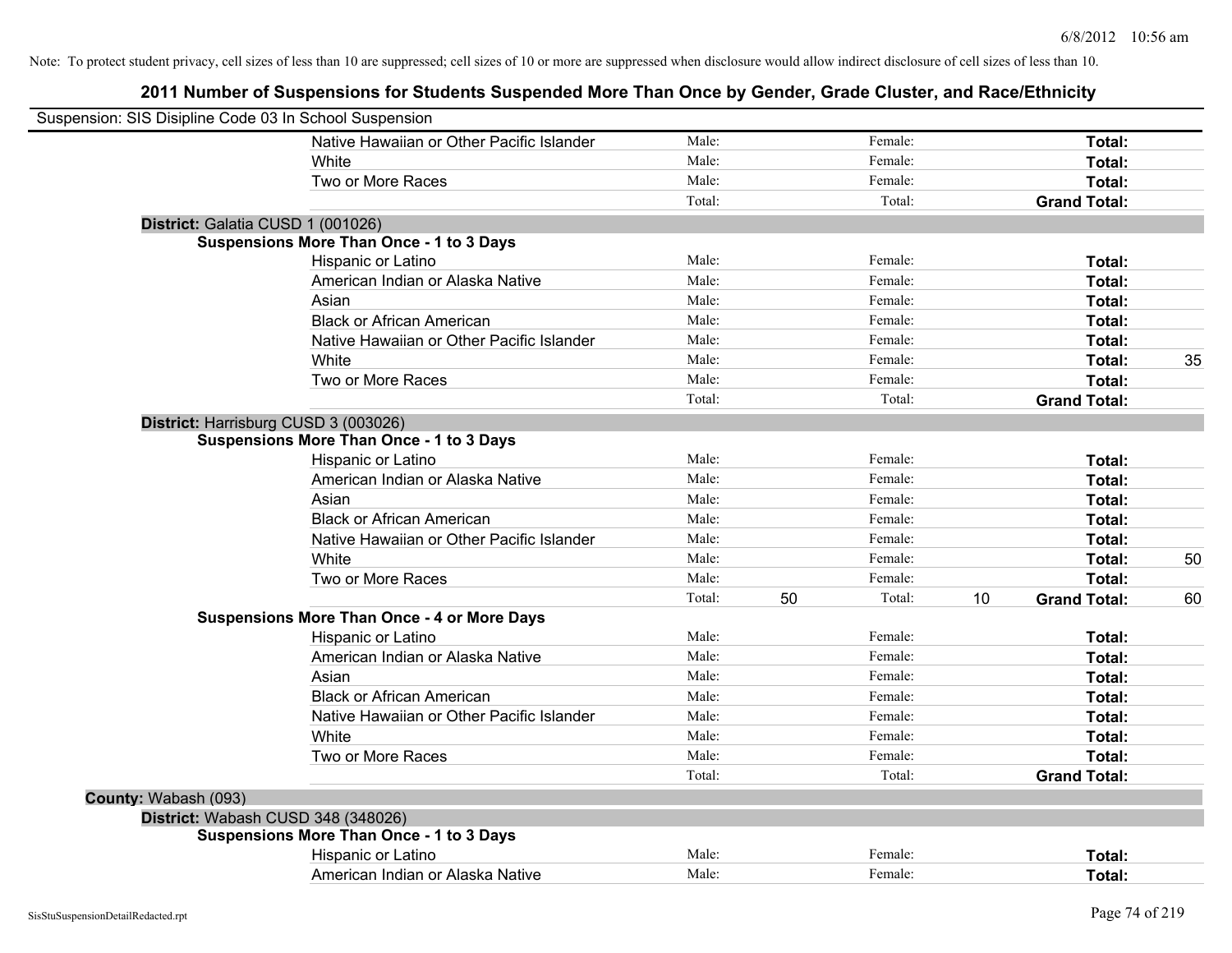| Suspension: SIS Disipline Code 03 In School Suspension |                                                    |        |              |    |                     |    |
|--------------------------------------------------------|----------------------------------------------------|--------|--------------|----|---------------------|----|
|                                                        | Native Hawaiian or Other Pacific Islander          | Male:  | Female:      |    | Total:              |    |
|                                                        | White                                              | Male:  | Female:      |    | Total:              |    |
|                                                        | Two or More Races                                  | Male:  | Female:      |    | Total:              |    |
|                                                        |                                                    | Total: | Total:       |    | <b>Grand Total:</b> |    |
| District: Galatia CUSD 1 (001026)                      |                                                    |        |              |    |                     |    |
|                                                        | Suspensions More Than Once - 1 to 3 Days           |        |              |    |                     |    |
|                                                        | Hispanic or Latino                                 | Male:  | Female:      |    | Total:              |    |
|                                                        | American Indian or Alaska Native                   | Male:  | Female:      |    | Total:              |    |
|                                                        | Asian                                              | Male:  | Female:      |    | Total:              |    |
|                                                        | <b>Black or African American</b>                   | Male:  | Female:      |    | Total:              |    |
|                                                        | Native Hawaiian or Other Pacific Islander          | Male:  | Female:      |    | Total:              |    |
|                                                        | White                                              | Male:  | Female:      |    | Total:              | 35 |
|                                                        | Two or More Races                                  | Male:  | Female:      |    | Total:              |    |
|                                                        |                                                    | Total: | Total:       |    | <b>Grand Total:</b> |    |
| District: Harrisburg CUSD 3 (003026)                   |                                                    |        |              |    |                     |    |
|                                                        | <b>Suspensions More Than Once - 1 to 3 Days</b>    |        |              |    |                     |    |
|                                                        | Hispanic or Latino                                 | Male:  | Female:      |    | Total:              |    |
|                                                        | American Indian or Alaska Native                   | Male:  | Female:      |    | Total:              |    |
|                                                        | Asian                                              | Male:  | Female:      |    | Total:              |    |
|                                                        | <b>Black or African American</b>                   | Male:  | Female:      |    | Total:              |    |
|                                                        | Native Hawaiian or Other Pacific Islander          | Male:  | Female:      |    | Total:              |    |
|                                                        | White                                              | Male:  | Female:      |    | Total:              | 50 |
|                                                        | Two or More Races                                  | Male:  | Female:      |    | Total:              |    |
|                                                        |                                                    | Total: | Total:<br>50 | 10 | <b>Grand Total:</b> | 60 |
|                                                        | <b>Suspensions More Than Once - 4 or More Days</b> |        |              |    |                     |    |
|                                                        | Hispanic or Latino                                 | Male:  | Female:      |    | Total:              |    |
|                                                        | American Indian or Alaska Native                   | Male:  | Female:      |    | Total:              |    |
|                                                        | Asian                                              | Male:  | Female:      |    | Total:              |    |
|                                                        | <b>Black or African American</b>                   | Male:  | Female:      |    | Total:              |    |
|                                                        | Native Hawaiian or Other Pacific Islander          | Male:  | Female:      |    | Total:              |    |
|                                                        | White                                              | Male:  | Female:      |    | Total:              |    |
|                                                        | Two or More Races                                  | Male:  | Female:      |    | Total:              |    |
|                                                        |                                                    | Total: | Total:       |    | <b>Grand Total:</b> |    |
| County: Wabash (093)                                   |                                                    |        |              |    |                     |    |
| District: Wabash CUSD 348 (348026)                     |                                                    |        |              |    |                     |    |
|                                                        | <b>Suspensions More Than Once - 1 to 3 Days</b>    |        |              |    |                     |    |
|                                                        | Hispanic or Latino                                 | Male:  | Female:      |    | Total:              |    |
|                                                        | American Indian or Alaska Native                   | Male:  | Female:      |    | Total:              |    |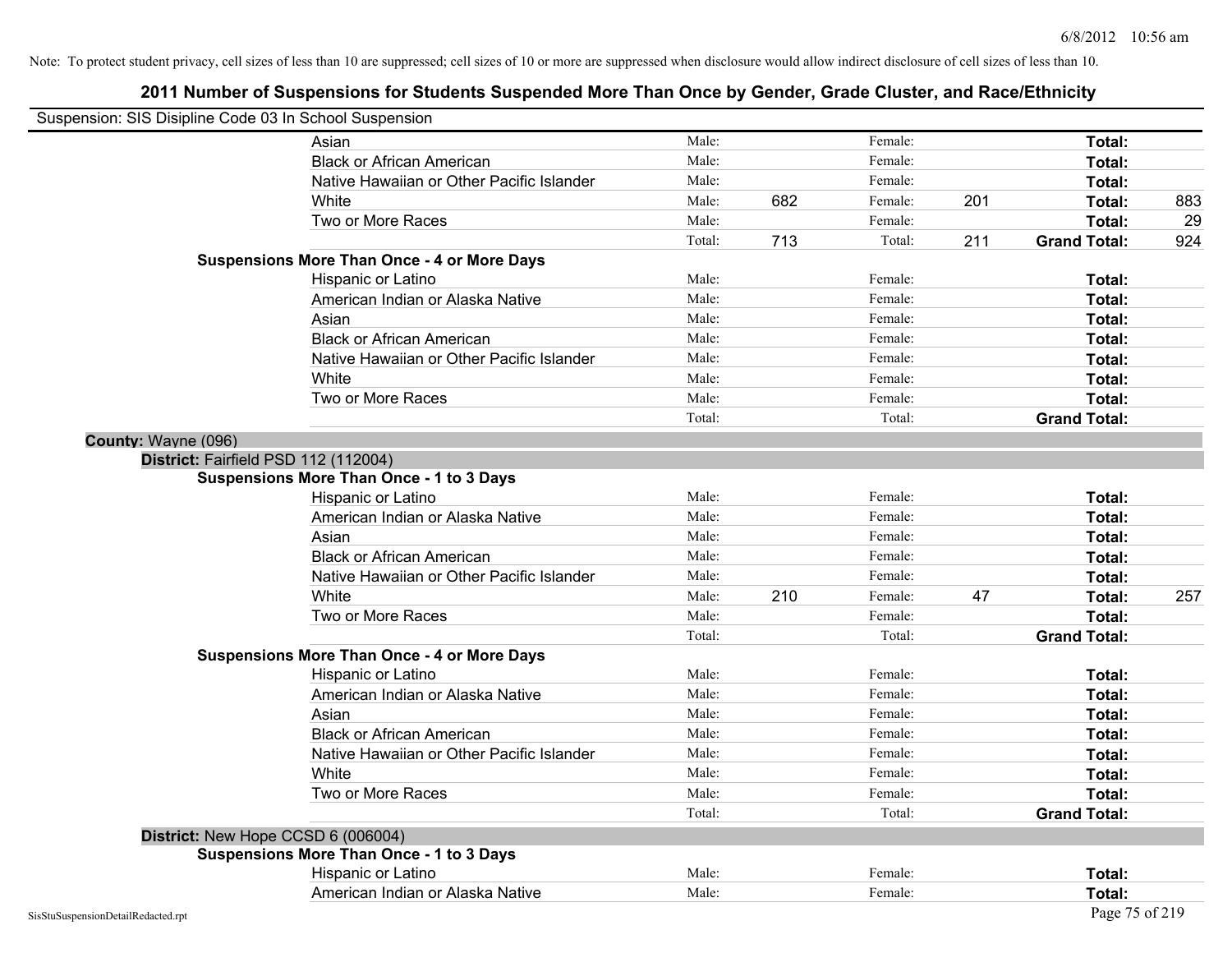| Suspension: SIS Disipline Code 03 In School Suspension |                                                    |        |     |         |     |                     |     |
|--------------------------------------------------------|----------------------------------------------------|--------|-----|---------|-----|---------------------|-----|
|                                                        | Asian                                              | Male:  |     | Female: |     | Total:              |     |
|                                                        | <b>Black or African American</b>                   | Male:  |     | Female: |     | Total:              |     |
|                                                        | Native Hawaiian or Other Pacific Islander          | Male:  |     | Female: |     | Total:              |     |
|                                                        | White                                              | Male:  | 682 | Female: | 201 | Total:              | 883 |
|                                                        | Two or More Races                                  | Male:  |     | Female: |     | Total:              | 29  |
|                                                        |                                                    | Total: | 713 | Total:  | 211 | <b>Grand Total:</b> | 924 |
|                                                        | <b>Suspensions More Than Once - 4 or More Days</b> |        |     |         |     |                     |     |
|                                                        | Hispanic or Latino                                 | Male:  |     | Female: |     | Total:              |     |
|                                                        | American Indian or Alaska Native                   | Male:  |     | Female: |     | Total:              |     |
|                                                        | Asian                                              | Male:  |     | Female: |     | Total:              |     |
|                                                        | <b>Black or African American</b>                   | Male:  |     | Female: |     | Total:              |     |
|                                                        | Native Hawaiian or Other Pacific Islander          | Male:  |     | Female: |     | Total:              |     |
|                                                        | White                                              | Male:  |     | Female: |     | Total:              |     |
|                                                        | Two or More Races                                  | Male:  |     | Female: |     | Total:              |     |
|                                                        |                                                    | Total: |     | Total:  |     | <b>Grand Total:</b> |     |
| County: Wayne (096)                                    |                                                    |        |     |         |     |                     |     |
|                                                        | District: Fairfield PSD 112 (112004)               |        |     |         |     |                     |     |
|                                                        | <b>Suspensions More Than Once - 1 to 3 Days</b>    |        |     |         |     |                     |     |
|                                                        | Hispanic or Latino                                 | Male:  |     | Female: |     | Total:              |     |
|                                                        | American Indian or Alaska Native                   | Male:  |     | Female: |     | Total:              |     |
|                                                        | Asian                                              | Male:  |     | Female: |     | Total:              |     |
|                                                        | <b>Black or African American</b>                   | Male:  |     | Female: |     | Total:              |     |
|                                                        | Native Hawaiian or Other Pacific Islander          | Male:  |     | Female: |     | Total:              |     |
|                                                        | White                                              | Male:  | 210 | Female: | 47  | Total:              | 257 |
|                                                        | Two or More Races                                  | Male:  |     | Female: |     | Total:              |     |
|                                                        |                                                    | Total: |     | Total:  |     | <b>Grand Total:</b> |     |
|                                                        | <b>Suspensions More Than Once - 4 or More Days</b> |        |     |         |     |                     |     |
|                                                        | Hispanic or Latino                                 | Male:  |     | Female: |     | Total:              |     |
|                                                        | American Indian or Alaska Native                   | Male:  |     | Female: |     | Total:              |     |
|                                                        | Asian                                              | Male:  |     | Female: |     | Total:              |     |
|                                                        | <b>Black or African American</b>                   | Male:  |     | Female: |     | Total:              |     |
|                                                        | Native Hawaiian or Other Pacific Islander          | Male:  |     | Female: |     | Total:              |     |
|                                                        | White                                              | Male:  |     | Female: |     | Total:              |     |
|                                                        | Two or More Races                                  | Male:  |     | Female: |     | Total:              |     |
|                                                        |                                                    | Total: |     | Total:  |     | <b>Grand Total:</b> |     |
|                                                        | District: New Hope CCSD 6 (006004)                 |        |     |         |     |                     |     |
|                                                        | <b>Suspensions More Than Once - 1 to 3 Days</b>    |        |     |         |     |                     |     |
|                                                        | Hispanic or Latino                                 | Male:  |     | Female: |     | Total:              |     |
|                                                        | American Indian or Alaska Native                   | Male:  |     | Female: |     | Total:              |     |
| SisStuSuspensionDetailRedacted.rpt                     |                                                    |        |     |         |     | Page 75 of 219      |     |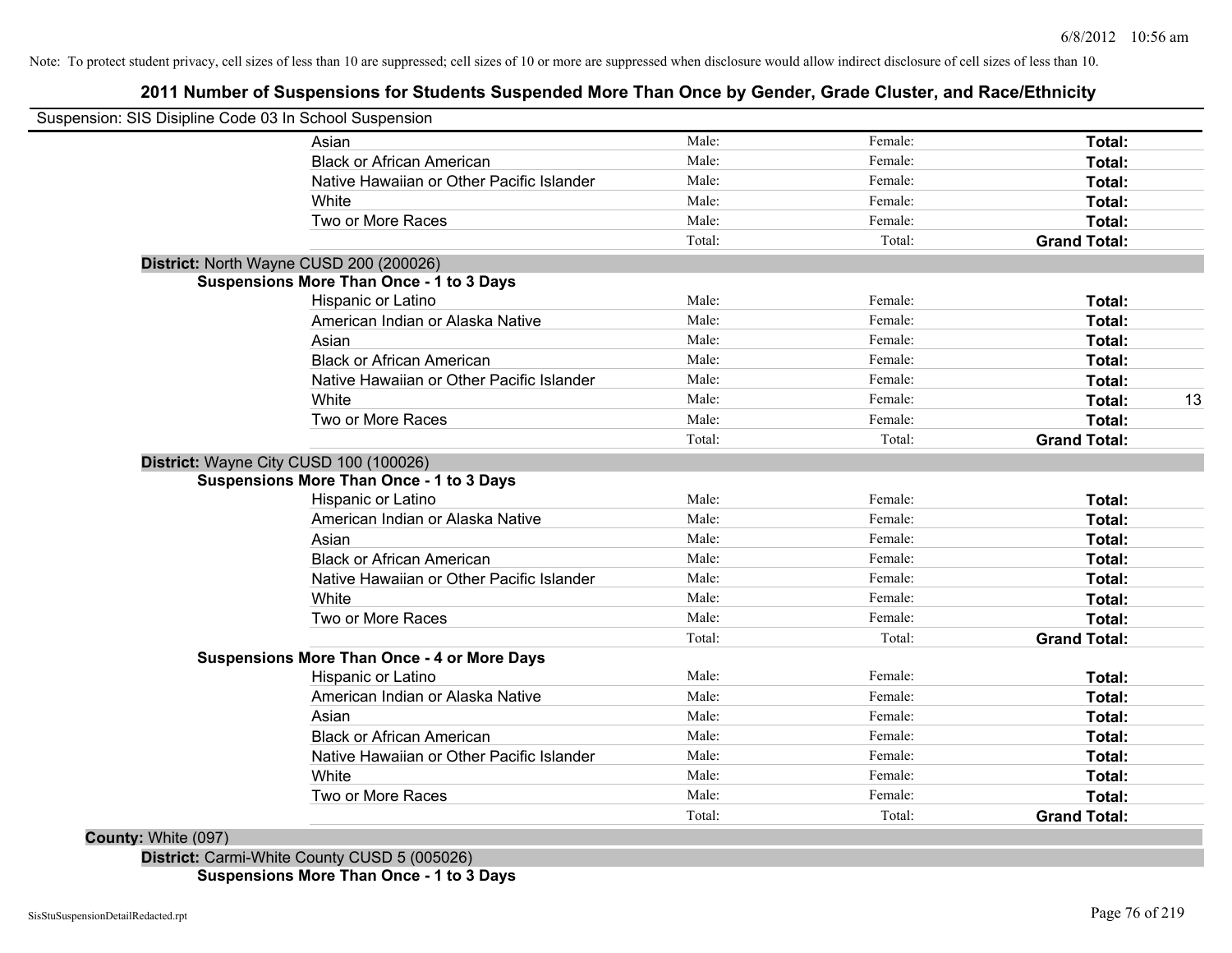## **2011 Number of Suspensions for Students Suspended More Than Once by Gender, Grade Cluster, and Race/Ethnicity**

|                     | Suspension: SIS Disipline Code 03 In School Suspension |        |         |                     |    |
|---------------------|--------------------------------------------------------|--------|---------|---------------------|----|
|                     | Asian                                                  | Male:  | Female: | Total:              |    |
|                     | <b>Black or African American</b>                       | Male:  | Female: | Total:              |    |
|                     | Native Hawaiian or Other Pacific Islander              | Male:  | Female: | Total:              |    |
|                     | White                                                  | Male:  | Female: | Total:              |    |
|                     | Two or More Races                                      | Male:  | Female: | Total:              |    |
|                     |                                                        | Total: | Total:  | <b>Grand Total:</b> |    |
|                     | District: North Wayne CUSD 200 (200026)                |        |         |                     |    |
|                     | <b>Suspensions More Than Once - 1 to 3 Days</b>        |        |         |                     |    |
|                     | Hispanic or Latino                                     | Male:  | Female: | Total:              |    |
|                     | American Indian or Alaska Native                       | Male:  | Female: | Total:              |    |
|                     | Asian                                                  | Male:  | Female: | Total:              |    |
|                     | <b>Black or African American</b>                       | Male:  | Female: | Total:              |    |
|                     | Native Hawaiian or Other Pacific Islander              | Male:  | Female: | Total:              |    |
|                     | White                                                  | Male:  | Female: | Total:              | 13 |
|                     | Two or More Races                                      | Male:  | Female: | Total:              |    |
|                     |                                                        | Total: | Total:  | <b>Grand Total:</b> |    |
|                     | District: Wayne City CUSD 100 (100026)                 |        |         |                     |    |
|                     | <b>Suspensions More Than Once - 1 to 3 Days</b>        |        |         |                     |    |
|                     | Hispanic or Latino                                     | Male:  | Female: | Total:              |    |
|                     | American Indian or Alaska Native                       | Male:  | Female: | Total:              |    |
|                     | Asian                                                  | Male:  | Female: | Total:              |    |
|                     | <b>Black or African American</b>                       | Male:  | Female: | Total:              |    |
|                     | Native Hawaiian or Other Pacific Islander              | Male:  | Female: | Total:              |    |
|                     | White                                                  | Male:  | Female: | Total:              |    |
|                     | Two or More Races                                      | Male:  | Female: | Total:              |    |
|                     |                                                        | Total: | Total:  | <b>Grand Total:</b> |    |
|                     | <b>Suspensions More Than Once - 4 or More Days</b>     |        |         |                     |    |
|                     | Hispanic or Latino                                     | Male:  | Female: | Total:              |    |
|                     | American Indian or Alaska Native                       | Male:  | Female: | Total:              |    |
|                     | Asian                                                  | Male:  | Female: | Total:              |    |
|                     | <b>Black or African American</b>                       | Male:  | Female: | Total:              |    |
|                     | Native Hawaiian or Other Pacific Islander              | Male:  | Female: | Total:              |    |
|                     | White                                                  | Male:  | Female: | Total:              |    |
|                     | Two or More Races                                      | Male:  | Female: | Total:              |    |
|                     |                                                        | Total: | Total:  | <b>Grand Total:</b> |    |
| County: White (097) |                                                        |        |         |                     |    |

**District:** Carmi-White County CUSD 5 (005026) **Suspensions More Than Once - 1 to 3 Days**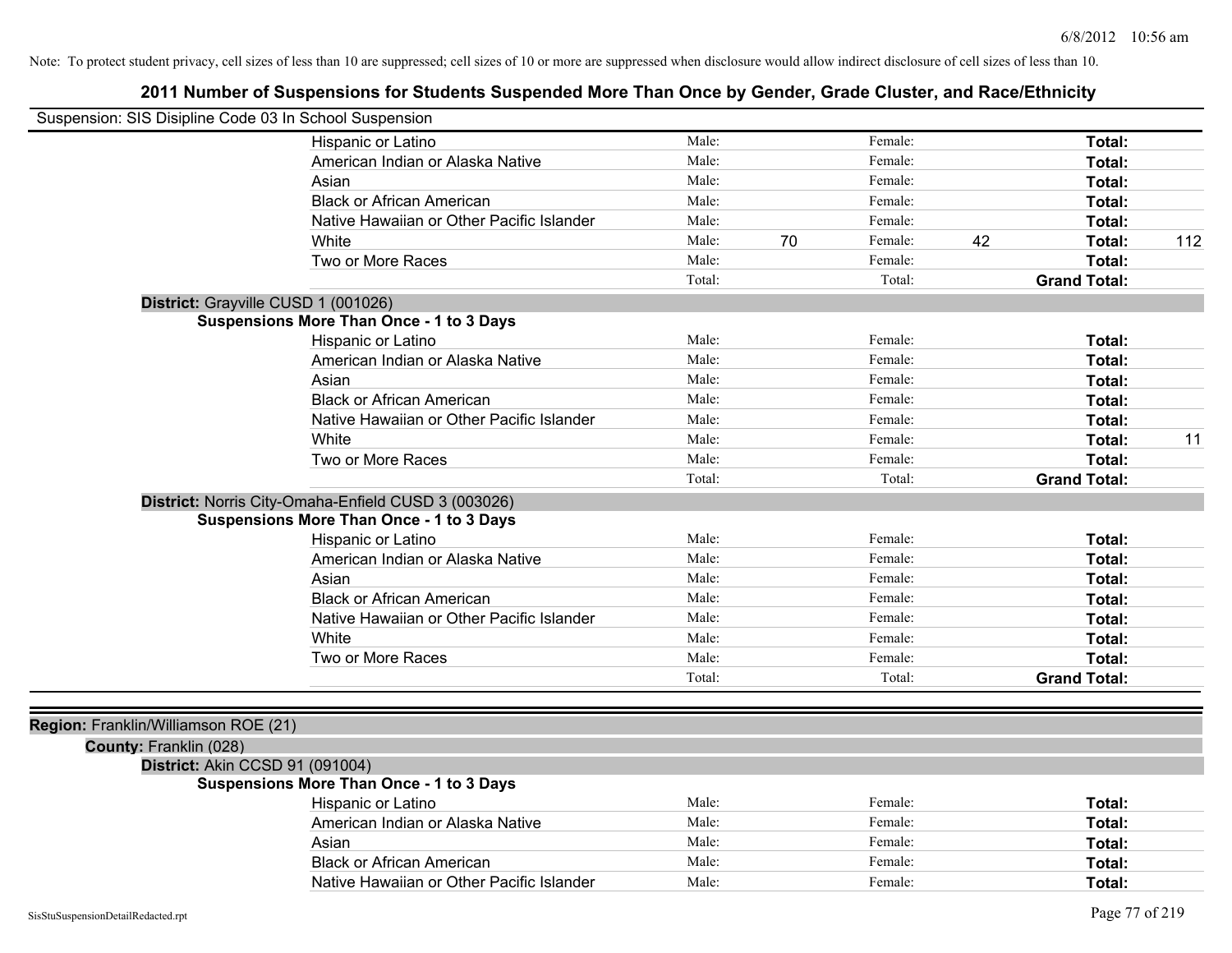| Suspension: SIS Disipline Code 03 In School Suspension |                                                     |        |    |         |    |                     |     |
|--------------------------------------------------------|-----------------------------------------------------|--------|----|---------|----|---------------------|-----|
|                                                        | Hispanic or Latino                                  | Male:  |    | Female: |    | Total:              |     |
|                                                        | American Indian or Alaska Native                    | Male:  |    | Female: |    | Total:              |     |
|                                                        | Asian                                               | Male:  |    | Female: |    | Total:              |     |
|                                                        | <b>Black or African American</b>                    | Male:  |    | Female: |    | Total:              |     |
|                                                        | Native Hawaiian or Other Pacific Islander           | Male:  |    | Female: |    | Total:              |     |
|                                                        | White                                               | Male:  | 70 | Female: | 42 | Total:              | 112 |
|                                                        | Two or More Races                                   | Male:  |    | Female: |    | Total:              |     |
|                                                        |                                                     | Total: |    | Total:  |    | <b>Grand Total:</b> |     |
| District: Grayville CUSD 1 (001026)                    |                                                     |        |    |         |    |                     |     |
|                                                        | <b>Suspensions More Than Once - 1 to 3 Days</b>     |        |    |         |    |                     |     |
|                                                        | Hispanic or Latino                                  | Male:  |    | Female: |    | Total:              |     |
|                                                        | American Indian or Alaska Native                    | Male:  |    | Female: |    | Total:              |     |
|                                                        | Asian                                               | Male:  |    | Female: |    | Total:              |     |
|                                                        | <b>Black or African American</b>                    | Male:  |    | Female: |    | Total:              |     |
|                                                        | Native Hawaiian or Other Pacific Islander           | Male:  |    | Female: |    | Total:              |     |
|                                                        | White                                               | Male:  |    | Female: |    | Total:              | 11  |
|                                                        | Two or More Races                                   | Male:  |    | Female: |    | Total:              |     |
|                                                        |                                                     | Total: |    | Total:  |    | <b>Grand Total:</b> |     |
|                                                        | District: Norris City-Omaha-Enfield CUSD 3 (003026) |        |    |         |    |                     |     |
|                                                        | <b>Suspensions More Than Once - 1 to 3 Days</b>     |        |    |         |    |                     |     |
|                                                        | Hispanic or Latino                                  | Male:  |    | Female: |    | Total:              |     |
|                                                        | American Indian or Alaska Native                    | Male:  |    | Female: |    | Total:              |     |
|                                                        | Asian                                               | Male:  |    | Female: |    | Total:              |     |
|                                                        | <b>Black or African American</b>                    | Male:  |    | Female: |    | Total:              |     |
|                                                        | Native Hawaiian or Other Pacific Islander           | Male:  |    | Female: |    | Total:              |     |
|                                                        | White                                               | Male:  |    | Female: |    | Total:              |     |
|                                                        | Two or More Races                                   | Male:  |    | Female: |    | Total:              |     |
|                                                        |                                                     | Total: |    | Total:  |    | <b>Grand Total:</b> |     |
|                                                        |                                                     |        |    |         |    |                     |     |
| Region: Franklin/Williamson ROE (21)                   |                                                     |        |    |         |    |                     |     |
| County: Franklin (028)                                 |                                                     |        |    |         |    |                     |     |
| District: Akin CCSD 91 (091004)                        |                                                     |        |    |         |    |                     |     |
|                                                        | <b>Suspensions More Than Once - 1 to 3 Days</b>     |        |    |         |    |                     |     |
|                                                        | Hispanic or Latino                                  | Male:  |    | Female: |    | Total:              |     |
|                                                        | American Indian or Alaska Native                    | Male:  |    | Female: |    | Total:              |     |
|                                                        | Asian                                               | Male:  |    | Female: |    | Total:              |     |
|                                                        | <b>Black or African American</b>                    | Male:  |    | Female: |    | Total:              |     |
|                                                        | Native Hawaiian or Other Pacific Islander           | Male:  |    | Female: |    | Total:              |     |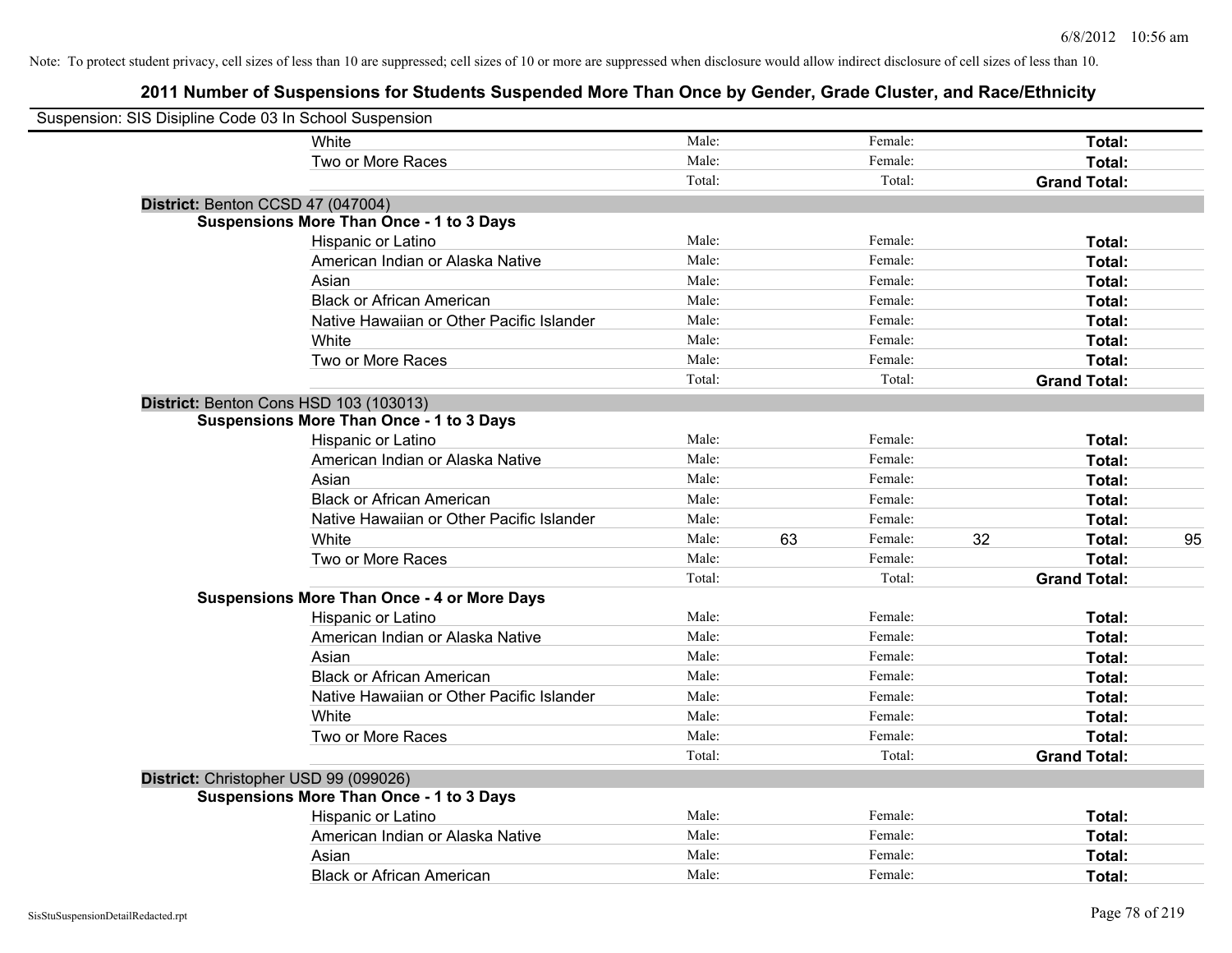| Suspension: SIS Disipline Code 03 In School Suspension |                                                    |        |    |         |    |                     |    |
|--------------------------------------------------------|----------------------------------------------------|--------|----|---------|----|---------------------|----|
|                                                        | White                                              | Male:  |    | Female: |    | Total:              |    |
|                                                        | Two or More Races                                  | Male:  |    | Female: |    | Total:              |    |
|                                                        |                                                    | Total: |    | Total:  |    | <b>Grand Total:</b> |    |
| District: Benton CCSD 47 (047004)                      |                                                    |        |    |         |    |                     |    |
|                                                        | <b>Suspensions More Than Once - 1 to 3 Days</b>    |        |    |         |    |                     |    |
|                                                        | Hispanic or Latino                                 | Male:  |    | Female: |    | Total:              |    |
|                                                        | American Indian or Alaska Native                   | Male:  |    | Female: |    | Total:              |    |
|                                                        | Asian                                              | Male:  |    | Female: |    | Total:              |    |
|                                                        | <b>Black or African American</b>                   | Male:  |    | Female: |    | Total:              |    |
|                                                        | Native Hawaiian or Other Pacific Islander          | Male:  |    | Female: |    | Total:              |    |
|                                                        | White                                              | Male:  |    | Female: |    | Total:              |    |
|                                                        | Two or More Races                                  | Male:  |    | Female: |    | Total:              |    |
|                                                        |                                                    | Total: |    | Total:  |    | <b>Grand Total:</b> |    |
|                                                        | District: Benton Cons HSD 103 (103013)             |        |    |         |    |                     |    |
|                                                        | <b>Suspensions More Than Once - 1 to 3 Days</b>    |        |    |         |    |                     |    |
|                                                        | Hispanic or Latino                                 | Male:  |    | Female: |    | Total:              |    |
|                                                        | American Indian or Alaska Native                   | Male:  |    | Female: |    | Total:              |    |
|                                                        | Asian                                              | Male:  |    | Female: |    | Total:              |    |
|                                                        | <b>Black or African American</b>                   | Male:  |    | Female: |    | Total:              |    |
|                                                        | Native Hawaiian or Other Pacific Islander          | Male:  |    | Female: |    | Total:              |    |
|                                                        | White                                              | Male:  | 63 | Female: | 32 | Total:              | 95 |
|                                                        | Two or More Races                                  | Male:  |    | Female: |    | Total:              |    |
|                                                        |                                                    | Total: |    | Total:  |    | <b>Grand Total:</b> |    |
|                                                        | <b>Suspensions More Than Once - 4 or More Days</b> |        |    |         |    |                     |    |
|                                                        | Hispanic or Latino                                 | Male:  |    | Female: |    | Total:              |    |
|                                                        | American Indian or Alaska Native                   | Male:  |    | Female: |    | Total:              |    |
|                                                        | Asian                                              | Male:  |    | Female: |    | Total:              |    |
|                                                        | <b>Black or African American</b>                   | Male:  |    | Female: |    | Total:              |    |
|                                                        | Native Hawaiian or Other Pacific Islander          | Male:  |    | Female: |    | Total:              |    |
|                                                        | White                                              | Male:  |    | Female: |    | Total:              |    |
|                                                        | Two or More Races                                  | Male:  |    | Female: |    | Total:              |    |
|                                                        |                                                    | Total: |    | Total:  |    | <b>Grand Total:</b> |    |
| District: Christopher USD 99 (099026)                  |                                                    |        |    |         |    |                     |    |
|                                                        | <b>Suspensions More Than Once - 1 to 3 Days</b>    |        |    |         |    |                     |    |
|                                                        | Hispanic or Latino                                 | Male:  |    | Female: |    | Total:              |    |
|                                                        | American Indian or Alaska Native                   | Male:  |    | Female: |    | Total:              |    |
|                                                        | Asian                                              | Male:  |    | Female: |    | Total:              |    |
|                                                        | <b>Black or African American</b>                   | Male:  |    | Female: |    | Total:              |    |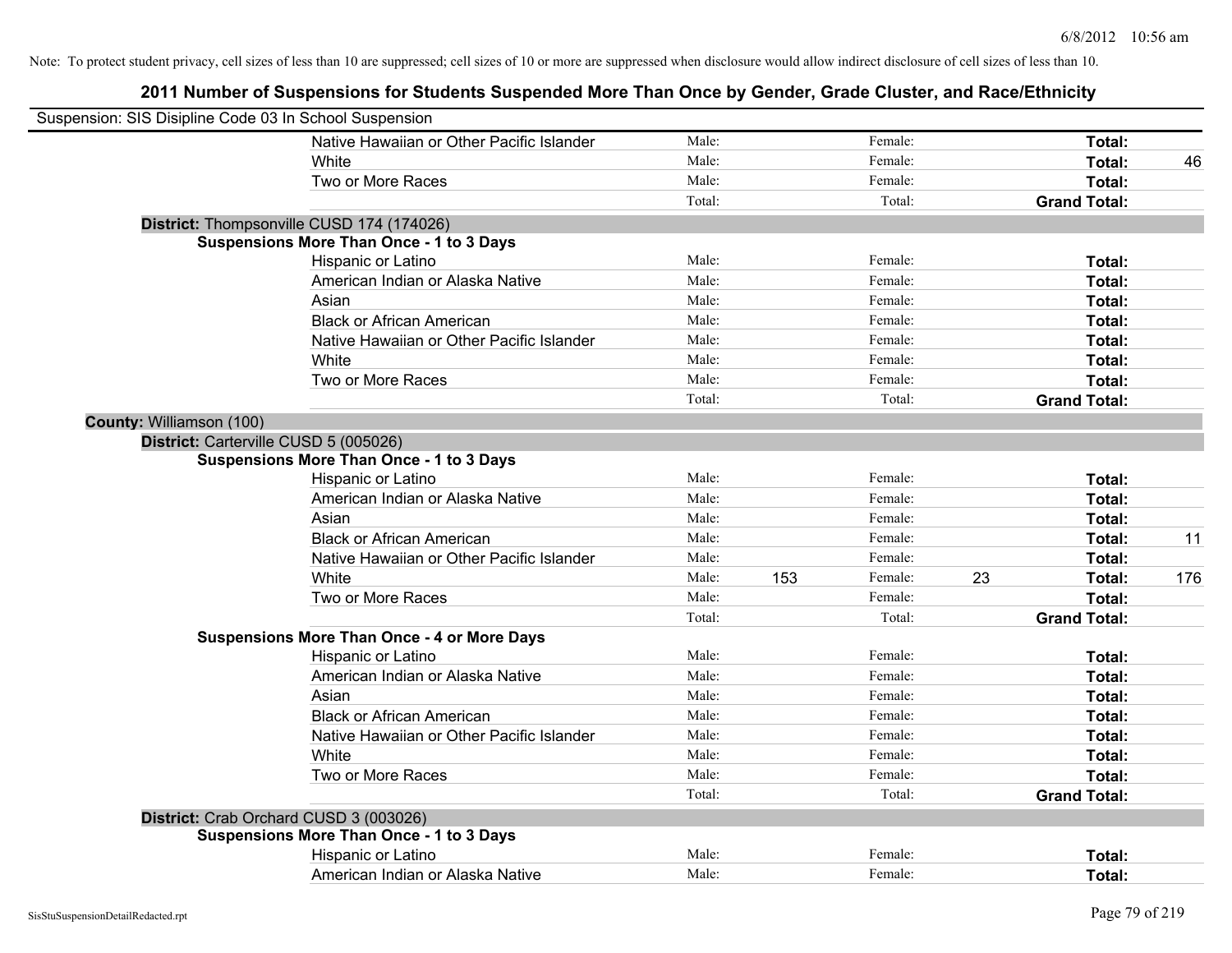| Suspension: SIS Disipline Code 03 In School Suspension |                                                    |        |     |         |    |                     |     |
|--------------------------------------------------------|----------------------------------------------------|--------|-----|---------|----|---------------------|-----|
|                                                        | Native Hawaiian or Other Pacific Islander          | Male:  |     | Female: |    | Total:              |     |
|                                                        | White                                              | Male:  |     | Female: |    | <b>Total:</b>       | 46  |
|                                                        | Two or More Races                                  | Male:  |     | Female: |    | Total:              |     |
|                                                        |                                                    | Total: |     | Total:  |    | <b>Grand Total:</b> |     |
|                                                        | District: Thompsonville CUSD 174 (174026)          |        |     |         |    |                     |     |
|                                                        | <b>Suspensions More Than Once - 1 to 3 Days</b>    |        |     |         |    |                     |     |
|                                                        | Hispanic or Latino                                 | Male:  |     | Female: |    | Total:              |     |
|                                                        | American Indian or Alaska Native                   | Male:  |     | Female: |    | Total:              |     |
|                                                        | Asian                                              | Male:  |     | Female: |    | Total:              |     |
|                                                        | <b>Black or African American</b>                   | Male:  |     | Female: |    | Total:              |     |
|                                                        | Native Hawaiian or Other Pacific Islander          | Male:  |     | Female: |    | Total:              |     |
|                                                        | White                                              | Male:  |     | Female: |    | Total:              |     |
|                                                        | Two or More Races                                  | Male:  |     | Female: |    | Total:              |     |
|                                                        |                                                    | Total: |     | Total:  |    | <b>Grand Total:</b> |     |
| County: Williamson (100)                               |                                                    |        |     |         |    |                     |     |
| District: Carterville CUSD 5 (005026)                  |                                                    |        |     |         |    |                     |     |
|                                                        | <b>Suspensions More Than Once - 1 to 3 Days</b>    |        |     |         |    |                     |     |
|                                                        | Hispanic or Latino                                 | Male:  |     | Female: |    | Total:              |     |
|                                                        | American Indian or Alaska Native                   | Male:  |     | Female: |    | Total:              |     |
|                                                        | Asian                                              | Male:  |     | Female: |    | Total:              |     |
|                                                        | <b>Black or African American</b>                   | Male:  |     | Female: |    | Total:              | 11  |
|                                                        | Native Hawaiian or Other Pacific Islander          | Male:  |     | Female: |    | Total:              |     |
|                                                        | White                                              | Male:  | 153 | Female: | 23 | Total:              | 176 |
|                                                        | Two or More Races                                  | Male:  |     | Female: |    | Total:              |     |
|                                                        |                                                    | Total: |     | Total:  |    | <b>Grand Total:</b> |     |
|                                                        | <b>Suspensions More Than Once - 4 or More Days</b> |        |     |         |    |                     |     |
|                                                        | Hispanic or Latino                                 | Male:  |     | Female: |    | Total:              |     |
|                                                        | American Indian or Alaska Native                   | Male:  |     | Female: |    | Total:              |     |
|                                                        | Asian                                              | Male:  |     | Female: |    | Total:              |     |
|                                                        | <b>Black or African American</b>                   | Male:  |     | Female: |    | Total:              |     |
|                                                        | Native Hawaiian or Other Pacific Islander          | Male:  |     | Female: |    | Total:              |     |
|                                                        | White                                              | Male:  |     | Female: |    | Total:              |     |
|                                                        | Two or More Races                                  | Male:  |     | Female: |    | Total:              |     |
|                                                        |                                                    | Total: |     | Total:  |    | <b>Grand Total:</b> |     |
| District: Crab Orchard CUSD 3 (003026)                 |                                                    |        |     |         |    |                     |     |
|                                                        | <b>Suspensions More Than Once - 1 to 3 Days</b>    |        |     |         |    |                     |     |
|                                                        | Hispanic or Latino                                 | Male:  |     | Female: |    | <b>Total:</b>       |     |
|                                                        | American Indian or Alaska Native                   | Male:  |     | Female: |    | Total:              |     |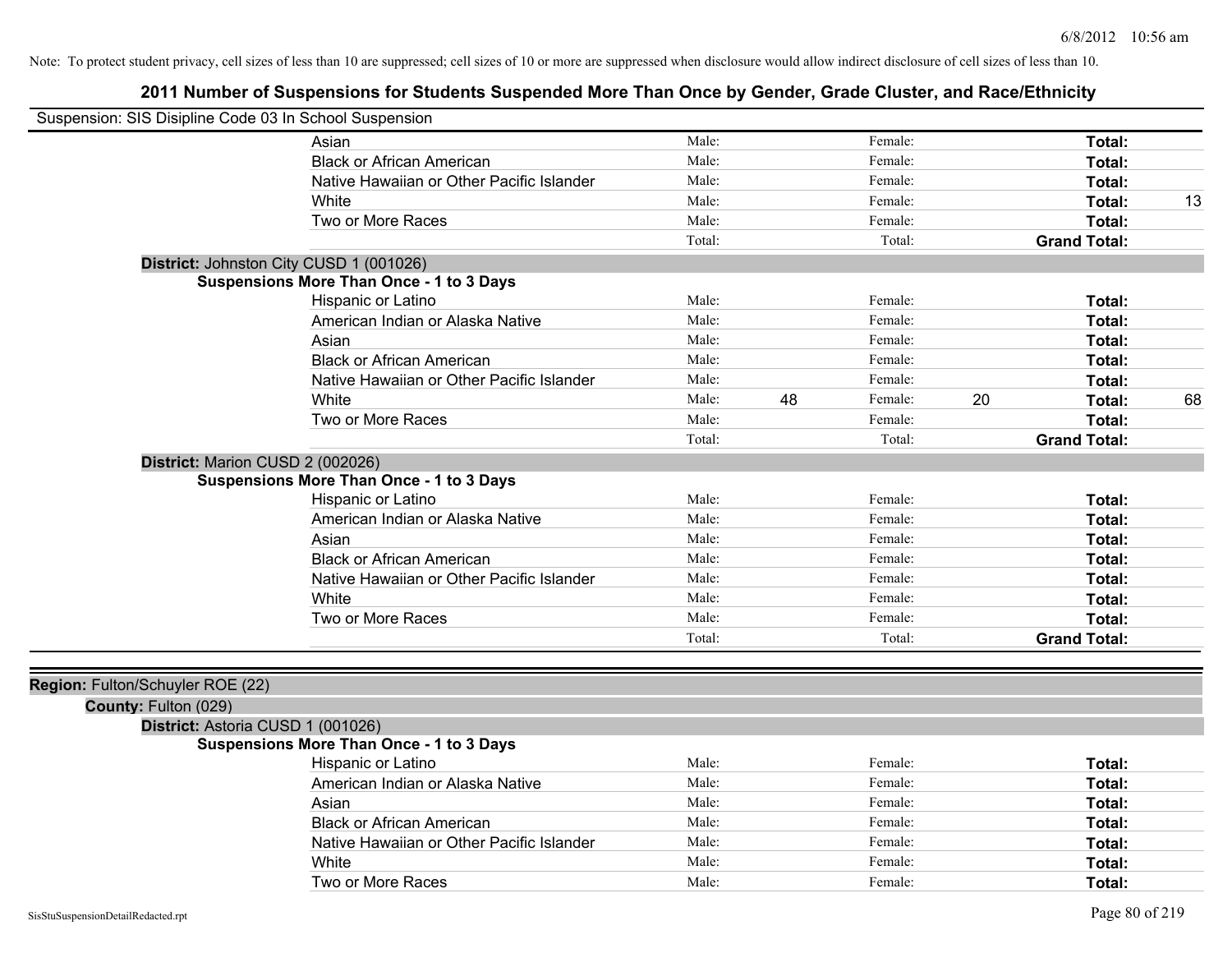| Suspension: SIS Disipline Code 03 In School Suspension |                                                 |        |    |         |    |                     |    |
|--------------------------------------------------------|-------------------------------------------------|--------|----|---------|----|---------------------|----|
|                                                        | Asian                                           | Male:  |    | Female: |    | Total:              |    |
|                                                        | <b>Black or African American</b>                | Male:  |    | Female: |    | Total:              |    |
|                                                        | Native Hawaiian or Other Pacific Islander       | Male:  |    | Female: |    | Total:              |    |
|                                                        | White                                           | Male:  |    | Female: |    | Total:              | 13 |
|                                                        | Two or More Races                               | Male:  |    | Female: |    | Total:              |    |
|                                                        |                                                 | Total: |    | Total:  |    | <b>Grand Total:</b> |    |
|                                                        | District: Johnston City CUSD 1 (001026)         |        |    |         |    |                     |    |
|                                                        | <b>Suspensions More Than Once - 1 to 3 Days</b> |        |    |         |    |                     |    |
|                                                        | Hispanic or Latino                              | Male:  |    | Female: |    | Total:              |    |
|                                                        | American Indian or Alaska Native                | Male:  |    | Female: |    | Total:              |    |
|                                                        | Asian                                           | Male:  |    | Female: |    | Total:              |    |
|                                                        | <b>Black or African American</b>                | Male:  |    | Female: |    | Total:              |    |
|                                                        | Native Hawaiian or Other Pacific Islander       | Male:  |    | Female: |    | Total:              |    |
|                                                        | White                                           | Male:  | 48 | Female: | 20 | Total:              | 68 |
|                                                        | Two or More Races                               | Male:  |    | Female: |    | Total:              |    |
|                                                        |                                                 | Total: |    | Total:  |    | <b>Grand Total:</b> |    |
| District: Marion CUSD 2 (002026)                       |                                                 |        |    |         |    |                     |    |
|                                                        | <b>Suspensions More Than Once - 1 to 3 Days</b> |        |    |         |    |                     |    |
|                                                        | Hispanic or Latino                              | Male:  |    | Female: |    | Total:              |    |
|                                                        | American Indian or Alaska Native                | Male:  |    | Female: |    | Total:              |    |
|                                                        | Asian                                           | Male:  |    | Female: |    | Total:              |    |
|                                                        | <b>Black or African American</b>                | Male:  |    | Female: |    | Total:              |    |
|                                                        | Native Hawaiian or Other Pacific Islander       | Male:  |    | Female: |    | Total:              |    |
|                                                        | White                                           | Male:  |    | Female: |    | Total:              |    |
|                                                        | Two or More Races                               | Male:  |    | Female: |    | Total:              |    |
|                                                        |                                                 | Total: |    | Total:  |    | <b>Grand Total:</b> |    |
|                                                        |                                                 |        |    |         |    |                     |    |
| Region: Fulton/Schuyler ROE (22)                       |                                                 |        |    |         |    |                     |    |
| County: Fulton (029)                                   |                                                 |        |    |         |    |                     |    |
| District: Astoria CUSD 1 (001026)                      |                                                 |        |    |         |    |                     |    |
|                                                        | Suspensions More Than Once - 1 to 3 Days        |        |    |         |    |                     |    |
|                                                        | Hispanic or Latino                              | Male:  |    | Female: |    | Total:              |    |
|                                                        | American Indian or Alaska Native                | Male:  |    | Female: |    | Total:              |    |
|                                                        | Asian                                           | Male:  |    | Female: |    | <b>Total:</b>       |    |
|                                                        | <b>Black or African American</b>                | Male:  |    | Female: |    | Total:              |    |
|                                                        | Native Hawaiian or Other Pacific Islander       | Male:  |    | Female: |    | Total:              |    |
|                                                        | White                                           | Male:  |    | Female: |    | Total:              |    |
|                                                        | Two or More Races                               | Male:  |    | Female: |    | Total:              |    |
| SisStuSuspensionDetailRedacted.rpt                     |                                                 |        |    |         |    | Page 80 of 219      |    |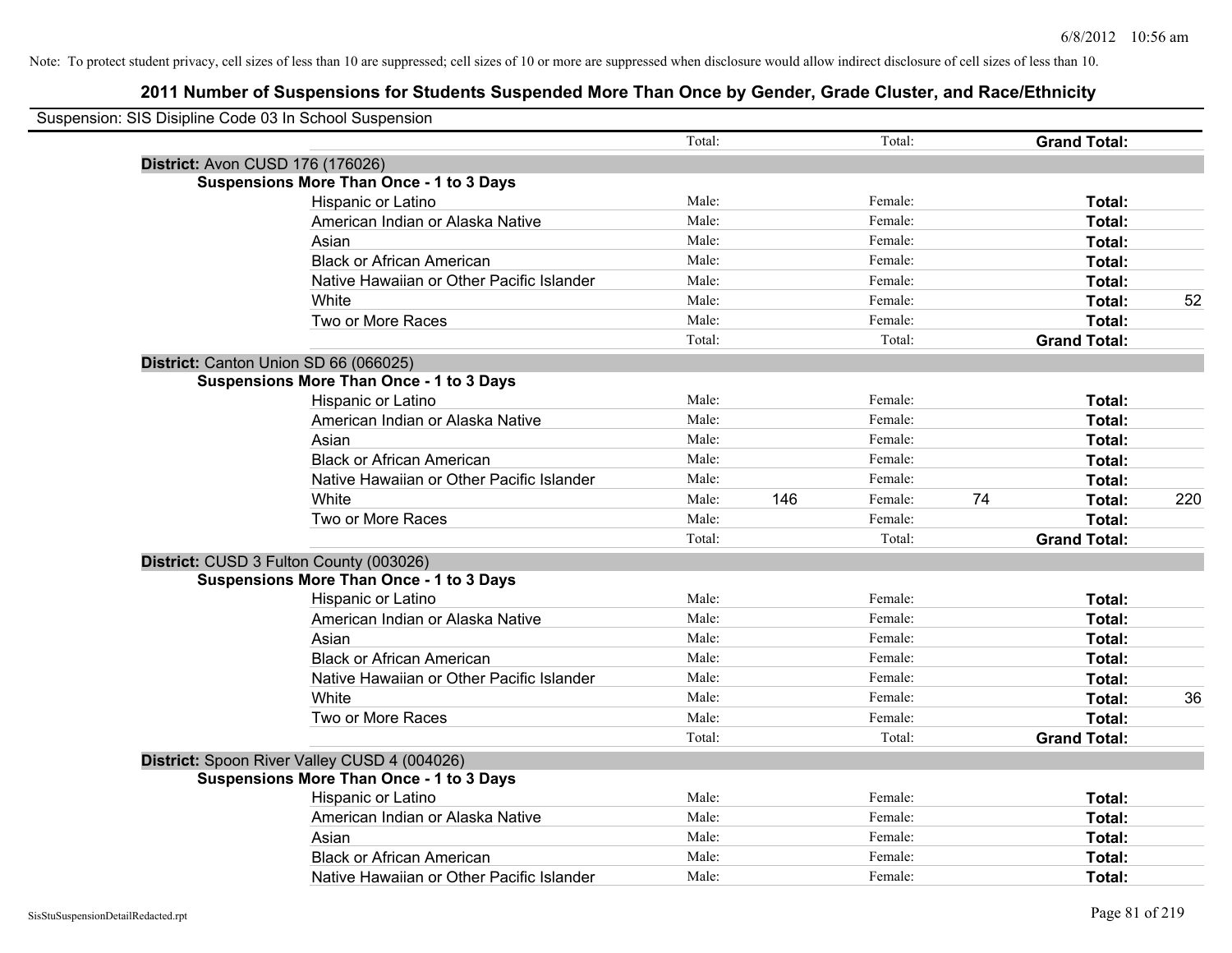| Suspension: SIS Disipline Code 03 In School Suspension |                                                 |        |     |         |    |                     |     |
|--------------------------------------------------------|-------------------------------------------------|--------|-----|---------|----|---------------------|-----|
|                                                        |                                                 | Total: |     | Total:  |    | <b>Grand Total:</b> |     |
|                                                        | District: Avon CUSD 176 (176026)                |        |     |         |    |                     |     |
|                                                        | <b>Suspensions More Than Once - 1 to 3 Days</b> |        |     |         |    |                     |     |
|                                                        | Hispanic or Latino                              | Male:  |     | Female: |    | Total:              |     |
|                                                        | American Indian or Alaska Native                | Male:  |     | Female: |    | Total:              |     |
|                                                        | Asian                                           | Male:  |     | Female: |    | Total:              |     |
|                                                        | <b>Black or African American</b>                | Male:  |     | Female: |    | Total:              |     |
|                                                        | Native Hawaiian or Other Pacific Islander       | Male:  |     | Female: |    | Total:              |     |
|                                                        | White                                           | Male:  |     | Female: |    | Total:              | 52  |
|                                                        | Two or More Races                               | Male:  |     | Female: |    | Total:              |     |
|                                                        |                                                 | Total: |     | Total:  |    | <b>Grand Total:</b> |     |
|                                                        | District: Canton Union SD 66 (066025)           |        |     |         |    |                     |     |
|                                                        | <b>Suspensions More Than Once - 1 to 3 Days</b> |        |     |         |    |                     |     |
|                                                        | Hispanic or Latino                              | Male:  |     | Female: |    | Total:              |     |
|                                                        | American Indian or Alaska Native                | Male:  |     | Female: |    | Total:              |     |
|                                                        | Asian                                           | Male:  |     | Female: |    | Total:              |     |
|                                                        | <b>Black or African American</b>                | Male:  |     | Female: |    | Total:              |     |
|                                                        | Native Hawaiian or Other Pacific Islander       | Male:  |     | Female: |    | Total:              |     |
|                                                        | White                                           | Male:  | 146 | Female: | 74 | Total:              | 220 |
|                                                        | Two or More Races                               | Male:  |     | Female: |    | Total:              |     |
|                                                        |                                                 | Total: |     | Total:  |    | <b>Grand Total:</b> |     |
|                                                        | District: CUSD 3 Fulton County (003026)         |        |     |         |    |                     |     |
|                                                        | <b>Suspensions More Than Once - 1 to 3 Days</b> |        |     |         |    |                     |     |
|                                                        | Hispanic or Latino                              | Male:  |     | Female: |    | Total:              |     |
|                                                        | American Indian or Alaska Native                | Male:  |     | Female: |    | Total:              |     |
|                                                        | Asian                                           | Male:  |     | Female: |    | Total:              |     |
|                                                        | <b>Black or African American</b>                | Male:  |     | Female: |    | Total:              |     |
|                                                        | Native Hawaiian or Other Pacific Islander       | Male:  |     | Female: |    | Total:              |     |
|                                                        | White                                           | Male:  |     | Female: |    | Total:              | 36  |
|                                                        | Two or More Races                               | Male:  |     | Female: |    | Total:              |     |
|                                                        |                                                 | Total: |     | Total:  |    | <b>Grand Total:</b> |     |
|                                                        | District: Spoon River Valley CUSD 4 (004026)    |        |     |         |    |                     |     |
|                                                        | <b>Suspensions More Than Once - 1 to 3 Days</b> |        |     |         |    |                     |     |
|                                                        | Hispanic or Latino                              | Male:  |     | Female: |    | Total:              |     |
|                                                        | American Indian or Alaska Native                | Male:  |     | Female: |    | Total:              |     |
|                                                        | Asian                                           | Male:  |     | Female: |    | Total:              |     |
|                                                        | <b>Black or African American</b>                | Male:  |     | Female: |    | Total:              |     |
|                                                        | Native Hawaiian or Other Pacific Islander       | Male:  |     | Female: |    | Total:              |     |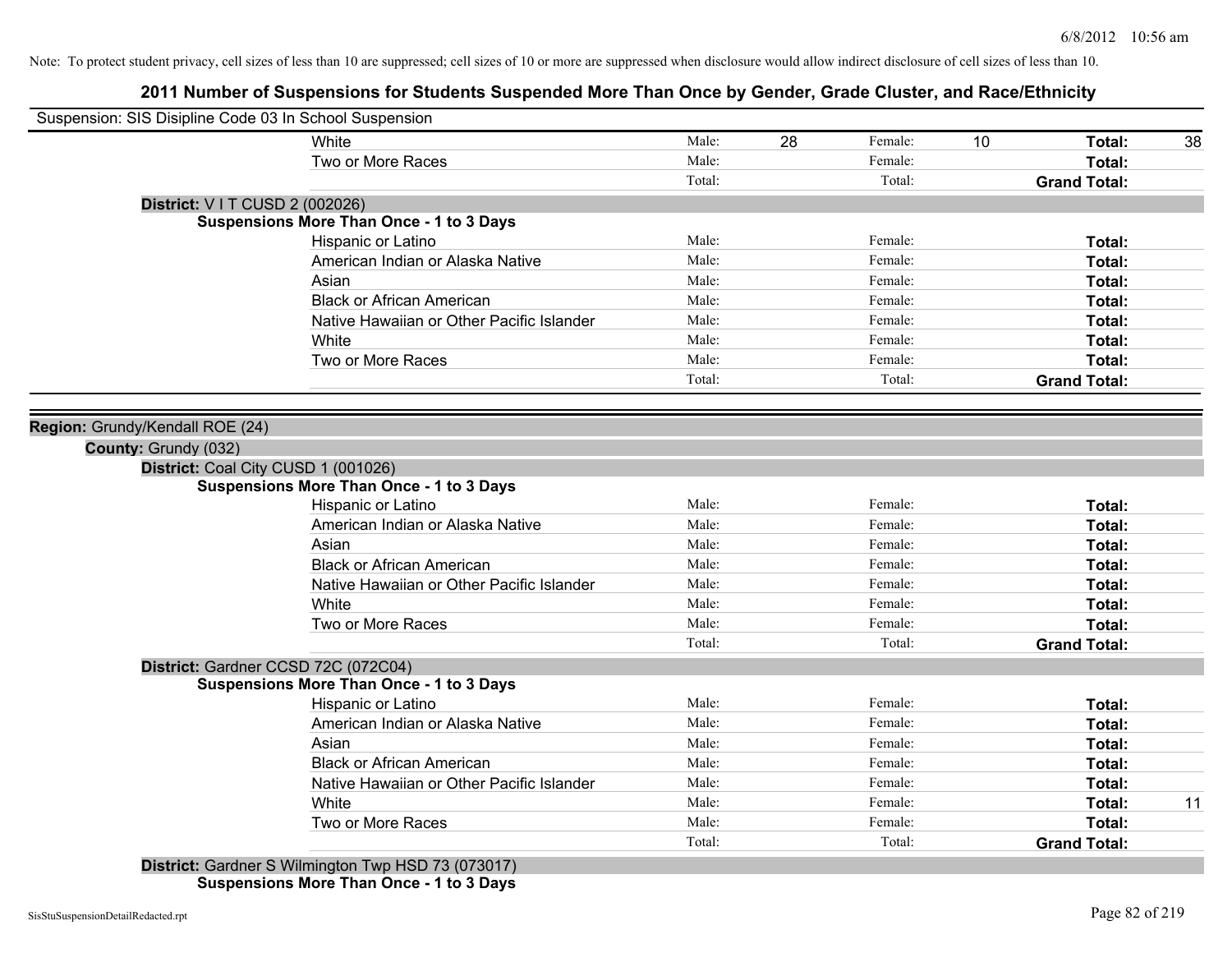| Suspension: SIS Disipline Code 03 In School Suspension |                                                    |        |    |         |                 |                     |    |
|--------------------------------------------------------|----------------------------------------------------|--------|----|---------|-----------------|---------------------|----|
|                                                        | <b>White</b>                                       | Male:  | 28 | Female: | 10 <sup>°</sup> | Total:              | 38 |
|                                                        | Two or More Races                                  | Male:  |    | Female: |                 | Total:              |    |
|                                                        |                                                    | Total: |    | Total:  |                 | <b>Grand Total:</b> |    |
| District: V I T CUSD 2 (002026)                        |                                                    |        |    |         |                 |                     |    |
|                                                        | <b>Suspensions More Than Once - 1 to 3 Days</b>    |        |    |         |                 |                     |    |
|                                                        | Hispanic or Latino                                 | Male:  |    | Female: |                 | Total:              |    |
|                                                        | American Indian or Alaska Native                   | Male:  |    | Female: |                 | Total:              |    |
|                                                        | Asian                                              | Male:  |    | Female: |                 | Total:              |    |
|                                                        | <b>Black or African American</b>                   | Male:  |    | Female: |                 | Total:              |    |
|                                                        | Native Hawaiian or Other Pacific Islander          | Male:  |    | Female: |                 | Total:              |    |
|                                                        | White                                              | Male:  |    | Female: |                 | Total:              |    |
|                                                        | Two or More Races                                  | Male:  |    | Female: |                 | Total:              |    |
|                                                        |                                                    | Total: |    | Total:  |                 | <b>Grand Total:</b> |    |
|                                                        |                                                    |        |    |         |                 |                     |    |
| Region: Grundy/Kendall ROE (24)                        |                                                    |        |    |         |                 |                     |    |
| County: Grundy (032)                                   |                                                    |        |    |         |                 |                     |    |
|                                                        | District: Coal City CUSD 1 (001026)                |        |    |         |                 |                     |    |
|                                                        | <b>Suspensions More Than Once - 1 to 3 Days</b>    |        |    |         |                 |                     |    |
|                                                        | Hispanic or Latino                                 | Male:  |    | Female: |                 | Total:              |    |
|                                                        | American Indian or Alaska Native                   | Male:  |    | Female: |                 | Total:              |    |
|                                                        | Asian                                              | Male:  |    | Female: |                 | Total:              |    |
|                                                        | <b>Black or African American</b>                   | Male:  |    | Female: |                 | Total:              |    |
|                                                        | Native Hawaiian or Other Pacific Islander          | Male:  |    | Female: |                 | Total:              |    |
|                                                        | White                                              | Male:  |    | Female: |                 | Total:              |    |
|                                                        | Two or More Races                                  | Male:  |    | Female: |                 | Total:              |    |
|                                                        |                                                    | Total: |    | Total:  |                 | <b>Grand Total:</b> |    |
|                                                        | District: Gardner CCSD 72C (072C04)                |        |    |         |                 |                     |    |
|                                                        | <b>Suspensions More Than Once - 1 to 3 Days</b>    |        |    |         |                 |                     |    |
|                                                        | Hispanic or Latino                                 | Male:  |    | Female: |                 | Total:              |    |
|                                                        | American Indian or Alaska Native                   | Male:  |    | Female: |                 | Total:              |    |
|                                                        | Asian                                              | Male:  |    | Female: |                 | Total:              |    |
|                                                        | <b>Black or African American</b>                   | Male:  |    | Female: |                 | Total:              |    |
|                                                        | Native Hawaiian or Other Pacific Islander          | Male:  |    | Female: |                 | Total:              |    |
|                                                        | White                                              | Male:  |    | Female: |                 | Total:              | 11 |
|                                                        | Two or More Races                                  | Male:  |    | Female: |                 | Total:              |    |
|                                                        |                                                    | Total: |    | Total:  |                 | <b>Grand Total:</b> |    |
|                                                        | District: Gardner S Wilmington Twp HSD 73 (073017) |        |    |         |                 |                     |    |
|                                                        | <b>Suspensions More Than Once - 1 to 3 Days</b>    |        |    |         |                 |                     |    |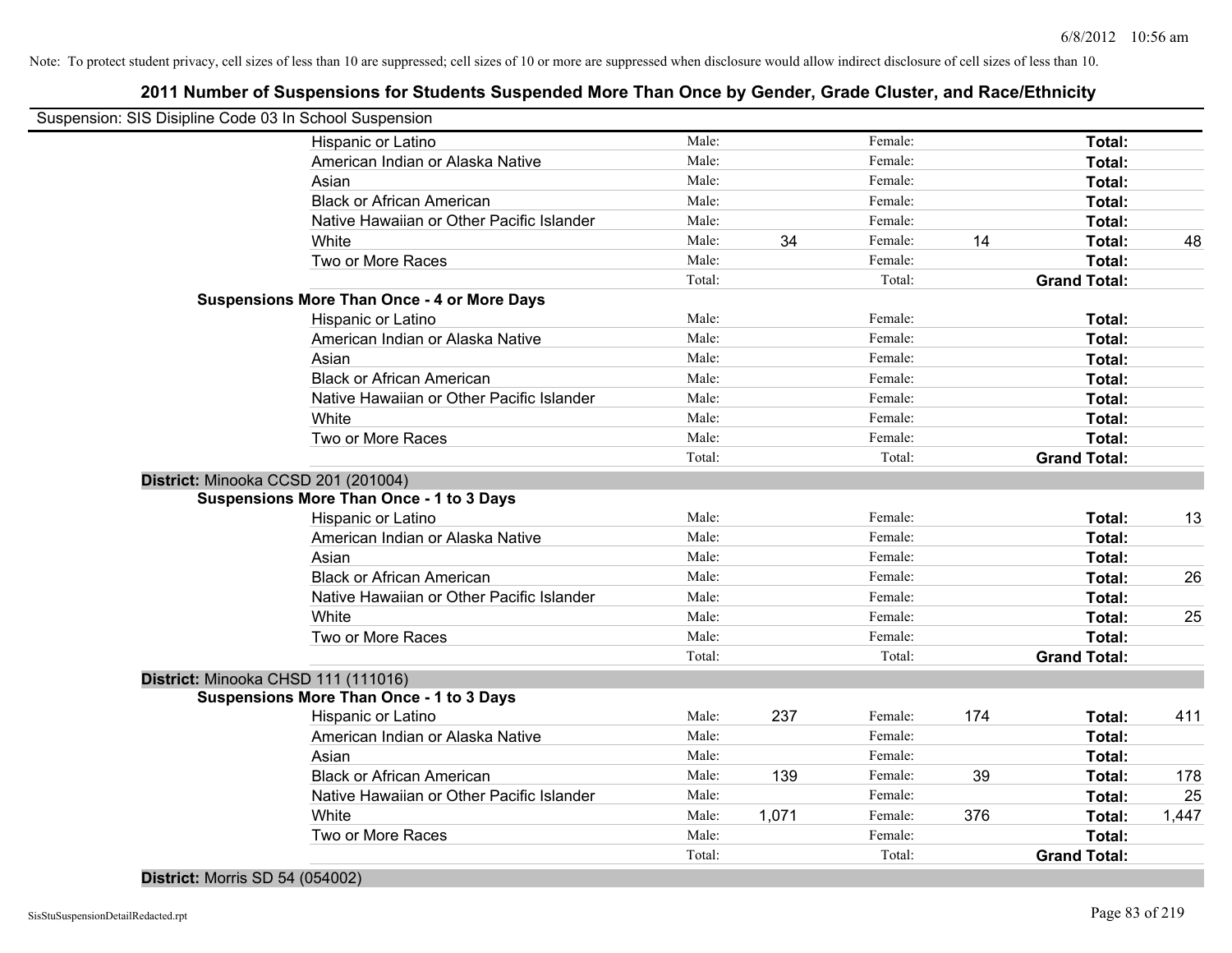| Suspension: SIS Disipline Code 03 In School Suspension |        |       |         |     |                     |       |
|--------------------------------------------------------|--------|-------|---------|-----|---------------------|-------|
| Hispanic or Latino                                     | Male:  |       | Female: |     | Total:              |       |
| American Indian or Alaska Native                       | Male:  |       | Female: |     | Total:              |       |
| Asian                                                  | Male:  |       | Female: |     | Total:              |       |
| <b>Black or African American</b>                       | Male:  |       | Female: |     | Total:              |       |
| Native Hawaiian or Other Pacific Islander              | Male:  |       | Female: |     | Total:              |       |
| White                                                  | Male:  | 34    | Female: | 14  | Total:              | 48    |
| Two or More Races                                      | Male:  |       | Female: |     | Total:              |       |
|                                                        | Total: |       | Total:  |     | <b>Grand Total:</b> |       |
| <b>Suspensions More Than Once - 4 or More Days</b>     |        |       |         |     |                     |       |
| Hispanic or Latino                                     | Male:  |       | Female: |     | Total:              |       |
| American Indian or Alaska Native                       | Male:  |       | Female: |     | Total:              |       |
| Asian                                                  | Male:  |       | Female: |     | Total:              |       |
| <b>Black or African American</b>                       | Male:  |       | Female: |     | Total:              |       |
| Native Hawaiian or Other Pacific Islander              | Male:  |       | Female: |     | Total:              |       |
| White                                                  | Male:  |       | Female: |     | Total:              |       |
| Two or More Races                                      | Male:  |       | Female: |     | Total:              |       |
|                                                        | Total: |       | Total:  |     | <b>Grand Total:</b> |       |
| District: Minooka CCSD 201 (201004)                    |        |       |         |     |                     |       |
| <b>Suspensions More Than Once - 1 to 3 Days</b>        |        |       |         |     |                     |       |
| Hispanic or Latino                                     | Male:  |       | Female: |     | Total:              | 13    |
| American Indian or Alaska Native                       | Male:  |       | Female: |     | Total:              |       |
| Asian                                                  | Male:  |       | Female: |     | Total:              |       |
| <b>Black or African American</b>                       | Male:  |       | Female: |     | Total:              | 26    |
| Native Hawaiian or Other Pacific Islander              | Male:  |       | Female: |     | Total:              |       |
| White                                                  | Male:  |       | Female: |     | Total:              | 25    |
| Two or More Races                                      | Male:  |       | Female: |     | <b>Total:</b>       |       |
|                                                        | Total: |       | Total:  |     | <b>Grand Total:</b> |       |
| District: Minooka CHSD 111 (111016)                    |        |       |         |     |                     |       |
| <b>Suspensions More Than Once - 1 to 3 Days</b>        |        |       |         |     |                     |       |
| Hispanic or Latino                                     | Male:  | 237   | Female: | 174 | Total:              | 411   |
| American Indian or Alaska Native                       | Male:  |       | Female: |     | Total:              |       |
| Asian                                                  | Male:  |       | Female: |     | Total:              |       |
| <b>Black or African American</b>                       | Male:  | 139   | Female: | 39  | Total:              | 178   |
| Native Hawaiian or Other Pacific Islander              | Male:  |       | Female: |     | Total:              | 25    |
| White                                                  | Male:  | 1,071 | Female: | 376 | Total:              | 1,447 |
| Two or More Races                                      | Male:  |       | Female: |     | Total:              |       |
|                                                        | Total: |       | Total:  |     | <b>Grand Total:</b> |       |
|                                                        |        |       |         |     |                     |       |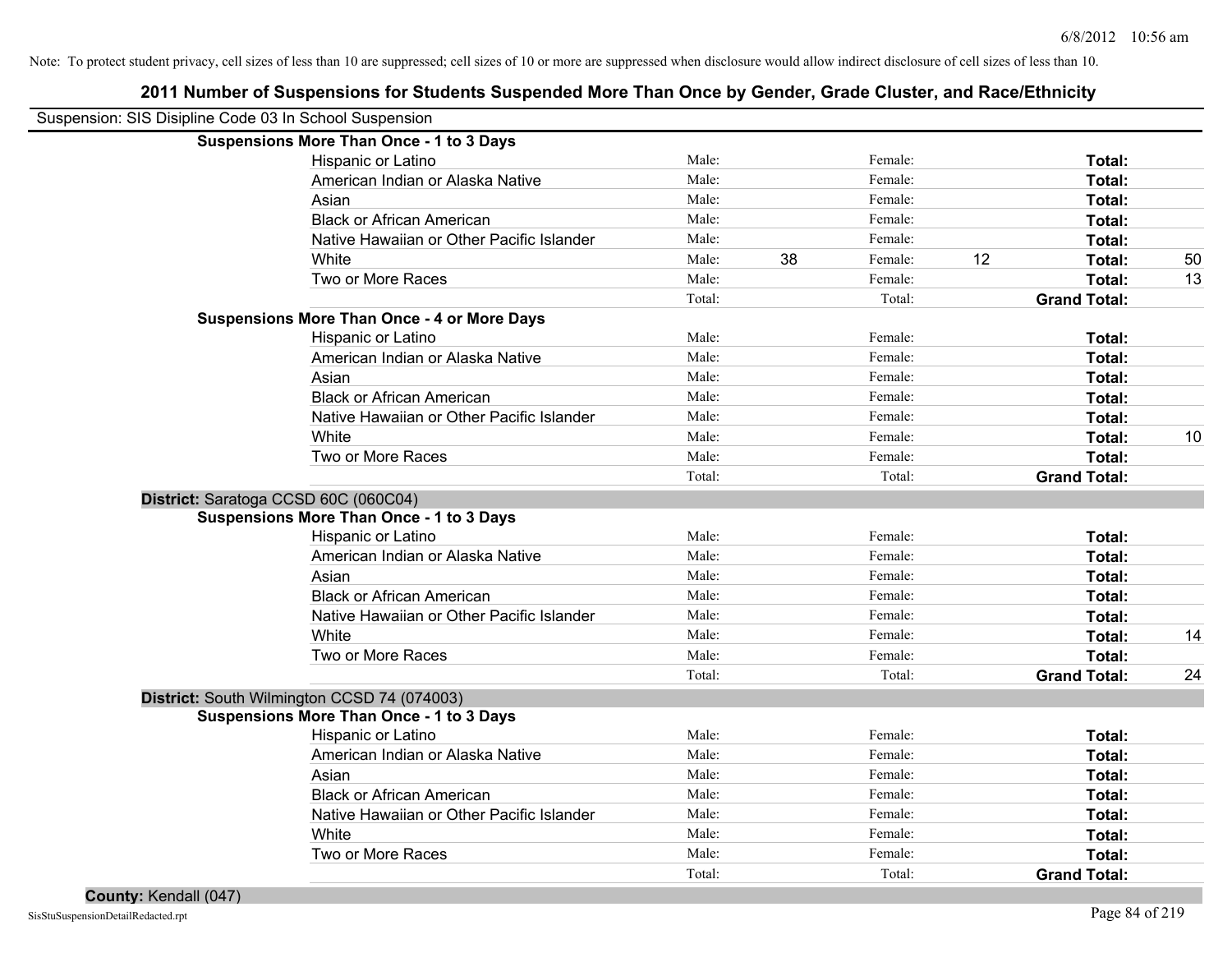| Suspension: SIS Disipline Code 03 In School Suspension |        |    |         |    |                     |    |
|--------------------------------------------------------|--------|----|---------|----|---------------------|----|
| <b>Suspensions More Than Once - 1 to 3 Days</b>        |        |    |         |    |                     |    |
| Hispanic or Latino                                     | Male:  |    | Female: |    | Total:              |    |
| American Indian or Alaska Native                       | Male:  |    | Female: |    | Total:              |    |
| Asian                                                  | Male:  |    | Female: |    | Total:              |    |
| <b>Black or African American</b>                       | Male:  |    | Female: |    | Total:              |    |
| Native Hawaiian or Other Pacific Islander              | Male:  |    | Female: |    | Total:              |    |
| White                                                  | Male:  | 38 | Female: | 12 | Total:              | 50 |
| Two or More Races                                      | Male:  |    | Female: |    | Total:              | 13 |
|                                                        | Total: |    | Total:  |    | <b>Grand Total:</b> |    |
| <b>Suspensions More Than Once - 4 or More Days</b>     |        |    |         |    |                     |    |
| Hispanic or Latino                                     | Male:  |    | Female: |    | Total:              |    |
| American Indian or Alaska Native                       | Male:  |    | Female: |    | Total:              |    |
| Asian                                                  | Male:  |    | Female: |    | Total:              |    |
| <b>Black or African American</b>                       | Male:  |    | Female: |    | Total:              |    |
| Native Hawaiian or Other Pacific Islander              | Male:  |    | Female: |    | Total:              |    |
| White                                                  | Male:  |    | Female: |    | Total:              | 10 |
| Two or More Races                                      | Male:  |    | Female: |    | Total:              |    |
|                                                        | Total: |    | Total:  |    | <b>Grand Total:</b> |    |
| District: Saratoga CCSD 60C (060C04)                   |        |    |         |    |                     |    |
| <b>Suspensions More Than Once - 1 to 3 Days</b>        |        |    |         |    |                     |    |
| Hispanic or Latino                                     | Male:  |    | Female: |    | Total:              |    |
| American Indian or Alaska Native                       | Male:  |    | Female: |    | Total:              |    |
| Asian                                                  | Male:  |    | Female: |    | Total:              |    |
| <b>Black or African American</b>                       | Male:  |    | Female: |    | Total:              |    |
| Native Hawaiian or Other Pacific Islander              | Male:  |    | Female: |    | Total:              |    |
| White                                                  | Male:  |    | Female: |    | Total:              | 14 |
| Two or More Races                                      | Male:  |    | Female: |    | Total:              |    |
|                                                        | Total: |    | Total:  |    | <b>Grand Total:</b> | 24 |
| District: South Wilmington CCSD 74 (074003)            |        |    |         |    |                     |    |
| <b>Suspensions More Than Once - 1 to 3 Days</b>        |        |    |         |    |                     |    |
| Hispanic or Latino                                     | Male:  |    | Female: |    | Total:              |    |
| American Indian or Alaska Native                       | Male:  |    | Female: |    | Total:              |    |
| Asian                                                  | Male:  |    | Female: |    | Total:              |    |
| <b>Black or African American</b>                       | Male:  |    | Female: |    | Total:              |    |
| Native Hawaiian or Other Pacific Islander              | Male:  |    | Female: |    | Total:              |    |
| White                                                  | Male:  |    | Female: |    | Total:              |    |
| Two or More Races                                      | Male:  |    | Female: |    | Total:              |    |
|                                                        | Total: |    | Total:  |    | <b>Grand Total:</b> |    |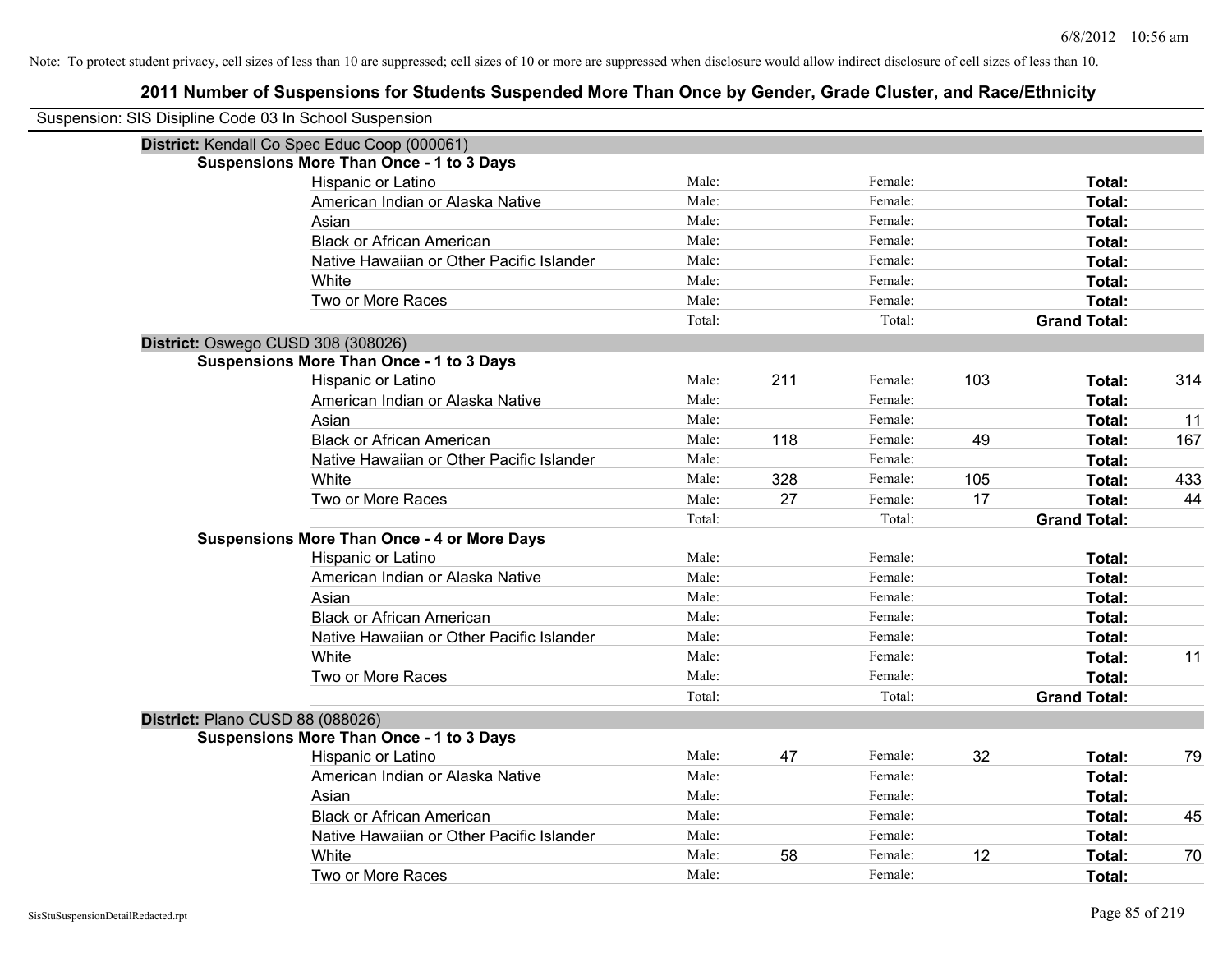| Suspension: SIS Disipline Code 03 In School Suspension |                                                    |        |     |         |     |                     |     |
|--------------------------------------------------------|----------------------------------------------------|--------|-----|---------|-----|---------------------|-----|
|                                                        | District: Kendall Co Spec Educ Coop (000061)       |        |     |         |     |                     |     |
|                                                        | <b>Suspensions More Than Once - 1 to 3 Days</b>    |        |     |         |     |                     |     |
|                                                        | Hispanic or Latino                                 | Male:  |     | Female: |     | Total:              |     |
|                                                        | American Indian or Alaska Native                   | Male:  |     | Female: |     | Total:              |     |
|                                                        | Asian                                              | Male:  |     | Female: |     | Total:              |     |
|                                                        | <b>Black or African American</b>                   | Male:  |     | Female: |     | Total:              |     |
|                                                        | Native Hawaiian or Other Pacific Islander          | Male:  |     | Female: |     | Total:              |     |
|                                                        | White                                              | Male:  |     | Female: |     | Total:              |     |
|                                                        | Two or More Races                                  | Male:  |     | Female: |     | Total:              |     |
|                                                        |                                                    | Total: |     | Total:  |     | <b>Grand Total:</b> |     |
|                                                        | District: Oswego CUSD 308 (308026)                 |        |     |         |     |                     |     |
|                                                        | <b>Suspensions More Than Once - 1 to 3 Days</b>    |        |     |         |     |                     |     |
|                                                        | Hispanic or Latino                                 | Male:  | 211 | Female: | 103 | Total:              | 314 |
|                                                        | American Indian or Alaska Native                   | Male:  |     | Female: |     | Total:              |     |
|                                                        | Asian                                              | Male:  |     | Female: |     | Total:              | 11  |
|                                                        | <b>Black or African American</b>                   | Male:  | 118 | Female: | 49  | Total:              | 167 |
|                                                        | Native Hawaiian or Other Pacific Islander          | Male:  |     | Female: |     | Total:              |     |
|                                                        | White                                              | Male:  | 328 | Female: | 105 | Total:              | 433 |
|                                                        | Two or More Races                                  | Male:  | 27  | Female: | 17  | Total:              | 44  |
|                                                        |                                                    | Total: |     | Total:  |     | <b>Grand Total:</b> |     |
|                                                        | <b>Suspensions More Than Once - 4 or More Days</b> |        |     |         |     |                     |     |
|                                                        | Hispanic or Latino                                 | Male:  |     | Female: |     | Total:              |     |
|                                                        | American Indian or Alaska Native                   | Male:  |     | Female: |     | Total:              |     |
|                                                        | Asian                                              | Male:  |     | Female: |     | Total:              |     |
|                                                        | <b>Black or African American</b>                   | Male:  |     | Female: |     | Total:              |     |
|                                                        | Native Hawaiian or Other Pacific Islander          | Male:  |     | Female: |     | Total:              |     |
|                                                        | White                                              | Male:  |     | Female: |     | Total:              | 11  |
|                                                        | Two or More Races                                  | Male:  |     | Female: |     | Total:              |     |
|                                                        |                                                    | Total: |     | Total:  |     | <b>Grand Total:</b> |     |
|                                                        | District: Plano CUSD 88 (088026)                   |        |     |         |     |                     |     |
|                                                        | <b>Suspensions More Than Once - 1 to 3 Days</b>    |        |     |         |     |                     |     |
|                                                        | Hispanic or Latino                                 | Male:  | 47  | Female: | 32  | Total:              | 79  |
|                                                        | American Indian or Alaska Native                   | Male:  |     | Female: |     | Total:              |     |
|                                                        | Asian                                              | Male:  |     | Female: |     | Total:              |     |
|                                                        | <b>Black or African American</b>                   | Male:  |     | Female: |     | Total:              | 45  |
|                                                        | Native Hawaiian or Other Pacific Islander          | Male:  |     | Female: |     | Total:              |     |
|                                                        | White                                              | Male:  | 58  | Female: | 12  | Total:              | 70  |
|                                                        | Two or More Races                                  | Male:  |     | Female: |     | Total:              |     |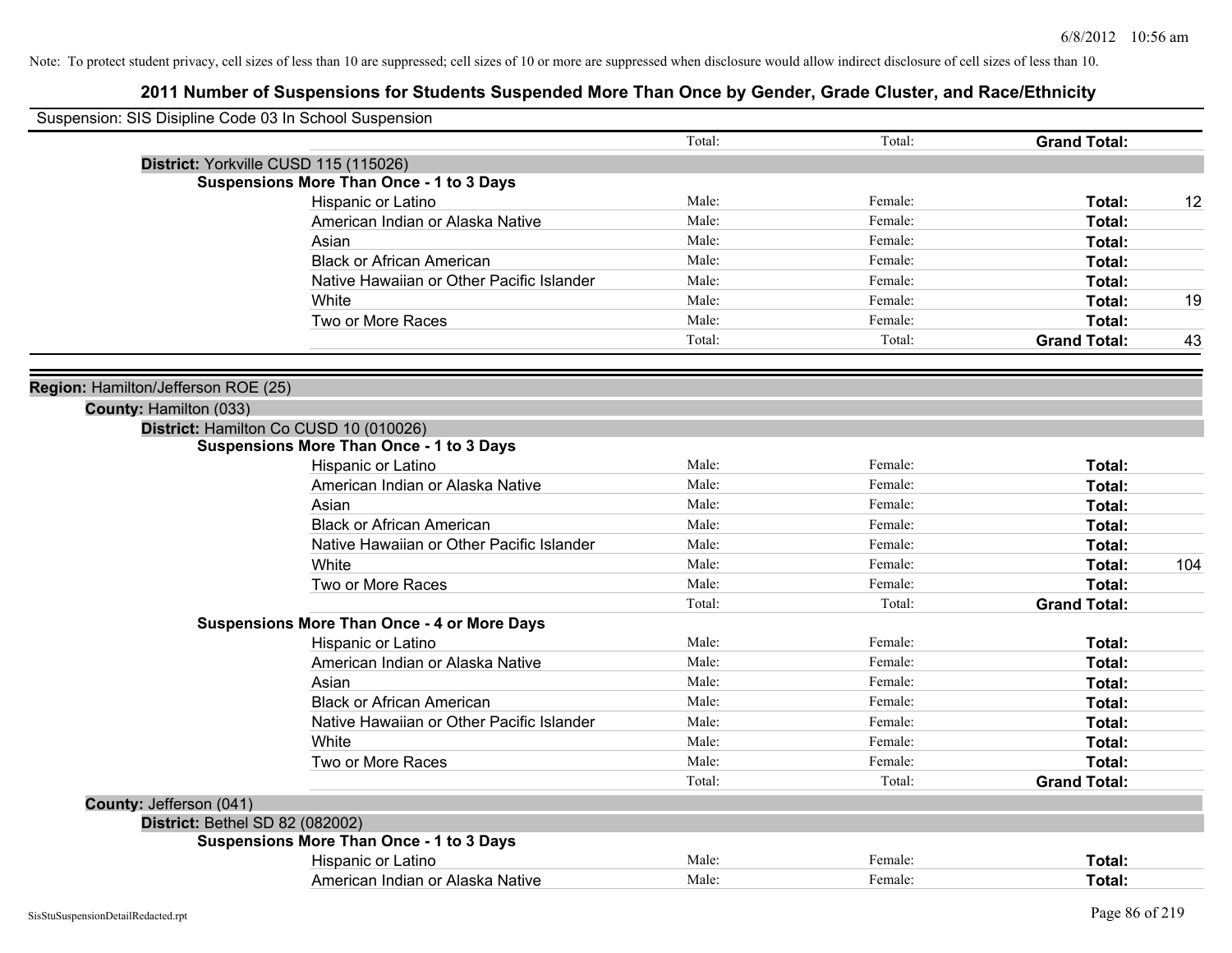| Suspension: SIS Disipline Code 03 In School Suspension |                                                    |        |         |                     |     |
|--------------------------------------------------------|----------------------------------------------------|--------|---------|---------------------|-----|
|                                                        |                                                    | Total: | Total:  | <b>Grand Total:</b> |     |
|                                                        | District: Yorkville CUSD 115 (115026)              |        |         |                     |     |
|                                                        | <b>Suspensions More Than Once - 1 to 3 Days</b>    |        |         |                     |     |
|                                                        | Hispanic or Latino                                 | Male:  | Female: | Total:              | 12  |
|                                                        | American Indian or Alaska Native                   | Male:  | Female: | Total:              |     |
|                                                        | Asian                                              | Male:  | Female: | Total:              |     |
|                                                        | <b>Black or African American</b>                   | Male:  | Female: | Total:              |     |
|                                                        | Native Hawaiian or Other Pacific Islander          | Male:  | Female: | Total:              |     |
|                                                        | White                                              | Male:  | Female: | Total:              | 19  |
|                                                        | Two or More Races                                  | Male:  | Female: | Total:              |     |
|                                                        |                                                    | Total: | Total:  | <b>Grand Total:</b> | 43  |
| Region: Hamilton/Jefferson ROE (25)                    |                                                    |        |         |                     |     |
| County: Hamilton (033)                                 |                                                    |        |         |                     |     |
|                                                        | District: Hamilton Co CUSD 10 (010026)             |        |         |                     |     |
|                                                        | <b>Suspensions More Than Once - 1 to 3 Days</b>    |        |         |                     |     |
|                                                        | Hispanic or Latino                                 | Male:  | Female: | Total:              |     |
|                                                        | American Indian or Alaska Native                   | Male:  | Female: | Total:              |     |
|                                                        | Asian                                              | Male:  | Female: | Total:              |     |
|                                                        | <b>Black or African American</b>                   | Male:  | Female: | Total:              |     |
|                                                        | Native Hawaiian or Other Pacific Islander          | Male:  | Female: | Total:              |     |
|                                                        | White                                              | Male:  | Female: | Total:              | 104 |
|                                                        | Two or More Races                                  | Male:  | Female: | Total:              |     |
|                                                        |                                                    | Total: | Total:  | <b>Grand Total:</b> |     |
|                                                        | <b>Suspensions More Than Once - 4 or More Days</b> |        |         |                     |     |
|                                                        | Hispanic or Latino                                 | Male:  | Female: | Total:              |     |
|                                                        | American Indian or Alaska Native                   | Male:  | Female: | Total:              |     |
|                                                        | Asian                                              | Male:  | Female: | Total:              |     |
|                                                        | <b>Black or African American</b>                   | Male:  | Female: | Total:              |     |
|                                                        | Native Hawaiian or Other Pacific Islander          | Male:  | Female: | Total:              |     |
|                                                        | White                                              | Male:  | Female: | Total:              |     |
|                                                        | Two or More Races                                  | Male:  | Female: | Total:              |     |
|                                                        |                                                    | Total: | Total:  | <b>Grand Total:</b> |     |
| County: Jefferson (041)                                |                                                    |        |         |                     |     |
| District: Bethel SD 82 (082002)                        |                                                    |        |         |                     |     |
|                                                        | <b>Suspensions More Than Once - 1 to 3 Days</b>    |        |         |                     |     |
|                                                        | Hispanic or Latino                                 | Male:  | Female: | Total:              |     |
|                                                        | American Indian or Alaska Native                   | Male:  | Female: | Total:              |     |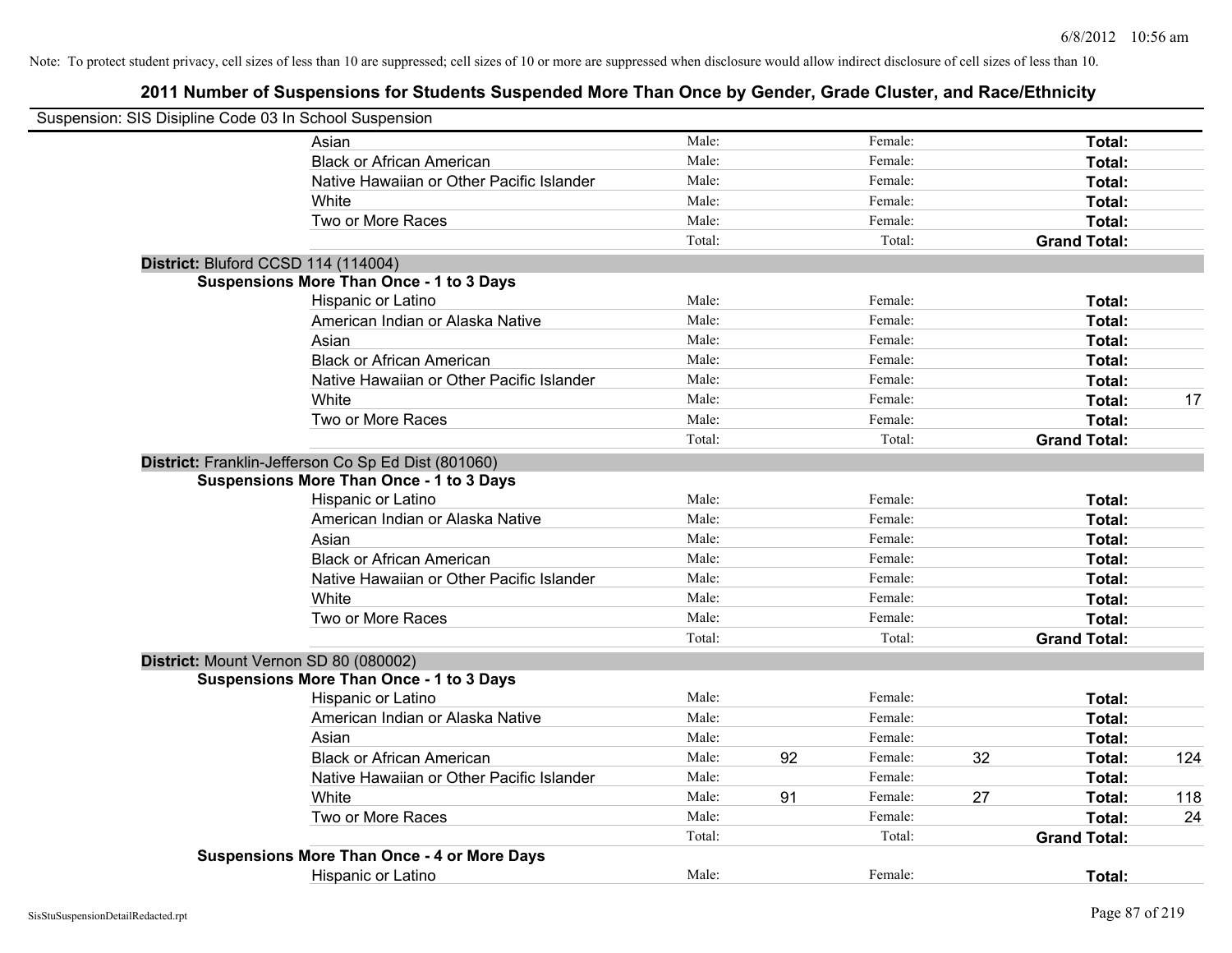| Suspension: SIS Disipline Code 03 In School Suspension |                                                     |        |    |         |    |                     |     |
|--------------------------------------------------------|-----------------------------------------------------|--------|----|---------|----|---------------------|-----|
|                                                        | Asian                                               | Male:  |    | Female: |    | Total:              |     |
|                                                        | <b>Black or African American</b>                    | Male:  |    | Female: |    | Total:              |     |
|                                                        | Native Hawaiian or Other Pacific Islander           | Male:  |    | Female: |    | Total:              |     |
|                                                        | White                                               | Male:  |    | Female: |    | Total:              |     |
|                                                        | Two or More Races                                   | Male:  |    | Female: |    | Total:              |     |
|                                                        |                                                     | Total: |    | Total:  |    | <b>Grand Total:</b> |     |
| District: Bluford CCSD 114 (114004)                    |                                                     |        |    |         |    |                     |     |
|                                                        | <b>Suspensions More Than Once - 1 to 3 Days</b>     |        |    |         |    |                     |     |
|                                                        | Hispanic or Latino                                  | Male:  |    | Female: |    | Total:              |     |
|                                                        | American Indian or Alaska Native                    | Male:  |    | Female: |    | Total:              |     |
|                                                        | Asian                                               | Male:  |    | Female: |    | Total:              |     |
|                                                        | <b>Black or African American</b>                    | Male:  |    | Female: |    | Total:              |     |
|                                                        | Native Hawaiian or Other Pacific Islander           | Male:  |    | Female: |    | Total:              |     |
|                                                        | White                                               | Male:  |    | Female: |    | Total:              | 17  |
|                                                        | Two or More Races                                   | Male:  |    | Female: |    | Total:              |     |
|                                                        |                                                     | Total: |    | Total:  |    | <b>Grand Total:</b> |     |
|                                                        | District: Franklin-Jefferson Co Sp Ed Dist (801060) |        |    |         |    |                     |     |
|                                                        | <b>Suspensions More Than Once - 1 to 3 Days</b>     |        |    |         |    |                     |     |
|                                                        | Hispanic or Latino                                  | Male:  |    | Female: |    | Total:              |     |
|                                                        | American Indian or Alaska Native                    | Male:  |    | Female: |    | Total:              |     |
|                                                        | Asian                                               | Male:  |    | Female: |    | Total:              |     |
|                                                        | <b>Black or African American</b>                    | Male:  |    | Female: |    | Total:              |     |
|                                                        | Native Hawaiian or Other Pacific Islander           | Male:  |    | Female: |    | Total:              |     |
|                                                        | White                                               | Male:  |    | Female: |    | Total:              |     |
|                                                        | Two or More Races                                   | Male:  |    | Female: |    | Total:              |     |
|                                                        |                                                     | Total: |    | Total:  |    | <b>Grand Total:</b> |     |
|                                                        | District: Mount Vernon SD 80 (080002)               |        |    |         |    |                     |     |
|                                                        | <b>Suspensions More Than Once - 1 to 3 Days</b>     |        |    |         |    |                     |     |
|                                                        | Hispanic or Latino                                  | Male:  |    | Female: |    | Total:              |     |
|                                                        | American Indian or Alaska Native                    | Male:  |    | Female: |    | Total:              |     |
|                                                        | Asian                                               | Male:  |    | Female: |    | Total:              |     |
|                                                        | <b>Black or African American</b>                    | Male:  | 92 | Female: | 32 | Total:              | 124 |
|                                                        | Native Hawaiian or Other Pacific Islander           | Male:  |    | Female: |    | Total:              |     |
|                                                        | White                                               | Male:  | 91 | Female: | 27 | Total:              | 118 |
|                                                        | Two or More Races                                   | Male:  |    | Female: |    | Total:              | 24  |
|                                                        |                                                     | Total: |    | Total:  |    | <b>Grand Total:</b> |     |
|                                                        | <b>Suspensions More Than Once - 4 or More Days</b>  |        |    |         |    |                     |     |
|                                                        | Hispanic or Latino                                  | Male:  |    | Female: |    | Total:              |     |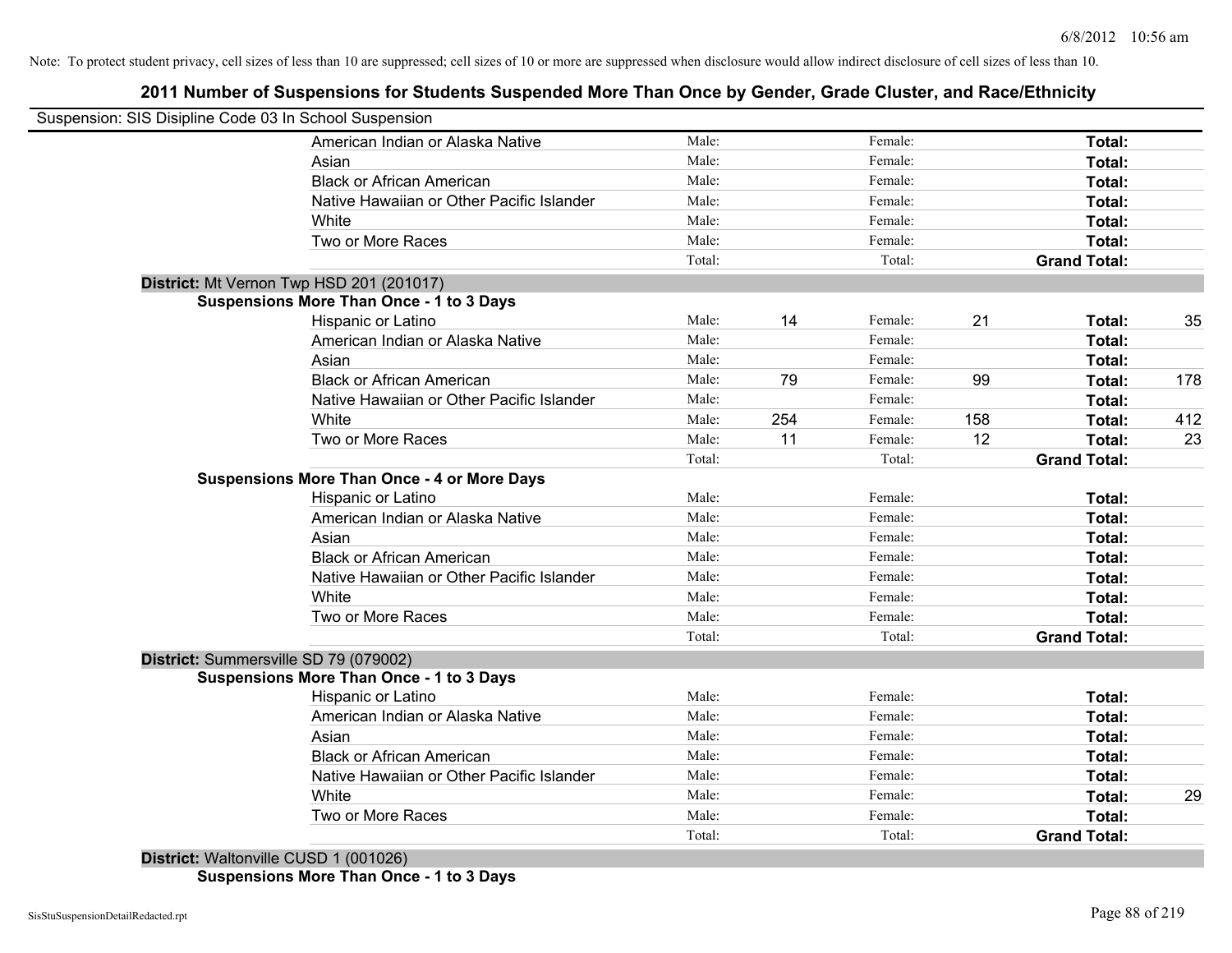## **2011 Number of Suspensions for Students Suspended More Than Once by Gender, Grade Cluster, and Race/Ethnicity**

| Suspension: SIS Disipline Code 03 In School Suspension |        |     |         |     |                     |     |
|--------------------------------------------------------|--------|-----|---------|-----|---------------------|-----|
| American Indian or Alaska Native                       | Male:  |     | Female: |     | Total:              |     |
| Asian                                                  | Male:  |     | Female: |     | Total:              |     |
| <b>Black or African American</b>                       | Male:  |     | Female: |     | Total:              |     |
| Native Hawaiian or Other Pacific Islander              | Male:  |     | Female: |     | Total:              |     |
| White                                                  | Male:  |     | Female: |     | Total:              |     |
| Two or More Races                                      | Male:  |     | Female: |     | Total:              |     |
|                                                        | Total: |     | Total:  |     | <b>Grand Total:</b> |     |
| District: Mt Vernon Twp HSD 201 (201017)               |        |     |         |     |                     |     |
| <b>Suspensions More Than Once - 1 to 3 Days</b>        |        |     |         |     |                     |     |
| Hispanic or Latino                                     | Male:  | 14  | Female: | 21  | Total:              | 35  |
| American Indian or Alaska Native                       | Male:  |     | Female: |     | Total:              |     |
| Asian                                                  | Male:  |     | Female: |     | Total:              |     |
| <b>Black or African American</b>                       | Male:  | 79  | Female: | 99  | Total:              | 178 |
| Native Hawaiian or Other Pacific Islander              | Male:  |     | Female: |     | Total:              |     |
| White                                                  | Male:  | 254 | Female: | 158 | Total:              | 412 |
| Two or More Races                                      | Male:  | 11  | Female: | 12  | Total:              | 23  |
|                                                        | Total: |     | Total:  |     | <b>Grand Total:</b> |     |
| <b>Suspensions More Than Once - 4 or More Days</b>     |        |     |         |     |                     |     |
| Hispanic or Latino                                     | Male:  |     | Female: |     | Total:              |     |
| American Indian or Alaska Native                       | Male:  |     | Female: |     | Total:              |     |
| Asian                                                  | Male:  |     | Female: |     | Total:              |     |
| <b>Black or African American</b>                       | Male:  |     | Female: |     | Total:              |     |
| Native Hawaiian or Other Pacific Islander              | Male:  |     | Female: |     | Total:              |     |
| White                                                  | Male:  |     | Female: |     | Total:              |     |
| Two or More Races                                      | Male:  |     | Female: |     | Total:              |     |
|                                                        | Total: |     | Total:  |     | <b>Grand Total:</b> |     |
| District: Summersville SD 79 (079002)                  |        |     |         |     |                     |     |
| <b>Suspensions More Than Once - 1 to 3 Days</b>        |        |     |         |     |                     |     |
| Hispanic or Latino                                     | Male:  |     | Female: |     | Total:              |     |
| American Indian or Alaska Native                       | Male:  |     | Female: |     | Total:              |     |
| Asian                                                  | Male:  |     | Female: |     | Total:              |     |
| <b>Black or African American</b>                       | Male:  |     | Female: |     | Total:              |     |
| Native Hawaiian or Other Pacific Islander              | Male:  |     | Female: |     | Total:              |     |
| White                                                  | Male:  |     | Female: |     | Total:              | 29  |
| Two or More Races                                      | Male:  |     | Female: |     | <b>Total:</b>       |     |
|                                                        | Total: |     | Total:  |     | <b>Grand Total:</b> |     |
| District: Waltonville CUSD 1 (001026)                  |        |     |         |     |                     |     |

**Suspensions More Than Once - 1 to 3 Days**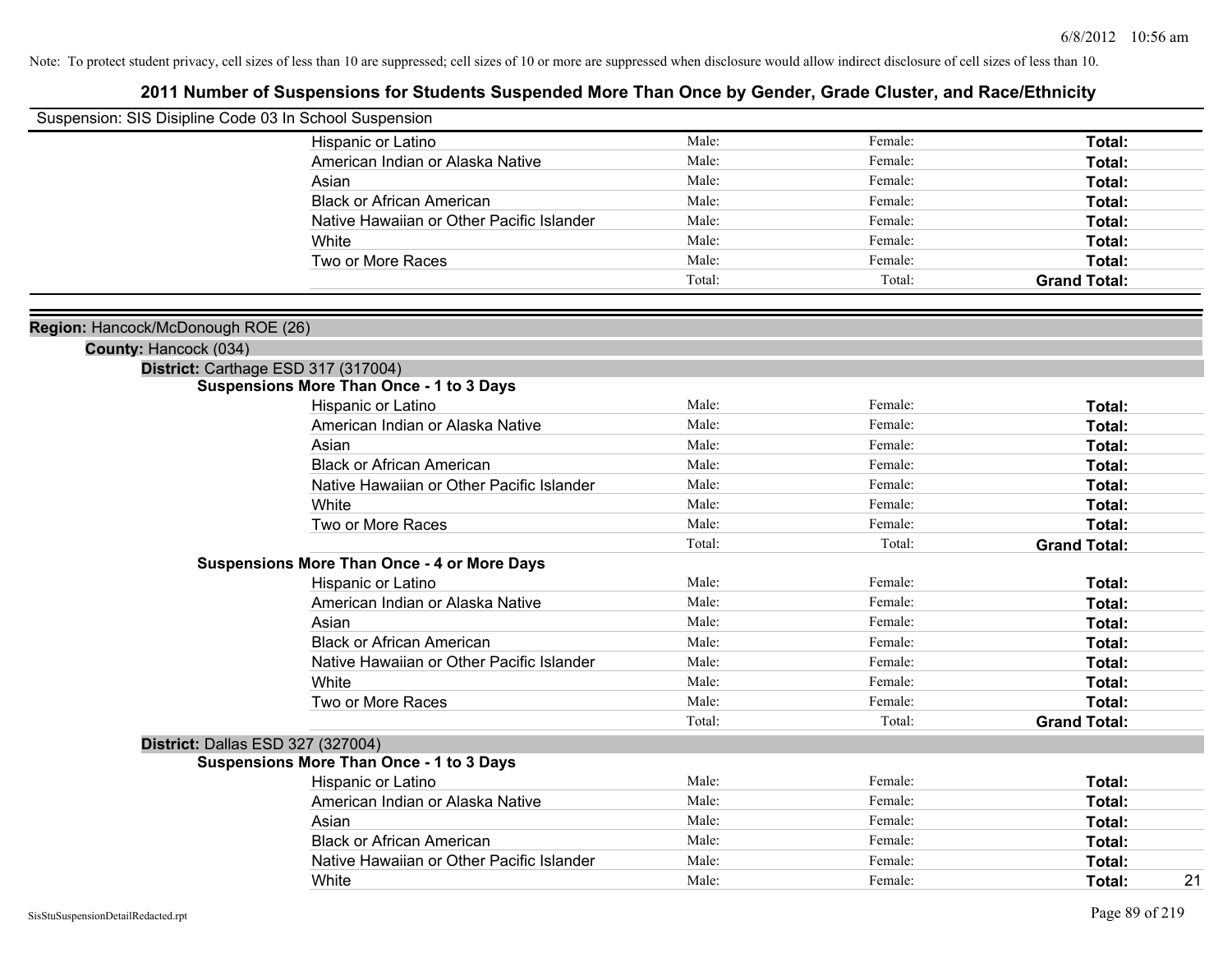| Suspension: SIS Disipline Code 03 In School Suspension |                                                    |        |         |                     |
|--------------------------------------------------------|----------------------------------------------------|--------|---------|---------------------|
|                                                        | Hispanic or Latino                                 | Male:  | Female: | Total:              |
|                                                        | American Indian or Alaska Native                   | Male:  | Female: | Total:              |
|                                                        | Asian                                              | Male:  | Female: | Total:              |
|                                                        | <b>Black or African American</b>                   | Male:  | Female: | Total:              |
|                                                        | Native Hawaiian or Other Pacific Islander          | Male:  | Female: | Total:              |
|                                                        | White                                              | Male:  | Female: | Total:              |
|                                                        | Two or More Races                                  | Male:  | Female: | Total:              |
|                                                        |                                                    | Total: | Total:  | <b>Grand Total:</b> |
| Region: Hancock/McDonough ROE (26)                     |                                                    |        |         |                     |
| County: Hancock (034)                                  |                                                    |        |         |                     |
|                                                        | District: Carthage ESD 317 (317004)                |        |         |                     |
|                                                        | <b>Suspensions More Than Once - 1 to 3 Days</b>    |        |         |                     |
|                                                        | Hispanic or Latino                                 | Male:  | Female: | Total:              |
|                                                        | American Indian or Alaska Native                   | Male:  | Female: | Total:              |
|                                                        | Asian                                              | Male:  | Female: | Total:              |
|                                                        | <b>Black or African American</b>                   | Male:  | Female: | Total:              |
|                                                        | Native Hawaiian or Other Pacific Islander          | Male:  | Female: | Total:              |
|                                                        | White                                              | Male:  | Female: | Total:              |
|                                                        | Two or More Races                                  | Male:  | Female: | Total:              |
|                                                        |                                                    | Total: | Total:  | <b>Grand Total:</b> |
|                                                        | <b>Suspensions More Than Once - 4 or More Days</b> |        |         |                     |
|                                                        | Hispanic or Latino                                 | Male:  | Female: | Total:              |
|                                                        | American Indian or Alaska Native                   | Male:  | Female: | Total:              |
|                                                        | Asian                                              | Male:  | Female: | Total:              |
|                                                        | <b>Black or African American</b>                   | Male:  | Female: | Total:              |
|                                                        | Native Hawaiian or Other Pacific Islander          | Male:  | Female: | Total:              |
|                                                        | White                                              | Male:  | Female: | Total:              |
|                                                        | Two or More Races                                  | Male:  | Female: | Total:              |
|                                                        |                                                    | Total: | Total:  | <b>Grand Total:</b> |
| District: Dallas ESD 327 (327004)                      |                                                    |        |         |                     |
|                                                        | <b>Suspensions More Than Once - 1 to 3 Days</b>    |        |         |                     |
|                                                        | Hispanic or Latino                                 | Male:  | Female: | Total:              |
|                                                        | American Indian or Alaska Native                   | Male:  | Female: | Total:              |
|                                                        | Asian                                              | Male:  | Female: | Total:              |
|                                                        | <b>Black or African American</b>                   | Male:  | Female: | Total:              |
|                                                        | Native Hawaiian or Other Pacific Islander          | Male:  | Female: | Total:              |
|                                                        | White                                              | Male:  | Female: | 21<br>Total:        |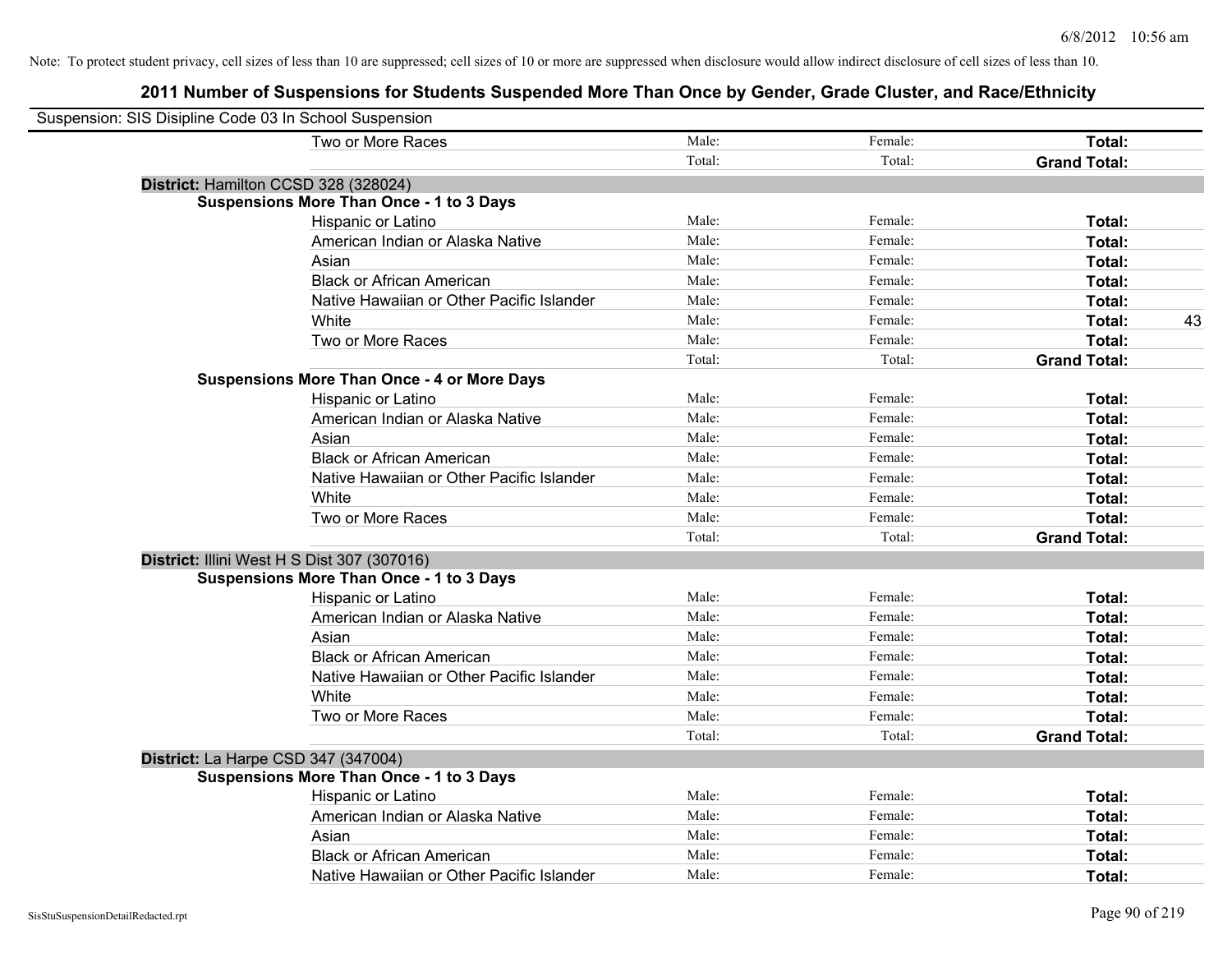| Suspension: SIS Disipline Code 03 In School Suspension |                                                    |        |         |                     |
|--------------------------------------------------------|----------------------------------------------------|--------|---------|---------------------|
|                                                        | Two or More Races                                  | Male:  | Female: | Total:              |
|                                                        |                                                    | Total: | Total:  | <b>Grand Total:</b> |
|                                                        | District: Hamilton CCSD 328 (328024)               |        |         |                     |
|                                                        | <b>Suspensions More Than Once - 1 to 3 Days</b>    |        |         |                     |
|                                                        | Hispanic or Latino                                 | Male:  | Female: | Total:              |
|                                                        | American Indian or Alaska Native                   | Male:  | Female: | Total:              |
|                                                        | Asian                                              | Male:  | Female: | Total:              |
|                                                        | <b>Black or African American</b>                   | Male:  | Female: | Total:              |
|                                                        | Native Hawaiian or Other Pacific Islander          | Male:  | Female: | Total:              |
|                                                        | White                                              | Male:  | Female: | 43<br>Total:        |
|                                                        | Two or More Races                                  | Male:  | Female: | Total:              |
|                                                        |                                                    | Total: | Total:  | <b>Grand Total:</b> |
|                                                        | <b>Suspensions More Than Once - 4 or More Days</b> |        |         |                     |
|                                                        | Hispanic or Latino                                 | Male:  | Female: | Total:              |
|                                                        | American Indian or Alaska Native                   | Male:  | Female: | Total:              |
|                                                        | Asian                                              | Male:  | Female: | Total:              |
|                                                        | <b>Black or African American</b>                   | Male:  | Female: | Total:              |
|                                                        | Native Hawaiian or Other Pacific Islander          | Male:  | Female: | Total:              |
|                                                        | White                                              | Male:  | Female: | Total:              |
|                                                        | Two or More Races                                  | Male:  | Female: | Total:              |
|                                                        |                                                    | Total: | Total:  | <b>Grand Total:</b> |
|                                                        | District: Illini West H S Dist 307 (307016)        |        |         |                     |
|                                                        | <b>Suspensions More Than Once - 1 to 3 Days</b>    |        |         |                     |
|                                                        | Hispanic or Latino                                 | Male:  | Female: | Total:              |
|                                                        | American Indian or Alaska Native                   | Male:  | Female: | Total:              |
|                                                        | Asian                                              | Male:  | Female: | Total:              |
|                                                        | <b>Black or African American</b>                   | Male:  | Female: | Total:              |
|                                                        | Native Hawaiian or Other Pacific Islander          | Male:  | Female: | Total:              |
|                                                        | White                                              | Male:  | Female: | Total:              |
|                                                        | Two or More Races                                  | Male:  | Female: | Total:              |
|                                                        |                                                    | Total: | Total:  | <b>Grand Total:</b> |
|                                                        | District: La Harpe CSD 347 (347004)                |        |         |                     |
|                                                        | <b>Suspensions More Than Once - 1 to 3 Days</b>    |        |         |                     |
|                                                        | Hispanic or Latino                                 | Male:  | Female: | Total:              |
|                                                        | American Indian or Alaska Native                   | Male:  | Female: | Total:              |
|                                                        | Asian                                              | Male:  | Female: | Total:              |
|                                                        | <b>Black or African American</b>                   | Male:  | Female: | Total:              |
|                                                        | Native Hawaiian or Other Pacific Islander          | Male:  | Female: | Total:              |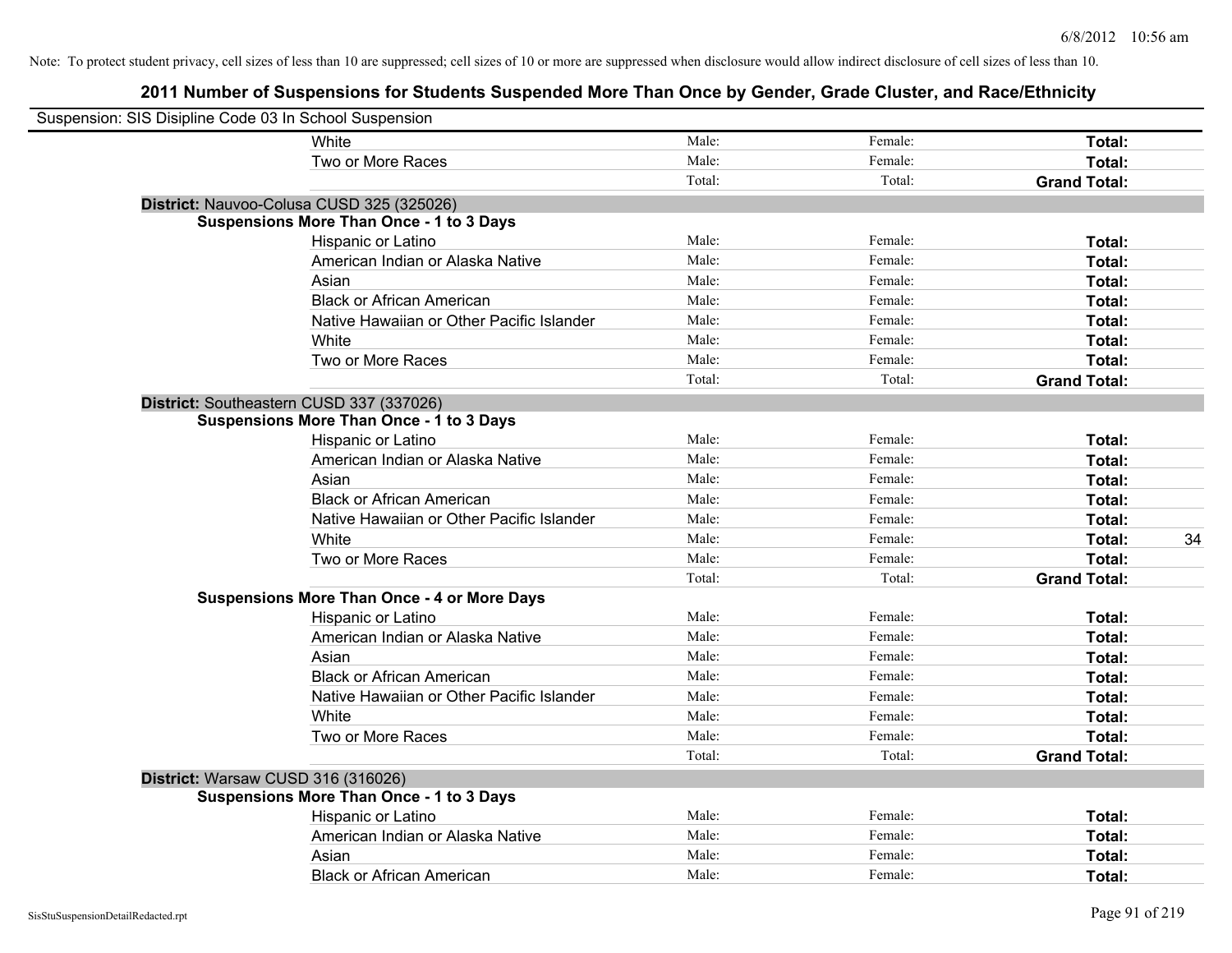| Suspension: SIS Disipline Code 03 In School Suspension |                                                    |        |         |                     |
|--------------------------------------------------------|----------------------------------------------------|--------|---------|---------------------|
|                                                        | White                                              | Male:  | Female: | Total:              |
|                                                        | Two or More Races                                  | Male:  | Female: | Total:              |
|                                                        |                                                    | Total: | Total:  | <b>Grand Total:</b> |
|                                                        | District: Nauvoo-Colusa CUSD 325 (325026)          |        |         |                     |
|                                                        | <b>Suspensions More Than Once - 1 to 3 Days</b>    |        |         |                     |
|                                                        | Hispanic or Latino                                 | Male:  | Female: | Total:              |
|                                                        | American Indian or Alaska Native                   | Male:  | Female: | Total:              |
|                                                        | Asian                                              | Male:  | Female: | Total:              |
|                                                        | <b>Black or African American</b>                   | Male:  | Female: | Total:              |
|                                                        | Native Hawaiian or Other Pacific Islander          | Male:  | Female: | Total:              |
|                                                        | White                                              | Male:  | Female: | Total:              |
|                                                        | Two or More Races                                  | Male:  | Female: | Total:              |
|                                                        |                                                    | Total: | Total:  | <b>Grand Total:</b> |
|                                                        | District: Southeastern CUSD 337 (337026)           |        |         |                     |
|                                                        | <b>Suspensions More Than Once - 1 to 3 Days</b>    |        |         |                     |
|                                                        | Hispanic or Latino                                 | Male:  | Female: | Total:              |
|                                                        | American Indian or Alaska Native                   | Male:  | Female: | Total:              |
|                                                        | Asian                                              | Male:  | Female: | Total:              |
|                                                        | <b>Black or African American</b>                   | Male:  | Female: | Total:              |
|                                                        | Native Hawaiian or Other Pacific Islander          | Male:  | Female: | Total:              |
|                                                        | White                                              | Male:  | Female: | Total:<br>34        |
|                                                        | Two or More Races                                  | Male:  | Female: | Total:              |
|                                                        |                                                    | Total: | Total:  | <b>Grand Total:</b> |
|                                                        | <b>Suspensions More Than Once - 4 or More Days</b> |        |         |                     |
|                                                        | Hispanic or Latino                                 | Male:  | Female: | Total:              |
|                                                        | American Indian or Alaska Native                   | Male:  | Female: | Total:              |
|                                                        | Asian                                              | Male:  | Female: | Total:              |
|                                                        | <b>Black or African American</b>                   | Male:  | Female: | Total:              |
|                                                        | Native Hawaiian or Other Pacific Islander          | Male:  | Female: | Total:              |
|                                                        | White                                              | Male:  | Female: | Total:              |
|                                                        | Two or More Races                                  | Male:  | Female: | Total:              |
|                                                        |                                                    | Total: | Total:  | <b>Grand Total:</b> |
| District: Warsaw CUSD 316 (316026)                     |                                                    |        |         |                     |
|                                                        | <b>Suspensions More Than Once - 1 to 3 Days</b>    |        |         |                     |
|                                                        | Hispanic or Latino                                 | Male:  | Female: | Total:              |
|                                                        | American Indian or Alaska Native                   | Male:  | Female: | Total:              |
|                                                        | Asian                                              | Male:  | Female: | Total:              |
|                                                        | <b>Black or African American</b>                   | Male:  | Female: | Total:              |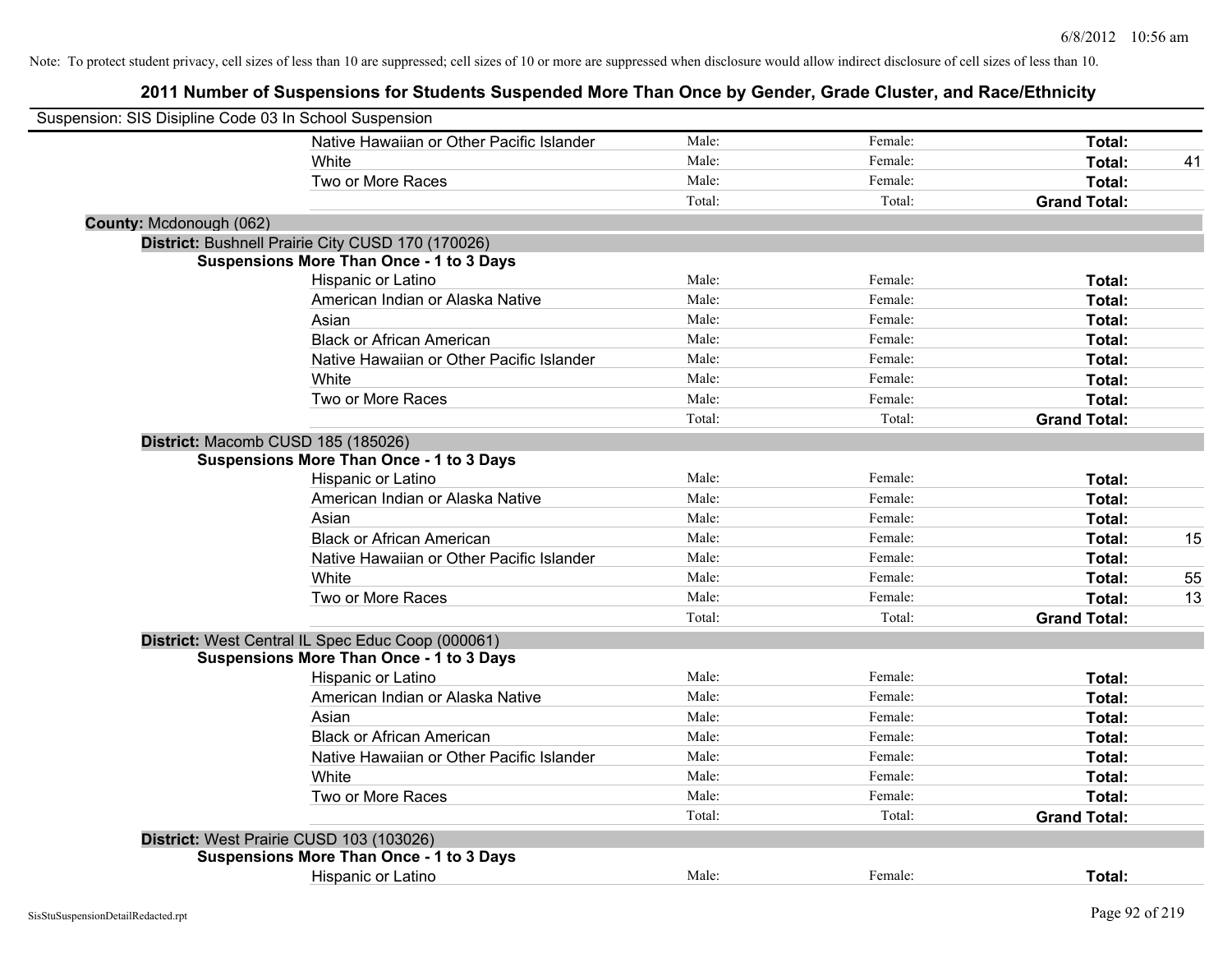| Suspension: SIS Disipline Code 03 In School Suspension |                                                   |        |         |                     |    |
|--------------------------------------------------------|---------------------------------------------------|--------|---------|---------------------|----|
|                                                        | Native Hawaiian or Other Pacific Islander         | Male:  | Female: | Total:              |    |
|                                                        | White                                             | Male:  | Female: | Total:              | 41 |
|                                                        | Two or More Races                                 | Male:  | Female: | Total:              |    |
|                                                        |                                                   | Total: | Total:  | <b>Grand Total:</b> |    |
| County: Mcdonough (062)                                |                                                   |        |         |                     |    |
|                                                        | District: Bushnell Prairie City CUSD 170 (170026) |        |         |                     |    |
|                                                        | <b>Suspensions More Than Once - 1 to 3 Days</b>   |        |         |                     |    |
|                                                        | Hispanic or Latino                                | Male:  | Female: | Total:              |    |
|                                                        | American Indian or Alaska Native                  | Male:  | Female: | Total:              |    |
|                                                        | Asian                                             | Male:  | Female: | Total:              |    |
|                                                        | <b>Black or African American</b>                  | Male:  | Female: | Total:              |    |
|                                                        | Native Hawaiian or Other Pacific Islander         | Male:  | Female: | Total:              |    |
|                                                        | White                                             | Male:  | Female: | Total:              |    |
|                                                        | Two or More Races                                 | Male:  | Female: | Total:              |    |
|                                                        |                                                   | Total: | Total:  | <b>Grand Total:</b> |    |
|                                                        | District: Macomb CUSD 185 (185026)                |        |         |                     |    |
|                                                        | <b>Suspensions More Than Once - 1 to 3 Days</b>   |        |         |                     |    |
|                                                        | Hispanic or Latino                                | Male:  | Female: | Total:              |    |
|                                                        | American Indian or Alaska Native                  | Male:  | Female: | Total:              |    |
|                                                        | Asian                                             | Male:  | Female: | Total:              |    |
|                                                        | <b>Black or African American</b>                  | Male:  | Female: | Total:              | 15 |
|                                                        | Native Hawaiian or Other Pacific Islander         | Male:  | Female: | Total:              |    |
|                                                        | White                                             | Male:  | Female: | Total:              | 55 |
|                                                        | Two or More Races                                 | Male:  | Female: | Total:              | 13 |
|                                                        |                                                   | Total: | Total:  | <b>Grand Total:</b> |    |
|                                                        | District: West Central IL Spec Educ Coop (000061) |        |         |                     |    |
|                                                        | <b>Suspensions More Than Once - 1 to 3 Days</b>   |        |         |                     |    |
|                                                        | Hispanic or Latino                                | Male:  | Female: | Total:              |    |
|                                                        | American Indian or Alaska Native                  | Male:  | Female: | Total:              |    |
|                                                        | Asian                                             | Male:  | Female: | Total:              |    |
|                                                        | <b>Black or African American</b>                  | Male:  | Female: | Total:              |    |
|                                                        | Native Hawaiian or Other Pacific Islander         | Male:  | Female: | Total:              |    |
|                                                        | White                                             | Male:  | Female: | Total:              |    |
|                                                        | Two or More Races                                 | Male:  | Female: | Total:              |    |
|                                                        |                                                   | Total: | Total:  | <b>Grand Total:</b> |    |
|                                                        | District: West Prairie CUSD 103 (103026)          |        |         |                     |    |
|                                                        | <b>Suspensions More Than Once - 1 to 3 Days</b>   |        |         |                     |    |
|                                                        | <b>Hispanic or Latino</b>                         | Male:  | Female: | Total:              |    |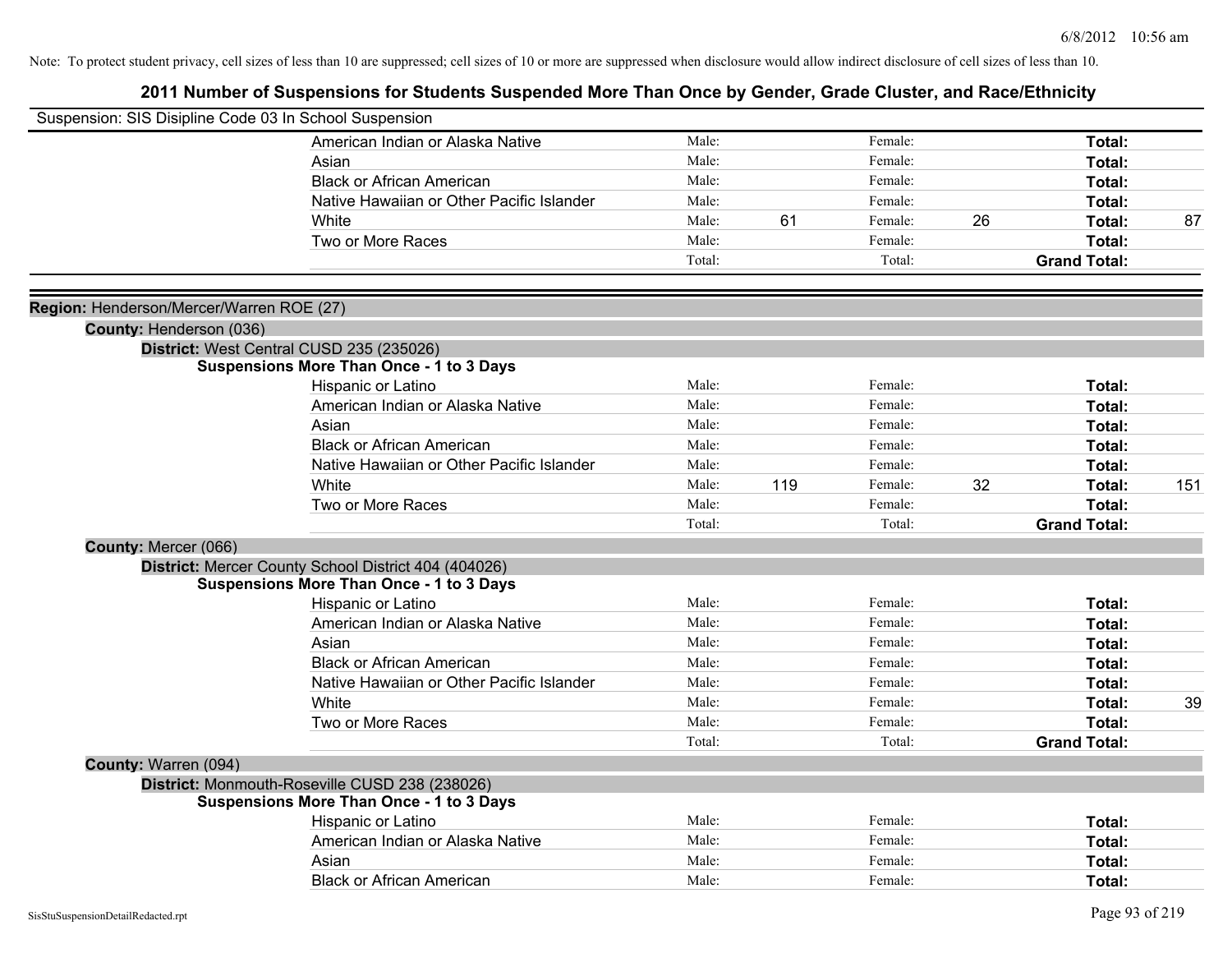| Suspension: SIS Disipline Code 03 In School Suspension |                                                      |                |     |                    |    |                     |     |
|--------------------------------------------------------|------------------------------------------------------|----------------|-----|--------------------|----|---------------------|-----|
|                                                        | American Indian or Alaska Native                     | Male:          |     | Female:            |    | Total:              |     |
|                                                        | Asian                                                | Male:          |     | Female:            |    | Total:              |     |
|                                                        | <b>Black or African American</b>                     | Male:          |     | Female:            |    | Total:              |     |
|                                                        | Native Hawaiian or Other Pacific Islander            | Male:          |     | Female:            |    | Total:              |     |
|                                                        | White                                                | Male:          | 61  | Female:            | 26 | Total:              | 87  |
|                                                        | Two or More Races                                    | Male:          |     | Female:            |    | Total:              |     |
|                                                        |                                                      | Total:         |     | Total:             |    | <b>Grand Total:</b> |     |
|                                                        |                                                      |                |     |                    |    |                     |     |
| Region: Henderson/Mercer/Warren ROE (27)               |                                                      |                |     |                    |    |                     |     |
| County: Henderson (036)                                | District: West Central CUSD 235 (235026)             |                |     |                    |    |                     |     |
|                                                        | <b>Suspensions More Than Once - 1 to 3 Days</b>      |                |     |                    |    |                     |     |
|                                                        | Hispanic or Latino                                   | Male:          |     | Female:            |    | Total:              |     |
|                                                        | American Indian or Alaska Native                     | Male:          |     | Female:            |    | Total:              |     |
|                                                        | Asian                                                | Male:          |     | Female:            |    | Total:              |     |
|                                                        | <b>Black or African American</b>                     | Male:          |     | Female:            |    | Total:              |     |
|                                                        | Native Hawaiian or Other Pacific Islander            | Male:          |     | Female:            |    | Total:              |     |
|                                                        | White                                                | Male:          | 119 | Female:            | 32 | Total:              | 151 |
|                                                        | Two or More Races                                    | Male:          |     | Female:            |    | Total:              |     |
|                                                        |                                                      | Total:         |     | Total:             |    | <b>Grand Total:</b> |     |
| County: Mercer (066)                                   |                                                      |                |     |                    |    |                     |     |
|                                                        | District: Mercer County School District 404 (404026) |                |     |                    |    |                     |     |
|                                                        | <b>Suspensions More Than Once - 1 to 3 Days</b>      |                |     |                    |    |                     |     |
|                                                        | Hispanic or Latino                                   | Male:          |     | Female:            |    | Total:              |     |
|                                                        | American Indian or Alaska Native                     | Male:          |     | Female:            |    | Total:              |     |
|                                                        | Asian                                                | Male:          |     | Female:            |    | Total:              |     |
|                                                        | <b>Black or African American</b>                     | Male:          |     | Female:            |    | Total:              |     |
|                                                        | Native Hawaiian or Other Pacific Islander            | Male:<br>Male: |     | Female:<br>Female: |    | Total:              |     |
|                                                        | White                                                | Male:          |     | Female:            |    | Total:              | 39  |
|                                                        | Two or More Races                                    | Total:         |     | Total:             |    | Total:              |     |
|                                                        |                                                      |                |     |                    |    | <b>Grand Total:</b> |     |
| County: Warren (094)                                   | District: Monmouth-Roseville CUSD 238 (238026)       |                |     |                    |    |                     |     |
|                                                        | <b>Suspensions More Than Once - 1 to 3 Days</b>      |                |     |                    |    |                     |     |
|                                                        | Hispanic or Latino                                   | Male:          |     | Female:            |    | Total:              |     |
|                                                        | American Indian or Alaska Native                     | Male:          |     | Female:            |    | Total:              |     |
|                                                        | Asian                                                | Male:          |     | Female:            |    | Total:              |     |
|                                                        | <b>Black or African American</b>                     | Male:          |     | Female:            |    | Total:              |     |
|                                                        |                                                      |                |     |                    |    |                     |     |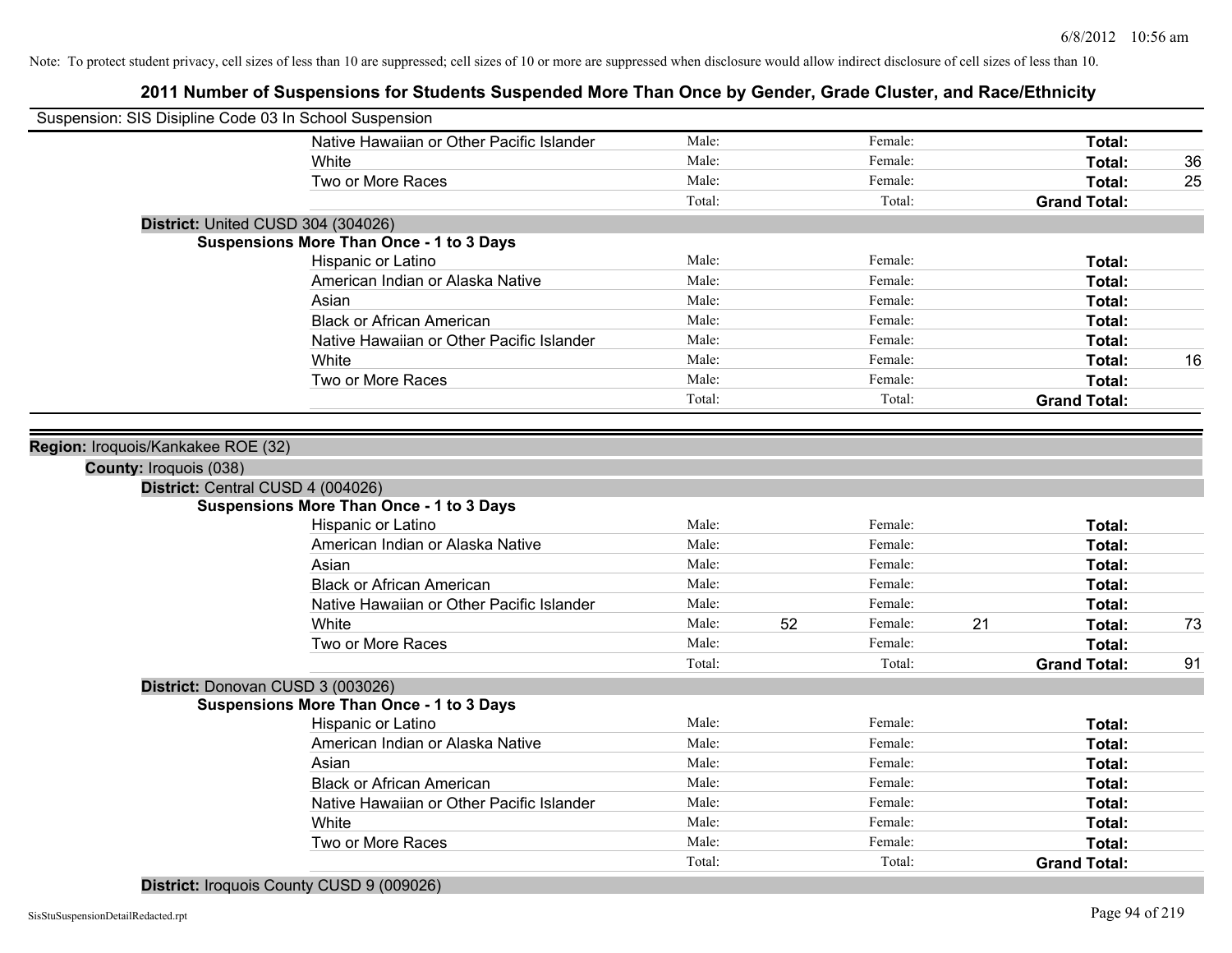| Suspension: SIS Disipline Code 03 In School Suspension |                                                 |        |    |         |    |                     |    |
|--------------------------------------------------------|-------------------------------------------------|--------|----|---------|----|---------------------|----|
|                                                        | Native Hawaiian or Other Pacific Islander       | Male:  |    | Female: |    | Total:              |    |
|                                                        | White                                           | Male:  |    | Female: |    | Total:              | 36 |
|                                                        | Two or More Races                               | Male:  |    | Female: |    | Total:              | 25 |
|                                                        |                                                 | Total: |    | Total:  |    | <b>Grand Total:</b> |    |
| District: United CUSD 304 (304026)                     |                                                 |        |    |         |    |                     |    |
|                                                        | <b>Suspensions More Than Once - 1 to 3 Days</b> |        |    |         |    |                     |    |
|                                                        | Hispanic or Latino                              | Male:  |    | Female: |    | Total:              |    |
|                                                        | American Indian or Alaska Native                | Male:  |    | Female: |    | Total:              |    |
|                                                        | Asian                                           | Male:  |    | Female: |    | Total:              |    |
|                                                        | <b>Black or African American</b>                | Male:  |    | Female: |    | Total:              |    |
|                                                        | Native Hawaiian or Other Pacific Islander       | Male:  |    | Female: |    | Total:              |    |
|                                                        | White                                           | Male:  |    | Female: |    | Total:              | 16 |
|                                                        | Two or More Races                               | Male:  |    | Female: |    | Total:              |    |
|                                                        |                                                 | Total: |    | Total:  |    | <b>Grand Total:</b> |    |
|                                                        |                                                 |        |    |         |    |                     |    |
| Region: Iroquois/Kankakee ROE (32)                     |                                                 |        |    |         |    |                     |    |
| County: Iroquois (038)                                 |                                                 |        |    |         |    |                     |    |
| District: Central CUSD 4 (004026)                      |                                                 |        |    |         |    |                     |    |
|                                                        | <b>Suspensions More Than Once - 1 to 3 Days</b> |        |    |         |    |                     |    |
|                                                        | Hispanic or Latino                              | Male:  |    | Female: |    | Total:              |    |
|                                                        | American Indian or Alaska Native                | Male:  |    | Female: |    | Total:              |    |
|                                                        | Asian                                           | Male:  |    | Female: |    | Total:              |    |
|                                                        | <b>Black or African American</b>                | Male:  |    | Female: |    | Total:              |    |
|                                                        | Native Hawaiian or Other Pacific Islander       | Male:  |    | Female: |    | Total:              |    |
|                                                        | White                                           | Male:  | 52 | Female: | 21 | Total:              | 73 |
|                                                        | Two or More Races                               | Male:  |    | Female: |    | Total:              |    |
|                                                        |                                                 | Total: |    | Total:  |    | <b>Grand Total:</b> | 91 |
| District: Donovan CUSD 3 (003026)                      |                                                 |        |    |         |    |                     |    |
|                                                        | <b>Suspensions More Than Once - 1 to 3 Days</b> |        |    |         |    |                     |    |
|                                                        | Hispanic or Latino                              | Male:  |    | Female: |    | Total:              |    |
|                                                        | American Indian or Alaska Native                | Male:  |    | Female: |    | Total:              |    |
|                                                        | Asian                                           | Male:  |    | Female: |    | Total:              |    |
|                                                        | <b>Black or African American</b>                | Male:  |    | Female: |    | Total:              |    |
|                                                        | Native Hawaiian or Other Pacific Islander       | Male:  |    | Female: |    | Total:              |    |
|                                                        | White                                           | Male:  |    | Female: |    | Total:              |    |
|                                                        | Two or More Races                               | Male:  |    | Female: |    | Total:              |    |
|                                                        |                                                 | Total: |    | Total:  |    | <b>Grand Total:</b> |    |
|                                                        |                                                 |        |    |         |    |                     |    |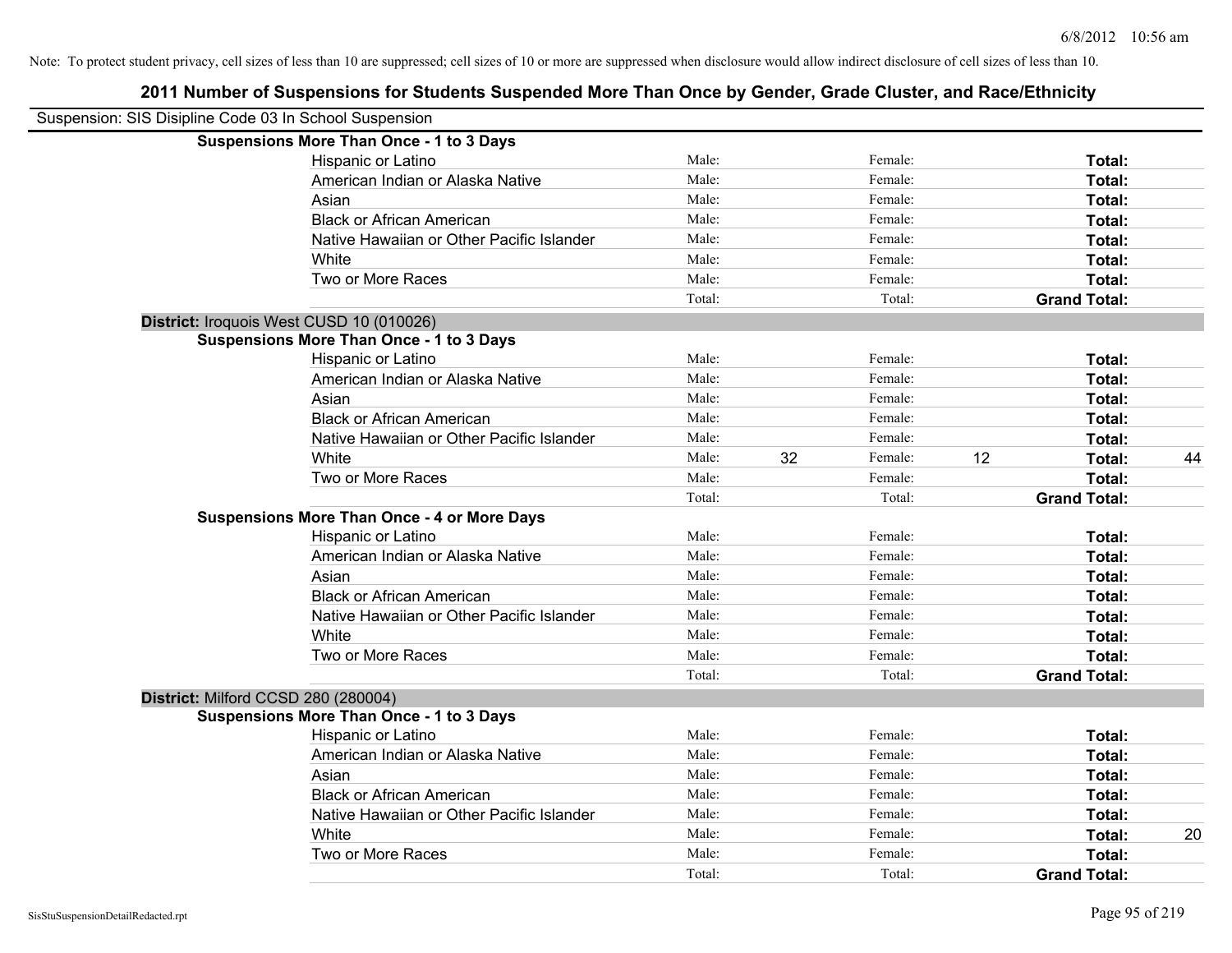| Suspension: SIS Disipline Code 03 In School Suspension |                                                    |        |    |         |    |                     |    |
|--------------------------------------------------------|----------------------------------------------------|--------|----|---------|----|---------------------|----|
|                                                        | <b>Suspensions More Than Once - 1 to 3 Days</b>    |        |    |         |    |                     |    |
|                                                        | Hispanic or Latino                                 | Male:  |    | Female: |    | Total:              |    |
|                                                        | American Indian or Alaska Native                   | Male:  |    | Female: |    | Total:              |    |
|                                                        | Asian                                              | Male:  |    | Female: |    | Total:              |    |
|                                                        | <b>Black or African American</b>                   | Male:  |    | Female: |    | Total:              |    |
|                                                        | Native Hawaiian or Other Pacific Islander          | Male:  |    | Female: |    | Total:              |    |
|                                                        | White                                              | Male:  |    | Female: |    | Total:              |    |
|                                                        | Two or More Races                                  | Male:  |    | Female: |    | Total:              |    |
|                                                        |                                                    | Total: |    | Total:  |    | <b>Grand Total:</b> |    |
|                                                        | District: Iroquois West CUSD 10 (010026)           |        |    |         |    |                     |    |
|                                                        | <b>Suspensions More Than Once - 1 to 3 Days</b>    |        |    |         |    |                     |    |
|                                                        | Hispanic or Latino                                 | Male:  |    | Female: |    | Total:              |    |
|                                                        | American Indian or Alaska Native                   | Male:  |    | Female: |    | Total:              |    |
|                                                        | Asian                                              | Male:  |    | Female: |    | Total:              |    |
|                                                        | <b>Black or African American</b>                   | Male:  |    | Female: |    | Total:              |    |
|                                                        | Native Hawaiian or Other Pacific Islander          | Male:  |    | Female: |    | Total:              |    |
|                                                        | White                                              | Male:  | 32 | Female: | 12 | Total:              | 44 |
|                                                        | Two or More Races                                  | Male:  |    | Female: |    | Total:              |    |
|                                                        |                                                    | Total: |    | Total:  |    | <b>Grand Total:</b> |    |
|                                                        | <b>Suspensions More Than Once - 4 or More Days</b> |        |    |         |    |                     |    |
|                                                        | Hispanic or Latino                                 | Male:  |    | Female: |    | Total:              |    |
|                                                        | American Indian or Alaska Native                   | Male:  |    | Female: |    | Total:              |    |
|                                                        | Asian                                              | Male:  |    | Female: |    | Total:              |    |
|                                                        | <b>Black or African American</b>                   | Male:  |    | Female: |    | Total:              |    |
|                                                        | Native Hawaiian or Other Pacific Islander          | Male:  |    | Female: |    | Total:              |    |
|                                                        | White                                              | Male:  |    | Female: |    | Total:              |    |
|                                                        | Two or More Races                                  | Male:  |    | Female: |    | Total:              |    |
|                                                        |                                                    | Total: |    | Total:  |    | <b>Grand Total:</b> |    |
| District: Milford CCSD 280 (280004)                    |                                                    |        |    |         |    |                     |    |
|                                                        | <b>Suspensions More Than Once - 1 to 3 Days</b>    |        |    |         |    |                     |    |
|                                                        | Hispanic or Latino                                 | Male:  |    | Female: |    | Total:              |    |
|                                                        | American Indian or Alaska Native                   | Male:  |    | Female: |    | Total:              |    |
|                                                        | Asian                                              | Male:  |    | Female: |    | Total:              |    |
|                                                        | <b>Black or African American</b>                   | Male:  |    | Female: |    | Total:              |    |
|                                                        | Native Hawaiian or Other Pacific Islander          | Male:  |    | Female: |    | Total:              |    |
|                                                        | White                                              | Male:  |    | Female: |    | Total:              | 20 |
|                                                        | Two or More Races                                  | Male:  |    | Female: |    | <b>Total:</b>       |    |
|                                                        |                                                    | Total: |    | Total:  |    | <b>Grand Total:</b> |    |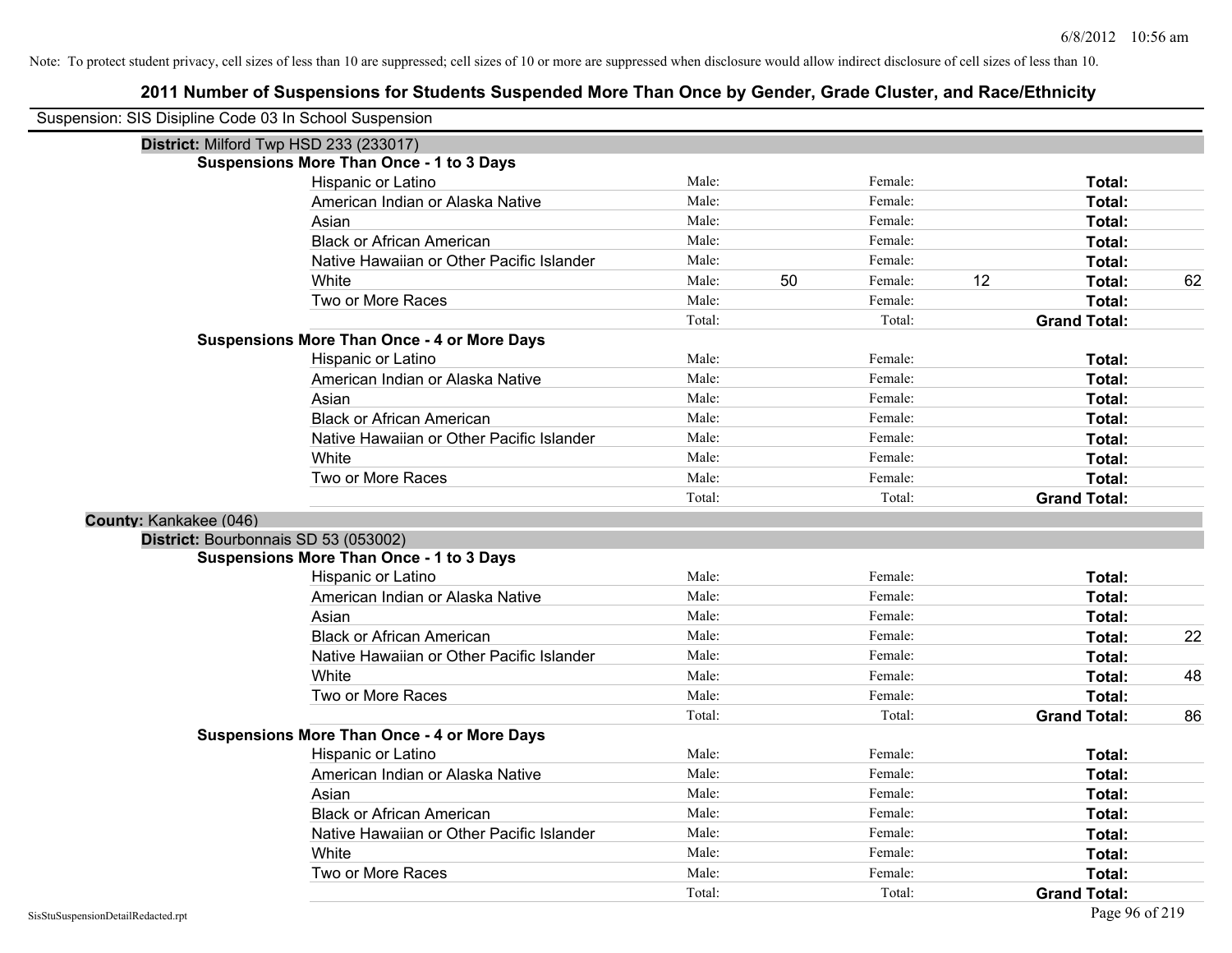| Suspension: SIS Disipline Code 03 In School Suspension |                                                    |        |    |         |    |                     |    |
|--------------------------------------------------------|----------------------------------------------------|--------|----|---------|----|---------------------|----|
|                                                        | District: Milford Twp HSD 233 (233017)             |        |    |         |    |                     |    |
|                                                        | <b>Suspensions More Than Once - 1 to 3 Days</b>    |        |    |         |    |                     |    |
|                                                        | Hispanic or Latino                                 | Male:  |    | Female: |    | Total:              |    |
|                                                        | American Indian or Alaska Native                   | Male:  |    | Female: |    | Total:              |    |
|                                                        | Asian                                              | Male:  |    | Female: |    | Total:              |    |
|                                                        | <b>Black or African American</b>                   | Male:  |    | Female: |    | Total:              |    |
|                                                        | Native Hawaiian or Other Pacific Islander          | Male:  |    | Female: |    | Total:              |    |
|                                                        | White                                              | Male:  | 50 | Female: | 12 | Total:              | 62 |
|                                                        | Two or More Races                                  | Male:  |    | Female: |    | Total:              |    |
|                                                        |                                                    | Total: |    | Total:  |    | <b>Grand Total:</b> |    |
|                                                        | <b>Suspensions More Than Once - 4 or More Days</b> |        |    |         |    |                     |    |
|                                                        | Hispanic or Latino                                 | Male:  |    | Female: |    | Total:              |    |
|                                                        | American Indian or Alaska Native                   | Male:  |    | Female: |    | Total:              |    |
|                                                        | Asian                                              | Male:  |    | Female: |    | Total:              |    |
|                                                        | <b>Black or African American</b>                   | Male:  |    | Female: |    | Total:              |    |
|                                                        | Native Hawaiian or Other Pacific Islander          | Male:  |    | Female: |    | Total:              |    |
|                                                        | White                                              | Male:  |    | Female: |    | Total:              |    |
|                                                        | Two or More Races                                  | Male:  |    | Female: |    | Total:              |    |
|                                                        |                                                    | Total: |    | Total:  |    | <b>Grand Total:</b> |    |
| County: Kankakee (046)                                 |                                                    |        |    |         |    |                     |    |
| District: Bourbonnais SD 53 (053002)                   |                                                    |        |    |         |    |                     |    |
|                                                        | <b>Suspensions More Than Once - 1 to 3 Days</b>    |        |    |         |    |                     |    |
|                                                        | Hispanic or Latino                                 | Male:  |    | Female: |    | Total:              |    |
|                                                        | American Indian or Alaska Native                   | Male:  |    | Female: |    | Total:              |    |
|                                                        | Asian                                              | Male:  |    | Female: |    | Total:              |    |
|                                                        | <b>Black or African American</b>                   | Male:  |    | Female: |    | Total:              | 22 |
|                                                        | Native Hawaiian or Other Pacific Islander          | Male:  |    | Female: |    | Total:              |    |
|                                                        | White                                              | Male:  |    | Female: |    | Total:              | 48 |
|                                                        | Two or More Races                                  | Male:  |    | Female: |    | Total:              |    |
|                                                        |                                                    | Total: |    | Total:  |    | <b>Grand Total:</b> | 86 |
|                                                        | <b>Suspensions More Than Once - 4 or More Days</b> |        |    |         |    |                     |    |
|                                                        | Hispanic or Latino                                 | Male:  |    | Female: |    | Total:              |    |
|                                                        | American Indian or Alaska Native                   | Male:  |    | Female: |    | Total:              |    |
|                                                        | Asian                                              | Male:  |    | Female: |    | Total:              |    |
|                                                        | <b>Black or African American</b>                   | Male:  |    | Female: |    | Total:              |    |
|                                                        | Native Hawaiian or Other Pacific Islander          | Male:  |    | Female: |    | Total:              |    |
|                                                        | White                                              | Male:  |    | Female: |    | Total:              |    |
|                                                        | Two or More Races                                  | Male:  |    | Female: |    | Total:              |    |
|                                                        |                                                    | Total: |    | Total:  |    | <b>Grand Total:</b> |    |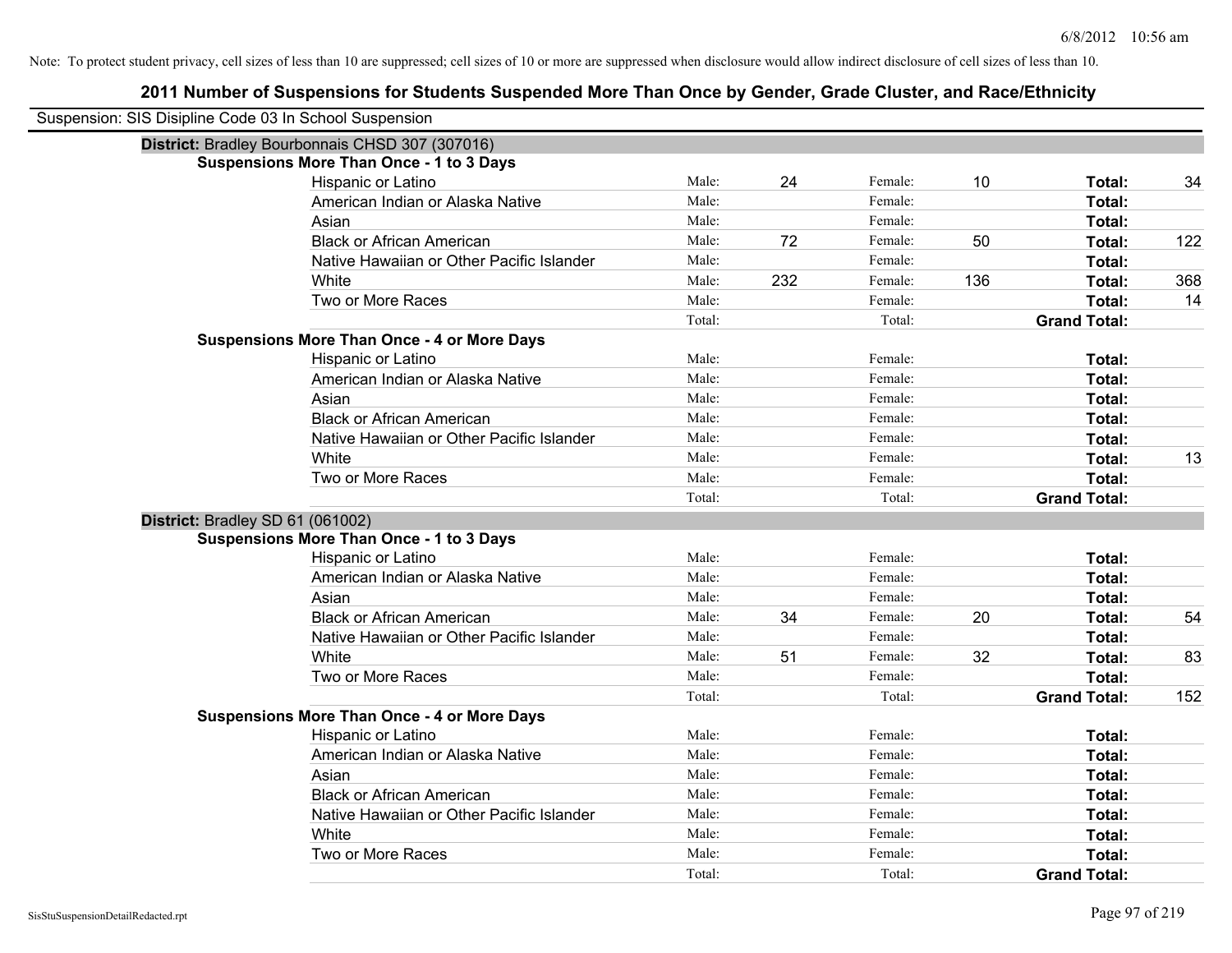| Suspension: SIS Disipline Code 03 In School Suspension |                                                    |        |     |         |     |                     |     |
|--------------------------------------------------------|----------------------------------------------------|--------|-----|---------|-----|---------------------|-----|
|                                                        | District: Bradley Bourbonnais CHSD 307 (307016)    |        |     |         |     |                     |     |
|                                                        | <b>Suspensions More Than Once - 1 to 3 Days</b>    |        |     |         |     |                     |     |
|                                                        | Hispanic or Latino                                 | Male:  | 24  | Female: | 10  | Total:              | 34  |
|                                                        | American Indian or Alaska Native                   | Male:  |     | Female: |     | Total:              |     |
|                                                        | Asian                                              | Male:  |     | Female: |     | Total:              |     |
|                                                        | <b>Black or African American</b>                   | Male:  | 72  | Female: | 50  | Total:              | 122 |
|                                                        | Native Hawaiian or Other Pacific Islander          | Male:  |     | Female: |     | Total:              |     |
|                                                        | White                                              | Male:  | 232 | Female: | 136 | Total:              | 368 |
|                                                        | Two or More Races                                  | Male:  |     | Female: |     | Total:              | 14  |
|                                                        |                                                    | Total: |     | Total:  |     | <b>Grand Total:</b> |     |
|                                                        | <b>Suspensions More Than Once - 4 or More Days</b> |        |     |         |     |                     |     |
|                                                        | Hispanic or Latino                                 | Male:  |     | Female: |     | Total:              |     |
|                                                        | American Indian or Alaska Native                   | Male:  |     | Female: |     | Total:              |     |
|                                                        | Asian                                              | Male:  |     | Female: |     | Total:              |     |
|                                                        | <b>Black or African American</b>                   | Male:  |     | Female: |     | Total:              |     |
|                                                        | Native Hawaiian or Other Pacific Islander          | Male:  |     | Female: |     | Total:              |     |
|                                                        | White                                              | Male:  |     | Female: |     | Total:              | 13  |
|                                                        | Two or More Races                                  | Male:  |     | Female: |     | Total:              |     |
|                                                        |                                                    | Total: |     | Total:  |     | <b>Grand Total:</b> |     |
| District: Bradley SD 61 (061002)                       |                                                    |        |     |         |     |                     |     |
|                                                        | <b>Suspensions More Than Once - 1 to 3 Days</b>    |        |     |         |     |                     |     |
|                                                        | Hispanic or Latino                                 | Male:  |     | Female: |     | Total:              |     |
|                                                        | American Indian or Alaska Native                   | Male:  |     | Female: |     | Total:              |     |
|                                                        | Asian                                              | Male:  |     | Female: |     | Total:              |     |
|                                                        | <b>Black or African American</b>                   | Male:  | 34  | Female: | 20  | Total:              | 54  |
|                                                        | Native Hawaiian or Other Pacific Islander          | Male:  |     | Female: |     | Total:              |     |
|                                                        | White                                              | Male:  | 51  | Female: | 32  | Total:              | 83  |
|                                                        | Two or More Races                                  | Male:  |     | Female: |     | Total:              |     |
|                                                        |                                                    | Total: |     | Total:  |     | <b>Grand Total:</b> | 152 |
|                                                        | <b>Suspensions More Than Once - 4 or More Days</b> |        |     |         |     |                     |     |
|                                                        | Hispanic or Latino                                 | Male:  |     | Female: |     | Total:              |     |
|                                                        | American Indian or Alaska Native                   | Male:  |     | Female: |     | Total:              |     |
|                                                        | Asian                                              | Male:  |     | Female: |     | Total:              |     |
|                                                        | <b>Black or African American</b>                   | Male:  |     | Female: |     | Total:              |     |
|                                                        | Native Hawaiian or Other Pacific Islander          | Male:  |     | Female: |     | Total:              |     |
|                                                        | White                                              | Male:  |     | Female: |     | Total:              |     |
|                                                        | Two or More Races                                  | Male:  |     | Female: |     | <b>Total:</b>       |     |
|                                                        |                                                    | Total: |     | Total:  |     | <b>Grand Total:</b> |     |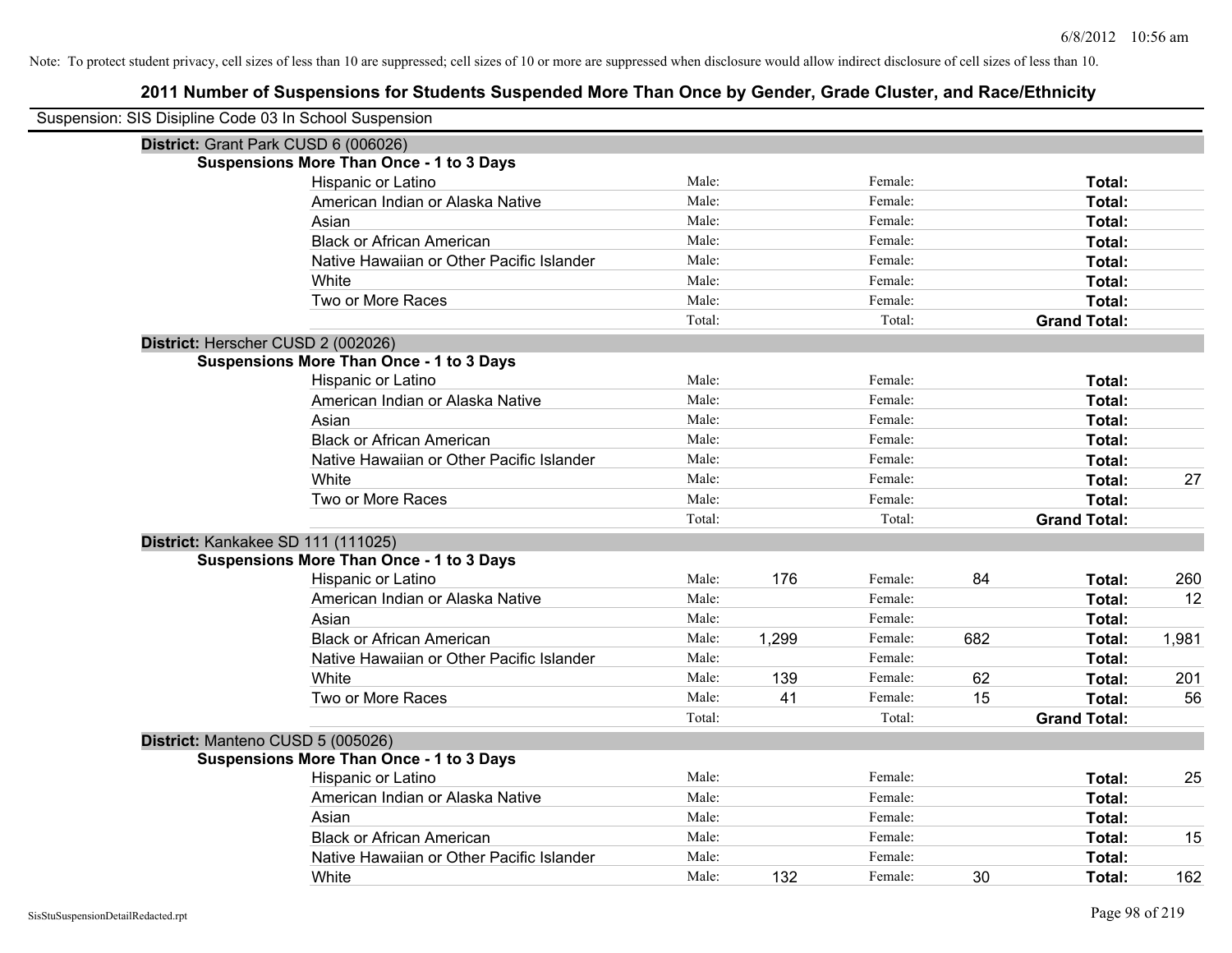| Suspension: SIS Disipline Code 03 In School Suspension |        |       |         |     |                     |       |
|--------------------------------------------------------|--------|-------|---------|-----|---------------------|-------|
| District: Grant Park CUSD 6 (006026)                   |        |       |         |     |                     |       |
| <b>Suspensions More Than Once - 1 to 3 Days</b>        |        |       |         |     |                     |       |
| Hispanic or Latino                                     | Male:  |       | Female: |     | Total:              |       |
| American Indian or Alaska Native                       | Male:  |       | Female: |     | Total:              |       |
| Asian                                                  | Male:  |       | Female: |     | Total:              |       |
| <b>Black or African American</b>                       | Male:  |       | Female: |     | Total:              |       |
| Native Hawaiian or Other Pacific Islander              | Male:  |       | Female: |     | Total:              |       |
| White                                                  | Male:  |       | Female: |     | Total:              |       |
| Two or More Races                                      | Male:  |       | Female: |     | Total:              |       |
|                                                        | Total: |       | Total:  |     | <b>Grand Total:</b> |       |
| District: Herscher CUSD 2 (002026)                     |        |       |         |     |                     |       |
| <b>Suspensions More Than Once - 1 to 3 Days</b>        |        |       |         |     |                     |       |
| Hispanic or Latino                                     | Male:  |       | Female: |     | Total:              |       |
| American Indian or Alaska Native                       | Male:  |       | Female: |     | Total:              |       |
| Asian                                                  | Male:  |       | Female: |     | Total:              |       |
| <b>Black or African American</b>                       | Male:  |       | Female: |     | Total:              |       |
| Native Hawaiian or Other Pacific Islander              | Male:  |       | Female: |     | Total:              |       |
| White                                                  | Male:  |       | Female: |     | Total:              | 27    |
| Two or More Races                                      | Male:  |       | Female: |     | Total:              |       |
|                                                        | Total: |       | Total:  |     | <b>Grand Total:</b> |       |
| District: Kankakee SD 111 (111025)                     |        |       |         |     |                     |       |
| <b>Suspensions More Than Once - 1 to 3 Days</b>        |        |       |         |     |                     |       |
| Hispanic or Latino                                     | Male:  | 176   | Female: | 84  | Total:              | 260   |
| American Indian or Alaska Native                       | Male:  |       | Female: |     | Total:              | 12    |
| Asian                                                  | Male:  |       | Female: |     | Total:              |       |
| <b>Black or African American</b>                       | Male:  | 1,299 | Female: | 682 | Total:              | 1,981 |
| Native Hawaiian or Other Pacific Islander              | Male:  |       | Female: |     | Total:              |       |
| White                                                  | Male:  | 139   | Female: | 62  | Total:              | 201   |
| Two or More Races                                      | Male:  | 41    | Female: | 15  | Total:              | 56    |
|                                                        | Total: |       | Total:  |     | <b>Grand Total:</b> |       |
| District: Manteno CUSD 5 (005026)                      |        |       |         |     |                     |       |
| <b>Suspensions More Than Once - 1 to 3 Days</b>        |        |       |         |     |                     |       |
| <b>Hispanic or Latino</b>                              | Male:  |       | Female: |     | Total:              | 25    |
| American Indian or Alaska Native                       | Male:  |       | Female: |     | Total:              |       |
| Asian                                                  | Male:  |       | Female: |     | Total:              |       |
| <b>Black or African American</b>                       | Male:  |       | Female: |     | Total:              | 15    |
| Native Hawaiian or Other Pacific Islander              | Male:  |       | Female: |     | Total:              |       |
| White                                                  | Male:  | 132   | Female: | 30  | Total:              | 162   |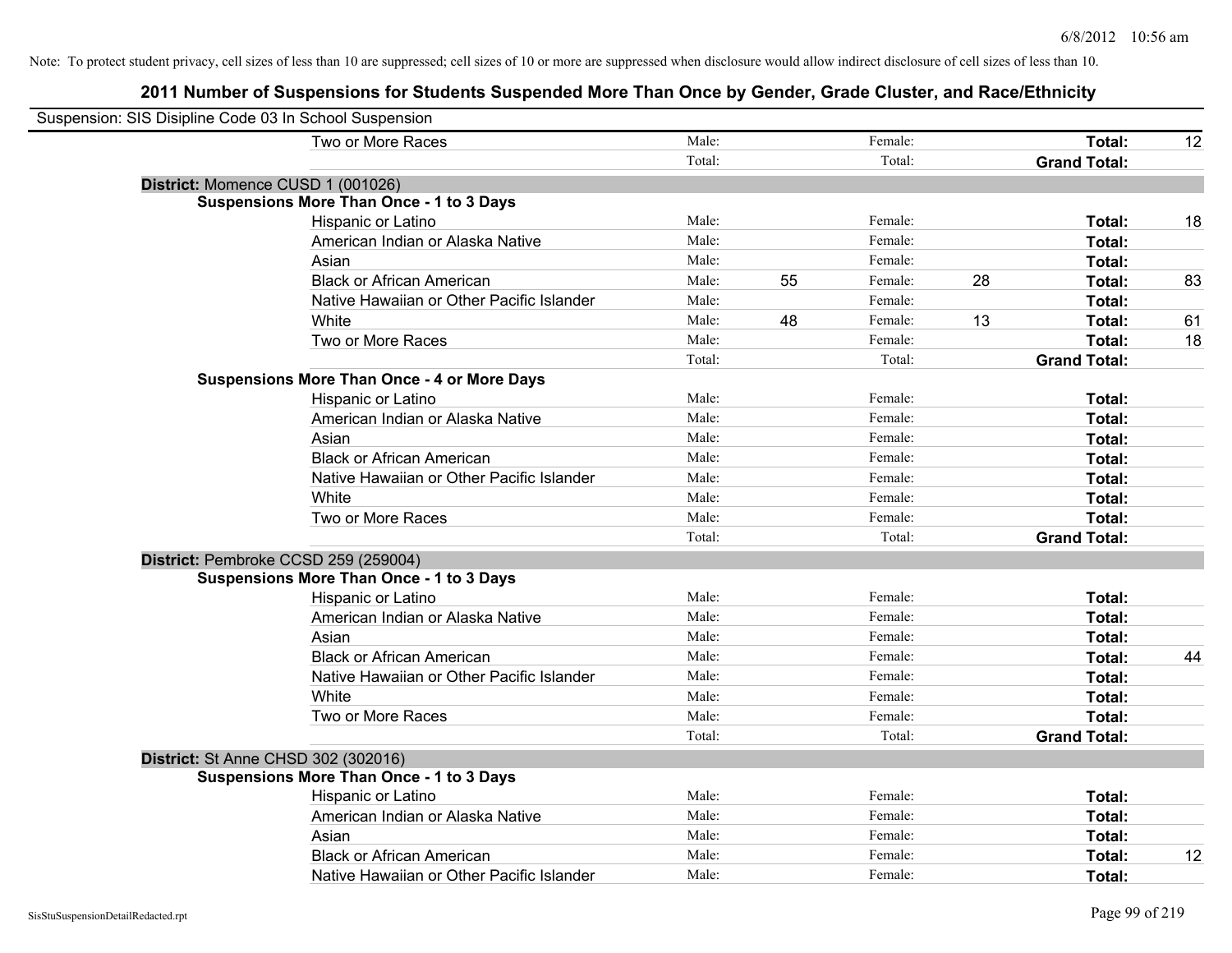| Suspension: SIS Disipline Code 03 In School Suspension |                                                    |        |    |         |    |                     |    |
|--------------------------------------------------------|----------------------------------------------------|--------|----|---------|----|---------------------|----|
|                                                        | Two or More Races                                  | Male:  |    | Female: |    | Total:              | 12 |
|                                                        |                                                    | Total: |    | Total:  |    | <b>Grand Total:</b> |    |
|                                                        | District: Momence CUSD 1 (001026)                  |        |    |         |    |                     |    |
|                                                        | <b>Suspensions More Than Once - 1 to 3 Days</b>    |        |    |         |    |                     |    |
|                                                        | Hispanic or Latino                                 | Male:  |    | Female: |    | Total:              | 18 |
|                                                        | American Indian or Alaska Native                   | Male:  |    | Female: |    | <b>Total:</b>       |    |
|                                                        | Asian                                              | Male:  |    | Female: |    | Total:              |    |
|                                                        | <b>Black or African American</b>                   | Male:  | 55 | Female: | 28 | Total:              | 83 |
|                                                        | Native Hawaiian or Other Pacific Islander          | Male:  |    | Female: |    | Total:              |    |
|                                                        | White                                              | Male:  | 48 | Female: | 13 | Total:              | 61 |
|                                                        | Two or More Races                                  | Male:  |    | Female: |    | Total:              | 18 |
|                                                        |                                                    | Total: |    | Total:  |    | <b>Grand Total:</b> |    |
|                                                        | <b>Suspensions More Than Once - 4 or More Days</b> |        |    |         |    |                     |    |
|                                                        | Hispanic or Latino                                 | Male:  |    | Female: |    | Total:              |    |
|                                                        | American Indian or Alaska Native                   | Male:  |    | Female: |    | Total:              |    |
|                                                        | Asian                                              | Male:  |    | Female: |    | Total:              |    |
|                                                        | <b>Black or African American</b>                   | Male:  |    | Female: |    | Total:              |    |
|                                                        | Native Hawaiian or Other Pacific Islander          | Male:  |    | Female: |    | Total:              |    |
|                                                        | White                                              | Male:  |    | Female: |    | Total:              |    |
|                                                        | Two or More Races                                  | Male:  |    | Female: |    | Total:              |    |
|                                                        |                                                    | Total: |    | Total:  |    | <b>Grand Total:</b> |    |
|                                                        | District: Pembroke CCSD 259 (259004)               |        |    |         |    |                     |    |
|                                                        | <b>Suspensions More Than Once - 1 to 3 Days</b>    |        |    |         |    |                     |    |
|                                                        | Hispanic or Latino                                 | Male:  |    | Female: |    | Total:              |    |
|                                                        | American Indian or Alaska Native                   | Male:  |    | Female: |    | Total:              |    |
|                                                        | Asian                                              | Male:  |    | Female: |    | Total:              |    |
|                                                        | <b>Black or African American</b>                   | Male:  |    | Female: |    | Total:              | 44 |
|                                                        | Native Hawaiian or Other Pacific Islander          | Male:  |    | Female: |    | Total:              |    |
|                                                        | White                                              | Male:  |    | Female: |    | Total:              |    |
|                                                        | Two or More Races                                  | Male:  |    | Female: |    | Total:              |    |
|                                                        |                                                    | Total: |    | Total:  |    | <b>Grand Total:</b> |    |
|                                                        | <b>District: St Anne CHSD 302 (302016)</b>         |        |    |         |    |                     |    |
|                                                        | <b>Suspensions More Than Once - 1 to 3 Days</b>    |        |    |         |    |                     |    |
|                                                        | Hispanic or Latino                                 | Male:  |    | Female: |    | Total:              |    |
|                                                        | American Indian or Alaska Native                   | Male:  |    | Female: |    | Total:              |    |
|                                                        | Asian                                              | Male:  |    | Female: |    | Total:              |    |
|                                                        | <b>Black or African American</b>                   | Male:  |    | Female: |    | <b>Total:</b>       | 12 |
|                                                        | Native Hawaiian or Other Pacific Islander          | Male:  |    | Female: |    | Total:              |    |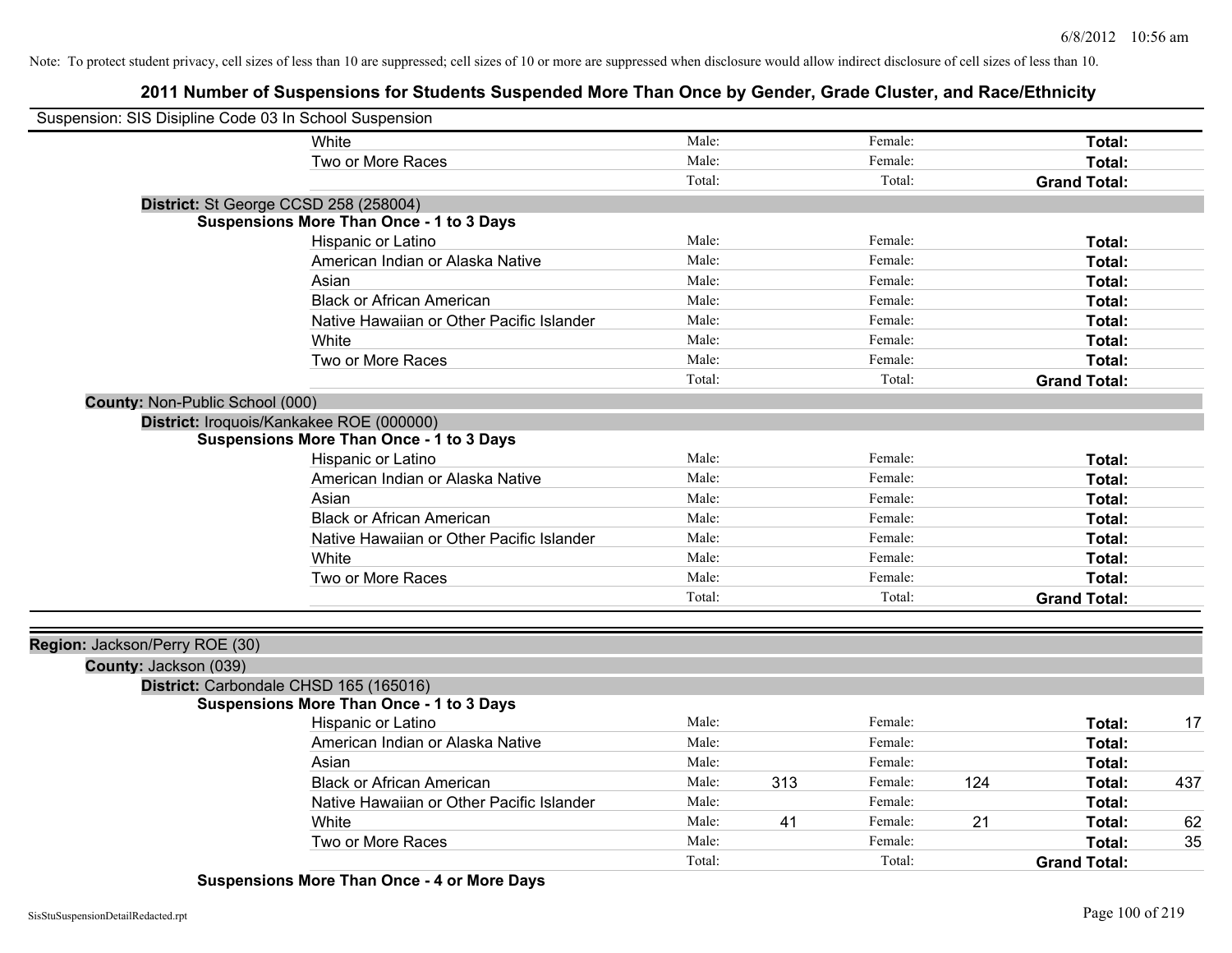## **2011 Number of Suspensions for Students Suspended More Than Once by Gender, Grade Cluster, and Race/Ethnicity**

| Suspension: SIS Disipline Code 03 In School Suspension |                                                 |        |     |         |     |                     |     |
|--------------------------------------------------------|-------------------------------------------------|--------|-----|---------|-----|---------------------|-----|
|                                                        | White                                           | Male:  |     | Female: |     | Total:              |     |
|                                                        | Two or More Races                               | Male:  |     | Female: |     | Total:              |     |
|                                                        |                                                 | Total: |     | Total:  |     | <b>Grand Total:</b> |     |
| District: St George CCSD 258 (258004)                  |                                                 |        |     |         |     |                     |     |
|                                                        | <b>Suspensions More Than Once - 1 to 3 Days</b> |        |     |         |     |                     |     |
|                                                        | Hispanic or Latino                              | Male:  |     | Female: |     | Total:              |     |
|                                                        | American Indian or Alaska Native                | Male:  |     | Female: |     | Total:              |     |
|                                                        | Asian                                           | Male:  |     | Female: |     | Total:              |     |
|                                                        | <b>Black or African American</b>                | Male:  |     | Female: |     | Total:              |     |
|                                                        | Native Hawaiian or Other Pacific Islander       | Male:  |     | Female: |     | Total:              |     |
|                                                        | White                                           | Male:  |     | Female: |     | Total:              |     |
|                                                        | Two or More Races                               | Male:  |     | Female: |     | Total:              |     |
|                                                        |                                                 | Total: |     | Total:  |     | <b>Grand Total:</b> |     |
| County: Non-Public School (000)                        |                                                 |        |     |         |     |                     |     |
|                                                        | District: Iroquois/Kankakee ROE (000000)        |        |     |         |     |                     |     |
|                                                        | <b>Suspensions More Than Once - 1 to 3 Days</b> |        |     |         |     |                     |     |
|                                                        | Hispanic or Latino                              | Male:  |     | Female: |     | Total:              |     |
|                                                        | American Indian or Alaska Native                | Male:  |     | Female: |     | Total:              |     |
|                                                        | Asian                                           | Male:  |     | Female: |     | Total:              |     |
|                                                        | <b>Black or African American</b>                | Male:  |     | Female: |     | Total:              |     |
|                                                        | Native Hawaiian or Other Pacific Islander       | Male:  |     | Female: |     | Total:              |     |
|                                                        | White                                           | Male:  |     | Female: |     | Total:              |     |
|                                                        | Two or More Races                               | Male:  |     | Female: |     | Total:              |     |
|                                                        |                                                 | Total: |     | Total:  |     | <b>Grand Total:</b> |     |
|                                                        |                                                 |        |     |         |     |                     |     |
| Region: Jackson/Perry ROE (30)                         |                                                 |        |     |         |     |                     |     |
| County: Jackson (039)                                  |                                                 |        |     |         |     |                     |     |
|                                                        | District: Carbondale CHSD 165 (165016)          |        |     |         |     |                     |     |
|                                                        | <b>Suspensions More Than Once - 1 to 3 Days</b> |        |     |         |     |                     |     |
|                                                        | Hispanic or Latino                              | Male:  |     | Female: |     | Total:              | 17  |
|                                                        | American Indian or Alaska Native                | Male:  |     | Female: |     | Total:              |     |
|                                                        | Asian                                           | Male:  |     | Female: |     | Total:              |     |
|                                                        | <b>Black or African American</b>                | Male:  | 313 | Female: | 124 | Total:              | 437 |
|                                                        | Native Hawaiian or Other Pacific Islander       | Male:  |     | Female: |     | Total:              |     |
|                                                        | White                                           | Male:  | 41  | Female: | 21  | Total:              | 62  |
|                                                        | Two or More Races                               | Male:  |     | Female: |     | <b>Total:</b>       | 35  |
|                                                        |                                                 | Total: |     | Total:  |     | <b>Grand Total:</b> |     |

### **Suspensions More Than Once - 4 or More Days**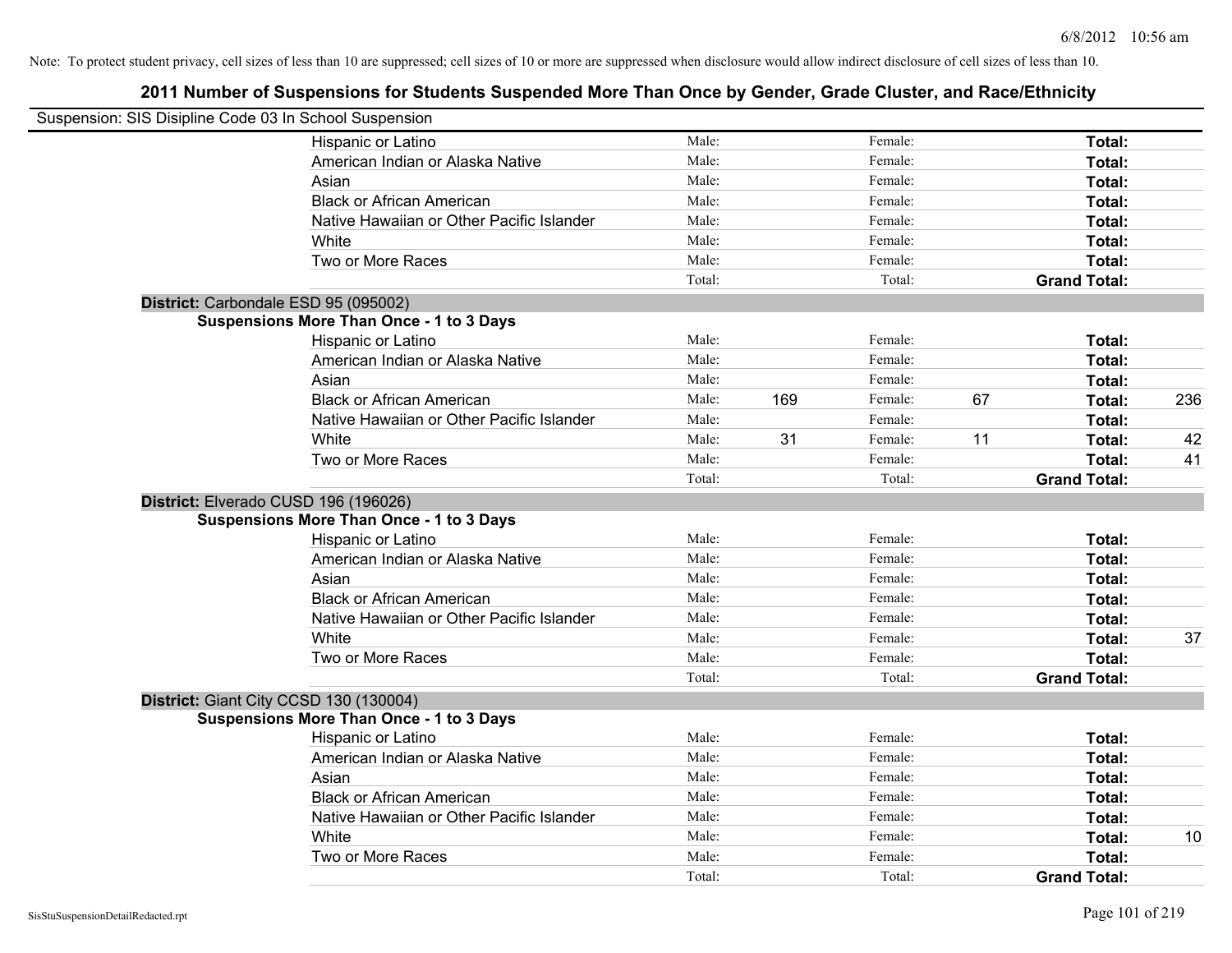| Suspension: SIS Disipline Code 03 In School Suspension |        |     |         |    |                     |     |
|--------------------------------------------------------|--------|-----|---------|----|---------------------|-----|
| Hispanic or Latino                                     | Male:  |     | Female: |    | Total:              |     |
| American Indian or Alaska Native                       | Male:  |     | Female: |    | Total:              |     |
| Asian                                                  | Male:  |     | Female: |    | Total:              |     |
| <b>Black or African American</b>                       | Male:  |     | Female: |    | Total:              |     |
| Native Hawaiian or Other Pacific Islander              | Male:  |     | Female: |    | Total:              |     |
| White                                                  | Male:  |     | Female: |    | Total:              |     |
| Two or More Races                                      | Male:  |     | Female: |    | Total:              |     |
|                                                        | Total: |     | Total:  |    | <b>Grand Total:</b> |     |
| District: Carbondale ESD 95 (095002)                   |        |     |         |    |                     |     |
| <b>Suspensions More Than Once - 1 to 3 Days</b>        |        |     |         |    |                     |     |
| Hispanic or Latino                                     | Male:  |     | Female: |    | Total:              |     |
| American Indian or Alaska Native                       | Male:  |     | Female: |    | Total:              |     |
| Asian                                                  | Male:  |     | Female: |    | Total:              |     |
| <b>Black or African American</b>                       | Male:  | 169 | Female: | 67 | Total:              | 236 |
| Native Hawaiian or Other Pacific Islander              | Male:  |     | Female: |    | Total:              |     |
| White                                                  | Male:  | 31  | Female: | 11 | Total:              | 42  |
| Two or More Races                                      | Male:  |     | Female: |    | Total:              | 41  |
|                                                        | Total: |     | Total:  |    | <b>Grand Total:</b> |     |
| District: Elverado CUSD 196 (196026)                   |        |     |         |    |                     |     |
| <b>Suspensions More Than Once - 1 to 3 Days</b>        |        |     |         |    |                     |     |
| Hispanic or Latino                                     | Male:  |     | Female: |    | Total:              |     |
| American Indian or Alaska Native                       | Male:  |     | Female: |    | Total:              |     |
| Asian                                                  | Male:  |     | Female: |    | Total:              |     |
| <b>Black or African American</b>                       | Male:  |     | Female: |    | Total:              |     |
| Native Hawaiian or Other Pacific Islander              | Male:  |     | Female: |    | Total:              |     |
| White                                                  | Male:  |     | Female: |    | Total:              | 37  |
| Two or More Races                                      | Male:  |     | Female: |    | Total:              |     |
|                                                        | Total: |     | Total:  |    | <b>Grand Total:</b> |     |
| District: Giant City CCSD 130 (130004)                 |        |     |         |    |                     |     |
| <b>Suspensions More Than Once - 1 to 3 Days</b>        |        |     |         |    |                     |     |
| Hispanic or Latino                                     | Male:  |     | Female: |    | Total:              |     |
| American Indian or Alaska Native                       | Male:  |     | Female: |    | Total:              |     |
| Asian                                                  | Male:  |     | Female: |    | Total:              |     |
| <b>Black or African American</b>                       | Male:  |     | Female: |    | Total:              |     |
| Native Hawaiian or Other Pacific Islander              | Male:  |     | Female: |    | Total:              |     |
| White                                                  | Male:  |     | Female: |    | Total:              | 10  |
| Two or More Races                                      | Male:  |     | Female: |    | Total:              |     |
|                                                        | Total: |     | Total:  |    | <b>Grand Total:</b> |     |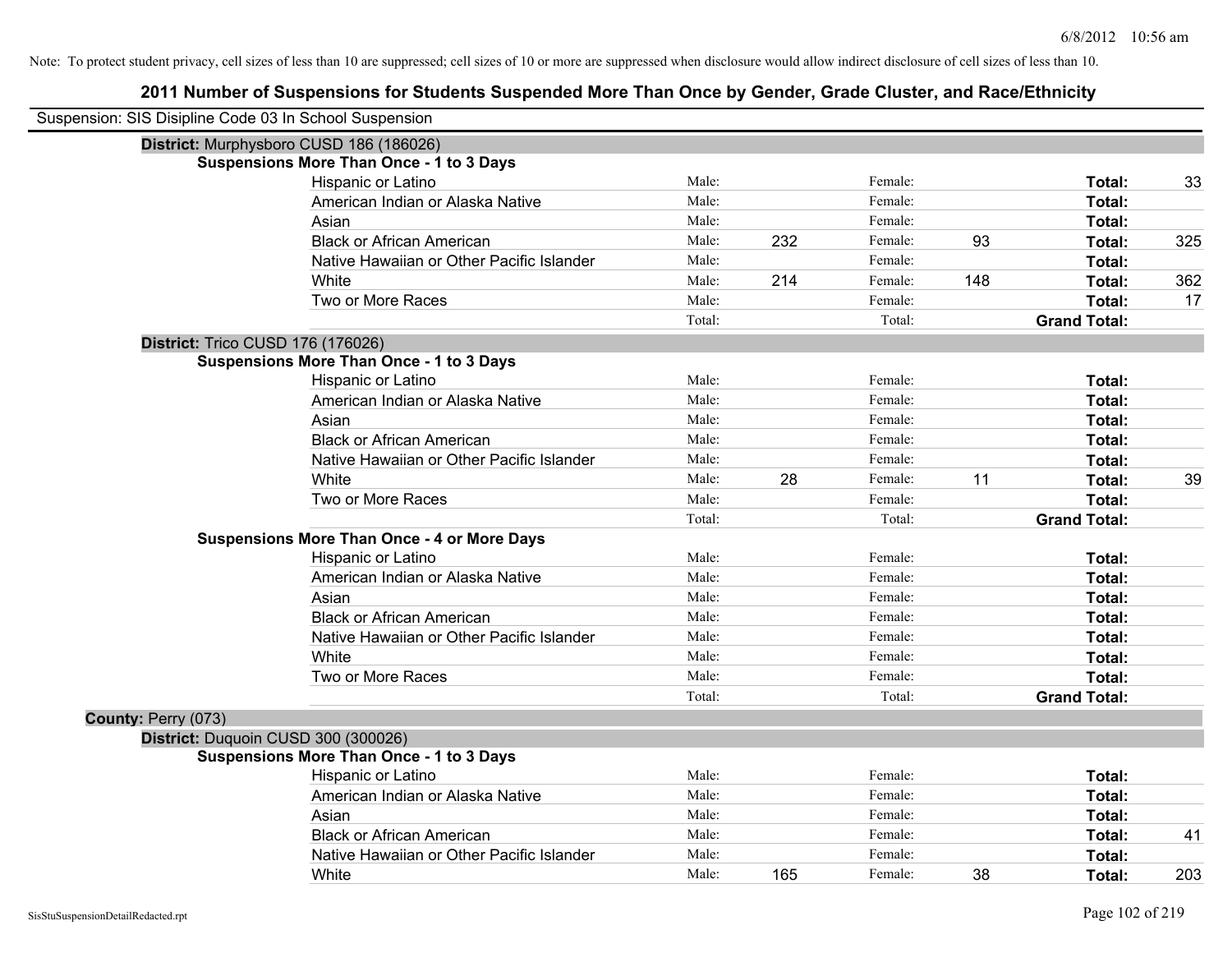| Suspension: SIS Disipline Code 03 In School Suspension |                                                    |        |     |         |     |                     |     |
|--------------------------------------------------------|----------------------------------------------------|--------|-----|---------|-----|---------------------|-----|
|                                                        | District: Murphysboro CUSD 186 (186026)            |        |     |         |     |                     |     |
|                                                        | <b>Suspensions More Than Once - 1 to 3 Days</b>    |        |     |         |     |                     |     |
|                                                        | Hispanic or Latino                                 | Male:  |     | Female: |     | Total:              | 33  |
|                                                        | American Indian or Alaska Native                   | Male:  |     | Female: |     | Total:              |     |
|                                                        | Asian                                              | Male:  |     | Female: |     | Total:              |     |
|                                                        | <b>Black or African American</b>                   | Male:  | 232 | Female: | 93  | Total:              | 325 |
|                                                        | Native Hawaiian or Other Pacific Islander          | Male:  |     | Female: |     | Total:              |     |
|                                                        | White                                              | Male:  | 214 | Female: | 148 | Total:              | 362 |
|                                                        | Two or More Races                                  | Male:  |     | Female: |     | Total:              | 17  |
|                                                        |                                                    | Total: |     | Total:  |     | <b>Grand Total:</b> |     |
|                                                        | District: Trico CUSD 176 (176026)                  |        |     |         |     |                     |     |
|                                                        | <b>Suspensions More Than Once - 1 to 3 Days</b>    |        |     |         |     |                     |     |
|                                                        | Hispanic or Latino                                 | Male:  |     | Female: |     | Total:              |     |
|                                                        | American Indian or Alaska Native                   | Male:  |     | Female: |     | Total:              |     |
|                                                        | Asian                                              | Male:  |     | Female: |     | Total:              |     |
|                                                        | <b>Black or African American</b>                   | Male:  |     | Female: |     | Total:              |     |
|                                                        | Native Hawaiian or Other Pacific Islander          | Male:  |     | Female: |     | Total:              |     |
|                                                        | White                                              | Male:  | 28  | Female: | 11  | Total:              | 39  |
|                                                        | Two or More Races                                  | Male:  |     | Female: |     | Total:              |     |
|                                                        |                                                    | Total: |     | Total:  |     | <b>Grand Total:</b> |     |
|                                                        | <b>Suspensions More Than Once - 4 or More Days</b> |        |     |         |     |                     |     |
|                                                        | Hispanic or Latino                                 | Male:  |     | Female: |     | Total:              |     |
|                                                        | American Indian or Alaska Native                   | Male:  |     | Female: |     | Total:              |     |
|                                                        | Asian                                              | Male:  |     | Female: |     | Total:              |     |
|                                                        | <b>Black or African American</b>                   | Male:  |     | Female: |     | Total:              |     |
|                                                        | Native Hawaiian or Other Pacific Islander          | Male:  |     | Female: |     | Total:              |     |
|                                                        | White                                              | Male:  |     | Female: |     | Total:              |     |
|                                                        | Two or More Races                                  | Male:  |     | Female: |     | Total:              |     |
|                                                        |                                                    | Total: |     | Total:  |     | <b>Grand Total:</b> |     |
| County: Perry (073)                                    |                                                    |        |     |         |     |                     |     |
|                                                        | District: Duquoin CUSD 300 (300026)                |        |     |         |     |                     |     |
|                                                        | <b>Suspensions More Than Once - 1 to 3 Days</b>    |        |     |         |     |                     |     |
|                                                        | Hispanic or Latino                                 | Male:  |     | Female: |     | Total:              |     |
|                                                        | American Indian or Alaska Native                   | Male:  |     | Female: |     | Total:              |     |
|                                                        | Asian                                              | Male:  |     | Female: |     | Total:              |     |
|                                                        | <b>Black or African American</b>                   | Male:  |     | Female: |     | Total:              | 41  |
|                                                        | Native Hawaiian or Other Pacific Islander          | Male:  |     | Female: |     | Total:              |     |
|                                                        | White                                              | Male:  | 165 | Female: | 38  | Total:              | 203 |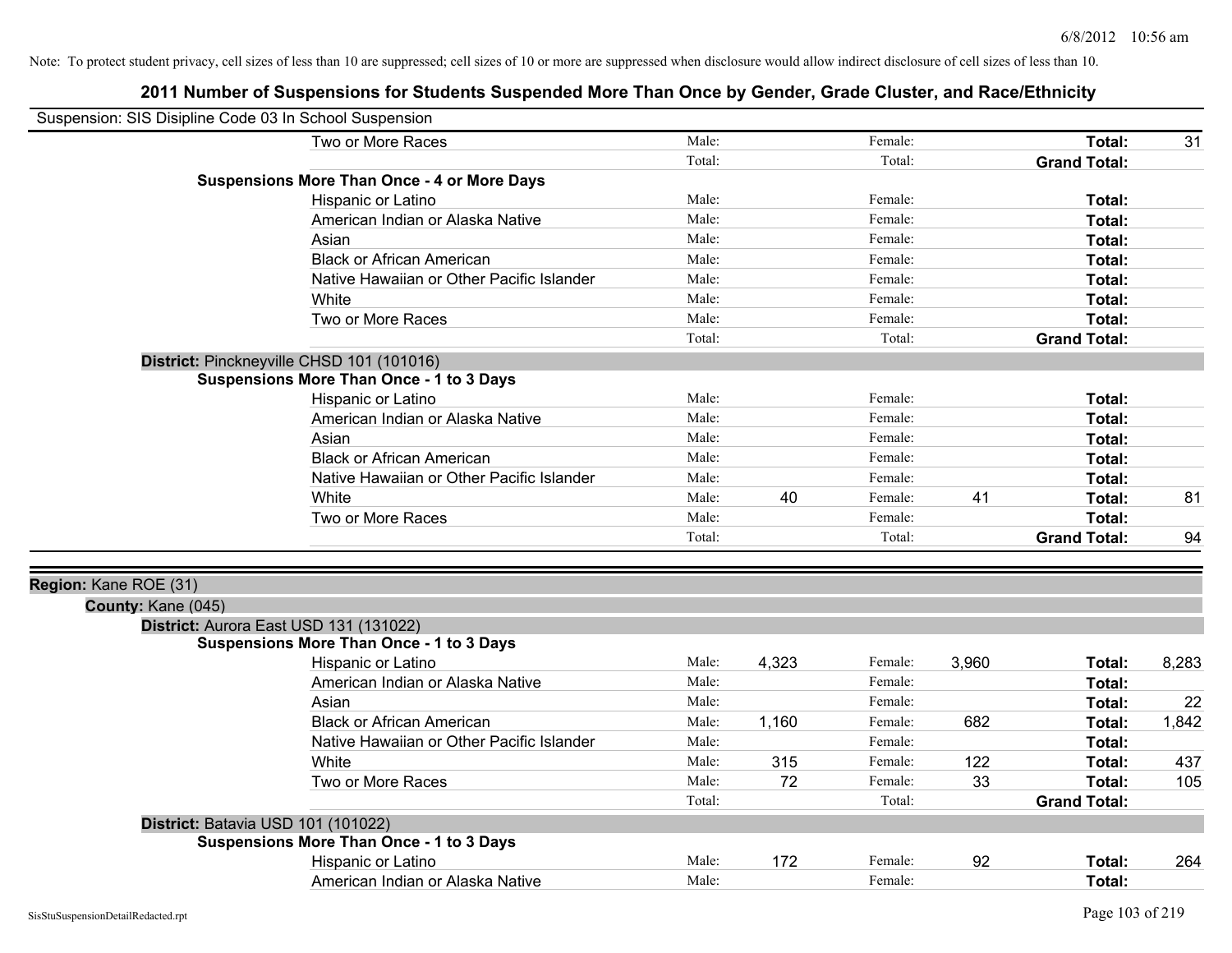| Suspension: SIS Disipline Code 03 In School Suspension |                                                    |        |       |         |       |                     |       |
|--------------------------------------------------------|----------------------------------------------------|--------|-------|---------|-------|---------------------|-------|
|                                                        | Two or More Races                                  | Male:  |       | Female: |       | Total:              | 31    |
|                                                        |                                                    | Total: |       | Total:  |       | <b>Grand Total:</b> |       |
|                                                        | <b>Suspensions More Than Once - 4 or More Days</b> |        |       |         |       |                     |       |
|                                                        | Hispanic or Latino                                 | Male:  |       | Female: |       | Total:              |       |
|                                                        | American Indian or Alaska Native                   | Male:  |       | Female: |       | Total:              |       |
|                                                        | Asian                                              | Male:  |       | Female: |       | Total:              |       |
|                                                        | <b>Black or African American</b>                   | Male:  |       | Female: |       | Total:              |       |
|                                                        | Native Hawaiian or Other Pacific Islander          | Male:  |       | Female: |       | Total:              |       |
|                                                        | White                                              | Male:  |       | Female: |       | Total:              |       |
|                                                        | Two or More Races                                  | Male:  |       | Female: |       | Total:              |       |
|                                                        |                                                    | Total: |       | Total:  |       | <b>Grand Total:</b> |       |
|                                                        | District: Pinckneyville CHSD 101 (101016)          |        |       |         |       |                     |       |
|                                                        | <b>Suspensions More Than Once - 1 to 3 Days</b>    |        |       |         |       |                     |       |
|                                                        | Hispanic or Latino                                 | Male:  |       | Female: |       | Total:              |       |
|                                                        | American Indian or Alaska Native                   | Male:  |       | Female: |       | Total:              |       |
|                                                        | Asian                                              | Male:  |       | Female: |       | Total:              |       |
|                                                        | <b>Black or African American</b>                   | Male:  |       | Female: |       | Total:              |       |
|                                                        | Native Hawaiian or Other Pacific Islander          | Male:  |       | Female: |       | Total:              |       |
|                                                        | White                                              | Male:  | 40    | Female: | 41    | Total:              | 81    |
|                                                        | Two or More Races                                  | Male:  |       | Female: |       | Total:              |       |
|                                                        |                                                    | Total: |       | Total:  |       | <b>Grand Total:</b> | 94    |
| Region: Kane ROE (31)                                  |                                                    |        |       |         |       |                     |       |
| County: Kane (045)                                     |                                                    |        |       |         |       |                     |       |
|                                                        | District: Aurora East USD 131 (131022)             |        |       |         |       |                     |       |
|                                                        | <b>Suspensions More Than Once - 1 to 3 Days</b>    |        |       |         |       |                     |       |
|                                                        | Hispanic or Latino                                 | Male:  | 4,323 | Female: | 3,960 | Total:              | 8,283 |
|                                                        | American Indian or Alaska Native                   | Male:  |       | Female: |       | Total:              |       |
|                                                        | Asian                                              | Male:  |       | Female: |       | Total:              | 22    |
|                                                        | <b>Black or African American</b>                   | Male:  | 1,160 | Female: | 682   | Total:              | 1,842 |
|                                                        | Native Hawaiian or Other Pacific Islander          | Male:  |       | Female: |       | Total:              |       |
|                                                        | White                                              | Male:  | 315   | Female: | 122   | Total:              | 437   |
|                                                        | Two or More Races                                  | Male:  | 72    | Female: | 33    | Total:              | 105   |
|                                                        |                                                    | Total: |       | Total:  |       | <b>Grand Total:</b> |       |
| District: Batavia USD 101 (101022)                     |                                                    |        |       |         |       |                     |       |
|                                                        | <b>Suspensions More Than Once - 1 to 3 Days</b>    |        |       |         |       |                     |       |
|                                                        | Hispanic or Latino                                 | Male:  | 172   | Female: | 92    | Total:              | 264   |
|                                                        | American Indian or Alaska Native                   | Male:  |       | Female: |       | Total:              |       |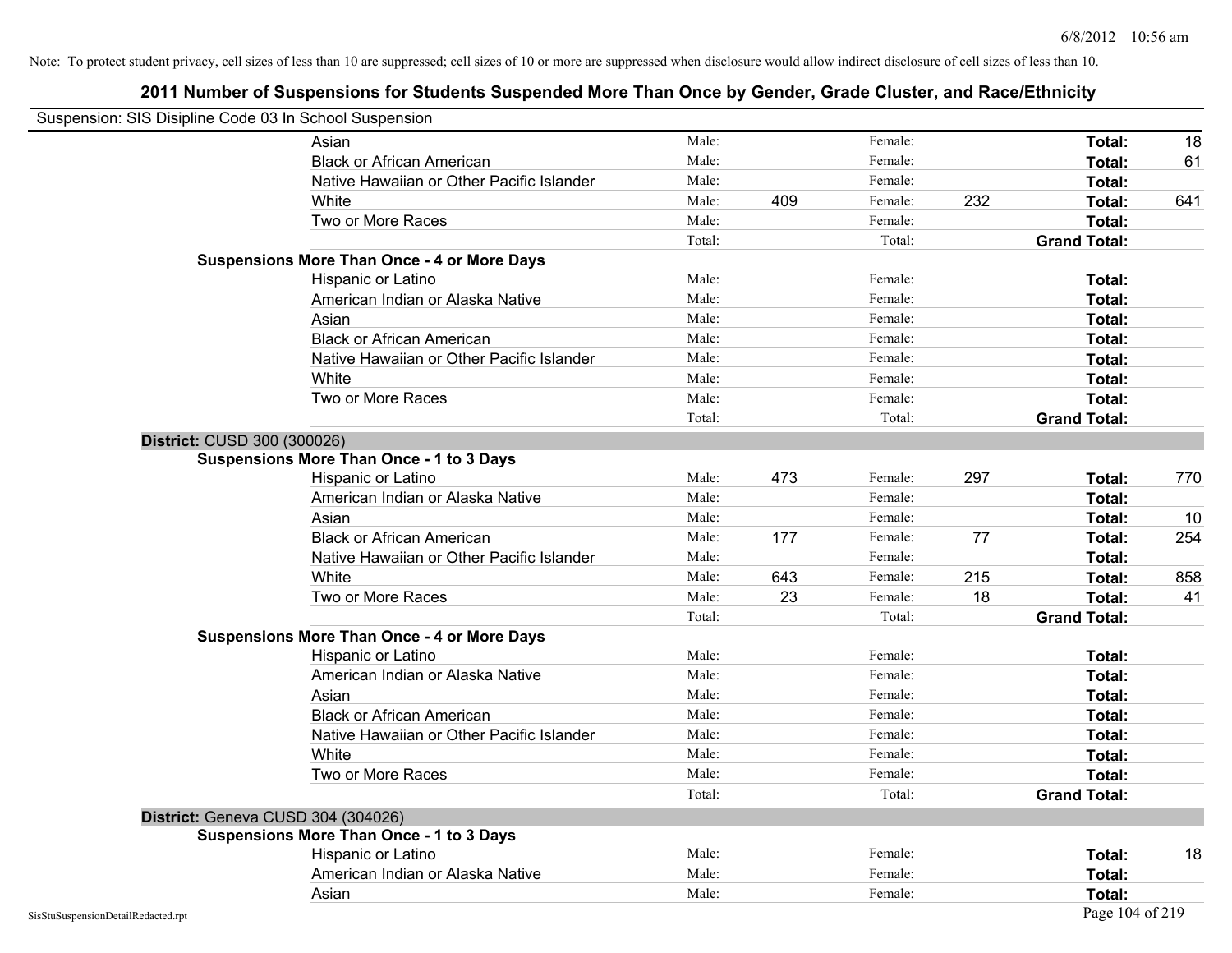| Suspension: SIS Disipline Code 03 In School Suspension |                                                    |        |     |         |     |                     |     |
|--------------------------------------------------------|----------------------------------------------------|--------|-----|---------|-----|---------------------|-----|
|                                                        | Asian                                              | Male:  |     | Female: |     | Total:              | 18  |
|                                                        | <b>Black or African American</b>                   | Male:  |     | Female: |     | Total:              | 61  |
|                                                        | Native Hawaiian or Other Pacific Islander          | Male:  |     | Female: |     | Total:              |     |
|                                                        | White                                              | Male:  | 409 | Female: | 232 | Total:              | 641 |
|                                                        | Two or More Races                                  | Male:  |     | Female: |     | Total:              |     |
|                                                        |                                                    | Total: |     | Total:  |     | <b>Grand Total:</b> |     |
|                                                        | <b>Suspensions More Than Once - 4 or More Days</b> |        |     |         |     |                     |     |
|                                                        | Hispanic or Latino                                 | Male:  |     | Female: |     | Total:              |     |
|                                                        | American Indian or Alaska Native                   | Male:  |     | Female: |     | Total:              |     |
|                                                        | Asian                                              | Male:  |     | Female: |     | Total:              |     |
|                                                        | <b>Black or African American</b>                   | Male:  |     | Female: |     | Total:              |     |
|                                                        | Native Hawaiian or Other Pacific Islander          | Male:  |     | Female: |     | Total:              |     |
|                                                        | White                                              | Male:  |     | Female: |     | Total:              |     |
|                                                        | Two or More Races                                  | Male:  |     | Female: |     | Total:              |     |
|                                                        |                                                    | Total: |     | Total:  |     | <b>Grand Total:</b> |     |
| District: CUSD 300 (300026)                            |                                                    |        |     |         |     |                     |     |
|                                                        | Suspensions More Than Once - 1 to 3 Days           |        |     |         |     |                     |     |
|                                                        | Hispanic or Latino                                 | Male:  | 473 | Female: | 297 | Total:              | 770 |
|                                                        | American Indian or Alaska Native                   | Male:  |     | Female: |     | Total:              |     |
|                                                        | Asian                                              | Male:  |     | Female: |     | Total:              | 10  |
|                                                        | <b>Black or African American</b>                   | Male:  | 177 | Female: | 77  | Total:              | 254 |
|                                                        | Native Hawaiian or Other Pacific Islander          | Male:  |     | Female: |     | Total:              |     |
|                                                        | White                                              | Male:  | 643 | Female: | 215 | Total:              | 858 |
|                                                        | Two or More Races                                  | Male:  | 23  | Female: | 18  | Total:              | 41  |
|                                                        |                                                    | Total: |     | Total:  |     | <b>Grand Total:</b> |     |
|                                                        | <b>Suspensions More Than Once - 4 or More Days</b> |        |     |         |     |                     |     |
|                                                        | Hispanic or Latino                                 | Male:  |     | Female: |     | Total:              |     |
|                                                        | American Indian or Alaska Native                   | Male:  |     | Female: |     | Total:              |     |
|                                                        | Asian                                              | Male:  |     | Female: |     | Total:              |     |
|                                                        | <b>Black or African American</b>                   | Male:  |     | Female: |     | Total:              |     |
|                                                        | Native Hawaiian or Other Pacific Islander          | Male:  |     | Female: |     | Total:              |     |
|                                                        | White                                              | Male:  |     | Female: |     | Total:              |     |
|                                                        | Two or More Races                                  | Male:  |     | Female: |     | Total:              |     |
|                                                        |                                                    | Total: |     | Total:  |     | <b>Grand Total:</b> |     |
|                                                        | District: Geneva CUSD 304 (304026)                 |        |     |         |     |                     |     |
|                                                        | <b>Suspensions More Than Once - 1 to 3 Days</b>    |        |     |         |     |                     |     |
|                                                        | Hispanic or Latino                                 | Male:  |     | Female: |     | Total:              | 18  |
|                                                        | American Indian or Alaska Native                   | Male:  |     | Female: |     | Total:              |     |
|                                                        | Asian                                              | Male:  |     | Female: |     | Total:              |     |
| SisStuSuspensionDetailRedacted.rpt                     |                                                    |        |     |         |     | Page 104 of 219     |     |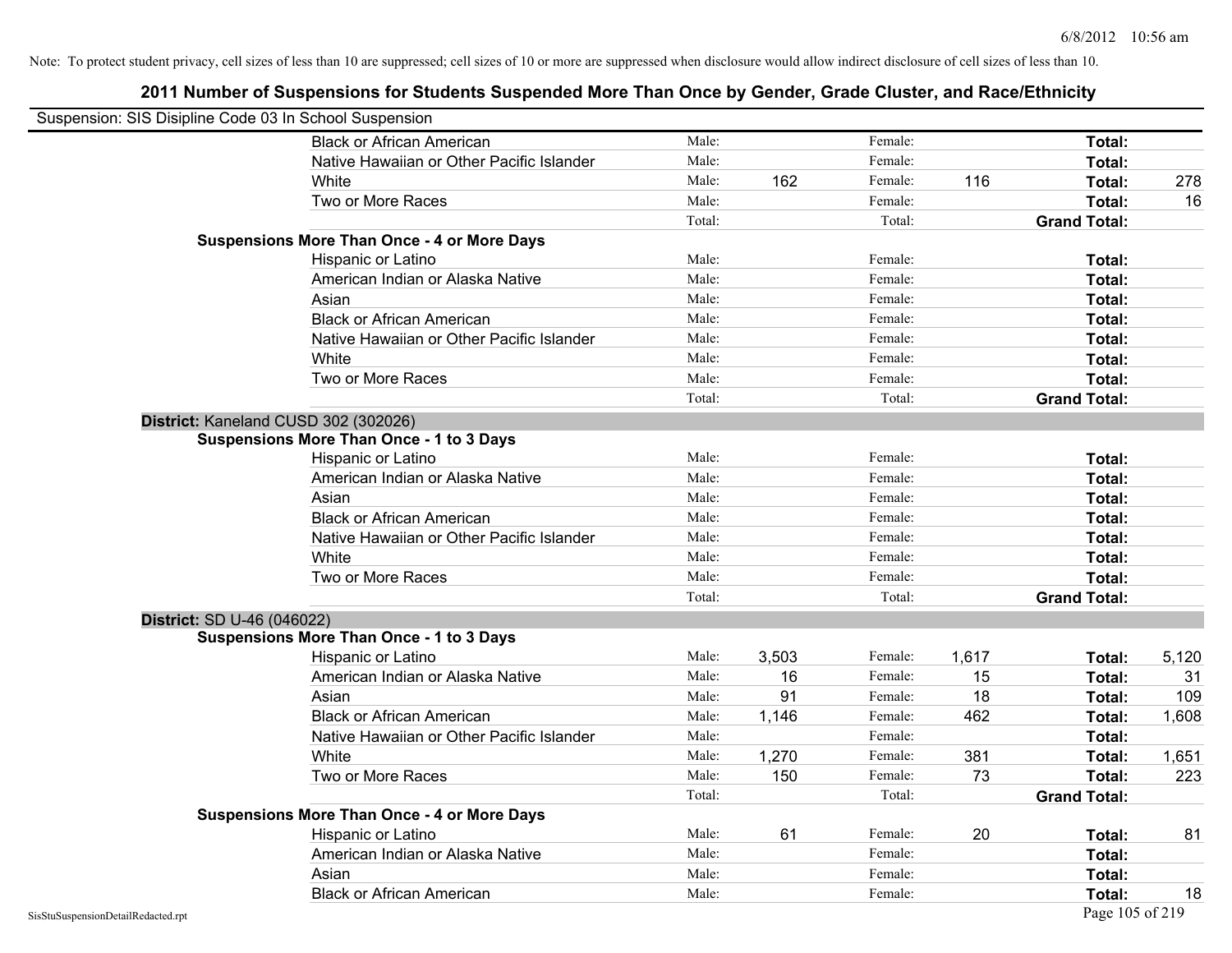| Suspension: SIS Disipline Code 03 In School Suspension |                                                    |        |       |         |       |                     |       |
|--------------------------------------------------------|----------------------------------------------------|--------|-------|---------|-------|---------------------|-------|
|                                                        | <b>Black or African American</b>                   | Male:  |       | Female: |       | Total:              |       |
|                                                        | Native Hawaiian or Other Pacific Islander          | Male:  |       | Female: |       | Total:              |       |
|                                                        | White                                              | Male:  | 162   | Female: | 116   | Total:              | 278   |
|                                                        | Two or More Races                                  | Male:  |       | Female: |       | <b>Total:</b>       | 16    |
|                                                        |                                                    | Total: |       | Total:  |       | <b>Grand Total:</b> |       |
|                                                        | <b>Suspensions More Than Once - 4 or More Days</b> |        |       |         |       |                     |       |
|                                                        | Hispanic or Latino                                 | Male:  |       | Female: |       | Total:              |       |
|                                                        | American Indian or Alaska Native                   | Male:  |       | Female: |       | Total:              |       |
|                                                        | Asian                                              | Male:  |       | Female: |       | Total:              |       |
|                                                        | <b>Black or African American</b>                   | Male:  |       | Female: |       | Total:              |       |
|                                                        | Native Hawaiian or Other Pacific Islander          | Male:  |       | Female: |       | Total:              |       |
|                                                        | White                                              | Male:  |       | Female: |       | Total:              |       |
|                                                        | Two or More Races                                  | Male:  |       | Female: |       | Total:              |       |
|                                                        |                                                    | Total: |       | Total:  |       | <b>Grand Total:</b> |       |
|                                                        | District: Kaneland CUSD 302 (302026)               |        |       |         |       |                     |       |
|                                                        | Suspensions More Than Once - 1 to 3 Days           |        |       |         |       |                     |       |
|                                                        | Hispanic or Latino                                 | Male:  |       | Female: |       | Total:              |       |
|                                                        | American Indian or Alaska Native                   | Male:  |       | Female: |       | Total:              |       |
|                                                        | Asian                                              | Male:  |       | Female: |       | Total:              |       |
|                                                        | <b>Black or African American</b>                   | Male:  |       | Female: |       | Total:              |       |
|                                                        | Native Hawaiian or Other Pacific Islander          | Male:  |       | Female: |       | Total:              |       |
|                                                        | White                                              | Male:  |       | Female: |       | Total:              |       |
|                                                        | Two or More Races                                  | Male:  |       | Female: |       | Total:              |       |
|                                                        |                                                    | Total: |       | Total:  |       | <b>Grand Total:</b> |       |
| District: SD U-46 (046022)                             |                                                    |        |       |         |       |                     |       |
|                                                        | <b>Suspensions More Than Once - 1 to 3 Days</b>    |        |       |         |       |                     |       |
|                                                        | Hispanic or Latino                                 | Male:  | 3,503 | Female: | 1,617 | Total:              | 5,120 |
|                                                        | American Indian or Alaska Native                   | Male:  | 16    | Female: | 15    | Total:              | 31    |
|                                                        | Asian                                              | Male:  | 91    | Female: | 18    | Total:              | 109   |
|                                                        | <b>Black or African American</b>                   | Male:  | 1,146 | Female: | 462   | Total:              | 1,608 |
|                                                        | Native Hawaiian or Other Pacific Islander          | Male:  |       | Female: |       | Total:              |       |
|                                                        | White                                              | Male:  | 1,270 | Female: | 381   | Total:              | 1,651 |
|                                                        | Two or More Races                                  | Male:  | 150   | Female: | 73    | Total:              | 223   |
|                                                        |                                                    | Total: |       | Total:  |       | <b>Grand Total:</b> |       |
|                                                        | <b>Suspensions More Than Once - 4 or More Days</b> |        |       |         |       |                     |       |
|                                                        | Hispanic or Latino                                 | Male:  | 61    | Female: | 20    | Total:              | 81    |
|                                                        | American Indian or Alaska Native                   | Male:  |       | Female: |       | Total:              |       |
|                                                        | Asian                                              | Male:  |       | Female: |       | Total:              |       |
|                                                        | <b>Black or African American</b>                   | Male:  |       | Female: |       | Total:              | 18    |
| SisStuSuspensionDetailRedacted.rpt                     |                                                    |        |       |         |       | Page 105 of 219     |       |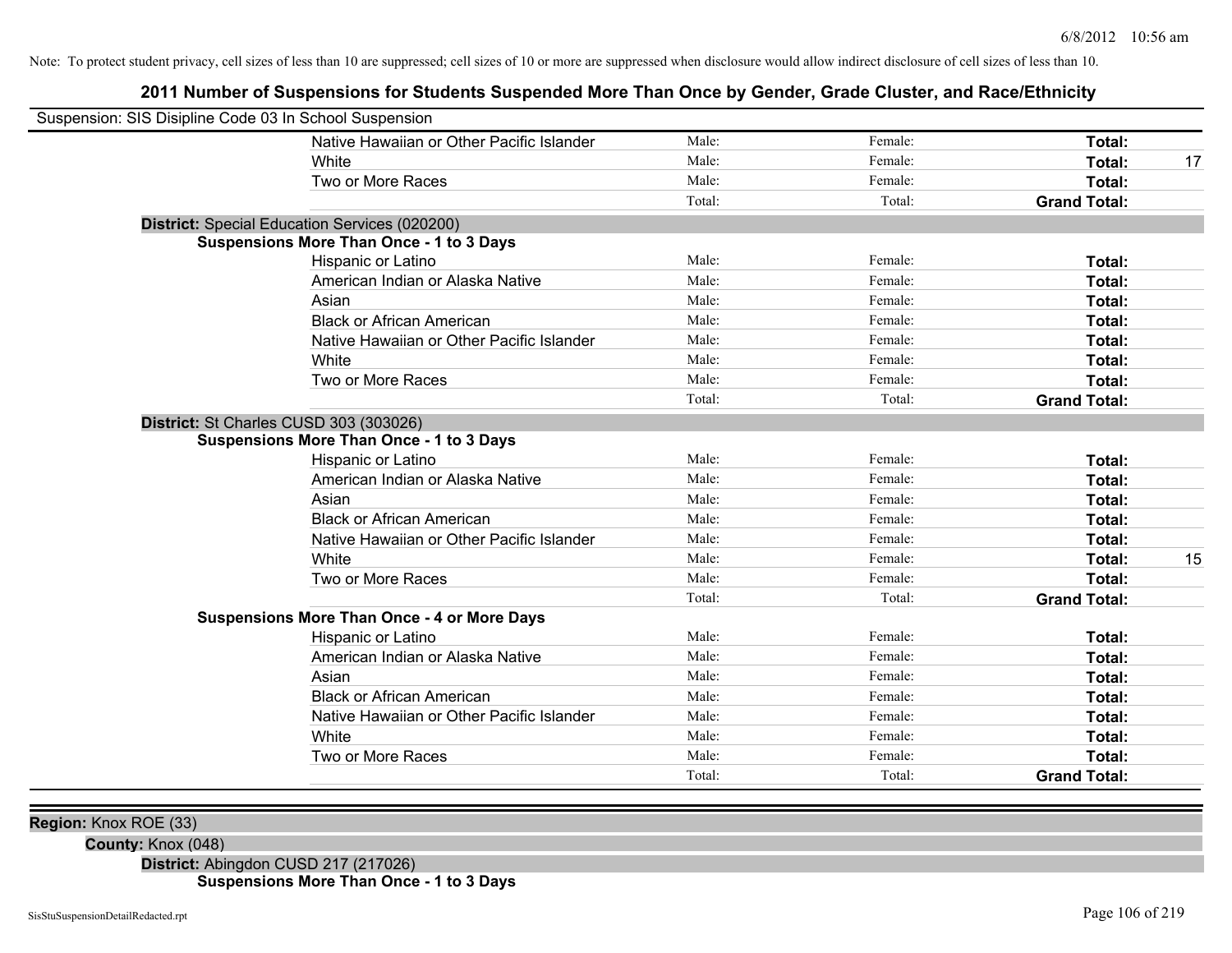## **2011 Number of Suspensions for Students Suspended More Than Once by Gender, Grade Cluster, and Race/Ethnicity**

| Suspension: SIS Disipline Code 03 In School Suspension |                                                    |        |         |                     |    |
|--------------------------------------------------------|----------------------------------------------------|--------|---------|---------------------|----|
|                                                        | Native Hawaiian or Other Pacific Islander          | Male:  | Female: | Total:              |    |
|                                                        | White                                              | Male:  | Female: | Total:              | 17 |
|                                                        | Two or More Races                                  | Male:  | Female: | Total:              |    |
|                                                        |                                                    | Total: | Total:  | <b>Grand Total:</b> |    |
|                                                        | District: Special Education Services (020200)      |        |         |                     |    |
|                                                        | <b>Suspensions More Than Once - 1 to 3 Days</b>    |        |         |                     |    |
|                                                        | Hispanic or Latino                                 | Male:  | Female: | Total:              |    |
|                                                        | American Indian or Alaska Native                   | Male:  | Female: | Total:              |    |
|                                                        | Asian                                              | Male:  | Female: | Total:              |    |
|                                                        | <b>Black or African American</b>                   | Male:  | Female: | Total:              |    |
|                                                        | Native Hawaiian or Other Pacific Islander          | Male:  | Female: | Total:              |    |
|                                                        | White                                              | Male:  | Female: | Total:              |    |
|                                                        | Two or More Races                                  | Male:  | Female: | Total:              |    |
|                                                        |                                                    | Total: | Total:  | <b>Grand Total:</b> |    |
| District: St Charles CUSD 303 (303026)                 |                                                    |        |         |                     |    |
|                                                        | <b>Suspensions More Than Once - 1 to 3 Days</b>    |        |         |                     |    |
|                                                        | Hispanic or Latino                                 | Male:  | Female: | Total:              |    |
|                                                        | American Indian or Alaska Native                   | Male:  | Female: | Total:              |    |
|                                                        | Asian                                              | Male:  | Female: | Total:              |    |
|                                                        | <b>Black or African American</b>                   | Male:  | Female: | Total:              |    |
|                                                        | Native Hawaiian or Other Pacific Islander          | Male:  | Female: | Total:              |    |
|                                                        | White                                              | Male:  | Female: | Total:              | 15 |
|                                                        | Two or More Races                                  | Male:  | Female: | Total:              |    |
|                                                        |                                                    | Total: | Total:  | <b>Grand Total:</b> |    |
|                                                        | <b>Suspensions More Than Once - 4 or More Days</b> |        |         |                     |    |
|                                                        | Hispanic or Latino                                 | Male:  | Female: | Total:              |    |
|                                                        | American Indian or Alaska Native                   | Male:  | Female: | Total:              |    |
|                                                        | Asian                                              | Male:  | Female: | Total:              |    |
|                                                        | <b>Black or African American</b>                   | Male:  | Female: | Total:              |    |
|                                                        | Native Hawaiian or Other Pacific Islander          | Male:  | Female: | Total:              |    |
|                                                        | White                                              | Male:  | Female: | Total:              |    |
|                                                        | Two or More Races                                  | Male:  | Female: | Total:              |    |
|                                                        |                                                    | Total: | Total:  | <b>Grand Total:</b> |    |

**Region:** Knox ROE (33)

**County:** Knox (048)

**District:** Abingdon CUSD 217 (217026) **Suspensions More Than Once - 1 to 3 Days**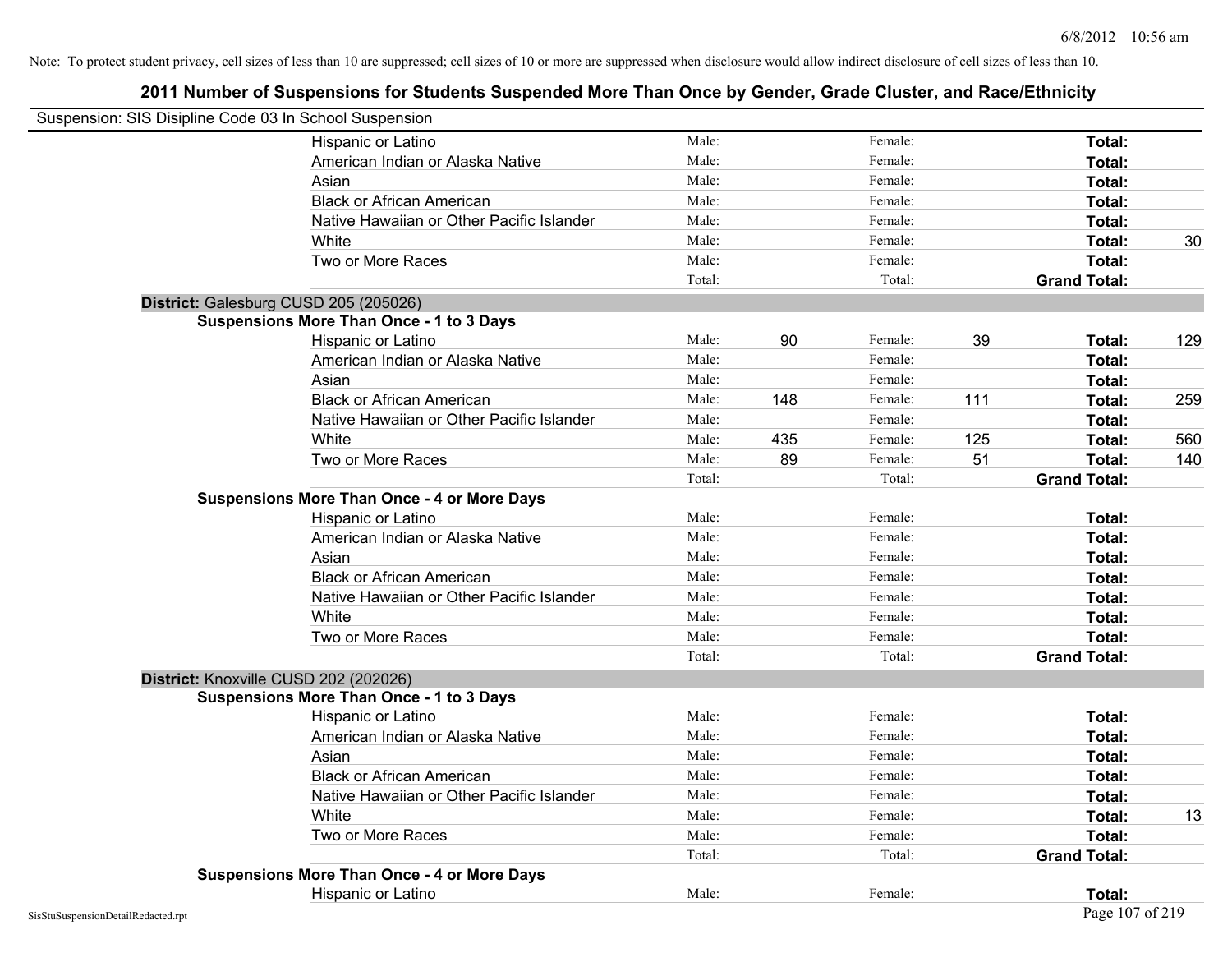| Suspension: SIS Disipline Code 03 In School Suspension |                                                    |        |     |         |     |                     |     |
|--------------------------------------------------------|----------------------------------------------------|--------|-----|---------|-----|---------------------|-----|
|                                                        | Hispanic or Latino                                 | Male:  |     | Female: |     | Total:              |     |
|                                                        | American Indian or Alaska Native                   | Male:  |     | Female: |     | Total:              |     |
|                                                        | Asian                                              | Male:  |     | Female: |     | <b>Total:</b>       |     |
|                                                        | <b>Black or African American</b>                   | Male:  |     | Female: |     | Total:              |     |
|                                                        | Native Hawaiian or Other Pacific Islander          | Male:  |     | Female: |     | Total:              |     |
|                                                        | White                                              | Male:  |     | Female: |     | Total:              | 30  |
|                                                        | Two or More Races                                  | Male:  |     | Female: |     | Total:              |     |
|                                                        |                                                    | Total: |     | Total:  |     | <b>Grand Total:</b> |     |
| District: Galesburg CUSD 205 (205026)                  |                                                    |        |     |         |     |                     |     |
|                                                        | <b>Suspensions More Than Once - 1 to 3 Days</b>    |        |     |         |     |                     |     |
|                                                        | Hispanic or Latino                                 | Male:  | 90  | Female: | 39  | Total:              | 129 |
|                                                        | American Indian or Alaska Native                   | Male:  |     | Female: |     | Total:              |     |
|                                                        | Asian                                              | Male:  |     | Female: |     | Total:              |     |
|                                                        | <b>Black or African American</b>                   | Male:  | 148 | Female: | 111 | Total:              | 259 |
|                                                        | Native Hawaiian or Other Pacific Islander          | Male:  |     | Female: |     | Total:              |     |
|                                                        | White                                              | Male:  | 435 | Female: | 125 | Total:              | 560 |
|                                                        | Two or More Races                                  | Male:  | 89  | Female: | 51  | Total:              | 140 |
|                                                        |                                                    | Total: |     | Total:  |     | <b>Grand Total:</b> |     |
|                                                        | <b>Suspensions More Than Once - 4 or More Days</b> |        |     |         |     |                     |     |
|                                                        | Hispanic or Latino                                 | Male:  |     | Female: |     | Total:              |     |
|                                                        | American Indian or Alaska Native                   | Male:  |     | Female: |     | Total:              |     |
|                                                        | Asian                                              | Male:  |     | Female: |     | Total:              |     |
|                                                        | <b>Black or African American</b>                   | Male:  |     | Female: |     | Total:              |     |
|                                                        | Native Hawaiian or Other Pacific Islander          | Male:  |     | Female: |     | Total:              |     |
|                                                        | White                                              | Male:  |     | Female: |     | Total:              |     |
|                                                        | Two or More Races                                  | Male:  |     | Female: |     | Total:              |     |
|                                                        |                                                    | Total: |     | Total:  |     | <b>Grand Total:</b> |     |
| District: Knoxville CUSD 202 (202026)                  |                                                    |        |     |         |     |                     |     |
|                                                        | <b>Suspensions More Than Once - 1 to 3 Days</b>    |        |     |         |     |                     |     |
|                                                        | Hispanic or Latino                                 | Male:  |     | Female: |     | Total:              |     |
|                                                        | American Indian or Alaska Native                   | Male:  |     | Female: |     | Total:              |     |
|                                                        | Asian                                              | Male:  |     | Female: |     | Total:              |     |
|                                                        | <b>Black or African American</b>                   | Male:  |     | Female: |     | Total:              |     |
|                                                        | Native Hawaiian or Other Pacific Islander          | Male:  |     | Female: |     | Total:              |     |
|                                                        | White                                              | Male:  |     | Female: |     | Total:              | 13  |
|                                                        | Two or More Races                                  | Male:  |     | Female: |     | Total:              |     |
|                                                        |                                                    | Total: |     | Total:  |     | <b>Grand Total:</b> |     |
|                                                        | <b>Suspensions More Than Once - 4 or More Days</b> |        |     |         |     |                     |     |
|                                                        | Hispanic or Latino                                 | Male:  |     | Female: |     | Total:              |     |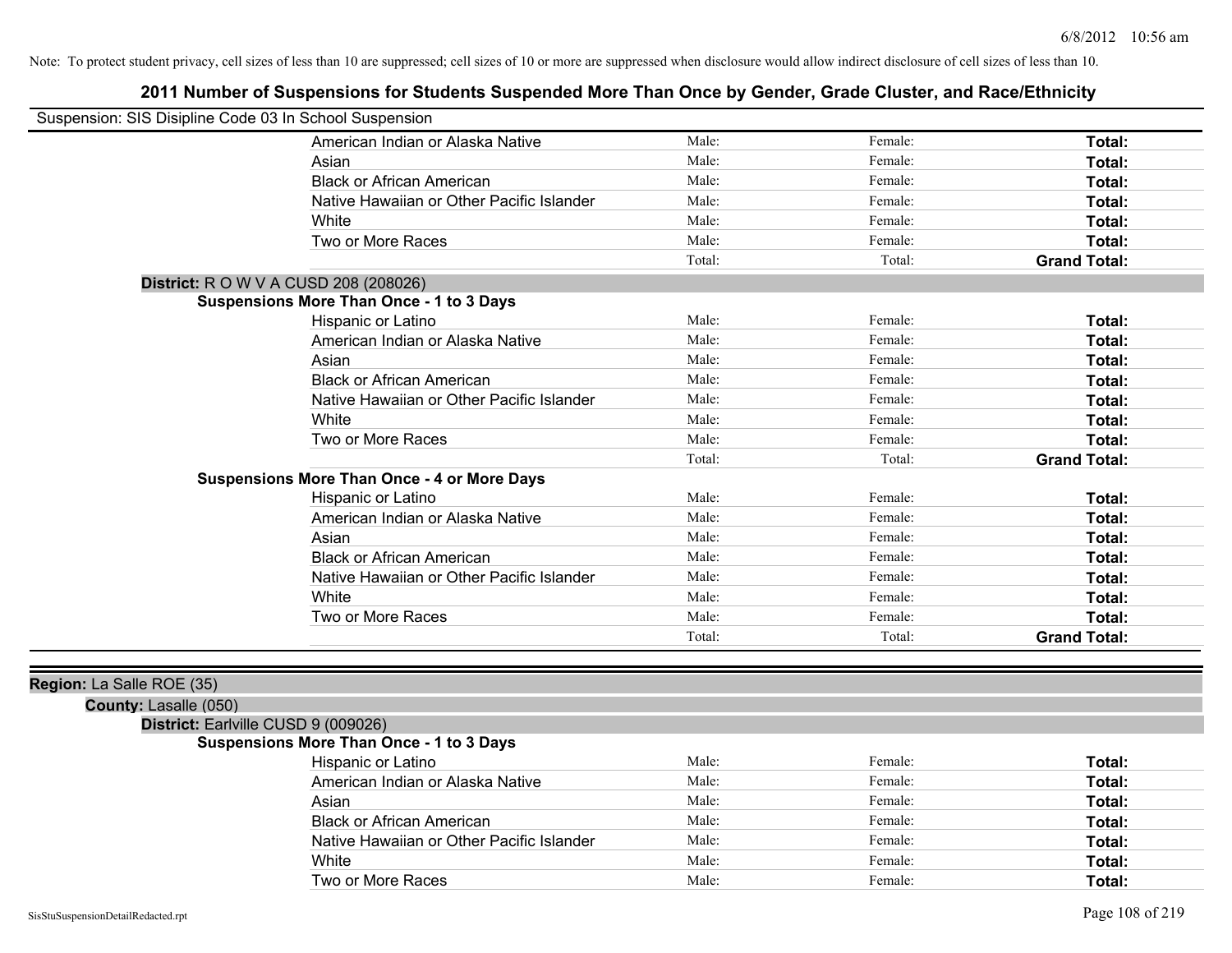| Suspension: SIS Disipline Code 03 In School Suspension |                                                    |        |         |                     |
|--------------------------------------------------------|----------------------------------------------------|--------|---------|---------------------|
|                                                        | American Indian or Alaska Native                   | Male:  | Female: | Total:              |
|                                                        | Asian                                              | Male:  | Female: | Total:              |
|                                                        | <b>Black or African American</b>                   | Male:  | Female: | Total:              |
|                                                        | Native Hawaiian or Other Pacific Islander          | Male:  | Female: | Total:              |
|                                                        | White                                              | Male:  | Female: | Total:              |
|                                                        | Two or More Races                                  | Male:  | Female: | Total:              |
|                                                        |                                                    | Total: | Total:  | <b>Grand Total:</b> |
| <b>District:</b> R O W V A CUSD 208 (208026)           |                                                    |        |         |                     |
|                                                        | <b>Suspensions More Than Once - 1 to 3 Days</b>    |        |         |                     |
|                                                        | Hispanic or Latino                                 | Male:  | Female: | Total:              |
|                                                        | American Indian or Alaska Native                   | Male:  | Female: | Total:              |
|                                                        | Asian                                              | Male:  | Female: | Total:              |
|                                                        | <b>Black or African American</b>                   | Male:  | Female: | Total:              |
|                                                        | Native Hawaiian or Other Pacific Islander          | Male:  | Female: | Total:              |
|                                                        | White                                              | Male:  | Female: | Total:              |
|                                                        | Two or More Races                                  | Male:  | Female: | Total:              |
|                                                        |                                                    | Total: | Total:  | <b>Grand Total:</b> |
|                                                        | <b>Suspensions More Than Once - 4 or More Days</b> |        |         |                     |
|                                                        | Hispanic or Latino                                 | Male:  | Female: | Total:              |
|                                                        | American Indian or Alaska Native                   | Male:  | Female: | Total:              |
|                                                        | Asian                                              | Male:  | Female: | Total:              |
|                                                        | <b>Black or African American</b>                   | Male:  | Female: | Total:              |
|                                                        | Native Hawaiian or Other Pacific Islander          | Male:  | Female: | Total:              |
|                                                        | White                                              | Male:  | Female: | Total:              |
|                                                        | Two or More Races                                  | Male:  | Female: | Total:              |
|                                                        |                                                    | Total: | Total:  | <b>Grand Total:</b> |
|                                                        |                                                    |        |         |                     |
| Region: La Salle ROE (35)                              |                                                    |        |         |                     |
| County: Lasalle (050)                                  |                                                    |        |         |                     |
| District: Earlville CUSD 9 (009026)                    |                                                    |        |         |                     |
|                                                        | <b>Suspensions More Than Once - 1 to 3 Days</b>    |        |         |                     |

| Hispanic or Latino                        | Male: | Female: | Total: |
|-------------------------------------------|-------|---------|--------|
| American Indian or Alaska Native          | Male: | Female: | Total: |
| Asian                                     | Male: | Female: | Total: |
| <b>Black or African American</b>          | Male: | Female: | Total: |
| Native Hawaiian or Other Pacific Islander | Male: | Female: | Total: |
| White                                     | Male: | Female: | Total: |
| Two or More Races                         | Male: | Female: | Total: |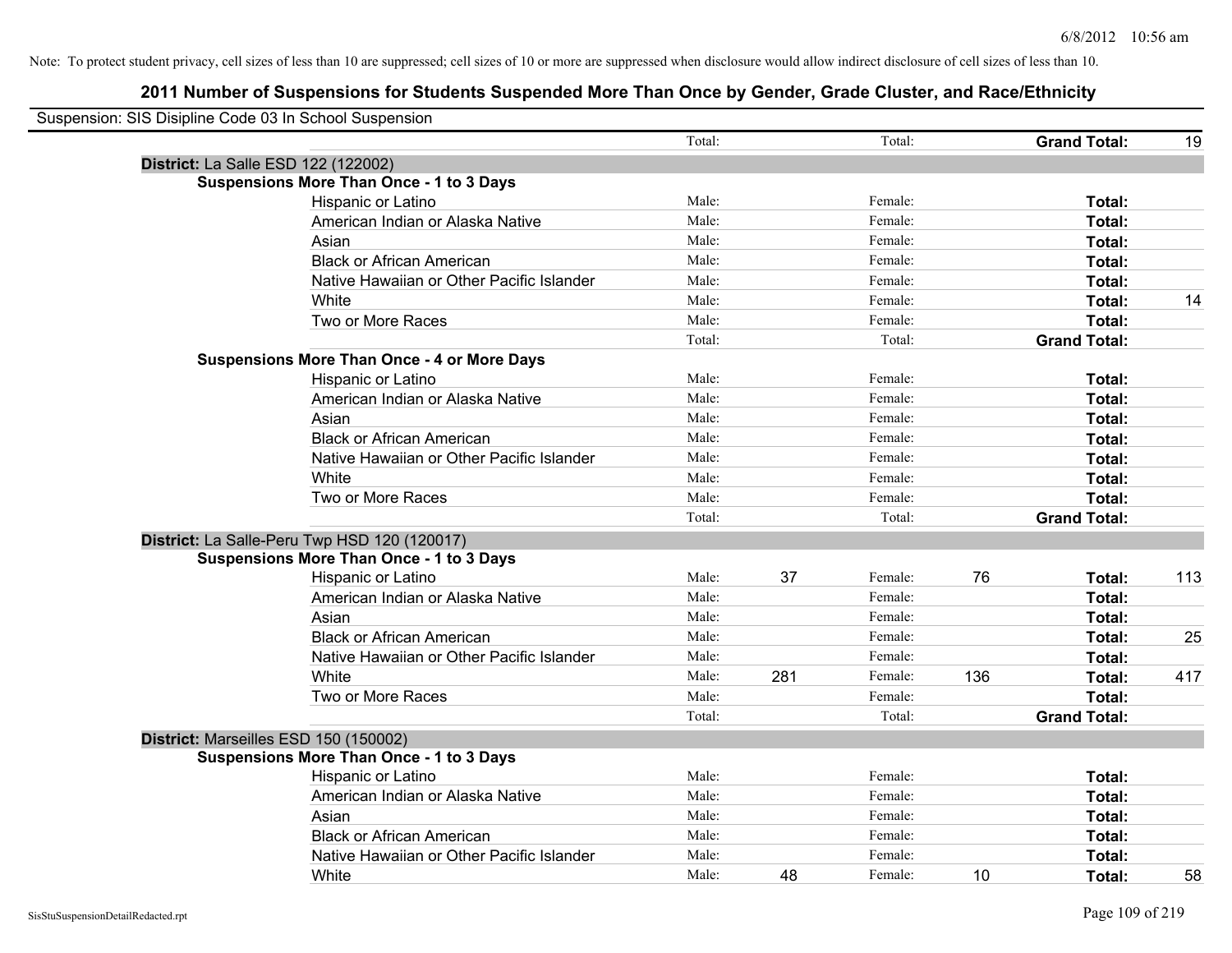| Suspension: SIS Disipline Code 03 In School Suspension |                                                    |        |     |         |     |                     |     |
|--------------------------------------------------------|----------------------------------------------------|--------|-----|---------|-----|---------------------|-----|
|                                                        |                                                    | Total: |     | Total:  |     | <b>Grand Total:</b> | 19  |
| District: La Salle ESD 122 (122002)                    |                                                    |        |     |         |     |                     |     |
|                                                        | <b>Suspensions More Than Once - 1 to 3 Days</b>    |        |     |         |     |                     |     |
|                                                        | Hispanic or Latino                                 | Male:  |     | Female: |     | Total:              |     |
|                                                        | American Indian or Alaska Native                   | Male:  |     | Female: |     | Total:              |     |
|                                                        | Asian                                              | Male:  |     | Female: |     | Total:              |     |
|                                                        | <b>Black or African American</b>                   | Male:  |     | Female: |     | Total:              |     |
|                                                        | Native Hawaiian or Other Pacific Islander          | Male:  |     | Female: |     | Total:              |     |
|                                                        | White                                              | Male:  |     | Female: |     | Total:              | 14  |
|                                                        | Two or More Races                                  | Male:  |     | Female: |     | Total:              |     |
|                                                        |                                                    | Total: |     | Total:  |     | <b>Grand Total:</b> |     |
|                                                        | <b>Suspensions More Than Once - 4 or More Days</b> |        |     |         |     |                     |     |
|                                                        | Hispanic or Latino                                 | Male:  |     | Female: |     | Total:              |     |
|                                                        | American Indian or Alaska Native                   | Male:  |     | Female: |     | Total:              |     |
|                                                        | Asian                                              | Male:  |     | Female: |     | Total:              |     |
|                                                        | <b>Black or African American</b>                   | Male:  |     | Female: |     | Total:              |     |
|                                                        | Native Hawaiian or Other Pacific Islander          | Male:  |     | Female: |     | Total:              |     |
|                                                        | White                                              | Male:  |     | Female: |     | Total:              |     |
|                                                        | Two or More Races                                  | Male:  |     | Female: |     | Total:              |     |
|                                                        |                                                    | Total: |     | Total:  |     | <b>Grand Total:</b> |     |
|                                                        | District: La Salle-Peru Twp HSD 120 (120017)       |        |     |         |     |                     |     |
|                                                        | <b>Suspensions More Than Once - 1 to 3 Days</b>    |        |     |         |     |                     |     |
|                                                        | Hispanic or Latino                                 | Male:  | 37  | Female: | 76  | Total:              | 113 |
|                                                        | American Indian or Alaska Native                   | Male:  |     | Female: |     | Total:              |     |
|                                                        | Asian                                              | Male:  |     | Female: |     | Total:              |     |
|                                                        | <b>Black or African American</b>                   | Male:  |     | Female: |     | Total:              | 25  |
|                                                        | Native Hawaiian or Other Pacific Islander          | Male:  |     | Female: |     | Total:              |     |
|                                                        | White                                              | Male:  | 281 | Female: | 136 | Total:              | 417 |
|                                                        | Two or More Races                                  | Male:  |     | Female: |     | Total:              |     |
|                                                        |                                                    | Total: |     | Total:  |     | <b>Grand Total:</b> |     |
| District: Marseilles ESD 150 (150002)                  |                                                    |        |     |         |     |                     |     |
|                                                        | <b>Suspensions More Than Once - 1 to 3 Days</b>    |        |     |         |     |                     |     |
|                                                        | Hispanic or Latino                                 | Male:  |     | Female: |     | Total:              |     |
|                                                        | American Indian or Alaska Native                   | Male:  |     | Female: |     | Total:              |     |
|                                                        | Asian                                              | Male:  |     | Female: |     | Total:              |     |
|                                                        | <b>Black or African American</b>                   | Male:  |     | Female: |     | Total:              |     |
|                                                        | Native Hawaiian or Other Pacific Islander          | Male:  |     | Female: |     | Total:              |     |
|                                                        | White                                              | Male:  | 48  | Female: | 10  | Total:              | 58  |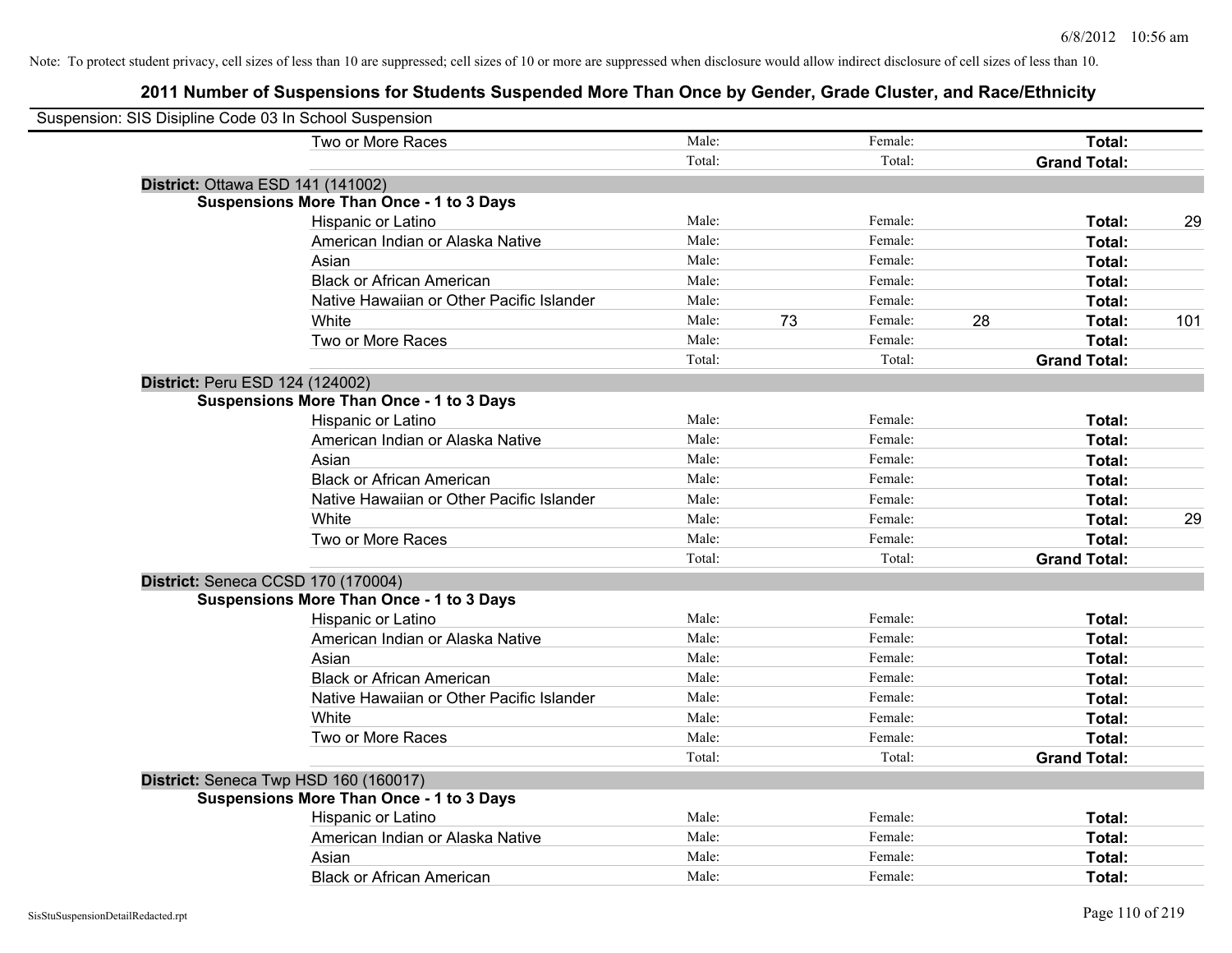| Suspension: SIS Disipline Code 03 In School Suspension |                                                 |        |    |               |                     |     |
|--------------------------------------------------------|-------------------------------------------------|--------|----|---------------|---------------------|-----|
|                                                        | Two or More Races                               | Male:  |    | Female:       | Total:              |     |
|                                                        |                                                 | Total: |    | Total:        | <b>Grand Total:</b> |     |
| District: Ottawa ESD 141 (141002)                      |                                                 |        |    |               |                     |     |
|                                                        | <b>Suspensions More Than Once - 1 to 3 Days</b> |        |    |               |                     |     |
|                                                        | Hispanic or Latino                              | Male:  |    | Female:       | Total:              | 29  |
|                                                        | American Indian or Alaska Native                | Male:  |    | Female:       | Total:              |     |
|                                                        | Asian                                           | Male:  |    | Female:       | Total:              |     |
|                                                        | <b>Black or African American</b>                | Male:  |    | Female:       | Total:              |     |
|                                                        | Native Hawaiian or Other Pacific Islander       | Male:  |    | Female:       | Total:              |     |
|                                                        | White                                           | Male:  | 73 | 28<br>Female: | Total:              | 101 |
|                                                        | Two or More Races                               | Male:  |    | Female:       | Total:              |     |
|                                                        |                                                 | Total: |    | Total:        | <b>Grand Total:</b> |     |
| District: Peru ESD 124 (124002)                        |                                                 |        |    |               |                     |     |
|                                                        | <b>Suspensions More Than Once - 1 to 3 Days</b> |        |    |               |                     |     |
|                                                        | Hispanic or Latino                              | Male:  |    | Female:       | Total:              |     |
|                                                        | American Indian or Alaska Native                | Male:  |    | Female:       | Total:              |     |
|                                                        | Asian                                           | Male:  |    | Female:       | Total:              |     |
|                                                        | <b>Black or African American</b>                | Male:  |    | Female:       | Total:              |     |
|                                                        | Native Hawaiian or Other Pacific Islander       | Male:  |    | Female:       | Total:              |     |
|                                                        | White                                           | Male:  |    | Female:       | Total:              | 29  |
|                                                        | Two or More Races                               | Male:  |    | Female:       | Total:              |     |
|                                                        |                                                 | Total: |    | Total:        | <b>Grand Total:</b> |     |
| District: Seneca CCSD 170 (170004)                     |                                                 |        |    |               |                     |     |
|                                                        | <b>Suspensions More Than Once - 1 to 3 Days</b> |        |    |               |                     |     |
|                                                        | Hispanic or Latino                              | Male:  |    | Female:       | Total:              |     |
|                                                        | American Indian or Alaska Native                | Male:  |    | Female:       | Total:              |     |
|                                                        | Asian                                           | Male:  |    | Female:       | Total:              |     |
|                                                        | <b>Black or African American</b>                | Male:  |    | Female:       | Total:              |     |
|                                                        | Native Hawaiian or Other Pacific Islander       | Male:  |    | Female:       | Total:              |     |
|                                                        | White                                           | Male:  |    | Female:       | Total:              |     |
|                                                        | Two or More Races                               | Male:  |    | Female:       | Total:              |     |
|                                                        |                                                 | Total: |    | Total:        | <b>Grand Total:</b> |     |
| District: Seneca Twp HSD 160 (160017)                  |                                                 |        |    |               |                     |     |
|                                                        | <b>Suspensions More Than Once - 1 to 3 Days</b> |        |    |               |                     |     |
|                                                        | Hispanic or Latino                              | Male:  |    | Female:       | Total:              |     |
|                                                        | American Indian or Alaska Native                | Male:  |    | Female:       | Total:              |     |
|                                                        | Asian                                           | Male:  |    | Female:       | Total:              |     |
|                                                        | <b>Black or African American</b>                | Male:  |    | Female:       | Total:              |     |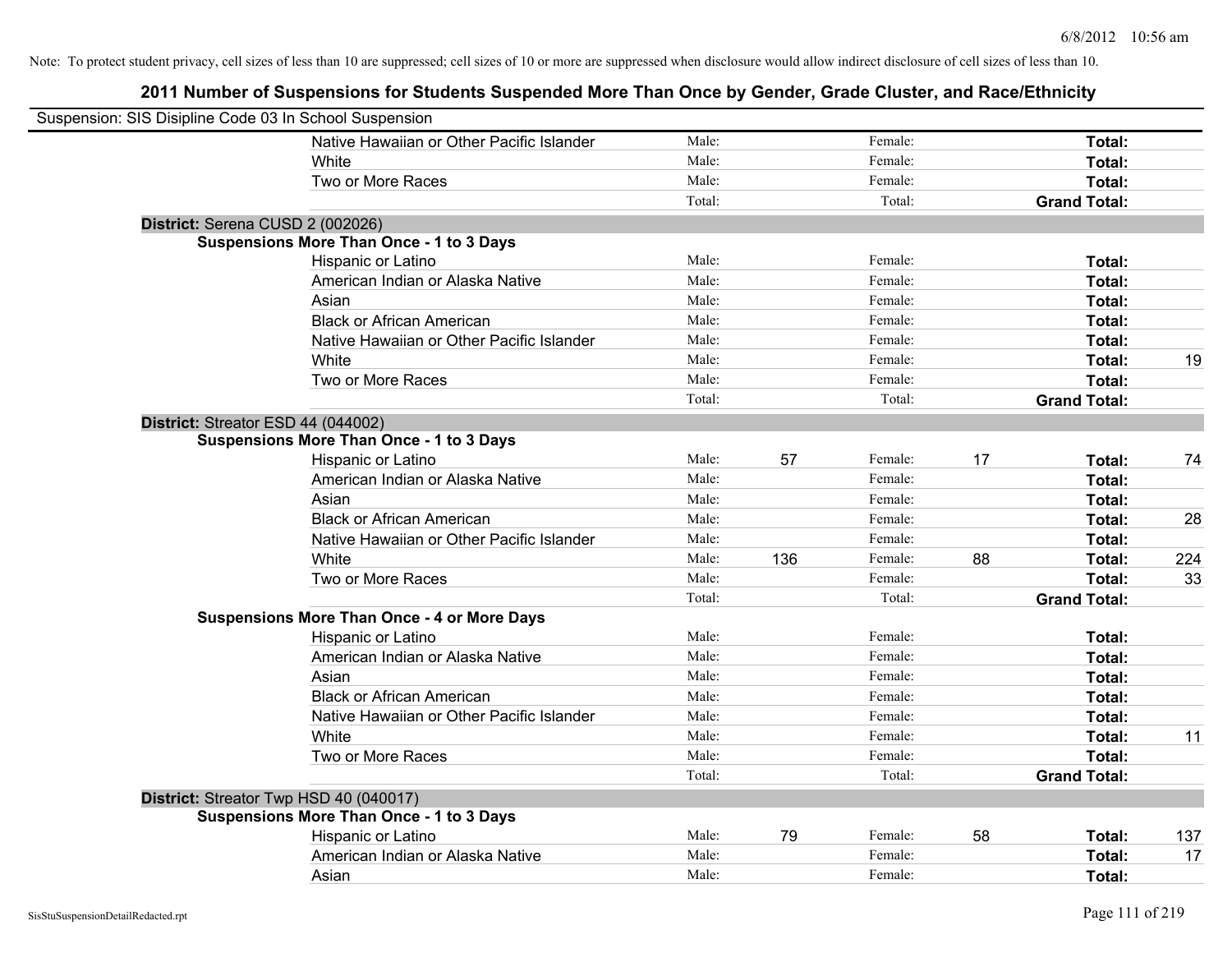| Suspension: SIS Disipline Code 03 In School Suspension |                                                    |        |     |         |    |                     |     |
|--------------------------------------------------------|----------------------------------------------------|--------|-----|---------|----|---------------------|-----|
|                                                        | Native Hawaiian or Other Pacific Islander          | Male:  |     | Female: |    | Total:              |     |
|                                                        | White                                              | Male:  |     | Female: |    | Total:              |     |
|                                                        | Two or More Races                                  | Male:  |     | Female: |    | Total:              |     |
|                                                        |                                                    | Total: |     | Total:  |    | <b>Grand Total:</b> |     |
| District: Serena CUSD 2 (002026)                       |                                                    |        |     |         |    |                     |     |
|                                                        | <b>Suspensions More Than Once - 1 to 3 Days</b>    |        |     |         |    |                     |     |
|                                                        | Hispanic or Latino                                 | Male:  |     | Female: |    | Total:              |     |
|                                                        | American Indian or Alaska Native                   | Male:  |     | Female: |    | Total:              |     |
|                                                        | Asian                                              | Male:  |     | Female: |    | Total:              |     |
|                                                        | <b>Black or African American</b>                   | Male:  |     | Female: |    | Total:              |     |
|                                                        | Native Hawaiian or Other Pacific Islander          | Male:  |     | Female: |    | Total:              |     |
|                                                        | White                                              | Male:  |     | Female: |    | Total:              | 19  |
|                                                        | Two or More Races                                  | Male:  |     | Female: |    | Total:              |     |
|                                                        |                                                    | Total: |     | Total:  |    | <b>Grand Total:</b> |     |
| District: Streator ESD 44 (044002)                     |                                                    |        |     |         |    |                     |     |
|                                                        | <b>Suspensions More Than Once - 1 to 3 Days</b>    |        |     |         |    |                     |     |
|                                                        | Hispanic or Latino                                 | Male:  | 57  | Female: | 17 | Total:              | 74  |
|                                                        | American Indian or Alaska Native                   | Male:  |     | Female: |    | Total:              |     |
|                                                        | Asian                                              | Male:  |     | Female: |    | Total:              |     |
|                                                        | <b>Black or African American</b>                   | Male:  |     | Female: |    | Total:              | 28  |
|                                                        | Native Hawaiian or Other Pacific Islander          | Male:  |     | Female: |    | Total:              |     |
|                                                        | White                                              | Male:  | 136 | Female: | 88 | Total:              | 224 |
|                                                        | Two or More Races                                  | Male:  |     | Female: |    | Total:              | 33  |
|                                                        |                                                    | Total: |     | Total:  |    | <b>Grand Total:</b> |     |
|                                                        | <b>Suspensions More Than Once - 4 or More Days</b> |        |     |         |    |                     |     |
|                                                        | Hispanic or Latino                                 | Male:  |     | Female: |    | Total:              |     |
|                                                        | American Indian or Alaska Native                   | Male:  |     | Female: |    | Total:              |     |
|                                                        | Asian                                              | Male:  |     | Female: |    | Total:              |     |
|                                                        | <b>Black or African American</b>                   | Male:  |     | Female: |    | Total:              |     |
|                                                        | Native Hawaiian or Other Pacific Islander          | Male:  |     | Female: |    | Total:              |     |
|                                                        | White                                              | Male:  |     | Female: |    | Total:              | 11  |
|                                                        | Two or More Races                                  | Male:  |     | Female: |    | Total:              |     |
|                                                        |                                                    | Total: |     | Total:  |    | <b>Grand Total:</b> |     |
| District: Streator Twp HSD 40 (040017)                 |                                                    |        |     |         |    |                     |     |
|                                                        | <b>Suspensions More Than Once - 1 to 3 Days</b>    |        |     |         |    |                     |     |
|                                                        | Hispanic or Latino                                 | Male:  | 79  | Female: | 58 | Total:              | 137 |
|                                                        | American Indian or Alaska Native                   | Male:  |     | Female: |    | Total:              | 17  |
|                                                        | Asian                                              | Male:  |     | Female: |    | Total:              |     |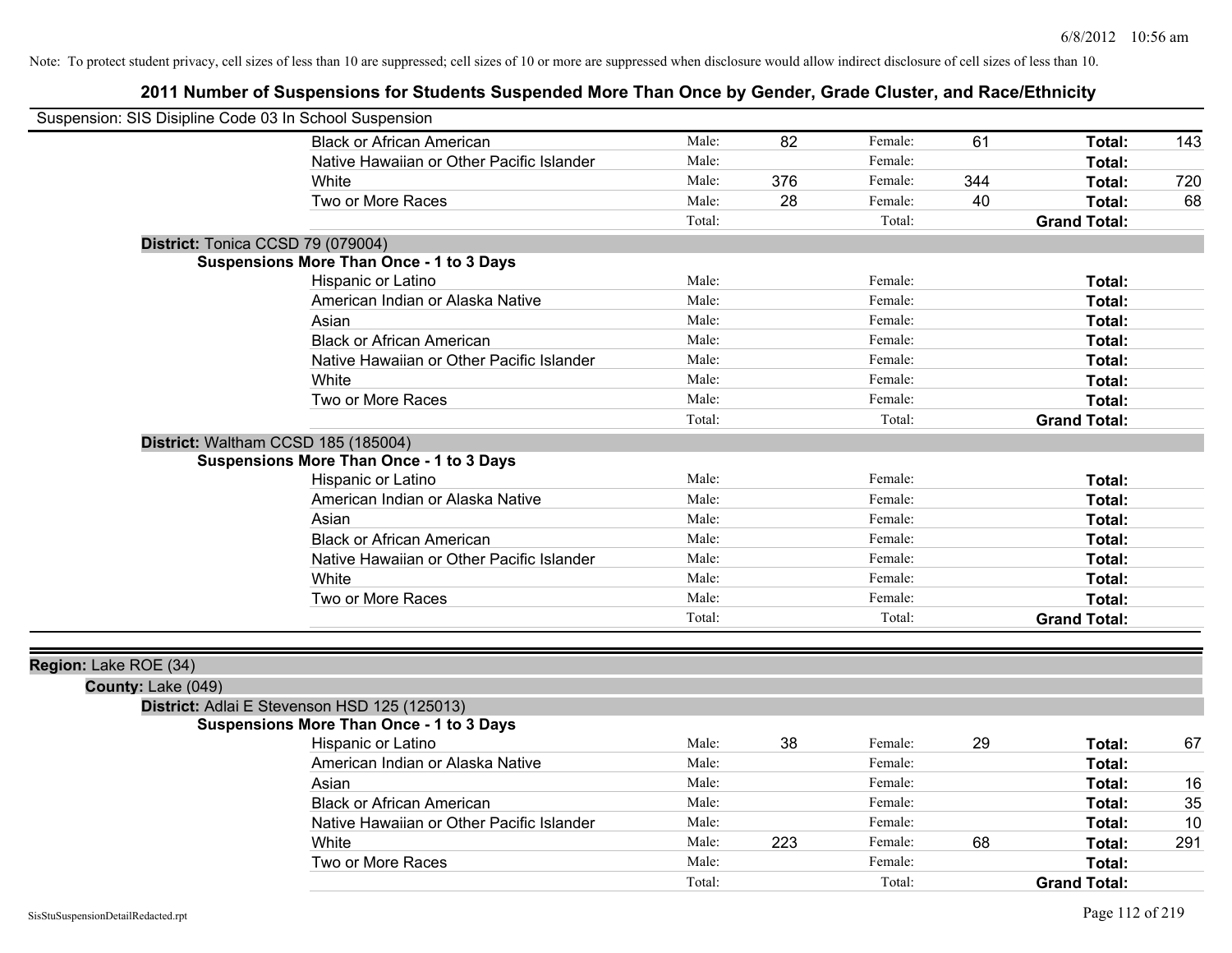| Suspension: SIS Disipline Code 03 In School Suspension |                                                 |        |     |         |     |                     |     |
|--------------------------------------------------------|-------------------------------------------------|--------|-----|---------|-----|---------------------|-----|
|                                                        | <b>Black or African American</b>                | Male:  | 82  | Female: | 61  | Total:              | 143 |
|                                                        | Native Hawaiian or Other Pacific Islander       | Male:  |     | Female: |     | Total:              |     |
|                                                        | White                                           | Male:  | 376 | Female: | 344 | Total:              | 720 |
|                                                        | Two or More Races                               | Male:  | 28  | Female: | 40  | Total:              | 68  |
|                                                        |                                                 | Total: |     | Total:  |     | <b>Grand Total:</b> |     |
|                                                        | District: Tonica CCSD 79 (079004)               |        |     |         |     |                     |     |
|                                                        | <b>Suspensions More Than Once - 1 to 3 Days</b> |        |     |         |     |                     |     |
|                                                        | Hispanic or Latino                              | Male:  |     | Female: |     | Total:              |     |
|                                                        | American Indian or Alaska Native                | Male:  |     | Female: |     | Total:              |     |
|                                                        | Asian                                           | Male:  |     | Female: |     | Total:              |     |
|                                                        | <b>Black or African American</b>                | Male:  |     | Female: |     | Total:              |     |
|                                                        | Native Hawaiian or Other Pacific Islander       | Male:  |     | Female: |     | Total:              |     |
|                                                        | White                                           | Male:  |     | Female: |     | Total:              |     |
|                                                        | Two or More Races                               | Male:  |     | Female: |     | Total:              |     |
|                                                        |                                                 | Total: |     | Total:  |     | <b>Grand Total:</b> |     |
|                                                        | District: Waltham CCSD 185 (185004)             |        |     |         |     |                     |     |
|                                                        | <b>Suspensions More Than Once - 1 to 3 Days</b> |        |     |         |     |                     |     |
|                                                        | Hispanic or Latino                              | Male:  |     | Female: |     | Total:              |     |
|                                                        | American Indian or Alaska Native                | Male:  |     | Female: |     | Total:              |     |
|                                                        | Asian                                           | Male:  |     | Female: |     | Total:              |     |
|                                                        | <b>Black or African American</b>                | Male:  |     | Female: |     | Total:              |     |
|                                                        | Native Hawaiian or Other Pacific Islander       | Male:  |     | Female: |     | Total:              |     |
|                                                        | White                                           | Male:  |     | Female: |     | Total:              |     |
|                                                        | Two or More Races                               | Male:  |     | Female: |     | Total:              |     |
|                                                        |                                                 | Total: |     | Total:  |     | <b>Grand Total:</b> |     |
|                                                        |                                                 |        |     |         |     |                     |     |
| Region: Lake ROE (34)                                  |                                                 |        |     |         |     |                     |     |
| County: Lake (049)                                     |                                                 |        |     |         |     |                     |     |
|                                                        | District: Adlai E Stevenson HSD 125 (125013)    |        |     |         |     |                     |     |
|                                                        | Suspensions More Than Once - 1 to 3 Days        | Male:  | 38  | Female: | 29  |                     |     |
|                                                        | Hispanic or Latino                              |        |     |         |     | Total:              | 67  |
|                                                        | American Indian or Alaska Native                | Male:  |     | Female: |     | Total:              |     |
|                                                        | Asian                                           | Male:  |     | Female: |     | Total:              | 16  |
|                                                        | <b>Black or African American</b>                | Male:  |     | Female: |     | Total:              | 35  |
|                                                        | Native Hawaiian or Other Pacific Islander       | Male:  |     | Female: |     | Total:              | 10  |
|                                                        | White                                           | Male:  | 223 | Female: | 68  | Total:              | 291 |
|                                                        | Two or More Races                               | Male:  |     | Female: |     | Total:              |     |
|                                                        |                                                 | Total: |     | Total:  |     | <b>Grand Total:</b> |     |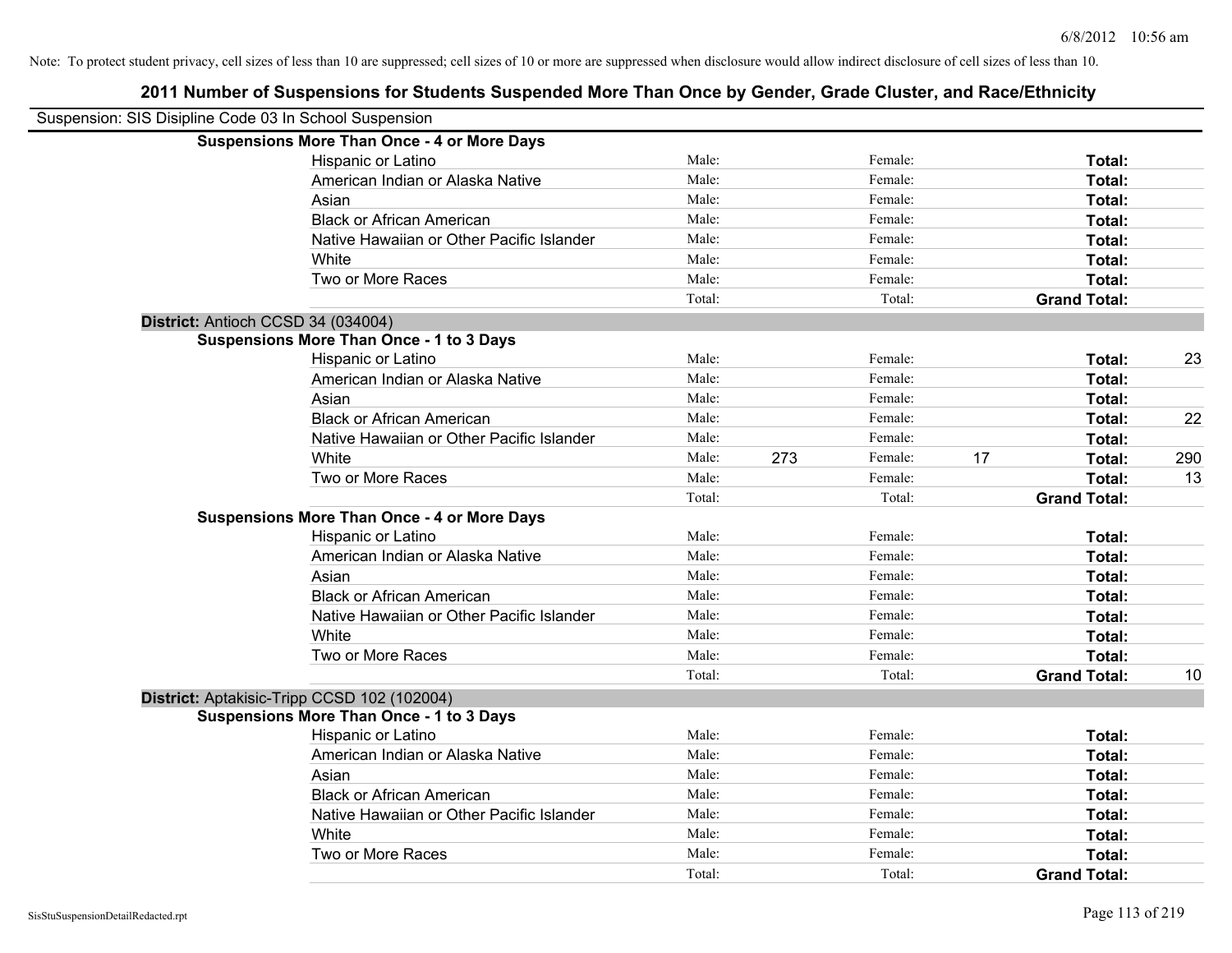| Suspension: SIS Disipline Code 03 In School Suspension |                                                    |        |     |         |    |                     |     |
|--------------------------------------------------------|----------------------------------------------------|--------|-----|---------|----|---------------------|-----|
|                                                        | <b>Suspensions More Than Once - 4 or More Days</b> |        |     |         |    |                     |     |
|                                                        | Hispanic or Latino                                 | Male:  |     | Female: |    | Total:              |     |
|                                                        | American Indian or Alaska Native                   | Male:  |     | Female: |    | Total:              |     |
|                                                        | Asian                                              | Male:  |     | Female: |    | Total:              |     |
|                                                        | <b>Black or African American</b>                   | Male:  |     | Female: |    | Total:              |     |
|                                                        | Native Hawaiian or Other Pacific Islander          | Male:  |     | Female: |    | Total:              |     |
|                                                        | White                                              | Male:  |     | Female: |    | Total:              |     |
|                                                        | Two or More Races                                  | Male:  |     | Female: |    | Total:              |     |
|                                                        |                                                    | Total: |     | Total:  |    | <b>Grand Total:</b> |     |
| District: Antioch CCSD 34 (034004)                     |                                                    |        |     |         |    |                     |     |
|                                                        | <b>Suspensions More Than Once - 1 to 3 Days</b>    |        |     |         |    |                     |     |
|                                                        | Hispanic or Latino                                 | Male:  |     | Female: |    | Total:              | 23  |
|                                                        | American Indian or Alaska Native                   | Male:  |     | Female: |    | Total:              |     |
|                                                        | Asian                                              | Male:  |     | Female: |    | Total:              |     |
|                                                        | <b>Black or African American</b>                   | Male:  |     | Female: |    | Total:              | 22  |
|                                                        | Native Hawaiian or Other Pacific Islander          | Male:  |     | Female: |    | Total:              |     |
|                                                        | White                                              | Male:  | 273 | Female: | 17 | Total:              | 290 |
|                                                        | Two or More Races                                  | Male:  |     | Female: |    | Total:              | 13  |
|                                                        |                                                    | Total: |     | Total:  |    | <b>Grand Total:</b> |     |
|                                                        | <b>Suspensions More Than Once - 4 or More Days</b> |        |     |         |    |                     |     |
|                                                        | Hispanic or Latino                                 | Male:  |     | Female: |    | Total:              |     |
|                                                        | American Indian or Alaska Native                   | Male:  |     | Female: |    | Total:              |     |
|                                                        | Asian                                              | Male:  |     | Female: |    | Total:              |     |
|                                                        | <b>Black or African American</b>                   | Male:  |     | Female: |    | Total:              |     |
|                                                        | Native Hawaiian or Other Pacific Islander          | Male:  |     | Female: |    | Total:              |     |
|                                                        | White                                              | Male:  |     | Female: |    | Total:              |     |
|                                                        | Two or More Races                                  | Male:  |     | Female: |    | Total:              |     |
|                                                        |                                                    | Total: |     | Total:  |    | <b>Grand Total:</b> | 10  |
|                                                        | District: Aptakisic-Tripp CCSD 102 (102004)        |        |     |         |    |                     |     |
|                                                        | <b>Suspensions More Than Once - 1 to 3 Days</b>    |        |     |         |    |                     |     |
|                                                        | Hispanic or Latino                                 | Male:  |     | Female: |    | Total:              |     |
|                                                        | American Indian or Alaska Native                   | Male:  |     | Female: |    | Total:              |     |
|                                                        | Asian                                              | Male:  |     | Female: |    | Total:              |     |
|                                                        | <b>Black or African American</b>                   | Male:  |     | Female: |    | Total:              |     |
|                                                        | Native Hawaiian or Other Pacific Islander          | Male:  |     | Female: |    | Total:              |     |
|                                                        | White                                              | Male:  |     | Female: |    | Total:              |     |
|                                                        | Two or More Races                                  | Male:  |     | Female: |    | Total:              |     |
|                                                        |                                                    | Total: |     | Total:  |    | <b>Grand Total:</b> |     |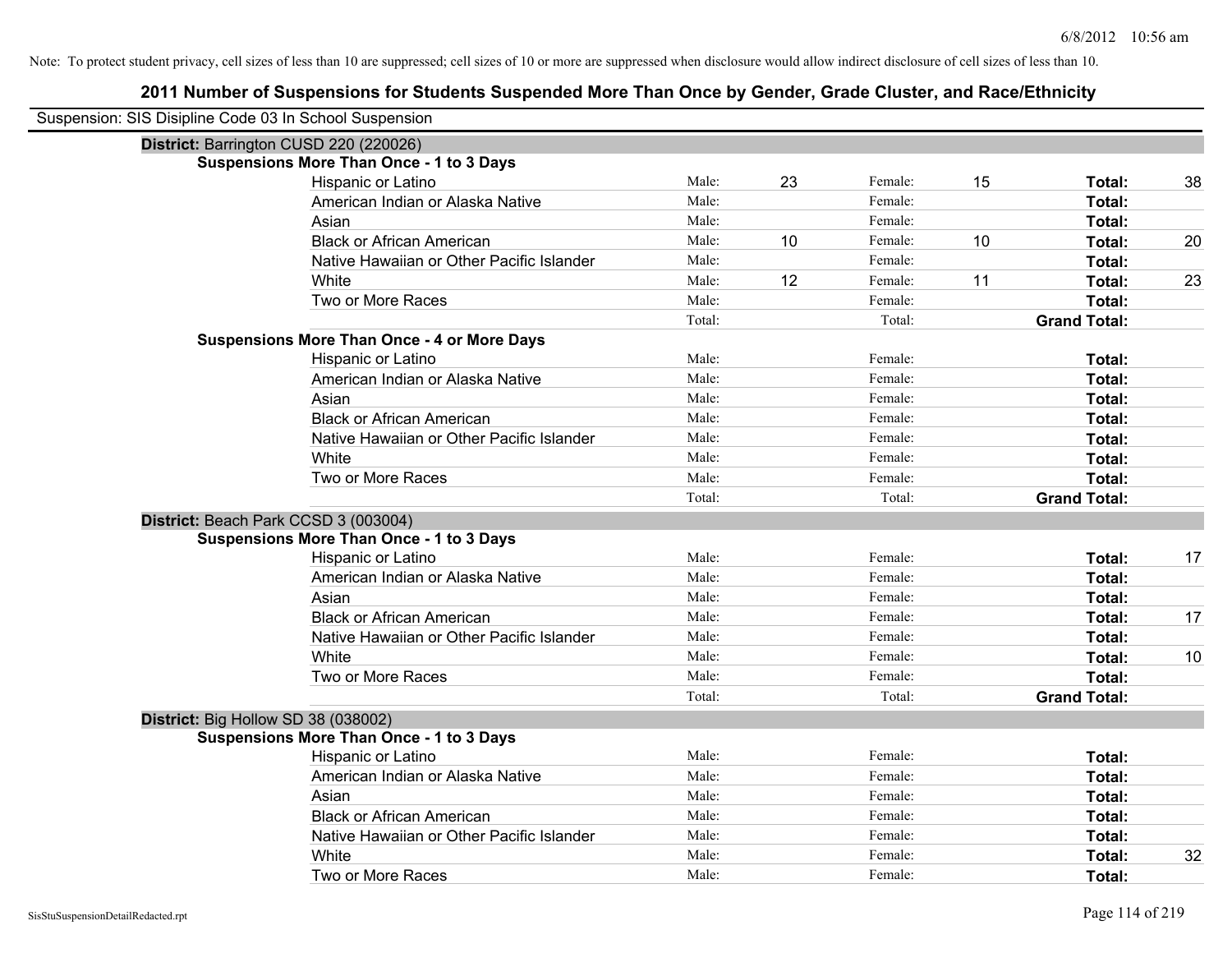| Suspension: SIS Disipline Code 03 In School Suspension |                                                    |        |    |         |    |                     |    |
|--------------------------------------------------------|----------------------------------------------------|--------|----|---------|----|---------------------|----|
| District: Barrington CUSD 220 (220026)                 |                                                    |        |    |         |    |                     |    |
|                                                        | <b>Suspensions More Than Once - 1 to 3 Days</b>    |        |    |         |    |                     |    |
|                                                        | Hispanic or Latino                                 | Male:  | 23 | Female: | 15 | Total:              | 38 |
|                                                        | American Indian or Alaska Native                   | Male:  |    | Female: |    | <b>Total:</b>       |    |
|                                                        | Asian                                              | Male:  |    | Female: |    | Total:              |    |
|                                                        | <b>Black or African American</b>                   | Male:  | 10 | Female: | 10 | Total:              | 20 |
|                                                        | Native Hawaiian or Other Pacific Islander          | Male:  |    | Female: |    | Total:              |    |
|                                                        | White                                              | Male:  | 12 | Female: | 11 | Total:              | 23 |
|                                                        | Two or More Races                                  | Male:  |    | Female: |    | Total:              |    |
|                                                        |                                                    | Total: |    | Total:  |    | <b>Grand Total:</b> |    |
|                                                        | <b>Suspensions More Than Once - 4 or More Days</b> |        |    |         |    |                     |    |
|                                                        | Hispanic or Latino                                 | Male:  |    | Female: |    | Total:              |    |
|                                                        | American Indian or Alaska Native                   | Male:  |    | Female: |    | Total:              |    |
|                                                        | Asian                                              | Male:  |    | Female: |    | Total:              |    |
|                                                        | <b>Black or African American</b>                   | Male:  |    | Female: |    | Total:              |    |
|                                                        | Native Hawaiian or Other Pacific Islander          | Male:  |    | Female: |    | Total:              |    |
|                                                        | White                                              | Male:  |    | Female: |    | Total:              |    |
|                                                        | Two or More Races                                  | Male:  |    | Female: |    | Total:              |    |
|                                                        |                                                    | Total: |    | Total:  |    | <b>Grand Total:</b> |    |
| District: Beach Park CCSD 3 (003004)                   |                                                    |        |    |         |    |                     |    |
|                                                        | <b>Suspensions More Than Once - 1 to 3 Days</b>    |        |    |         |    |                     |    |
|                                                        | Hispanic or Latino                                 | Male:  |    | Female: |    | Total:              | 17 |
|                                                        | American Indian or Alaska Native                   | Male:  |    | Female: |    | <b>Total:</b>       |    |
|                                                        | Asian                                              | Male:  |    | Female: |    | Total:              |    |
|                                                        | <b>Black or African American</b>                   | Male:  |    | Female: |    | Total:              | 17 |
|                                                        | Native Hawaiian or Other Pacific Islander          | Male:  |    | Female: |    | Total:              |    |
|                                                        | White                                              | Male:  |    | Female: |    | Total:              | 10 |
|                                                        | Two or More Races                                  | Male:  |    | Female: |    | <b>Total:</b>       |    |
|                                                        |                                                    | Total: |    | Total:  |    | <b>Grand Total:</b> |    |
| District: Big Hollow SD 38 (038002)                    |                                                    |        |    |         |    |                     |    |
|                                                        | <b>Suspensions More Than Once - 1 to 3 Days</b>    |        |    |         |    |                     |    |
|                                                        | Hispanic or Latino                                 | Male:  |    | Female: |    | Total:              |    |
|                                                        | American Indian or Alaska Native                   | Male:  |    | Female: |    | Total:              |    |
|                                                        | Asian                                              | Male:  |    | Female: |    | Total:              |    |
|                                                        | <b>Black or African American</b>                   | Male:  |    | Female: |    | Total:              |    |
|                                                        | Native Hawaiian or Other Pacific Islander          | Male:  |    | Female: |    | Total:              |    |
|                                                        | White                                              | Male:  |    | Female: |    | Total:              | 32 |
|                                                        | Two or More Races                                  | Male:  |    | Female: |    | Total:              |    |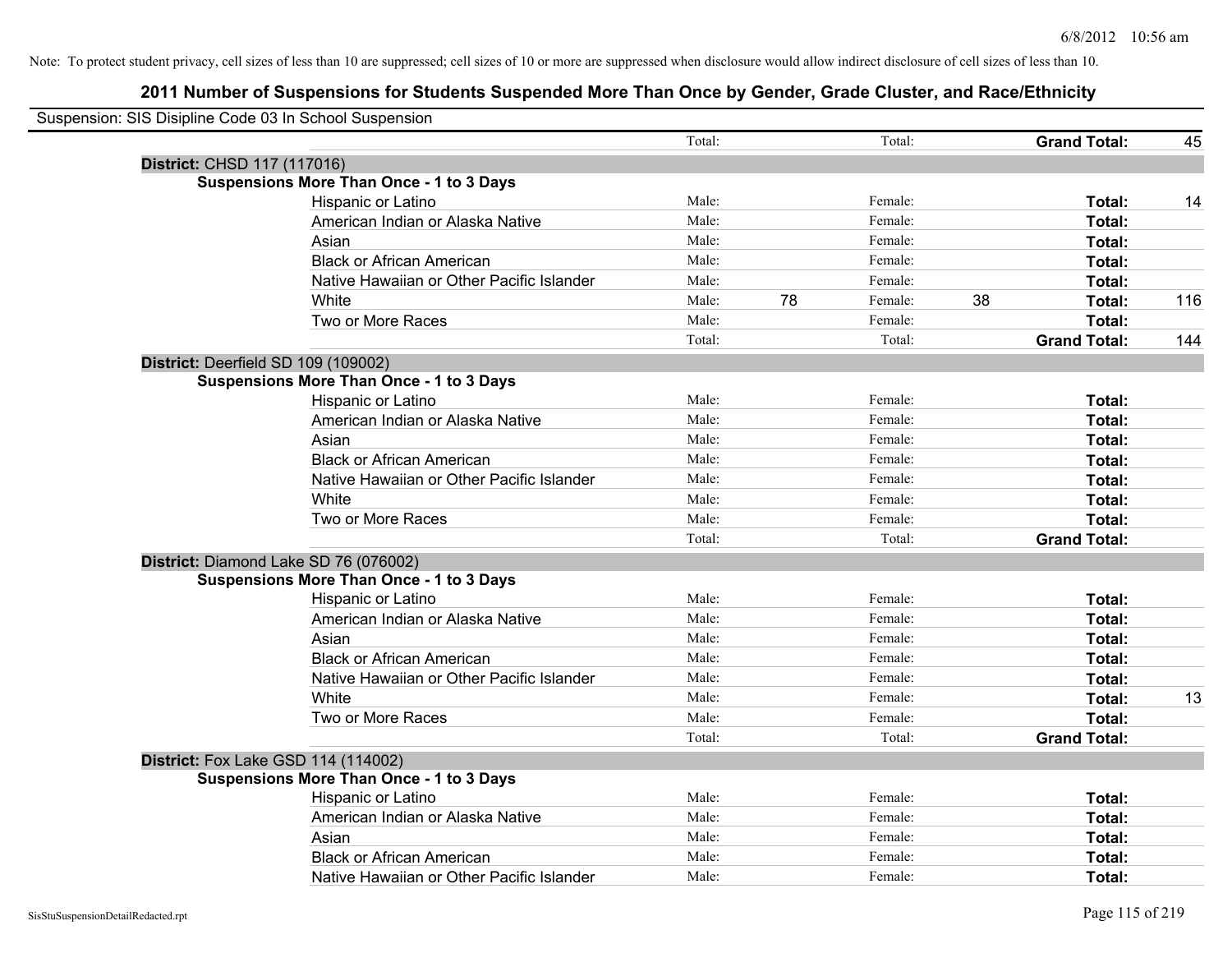| Suspension: SIS Disipline Code 03 In School Suspension |        |    |         |    |                     |     |
|--------------------------------------------------------|--------|----|---------|----|---------------------|-----|
|                                                        | Total: |    | Total:  |    | <b>Grand Total:</b> | 45  |
| District: CHSD 117 (117016)                            |        |    |         |    |                     |     |
| <b>Suspensions More Than Once - 1 to 3 Days</b>        |        |    |         |    |                     |     |
| Hispanic or Latino                                     | Male:  |    | Female: |    | Total:              | 14  |
| American Indian or Alaska Native                       | Male:  |    | Female: |    | Total:              |     |
| Asian                                                  | Male:  |    | Female: |    | Total:              |     |
| <b>Black or African American</b>                       | Male:  |    | Female: |    | Total:              |     |
| Native Hawaiian or Other Pacific Islander              | Male:  |    | Female: |    | Total:              |     |
| White                                                  | Male:  | 78 | Female: | 38 | Total:              | 116 |
| Two or More Races                                      | Male:  |    | Female: |    | Total:              |     |
|                                                        | Total: |    | Total:  |    | <b>Grand Total:</b> | 144 |
| District: Deerfield SD 109 (109002)                    |        |    |         |    |                     |     |
| <b>Suspensions More Than Once - 1 to 3 Days</b>        |        |    |         |    |                     |     |
| Hispanic or Latino                                     | Male:  |    | Female: |    | Total:              |     |
| American Indian or Alaska Native                       | Male:  |    | Female: |    | Total:              |     |
| Asian                                                  | Male:  |    | Female: |    | Total:              |     |
| <b>Black or African American</b>                       | Male:  |    | Female: |    | Total:              |     |
| Native Hawaiian or Other Pacific Islander              | Male:  |    | Female: |    | Total:              |     |
| White                                                  | Male:  |    | Female: |    | Total:              |     |
| Two or More Races                                      | Male:  |    | Female: |    | Total:              |     |
|                                                        | Total: |    | Total:  |    | <b>Grand Total:</b> |     |
| District: Diamond Lake SD 76 (076002)                  |        |    |         |    |                     |     |
| <b>Suspensions More Than Once - 1 to 3 Days</b>        |        |    |         |    |                     |     |
| Hispanic or Latino                                     | Male:  |    | Female: |    | Total:              |     |
| American Indian or Alaska Native                       | Male:  |    | Female: |    | Total:              |     |
| Asian                                                  | Male:  |    | Female: |    | Total:              |     |
| <b>Black or African American</b>                       | Male:  |    | Female: |    | Total:              |     |
| Native Hawaiian or Other Pacific Islander              | Male:  |    | Female: |    | Total:              |     |
| <b>White</b>                                           | Male:  |    | Female: |    | Total:              | 13  |
| Two or More Races                                      | Male:  |    | Female: |    | Total:              |     |
|                                                        | Total: |    | Total:  |    | <b>Grand Total:</b> |     |
| <b>District:</b> Fox Lake GSD 114 (114002)             |        |    |         |    |                     |     |
| <b>Suspensions More Than Once - 1 to 3 Days</b>        |        |    |         |    |                     |     |
| Hispanic or Latino                                     | Male:  |    | Female: |    | Total:              |     |
| American Indian or Alaska Native                       | Male:  |    | Female: |    | Total:              |     |
| Asian                                                  | Male:  |    | Female: |    | Total:              |     |
| <b>Black or African American</b>                       | Male:  |    | Female: |    | Total:              |     |
| Native Hawaiian or Other Pacific Islander              | Male:  |    | Female: |    | Total:              |     |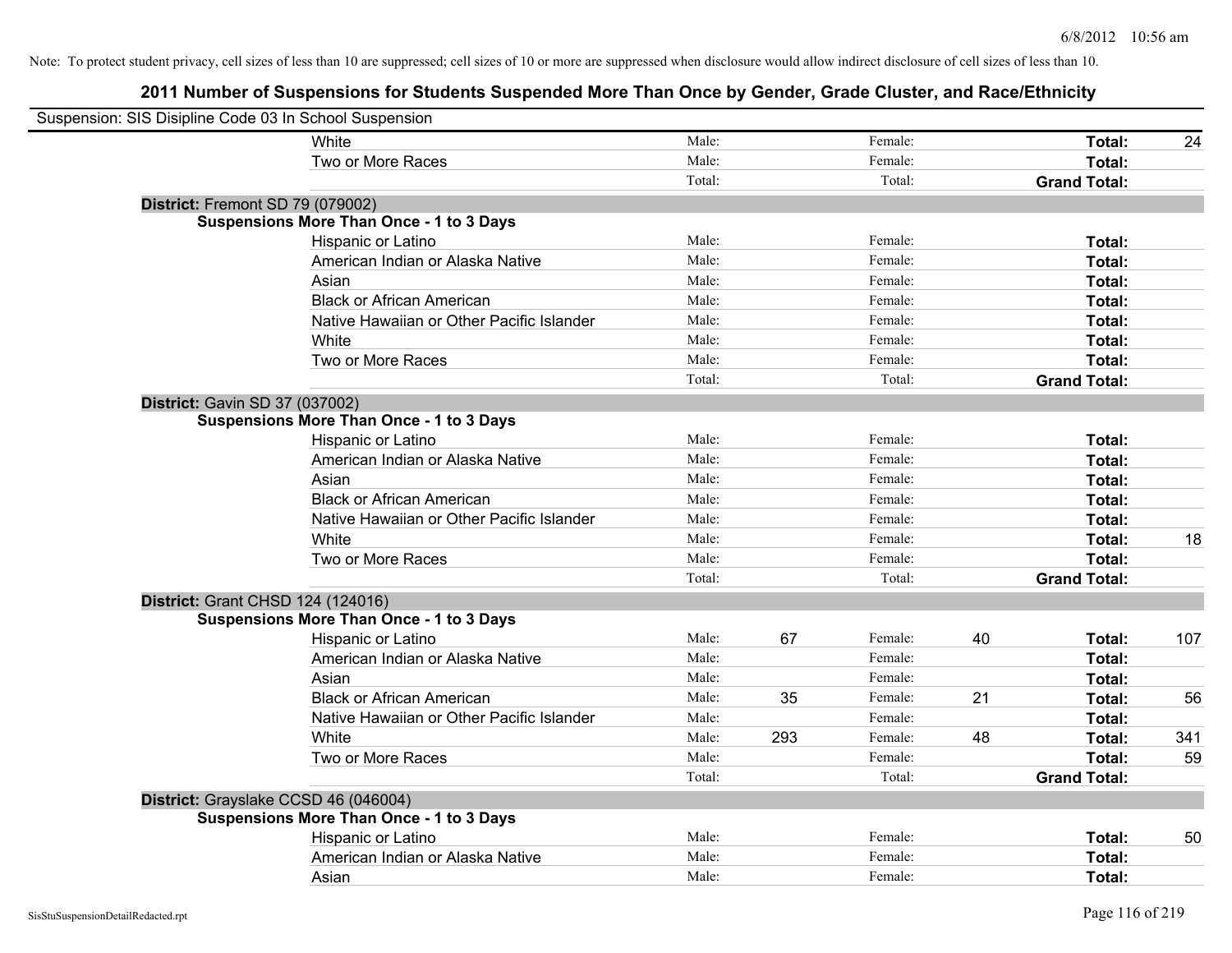| Suspension: SIS Disipline Code 03 In School Suspension |                                                 |        |     |         |    |                     |     |
|--------------------------------------------------------|-------------------------------------------------|--------|-----|---------|----|---------------------|-----|
|                                                        | White                                           | Male:  |     | Female: |    | Total:              | 24  |
|                                                        | Two or More Races                               | Male:  |     | Female: |    | Total:              |     |
|                                                        |                                                 | Total: |     | Total:  |    | <b>Grand Total:</b> |     |
| District: Fremont SD 79 (079002)                       |                                                 |        |     |         |    |                     |     |
|                                                        | <b>Suspensions More Than Once - 1 to 3 Days</b> |        |     |         |    |                     |     |
|                                                        | Hispanic or Latino                              | Male:  |     | Female: |    | Total:              |     |
|                                                        | American Indian or Alaska Native                | Male:  |     | Female: |    | Total:              |     |
|                                                        | Asian                                           | Male:  |     | Female: |    | Total:              |     |
|                                                        | <b>Black or African American</b>                | Male:  |     | Female: |    | Total:              |     |
|                                                        | Native Hawaiian or Other Pacific Islander       | Male:  |     | Female: |    | Total:              |     |
|                                                        | White                                           | Male:  |     | Female: |    | Total:              |     |
|                                                        | Two or More Races                               | Male:  |     | Female: |    | Total:              |     |
|                                                        |                                                 | Total: |     | Total:  |    | <b>Grand Total:</b> |     |
| District: Gavin SD 37 (037002)                         |                                                 |        |     |         |    |                     |     |
|                                                        | <b>Suspensions More Than Once - 1 to 3 Days</b> |        |     |         |    |                     |     |
|                                                        | Hispanic or Latino                              | Male:  |     | Female: |    | Total:              |     |
|                                                        | American Indian or Alaska Native                | Male:  |     | Female: |    | Total:              |     |
|                                                        | Asian                                           | Male:  |     | Female: |    | Total:              |     |
|                                                        | <b>Black or African American</b>                | Male:  |     | Female: |    | Total:              |     |
|                                                        | Native Hawaiian or Other Pacific Islander       | Male:  |     | Female: |    | Total:              |     |
|                                                        | White                                           | Male:  |     | Female: |    | Total:              | 18  |
|                                                        | Two or More Races                               | Male:  |     | Female: |    | Total:              |     |
|                                                        |                                                 | Total: |     | Total:  |    | <b>Grand Total:</b> |     |
| District: Grant CHSD 124 (124016)                      |                                                 |        |     |         |    |                     |     |
|                                                        | <b>Suspensions More Than Once - 1 to 3 Days</b> |        |     |         |    |                     |     |
|                                                        | Hispanic or Latino                              | Male:  | 67  | Female: | 40 | Total:              | 107 |
|                                                        | American Indian or Alaska Native                | Male:  |     | Female: |    | Total:              |     |
|                                                        | Asian                                           | Male:  |     | Female: |    | Total:              |     |
|                                                        | <b>Black or African American</b>                | Male:  | 35  | Female: | 21 | Total:              | 56  |
|                                                        | Native Hawaiian or Other Pacific Islander       | Male:  |     | Female: |    | Total:              |     |
|                                                        | White                                           | Male:  | 293 | Female: | 48 | Total:              | 341 |
|                                                        | Two or More Races                               | Male:  |     | Female: |    | Total:              | 59  |
|                                                        |                                                 | Total: |     | Total:  |    | <b>Grand Total:</b> |     |
| District: Grayslake CCSD 46 (046004)                   |                                                 |        |     |         |    |                     |     |
|                                                        | <b>Suspensions More Than Once - 1 to 3 Days</b> |        |     |         |    |                     |     |
|                                                        | Hispanic or Latino                              | Male:  |     | Female: |    | Total:              | 50  |
|                                                        | American Indian or Alaska Native                | Male:  |     | Female: |    | Total:              |     |
|                                                        | Asian                                           | Male:  |     | Female: |    | Total:              |     |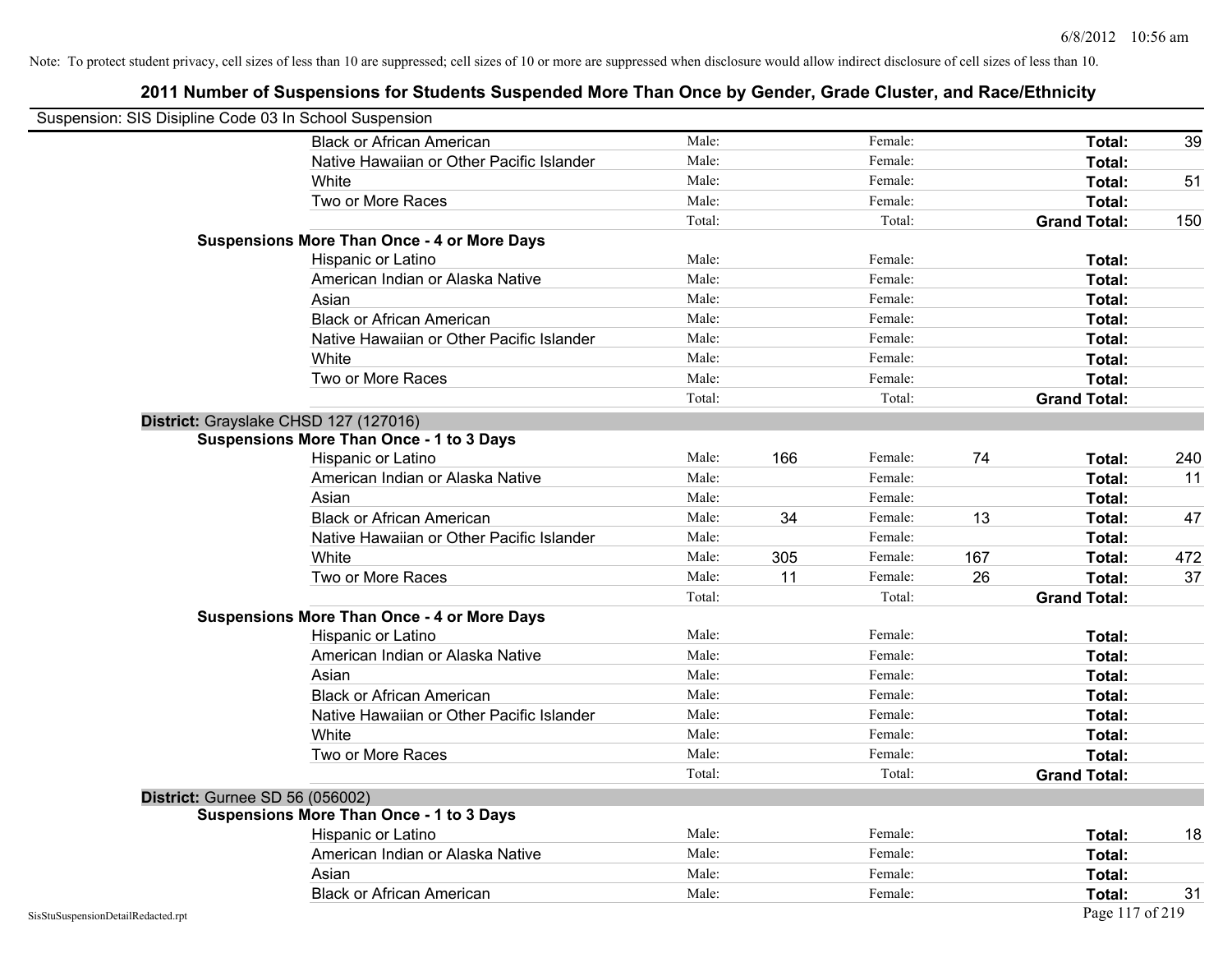| Suspension: SIS Disipline Code 03 In School Suspension |                                                    |        |     |         |     |                     |     |
|--------------------------------------------------------|----------------------------------------------------|--------|-----|---------|-----|---------------------|-----|
|                                                        | <b>Black or African American</b>                   | Male:  |     | Female: |     | Total:              | 39  |
|                                                        | Native Hawaiian or Other Pacific Islander          | Male:  |     | Female: |     | Total:              |     |
|                                                        | White                                              | Male:  |     | Female: |     | Total:              | 51  |
|                                                        | Two or More Races                                  | Male:  |     | Female: |     | Total:              |     |
|                                                        |                                                    | Total: |     | Total:  |     | <b>Grand Total:</b> | 150 |
|                                                        | <b>Suspensions More Than Once - 4 or More Days</b> |        |     |         |     |                     |     |
|                                                        | Hispanic or Latino                                 | Male:  |     | Female: |     | Total:              |     |
|                                                        | American Indian or Alaska Native                   | Male:  |     | Female: |     | Total:              |     |
|                                                        | Asian                                              | Male:  |     | Female: |     | Total:              |     |
|                                                        | <b>Black or African American</b>                   | Male:  |     | Female: |     | Total:              |     |
|                                                        | Native Hawaiian or Other Pacific Islander          | Male:  |     | Female: |     | Total:              |     |
|                                                        | White                                              | Male:  |     | Female: |     | Total:              |     |
|                                                        | Two or More Races                                  | Male:  |     | Female: |     | Total:              |     |
|                                                        |                                                    | Total: |     | Total:  |     | <b>Grand Total:</b> |     |
|                                                        | District: Grayslake CHSD 127 (127016)              |        |     |         |     |                     |     |
|                                                        | <b>Suspensions More Than Once - 1 to 3 Days</b>    |        |     |         |     |                     |     |
|                                                        | Hispanic or Latino                                 | Male:  | 166 | Female: | 74  | Total:              | 240 |
|                                                        | American Indian or Alaska Native                   | Male:  |     | Female: |     | Total:              | 11  |
|                                                        | Asian                                              | Male:  |     | Female: |     | Total:              |     |
|                                                        | <b>Black or African American</b>                   | Male:  | 34  | Female: | 13  | Total:              | 47  |
|                                                        | Native Hawaiian or Other Pacific Islander          | Male:  |     | Female: |     | Total:              |     |
|                                                        | White                                              | Male:  | 305 | Female: | 167 | Total:              | 472 |
|                                                        | Two or More Races                                  | Male:  | 11  | Female: | 26  | Total:              | 37  |
|                                                        |                                                    | Total: |     | Total:  |     | <b>Grand Total:</b> |     |
|                                                        | <b>Suspensions More Than Once - 4 or More Days</b> |        |     |         |     |                     |     |
|                                                        | Hispanic or Latino                                 | Male:  |     | Female: |     | Total:              |     |
|                                                        | American Indian or Alaska Native                   | Male:  |     | Female: |     | Total:              |     |
|                                                        | Asian                                              | Male:  |     | Female: |     | Total:              |     |
|                                                        | <b>Black or African American</b>                   | Male:  |     | Female: |     | Total:              |     |
|                                                        | Native Hawaiian or Other Pacific Islander          | Male:  |     | Female: |     | Total:              |     |
|                                                        | White                                              | Male:  |     | Female: |     | Total:              |     |
|                                                        | Two or More Races                                  | Male:  |     | Female: |     | Total:              |     |
|                                                        |                                                    | Total: |     | Total:  |     | <b>Grand Total:</b> |     |
| <b>District: Gurnee SD 56 (056002)</b>                 |                                                    |        |     |         |     |                     |     |
|                                                        | <b>Suspensions More Than Once - 1 to 3 Days</b>    |        |     |         |     |                     |     |
|                                                        | Hispanic or Latino                                 | Male:  |     | Female: |     | Total:              | 18  |
|                                                        | American Indian or Alaska Native                   | Male:  |     | Female: |     | Total:              |     |
|                                                        | Asian                                              | Male:  |     | Female: |     | Total:              |     |
|                                                        | <b>Black or African American</b>                   | Male:  |     | Female: |     | Total:              | 31  |
| SisStuSuspensionDetailRedacted.rpt                     |                                                    |        |     |         |     | Page 117 of 219     |     |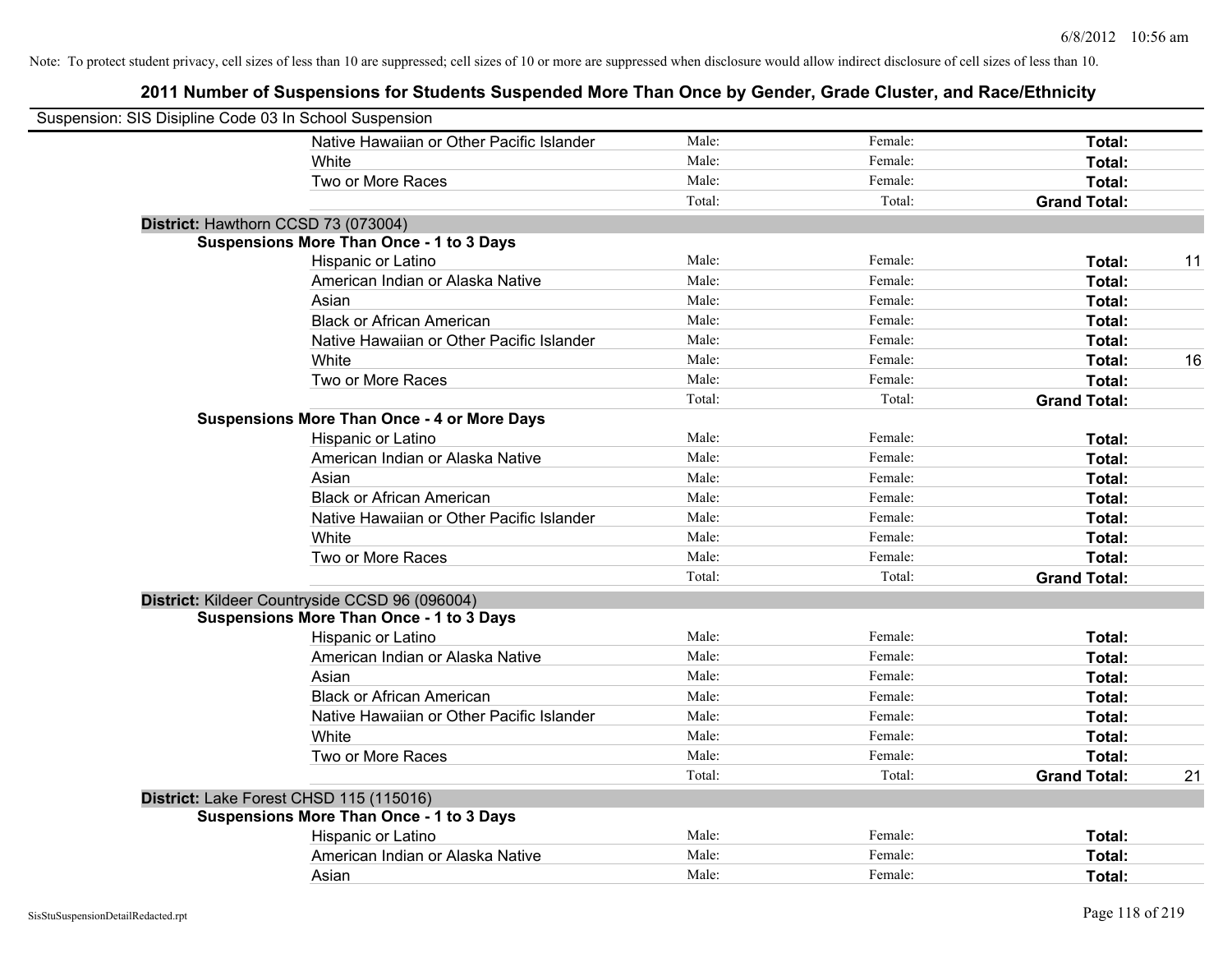| Suspension: SIS Disipline Code 03 In School Suspension |                                                    |        |         |                     |    |
|--------------------------------------------------------|----------------------------------------------------|--------|---------|---------------------|----|
|                                                        | Native Hawaiian or Other Pacific Islander          | Male:  | Female: | Total:              |    |
|                                                        | White                                              | Male:  | Female: | Total:              |    |
|                                                        | Two or More Races                                  | Male:  | Female: | Total:              |    |
|                                                        |                                                    | Total: | Total:  | <b>Grand Total:</b> |    |
| District: Hawthorn CCSD 73 (073004)                    |                                                    |        |         |                     |    |
|                                                        | <b>Suspensions More Than Once - 1 to 3 Days</b>    |        |         |                     |    |
|                                                        | Hispanic or Latino                                 | Male:  | Female: | Total:              | 11 |
|                                                        | American Indian or Alaska Native                   | Male:  | Female: | Total:              |    |
|                                                        | Asian                                              | Male:  | Female: | Total:              |    |
|                                                        | <b>Black or African American</b>                   | Male:  | Female: | Total:              |    |
|                                                        | Native Hawaiian or Other Pacific Islander          | Male:  | Female: | Total:              |    |
|                                                        | White                                              | Male:  | Female: | Total:              | 16 |
|                                                        | Two or More Races                                  | Male:  | Female: | Total:              |    |
|                                                        |                                                    | Total: | Total:  | <b>Grand Total:</b> |    |
|                                                        | <b>Suspensions More Than Once - 4 or More Days</b> |        |         |                     |    |
|                                                        | Hispanic or Latino                                 | Male:  | Female: | Total:              |    |
|                                                        | American Indian or Alaska Native                   | Male:  | Female: | Total:              |    |
|                                                        | Asian                                              | Male:  | Female: | Total:              |    |
|                                                        | <b>Black or African American</b>                   | Male:  | Female: | Total:              |    |
|                                                        | Native Hawaiian or Other Pacific Islander          | Male:  | Female: | Total:              |    |
|                                                        | White                                              | Male:  | Female: | Total:              |    |
|                                                        | Two or More Races                                  | Male:  | Female: | Total:              |    |
|                                                        |                                                    | Total: | Total:  | <b>Grand Total:</b> |    |
|                                                        | District: Kildeer Countryside CCSD 96 (096004)     |        |         |                     |    |
|                                                        | <b>Suspensions More Than Once - 1 to 3 Days</b>    |        |         |                     |    |
|                                                        | Hispanic or Latino                                 | Male:  | Female: | Total:              |    |
|                                                        | American Indian or Alaska Native                   | Male:  | Female: | Total:              |    |
|                                                        | Asian                                              | Male:  | Female: | Total:              |    |
|                                                        | <b>Black or African American</b>                   | Male:  | Female: | Total:              |    |
|                                                        | Native Hawaiian or Other Pacific Islander          | Male:  | Female: | Total:              |    |
|                                                        | White                                              | Male:  | Female: | Total:              |    |
|                                                        | Two or More Races                                  | Male:  | Female: | Total:              |    |
|                                                        |                                                    | Total: | Total:  | <b>Grand Total:</b> | 21 |
| District: Lake Forest CHSD 115 (115016)                |                                                    |        |         |                     |    |
|                                                        | <b>Suspensions More Than Once - 1 to 3 Days</b>    |        |         |                     |    |
|                                                        | Hispanic or Latino                                 | Male:  | Female: | Total:              |    |
|                                                        | American Indian or Alaska Native                   | Male:  | Female: | Total:              |    |
|                                                        | Asian                                              | Male:  | Female: | Total:              |    |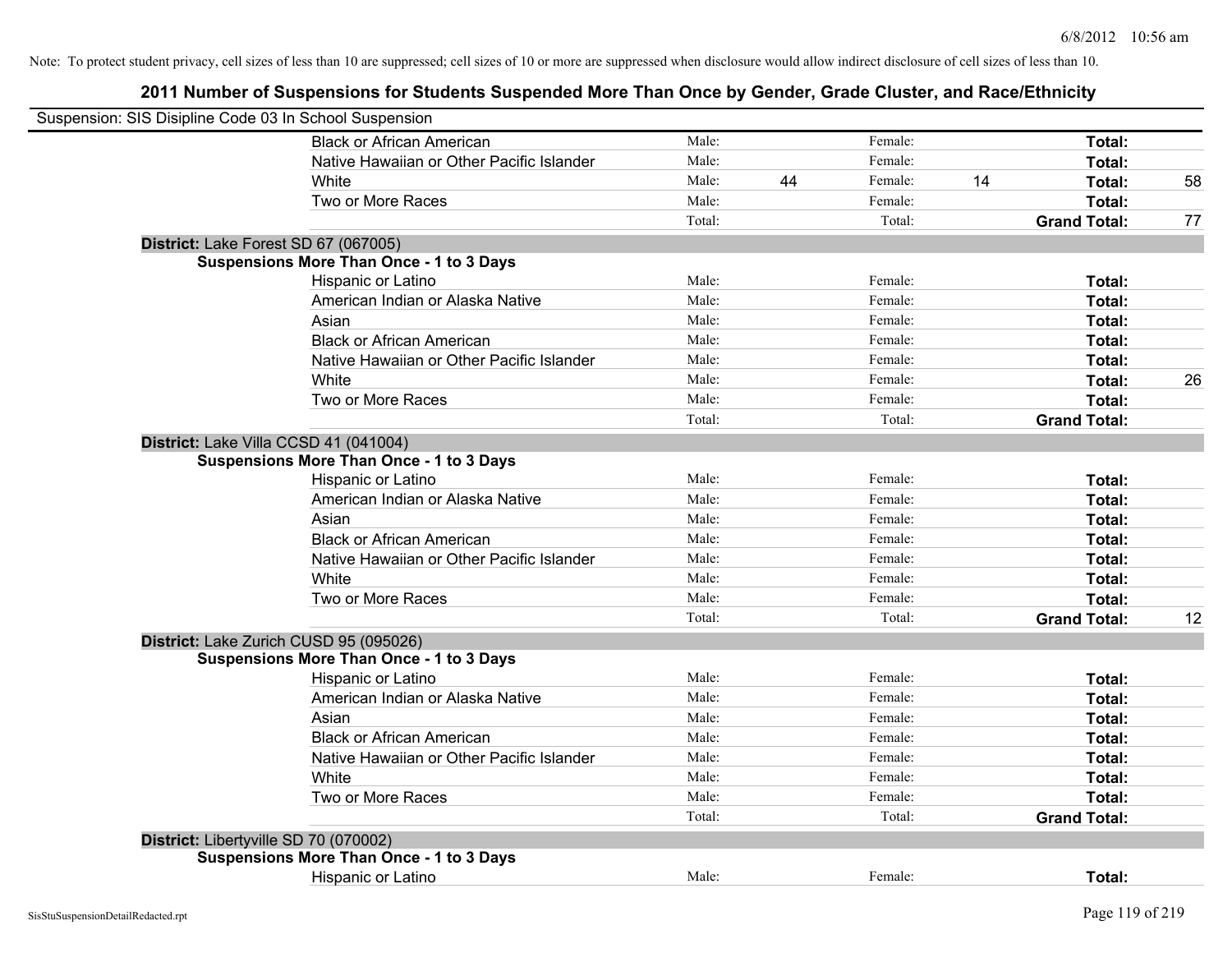| Suspension: SIS Disipline Code 03 In School Suspension |                                                 |        |    |         |    |                     |    |
|--------------------------------------------------------|-------------------------------------------------|--------|----|---------|----|---------------------|----|
|                                                        | <b>Black or African American</b>                | Male:  |    | Female: |    | Total:              |    |
|                                                        | Native Hawaiian or Other Pacific Islander       | Male:  |    | Female: |    | Total:              |    |
|                                                        | White                                           | Male:  | 44 | Female: | 14 | Total:              | 58 |
|                                                        | Two or More Races                               | Male:  |    | Female: |    | Total:              |    |
|                                                        |                                                 | Total: |    | Total:  |    | <b>Grand Total:</b> | 77 |
| District: Lake Forest SD 67 (067005)                   |                                                 |        |    |         |    |                     |    |
|                                                        | <b>Suspensions More Than Once - 1 to 3 Days</b> |        |    |         |    |                     |    |
|                                                        | Hispanic or Latino                              | Male:  |    | Female: |    | Total:              |    |
|                                                        | American Indian or Alaska Native                | Male:  |    | Female: |    | Total:              |    |
|                                                        | Asian                                           | Male:  |    | Female: |    | Total:              |    |
|                                                        | <b>Black or African American</b>                | Male:  |    | Female: |    | Total:              |    |
|                                                        | Native Hawaiian or Other Pacific Islander       | Male:  |    | Female: |    | Total:              |    |
|                                                        | White                                           | Male:  |    | Female: |    | Total:              | 26 |
|                                                        | Two or More Races                               | Male:  |    | Female: |    | Total:              |    |
|                                                        |                                                 | Total: |    | Total:  |    | <b>Grand Total:</b> |    |
| District: Lake Villa CCSD 41 (041004)                  |                                                 |        |    |         |    |                     |    |
|                                                        | <b>Suspensions More Than Once - 1 to 3 Days</b> |        |    |         |    |                     |    |
|                                                        | Hispanic or Latino                              | Male:  |    | Female: |    | Total:              |    |
|                                                        | American Indian or Alaska Native                | Male:  |    | Female: |    | Total:              |    |
|                                                        | Asian                                           | Male:  |    | Female: |    | Total:              |    |
|                                                        | <b>Black or African American</b>                | Male:  |    | Female: |    | Total:              |    |
|                                                        | Native Hawaiian or Other Pacific Islander       | Male:  |    | Female: |    | Total:              |    |
|                                                        | White                                           | Male:  |    | Female: |    | Total:              |    |
|                                                        | Two or More Races                               | Male:  |    | Female: |    | Total:              |    |
|                                                        |                                                 | Total: |    | Total:  |    | <b>Grand Total:</b> | 12 |
|                                                        | District: Lake Zurich CUSD 95 (095026)          |        |    |         |    |                     |    |
|                                                        | <b>Suspensions More Than Once - 1 to 3 Days</b> |        |    |         |    |                     |    |
|                                                        | Hispanic or Latino                              | Male:  |    | Female: |    | Total:              |    |
|                                                        | American Indian or Alaska Native                | Male:  |    | Female: |    | Total:              |    |
|                                                        | Asian                                           | Male:  |    | Female: |    | Total:              |    |
|                                                        | <b>Black or African American</b>                | Male:  |    | Female: |    | Total:              |    |
|                                                        | Native Hawaiian or Other Pacific Islander       | Male:  |    | Female: |    | Total:              |    |
|                                                        | White                                           | Male:  |    | Female: |    | Total:              |    |
|                                                        | Two or More Races                               | Male:  |    | Female: |    | Total:              |    |
|                                                        |                                                 | Total: |    | Total:  |    | <b>Grand Total:</b> |    |
| District: Libertyville SD 70 (070002)                  |                                                 |        |    |         |    |                     |    |
|                                                        | <b>Suspensions More Than Once - 1 to 3 Days</b> |        |    |         |    |                     |    |
|                                                        | Hispanic or Latino                              | Male:  |    | Female: |    | Total:              |    |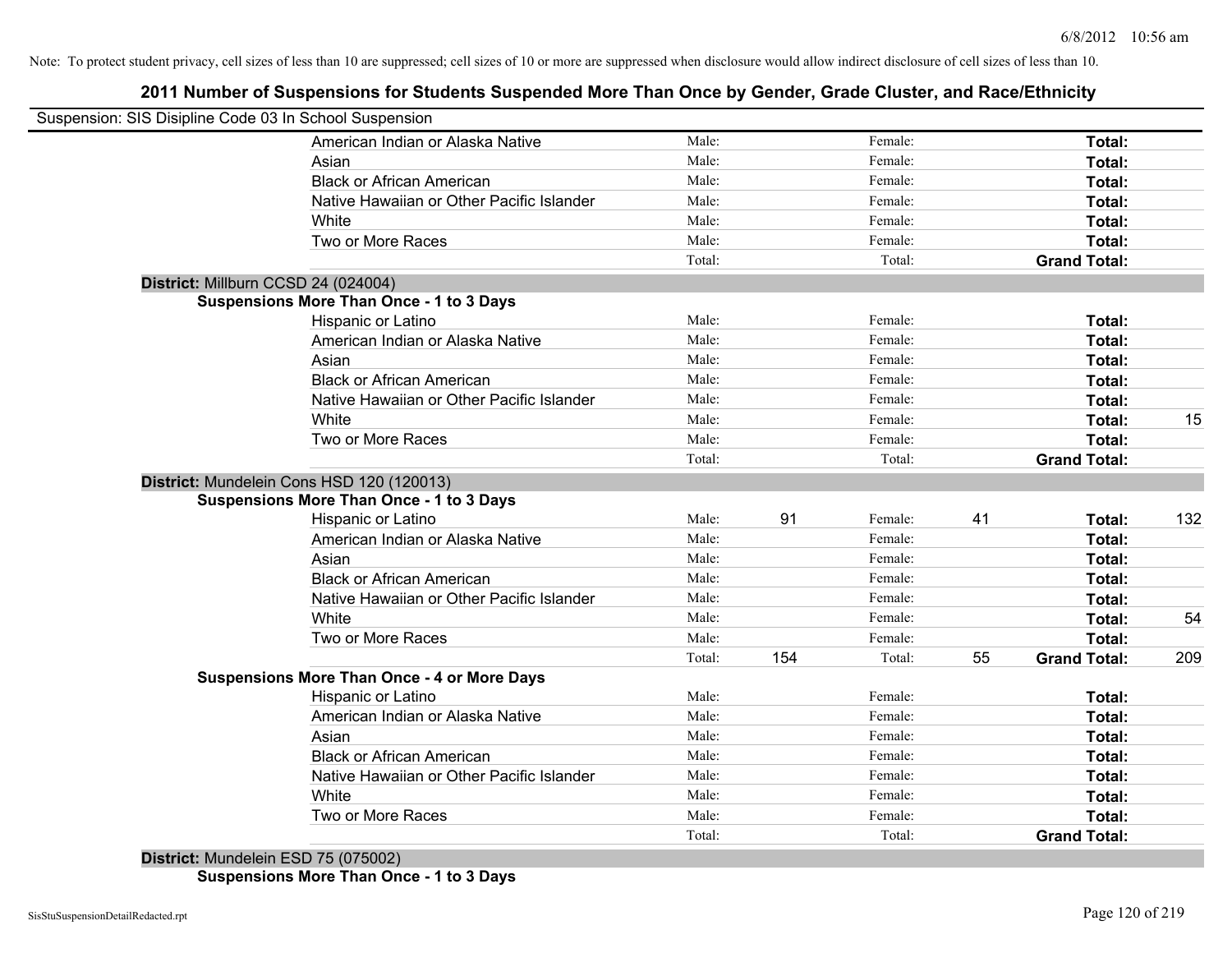# **2011 Number of Suspensions for Students Suspended More Than Once by Gender, Grade Cluster, and Race/Ethnicity**

| Suspension: SIS Disipline Code 03 In School Suspension |                                                    |        |     |         |    |                     |     |
|--------------------------------------------------------|----------------------------------------------------|--------|-----|---------|----|---------------------|-----|
|                                                        | American Indian or Alaska Native                   | Male:  |     | Female: |    | Total:              |     |
|                                                        | Asian                                              | Male:  |     | Female: |    | Total:              |     |
|                                                        | <b>Black or African American</b>                   | Male:  |     | Female: |    | Total:              |     |
|                                                        | Native Hawaiian or Other Pacific Islander          | Male:  |     | Female: |    | Total:              |     |
|                                                        | White                                              | Male:  |     | Female: |    | Total:              |     |
|                                                        | Two or More Races                                  | Male:  |     | Female: |    | Total:              |     |
|                                                        |                                                    | Total: |     | Total:  |    | <b>Grand Total:</b> |     |
|                                                        | District: Millburn CCSD 24 (024004)                |        |     |         |    |                     |     |
|                                                        | <b>Suspensions More Than Once - 1 to 3 Days</b>    |        |     |         |    |                     |     |
|                                                        | Hispanic or Latino                                 | Male:  |     | Female: |    | Total:              |     |
|                                                        | American Indian or Alaska Native                   | Male:  |     | Female: |    | Total:              |     |
|                                                        | Asian                                              | Male:  |     | Female: |    | Total:              |     |
|                                                        | <b>Black or African American</b>                   | Male:  |     | Female: |    | Total:              |     |
|                                                        | Native Hawaiian or Other Pacific Islander          | Male:  |     | Female: |    | Total:              |     |
|                                                        | White                                              | Male:  |     | Female: |    | Total:              | 15  |
|                                                        | Two or More Races                                  | Male:  |     | Female: |    | <b>Total:</b>       |     |
|                                                        |                                                    | Total: |     | Total:  |    | <b>Grand Total:</b> |     |
|                                                        | District: Mundelein Cons HSD 120 (120013)          |        |     |         |    |                     |     |
|                                                        | <b>Suspensions More Than Once - 1 to 3 Days</b>    |        |     |         |    |                     |     |
|                                                        | Hispanic or Latino                                 | Male:  | 91  | Female: | 41 | Total:              | 132 |
|                                                        | American Indian or Alaska Native                   | Male:  |     | Female: |    | Total:              |     |
|                                                        | Asian                                              | Male:  |     | Female: |    | Total:              |     |
|                                                        | <b>Black or African American</b>                   | Male:  |     | Female: |    | Total:              |     |
|                                                        | Native Hawaiian or Other Pacific Islander          | Male:  |     | Female: |    | Total:              |     |
|                                                        | White                                              | Male:  |     | Female: |    | Total:              | 54  |
|                                                        | Two or More Races                                  | Male:  |     | Female: |    | Total:              |     |
|                                                        |                                                    | Total: | 154 | Total:  | 55 | <b>Grand Total:</b> | 209 |
|                                                        | <b>Suspensions More Than Once - 4 or More Days</b> |        |     |         |    |                     |     |
|                                                        | Hispanic or Latino                                 | Male:  |     | Female: |    | Total:              |     |
|                                                        | American Indian or Alaska Native                   | Male:  |     | Female: |    | Total:              |     |
|                                                        | Asian                                              | Male:  |     | Female: |    | Total:              |     |
|                                                        | <b>Black or African American</b>                   | Male:  |     | Female: |    | Total:              |     |
|                                                        | Native Hawaiian or Other Pacific Islander          | Male:  |     | Female: |    | Total:              |     |
|                                                        | White                                              | Male:  |     | Female: |    | Total:              |     |
|                                                        | Two or More Races                                  | Male:  |     | Female: |    | Total:              |     |
|                                                        | $D_{i}$ , this t. Musslein $FOP$ 75 (075000)       | Total: |     | Total:  |    | <b>Grand Total:</b> |     |
|                                                        |                                                    |        |     |         |    |                     |     |

**District:** Mundelein ESD 75 (075002) **Suspensions More Than Once - 1 to 3 Days**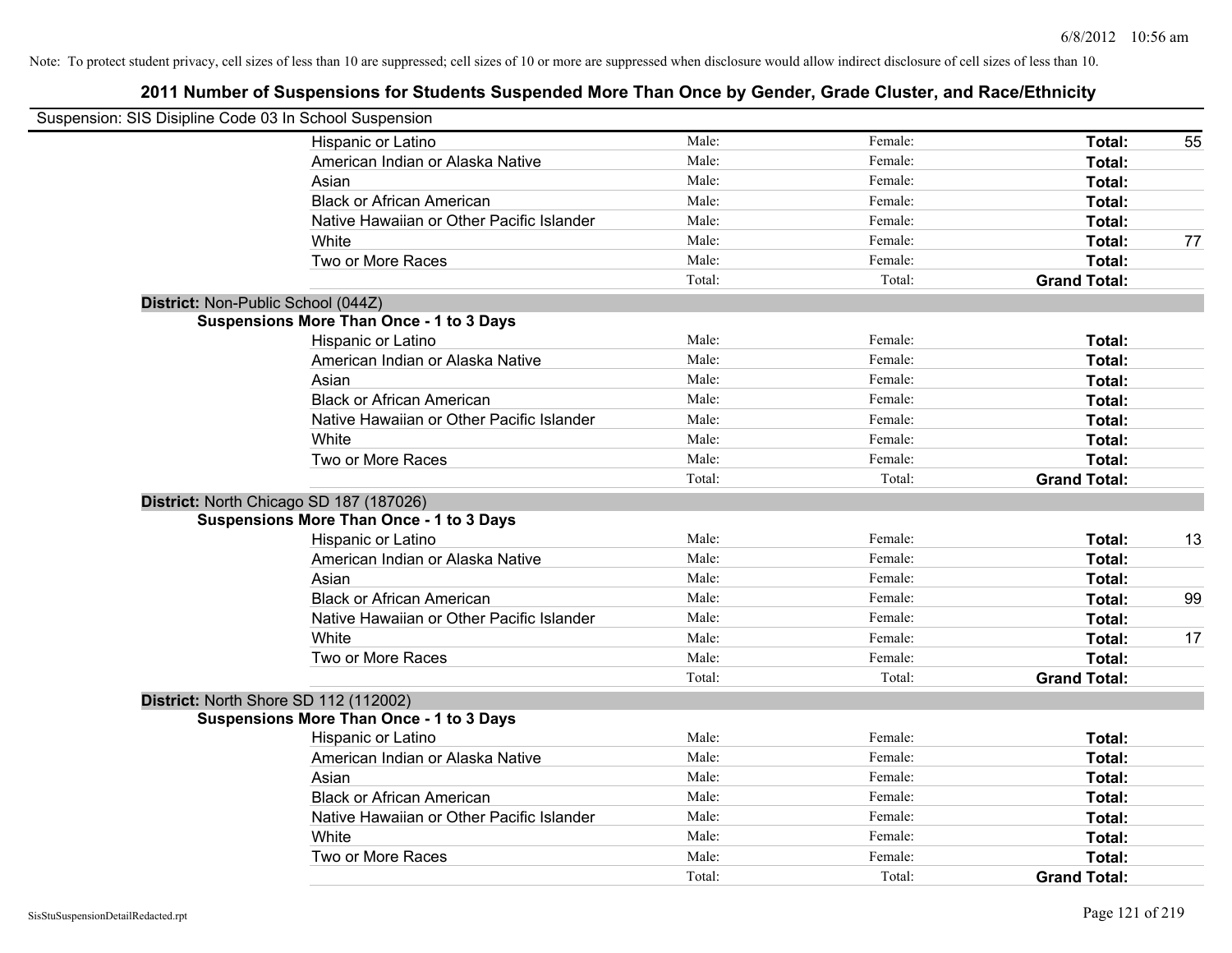| Suspension: SIS Disipline Code 03 In School Suspension |                                                 |        |         |                     |    |
|--------------------------------------------------------|-------------------------------------------------|--------|---------|---------------------|----|
|                                                        | Hispanic or Latino                              | Male:  | Female: | Total:              | 55 |
|                                                        | American Indian or Alaska Native                | Male:  | Female: | Total:              |    |
|                                                        | Asian                                           | Male:  | Female: | Total:              |    |
|                                                        | <b>Black or African American</b>                | Male:  | Female: | Total:              |    |
|                                                        | Native Hawaiian or Other Pacific Islander       | Male:  | Female: | Total:              |    |
|                                                        | White                                           | Male:  | Female: | Total:              | 77 |
|                                                        | Two or More Races                               | Male:  | Female: | Total:              |    |
|                                                        |                                                 | Total: | Total:  | <b>Grand Total:</b> |    |
| District: Non-Public School (044Z)                     |                                                 |        |         |                     |    |
|                                                        | <b>Suspensions More Than Once - 1 to 3 Days</b> |        |         |                     |    |
|                                                        | Hispanic or Latino                              | Male:  | Female: | Total:              |    |
|                                                        | American Indian or Alaska Native                | Male:  | Female: | Total:              |    |
|                                                        | Asian                                           | Male:  | Female: | Total:              |    |
|                                                        | <b>Black or African American</b>                | Male:  | Female: | Total:              |    |
|                                                        | Native Hawaiian or Other Pacific Islander       | Male:  | Female: | Total:              |    |
|                                                        | White                                           | Male:  | Female: | Total:              |    |
|                                                        | Two or More Races                               | Male:  | Female: | Total:              |    |
|                                                        |                                                 | Total: | Total:  | <b>Grand Total:</b> |    |
|                                                        | District: North Chicago SD 187 (187026)         |        |         |                     |    |
|                                                        | <b>Suspensions More Than Once - 1 to 3 Days</b> |        |         |                     |    |
|                                                        | Hispanic or Latino                              | Male:  | Female: | Total:              | 13 |
|                                                        | American Indian or Alaska Native                | Male:  | Female: | Total:              |    |
|                                                        | Asian                                           | Male:  | Female: | Total:              |    |
|                                                        | <b>Black or African American</b>                | Male:  | Female: | Total:              | 99 |
|                                                        | Native Hawaiian or Other Pacific Islander       | Male:  | Female: | Total:              |    |
|                                                        | White                                           | Male:  | Female: | Total:              | 17 |
|                                                        | Two or More Races                               | Male:  | Female: | Total:              |    |
|                                                        |                                                 | Total: | Total:  | <b>Grand Total:</b> |    |
|                                                        | District: North Shore SD 112 (112002)           |        |         |                     |    |
|                                                        | <b>Suspensions More Than Once - 1 to 3 Days</b> |        |         |                     |    |
|                                                        | Hispanic or Latino                              | Male:  | Female: | Total:              |    |
|                                                        | American Indian or Alaska Native                | Male:  | Female: | Total:              |    |
|                                                        | Asian                                           | Male:  | Female: | Total:              |    |
|                                                        | <b>Black or African American</b>                | Male:  | Female: | Total:              |    |
|                                                        | Native Hawaiian or Other Pacific Islander       | Male:  | Female: | Total:              |    |
|                                                        | White                                           | Male:  | Female: | Total:              |    |
|                                                        | Two or More Races                               | Male:  | Female: | Total:              |    |
|                                                        |                                                 | Total: | Total:  | <b>Grand Total:</b> |    |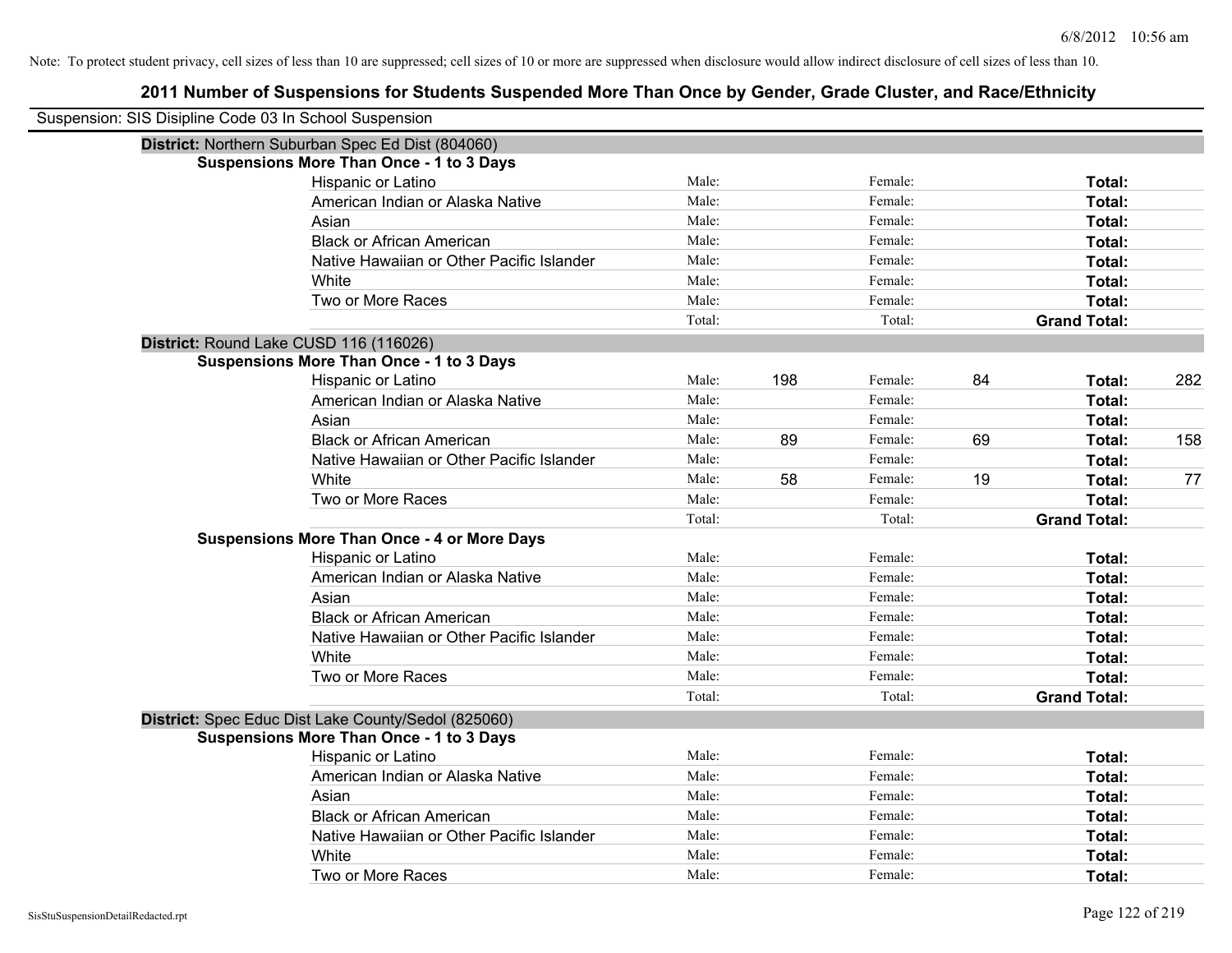| Suspension: SIS Disipline Code 03 In School Suspension |                                                     |        |     |         |    |                     |     |
|--------------------------------------------------------|-----------------------------------------------------|--------|-----|---------|----|---------------------|-----|
|                                                        | District: Northern Suburban Spec Ed Dist (804060)   |        |     |         |    |                     |     |
|                                                        | <b>Suspensions More Than Once - 1 to 3 Days</b>     |        |     |         |    |                     |     |
|                                                        | Hispanic or Latino                                  | Male:  |     | Female: |    | Total:              |     |
|                                                        | American Indian or Alaska Native                    | Male:  |     | Female: |    | Total:              |     |
|                                                        | Asian                                               | Male:  |     | Female: |    | Total:              |     |
|                                                        | <b>Black or African American</b>                    | Male:  |     | Female: |    | Total:              |     |
|                                                        | Native Hawaiian or Other Pacific Islander           | Male:  |     | Female: |    | Total:              |     |
|                                                        | White                                               | Male:  |     | Female: |    | Total:              |     |
|                                                        | Two or More Races                                   | Male:  |     | Female: |    | Total:              |     |
|                                                        |                                                     | Total: |     | Total:  |    | <b>Grand Total:</b> |     |
|                                                        | District: Round Lake CUSD 116 (116026)              |        |     |         |    |                     |     |
|                                                        | <b>Suspensions More Than Once - 1 to 3 Days</b>     |        |     |         |    |                     |     |
|                                                        | Hispanic or Latino                                  | Male:  | 198 | Female: | 84 | Total:              | 282 |
|                                                        | American Indian or Alaska Native                    | Male:  |     | Female: |    | Total:              |     |
|                                                        | Asian                                               | Male:  |     | Female: |    | Total:              |     |
|                                                        | <b>Black or African American</b>                    | Male:  | 89  | Female: | 69 | Total:              | 158 |
|                                                        | Native Hawaiian or Other Pacific Islander           | Male:  |     | Female: |    | Total:              |     |
|                                                        | White                                               | Male:  | 58  | Female: | 19 | Total:              | 77  |
|                                                        | Two or More Races                                   | Male:  |     | Female: |    | Total:              |     |
|                                                        |                                                     | Total: |     | Total:  |    | <b>Grand Total:</b> |     |
|                                                        | <b>Suspensions More Than Once - 4 or More Days</b>  |        |     |         |    |                     |     |
|                                                        | Hispanic or Latino                                  | Male:  |     | Female: |    | Total:              |     |
|                                                        | American Indian or Alaska Native                    | Male:  |     | Female: |    | Total:              |     |
|                                                        | Asian                                               | Male:  |     | Female: |    | Total:              |     |
|                                                        | <b>Black or African American</b>                    | Male:  |     | Female: |    | Total:              |     |
|                                                        | Native Hawaiian or Other Pacific Islander           | Male:  |     | Female: |    | Total:              |     |
|                                                        | White                                               | Male:  |     | Female: |    | Total:              |     |
|                                                        | Two or More Races                                   | Male:  |     | Female: |    | Total:              |     |
|                                                        |                                                     | Total: |     | Total:  |    | <b>Grand Total:</b> |     |
|                                                        | District: Spec Educ Dist Lake County/Sedol (825060) |        |     |         |    |                     |     |
|                                                        | <b>Suspensions More Than Once - 1 to 3 Days</b>     |        |     |         |    |                     |     |
|                                                        | Hispanic or Latino                                  | Male:  |     | Female: |    | Total:              |     |
|                                                        | American Indian or Alaska Native                    | Male:  |     | Female: |    | Total:              |     |
|                                                        | Asian                                               | Male:  |     | Female: |    | Total:              |     |
|                                                        | <b>Black or African American</b>                    | Male:  |     | Female: |    | Total:              |     |
|                                                        | Native Hawaiian or Other Pacific Islander           | Male:  |     | Female: |    | Total:              |     |
|                                                        | White                                               | Male:  |     | Female: |    | Total:              |     |
|                                                        | Two or More Races                                   | Male:  |     | Female: |    | Total:              |     |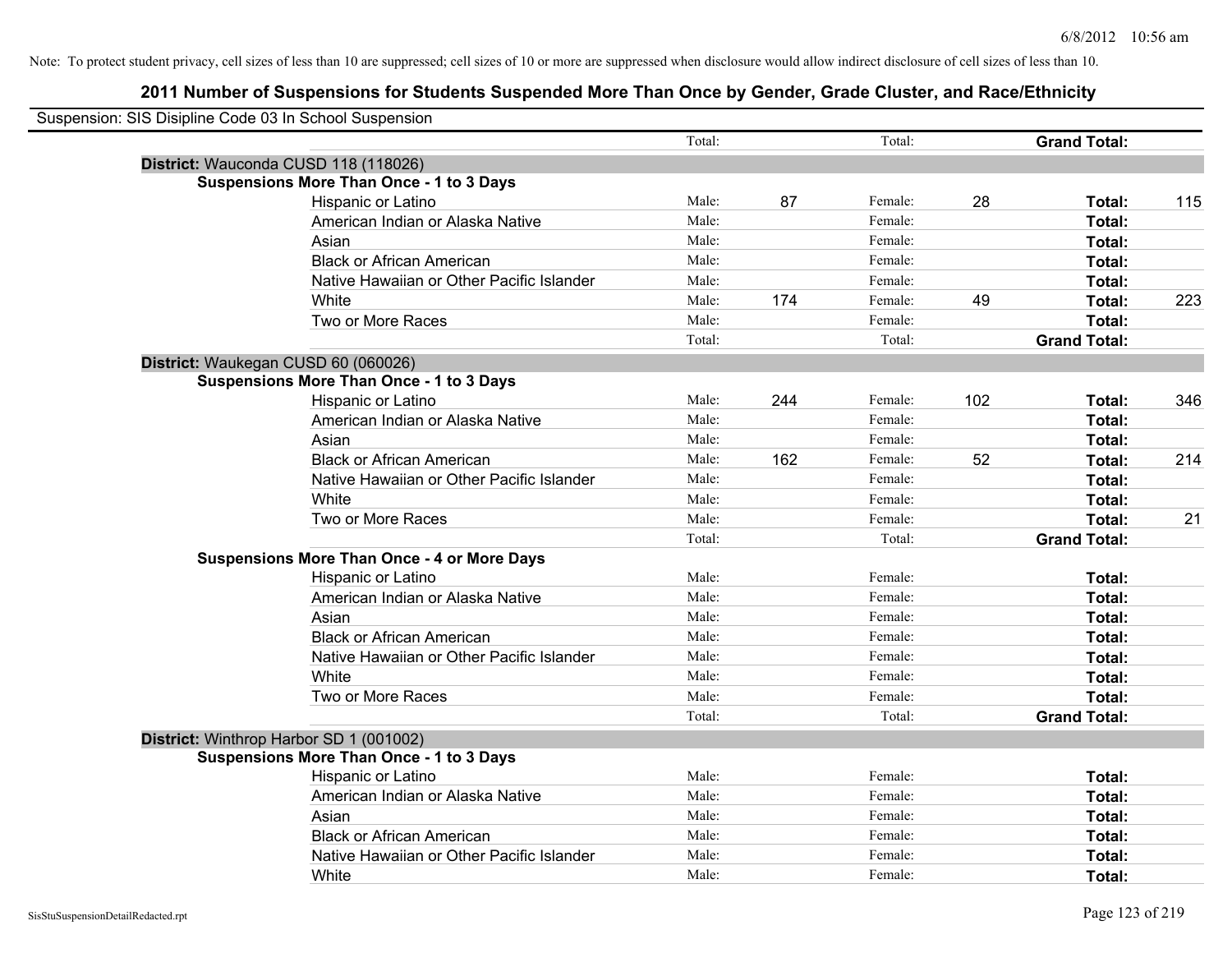| Suspension: SIS Disipline Code 03 In School Suspension |                                                    |        |     |         |     |                     |     |
|--------------------------------------------------------|----------------------------------------------------|--------|-----|---------|-----|---------------------|-----|
|                                                        |                                                    | Total: |     | Total:  |     | <b>Grand Total:</b> |     |
|                                                        | District: Wauconda CUSD 118 (118026)               |        |     |         |     |                     |     |
|                                                        | <b>Suspensions More Than Once - 1 to 3 Days</b>    |        |     |         |     |                     |     |
|                                                        | Hispanic or Latino                                 | Male:  | 87  | Female: | 28  | Total:              | 115 |
|                                                        | American Indian or Alaska Native                   | Male:  |     | Female: |     | <b>Total:</b>       |     |
|                                                        | Asian                                              | Male:  |     | Female: |     | <b>Total:</b>       |     |
|                                                        | <b>Black or African American</b>                   | Male:  |     | Female: |     | Total:              |     |
|                                                        | Native Hawaiian or Other Pacific Islander          | Male:  |     | Female: |     | Total:              |     |
|                                                        | White                                              | Male:  | 174 | Female: | 49  | Total:              | 223 |
|                                                        | Two or More Races                                  | Male:  |     | Female: |     | Total:              |     |
|                                                        |                                                    | Total: |     | Total:  |     | <b>Grand Total:</b> |     |
|                                                        | District: Waukegan CUSD 60 (060026)                |        |     |         |     |                     |     |
|                                                        | <b>Suspensions More Than Once - 1 to 3 Days</b>    |        |     |         |     |                     |     |
|                                                        | Hispanic or Latino                                 | Male:  | 244 | Female: | 102 | Total:              | 346 |
|                                                        | American Indian or Alaska Native                   | Male:  |     | Female: |     | Total:              |     |
|                                                        | Asian                                              | Male:  |     | Female: |     | Total:              |     |
|                                                        | <b>Black or African American</b>                   | Male:  | 162 | Female: | 52  | Total:              | 214 |
|                                                        | Native Hawaiian or Other Pacific Islander          | Male:  |     | Female: |     | Total:              |     |
|                                                        | White                                              | Male:  |     | Female: |     | Total:              |     |
|                                                        | Two or More Races                                  | Male:  |     | Female: |     | Total:              | 21  |
|                                                        |                                                    | Total: |     | Total:  |     | <b>Grand Total:</b> |     |
|                                                        | <b>Suspensions More Than Once - 4 or More Days</b> |        |     |         |     |                     |     |
|                                                        | Hispanic or Latino                                 | Male:  |     | Female: |     | Total:              |     |
|                                                        | American Indian or Alaska Native                   | Male:  |     | Female: |     | <b>Total:</b>       |     |
|                                                        | Asian                                              | Male:  |     | Female: |     | Total:              |     |
|                                                        | <b>Black or African American</b>                   | Male:  |     | Female: |     | Total:              |     |
|                                                        | Native Hawaiian or Other Pacific Islander          | Male:  |     | Female: |     | Total:              |     |
|                                                        | White                                              | Male:  |     | Female: |     | Total:              |     |
|                                                        | Two or More Races                                  | Male:  |     | Female: |     | Total:              |     |
|                                                        |                                                    | Total: |     | Total:  |     | <b>Grand Total:</b> |     |
|                                                        | District: Winthrop Harbor SD 1 (001002)            |        |     |         |     |                     |     |
|                                                        | <b>Suspensions More Than Once - 1 to 3 Days</b>    |        |     |         |     |                     |     |
|                                                        | Hispanic or Latino                                 | Male:  |     | Female: |     | Total:              |     |
|                                                        | American Indian or Alaska Native                   | Male:  |     | Female: |     | Total:              |     |
|                                                        | Asian                                              | Male:  |     | Female: |     | Total:              |     |
|                                                        | <b>Black or African American</b>                   | Male:  |     | Female: |     | Total:              |     |
|                                                        | Native Hawaiian or Other Pacific Islander          | Male:  |     | Female: |     | Total:              |     |
|                                                        | White                                              | Male:  |     | Female: |     | Total:              |     |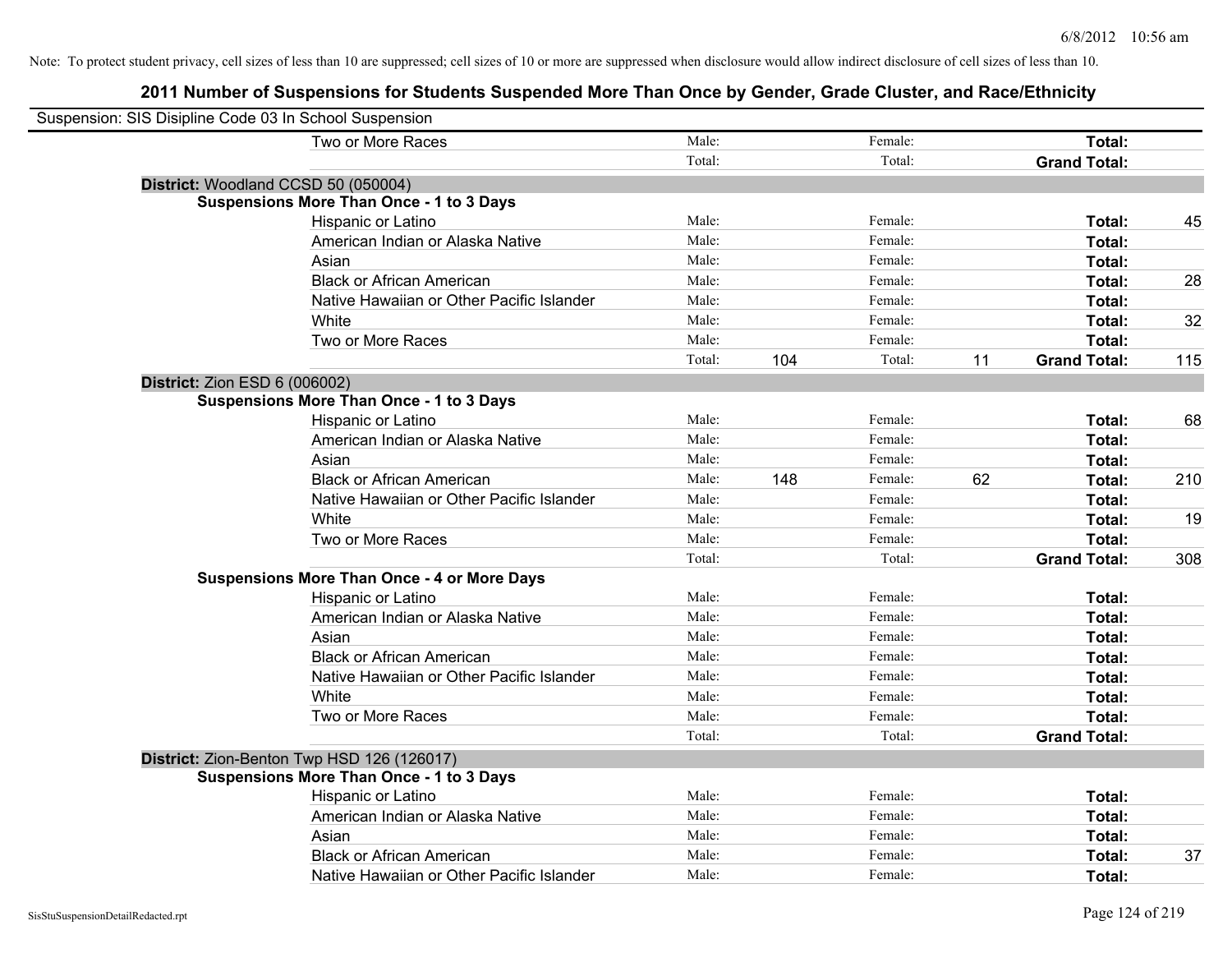| Suspension: SIS Disipline Code 03 In School Suspension |                                                    |        |     |         |    |                     |     |
|--------------------------------------------------------|----------------------------------------------------|--------|-----|---------|----|---------------------|-----|
|                                                        | Two or More Races                                  | Male:  |     | Female: |    | Total:              |     |
|                                                        |                                                    | Total: |     | Total:  |    | <b>Grand Total:</b> |     |
| District: Woodland CCSD 50 (050004)                    |                                                    |        |     |         |    |                     |     |
|                                                        | <b>Suspensions More Than Once - 1 to 3 Days</b>    |        |     |         |    |                     |     |
|                                                        | Hispanic or Latino                                 | Male:  |     | Female: |    | Total:              | 45  |
|                                                        | American Indian or Alaska Native                   | Male:  |     | Female: |    | Total:              |     |
|                                                        | Asian                                              | Male:  |     | Female: |    | Total:              |     |
|                                                        | <b>Black or African American</b>                   | Male:  |     | Female: |    | Total:              | 28  |
|                                                        | Native Hawaiian or Other Pacific Islander          | Male:  |     | Female: |    | Total:              |     |
|                                                        | White                                              | Male:  |     | Female: |    | Total:              | 32  |
|                                                        | Two or More Races                                  | Male:  |     | Female: |    | Total:              |     |
|                                                        |                                                    | Total: | 104 | Total:  | 11 | <b>Grand Total:</b> | 115 |
| <b>District: Zion ESD 6 (006002)</b>                   |                                                    |        |     |         |    |                     |     |
|                                                        | <b>Suspensions More Than Once - 1 to 3 Days</b>    |        |     |         |    |                     |     |
|                                                        | Hispanic or Latino                                 | Male:  |     | Female: |    | Total:              | 68  |
|                                                        | American Indian or Alaska Native                   | Male:  |     | Female: |    | Total:              |     |
|                                                        | Asian                                              | Male:  |     | Female: |    | Total:              |     |
|                                                        | <b>Black or African American</b>                   | Male:  | 148 | Female: | 62 | Total:              | 210 |
|                                                        | Native Hawaiian or Other Pacific Islander          | Male:  |     | Female: |    | Total:              |     |
|                                                        | White                                              | Male:  |     | Female: |    | Total:              | 19  |
|                                                        | Two or More Races                                  | Male:  |     | Female: |    | Total:              |     |
|                                                        |                                                    | Total: |     | Total:  |    | <b>Grand Total:</b> | 308 |
|                                                        | <b>Suspensions More Than Once - 4 or More Days</b> |        |     |         |    |                     |     |
|                                                        | Hispanic or Latino                                 | Male:  |     | Female: |    | Total:              |     |
|                                                        | American Indian or Alaska Native                   | Male:  |     | Female: |    | Total:              |     |
|                                                        | Asian                                              | Male:  |     | Female: |    | Total:              |     |
|                                                        | <b>Black or African American</b>                   | Male:  |     | Female: |    | Total:              |     |
|                                                        | Native Hawaiian or Other Pacific Islander          | Male:  |     | Female: |    | Total:              |     |
|                                                        | White                                              | Male:  |     | Female: |    | Total:              |     |
|                                                        | Two or More Races                                  | Male:  |     | Female: |    | Total:              |     |
|                                                        |                                                    | Total: |     | Total:  |    | <b>Grand Total:</b> |     |
|                                                        | District: Zion-Benton Twp HSD 126 (126017)         |        |     |         |    |                     |     |
|                                                        | <b>Suspensions More Than Once - 1 to 3 Days</b>    |        |     |         |    |                     |     |
|                                                        | Hispanic or Latino                                 | Male:  |     | Female: |    | Total:              |     |
|                                                        | American Indian or Alaska Native                   | Male:  |     | Female: |    | Total:              |     |
|                                                        | Asian                                              | Male:  |     | Female: |    | Total:              |     |
|                                                        | <b>Black or African American</b>                   | Male:  |     | Female: |    | Total:              | 37  |
|                                                        | Native Hawaiian or Other Pacific Islander          | Male:  |     | Female: |    | Total:              |     |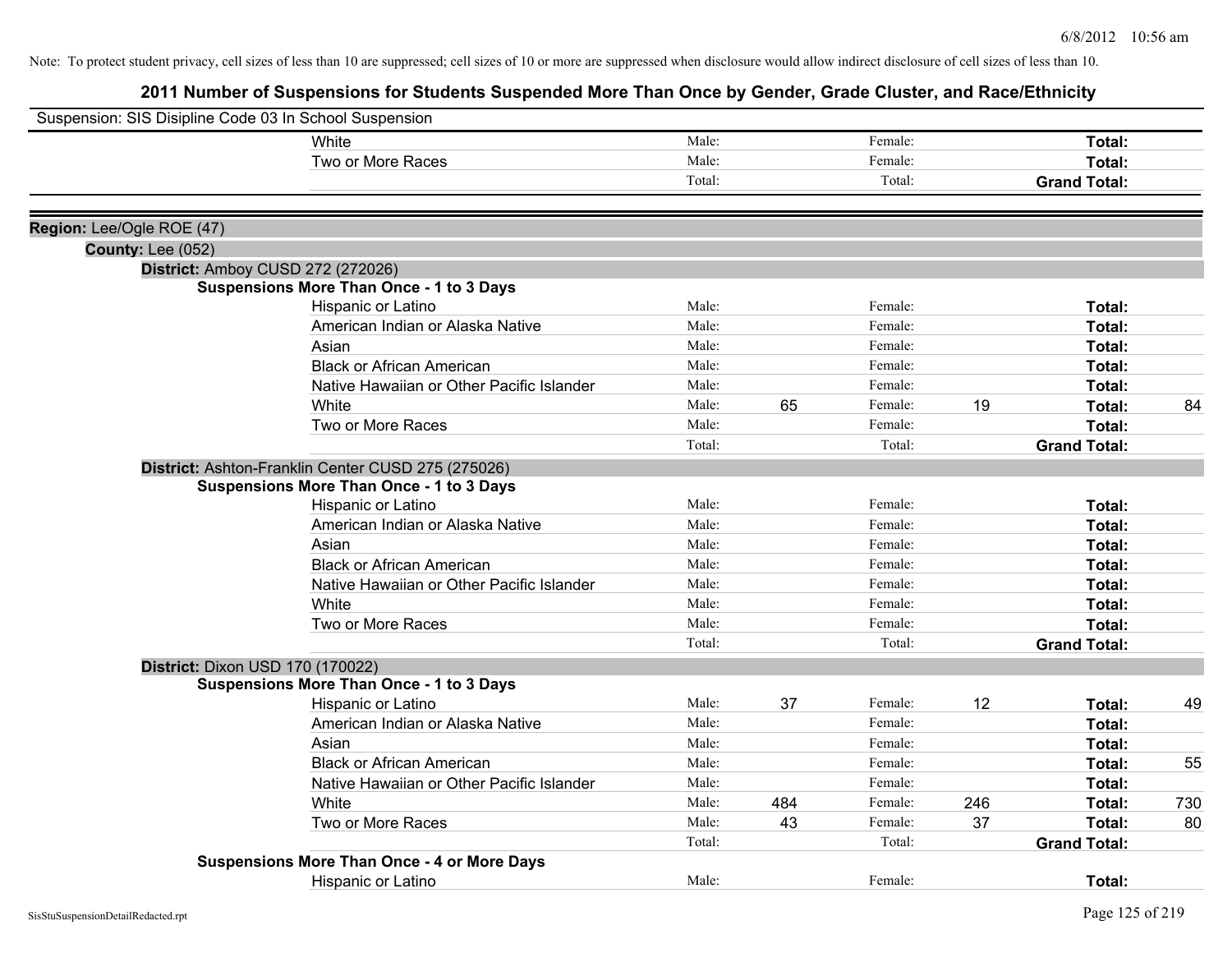| Suspension: SIS Disipline Code 03 In School Suspension |                                                    |        |     |         |     |                     |     |
|--------------------------------------------------------|----------------------------------------------------|--------|-----|---------|-----|---------------------|-----|
|                                                        | White                                              | Male:  |     | Female: |     | Total:              |     |
|                                                        | Two or More Races                                  | Male:  |     | Female: |     | Total:              |     |
|                                                        |                                                    | Total: |     | Total:  |     | <b>Grand Total:</b> |     |
| Region: Lee/Ogle ROE (47)                              |                                                    |        |     |         |     |                     |     |
| <b>County: Lee (052)</b>                               |                                                    |        |     |         |     |                     |     |
|                                                        | District: Amboy CUSD 272 (272026)                  |        |     |         |     |                     |     |
|                                                        | <b>Suspensions More Than Once - 1 to 3 Days</b>    |        |     |         |     |                     |     |
|                                                        | Hispanic or Latino                                 | Male:  |     | Female: |     | Total:              |     |
|                                                        | American Indian or Alaska Native                   | Male:  |     | Female: |     | Total:              |     |
|                                                        | Asian                                              | Male:  |     | Female: |     | Total:              |     |
|                                                        | <b>Black or African American</b>                   | Male:  |     | Female: |     | Total:              |     |
|                                                        | Native Hawaiian or Other Pacific Islander          | Male:  |     | Female: |     | Total:              |     |
|                                                        | White                                              | Male:  | 65  | Female: | 19  | Total:              | 84  |
|                                                        | Two or More Races                                  | Male:  |     | Female: |     | Total:              |     |
|                                                        |                                                    | Total: |     | Total:  |     | <b>Grand Total:</b> |     |
|                                                        | District: Ashton-Franklin Center CUSD 275 (275026) |        |     |         |     |                     |     |
|                                                        | <b>Suspensions More Than Once - 1 to 3 Days</b>    |        |     |         |     |                     |     |
|                                                        | Hispanic or Latino                                 | Male:  |     | Female: |     | <b>Total:</b>       |     |
|                                                        | American Indian or Alaska Native                   | Male:  |     | Female: |     | <b>Total:</b>       |     |
|                                                        | Asian                                              | Male:  |     | Female: |     | Total:              |     |
|                                                        | <b>Black or African American</b>                   | Male:  |     | Female: |     | Total:              |     |
|                                                        | Native Hawaiian or Other Pacific Islander          | Male:  |     | Female: |     | Total:              |     |
|                                                        | White                                              | Male:  |     | Female: |     | Total:              |     |
|                                                        | Two or More Races                                  | Male:  |     | Female: |     | Total:              |     |
|                                                        |                                                    | Total: |     | Total:  |     | <b>Grand Total:</b> |     |
|                                                        | District: Dixon USD 170 (170022)                   |        |     |         |     |                     |     |
|                                                        | <b>Suspensions More Than Once - 1 to 3 Days</b>    |        |     |         |     |                     |     |
|                                                        | Hispanic or Latino                                 | Male:  | 37  | Female: | 12  | Total:              | 49  |
|                                                        | American Indian or Alaska Native                   | Male:  |     | Female: |     | Total:              |     |
|                                                        | Asian                                              | Male:  |     | Female: |     | <b>Total:</b>       |     |
|                                                        | <b>Black or African American</b>                   | Male:  |     | Female: |     | Total:              | 55  |
|                                                        | Native Hawaiian or Other Pacific Islander          | Male:  |     | Female: |     | Total:              |     |
|                                                        | White                                              | Male:  | 484 | Female: | 246 | Total:              | 730 |
|                                                        | Two or More Races                                  | Male:  | 43  | Female: | 37  | <b>Total:</b>       | 80  |
|                                                        |                                                    | Total: |     | Total:  |     | <b>Grand Total:</b> |     |
|                                                        | <b>Suspensions More Than Once - 4 or More Days</b> |        |     |         |     |                     |     |
|                                                        | Hispanic or Latino                                 | Male:  |     | Female: |     | Total:              |     |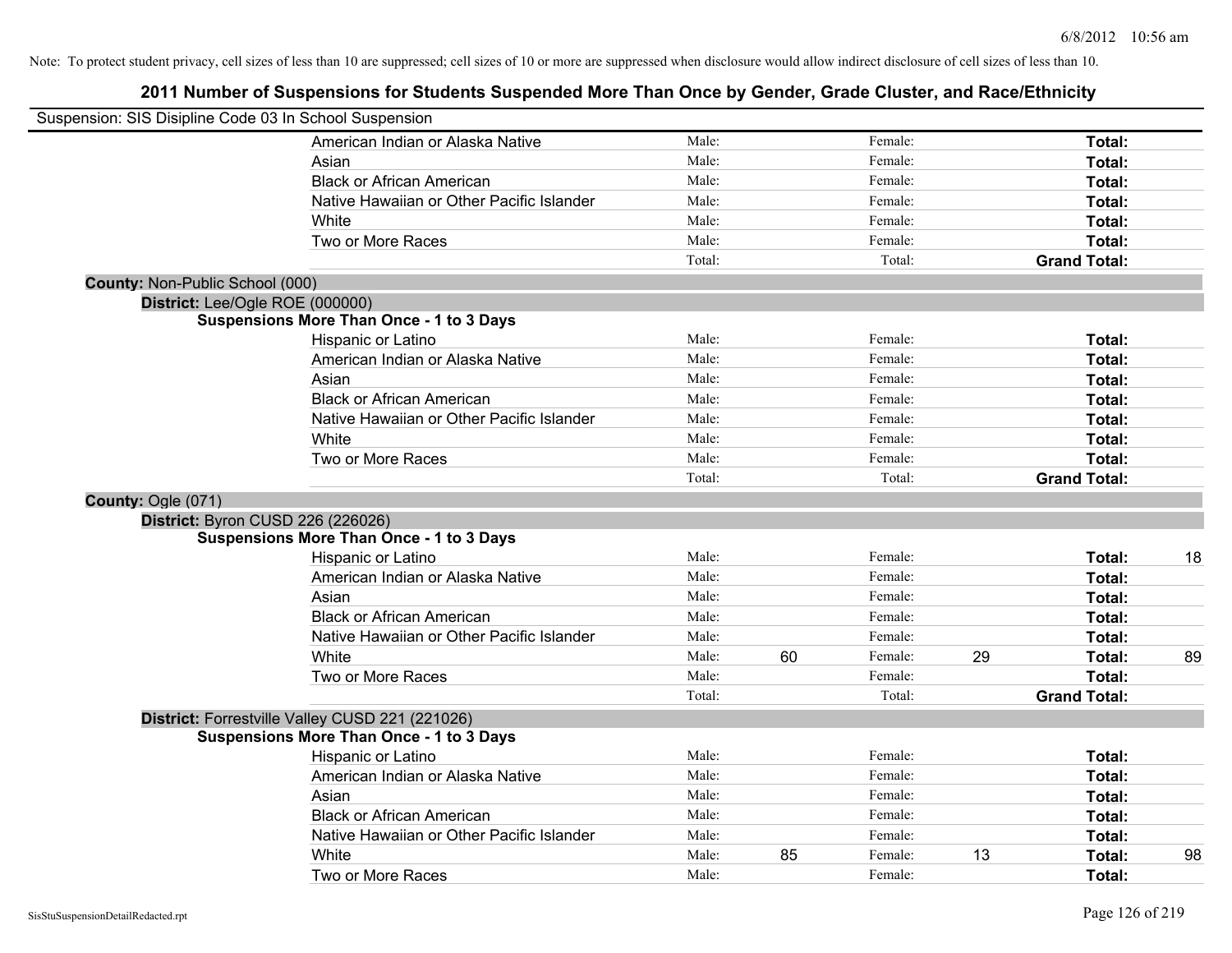|                                        | Suspension: SIS Disipline Code 03 In School Suspension |        |    |         |    |                     |    |
|----------------------------------------|--------------------------------------------------------|--------|----|---------|----|---------------------|----|
|                                        | American Indian or Alaska Native                       | Male:  |    | Female: |    | Total:              |    |
|                                        | Asian                                                  | Male:  |    | Female: |    | Total:              |    |
|                                        | <b>Black or African American</b>                       | Male:  |    | Female: |    | Total:              |    |
|                                        | Native Hawaiian or Other Pacific Islander              | Male:  |    | Female: |    | Total:              |    |
|                                        | White                                                  | Male:  |    | Female: |    | Total:              |    |
|                                        | Two or More Races                                      | Male:  |    | Female: |    | Total:              |    |
|                                        |                                                        | Total: |    | Total:  |    | <b>Grand Total:</b> |    |
| <b>County: Non-Public School (000)</b> |                                                        |        |    |         |    |                     |    |
|                                        | District: Lee/Ogle ROE (000000)                        |        |    |         |    |                     |    |
|                                        | <b>Suspensions More Than Once - 1 to 3 Days</b>        |        |    |         |    |                     |    |
|                                        | Hispanic or Latino                                     | Male:  |    | Female: |    | Total:              |    |
|                                        | American Indian or Alaska Native                       | Male:  |    | Female: |    | Total:              |    |
|                                        | Asian                                                  | Male:  |    | Female: |    | Total:              |    |
|                                        | <b>Black or African American</b>                       | Male:  |    | Female: |    | Total:              |    |
|                                        | Native Hawaiian or Other Pacific Islander              | Male:  |    | Female: |    | Total:              |    |
|                                        | White                                                  | Male:  |    | Female: |    | Total:              |    |
|                                        | Two or More Races                                      | Male:  |    | Female: |    | Total:              |    |
|                                        |                                                        | Total: |    | Total:  |    | <b>Grand Total:</b> |    |
| County: Ogle (071)                     |                                                        |        |    |         |    |                     |    |
|                                        | District: Byron CUSD 226 (226026)                      |        |    |         |    |                     |    |
|                                        | <b>Suspensions More Than Once - 1 to 3 Days</b>        |        |    |         |    |                     |    |
|                                        | Hispanic or Latino                                     | Male:  |    | Female: |    | Total:              | 18 |
|                                        | American Indian or Alaska Native                       | Male:  |    | Female: |    | Total:              |    |
|                                        | Asian                                                  | Male:  |    | Female: |    | Total:              |    |
|                                        | <b>Black or African American</b>                       | Male:  |    | Female: |    | Total:              |    |
|                                        | Native Hawaiian or Other Pacific Islander              | Male:  |    | Female: |    | Total:              |    |
|                                        | White                                                  | Male:  | 60 | Female: | 29 | Total:              | 89 |
|                                        | Two or More Races                                      | Male:  |    | Female: |    | Total:              |    |
|                                        |                                                        | Total: |    | Total:  |    | <b>Grand Total:</b> |    |
|                                        | District: Forrestville Valley CUSD 221 (221026)        |        |    |         |    |                     |    |
|                                        | <b>Suspensions More Than Once - 1 to 3 Days</b>        |        |    |         |    |                     |    |
|                                        | Hispanic or Latino                                     | Male:  |    | Female: |    | Total:              |    |
|                                        | American Indian or Alaska Native                       | Male:  |    | Female: |    | Total:              |    |
|                                        | Asian                                                  | Male:  |    | Female: |    | Total:              |    |
|                                        | <b>Black or African American</b>                       | Male:  |    | Female: |    | Total:              |    |
|                                        | Native Hawaiian or Other Pacific Islander              | Male:  |    | Female: |    | Total:              |    |
|                                        | White                                                  | Male:  | 85 | Female: | 13 | Total:              | 98 |
|                                        | Two or More Races                                      | Male:  |    | Female: |    | Total:              |    |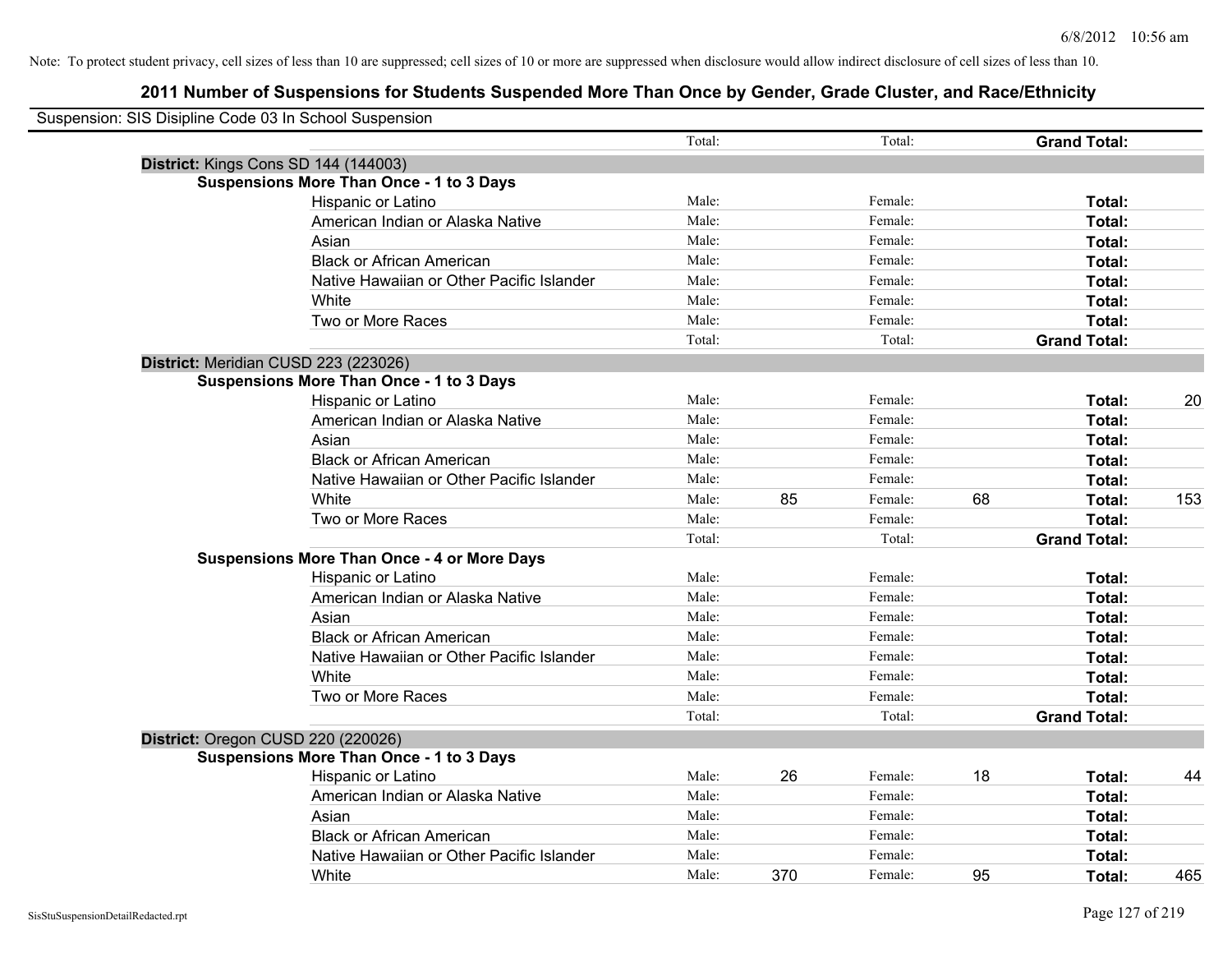| Suspension: SIS Disipline Code 03 In School Suspension |                                                    |        |     |         |    |                     |     |
|--------------------------------------------------------|----------------------------------------------------|--------|-----|---------|----|---------------------|-----|
|                                                        |                                                    | Total: |     | Total:  |    | <b>Grand Total:</b> |     |
|                                                        | District: Kings Cons SD 144 (144003)               |        |     |         |    |                     |     |
|                                                        | <b>Suspensions More Than Once - 1 to 3 Days</b>    |        |     |         |    |                     |     |
|                                                        | Hispanic or Latino                                 | Male:  |     | Female: |    | Total:              |     |
|                                                        | American Indian or Alaska Native                   | Male:  |     | Female: |    | Total:              |     |
|                                                        | Asian                                              | Male:  |     | Female: |    | Total:              |     |
|                                                        | <b>Black or African American</b>                   | Male:  |     | Female: |    | Total:              |     |
|                                                        | Native Hawaiian or Other Pacific Islander          | Male:  |     | Female: |    | Total:              |     |
|                                                        | White                                              | Male:  |     | Female: |    | Total:              |     |
|                                                        | Two or More Races                                  | Male:  |     | Female: |    | Total:              |     |
|                                                        |                                                    | Total: |     | Total:  |    | <b>Grand Total:</b> |     |
|                                                        | District: Meridian CUSD 223 (223026)               |        |     |         |    |                     |     |
|                                                        | <b>Suspensions More Than Once - 1 to 3 Days</b>    |        |     |         |    |                     |     |
|                                                        | Hispanic or Latino                                 | Male:  |     | Female: |    | Total:              | 20  |
|                                                        | American Indian or Alaska Native                   | Male:  |     | Female: |    | Total:              |     |
|                                                        | Asian                                              | Male:  |     | Female: |    | Total:              |     |
|                                                        | <b>Black or African American</b>                   | Male:  |     | Female: |    | Total:              |     |
|                                                        | Native Hawaiian or Other Pacific Islander          | Male:  |     | Female: |    | Total:              |     |
|                                                        | White                                              | Male:  | 85  | Female: | 68 | Total:              | 153 |
|                                                        | Two or More Races                                  | Male:  |     | Female: |    | Total:              |     |
|                                                        |                                                    | Total: |     | Total:  |    | <b>Grand Total:</b> |     |
|                                                        | <b>Suspensions More Than Once - 4 or More Days</b> |        |     |         |    |                     |     |
|                                                        | Hispanic or Latino                                 | Male:  |     | Female: |    | Total:              |     |
|                                                        | American Indian or Alaska Native                   | Male:  |     | Female: |    | Total:              |     |
|                                                        | Asian                                              | Male:  |     | Female: |    | Total:              |     |
|                                                        | <b>Black or African American</b>                   | Male:  |     | Female: |    | Total:              |     |
|                                                        | Native Hawaiian or Other Pacific Islander          | Male:  |     | Female: |    | Total:              |     |
|                                                        | <b>White</b>                                       | Male:  |     | Female: |    | Total:              |     |
|                                                        | Two or More Races                                  | Male:  |     | Female: |    | Total:              |     |
|                                                        |                                                    | Total: |     | Total:  |    | <b>Grand Total:</b> |     |
|                                                        | District: Oregon CUSD 220 (220026)                 |        |     |         |    |                     |     |
|                                                        | <b>Suspensions More Than Once - 1 to 3 Days</b>    |        |     |         |    |                     |     |
|                                                        | Hispanic or Latino                                 | Male:  | 26  | Female: | 18 | Total:              | 44  |
|                                                        | American Indian or Alaska Native                   | Male:  |     | Female: |    | Total:              |     |
|                                                        | Asian                                              | Male:  |     | Female: |    | Total:              |     |
|                                                        | <b>Black or African American</b>                   | Male:  |     | Female: |    | Total:              |     |
|                                                        | Native Hawaiian or Other Pacific Islander          | Male:  |     | Female: |    | Total:              |     |
|                                                        | White                                              | Male:  | 370 | Female: | 95 | Total:              | 465 |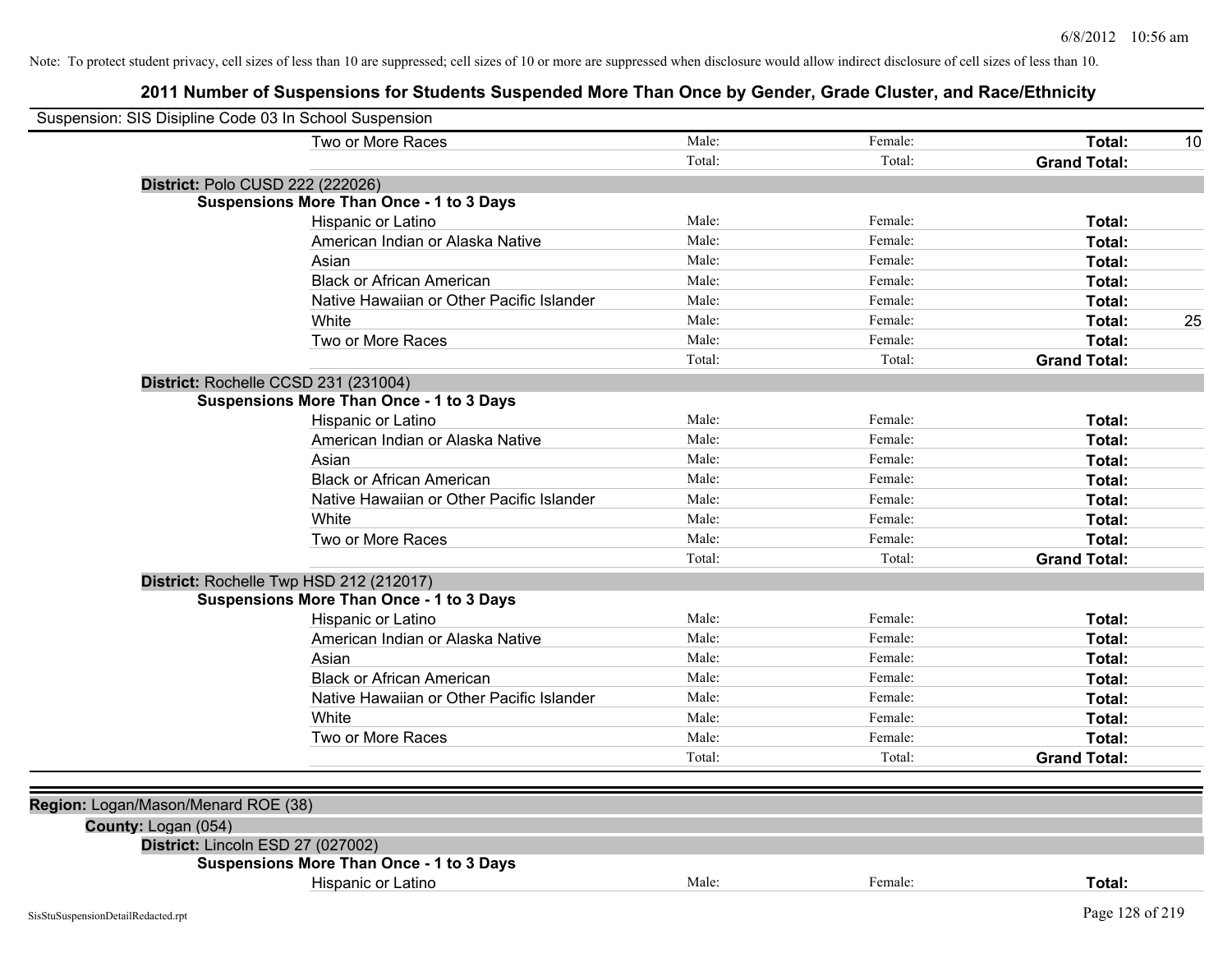| Suspension: SIS Disipline Code 03 In School Suspension |                                                 |        |         |                     |    |
|--------------------------------------------------------|-------------------------------------------------|--------|---------|---------------------|----|
|                                                        | Two or More Races                               | Male:  | Female: | Total:              | 10 |
|                                                        |                                                 | Total: | Total:  | <b>Grand Total:</b> |    |
|                                                        | District: Polo CUSD 222 (222026)                |        |         |                     |    |
|                                                        | <b>Suspensions More Than Once - 1 to 3 Days</b> |        |         |                     |    |
|                                                        | Hispanic or Latino                              | Male:  | Female: | Total:              |    |
|                                                        | American Indian or Alaska Native                | Male:  | Female: | Total:              |    |
|                                                        | Asian                                           | Male:  | Female: | Total:              |    |
|                                                        | <b>Black or African American</b>                | Male:  | Female: | Total:              |    |
|                                                        | Native Hawaiian or Other Pacific Islander       | Male:  | Female: | Total:              |    |
|                                                        | White                                           | Male:  | Female: | Total:              | 25 |
|                                                        | Two or More Races                               | Male:  | Female: | Total:              |    |
|                                                        |                                                 | Total: | Total:  | <b>Grand Total:</b> |    |
|                                                        | District: Rochelle CCSD 231 (231004)            |        |         |                     |    |
|                                                        | <b>Suspensions More Than Once - 1 to 3 Days</b> |        |         |                     |    |
|                                                        | Hispanic or Latino                              | Male:  | Female: | Total:              |    |
|                                                        | American Indian or Alaska Native                | Male:  | Female: | Total:              |    |
|                                                        | Asian                                           | Male:  | Female: | Total:              |    |
|                                                        | <b>Black or African American</b>                | Male:  | Female: | Total:              |    |
|                                                        | Native Hawaiian or Other Pacific Islander       | Male:  | Female: | Total:              |    |
|                                                        | White                                           | Male:  | Female: | Total:              |    |
|                                                        | Two or More Races                               | Male:  | Female: | Total:              |    |
|                                                        |                                                 | Total: | Total:  | <b>Grand Total:</b> |    |
|                                                        | District: Rochelle Twp HSD 212 (212017)         |        |         |                     |    |
|                                                        | <b>Suspensions More Than Once - 1 to 3 Days</b> |        |         |                     |    |
|                                                        | Hispanic or Latino                              | Male:  | Female: | Total:              |    |
|                                                        | American Indian or Alaska Native                | Male:  | Female: | Total:              |    |
|                                                        | Asian                                           | Male:  | Female: | Total:              |    |
|                                                        | <b>Black or African American</b>                | Male:  | Female: | Total:              |    |
|                                                        | Native Hawaiian or Other Pacific Islander       | Male:  | Female: | Total:              |    |
|                                                        | White                                           | Male:  | Female: | Total:              |    |
|                                                        | Two or More Races                               | Male:  | Female: | Total:              |    |
|                                                        |                                                 | Total: | Total:  | <b>Grand Total:</b> |    |
|                                                        |                                                 |        |         |                     |    |
| Region: Logan/Mason/Menard ROE (38)                    |                                                 |        |         |                     |    |
| County: Logan (054)                                    |                                                 |        |         |                     |    |
|                                                        | District: Lincoln ESD 27 (027002)               |        |         |                     |    |
|                                                        | <b>Suspensions More Than Once - 1 to 3 Days</b> |        |         |                     |    |
|                                                        | Hispanic or Latino                              | Male:  | Female: | Total:              |    |
| SisStuSuspensionDetailRedacted.rpt                     |                                                 |        |         | Page 128 of 219     |    |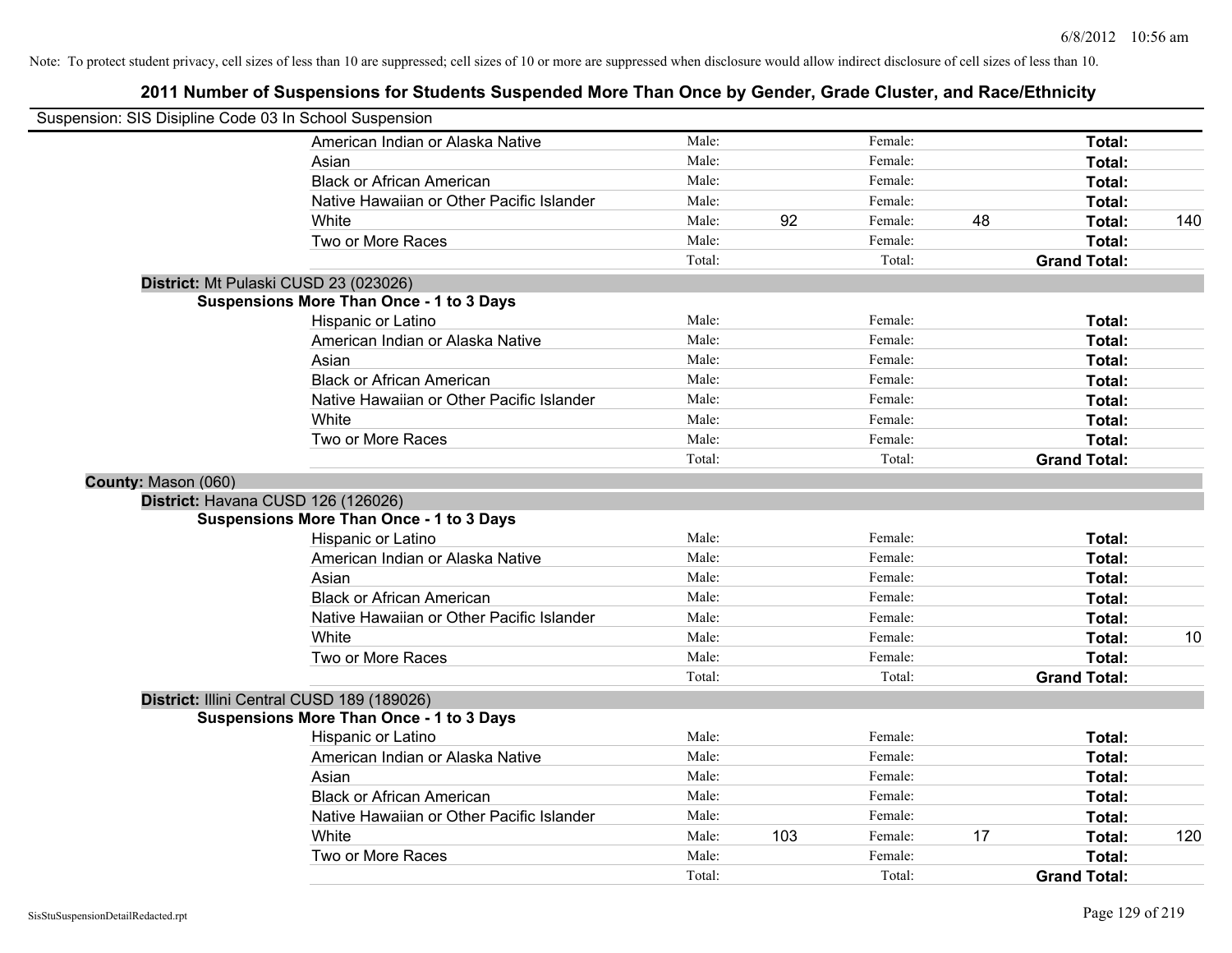| Suspension: SIS Disipline Code 03 In School Suspension |                                                 |        |     |         |    |                     |     |
|--------------------------------------------------------|-------------------------------------------------|--------|-----|---------|----|---------------------|-----|
|                                                        | American Indian or Alaska Native                | Male:  |     | Female: |    | Total:              |     |
|                                                        | Asian                                           | Male:  |     | Female: |    | Total:              |     |
|                                                        | <b>Black or African American</b>                | Male:  |     | Female: |    | Total:              |     |
|                                                        | Native Hawaiian or Other Pacific Islander       | Male:  |     | Female: |    | Total:              |     |
|                                                        | White                                           | Male:  | 92  | Female: | 48 | Total:              | 140 |
|                                                        | Two or More Races                               | Male:  |     | Female: |    | Total:              |     |
|                                                        |                                                 | Total: |     | Total:  |    | <b>Grand Total:</b> |     |
| District: Mt Pulaski CUSD 23 (023026)                  |                                                 |        |     |         |    |                     |     |
|                                                        | <b>Suspensions More Than Once - 1 to 3 Days</b> |        |     |         |    |                     |     |
|                                                        | Hispanic or Latino                              | Male:  |     | Female: |    | Total:              |     |
|                                                        | American Indian or Alaska Native                | Male:  |     | Female: |    | Total:              |     |
|                                                        | Asian                                           | Male:  |     | Female: |    | Total:              |     |
|                                                        | <b>Black or African American</b>                | Male:  |     | Female: |    | Total:              |     |
|                                                        | Native Hawaiian or Other Pacific Islander       | Male:  |     | Female: |    | Total:              |     |
|                                                        | White                                           | Male:  |     | Female: |    | Total:              |     |
|                                                        | Two or More Races                               | Male:  |     | Female: |    | Total:              |     |
|                                                        |                                                 | Total: |     | Total:  |    | <b>Grand Total:</b> |     |
| County: Mason (060)                                    |                                                 |        |     |         |    |                     |     |
| District: Havana CUSD 126 (126026)                     |                                                 |        |     |         |    |                     |     |
|                                                        | <b>Suspensions More Than Once - 1 to 3 Days</b> |        |     |         |    |                     |     |
|                                                        | Hispanic or Latino                              | Male:  |     | Female: |    | Total:              |     |
|                                                        | American Indian or Alaska Native                | Male:  |     | Female: |    | Total:              |     |
|                                                        | Asian                                           | Male:  |     | Female: |    | Total:              |     |
|                                                        | <b>Black or African American</b>                | Male:  |     | Female: |    | Total:              |     |
|                                                        | Native Hawaiian or Other Pacific Islander       | Male:  |     | Female: |    | Total:              |     |
|                                                        | White                                           | Male:  |     | Female: |    | Total:              | 10  |
|                                                        | Two or More Races                               | Male:  |     | Female: |    | Total:              |     |
|                                                        |                                                 | Total: |     | Total:  |    | <b>Grand Total:</b> |     |
|                                                        | District: Illini Central CUSD 189 (189026)      |        |     |         |    |                     |     |
|                                                        | <b>Suspensions More Than Once - 1 to 3 Days</b> |        |     |         |    |                     |     |
|                                                        | Hispanic or Latino                              | Male:  |     | Female: |    | Total:              |     |
|                                                        | American Indian or Alaska Native                | Male:  |     | Female: |    | Total:              |     |
|                                                        | Asian                                           | Male:  |     | Female: |    | Total:              |     |
|                                                        | <b>Black or African American</b>                | Male:  |     | Female: |    | Total:              |     |
|                                                        | Native Hawaiian or Other Pacific Islander       | Male:  |     | Female: |    | Total:              |     |
|                                                        | White                                           | Male:  | 103 | Female: | 17 | Total:              | 120 |
|                                                        | Two or More Races                               | Male:  |     | Female: |    | Total:              |     |
|                                                        |                                                 | Total: |     | Total:  |    | <b>Grand Total:</b> |     |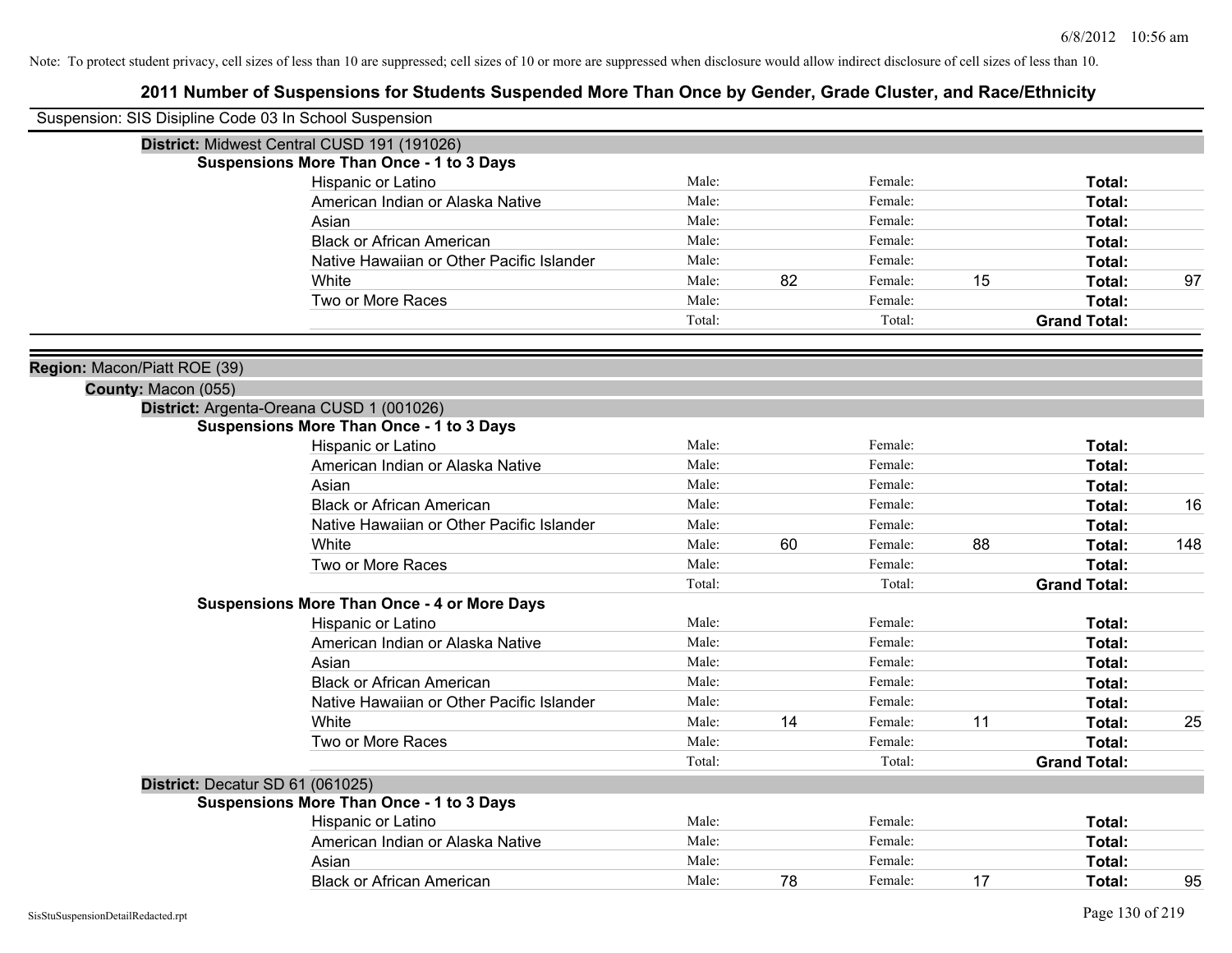| Suspension: SIS Disipline Code 03 In School Suspension |                                                    |                |    |         |    |                     |     |
|--------------------------------------------------------|----------------------------------------------------|----------------|----|---------|----|---------------------|-----|
|                                                        | District: Midwest Central CUSD 191 (191026)        |                |    |         |    |                     |     |
|                                                        | <b>Suspensions More Than Once - 1 to 3 Days</b>    |                |    |         |    |                     |     |
|                                                        | Hispanic or Latino                                 | Male:          |    | Female: |    | Total:              |     |
|                                                        | American Indian or Alaska Native                   | Male:          |    | Female: |    | Total:              |     |
|                                                        | Asian                                              | Male:          |    | Female: |    | <b>Total:</b>       |     |
|                                                        | <b>Black or African American</b>                   | Male:          |    | Female: |    | Total:              |     |
|                                                        | Native Hawaiian or Other Pacific Islander          | Male:          |    | Female: |    | Total:              |     |
|                                                        | White                                              | Male:          | 82 | Female: | 15 | Total:              | 97  |
|                                                        | Two or More Races                                  | Male:          |    | Female: |    | Total:              |     |
|                                                        |                                                    | Total:         |    | Total:  |    | <b>Grand Total:</b> |     |
| Region: Macon/Piatt ROE (39)                           |                                                    |                |    |         |    |                     |     |
| County: Macon (055)                                    |                                                    |                |    |         |    |                     |     |
|                                                        | District: Argenta-Oreana CUSD 1 (001026)           |                |    |         |    |                     |     |
|                                                        | <b>Suspensions More Than Once - 1 to 3 Days</b>    |                |    |         |    |                     |     |
|                                                        | Hispanic or Latino                                 | Male:          |    | Female: |    | Total:              |     |
|                                                        | American Indian or Alaska Native                   | Male:          |    | Female: |    | Total:              |     |
|                                                        | Asian                                              | Male:          |    | Female: |    | Total:              |     |
|                                                        | <b>Black or African American</b>                   | Male:          |    | Female: |    | Total:              | 16  |
|                                                        | Native Hawaiian or Other Pacific Islander          | Male:          |    | Female: |    | Total:              |     |
|                                                        | White                                              | Male:          | 60 | Female: | 88 | Total:              | 148 |
|                                                        | Two or More Races                                  | Male:          |    | Female: |    | Total:              |     |
|                                                        |                                                    | Total:         |    | Total:  |    | <b>Grand Total:</b> |     |
|                                                        | <b>Suspensions More Than Once - 4 or More Days</b> |                |    |         |    |                     |     |
|                                                        | Hispanic or Latino                                 | Male:          |    | Female: |    | Total:              |     |
|                                                        | American Indian or Alaska Native                   | Male:          |    | Female: |    | Total:              |     |
|                                                        | Asian                                              | Male:          |    | Female: |    | Total:              |     |
|                                                        | <b>Black or African American</b>                   | Male:          |    | Female: |    | <b>Total:</b>       |     |
|                                                        | Native Hawaiian or Other Pacific Islander          | Male:          |    | Female: |    | Total:              |     |
|                                                        | White                                              | Male:          | 14 | Female: | 11 | Total:              | 25  |
|                                                        | Two or More Races                                  | Male:          |    | Female: |    | Total:              |     |
|                                                        |                                                    | Total:         |    | Total:  |    | <b>Grand Total:</b> |     |
| District: Decatur SD 61 (061025)                       |                                                    |                |    |         |    |                     |     |
|                                                        | <b>Suspensions More Than Once - 1 to 3 Days</b>    |                |    |         |    |                     |     |
|                                                        | Hispanic or Latino                                 | Male:<br>Male: |    | Female: |    | Total:              |     |
|                                                        | American Indian or Alaska Native                   |                |    | Female: |    | Total:              |     |
|                                                        | Asian                                              | Male:          |    | Female: |    | Total:              |     |
|                                                        | <b>Black or African American</b>                   | Male:          | 78 | Female: | 17 | Total:              | 95  |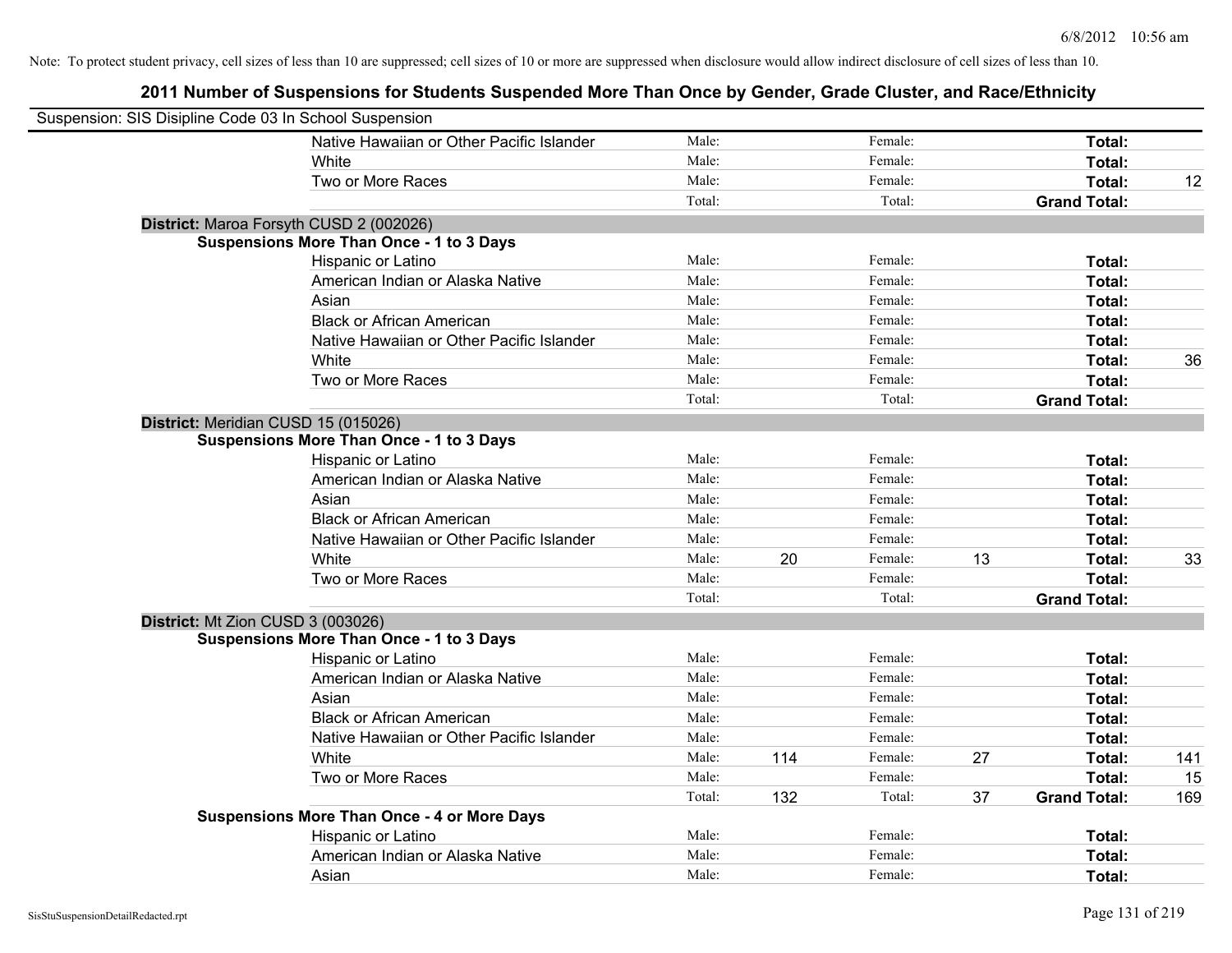| Suspension: SIS Disipline Code 03 In School Suspension |                                                    |        |     |         |    |                     |     |
|--------------------------------------------------------|----------------------------------------------------|--------|-----|---------|----|---------------------|-----|
|                                                        | Native Hawaiian or Other Pacific Islander          | Male:  |     | Female: |    | Total:              |     |
|                                                        | White                                              | Male:  |     | Female: |    | Total:              |     |
|                                                        | Two or More Races                                  | Male:  |     | Female: |    | Total:              | 12  |
|                                                        |                                                    | Total: |     | Total:  |    | <b>Grand Total:</b> |     |
| District: Maroa Forsyth CUSD 2 (002026)                |                                                    |        |     |         |    |                     |     |
|                                                        | <b>Suspensions More Than Once - 1 to 3 Days</b>    |        |     |         |    |                     |     |
|                                                        | Hispanic or Latino                                 | Male:  |     | Female: |    | Total:              |     |
|                                                        | American Indian or Alaska Native                   | Male:  |     | Female: |    | Total:              |     |
|                                                        | Asian                                              | Male:  |     | Female: |    | Total:              |     |
|                                                        | <b>Black or African American</b>                   | Male:  |     | Female: |    | Total:              |     |
|                                                        | Native Hawaiian or Other Pacific Islander          | Male:  |     | Female: |    | Total:              |     |
|                                                        | White                                              | Male:  |     | Female: |    | Total:              | 36  |
|                                                        | Two or More Races                                  | Male:  |     | Female: |    | Total:              |     |
|                                                        |                                                    | Total: |     | Total:  |    | <b>Grand Total:</b> |     |
| District: Meridian CUSD 15 (015026)                    |                                                    |        |     |         |    |                     |     |
|                                                        | <b>Suspensions More Than Once - 1 to 3 Days</b>    |        |     |         |    |                     |     |
|                                                        | Hispanic or Latino                                 | Male:  |     | Female: |    | Total:              |     |
|                                                        | American Indian or Alaska Native                   | Male:  |     | Female: |    | Total:              |     |
|                                                        | Asian                                              | Male:  |     | Female: |    | Total:              |     |
|                                                        | <b>Black or African American</b>                   | Male:  |     | Female: |    | Total:              |     |
|                                                        | Native Hawaiian or Other Pacific Islander          | Male:  |     | Female: |    | Total:              |     |
|                                                        | White                                              | Male:  | 20  | Female: | 13 | Total:              | 33  |
|                                                        | Two or More Races                                  | Male:  |     | Female: |    | Total:              |     |
|                                                        |                                                    | Total: |     | Total:  |    | <b>Grand Total:</b> |     |
| District: Mt Zion CUSD 3 (003026)                      |                                                    |        |     |         |    |                     |     |
|                                                        | <b>Suspensions More Than Once - 1 to 3 Days</b>    |        |     |         |    |                     |     |
|                                                        | Hispanic or Latino                                 | Male:  |     | Female: |    | Total:              |     |
|                                                        | American Indian or Alaska Native                   | Male:  |     | Female: |    | Total:              |     |
|                                                        | Asian                                              | Male:  |     | Female: |    | Total:              |     |
|                                                        | <b>Black or African American</b>                   | Male:  |     | Female: |    | Total:              |     |
|                                                        | Native Hawaiian or Other Pacific Islander          | Male:  |     | Female: |    | Total:              |     |
|                                                        | White                                              | Male:  | 114 | Female: | 27 | Total:              | 141 |
|                                                        | Two or More Races                                  | Male:  |     | Female: |    | Total:              | 15  |
|                                                        |                                                    | Total: | 132 | Total:  | 37 | <b>Grand Total:</b> | 169 |
|                                                        | <b>Suspensions More Than Once - 4 or More Days</b> |        |     |         |    |                     |     |
|                                                        | Hispanic or Latino                                 | Male:  |     | Female: |    | Total:              |     |
|                                                        | American Indian or Alaska Native                   | Male:  |     | Female: |    | <b>Total:</b>       |     |
|                                                        | Asian                                              | Male:  |     | Female: |    | Total:              |     |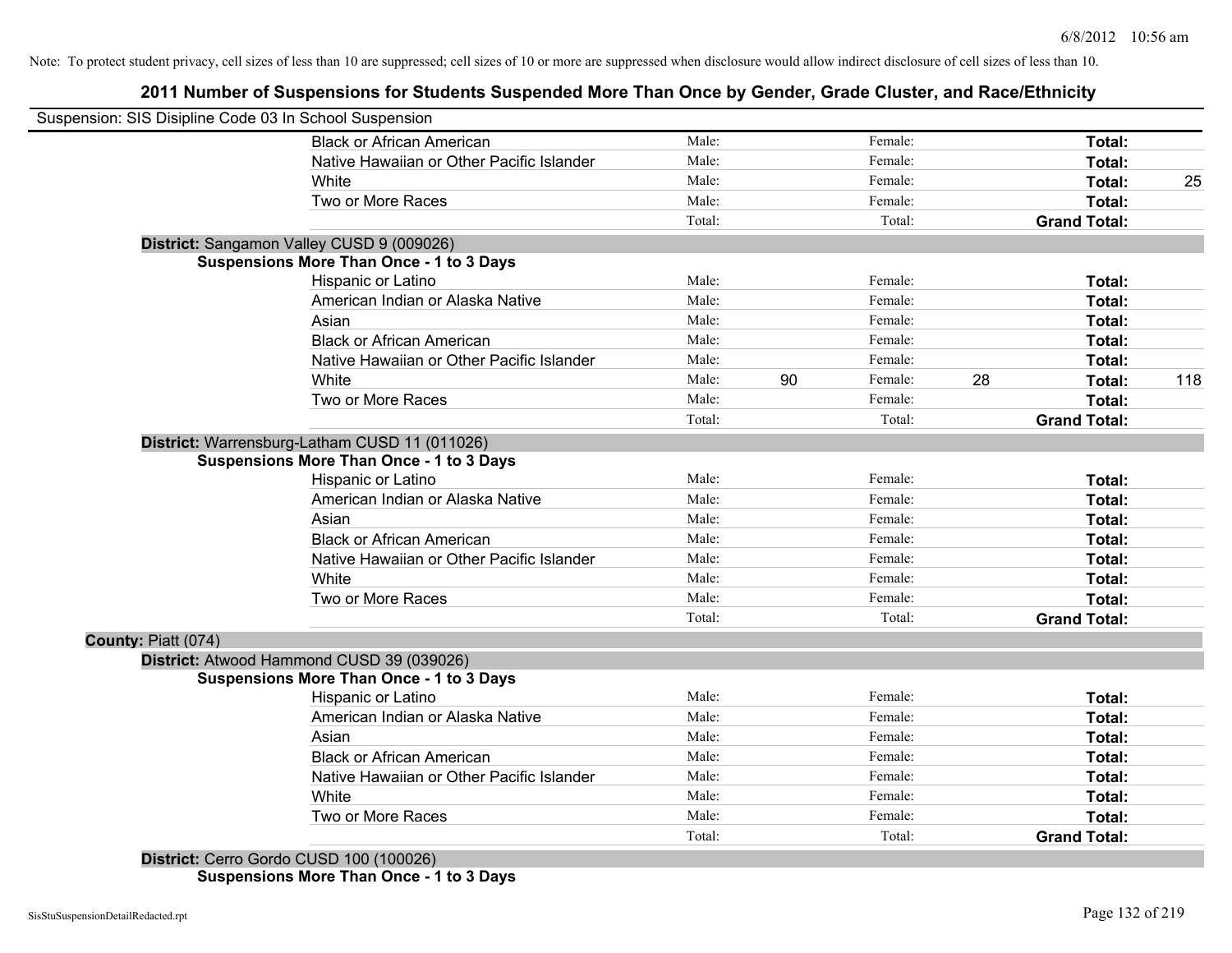# **2011 Number of Suspensions for Students Suspended More Than Once by Gender, Grade Cluster, and Race/Ethnicity**

| Suspension: SIS Disipline Code 03 In School Suspension |                                                 |        |    |         |    |                     |     |
|--------------------------------------------------------|-------------------------------------------------|--------|----|---------|----|---------------------|-----|
|                                                        | <b>Black or African American</b>                | Male:  |    | Female: |    | Total:              |     |
|                                                        | Native Hawaiian or Other Pacific Islander       | Male:  |    | Female: |    | Total:              |     |
|                                                        | White                                           | Male:  |    | Female: |    | Total:              | 25  |
|                                                        | Two or More Races                               | Male:  |    | Female: |    | Total:              |     |
|                                                        |                                                 | Total: |    | Total:  |    | <b>Grand Total:</b> |     |
|                                                        | District: Sangamon Valley CUSD 9 (009026)       |        |    |         |    |                     |     |
|                                                        | <b>Suspensions More Than Once - 1 to 3 Days</b> |        |    |         |    |                     |     |
|                                                        | Hispanic or Latino                              | Male:  |    | Female: |    | Total:              |     |
|                                                        | American Indian or Alaska Native                | Male:  |    | Female: |    | Total:              |     |
|                                                        | Asian                                           | Male:  |    | Female: |    | Total:              |     |
|                                                        | <b>Black or African American</b>                | Male:  |    | Female: |    | Total:              |     |
|                                                        | Native Hawaiian or Other Pacific Islander       | Male:  |    | Female: |    | Total:              |     |
|                                                        | White                                           | Male:  | 90 | Female: | 28 | Total:              | 118 |
|                                                        | Two or More Races                               | Male:  |    | Female: |    | Total:              |     |
|                                                        |                                                 | Total: |    | Total:  |    | <b>Grand Total:</b> |     |
|                                                        | District: Warrensburg-Latham CUSD 11 (011026)   |        |    |         |    |                     |     |
|                                                        | Suspensions More Than Once - 1 to 3 Days        |        |    |         |    |                     |     |
|                                                        | Hispanic or Latino                              | Male:  |    | Female: |    | Total:              |     |
|                                                        | American Indian or Alaska Native                | Male:  |    | Female: |    | Total:              |     |
|                                                        | Asian                                           | Male:  |    | Female: |    | Total:              |     |
|                                                        | <b>Black or African American</b>                | Male:  |    | Female: |    | Total:              |     |
|                                                        | Native Hawaiian or Other Pacific Islander       | Male:  |    | Female: |    | Total:              |     |
|                                                        | White                                           | Male:  |    | Female: |    | Total:              |     |
|                                                        | Two or More Races                               | Male:  |    | Female: |    | Total:              |     |
|                                                        |                                                 | Total: |    | Total:  |    | <b>Grand Total:</b> |     |
| County: Piatt (074)                                    |                                                 |        |    |         |    |                     |     |
|                                                        | District: Atwood Hammond CUSD 39 (039026)       |        |    |         |    |                     |     |
|                                                        | <b>Suspensions More Than Once - 1 to 3 Days</b> |        |    |         |    |                     |     |
|                                                        | Hispanic or Latino                              | Male:  |    | Female: |    | Total:              |     |
|                                                        | American Indian or Alaska Native                | Male:  |    | Female: |    | Total:              |     |
|                                                        | Asian                                           | Male:  |    | Female: |    | Total:              |     |
|                                                        | <b>Black or African American</b>                | Male:  |    | Female: |    | Total:              |     |
|                                                        | Native Hawaiian or Other Pacific Islander       | Male:  |    | Female: |    | Total:              |     |
|                                                        | White                                           | Male:  |    | Female: |    | Total:              |     |
|                                                        | Two or More Races                               | Male:  |    | Female: |    | Total:              |     |
|                                                        |                                                 | Total: |    | Total:  |    | <b>Grand Total:</b> |     |
|                                                        | District: Cerro Gordo CUSD 100 (100026)         |        |    |         |    |                     |     |

**Suspensions More Than Once - 1 to 3 Days**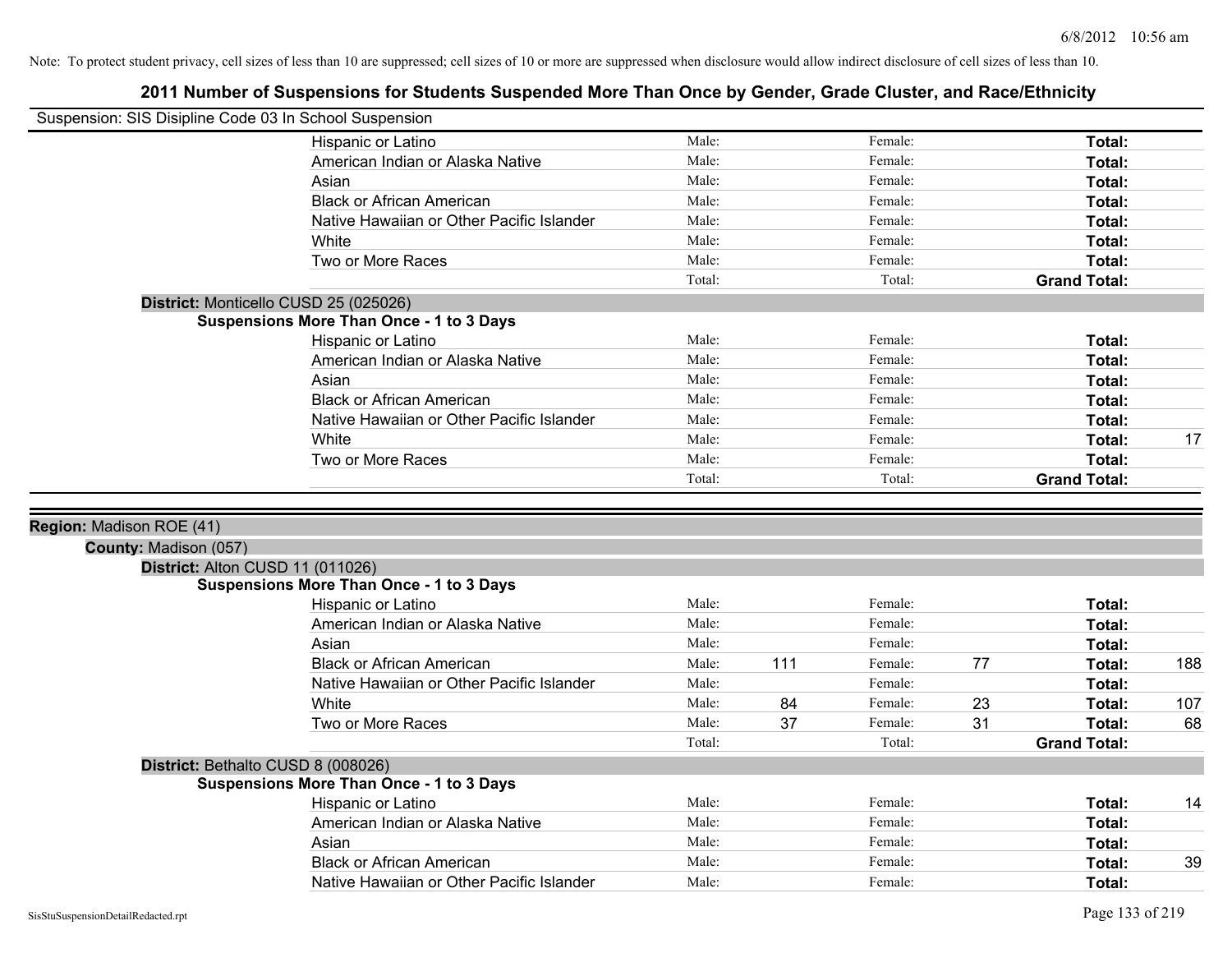|                                                   | Suspension: SIS Disipline Code 03 In School Suspension                                |                 |     |                   |                                     |     |
|---------------------------------------------------|---------------------------------------------------------------------------------------|-----------------|-----|-------------------|-------------------------------------|-----|
|                                                   | Hispanic or Latino                                                                    | Male:           |     | Female:           | Total:                              |     |
|                                                   | American Indian or Alaska Native                                                      | Male:           |     | Female:           | Total:                              |     |
|                                                   | Asian                                                                                 | Male:           |     | Female:           | Total:                              |     |
|                                                   | <b>Black or African American</b>                                                      | Male:           |     | Female:           | Total:                              |     |
|                                                   | Native Hawaiian or Other Pacific Islander                                             | Male:           |     | Female:           | Total:                              |     |
|                                                   | White                                                                                 | Male:           |     | Female:           | Total:                              |     |
|                                                   | Two or More Races                                                                     | Male:           |     | Female:           | Total:                              |     |
|                                                   |                                                                                       | Total:          |     | Total:            | <b>Grand Total:</b>                 |     |
|                                                   | District: Monticello CUSD 25 (025026)                                                 |                 |     |                   |                                     |     |
|                                                   | <b>Suspensions More Than Once - 1 to 3 Days</b>                                       |                 |     |                   |                                     |     |
|                                                   | Hispanic or Latino                                                                    | Male:           |     | Female:           | Total:                              |     |
|                                                   | American Indian or Alaska Native                                                      | Male:           |     | Female:           | Total:                              |     |
|                                                   | Asian                                                                                 | Male:           |     | Female:           | Total:                              |     |
|                                                   | <b>Black or African American</b>                                                      | Male:           |     | Female:           | Total:                              |     |
|                                                   | Native Hawaiian or Other Pacific Islander                                             | Male:           |     | Female:           | Total:                              |     |
|                                                   | White                                                                                 | Male:           |     | Female:           | Total:                              | 17  |
|                                                   | Two or More Races                                                                     | Male:           |     | Female:           | Total:                              |     |
|                                                   |                                                                                       | Total:          |     | Total:            | <b>Grand Total:</b>                 |     |
| Region: Madison ROE (41)<br>County: Madison (057) |                                                                                       |                 |     |                   |                                     |     |
|                                                   |                                                                                       |                 |     |                   |                                     |     |
|                                                   | District: Alton CUSD 11 (011026)                                                      |                 |     |                   |                                     |     |
|                                                   | <b>Suspensions More Than Once - 1 to 3 Days</b>                                       |                 |     |                   |                                     |     |
|                                                   | Hispanic or Latino                                                                    | Male:           |     | Female:           | Total:                              |     |
|                                                   | American Indian or Alaska Native                                                      | Male:           |     | Female:           | Total:                              |     |
|                                                   | Asian                                                                                 | Male:           |     | Female:           | Total:                              |     |
|                                                   | <b>Black or African American</b>                                                      | Male:           | 111 | Female:           | 77<br>Total:                        | 188 |
|                                                   | Native Hawaiian or Other Pacific Islander                                             | Male:           |     | Female:           | Total:                              |     |
|                                                   | White                                                                                 | Male:           | 84  | Female:           | 23<br>Total:                        | 107 |
|                                                   | Two or More Races                                                                     | Male:<br>Total: | 37  | Female:<br>Total: | 31<br>Total:<br><b>Grand Total:</b> | 68  |
|                                                   |                                                                                       |                 |     |                   |                                     |     |
|                                                   | District: Bethalto CUSD 8 (008026)<br><b>Suspensions More Than Once - 1 to 3 Days</b> |                 |     |                   |                                     |     |
|                                                   | Hispanic or Latino                                                                    | Male:           |     | Female:           | Total:                              | 14  |
|                                                   | American Indian or Alaska Native                                                      | Male:           |     | Female:           | Total:                              |     |
|                                                   | Asian                                                                                 | Male:           |     | Female:           | Total:                              |     |
|                                                   | <b>Black or African American</b>                                                      | Male:           |     | Female:           | Total:                              | 39  |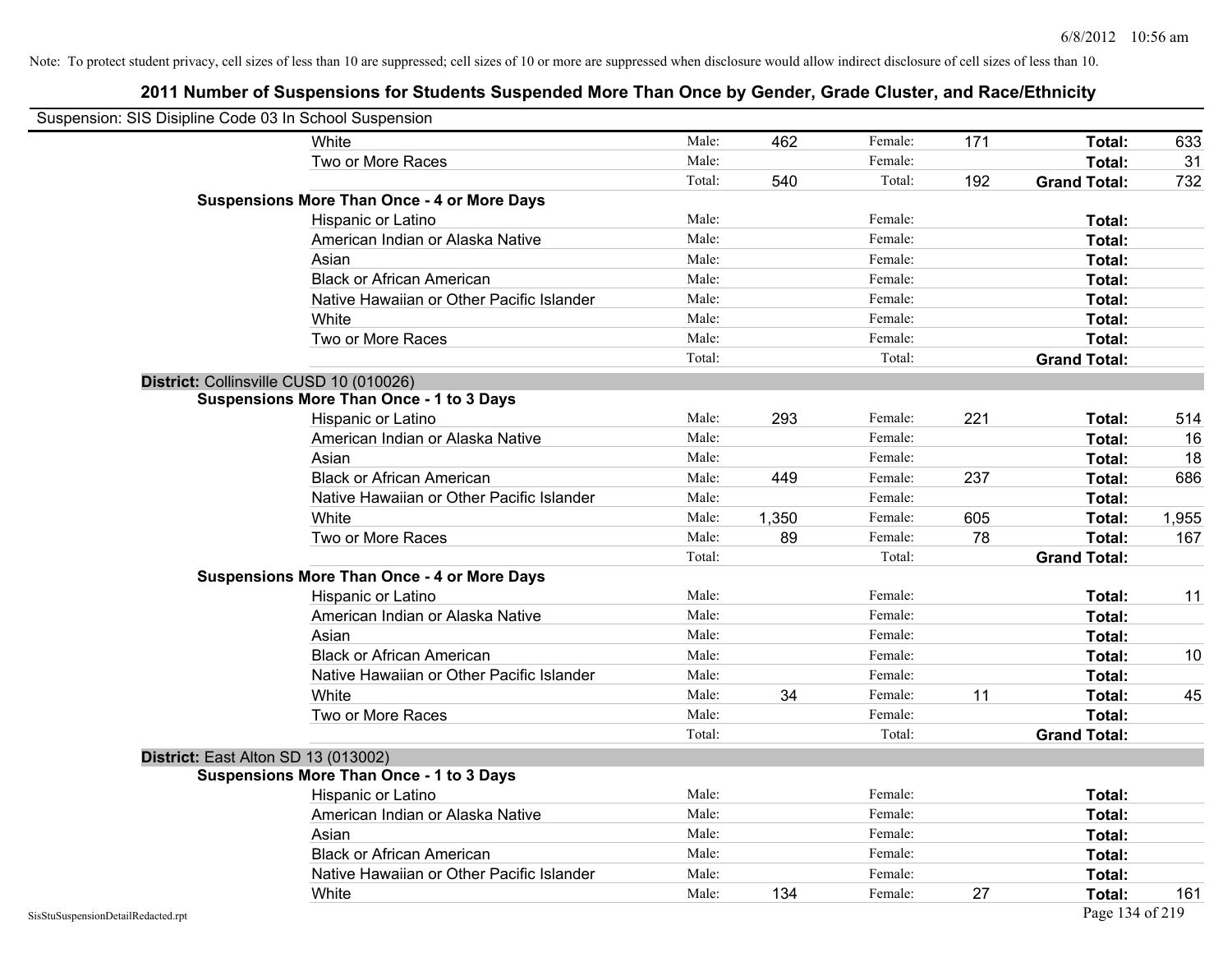| Suspension: SIS Disipline Code 03 In School Suspension |                                                    |        |       |         |     |                     |       |
|--------------------------------------------------------|----------------------------------------------------|--------|-------|---------|-----|---------------------|-------|
|                                                        | White                                              | Male:  | 462   | Female: | 171 | Total:              | 633   |
|                                                        | Two or More Races                                  | Male:  |       | Female: |     | Total:              | 31    |
|                                                        |                                                    | Total: | 540   | Total:  | 192 | <b>Grand Total:</b> | 732   |
|                                                        | <b>Suspensions More Than Once - 4 or More Days</b> |        |       |         |     |                     |       |
|                                                        | Hispanic or Latino                                 | Male:  |       | Female: |     | Total:              |       |
|                                                        | American Indian or Alaska Native                   | Male:  |       | Female: |     | Total:              |       |
|                                                        | Asian                                              | Male:  |       | Female: |     | Total:              |       |
|                                                        | <b>Black or African American</b>                   | Male:  |       | Female: |     | Total:              |       |
|                                                        | Native Hawaiian or Other Pacific Islander          | Male:  |       | Female: |     | Total:              |       |
|                                                        | White                                              | Male:  |       | Female: |     | Total:              |       |
|                                                        | Two or More Races                                  | Male:  |       | Female: |     | Total:              |       |
|                                                        |                                                    | Total: |       | Total:  |     | <b>Grand Total:</b> |       |
|                                                        | District: Collinsville CUSD 10 (010026)            |        |       |         |     |                     |       |
|                                                        | <b>Suspensions More Than Once - 1 to 3 Days</b>    |        |       |         |     |                     |       |
|                                                        | Hispanic or Latino                                 | Male:  | 293   | Female: | 221 | Total:              | 514   |
|                                                        | American Indian or Alaska Native                   | Male:  |       | Female: |     | Total:              | 16    |
|                                                        | Asian                                              | Male:  |       | Female: |     | Total:              | 18    |
|                                                        | <b>Black or African American</b>                   | Male:  | 449   | Female: | 237 | Total:              | 686   |
|                                                        | Native Hawaiian or Other Pacific Islander          | Male:  |       | Female: |     | Total:              |       |
|                                                        | White                                              | Male:  | 1,350 | Female: | 605 | Total:              | 1,955 |
|                                                        | Two or More Races                                  | Male:  | 89    | Female: | 78  | Total:              | 167   |
|                                                        |                                                    | Total: |       | Total:  |     | <b>Grand Total:</b> |       |
|                                                        | <b>Suspensions More Than Once - 4 or More Days</b> |        |       |         |     |                     |       |
|                                                        | Hispanic or Latino                                 | Male:  |       | Female: |     | Total:              | 11    |
|                                                        | American Indian or Alaska Native                   | Male:  |       | Female: |     | Total:              |       |
|                                                        | Asian                                              | Male:  |       | Female: |     | Total:              |       |
|                                                        | <b>Black or African American</b>                   | Male:  |       | Female: |     | Total:              | 10    |
|                                                        | Native Hawaiian or Other Pacific Islander          | Male:  |       | Female: |     | Total:              |       |
|                                                        | White                                              | Male:  | 34    | Female: | 11  | Total:              | 45    |
|                                                        | Two or More Races                                  | Male:  |       | Female: |     | Total:              |       |
|                                                        |                                                    | Total: |       | Total:  |     | <b>Grand Total:</b> |       |
|                                                        | District: East Alton SD 13 (013002)                |        |       |         |     |                     |       |
|                                                        | <b>Suspensions More Than Once - 1 to 3 Days</b>    |        |       |         |     |                     |       |
|                                                        | Hispanic or Latino                                 | Male:  |       | Female: |     | Total:              |       |
|                                                        | American Indian or Alaska Native                   | Male:  |       | Female: |     | Total:              |       |
|                                                        | Asian                                              | Male:  |       | Female: |     | Total:              |       |
|                                                        | <b>Black or African American</b>                   | Male:  |       | Female: |     | Total:              |       |
|                                                        | Native Hawaiian or Other Pacific Islander          | Male:  |       | Female: |     | Total:              |       |
|                                                        | White                                              | Male:  | 134   | Female: | 27  | Total:              | 161   |
| SisStuSuspensionDetailRedacted.rpt                     |                                                    |        |       |         |     | Page 134 of 219     |       |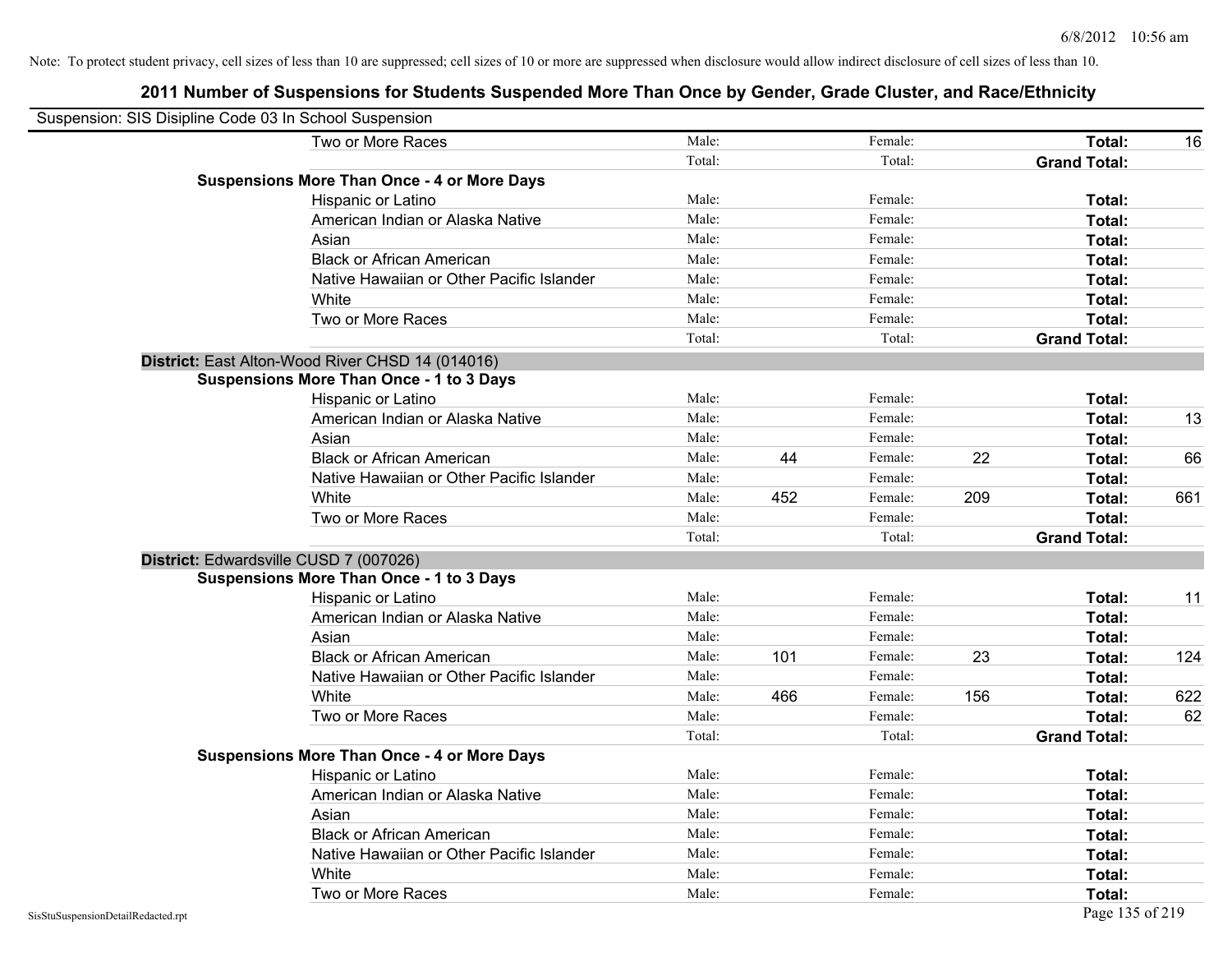| Suspension: SIS Disipline Code 03 In School Suspension |                                                    |        |     |         |     |                     |     |
|--------------------------------------------------------|----------------------------------------------------|--------|-----|---------|-----|---------------------|-----|
|                                                        | Two or More Races                                  | Male:  |     | Female: |     | Total:              | 16  |
|                                                        |                                                    | Total: |     | Total:  |     | <b>Grand Total:</b> |     |
|                                                        | <b>Suspensions More Than Once - 4 or More Days</b> |        |     |         |     |                     |     |
|                                                        | Hispanic or Latino                                 | Male:  |     | Female: |     | Total:              |     |
|                                                        | American Indian or Alaska Native                   | Male:  |     | Female: |     | <b>Total:</b>       |     |
|                                                        | Asian                                              | Male:  |     | Female: |     | <b>Total:</b>       |     |
|                                                        | <b>Black or African American</b>                   | Male:  |     | Female: |     | Total:              |     |
|                                                        | Native Hawaiian or Other Pacific Islander          | Male:  |     | Female: |     | Total:              |     |
|                                                        | White                                              | Male:  |     | Female: |     | Total:              |     |
|                                                        | Two or More Races                                  | Male:  |     | Female: |     | Total:              |     |
|                                                        |                                                    | Total: |     | Total:  |     | <b>Grand Total:</b> |     |
|                                                        | District: East Alton-Wood River CHSD 14 (014016)   |        |     |         |     |                     |     |
|                                                        | <b>Suspensions More Than Once - 1 to 3 Days</b>    |        |     |         |     |                     |     |
|                                                        | Hispanic or Latino                                 | Male:  |     | Female: |     | <b>Total:</b>       |     |
|                                                        | American Indian or Alaska Native                   | Male:  |     | Female: |     | Total:              | 13  |
|                                                        | Asian                                              | Male:  |     | Female: |     | Total:              |     |
|                                                        | <b>Black or African American</b>                   | Male:  | 44  | Female: | 22  | Total:              | 66  |
|                                                        | Native Hawaiian or Other Pacific Islander          | Male:  |     | Female: |     | <b>Total:</b>       |     |
|                                                        | White                                              | Male:  | 452 | Female: | 209 | Total:              | 661 |
|                                                        | Two or More Races                                  | Male:  |     | Female: |     | Total:              |     |
|                                                        |                                                    | Total: |     | Total:  |     | <b>Grand Total:</b> |     |
|                                                        | District: Edwardsville CUSD 7 (007026)             |        |     |         |     |                     |     |
|                                                        | <b>Suspensions More Than Once - 1 to 3 Days</b>    |        |     |         |     |                     |     |
|                                                        | Hispanic or Latino                                 | Male:  |     | Female: |     | Total:              | 11  |
|                                                        | American Indian or Alaska Native                   | Male:  |     | Female: |     | <b>Total:</b>       |     |
|                                                        | Asian                                              | Male:  |     | Female: |     | <b>Total:</b>       |     |
|                                                        | <b>Black or African American</b>                   | Male:  | 101 | Female: | 23  | Total:              | 124 |
|                                                        | Native Hawaiian or Other Pacific Islander          | Male:  |     | Female: |     | Total:              |     |
|                                                        | White                                              | Male:  | 466 | Female: | 156 | Total:              | 622 |
|                                                        | Two or More Races                                  | Male:  |     | Female: |     | Total:              | 62  |
|                                                        |                                                    | Total: |     | Total:  |     | <b>Grand Total:</b> |     |
|                                                        | <b>Suspensions More Than Once - 4 or More Days</b> |        |     |         |     |                     |     |
|                                                        | Hispanic or Latino                                 | Male:  |     | Female: |     | Total:              |     |
|                                                        | American Indian or Alaska Native                   | Male:  |     | Female: |     | <b>Total:</b>       |     |
|                                                        | Asian                                              | Male:  |     | Female: |     | Total:              |     |
|                                                        | <b>Black or African American</b>                   | Male:  |     | Female: |     | Total:              |     |
|                                                        | Native Hawaiian or Other Pacific Islander          | Male:  |     | Female: |     | Total:              |     |
|                                                        | White                                              | Male:  |     | Female: |     | <b>Total:</b>       |     |
|                                                        | Two or More Races                                  | Male:  |     | Female: |     | <b>Total:</b>       |     |
| SisStuSuspensionDetailRedacted.rpt                     |                                                    |        |     |         |     | Page 135 of 219     |     |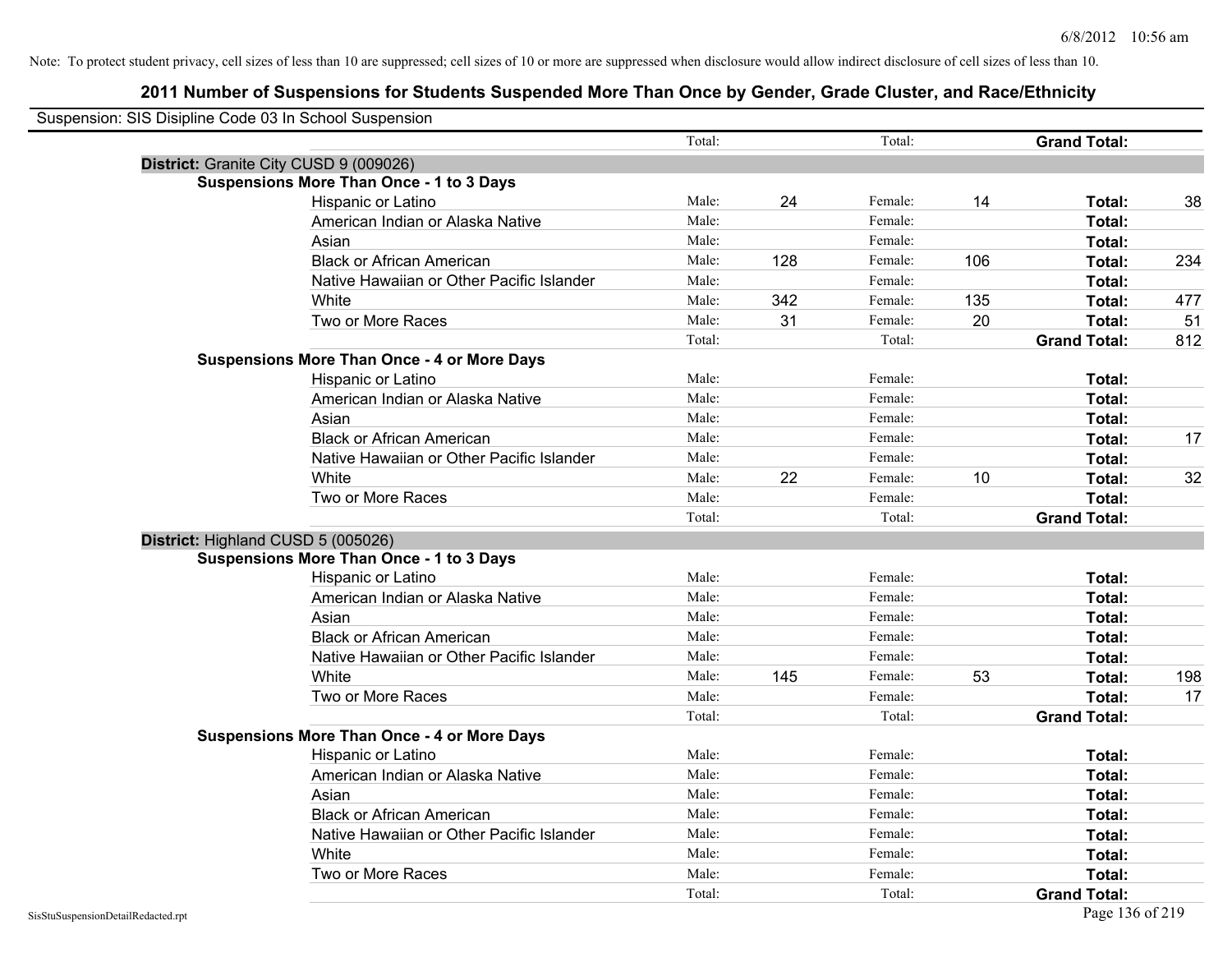| Suspension: SIS Disipline Code 03 In School Suspension |                                                    |        |     |         |     |                     |     |
|--------------------------------------------------------|----------------------------------------------------|--------|-----|---------|-----|---------------------|-----|
|                                                        |                                                    | Total: |     | Total:  |     | <b>Grand Total:</b> |     |
|                                                        | District: Granite City CUSD 9 (009026)             |        |     |         |     |                     |     |
|                                                        | <b>Suspensions More Than Once - 1 to 3 Days</b>    |        |     |         |     |                     |     |
|                                                        | Hispanic or Latino                                 | Male:  | 24  | Female: | 14  | Total:              | 38  |
|                                                        | American Indian or Alaska Native                   | Male:  |     | Female: |     | Total:              |     |
|                                                        | Asian                                              | Male:  |     | Female: |     | Total:              |     |
|                                                        | <b>Black or African American</b>                   | Male:  | 128 | Female: | 106 | Total:              | 234 |
|                                                        | Native Hawaiian or Other Pacific Islander          | Male:  |     | Female: |     | Total:              |     |
|                                                        | White                                              | Male:  | 342 | Female: | 135 | Total:              | 477 |
|                                                        | Two or More Races                                  | Male:  | 31  | Female: | 20  | Total:              | 51  |
|                                                        |                                                    | Total: |     | Total:  |     | <b>Grand Total:</b> | 812 |
|                                                        | <b>Suspensions More Than Once - 4 or More Days</b> |        |     |         |     |                     |     |
|                                                        | Hispanic or Latino                                 | Male:  |     | Female: |     | Total:              |     |
|                                                        | American Indian or Alaska Native                   | Male:  |     | Female: |     | Total:              |     |
|                                                        | Asian                                              | Male:  |     | Female: |     | Total:              |     |
|                                                        | <b>Black or African American</b>                   | Male:  |     | Female: |     | Total:              | 17  |
|                                                        | Native Hawaiian or Other Pacific Islander          | Male:  |     | Female: |     | Total:              |     |
|                                                        | White                                              | Male:  | 22  | Female: | 10  | Total:              | 32  |
|                                                        | Two or More Races                                  | Male:  |     | Female: |     | Total:              |     |
|                                                        |                                                    | Total: |     | Total:  |     | <b>Grand Total:</b> |     |
|                                                        | District: Highland CUSD 5 (005026)                 |        |     |         |     |                     |     |
|                                                        | <b>Suspensions More Than Once - 1 to 3 Days</b>    |        |     |         |     |                     |     |
|                                                        | Hispanic or Latino                                 | Male:  |     | Female: |     | Total:              |     |
|                                                        | American Indian or Alaska Native                   | Male:  |     | Female: |     | Total:              |     |
|                                                        | Asian                                              | Male:  |     | Female: |     | Total:              |     |
|                                                        | <b>Black or African American</b>                   | Male:  |     | Female: |     | Total:              |     |
|                                                        | Native Hawaiian or Other Pacific Islander          | Male:  |     | Female: |     | Total:              |     |
|                                                        | White                                              | Male:  | 145 | Female: | 53  | Total:              | 198 |
|                                                        | Two or More Races                                  | Male:  |     | Female: |     | Total:              | 17  |
|                                                        |                                                    | Total: |     | Total:  |     | <b>Grand Total:</b> |     |
|                                                        | <b>Suspensions More Than Once - 4 or More Days</b> |        |     |         |     |                     |     |
|                                                        | Hispanic or Latino                                 | Male:  |     | Female: |     | Total:              |     |
|                                                        | American Indian or Alaska Native                   | Male:  |     | Female: |     | Total:              |     |
|                                                        | Asian                                              | Male:  |     | Female: |     | Total:              |     |
|                                                        | <b>Black or African American</b>                   | Male:  |     | Female: |     | Total:              |     |
|                                                        | Native Hawaiian or Other Pacific Islander          | Male:  |     | Female: |     | Total:              |     |
|                                                        | White                                              | Male:  |     | Female: |     | Total:              |     |
|                                                        | Two or More Races                                  | Male:  |     | Female: |     | Total:              |     |
|                                                        |                                                    | Total: |     | Total:  |     | <b>Grand Total:</b> |     |
| SisStuSuspensionDetailRedacted.rpt                     |                                                    |        |     |         |     | Page 136 of 219     |     |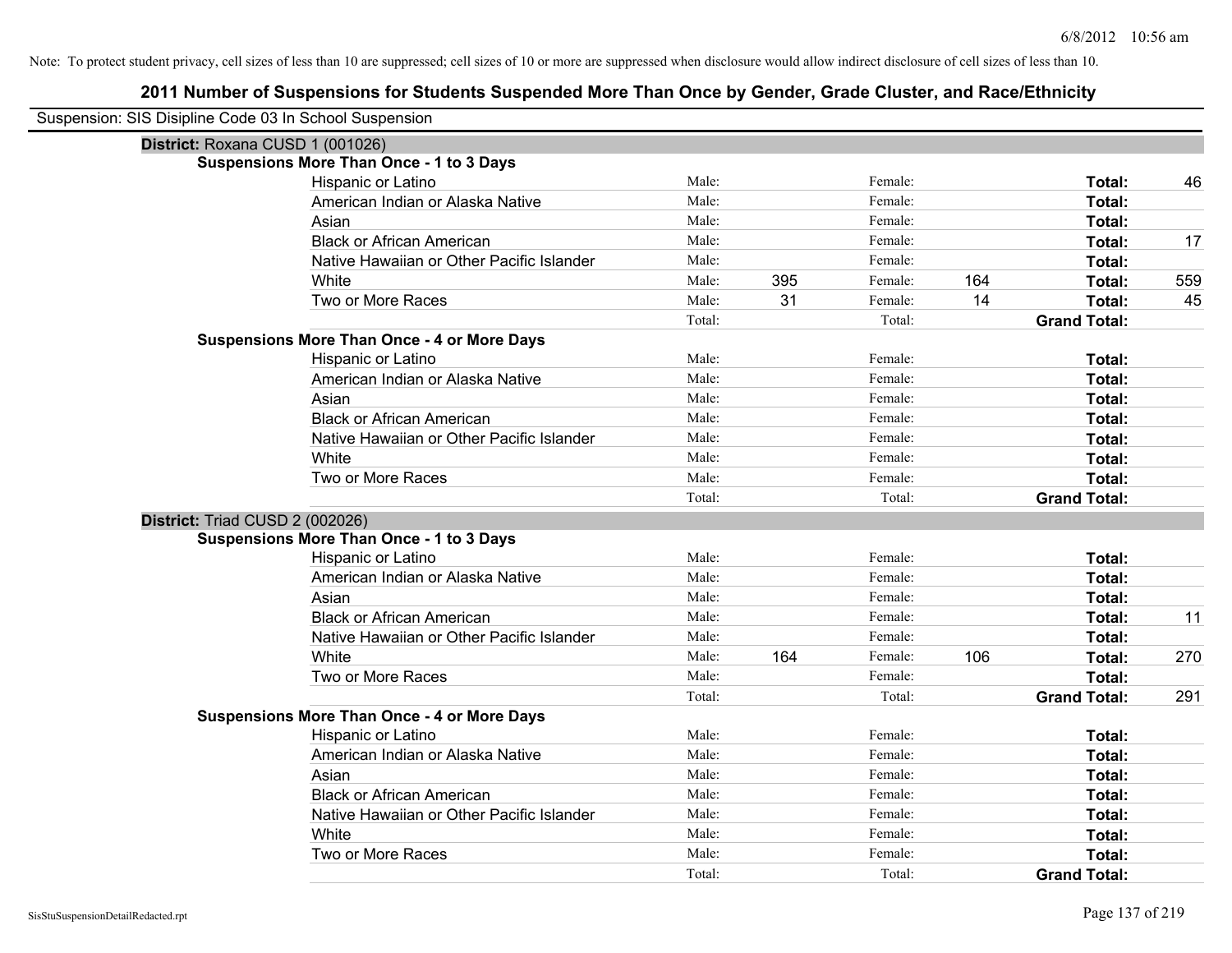| Suspension: SIS Disipline Code 03 In School Suspension |                                                    |        |     |         |     |                     |     |
|--------------------------------------------------------|----------------------------------------------------|--------|-----|---------|-----|---------------------|-----|
| District: Roxana CUSD 1 (001026)                       |                                                    |        |     |         |     |                     |     |
|                                                        | <b>Suspensions More Than Once - 1 to 3 Days</b>    |        |     |         |     |                     |     |
|                                                        | Hispanic or Latino                                 | Male:  |     | Female: |     | Total:              | 46  |
|                                                        | American Indian or Alaska Native                   | Male:  |     | Female: |     | Total:              |     |
|                                                        | Asian                                              | Male:  |     | Female: |     | Total:              |     |
|                                                        | <b>Black or African American</b>                   | Male:  |     | Female: |     | Total:              | 17  |
|                                                        | Native Hawaiian or Other Pacific Islander          | Male:  |     | Female: |     | Total:              |     |
|                                                        | White                                              | Male:  | 395 | Female: | 164 | Total:              | 559 |
|                                                        | Two or More Races                                  | Male:  | 31  | Female: | 14  | Total:              | 45  |
|                                                        |                                                    | Total: |     | Total:  |     | <b>Grand Total:</b> |     |
|                                                        | <b>Suspensions More Than Once - 4 or More Days</b> |        |     |         |     |                     |     |
|                                                        | Hispanic or Latino                                 | Male:  |     | Female: |     | Total:              |     |
|                                                        | American Indian or Alaska Native                   | Male:  |     | Female: |     | Total:              |     |
|                                                        | Asian                                              | Male:  |     | Female: |     | Total:              |     |
|                                                        | <b>Black or African American</b>                   | Male:  |     | Female: |     | Total:              |     |
|                                                        | Native Hawaiian or Other Pacific Islander          | Male:  |     | Female: |     | Total:              |     |
|                                                        | White                                              | Male:  |     | Female: |     | Total:              |     |
|                                                        | Two or More Races                                  | Male:  |     | Female: |     | Total:              |     |
|                                                        |                                                    | Total: |     | Total:  |     | <b>Grand Total:</b> |     |
| District: Triad CUSD 2 (002026)                        |                                                    |        |     |         |     |                     |     |
|                                                        | <b>Suspensions More Than Once - 1 to 3 Days</b>    |        |     |         |     |                     |     |
|                                                        | Hispanic or Latino                                 | Male:  |     | Female: |     | Total:              |     |
|                                                        | American Indian or Alaska Native                   | Male:  |     | Female: |     | Total:              |     |
|                                                        |                                                    |        |     |         |     |                     |     |
|                                                        | Asian                                              | Male:  |     | Female: |     | Total:              |     |
|                                                        | <b>Black or African American</b>                   | Male:  |     | Female: |     | Total:              | 11  |
|                                                        | Native Hawaiian or Other Pacific Islander          | Male:  |     | Female: |     | Total:              |     |
|                                                        | White                                              | Male:  | 164 | Female: | 106 | Total:              | 270 |
|                                                        | Two or More Races                                  | Male:  |     | Female: |     | Total:              |     |
|                                                        |                                                    | Total: |     | Total:  |     | <b>Grand Total:</b> | 291 |
|                                                        | <b>Suspensions More Than Once - 4 or More Days</b> |        |     |         |     |                     |     |
|                                                        | Hispanic or Latino                                 | Male:  |     | Female: |     | Total:              |     |
|                                                        | American Indian or Alaska Native                   | Male:  |     | Female: |     | Total:              |     |
|                                                        | Asian                                              | Male:  |     | Female: |     | Total:              |     |
|                                                        | <b>Black or African American</b>                   | Male:  |     | Female: |     | Total:              |     |
|                                                        | Native Hawaiian or Other Pacific Islander          | Male:  |     | Female: |     | Total:              |     |
|                                                        | White                                              | Male:  |     | Female: |     | Total:              |     |
|                                                        | Two or More Races                                  | Male:  |     | Female: |     | Total:              |     |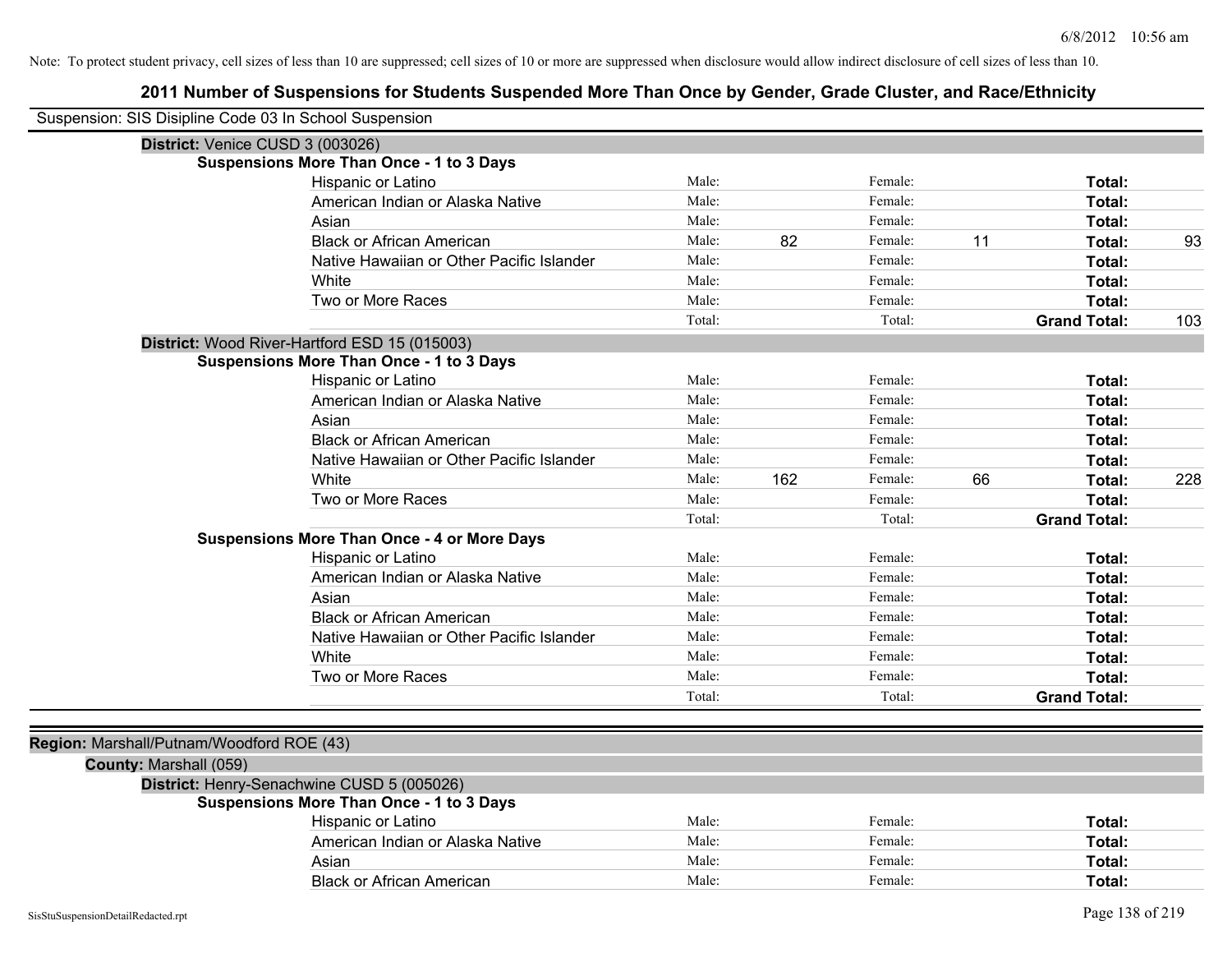| Suspension: SIS Disipline Code 03 In School Suspension |                                                    |        |     |         |    |                     |     |
|--------------------------------------------------------|----------------------------------------------------|--------|-----|---------|----|---------------------|-----|
| District: Venice CUSD 3 (003026)                       |                                                    |        |     |         |    |                     |     |
|                                                        | <b>Suspensions More Than Once - 1 to 3 Days</b>    |        |     |         |    |                     |     |
|                                                        | Hispanic or Latino                                 | Male:  |     | Female: |    | Total:              |     |
|                                                        | American Indian or Alaska Native                   | Male:  |     | Female: |    | Total:              |     |
|                                                        | Asian                                              | Male:  |     | Female: |    | Total:              |     |
|                                                        | <b>Black or African American</b>                   | Male:  | 82  | Female: | 11 | Total:              | 93  |
|                                                        | Native Hawaiian or Other Pacific Islander          | Male:  |     | Female: |    | Total:              |     |
|                                                        | White                                              | Male:  |     | Female: |    | Total:              |     |
|                                                        | Two or More Races                                  | Male:  |     | Female: |    | Total:              |     |
|                                                        |                                                    | Total: |     | Total:  |    | <b>Grand Total:</b> | 103 |
|                                                        | District: Wood River-Hartford ESD 15 (015003)      |        |     |         |    |                     |     |
|                                                        | <b>Suspensions More Than Once - 1 to 3 Days</b>    |        |     |         |    |                     |     |
|                                                        | Hispanic or Latino                                 | Male:  |     | Female: |    | Total:              |     |
|                                                        | American Indian or Alaska Native                   | Male:  |     | Female: |    | Total:              |     |
|                                                        | Asian                                              | Male:  |     | Female: |    | Total:              |     |
|                                                        | <b>Black or African American</b>                   | Male:  |     | Female: |    | Total:              |     |
|                                                        | Native Hawaiian or Other Pacific Islander          | Male:  |     | Female: |    | Total:              |     |
|                                                        | White                                              | Male:  | 162 | Female: | 66 | Total:              | 228 |
|                                                        | Two or More Races                                  | Male:  |     | Female: |    | Total:              |     |
|                                                        |                                                    | Total: |     | Total:  |    | <b>Grand Total:</b> |     |
|                                                        | <b>Suspensions More Than Once - 4 or More Days</b> |        |     |         |    |                     |     |
|                                                        | Hispanic or Latino                                 | Male:  |     | Female: |    | Total:              |     |
|                                                        | American Indian or Alaska Native                   | Male:  |     | Female: |    | Total:              |     |
|                                                        | Asian                                              | Male:  |     | Female: |    | Total:              |     |
|                                                        | <b>Black or African American</b>                   | Male:  |     | Female: |    | Total:              |     |
|                                                        | Native Hawaiian or Other Pacific Islander          | Male:  |     | Female: |    | Total:              |     |
|                                                        | White                                              | Male:  |     | Female: |    | Total:              |     |
|                                                        | Two or More Races                                  | Male:  |     | Female: |    | Total:              |     |
|                                                        |                                                    | Total: |     | Total:  |    | <b>Grand Total:</b> |     |
|                                                        |                                                    |        |     |         |    |                     |     |
| Region: Marshall/Putnam/Woodford ROE (43)              |                                                    |        |     |         |    |                     |     |
| County: Marshall (059)                                 |                                                    |        |     |         |    |                     |     |
|                                                        | District: Henry-Senachwine CUSD 5 (005026)         |        |     |         |    |                     |     |
|                                                        | <b>Suspensions More Than Once - 1 to 3 Days</b>    |        |     |         |    |                     |     |
|                                                        | Hispanic or Latino                                 | Male:  |     | Female: |    | Total:              |     |
|                                                        | American Indian or Alaska Native                   | Male:  |     | Female: |    | Total:              |     |
|                                                        | Asian                                              | Male:  |     | Female: |    | Total:              |     |
|                                                        | <b>Black or African American</b>                   | Male:  |     | Female: |    | Total:              |     |
|                                                        |                                                    |        |     |         |    |                     |     |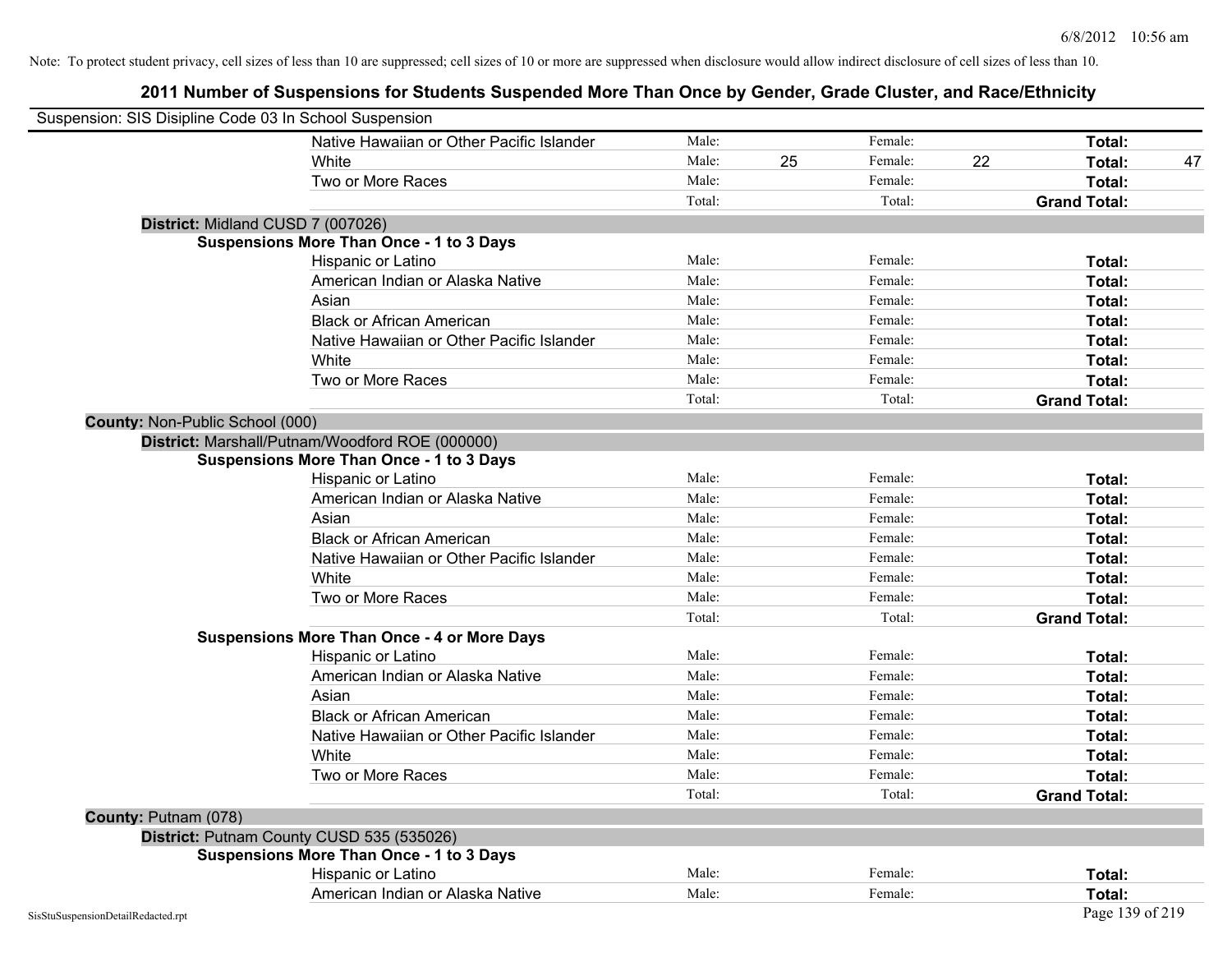| Suspension: SIS Disipline Code 03 In School Suspension |                                                    |        |    |         |    |                     |    |
|--------------------------------------------------------|----------------------------------------------------|--------|----|---------|----|---------------------|----|
|                                                        | Native Hawaiian or Other Pacific Islander          | Male:  |    | Female: |    | Total:              |    |
|                                                        | White                                              | Male:  | 25 | Female: | 22 | Total:              | 47 |
|                                                        | Two or More Races                                  | Male:  |    | Female: |    | Total:              |    |
|                                                        |                                                    | Total: |    | Total:  |    | <b>Grand Total:</b> |    |
| District: Midland CUSD 7 (007026)                      |                                                    |        |    |         |    |                     |    |
|                                                        | Suspensions More Than Once - 1 to 3 Days           |        |    |         |    |                     |    |
|                                                        | Hispanic or Latino                                 | Male:  |    | Female: |    | Total:              |    |
|                                                        | American Indian or Alaska Native                   | Male:  |    | Female: |    | Total:              |    |
|                                                        | Asian                                              | Male:  |    | Female: |    | Total:              |    |
|                                                        | <b>Black or African American</b>                   | Male:  |    | Female: |    | Total:              |    |
|                                                        | Native Hawaiian or Other Pacific Islander          | Male:  |    | Female: |    | Total:              |    |
|                                                        | White                                              | Male:  |    | Female: |    | Total:              |    |
|                                                        | Two or More Races                                  | Male:  |    | Female: |    | Total:              |    |
|                                                        |                                                    | Total: |    | Total:  |    | <b>Grand Total:</b> |    |
| County: Non-Public School (000)                        |                                                    |        |    |         |    |                     |    |
|                                                        | District: Marshall/Putnam/Woodford ROE (000000)    |        |    |         |    |                     |    |
|                                                        | Suspensions More Than Once - 1 to 3 Days           |        |    |         |    |                     |    |
|                                                        | Hispanic or Latino                                 | Male:  |    | Female: |    | Total:              |    |
|                                                        | American Indian or Alaska Native                   | Male:  |    | Female: |    | Total:              |    |
|                                                        | Asian                                              | Male:  |    | Female: |    | Total:              |    |
|                                                        | <b>Black or African American</b>                   | Male:  |    | Female: |    | Total:              |    |
|                                                        | Native Hawaiian or Other Pacific Islander          | Male:  |    | Female: |    | Total:              |    |
|                                                        | White                                              | Male:  |    | Female: |    | Total:              |    |
|                                                        | Two or More Races                                  | Male:  |    | Female: |    | Total:              |    |
|                                                        |                                                    | Total: |    | Total:  |    | <b>Grand Total:</b> |    |
|                                                        | <b>Suspensions More Than Once - 4 or More Days</b> |        |    |         |    |                     |    |
|                                                        | Hispanic or Latino                                 | Male:  |    | Female: |    | Total:              |    |
|                                                        | American Indian or Alaska Native                   | Male:  |    | Female: |    | Total:              |    |
|                                                        | Asian                                              | Male:  |    | Female: |    | Total:              |    |
|                                                        | <b>Black or African American</b>                   | Male:  |    | Female: |    | Total:              |    |
|                                                        | Native Hawaiian or Other Pacific Islander          | Male:  |    | Female: |    | Total:              |    |
|                                                        | White                                              | Male:  |    | Female: |    | Total:              |    |
|                                                        | Two or More Races                                  | Male:  |    | Female: |    | Total:              |    |
|                                                        |                                                    | Total: |    | Total:  |    | <b>Grand Total:</b> |    |
| County: Putnam (078)                                   |                                                    |        |    |         |    |                     |    |
|                                                        | District: Putnam County CUSD 535 (535026)          |        |    |         |    |                     |    |
|                                                        | <b>Suspensions More Than Once - 1 to 3 Days</b>    |        |    |         |    |                     |    |
|                                                        | Hispanic or Latino                                 | Male:  |    | Female: |    | Total:              |    |
|                                                        | American Indian or Alaska Native                   | Male:  |    | Female: |    | Total:              |    |
| SisStuSuspensionDetailRedacted.rpt                     |                                                    |        |    |         |    | Page 139 of 219     |    |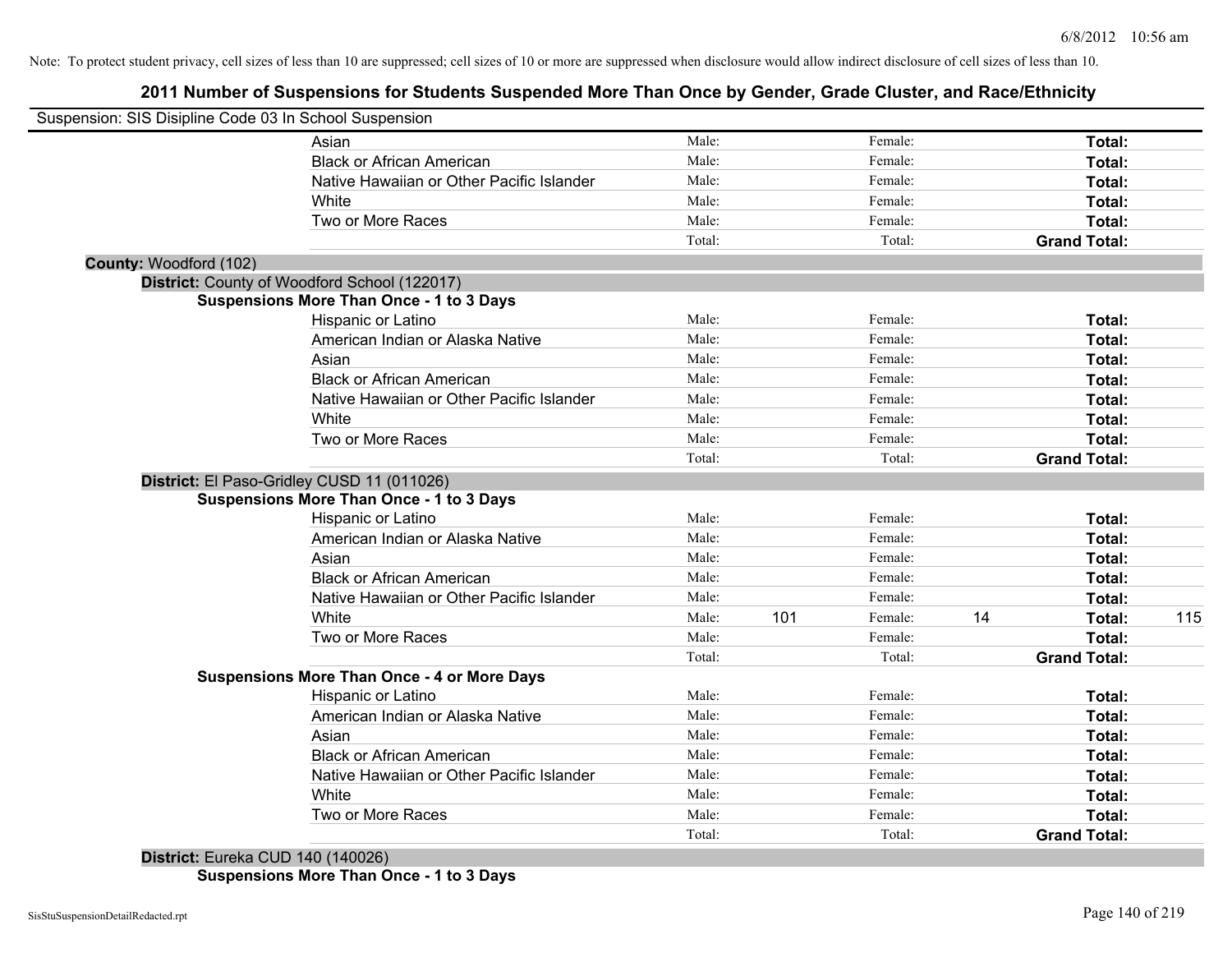# **2011 Number of Suspensions for Students Suspended More Than Once by Gender, Grade Cluster, and Race/Ethnicity**

| Suspension: SIS Disipline Code 03 In School Suspension |                                                    |        |     |         |    |                     |     |
|--------------------------------------------------------|----------------------------------------------------|--------|-----|---------|----|---------------------|-----|
|                                                        | Asian                                              | Male:  |     | Female: |    | Total:              |     |
|                                                        | <b>Black or African American</b>                   | Male:  |     | Female: |    | Total:              |     |
|                                                        | Native Hawaiian or Other Pacific Islander          | Male:  |     | Female: |    | Total:              |     |
|                                                        | White                                              | Male:  |     | Female: |    | Total:              |     |
|                                                        | Two or More Races                                  | Male:  |     | Female: |    | Total:              |     |
|                                                        |                                                    | Total: |     | Total:  |    | <b>Grand Total:</b> |     |
| County: Woodford (102)                                 |                                                    |        |     |         |    |                     |     |
|                                                        | District: County of Woodford School (122017)       |        |     |         |    |                     |     |
|                                                        | <b>Suspensions More Than Once - 1 to 3 Days</b>    |        |     |         |    |                     |     |
|                                                        | Hispanic or Latino                                 | Male:  |     | Female: |    | Total:              |     |
|                                                        | American Indian or Alaska Native                   | Male:  |     | Female: |    | Total:              |     |
|                                                        | Asian                                              | Male:  |     | Female: |    | Total:              |     |
|                                                        | <b>Black or African American</b>                   | Male:  |     | Female: |    | Total:              |     |
|                                                        | Native Hawaiian or Other Pacific Islander          | Male:  |     | Female: |    | Total:              |     |
|                                                        | White                                              | Male:  |     | Female: |    | Total:              |     |
|                                                        | Two or More Races                                  | Male:  |     | Female: |    | Total:              |     |
|                                                        |                                                    | Total: |     | Total:  |    | <b>Grand Total:</b> |     |
|                                                        | District: El Paso-Gridley CUSD 11 (011026)         |        |     |         |    |                     |     |
|                                                        | <b>Suspensions More Than Once - 1 to 3 Days</b>    |        |     |         |    |                     |     |
|                                                        | Hispanic or Latino                                 | Male:  |     | Female: |    | Total:              |     |
|                                                        | American Indian or Alaska Native                   | Male:  |     | Female: |    | Total:              |     |
|                                                        | Asian                                              | Male:  |     | Female: |    | Total:              |     |
|                                                        | <b>Black or African American</b>                   | Male:  |     | Female: |    | Total:              |     |
|                                                        | Native Hawaiian or Other Pacific Islander          | Male:  |     | Female: |    | Total:              |     |
|                                                        | White                                              | Male:  | 101 | Female: | 14 | Total:              | 115 |
|                                                        | Two or More Races                                  | Male:  |     | Female: |    | Total:              |     |
|                                                        |                                                    | Total: |     | Total:  |    | <b>Grand Total:</b> |     |
|                                                        | <b>Suspensions More Than Once - 4 or More Days</b> |        |     |         |    |                     |     |
|                                                        | Hispanic or Latino                                 | Male:  |     | Female: |    | Total:              |     |
|                                                        | American Indian or Alaska Native                   | Male:  |     | Female: |    | Total:              |     |
|                                                        | Asian                                              | Male:  |     | Female: |    | Total:              |     |
|                                                        | <b>Black or African American</b>                   | Male:  |     | Female: |    | Total:              |     |
|                                                        | Native Hawaiian or Other Pacific Islander          | Male:  |     | Female: |    | Total:              |     |
|                                                        | White                                              | Male:  |     | Female: |    | Total:              |     |
|                                                        | Two or More Races                                  | Male:  |     | Female: |    | Total:              |     |
|                                                        |                                                    | Total: |     | Total:  |    | <b>Grand Total:</b> |     |

**District:** Eureka CUD 140 (140026) **Suspensions More Than Once - 1 to 3 Days**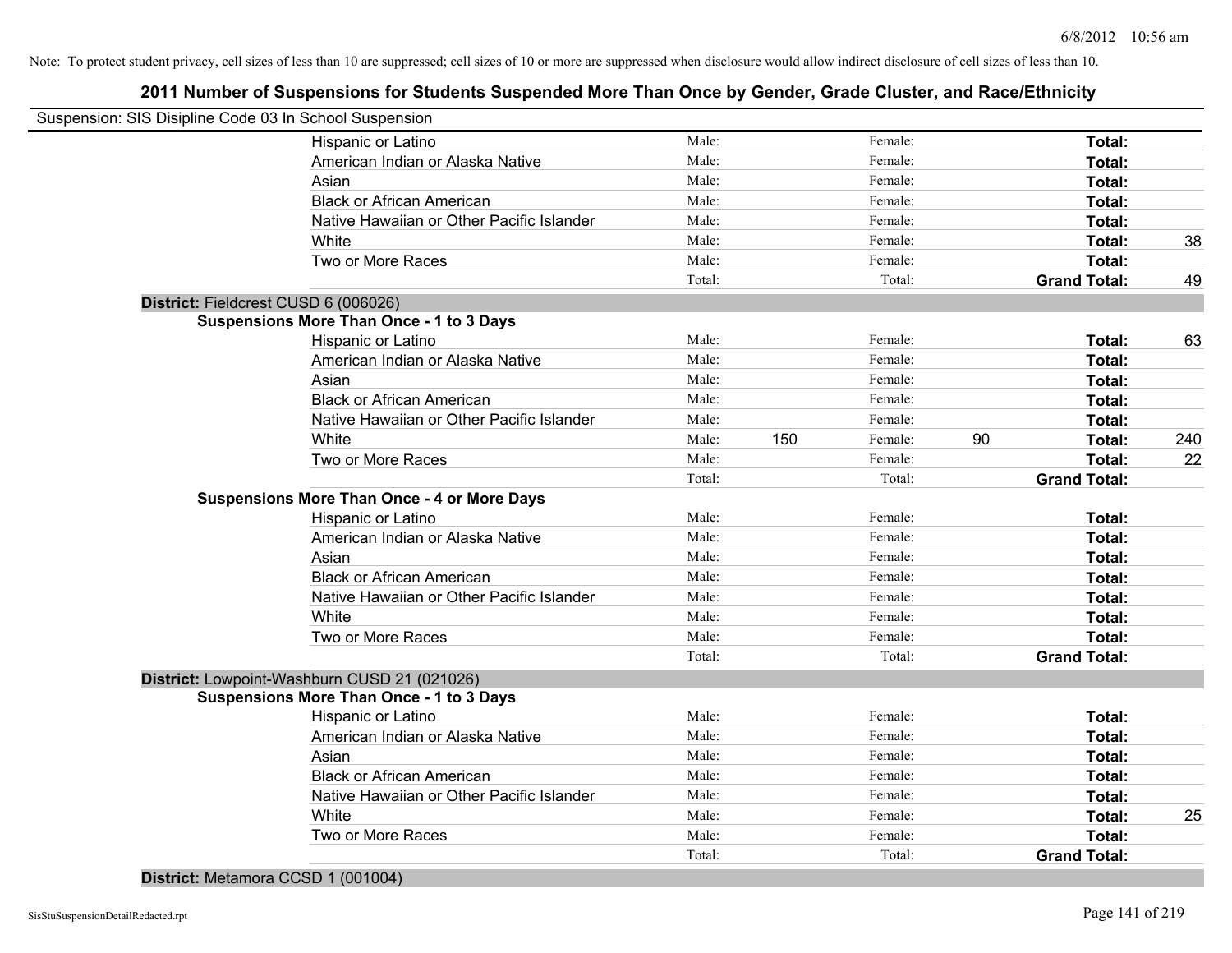# **2011 Number of Suspensions for Students Suspended More Than Once by Gender, Grade Cluster, and Race/Ethnicity**

| Suspension: SIS Disipline Code 03 In School Suspension |        |     |         |    |                     |     |
|--------------------------------------------------------|--------|-----|---------|----|---------------------|-----|
| Hispanic or Latino                                     | Male:  |     | Female: |    | Total:              |     |
| American Indian or Alaska Native                       | Male:  |     | Female: |    | Total:              |     |
| Asian                                                  | Male:  |     | Female: |    | Total:              |     |
| <b>Black or African American</b>                       | Male:  |     | Female: |    | Total:              |     |
| Native Hawaiian or Other Pacific Islander              | Male:  |     | Female: |    | Total:              |     |
| White                                                  | Male:  |     | Female: |    | Total:              | 38  |
| Two or More Races                                      | Male:  |     | Female: |    | Total:              |     |
|                                                        | Total: |     | Total:  |    | <b>Grand Total:</b> | 49  |
| District: Fieldcrest CUSD 6 (006026)                   |        |     |         |    |                     |     |
| <b>Suspensions More Than Once - 1 to 3 Days</b>        |        |     |         |    |                     |     |
| Hispanic or Latino                                     | Male:  |     | Female: |    | Total:              | 63  |
| American Indian or Alaska Native                       | Male:  |     | Female: |    | Total:              |     |
| Asian                                                  | Male:  |     | Female: |    | Total:              |     |
| <b>Black or African American</b>                       | Male:  |     | Female: |    | Total:              |     |
| Native Hawaiian or Other Pacific Islander              | Male:  |     | Female: |    | Total:              |     |
| White                                                  | Male:  | 150 | Female: | 90 | Total:              | 240 |
| Two or More Races                                      | Male:  |     | Female: |    | Total:              | 22  |
|                                                        | Total: |     | Total:  |    | <b>Grand Total:</b> |     |
| <b>Suspensions More Than Once - 4 or More Days</b>     |        |     |         |    |                     |     |
| Hispanic or Latino                                     | Male:  |     | Female: |    | Total:              |     |
| American Indian or Alaska Native                       | Male:  |     | Female: |    | Total:              |     |
| Asian                                                  | Male:  |     | Female: |    | Total:              |     |
| <b>Black or African American</b>                       | Male:  |     | Female: |    | Total:              |     |
| Native Hawaiian or Other Pacific Islander              | Male:  |     | Female: |    | Total:              |     |
| White                                                  | Male:  |     | Female: |    | Total:              |     |
| Two or More Races                                      | Male:  |     | Female: |    | Total:              |     |
|                                                        | Total: |     | Total:  |    | <b>Grand Total:</b> |     |
| District: Lowpoint-Washburn CUSD 21 (021026)           |        |     |         |    |                     |     |
| <b>Suspensions More Than Once - 1 to 3 Days</b>        |        |     |         |    |                     |     |
| Hispanic or Latino                                     | Male:  |     | Female: |    | Total:              |     |
| American Indian or Alaska Native                       | Male:  |     | Female: |    | Total:              |     |
| Asian                                                  | Male:  |     | Female: |    | Total:              |     |
| <b>Black or African American</b>                       | Male:  |     | Female: |    | Total:              |     |
| Native Hawaiian or Other Pacific Islander              | Male:  |     | Female: |    | Total:              |     |
| White                                                  | Male:  |     | Female: |    | Total:              | 25  |
| Two or More Races                                      | Male:  |     | Female: |    | Total:              |     |
|                                                        | Total: |     | Total:  |    | <b>Grand Total:</b> |     |
|                                                        |        |     |         |    |                     |     |

**District:** Metamora CCSD 1 (001004)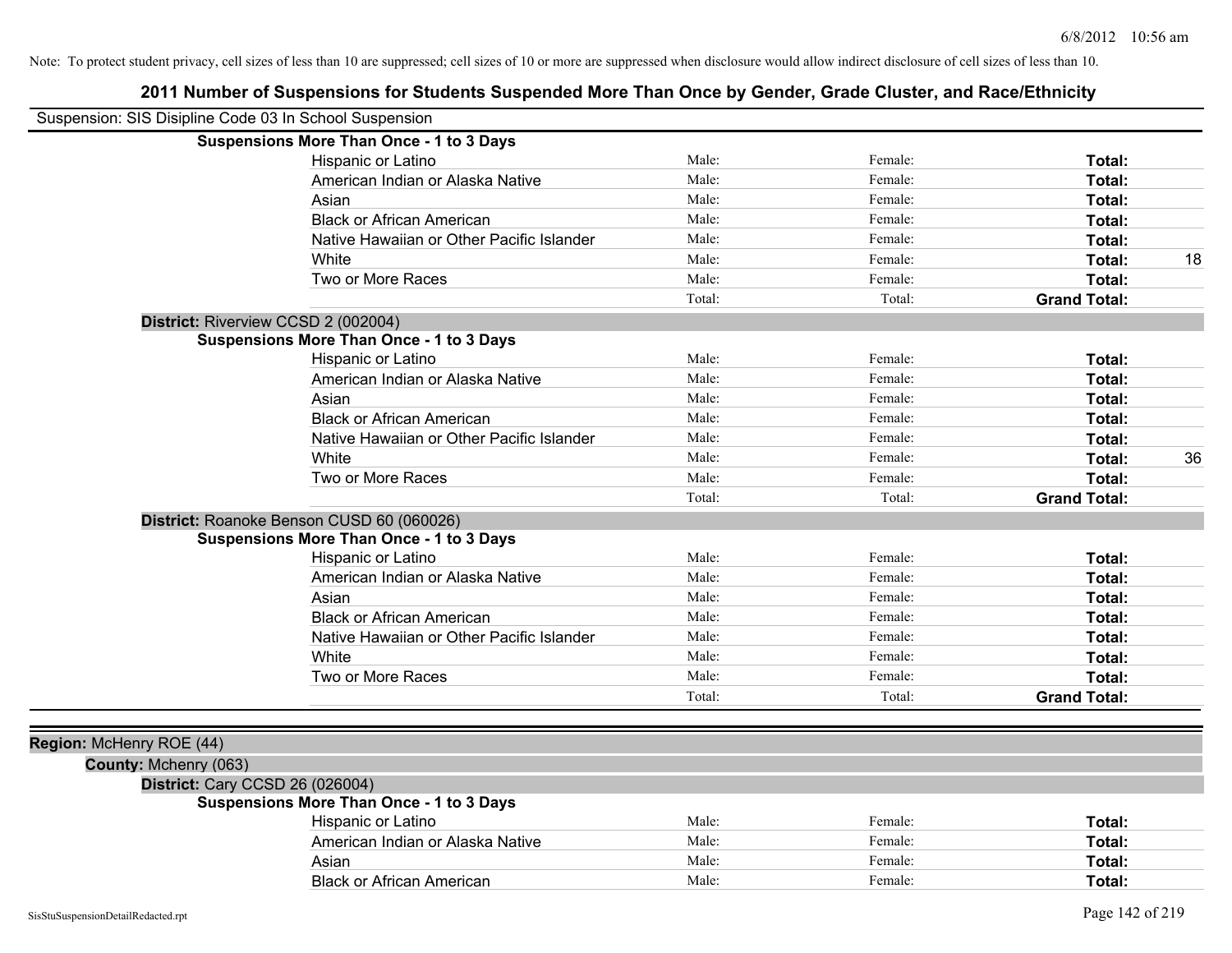| Suspension: SIS Disipline Code 03 In School Suspension |                                                 |        |         |                     |    |
|--------------------------------------------------------|-------------------------------------------------|--------|---------|---------------------|----|
|                                                        | <b>Suspensions More Than Once - 1 to 3 Days</b> |        |         |                     |    |
|                                                        | Hispanic or Latino                              | Male:  | Female: | Total:              |    |
|                                                        | American Indian or Alaska Native                | Male:  | Female: | Total:              |    |
|                                                        | Asian                                           | Male:  | Female: | Total:              |    |
|                                                        | <b>Black or African American</b>                | Male:  | Female: | Total:              |    |
|                                                        | Native Hawaiian or Other Pacific Islander       | Male:  | Female: | Total:              |    |
|                                                        | White                                           | Male:  | Female: | Total:              | 18 |
|                                                        | Two or More Races                               | Male:  | Female: | Total:              |    |
|                                                        |                                                 | Total: | Total:  | <b>Grand Total:</b> |    |
|                                                        | District: Riverview CCSD 2 (002004)             |        |         |                     |    |
|                                                        | <b>Suspensions More Than Once - 1 to 3 Days</b> |        |         |                     |    |
|                                                        | Hispanic or Latino                              | Male:  | Female: | Total:              |    |
|                                                        | American Indian or Alaska Native                | Male:  | Female: | Total:              |    |
|                                                        | Asian                                           | Male:  | Female: | Total:              |    |
|                                                        | <b>Black or African American</b>                | Male:  | Female: | Total:              |    |
|                                                        | Native Hawaiian or Other Pacific Islander       | Male:  | Female: | Total:              |    |
|                                                        | White                                           | Male:  | Female: | Total:              | 36 |
|                                                        | Two or More Races                               | Male:  | Female: | Total:              |    |
|                                                        |                                                 | Total: | Total:  | <b>Grand Total:</b> |    |
|                                                        | District: Roanoke Benson CUSD 60 (060026)       |        |         |                     |    |
|                                                        | <b>Suspensions More Than Once - 1 to 3 Days</b> |        |         |                     |    |
|                                                        | Hispanic or Latino                              | Male:  | Female: | Total:              |    |
|                                                        | American Indian or Alaska Native                | Male:  | Female: | Total:              |    |
|                                                        | Asian                                           | Male:  | Female: | Total:              |    |
|                                                        | <b>Black or African American</b>                | Male:  | Female: | Total:              |    |
|                                                        | Native Hawaiian or Other Pacific Islander       | Male:  | Female: | Total:              |    |
|                                                        | White                                           | Male:  | Female: | Total:              |    |
|                                                        | Two or More Races                               | Male:  | Female: | Total:              |    |
|                                                        |                                                 | Total: | Total:  | <b>Grand Total:</b> |    |
|                                                        |                                                 |        |         |                     |    |
| Region: McHenry ROE (44)                               |                                                 |        |         |                     |    |
| County: Mchenry (063)                                  |                                                 |        |         |                     |    |
|                                                        | District: Cary CCSD 26 (026004)                 |        |         |                     |    |
|                                                        | <b>Suspensions More Than Once - 1 to 3 Days</b> |        |         |                     |    |
|                                                        | Hispanic or Latino                              | Male:  | Female: | Total:              |    |
|                                                        | American Indian or Alaska Native                | Male:  | Female: | Total:              |    |
|                                                        | Asian                                           | Male:  | Female: | Total:              |    |
|                                                        | <b>Black or African American</b>                | Male:  | Female: | Total:              |    |
|                                                        |                                                 |        |         |                     |    |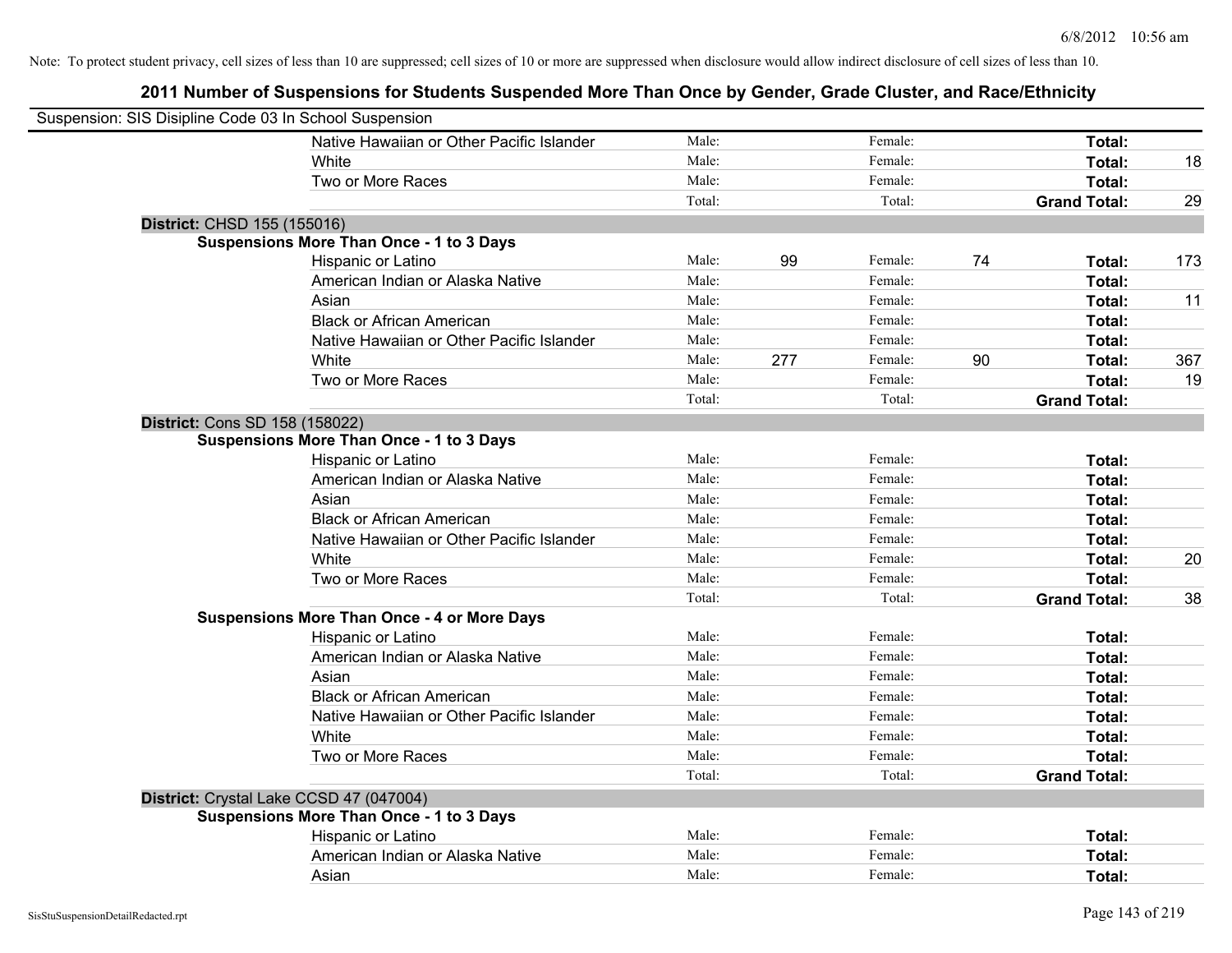| Suspension: SIS Disipline Code 03 In School Suspension |                                                    |        |     |         |    |                     |     |
|--------------------------------------------------------|----------------------------------------------------|--------|-----|---------|----|---------------------|-----|
|                                                        | Native Hawaiian or Other Pacific Islander          | Male:  |     | Female: |    | Total:              |     |
|                                                        | White                                              | Male:  |     | Female: |    | <b>Total:</b>       | 18  |
|                                                        | Two or More Races                                  | Male:  |     | Female: |    | Total:              |     |
|                                                        |                                                    | Total: |     | Total:  |    | <b>Grand Total:</b> | 29  |
| District: CHSD 155 (155016)                            |                                                    |        |     |         |    |                     |     |
|                                                        | <b>Suspensions More Than Once - 1 to 3 Days</b>    |        |     |         |    |                     |     |
|                                                        | Hispanic or Latino                                 | Male:  | 99  | Female: | 74 | Total:              | 173 |
|                                                        | American Indian or Alaska Native                   | Male:  |     | Female: |    | Total:              |     |
|                                                        | Asian                                              | Male:  |     | Female: |    | Total:              | 11  |
|                                                        | <b>Black or African American</b>                   | Male:  |     | Female: |    | Total:              |     |
|                                                        | Native Hawaiian or Other Pacific Islander          | Male:  |     | Female: |    | Total:              |     |
|                                                        | White                                              | Male:  | 277 | Female: | 90 | Total:              | 367 |
|                                                        | Two or More Races                                  | Male:  |     | Female: |    | Total:              | 19  |
|                                                        |                                                    | Total: |     | Total:  |    | <b>Grand Total:</b> |     |
| <b>District: Cons SD 158 (158022)</b>                  |                                                    |        |     |         |    |                     |     |
|                                                        | <b>Suspensions More Than Once - 1 to 3 Days</b>    |        |     |         |    |                     |     |
|                                                        | Hispanic or Latino                                 | Male:  |     | Female: |    | Total:              |     |
|                                                        | American Indian or Alaska Native                   | Male:  |     | Female: |    | Total:              |     |
|                                                        | Asian                                              | Male:  |     | Female: |    | Total:              |     |
|                                                        | <b>Black or African American</b>                   | Male:  |     | Female: |    | Total:              |     |
|                                                        | Native Hawaiian or Other Pacific Islander          | Male:  |     | Female: |    | Total:              |     |
|                                                        | White                                              | Male:  |     | Female: |    | Total:              | 20  |
|                                                        | Two or More Races                                  | Male:  |     | Female: |    | Total:              |     |
|                                                        |                                                    | Total: |     | Total:  |    | <b>Grand Total:</b> | 38  |
|                                                        | <b>Suspensions More Than Once - 4 or More Days</b> |        |     |         |    |                     |     |
|                                                        | Hispanic or Latino                                 | Male:  |     | Female: |    | Total:              |     |
|                                                        | American Indian or Alaska Native                   | Male:  |     | Female: |    | Total:              |     |
|                                                        | Asian                                              | Male:  |     | Female: |    | Total:              |     |
|                                                        | <b>Black or African American</b>                   | Male:  |     | Female: |    | Total:              |     |
|                                                        | Native Hawaiian or Other Pacific Islander          | Male:  |     | Female: |    | Total:              |     |
|                                                        | White                                              | Male:  |     | Female: |    | Total:              |     |
|                                                        | Two or More Races                                  | Male:  |     | Female: |    | Total:              |     |
|                                                        |                                                    | Total: |     | Total:  |    | <b>Grand Total:</b> |     |
| District: Crystal Lake CCSD 47 (047004)                |                                                    |        |     |         |    |                     |     |
|                                                        | <b>Suspensions More Than Once - 1 to 3 Days</b>    |        |     |         |    |                     |     |
|                                                        | Hispanic or Latino                                 | Male:  |     | Female: |    | Total:              |     |
|                                                        | American Indian or Alaska Native                   | Male:  |     | Female: |    | Total:              |     |
|                                                        | Asian                                              | Male:  |     | Female: |    | Total:              |     |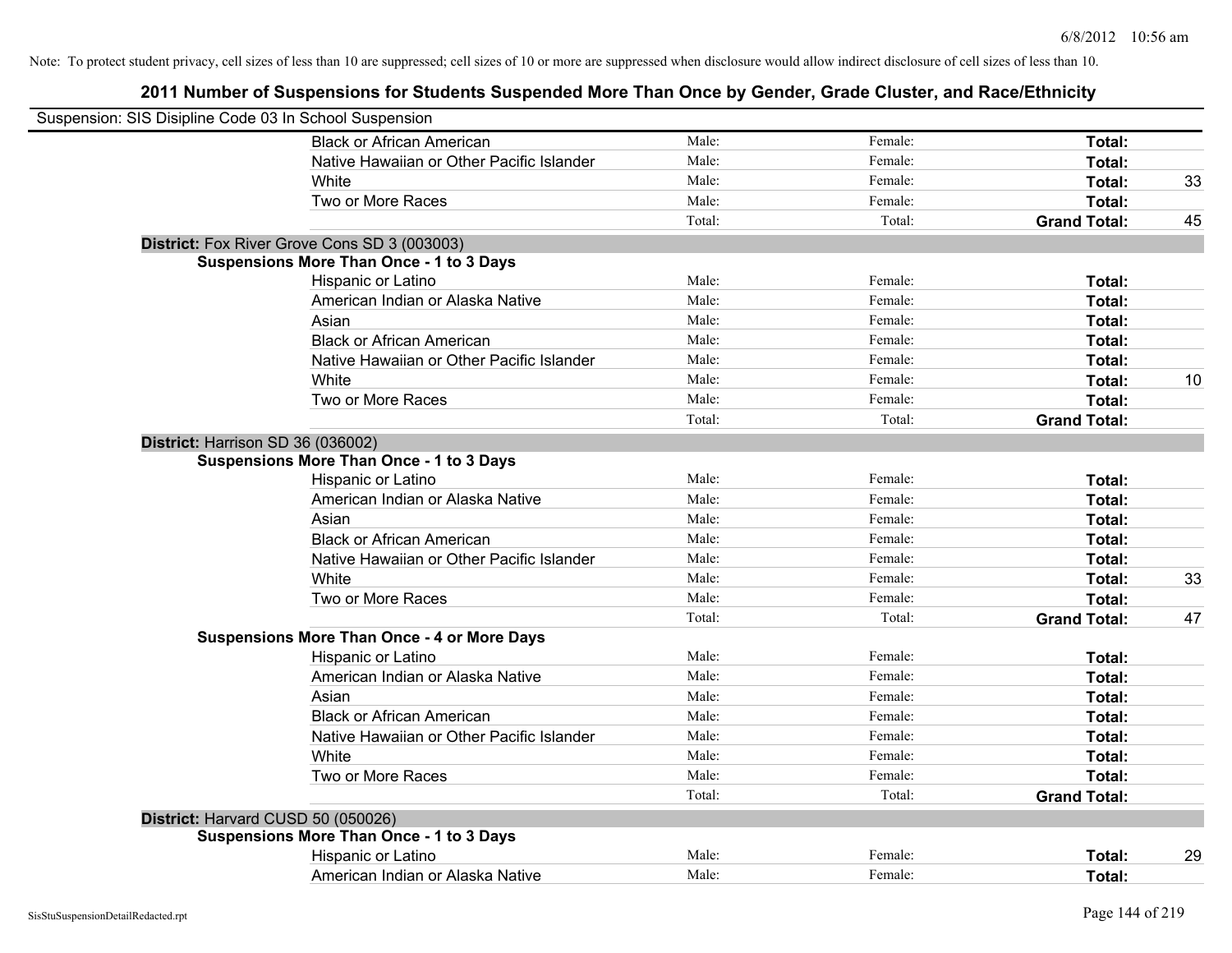| Suspension: SIS Disipline Code 03 In School Suspension |                                                    |        |         |                     |    |
|--------------------------------------------------------|----------------------------------------------------|--------|---------|---------------------|----|
|                                                        | <b>Black or African American</b>                   | Male:  | Female: | Total:              |    |
|                                                        | Native Hawaiian or Other Pacific Islander          | Male:  | Female: | Total:              |    |
|                                                        | White                                              | Male:  | Female: | Total:              | 33 |
|                                                        | Two or More Races                                  | Male:  | Female: | Total:              |    |
|                                                        |                                                    | Total: | Total:  | <b>Grand Total:</b> | 45 |
|                                                        | District: Fox River Grove Cons SD 3 (003003)       |        |         |                     |    |
|                                                        | <b>Suspensions More Than Once - 1 to 3 Days</b>    |        |         |                     |    |
|                                                        | Hispanic or Latino                                 | Male:  | Female: | Total:              |    |
|                                                        | American Indian or Alaska Native                   | Male:  | Female: | Total:              |    |
|                                                        | Asian                                              | Male:  | Female: | Total:              |    |
|                                                        | <b>Black or African American</b>                   | Male:  | Female: | Total:              |    |
|                                                        | Native Hawaiian or Other Pacific Islander          | Male:  | Female: | Total:              |    |
|                                                        | White                                              | Male:  | Female: | Total:              | 10 |
|                                                        | Two or More Races                                  | Male:  | Female: | Total:              |    |
|                                                        |                                                    | Total: | Total:  | <b>Grand Total:</b> |    |
| District: Harrison SD 36 (036002)                      |                                                    |        |         |                     |    |
|                                                        | <b>Suspensions More Than Once - 1 to 3 Days</b>    |        |         |                     |    |
|                                                        | Hispanic or Latino                                 | Male:  | Female: | Total:              |    |
|                                                        | American Indian or Alaska Native                   | Male:  | Female: | Total:              |    |
|                                                        | Asian                                              | Male:  | Female: | Total:              |    |
|                                                        | <b>Black or African American</b>                   | Male:  | Female: | Total:              |    |
|                                                        | Native Hawaiian or Other Pacific Islander          | Male:  | Female: | Total:              |    |
|                                                        | White                                              | Male:  | Female: | Total:              | 33 |
|                                                        | Two or More Races                                  | Male:  | Female: | Total:              |    |
|                                                        |                                                    | Total: | Total:  | <b>Grand Total:</b> | 47 |
|                                                        | <b>Suspensions More Than Once - 4 or More Days</b> |        |         |                     |    |
|                                                        | Hispanic or Latino                                 | Male:  | Female: | Total:              |    |
|                                                        | American Indian or Alaska Native                   | Male:  | Female: | Total:              |    |
|                                                        | Asian                                              | Male:  | Female: | Total:              |    |
|                                                        | <b>Black or African American</b>                   | Male:  | Female: | Total:              |    |
|                                                        | Native Hawaiian or Other Pacific Islander          | Male:  | Female: | Total:              |    |
|                                                        | White                                              | Male:  | Female: | Total:              |    |
|                                                        | Two or More Races                                  | Male:  | Female: | Total:              |    |
|                                                        |                                                    | Total: | Total:  | <b>Grand Total:</b> |    |
|                                                        | District: Harvard CUSD 50 (050026)                 |        |         |                     |    |
|                                                        | <b>Suspensions More Than Once - 1 to 3 Days</b>    |        |         |                     |    |
|                                                        | Hispanic or Latino                                 | Male:  | Female: | Total:              | 29 |
|                                                        | American Indian or Alaska Native                   | Male:  | Female: | Total:              |    |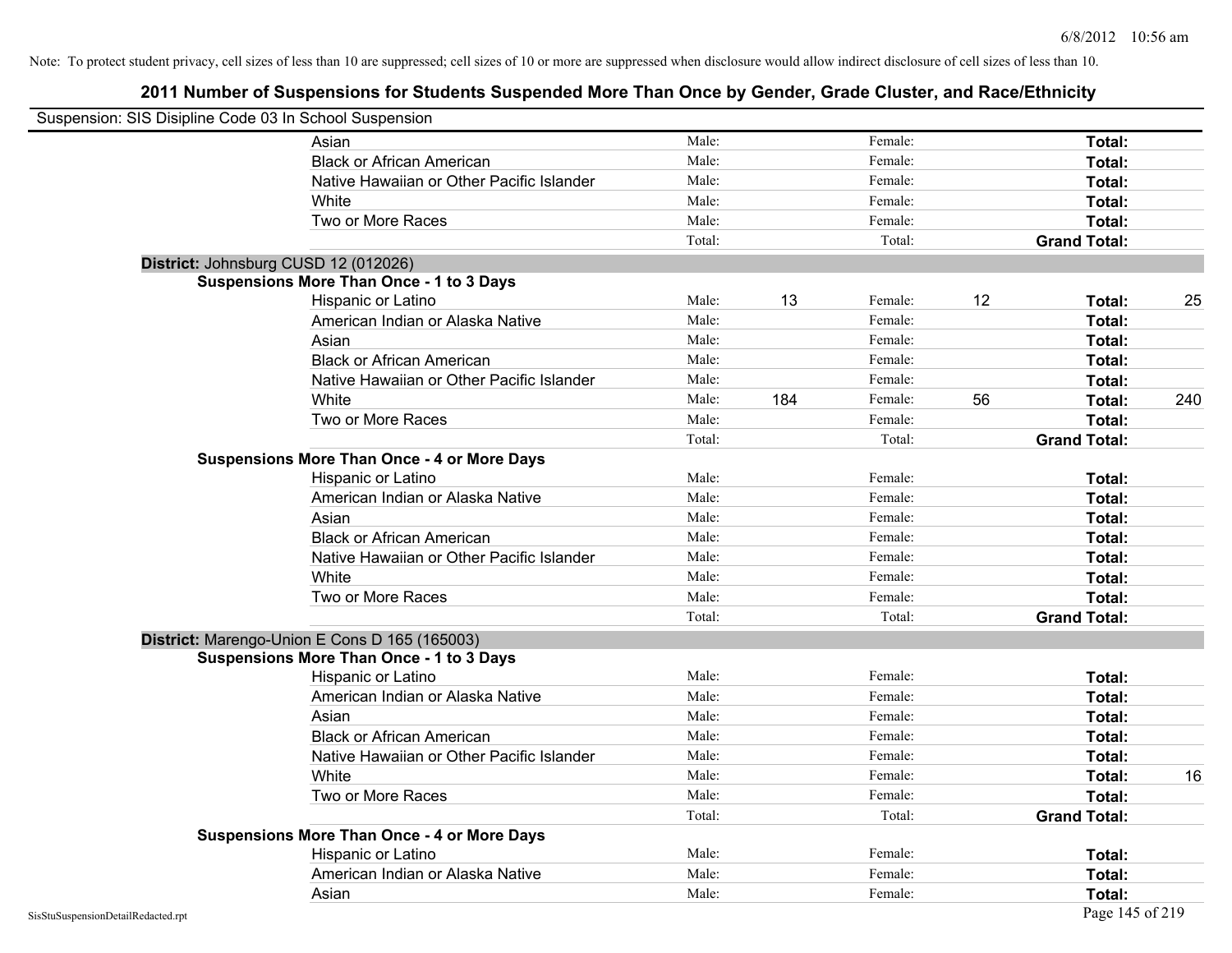|                                    | Suspension: SIS Disipline Code 03 In School Suspension                                           |        |     |         |    |                     |     |
|------------------------------------|--------------------------------------------------------------------------------------------------|--------|-----|---------|----|---------------------|-----|
|                                    | Asian                                                                                            | Male:  |     | Female: |    | <b>Total:</b>       |     |
|                                    | <b>Black or African American</b>                                                                 | Male:  |     | Female: |    | Total:              |     |
|                                    | Native Hawaiian or Other Pacific Islander                                                        | Male:  |     | Female: |    | Total:              |     |
|                                    | White                                                                                            | Male:  |     | Female: |    | Total:              |     |
|                                    | Two or More Races                                                                                | Male:  |     | Female: |    | Total:              |     |
|                                    |                                                                                                  | Total: |     | Total:  |    | <b>Grand Total:</b> |     |
|                                    | District: Johnsburg CUSD 12 (012026)                                                             |        |     |         |    |                     |     |
|                                    | <b>Suspensions More Than Once - 1 to 3 Days</b>                                                  |        |     |         |    |                     |     |
|                                    | Hispanic or Latino                                                                               | Male:  | 13  | Female: | 12 | Total:              | 25  |
|                                    | American Indian or Alaska Native                                                                 | Male:  |     | Female: |    | Total:              |     |
|                                    | Asian                                                                                            | Male:  |     | Female: |    | Total:              |     |
|                                    | <b>Black or African American</b>                                                                 | Male:  |     | Female: |    | Total:              |     |
|                                    | Native Hawaiian or Other Pacific Islander                                                        | Male:  |     | Female: |    | Total:              |     |
|                                    | White                                                                                            | Male:  | 184 | Female: | 56 | Total:              | 240 |
|                                    | Two or More Races                                                                                | Male:  |     | Female: |    | Total:              |     |
|                                    |                                                                                                  | Total: |     | Total:  |    | <b>Grand Total:</b> |     |
|                                    | <b>Suspensions More Than Once - 4 or More Days</b>                                               |        |     |         |    |                     |     |
|                                    | Hispanic or Latino                                                                               | Male:  |     | Female: |    | Total:              |     |
|                                    | American Indian or Alaska Native                                                                 | Male:  |     | Female: |    | Total:              |     |
|                                    | Asian                                                                                            | Male:  |     | Female: |    | Total:              |     |
|                                    | <b>Black or African American</b>                                                                 | Male:  |     | Female: |    | Total:              |     |
|                                    | Native Hawaiian or Other Pacific Islander                                                        | Male:  |     | Female: |    | Total:              |     |
|                                    | White                                                                                            | Male:  |     | Female: |    | Total:              |     |
|                                    | Two or More Races                                                                                | Male:  |     | Female: |    | Total:              |     |
|                                    |                                                                                                  | Total: |     | Total:  |    | <b>Grand Total:</b> |     |
|                                    | District: Marengo-Union E Cons D 165 (165003)<br><b>Suspensions More Than Once - 1 to 3 Days</b> |        |     |         |    |                     |     |
|                                    | Hispanic or Latino                                                                               | Male:  |     | Female: |    | Total:              |     |
|                                    | American Indian or Alaska Native                                                                 | Male:  |     | Female: |    | Total:              |     |
|                                    | Asian                                                                                            | Male:  |     | Female: |    | Total:              |     |
|                                    | <b>Black or African American</b>                                                                 | Male:  |     | Female: |    | Total:              |     |
|                                    | Native Hawaiian or Other Pacific Islander                                                        | Male:  |     | Female: |    | Total:              |     |
|                                    | White                                                                                            | Male:  |     | Female: |    | Total:              | 16  |
|                                    | Two or More Races                                                                                | Male:  |     | Female: |    | Total:              |     |
|                                    |                                                                                                  | Total: |     | Total:  |    | <b>Grand Total:</b> |     |
|                                    | <b>Suspensions More Than Once - 4 or More Days</b>                                               |        |     |         |    |                     |     |
|                                    | Hispanic or Latino                                                                               | Male:  |     | Female: |    | Total:              |     |
|                                    | American Indian or Alaska Native                                                                 | Male:  |     | Female: |    | Total:              |     |
|                                    | Asian                                                                                            | Male:  |     | Female: |    | Total:              |     |
| SisStuSuspensionDetailRedacted.rpt |                                                                                                  |        |     |         |    | Page 145 of 219     |     |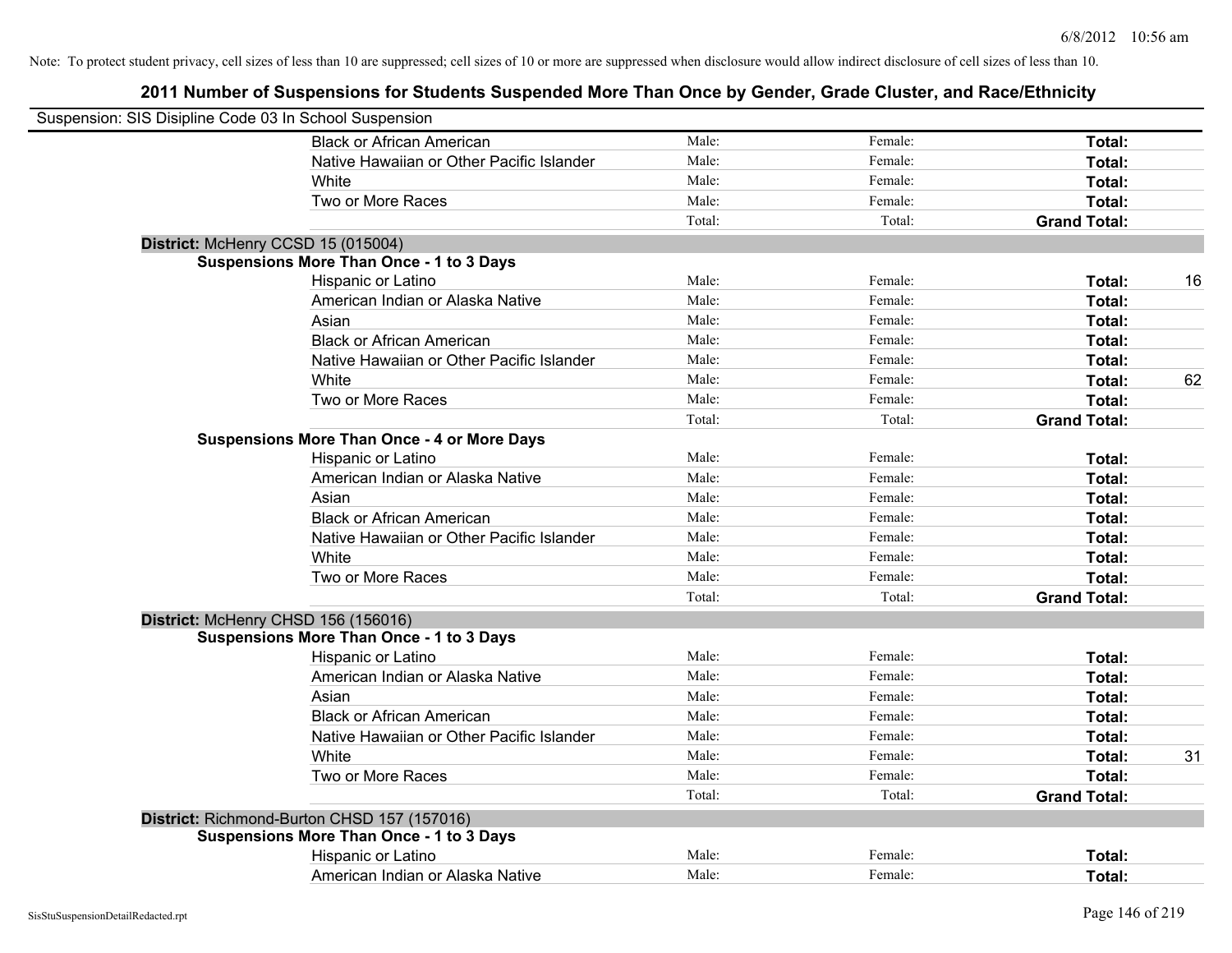| Suspension: SIS Disipline Code 03 In School Suspension |                                                    |        |         |                     |    |
|--------------------------------------------------------|----------------------------------------------------|--------|---------|---------------------|----|
|                                                        | <b>Black or African American</b>                   | Male:  | Female: | Total:              |    |
|                                                        | Native Hawaiian or Other Pacific Islander          | Male:  | Female: | Total:              |    |
|                                                        | White                                              | Male:  | Female: | Total:              |    |
|                                                        | Two or More Races                                  | Male:  | Female: | Total:              |    |
|                                                        |                                                    | Total: | Total:  | <b>Grand Total:</b> |    |
|                                                        | District: McHenry CCSD 15 (015004)                 |        |         |                     |    |
|                                                        | <b>Suspensions More Than Once - 1 to 3 Days</b>    |        |         |                     |    |
|                                                        | Hispanic or Latino                                 | Male:  | Female: | Total:              | 16 |
|                                                        | American Indian or Alaska Native                   | Male:  | Female: | Total:              |    |
|                                                        | Asian                                              | Male:  | Female: | Total:              |    |
|                                                        | <b>Black or African American</b>                   | Male:  | Female: | Total:              |    |
|                                                        | Native Hawaiian or Other Pacific Islander          | Male:  | Female: | Total:              |    |
|                                                        | White                                              | Male:  | Female: | Total:              | 62 |
|                                                        | Two or More Races                                  | Male:  | Female: | Total:              |    |
|                                                        |                                                    | Total: | Total:  | <b>Grand Total:</b> |    |
|                                                        | <b>Suspensions More Than Once - 4 or More Days</b> |        |         |                     |    |
|                                                        | Hispanic or Latino                                 | Male:  | Female: | Total:              |    |
|                                                        | American Indian or Alaska Native                   | Male:  | Female: | Total:              |    |
|                                                        | Asian                                              | Male:  | Female: | Total:              |    |
|                                                        | <b>Black or African American</b>                   | Male:  | Female: | Total:              |    |
|                                                        | Native Hawaiian or Other Pacific Islander          | Male:  | Female: | Total:              |    |
|                                                        | White                                              | Male:  | Female: | Total:              |    |
|                                                        | Two or More Races                                  | Male:  | Female: | Total:              |    |
|                                                        |                                                    | Total: | Total:  | <b>Grand Total:</b> |    |
|                                                        | District: McHenry CHSD 156 (156016)                |        |         |                     |    |
|                                                        | <b>Suspensions More Than Once - 1 to 3 Days</b>    |        |         |                     |    |
|                                                        | Hispanic or Latino                                 | Male:  | Female: | Total:              |    |
|                                                        | American Indian or Alaska Native                   | Male:  | Female: | Total:              |    |
|                                                        | Asian                                              | Male:  | Female: | Total:              |    |
|                                                        | <b>Black or African American</b>                   | Male:  | Female: | Total:              |    |
|                                                        | Native Hawaiian or Other Pacific Islander          | Male:  | Female: | Total:              |    |
|                                                        | White                                              | Male:  | Female: | Total:              | 31 |
|                                                        | Two or More Races                                  | Male:  | Female: | Total:              |    |
|                                                        |                                                    | Total: | Total:  | <b>Grand Total:</b> |    |
|                                                        | District: Richmond-Burton CHSD 157 (157016)        |        |         |                     |    |
|                                                        | <b>Suspensions More Than Once - 1 to 3 Days</b>    |        |         |                     |    |
|                                                        | Hispanic or Latino                                 | Male:  | Female: | Total:              |    |
|                                                        | American Indian or Alaska Native                   | Male:  | Female: | Total:              |    |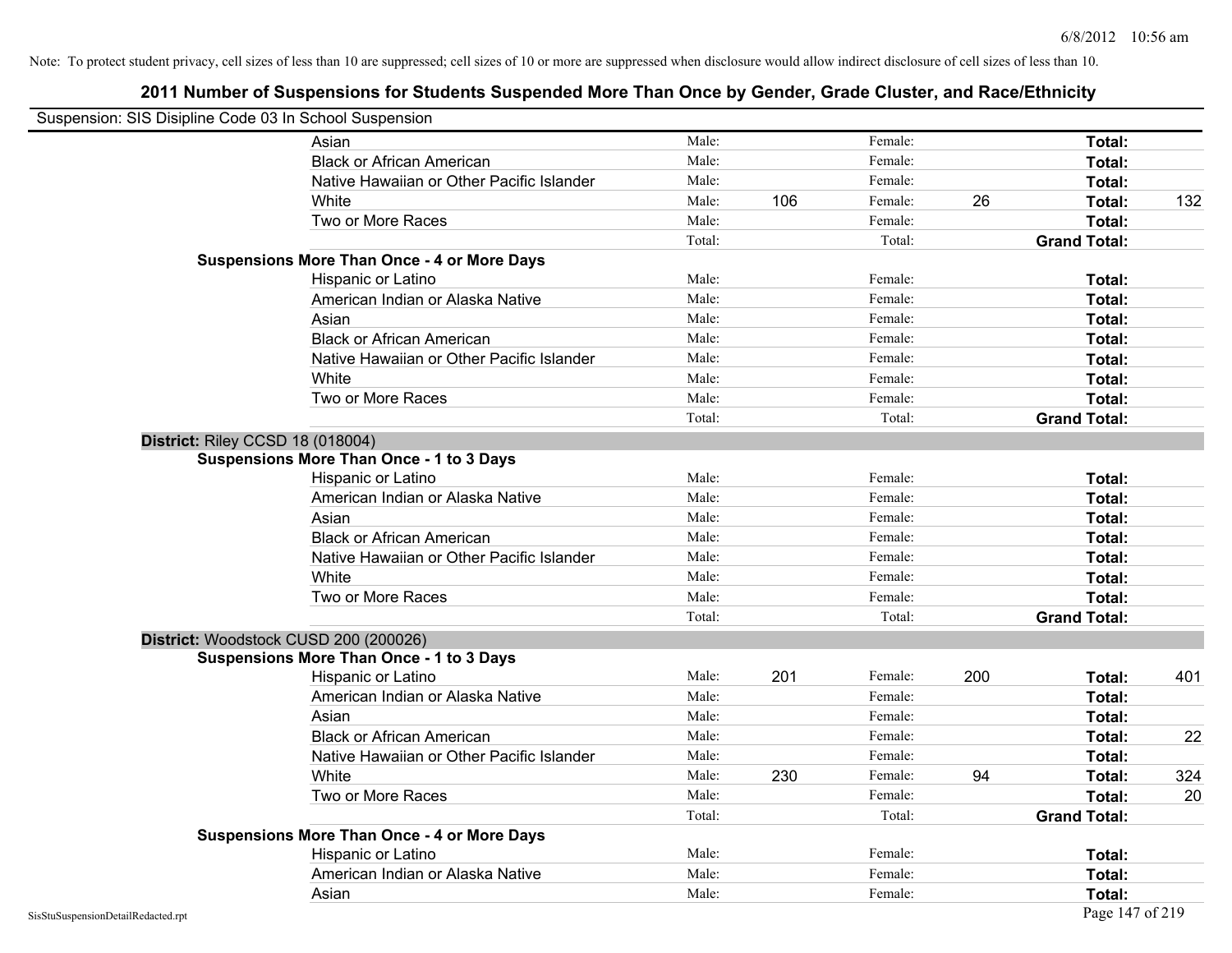| Suspension: SIS Disipline Code 03 In School Suspension |                                                                                          |        |     |         |     |                     |     |
|--------------------------------------------------------|------------------------------------------------------------------------------------------|--------|-----|---------|-----|---------------------|-----|
|                                                        | Asian                                                                                    | Male:  |     | Female: |     | Total:              |     |
|                                                        | <b>Black or African American</b>                                                         | Male:  |     | Female: |     | Total:              |     |
|                                                        | Native Hawaiian or Other Pacific Islander                                                | Male:  |     | Female: |     | Total:              |     |
|                                                        | White                                                                                    | Male:  | 106 | Female: | 26  | Total:              | 132 |
|                                                        | Two or More Races                                                                        | Male:  |     | Female: |     | Total:              |     |
|                                                        |                                                                                          | Total: |     | Total:  |     | <b>Grand Total:</b> |     |
|                                                        | <b>Suspensions More Than Once - 4 or More Days</b>                                       |        |     |         |     |                     |     |
|                                                        | Hispanic or Latino                                                                       | Male:  |     | Female: |     | Total:              |     |
|                                                        | American Indian or Alaska Native                                                         | Male:  |     | Female: |     | Total:              |     |
|                                                        | Asian                                                                                    | Male:  |     | Female: |     | Total:              |     |
|                                                        | <b>Black or African American</b>                                                         | Male:  |     | Female: |     | Total:              |     |
|                                                        | Native Hawaiian or Other Pacific Islander                                                | Male:  |     | Female: |     | Total:              |     |
|                                                        | White                                                                                    | Male:  |     | Female: |     | Total:              |     |
|                                                        | Two or More Races                                                                        | Male:  |     | Female: |     | Total:              |     |
|                                                        |                                                                                          | Total: |     | Total:  |     | <b>Grand Total:</b> |     |
|                                                        | District: Riley CCSD 18 (018004)                                                         |        |     |         |     |                     |     |
|                                                        | <b>Suspensions More Than Once - 1 to 3 Days</b>                                          |        |     |         |     |                     |     |
|                                                        | Hispanic or Latino                                                                       | Male:  |     | Female: |     | Total:              |     |
|                                                        | American Indian or Alaska Native                                                         | Male:  |     | Female: |     | Total:              |     |
|                                                        | Asian                                                                                    | Male:  |     | Female: |     | Total:              |     |
|                                                        | <b>Black or African American</b>                                                         | Male:  |     | Female: |     | Total:              |     |
|                                                        | Native Hawaiian or Other Pacific Islander                                                | Male:  |     | Female: |     | Total:              |     |
|                                                        | White                                                                                    | Male:  |     | Female: |     | Total:              |     |
|                                                        | Two or More Races                                                                        | Male:  |     | Female: |     | Total:              |     |
|                                                        |                                                                                          | Total: |     | Total:  |     | <b>Grand Total:</b> |     |
|                                                        | District: Woodstock CUSD 200 (200026)<br><b>Suspensions More Than Once - 1 to 3 Days</b> |        |     |         |     |                     |     |
|                                                        | Hispanic or Latino                                                                       | Male:  | 201 | Female: | 200 | Total:              | 401 |
|                                                        | American Indian or Alaska Native                                                         | Male:  |     | Female: |     | Total:              |     |
|                                                        | Asian                                                                                    | Male:  |     | Female: |     | Total:              |     |
|                                                        | <b>Black or African American</b>                                                         | Male:  |     | Female: |     | Total:              | 22  |
|                                                        | Native Hawaiian or Other Pacific Islander                                                | Male:  |     | Female: |     | Total:              |     |
|                                                        | White                                                                                    | Male:  | 230 | Female: | 94  | Total:              | 324 |
|                                                        | Two or More Races                                                                        | Male:  |     | Female: |     | Total:              | 20  |
|                                                        |                                                                                          | Total: |     | Total:  |     | <b>Grand Total:</b> |     |
|                                                        | <b>Suspensions More Than Once - 4 or More Days</b>                                       |        |     |         |     |                     |     |
|                                                        | Hispanic or Latino                                                                       | Male:  |     | Female: |     | Total:              |     |
|                                                        | American Indian or Alaska Native                                                         | Male:  |     | Female: |     | Total:              |     |
|                                                        | Asian                                                                                    | Male:  |     | Female: |     | Total:              |     |
| SisStuSuspensionDetailRedacted.rpt                     |                                                                                          |        |     |         |     | Page 147 of 219     |     |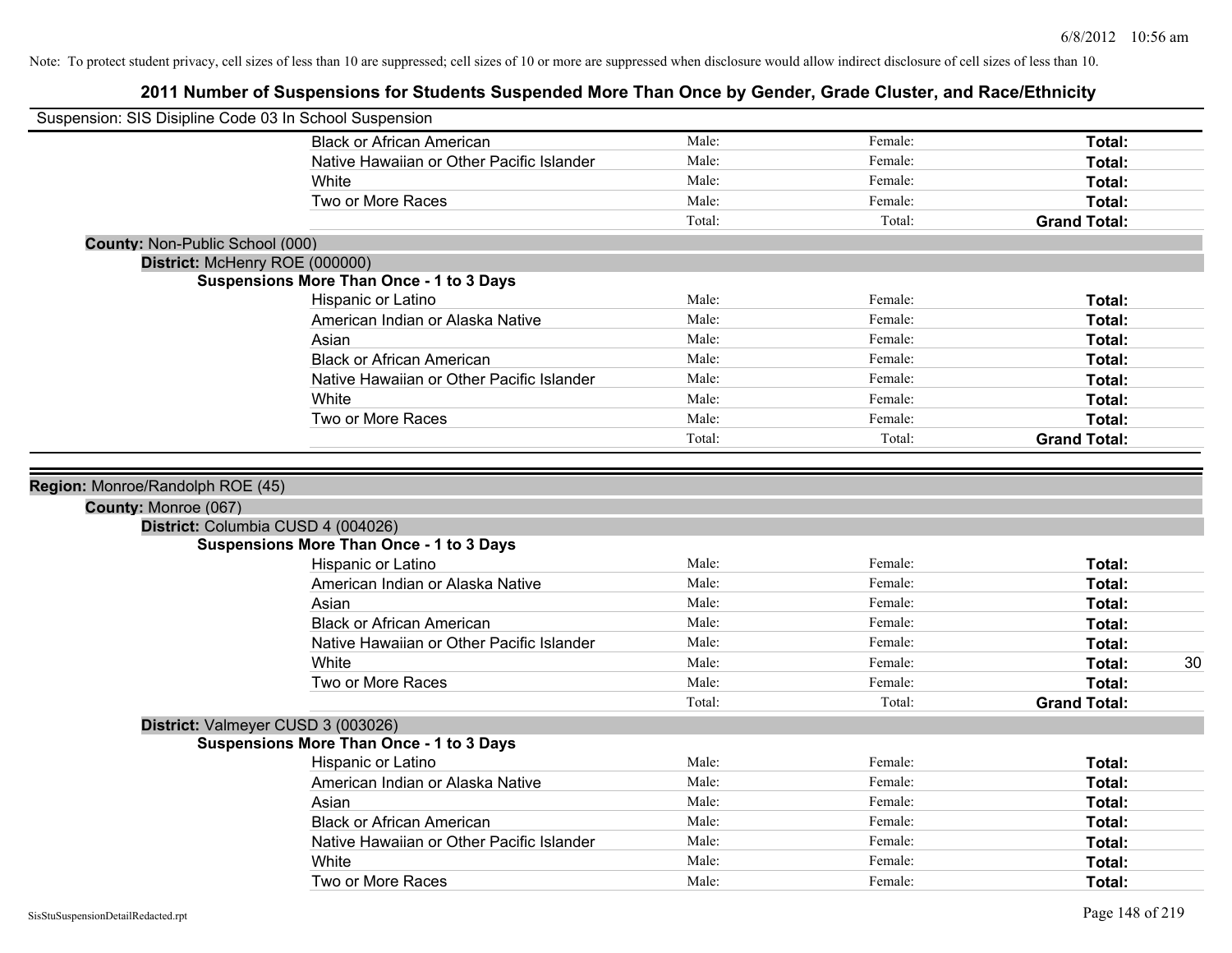| Suspension: SIS Disipline Code 03 In School Suspension   |                                                 |        |         |                     |
|----------------------------------------------------------|-------------------------------------------------|--------|---------|---------------------|
|                                                          | <b>Black or African American</b>                | Male:  | Female: | Total:              |
|                                                          | Native Hawaiian or Other Pacific Islander       | Male:  | Female: | Total:              |
|                                                          | White                                           | Male:  | Female: | Total:              |
|                                                          | Two or More Races                               | Male:  | Female: | Total:              |
|                                                          |                                                 | Total: | Total:  | <b>Grand Total:</b> |
| <b>County: Non-Public School (000)</b>                   |                                                 |        |         |                     |
| District: McHenry ROE (000000)                           |                                                 |        |         |                     |
|                                                          | <b>Suspensions More Than Once - 1 to 3 Days</b> |        |         |                     |
|                                                          | Hispanic or Latino                              | Male:  | Female: | Total:              |
|                                                          | American Indian or Alaska Native                | Male:  | Female: | Total:              |
|                                                          | Asian                                           | Male:  | Female: | Total:              |
|                                                          | <b>Black or African American</b>                | Male:  | Female: | Total:              |
|                                                          | Native Hawaiian or Other Pacific Islander       | Male:  | Female: | Total:              |
|                                                          | White                                           | Male:  | Female: | Total:              |
|                                                          | Two or More Races                               | Male:  | Female: | <b>Total:</b>       |
|                                                          |                                                 | Total: | Total:  | <b>Grand Total:</b> |
| Region: Monroe/Randolph ROE (45)<br>County: Monroe (067) |                                                 |        |         |                     |
|                                                          | District: Columbia CUSD 4 (004026)              |        |         |                     |
|                                                          | <b>Suspensions More Than Once - 1 to 3 Days</b> |        |         |                     |
|                                                          | Hispanic or Latino                              | Male:  | Female: | Total:              |
|                                                          | American Indian or Alaska Native                | Male:  | Female: | Total:              |
|                                                          | Asian                                           | Male:  | Female: | Total:              |
|                                                          | <b>Black or African American</b>                | Male:  | Female: | Total:              |
|                                                          | Native Hawaiian or Other Pacific Islander       | Male:  | Female: | Total:              |
|                                                          | White                                           | Male:  | Female: | 30<br>Total:        |
|                                                          | Two or More Races                               | Male:  | Female: | Total:              |
|                                                          |                                                 | Total: | Total:  | <b>Grand Total:</b> |
|                                                          | District: Valmeyer CUSD 3 (003026)              |        |         |                     |
|                                                          | <b>Suspensions More Than Once - 1 to 3 Days</b> |        |         |                     |
|                                                          | Hispanic or Latino                              | Male:  | Female: | Total:              |
|                                                          | American Indian or Alaska Native                | Male:  | Female: | Total:              |
|                                                          | Asian                                           | Male:  | Female: | Total:              |
|                                                          | <b>Black or African American</b>                | Male:  | Female: | Total:              |
|                                                          | Native Hawaiian or Other Pacific Islander       | Male:  | Female: | Total:              |
|                                                          | White                                           | Male:  | Female: | <b>Total:</b>       |
|                                                          | Two or More Races                               | Male:  | Female: | Total:              |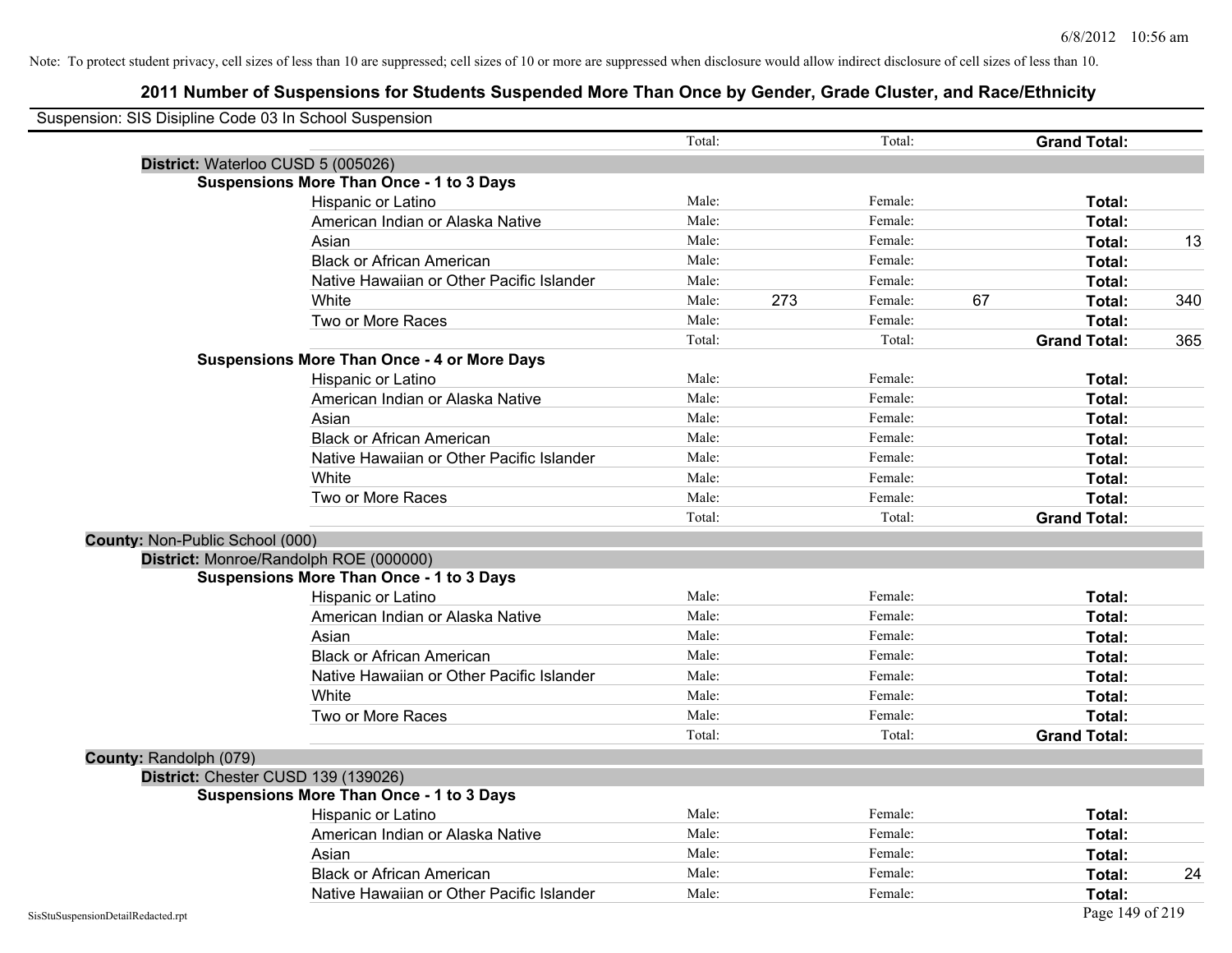| Suspension: SIS Disipline Code 03 In School Suspension |                                                    |        |     |         |    |                     |     |
|--------------------------------------------------------|----------------------------------------------------|--------|-----|---------|----|---------------------|-----|
|                                                        |                                                    | Total: |     | Total:  |    | <b>Grand Total:</b> |     |
|                                                        | District: Waterloo CUSD 5 (005026)                 |        |     |         |    |                     |     |
|                                                        | <b>Suspensions More Than Once - 1 to 3 Days</b>    |        |     |         |    |                     |     |
|                                                        | Hispanic or Latino                                 | Male:  |     | Female: |    | Total:              |     |
|                                                        | American Indian or Alaska Native                   | Male:  |     | Female: |    | Total:              |     |
|                                                        | Asian                                              | Male:  |     | Female: |    | Total:              | 13  |
|                                                        | <b>Black or African American</b>                   | Male:  |     | Female: |    | Total:              |     |
|                                                        | Native Hawaiian or Other Pacific Islander          | Male:  |     | Female: |    | Total:              |     |
|                                                        | White                                              | Male:  | 273 | Female: | 67 | Total:              | 340 |
|                                                        | Two or More Races                                  | Male:  |     | Female: |    | Total:              |     |
|                                                        |                                                    | Total: |     | Total:  |    | <b>Grand Total:</b> | 365 |
|                                                        | <b>Suspensions More Than Once - 4 or More Days</b> |        |     |         |    |                     |     |
|                                                        | Hispanic or Latino                                 | Male:  |     | Female: |    | Total:              |     |
|                                                        | American Indian or Alaska Native                   | Male:  |     | Female: |    | Total:              |     |
|                                                        | Asian                                              | Male:  |     | Female: |    | Total:              |     |
|                                                        | <b>Black or African American</b>                   | Male:  |     | Female: |    | Total:              |     |
|                                                        | Native Hawaiian or Other Pacific Islander          | Male:  |     | Female: |    | Total:              |     |
|                                                        | White                                              | Male:  |     | Female: |    | Total:              |     |
|                                                        | Two or More Races                                  | Male:  |     | Female: |    | Total:              |     |
|                                                        |                                                    | Total: |     | Total:  |    | <b>Grand Total:</b> |     |
| County: Non-Public School (000)                        |                                                    |        |     |         |    |                     |     |
|                                                        | District: Monroe/Randolph ROE (000000)             |        |     |         |    |                     |     |
|                                                        | <b>Suspensions More Than Once - 1 to 3 Days</b>    |        |     |         |    |                     |     |
|                                                        | Hispanic or Latino                                 | Male:  |     | Female: |    | Total:              |     |
|                                                        | American Indian or Alaska Native                   | Male:  |     | Female: |    | Total:              |     |
|                                                        | Asian                                              | Male:  |     | Female: |    | Total:              |     |
|                                                        | <b>Black or African American</b>                   | Male:  |     | Female: |    | Total:              |     |
|                                                        | Native Hawaiian or Other Pacific Islander          | Male:  |     | Female: |    | Total:              |     |
|                                                        | White                                              | Male:  |     | Female: |    | Total:              |     |
|                                                        | Two or More Races                                  | Male:  |     | Female: |    | Total:              |     |
|                                                        |                                                    | Total: |     | Total:  |    | <b>Grand Total:</b> |     |
| County: Randolph (079)                                 |                                                    |        |     |         |    |                     |     |
|                                                        | District: Chester CUSD 139 (139026)                |        |     |         |    |                     |     |
|                                                        | <b>Suspensions More Than Once - 1 to 3 Days</b>    |        |     |         |    |                     |     |
|                                                        | Hispanic or Latino                                 | Male:  |     | Female: |    | Total:              |     |
|                                                        | American Indian or Alaska Native                   | Male:  |     | Female: |    | Total:              |     |
|                                                        | Asian                                              | Male:  |     | Female: |    | Total:              |     |
|                                                        | <b>Black or African American</b>                   | Male:  |     | Female: |    | Total:              | 24  |
|                                                        | Native Hawaiian or Other Pacific Islander          | Male:  |     | Female: |    | Total:              |     |
| SisStuSuspensionDetailRedacted.rpt                     |                                                    |        |     |         |    | Page 149 of 219     |     |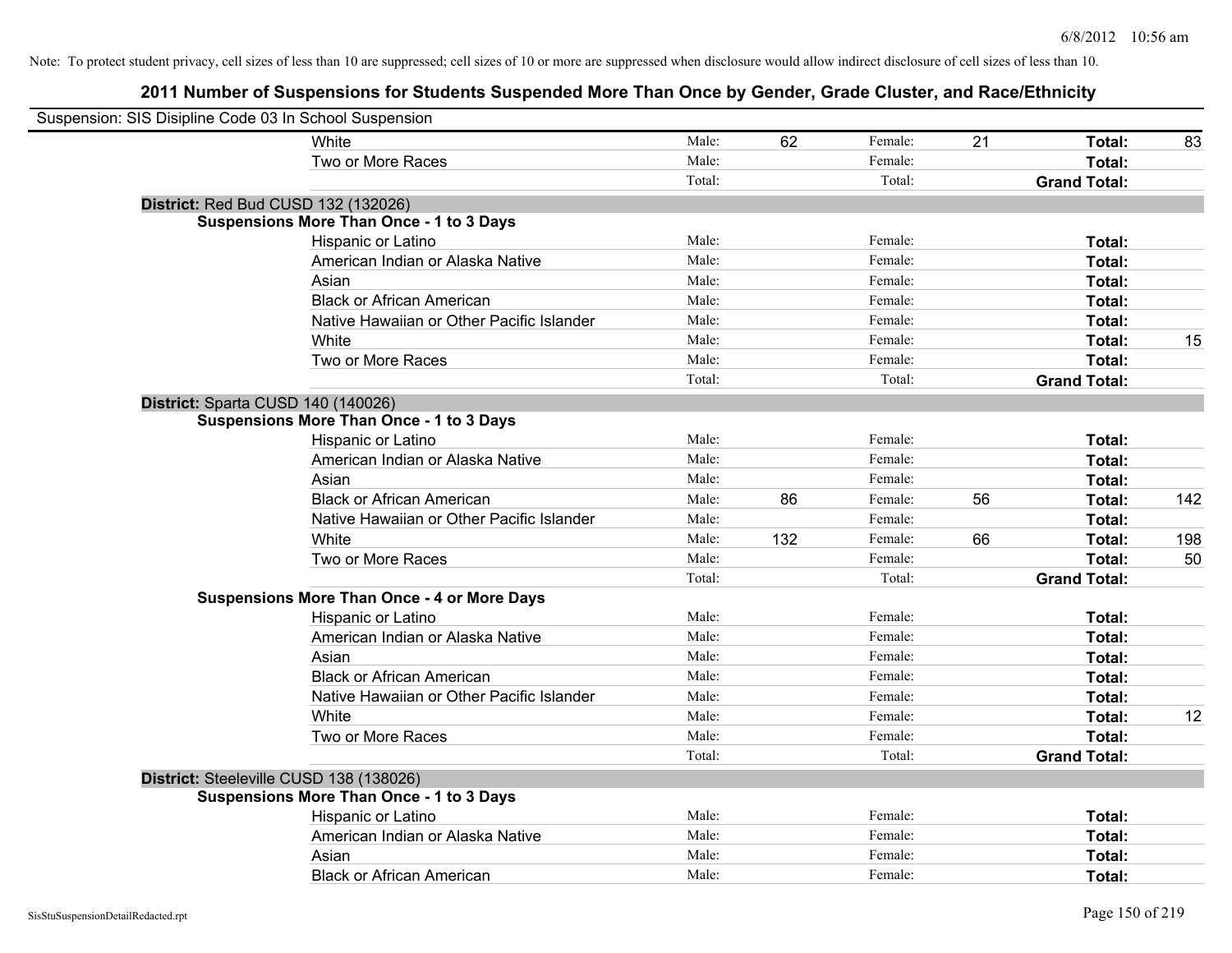| Suspension: SIS Disipline Code 03 In School Suspension |                                                    |        |     |         |    |                     |     |
|--------------------------------------------------------|----------------------------------------------------|--------|-----|---------|----|---------------------|-----|
|                                                        | White                                              | Male:  | 62  | Female: | 21 | Total:              | 83  |
|                                                        | Two or More Races                                  | Male:  |     | Female: |    | <b>Total:</b>       |     |
|                                                        |                                                    | Total: |     | Total:  |    | <b>Grand Total:</b> |     |
| District: Red Bud CUSD 132 (132026)                    |                                                    |        |     |         |    |                     |     |
|                                                        | <b>Suspensions More Than Once - 1 to 3 Days</b>    |        |     |         |    |                     |     |
|                                                        | Hispanic or Latino                                 | Male:  |     | Female: |    | Total:              |     |
|                                                        | American Indian or Alaska Native                   | Male:  |     | Female: |    | Total:              |     |
|                                                        | Asian                                              | Male:  |     | Female: |    | Total:              |     |
|                                                        | <b>Black or African American</b>                   | Male:  |     | Female: |    | Total:              |     |
|                                                        | Native Hawaiian or Other Pacific Islander          | Male:  |     | Female: |    | Total:              |     |
|                                                        | White                                              | Male:  |     | Female: |    | Total:              | 15  |
|                                                        | Two or More Races                                  | Male:  |     | Female: |    | Total:              |     |
|                                                        |                                                    | Total: |     | Total:  |    | <b>Grand Total:</b> |     |
| District: Sparta CUSD 140 (140026)                     |                                                    |        |     |         |    |                     |     |
|                                                        | <b>Suspensions More Than Once - 1 to 3 Days</b>    |        |     |         |    |                     |     |
|                                                        | Hispanic or Latino                                 | Male:  |     | Female: |    | Total:              |     |
|                                                        | American Indian or Alaska Native                   | Male:  |     | Female: |    | Total:              |     |
|                                                        | Asian                                              | Male:  |     | Female: |    | Total:              |     |
|                                                        | <b>Black or African American</b>                   | Male:  | 86  | Female: | 56 | Total:              | 142 |
|                                                        | Native Hawaiian or Other Pacific Islander          | Male:  |     | Female: |    | Total:              |     |
|                                                        | White                                              | Male:  | 132 | Female: | 66 | Total:              | 198 |
|                                                        | Two or More Races                                  | Male:  |     | Female: |    | Total:              | 50  |
|                                                        |                                                    | Total: |     | Total:  |    | <b>Grand Total:</b> |     |
|                                                        | <b>Suspensions More Than Once - 4 or More Days</b> |        |     |         |    |                     |     |
|                                                        | Hispanic or Latino                                 | Male:  |     | Female: |    | Total:              |     |
|                                                        | American Indian or Alaska Native                   | Male:  |     | Female: |    | Total:              |     |
|                                                        | Asian                                              | Male:  |     | Female: |    | Total:              |     |
|                                                        | <b>Black or African American</b>                   | Male:  |     | Female: |    | Total:              |     |
|                                                        | Native Hawaiian or Other Pacific Islander          | Male:  |     | Female: |    | Total:              |     |
|                                                        | White                                              | Male:  |     | Female: |    | Total:              | 12  |
|                                                        | Two or More Races                                  | Male:  |     | Female: |    | Total:              |     |
|                                                        |                                                    | Total: |     | Total:  |    | <b>Grand Total:</b> |     |
| District: Steeleville CUSD 138 (138026)                |                                                    |        |     |         |    |                     |     |
|                                                        | <b>Suspensions More Than Once - 1 to 3 Days</b>    |        |     |         |    |                     |     |
|                                                        | Hispanic or Latino                                 | Male:  |     | Female: |    | Total:              |     |
|                                                        | American Indian or Alaska Native                   | Male:  |     | Female: |    | Total:              |     |
|                                                        | Asian                                              | Male:  |     | Female: |    | Total:              |     |
|                                                        | <b>Black or African American</b>                   | Male:  |     | Female: |    | Total:              |     |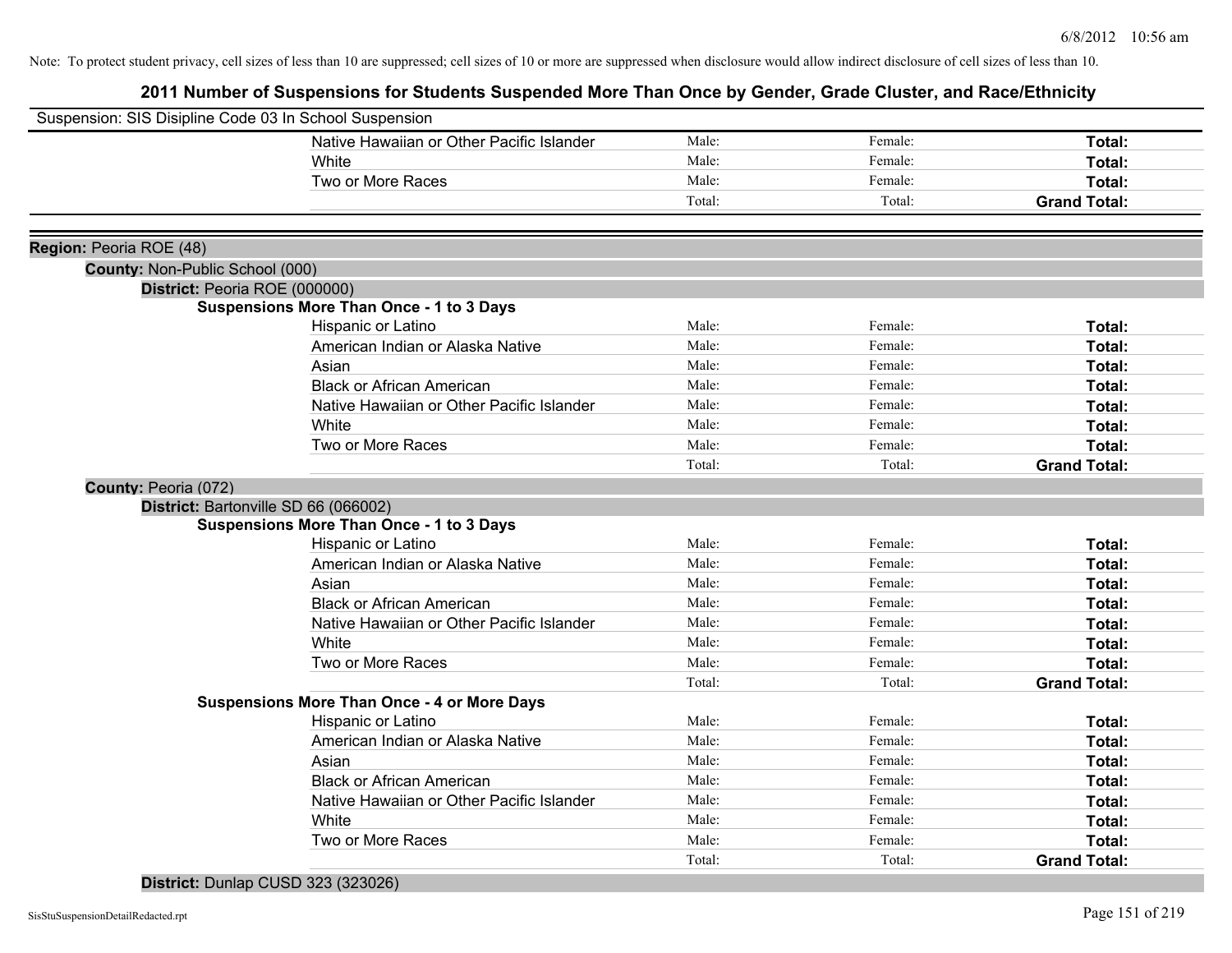## **2011 Number of Suspensions for Students Suspended More Than Once by Gender, Grade Cluster, and Race/Ethnicity**

| Suspension: SIS Disipline Code 03 In School Suspension |                                                    |        |         |                     |
|--------------------------------------------------------|----------------------------------------------------|--------|---------|---------------------|
|                                                        | Native Hawaiian or Other Pacific Islander          | Male:  | Female: | Total:              |
|                                                        | White                                              | Male:  | Female: | Total:              |
|                                                        | Two or More Races                                  | Male:  | Female: | Total:              |
|                                                        |                                                    | Total: | Total:  | <b>Grand Total:</b> |
|                                                        |                                                    |        |         |                     |
| Region: Peoria ROE (48)                                |                                                    |        |         |                     |
| <b>County: Non-Public School (000)</b>                 |                                                    |        |         |                     |
| District: Peoria ROE (000000)                          |                                                    |        |         |                     |
|                                                        | <b>Suspensions More Than Once - 1 to 3 Days</b>    |        |         |                     |
|                                                        | Hispanic or Latino                                 | Male:  | Female: | Total:              |
|                                                        | American Indian or Alaska Native                   | Male:  | Female: | Total:              |
|                                                        | Asian                                              | Male:  | Female: | Total:              |
|                                                        | <b>Black or African American</b>                   | Male:  | Female: | Total:              |
|                                                        | Native Hawaiian or Other Pacific Islander          | Male:  | Female: | Total:              |
|                                                        | White                                              | Male:  | Female: | Total:              |
|                                                        | Two or More Races                                  | Male:  | Female: | Total:              |
|                                                        |                                                    | Total: | Total:  | <b>Grand Total:</b> |
| County: Peoria (072)                                   |                                                    |        |         |                     |
| District: Bartonville SD 66 (066002)                   |                                                    |        |         |                     |
|                                                        | <b>Suspensions More Than Once - 1 to 3 Days</b>    |        |         |                     |
|                                                        | Hispanic or Latino                                 | Male:  | Female: | Total:              |
|                                                        | American Indian or Alaska Native                   | Male:  | Female: | Total:              |
|                                                        | Asian                                              | Male:  | Female: | Total:              |
|                                                        | <b>Black or African American</b>                   | Male:  | Female: | Total:              |
|                                                        | Native Hawaiian or Other Pacific Islander          | Male:  | Female: | Total:              |
|                                                        | White                                              | Male:  | Female: | Total:              |
|                                                        | Two or More Races                                  | Male:  | Female: | Total:              |
|                                                        |                                                    | Total: | Total:  | <b>Grand Total:</b> |
|                                                        | <b>Suspensions More Than Once - 4 or More Days</b> |        |         |                     |
|                                                        | Hispanic or Latino                                 | Male:  | Female: | Total:              |
|                                                        | American Indian or Alaska Native                   | Male:  | Female: | Total:              |
|                                                        | Asian                                              | Male:  | Female: | Total:              |
|                                                        | <b>Black or African American</b>                   | Male:  | Female: | <b>Total:</b>       |
|                                                        | Native Hawaiian or Other Pacific Islander          | Male:  | Female: | Total:              |
|                                                        | White                                              | Male:  | Female: | Total:              |
|                                                        | Two or More Races                                  | Male:  | Female: | Total:              |
|                                                        |                                                    | Total: | Total:  | <b>Grand Total:</b> |

# **District:** Dunlap CUSD 323 (323026)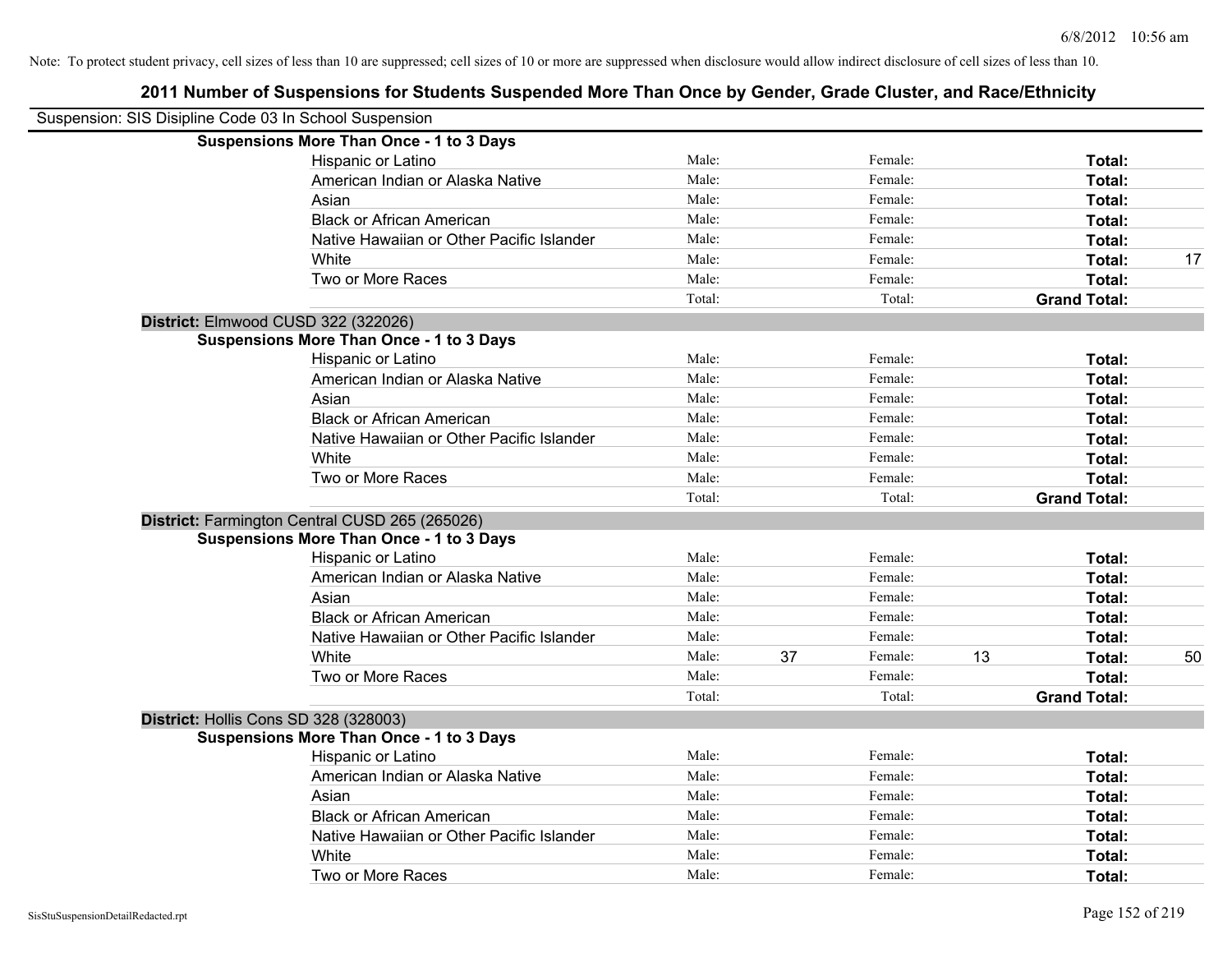| Suspension: SIS Disipline Code 03 In School Suspension |                                                 |        |    |         |    |                     |    |
|--------------------------------------------------------|-------------------------------------------------|--------|----|---------|----|---------------------|----|
|                                                        | <b>Suspensions More Than Once - 1 to 3 Days</b> |        |    |         |    |                     |    |
|                                                        | Hispanic or Latino                              | Male:  |    | Female: |    | Total:              |    |
|                                                        | American Indian or Alaska Native                | Male:  |    | Female: |    | Total:              |    |
|                                                        | Asian                                           | Male:  |    | Female: |    | Total:              |    |
|                                                        | <b>Black or African American</b>                | Male:  |    | Female: |    | Total:              |    |
|                                                        | Native Hawaiian or Other Pacific Islander       | Male:  |    | Female: |    | Total:              |    |
|                                                        | White                                           | Male:  |    | Female: |    | Total:              | 17 |
|                                                        | Two or More Races                               | Male:  |    | Female: |    | Total:              |    |
|                                                        |                                                 | Total: |    | Total:  |    | <b>Grand Total:</b> |    |
|                                                        | District: Elmwood CUSD 322 (322026)             |        |    |         |    |                     |    |
|                                                        | <b>Suspensions More Than Once - 1 to 3 Days</b> |        |    |         |    |                     |    |
|                                                        | Hispanic or Latino                              | Male:  |    | Female: |    | Total:              |    |
|                                                        | American Indian or Alaska Native                | Male:  |    | Female: |    | Total:              |    |
|                                                        | Asian                                           | Male:  |    | Female: |    | Total:              |    |
|                                                        | <b>Black or African American</b>                | Male:  |    | Female: |    | Total:              |    |
|                                                        | Native Hawaiian or Other Pacific Islander       | Male:  |    | Female: |    | Total:              |    |
|                                                        | White                                           | Male:  |    | Female: |    | Total:              |    |
|                                                        | Two or More Races                               | Male:  |    | Female: |    | Total:              |    |
|                                                        |                                                 | Total: |    | Total:  |    | <b>Grand Total:</b> |    |
|                                                        | District: Farmington Central CUSD 265 (265026)  |        |    |         |    |                     |    |
|                                                        | <b>Suspensions More Than Once - 1 to 3 Days</b> |        |    |         |    |                     |    |
|                                                        | Hispanic or Latino                              | Male:  |    | Female: |    | Total:              |    |
|                                                        | American Indian or Alaska Native                | Male:  |    | Female: |    | Total:              |    |
|                                                        | Asian                                           | Male:  |    | Female: |    | Total:              |    |
|                                                        | <b>Black or African American</b>                | Male:  |    | Female: |    | Total:              |    |
|                                                        | Native Hawaiian or Other Pacific Islander       | Male:  |    | Female: |    | Total:              |    |
|                                                        | White                                           | Male:  | 37 | Female: | 13 | Total:              | 50 |
|                                                        | Two or More Races                               | Male:  |    | Female: |    | Total:              |    |
|                                                        |                                                 | Total: |    | Total:  |    | <b>Grand Total:</b> |    |
|                                                        | District: Hollis Cons SD 328 (328003)           |        |    |         |    |                     |    |
|                                                        | <b>Suspensions More Than Once - 1 to 3 Days</b> |        |    |         |    |                     |    |
|                                                        | Hispanic or Latino                              | Male:  |    | Female: |    | Total:              |    |
|                                                        | American Indian or Alaska Native                | Male:  |    | Female: |    | Total:              |    |
|                                                        | Asian                                           | Male:  |    | Female: |    | Total:              |    |
|                                                        | <b>Black or African American</b>                | Male:  |    | Female: |    | Total:              |    |
|                                                        | Native Hawaiian or Other Pacific Islander       | Male:  |    | Female: |    | Total:              |    |
|                                                        | White                                           | Male:  |    | Female: |    | Total:              |    |
|                                                        | Two or More Races                               | Male:  |    | Female: |    | Total:              |    |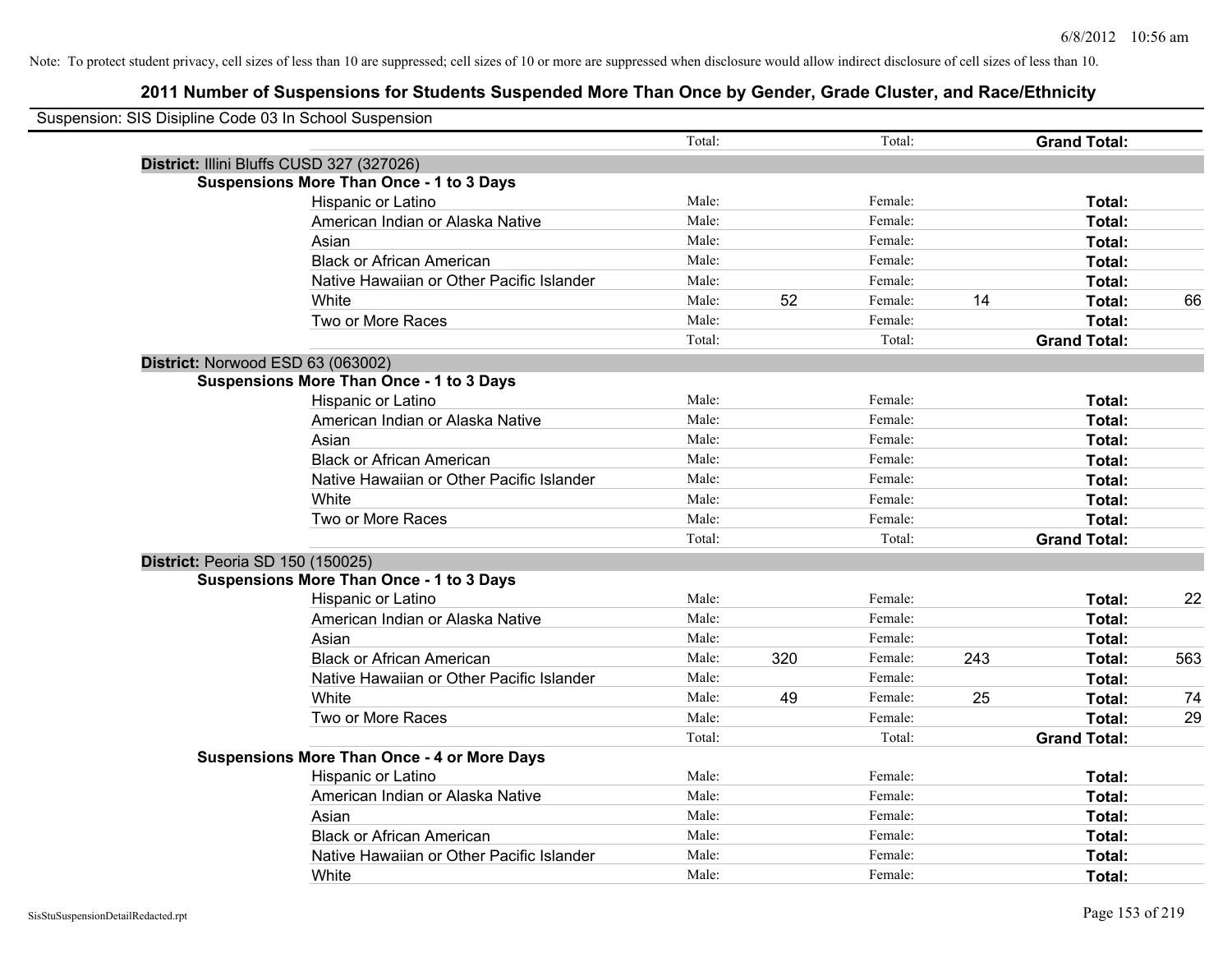| Suspension: SIS Disipline Code 03 In School Suspension |                                                    |        |     |         |     |                     |     |
|--------------------------------------------------------|----------------------------------------------------|--------|-----|---------|-----|---------------------|-----|
|                                                        |                                                    | Total: |     | Total:  |     | <b>Grand Total:</b> |     |
|                                                        | District: Illini Bluffs CUSD 327 (327026)          |        |     |         |     |                     |     |
|                                                        | <b>Suspensions More Than Once - 1 to 3 Days</b>    |        |     |         |     |                     |     |
|                                                        | Hispanic or Latino                                 | Male:  |     | Female: |     | Total:              |     |
|                                                        | American Indian or Alaska Native                   | Male:  |     | Female: |     | Total:              |     |
|                                                        | Asian                                              | Male:  |     | Female: |     | Total:              |     |
|                                                        | <b>Black or African American</b>                   | Male:  |     | Female: |     | Total:              |     |
|                                                        | Native Hawaiian or Other Pacific Islander          | Male:  |     | Female: |     | Total:              |     |
|                                                        | White                                              | Male:  | 52  | Female: | 14  | Total:              | 66  |
|                                                        | Two or More Races                                  | Male:  |     | Female: |     | Total:              |     |
|                                                        |                                                    | Total: |     | Total:  |     | <b>Grand Total:</b> |     |
| District: Norwood ESD 63 (063002)                      |                                                    |        |     |         |     |                     |     |
|                                                        | <b>Suspensions More Than Once - 1 to 3 Days</b>    |        |     |         |     |                     |     |
|                                                        | Hispanic or Latino                                 | Male:  |     | Female: |     | Total:              |     |
|                                                        | American Indian or Alaska Native                   | Male:  |     | Female: |     | Total:              |     |
|                                                        | Asian                                              | Male:  |     | Female: |     | Total:              |     |
|                                                        | <b>Black or African American</b>                   | Male:  |     | Female: |     | Total:              |     |
|                                                        | Native Hawaiian or Other Pacific Islander          | Male:  |     | Female: |     | Total:              |     |
|                                                        | White                                              | Male:  |     | Female: |     | Total:              |     |
|                                                        | Two or More Races                                  | Male:  |     | Female: |     | <b>Total:</b>       |     |
|                                                        |                                                    | Total: |     | Total:  |     | <b>Grand Total:</b> |     |
| District: Peoria SD 150 (150025)                       |                                                    |        |     |         |     |                     |     |
|                                                        | <b>Suspensions More Than Once - 1 to 3 Days</b>    |        |     |         |     |                     |     |
|                                                        | Hispanic or Latino                                 | Male:  |     | Female: |     | Total:              | 22  |
|                                                        | American Indian or Alaska Native                   | Male:  |     | Female: |     | Total:              |     |
|                                                        | Asian                                              | Male:  |     | Female: |     | Total:              |     |
|                                                        | <b>Black or African American</b>                   | Male:  | 320 | Female: | 243 | Total:              | 563 |
|                                                        | Native Hawaiian or Other Pacific Islander          | Male:  |     | Female: |     | Total:              |     |
|                                                        | White                                              | Male:  | 49  | Female: | 25  | Total:              | 74  |
|                                                        | Two or More Races                                  | Male:  |     | Female: |     | Total:              | 29  |
|                                                        |                                                    | Total: |     | Total:  |     | <b>Grand Total:</b> |     |
|                                                        | <b>Suspensions More Than Once - 4 or More Days</b> |        |     |         |     |                     |     |
|                                                        | Hispanic or Latino                                 | Male:  |     | Female: |     | Total:              |     |
|                                                        | American Indian or Alaska Native                   | Male:  |     | Female: |     | Total:              |     |
|                                                        | Asian                                              | Male:  |     | Female: |     | Total:              |     |
|                                                        | <b>Black or African American</b>                   | Male:  |     | Female: |     | Total:              |     |
|                                                        | Native Hawaiian or Other Pacific Islander          | Male:  |     | Female: |     | <b>Total:</b>       |     |
|                                                        | White                                              | Male:  |     | Female: |     | Total:              |     |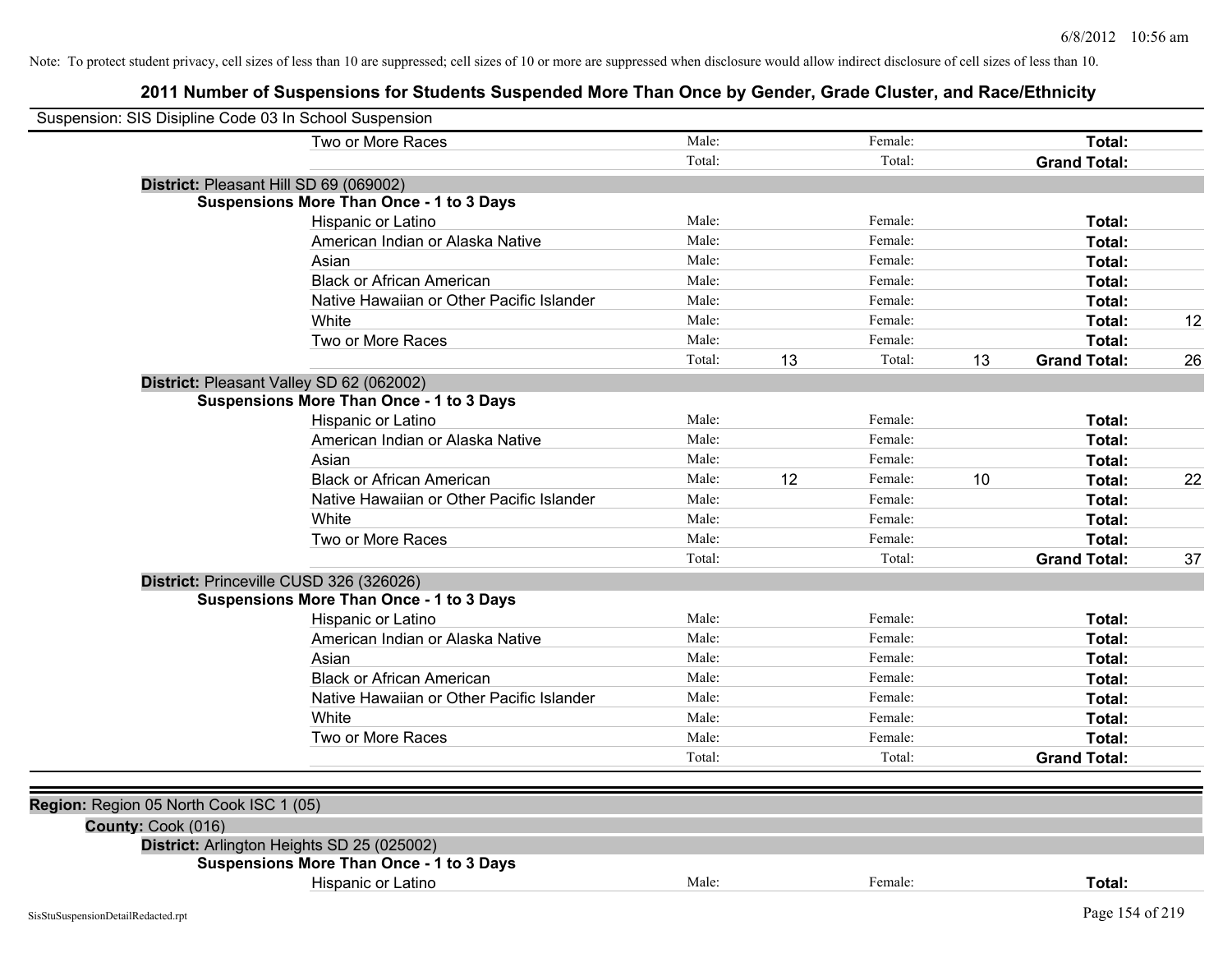| Suspension: SIS Disipline Code 03 In School Suspension |                                                 |        |    |         |    |                     |    |
|--------------------------------------------------------|-------------------------------------------------|--------|----|---------|----|---------------------|----|
|                                                        | Two or More Races                               | Male:  |    | Female: |    | Total:              |    |
|                                                        |                                                 | Total: |    | Total:  |    | <b>Grand Total:</b> |    |
|                                                        | District: Pleasant Hill SD 69 (069002)          |        |    |         |    |                     |    |
|                                                        | <b>Suspensions More Than Once - 1 to 3 Days</b> |        |    |         |    |                     |    |
|                                                        | Hispanic or Latino                              | Male:  |    | Female: |    | Total:              |    |
|                                                        | American Indian or Alaska Native                | Male:  |    | Female: |    | Total:              |    |
|                                                        | Asian                                           | Male:  |    | Female: |    | Total:              |    |
|                                                        | <b>Black or African American</b>                | Male:  |    | Female: |    | Total:              |    |
|                                                        | Native Hawaiian or Other Pacific Islander       | Male:  |    | Female: |    | Total:              |    |
|                                                        | White                                           | Male:  |    | Female: |    | Total:              | 12 |
|                                                        | Two or More Races                               | Male:  |    | Female: |    | Total:              |    |
|                                                        |                                                 | Total: | 13 | Total:  | 13 | <b>Grand Total:</b> | 26 |
|                                                        | District: Pleasant Valley SD 62 (062002)        |        |    |         |    |                     |    |
|                                                        | <b>Suspensions More Than Once - 1 to 3 Days</b> |        |    |         |    |                     |    |
|                                                        | Hispanic or Latino                              | Male:  |    | Female: |    | Total:              |    |
|                                                        | American Indian or Alaska Native                | Male:  |    | Female: |    | Total:              |    |
|                                                        | Asian                                           | Male:  |    | Female: |    | Total:              |    |
|                                                        | <b>Black or African American</b>                | Male:  | 12 | Female: | 10 | Total:              | 22 |
|                                                        | Native Hawaiian or Other Pacific Islander       | Male:  |    | Female: |    | Total:              |    |
|                                                        | White                                           | Male:  |    | Female: |    | Total:              |    |
|                                                        | Two or More Races                               | Male:  |    | Female: |    | Total:              |    |
|                                                        |                                                 | Total: |    | Total:  |    | <b>Grand Total:</b> | 37 |
|                                                        | District: Princeville CUSD 326 (326026)         |        |    |         |    |                     |    |
|                                                        | <b>Suspensions More Than Once - 1 to 3 Days</b> |        |    |         |    |                     |    |
|                                                        | Hispanic or Latino                              | Male:  |    | Female: |    | Total:              |    |
|                                                        | American Indian or Alaska Native                | Male:  |    | Female: |    | Total:              |    |
|                                                        | Asian                                           | Male:  |    | Female: |    | Total:              |    |
|                                                        | <b>Black or African American</b>                | Male:  |    | Female: |    | Total:              |    |
|                                                        | Native Hawaiian or Other Pacific Islander       | Male:  |    | Female: |    | Total:              |    |
|                                                        | White                                           | Male:  |    | Female: |    | Total:              |    |
|                                                        | Two or More Races                               | Male:  |    | Female: |    | Total:              |    |
|                                                        |                                                 | Total: |    | Total:  |    | <b>Grand Total:</b> |    |
|                                                        |                                                 |        |    |         |    |                     |    |
| Region: Region 05 North Cook ISC 1 (05)                |                                                 |        |    |         |    |                     |    |
| County: Cook (016)                                     |                                                 |        |    |         |    |                     |    |
|                                                        | District: Arlington Heights SD 25 (025002)      |        |    |         |    |                     |    |
|                                                        | <b>Suspensions More Than Once - 1 to 3 Days</b> |        |    |         |    |                     |    |
|                                                        | Hispanic or Latino                              | Male:  |    | Female: |    | Total:              |    |
| SisStuSuspensionDetailRedacted.rpt                     |                                                 |        |    |         |    | Page 154 of 219     |    |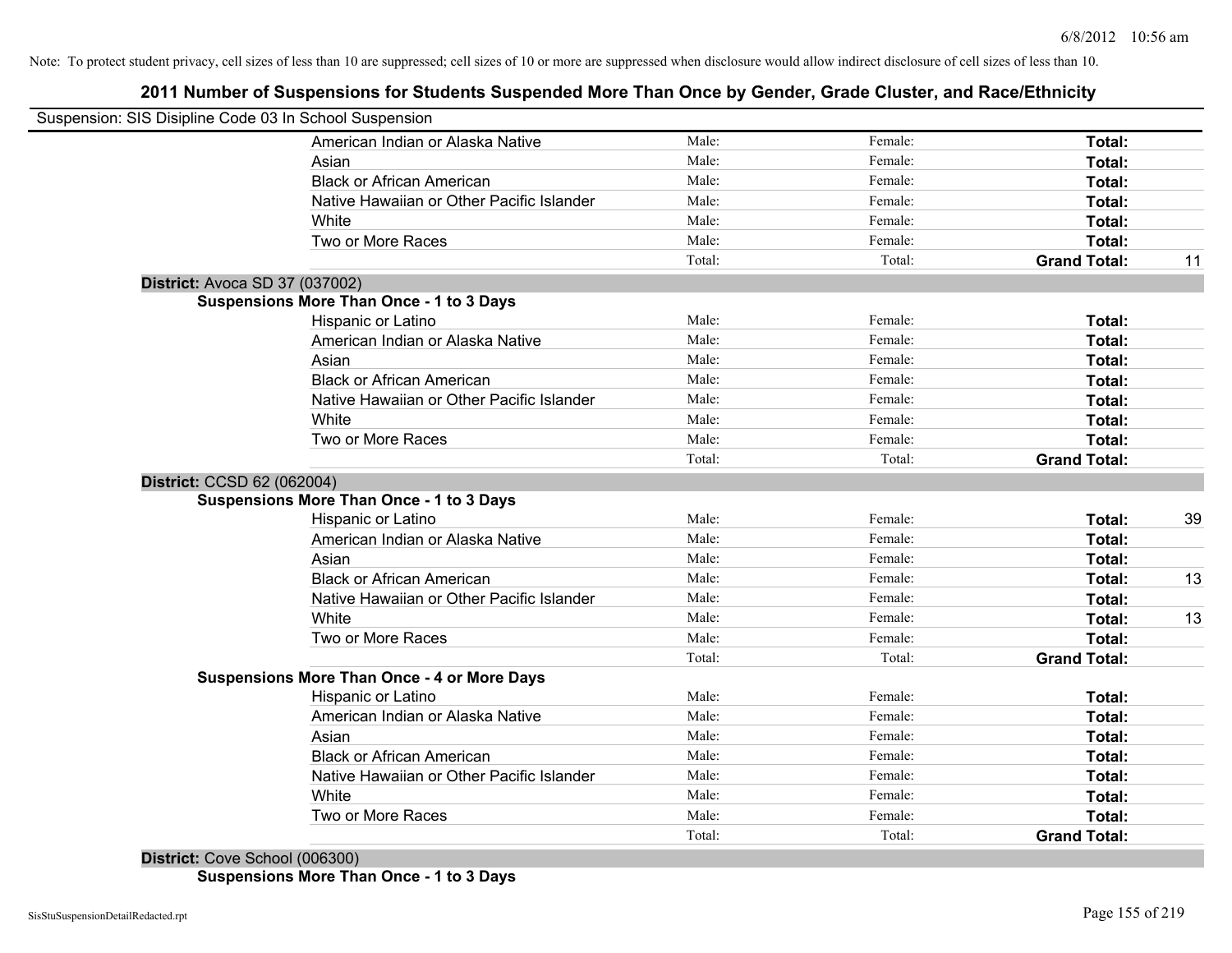## **2011 Number of Suspensions for Students Suspended More Than Once by Gender, Grade Cluster, and Race/Ethnicity**

| Suspension: SIS Disipline Code 03 In School Suspension |                                                    |        |         |                     |    |
|--------------------------------------------------------|----------------------------------------------------|--------|---------|---------------------|----|
|                                                        | American Indian or Alaska Native                   | Male:  | Female: | Total:              |    |
|                                                        | Asian                                              | Male:  | Female: | Total:              |    |
|                                                        | <b>Black or African American</b>                   | Male:  | Female: | Total:              |    |
|                                                        | Native Hawaiian or Other Pacific Islander          | Male:  | Female: | Total:              |    |
|                                                        | White                                              | Male:  | Female: | Total:              |    |
|                                                        | Two or More Races                                  | Male:  | Female: | Total:              |    |
|                                                        |                                                    | Total: | Total:  | <b>Grand Total:</b> | 11 |
| District: Avoca SD 37 (037002)                         |                                                    |        |         |                     |    |
|                                                        | <b>Suspensions More Than Once - 1 to 3 Days</b>    |        |         |                     |    |
|                                                        | Hispanic or Latino                                 | Male:  | Female: | Total:              |    |
|                                                        | American Indian or Alaska Native                   | Male:  | Female: | Total:              |    |
|                                                        | Asian                                              | Male:  | Female: | Total:              |    |
|                                                        | <b>Black or African American</b>                   | Male:  | Female: | Total:              |    |
|                                                        | Native Hawaiian or Other Pacific Islander          | Male:  | Female: | Total:              |    |
|                                                        | White                                              | Male:  | Female: | Total:              |    |
|                                                        | Two or More Races                                  | Male:  | Female: | Total:              |    |
|                                                        |                                                    | Total: | Total:  | <b>Grand Total:</b> |    |
| District: CCSD 62 (062004)                             |                                                    |        |         |                     |    |
|                                                        | <b>Suspensions More Than Once - 1 to 3 Days</b>    |        |         |                     |    |
|                                                        | Hispanic or Latino                                 | Male:  | Female: | Total:              | 39 |
|                                                        | American Indian or Alaska Native                   | Male:  | Female: | Total:              |    |
|                                                        | Asian                                              | Male:  | Female: | Total:              |    |
|                                                        | <b>Black or African American</b>                   | Male:  | Female: | Total:              | 13 |
|                                                        | Native Hawaiian or Other Pacific Islander          | Male:  | Female: | Total:              |    |
|                                                        | White                                              | Male:  | Female: | <b>Total:</b>       | 13 |
|                                                        | Two or More Races                                  | Male:  | Female: | Total:              |    |
|                                                        |                                                    | Total: | Total:  | <b>Grand Total:</b> |    |
|                                                        | <b>Suspensions More Than Once - 4 or More Days</b> |        |         |                     |    |
|                                                        | <b>Hispanic or Latino</b>                          | Male:  | Female: | Total:              |    |
|                                                        | American Indian or Alaska Native                   | Male:  | Female: | Total:              |    |
|                                                        | Asian                                              | Male:  | Female: | Total:              |    |
|                                                        | <b>Black or African American</b>                   | Male:  | Female: | Total:              |    |
|                                                        | Native Hawaiian or Other Pacific Islander          | Male:  | Female: | Total:              |    |
|                                                        | White                                              | Male:  | Female: | Total:              |    |
|                                                        | Two or More Races                                  | Male:  | Female: | Total:              |    |
|                                                        |                                                    | Total: | Total:  | <b>Grand Total:</b> |    |

**District:** Cove School (006300) **Suspensions More Than Once - 1 to 3 Days**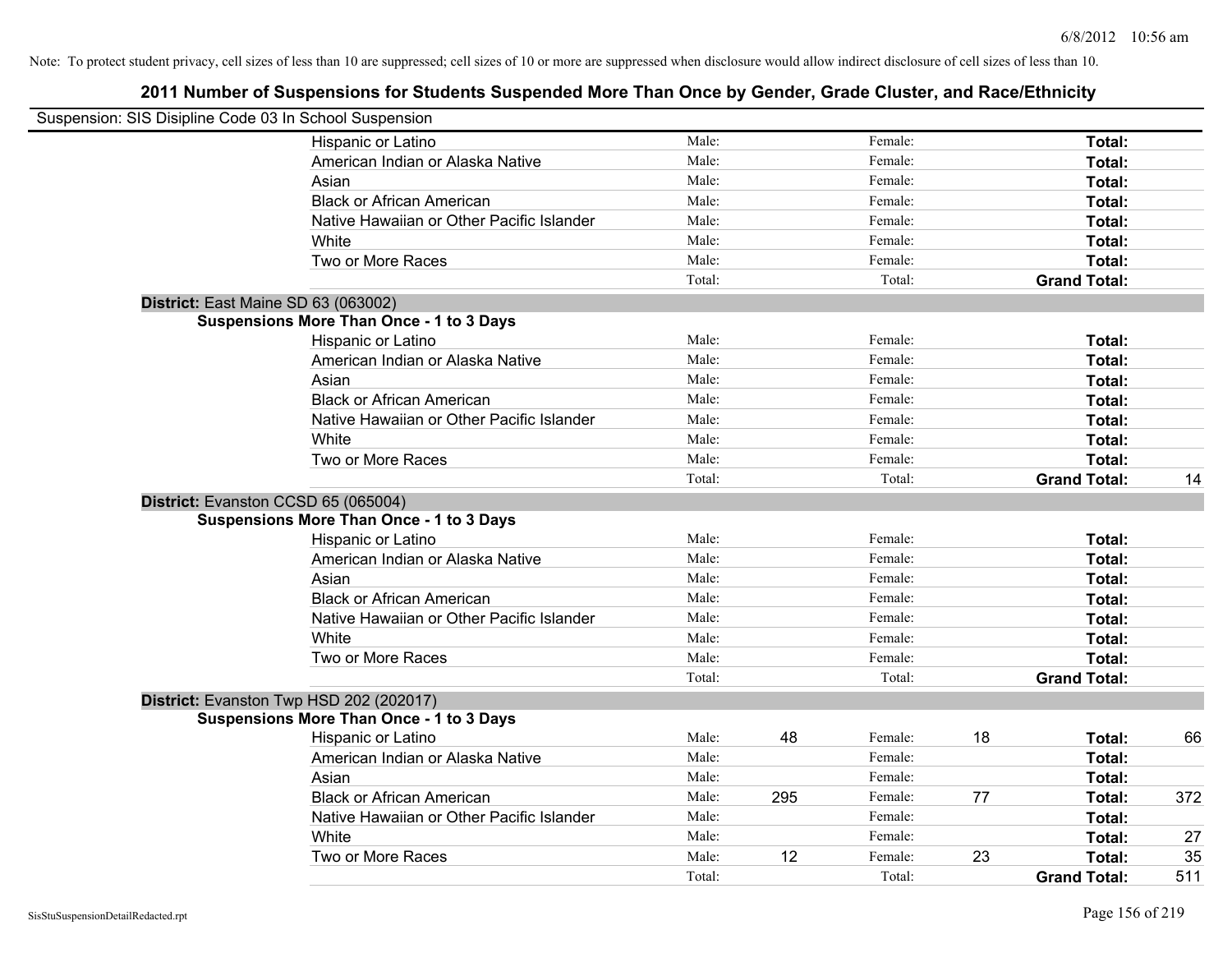| Suspension: SIS Disipline Code 03 In School Suspension |        |     |         |    |                     |     |
|--------------------------------------------------------|--------|-----|---------|----|---------------------|-----|
| <b>Hispanic or Latino</b>                              | Male:  |     | Female: |    | Total:              |     |
| American Indian or Alaska Native                       | Male:  |     | Female: |    | Total:              |     |
| Asian                                                  | Male:  |     | Female: |    | Total:              |     |
| <b>Black or African American</b>                       | Male:  |     | Female: |    | Total:              |     |
| Native Hawaiian or Other Pacific Islander              | Male:  |     | Female: |    | Total:              |     |
| White                                                  | Male:  |     | Female: |    | Total:              |     |
| Two or More Races                                      | Male:  |     | Female: |    | Total:              |     |
|                                                        | Total: |     | Total:  |    | <b>Grand Total:</b> |     |
| District: East Maine SD 63 (063002)                    |        |     |         |    |                     |     |
| <b>Suspensions More Than Once - 1 to 3 Days</b>        |        |     |         |    |                     |     |
| Hispanic or Latino                                     | Male:  |     | Female: |    | Total:              |     |
| American Indian or Alaska Native                       | Male:  |     | Female: |    | Total:              |     |
| Asian                                                  | Male:  |     | Female: |    | Total:              |     |
| <b>Black or African American</b>                       | Male:  |     | Female: |    | Total:              |     |
| Native Hawaiian or Other Pacific Islander              | Male:  |     | Female: |    | Total:              |     |
| White                                                  | Male:  |     | Female: |    | Total:              |     |
| Two or More Races                                      | Male:  |     | Female: |    | Total:              |     |
|                                                        | Total: |     | Total:  |    | <b>Grand Total:</b> | 14  |
| District: Evanston CCSD 65 (065004)                    |        |     |         |    |                     |     |
| <b>Suspensions More Than Once - 1 to 3 Days</b>        |        |     |         |    |                     |     |
| Hispanic or Latino                                     | Male:  |     | Female: |    | Total:              |     |
| American Indian or Alaska Native                       | Male:  |     | Female: |    | Total:              |     |
| Asian                                                  | Male:  |     | Female: |    | Total:              |     |
| <b>Black or African American</b>                       | Male:  |     | Female: |    | Total:              |     |
| Native Hawaiian or Other Pacific Islander              | Male:  |     | Female: |    | Total:              |     |
| White                                                  | Male:  |     | Female: |    | Total:              |     |
| Two or More Races                                      | Male:  |     | Female: |    | Total:              |     |
|                                                        | Total: |     | Total:  |    | <b>Grand Total:</b> |     |
| District: Evanston Twp HSD 202 (202017)                |        |     |         |    |                     |     |
| <b>Suspensions More Than Once - 1 to 3 Days</b>        |        |     |         |    |                     |     |
| Hispanic or Latino                                     | Male:  | 48  | Female: | 18 | Total:              | 66  |
| American Indian or Alaska Native                       | Male:  |     | Female: |    | Total:              |     |
| Asian                                                  | Male:  |     | Female: |    | Total:              |     |
| <b>Black or African American</b>                       | Male:  | 295 | Female: | 77 | Total:              | 372 |
| Native Hawaiian or Other Pacific Islander              | Male:  |     | Female: |    | Total:              |     |
| White                                                  | Male:  |     | Female: |    | Total:              | 27  |
| Two or More Races                                      | Male:  | 12  | Female: | 23 | Total:              | 35  |
|                                                        | Total: |     | Total:  |    | <b>Grand Total:</b> | 511 |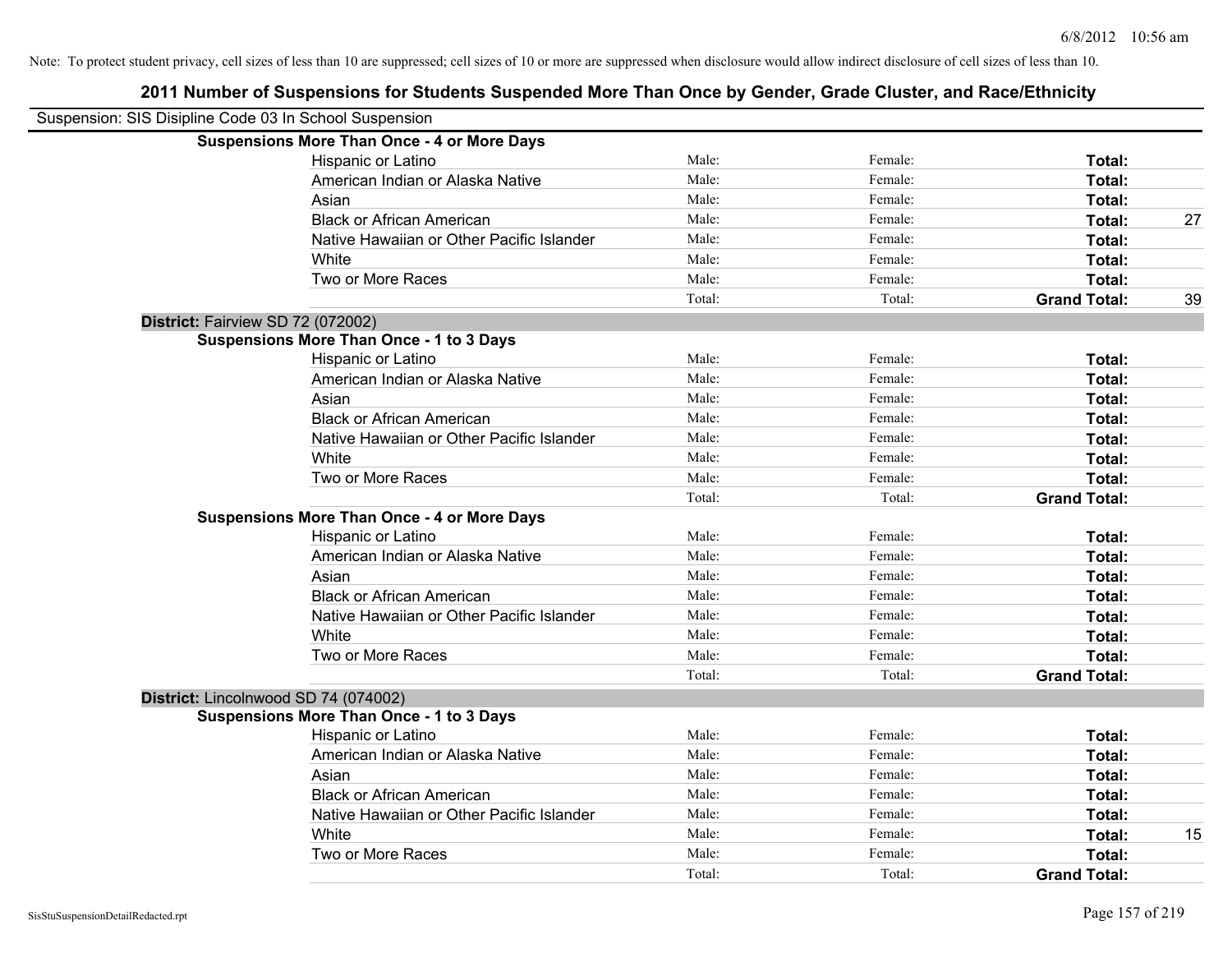| Suspension: SIS Disipline Code 03 In School Suspension |                                                    |        |         |                     |    |
|--------------------------------------------------------|----------------------------------------------------|--------|---------|---------------------|----|
|                                                        | <b>Suspensions More Than Once - 4 or More Days</b> |        |         |                     |    |
|                                                        | Hispanic or Latino                                 | Male:  | Female: | Total:              |    |
|                                                        | American Indian or Alaska Native                   | Male:  | Female: | <b>Total:</b>       |    |
|                                                        | Asian                                              | Male:  | Female: | Total:              |    |
|                                                        | <b>Black or African American</b>                   | Male:  | Female: | Total:              | 27 |
|                                                        | Native Hawaiian or Other Pacific Islander          | Male:  | Female: | Total:              |    |
|                                                        | White                                              | Male:  | Female: | Total:              |    |
|                                                        | Two or More Races                                  | Male:  | Female: | Total:              |    |
|                                                        |                                                    | Total: | Total:  | <b>Grand Total:</b> | 39 |
| District: Fairview SD 72 (072002)                      |                                                    |        |         |                     |    |
|                                                        | <b>Suspensions More Than Once - 1 to 3 Days</b>    |        |         |                     |    |
|                                                        | Hispanic or Latino                                 | Male:  | Female: | Total:              |    |
|                                                        | American Indian or Alaska Native                   | Male:  | Female: | Total:              |    |
|                                                        | Asian                                              | Male:  | Female: | Total:              |    |
|                                                        | <b>Black or African American</b>                   | Male:  | Female: | Total:              |    |
|                                                        | Native Hawaiian or Other Pacific Islander          | Male:  | Female: | Total:              |    |
|                                                        | White                                              | Male:  | Female: | Total:              |    |
|                                                        | Two or More Races                                  | Male:  | Female: | Total:              |    |
|                                                        |                                                    | Total: | Total:  | <b>Grand Total:</b> |    |
|                                                        | <b>Suspensions More Than Once - 4 or More Days</b> |        |         |                     |    |
|                                                        | Hispanic or Latino                                 | Male:  | Female: | Total:              |    |
|                                                        | American Indian or Alaska Native                   | Male:  | Female: | Total:              |    |
|                                                        | Asian                                              | Male:  | Female: | Total:              |    |
|                                                        | <b>Black or African American</b>                   | Male:  | Female: | Total:              |    |
|                                                        | Native Hawaiian or Other Pacific Islander          | Male:  | Female: | Total:              |    |
|                                                        | White                                              | Male:  | Female: | Total:              |    |
|                                                        | Two or More Races                                  | Male:  | Female: | Total:              |    |
|                                                        |                                                    | Total: | Total:  | <b>Grand Total:</b> |    |
| District: Lincolnwood SD 74 (074002)                   |                                                    |        |         |                     |    |
|                                                        | <b>Suspensions More Than Once - 1 to 3 Days</b>    |        |         |                     |    |
|                                                        | Hispanic or Latino                                 | Male:  | Female: | Total:              |    |
|                                                        | American Indian or Alaska Native                   | Male:  | Female: | Total:              |    |
|                                                        | Asian                                              | Male:  | Female: | Total:              |    |
|                                                        | <b>Black or African American</b>                   | Male:  | Female: | Total:              |    |
|                                                        | Native Hawaiian or Other Pacific Islander          | Male:  | Female: | Total:              |    |
|                                                        | White                                              | Male:  | Female: | Total:              | 15 |
|                                                        | Two or More Races                                  | Male:  | Female: | Total:              |    |
|                                                        |                                                    | Total: | Total:  | <b>Grand Total:</b> |    |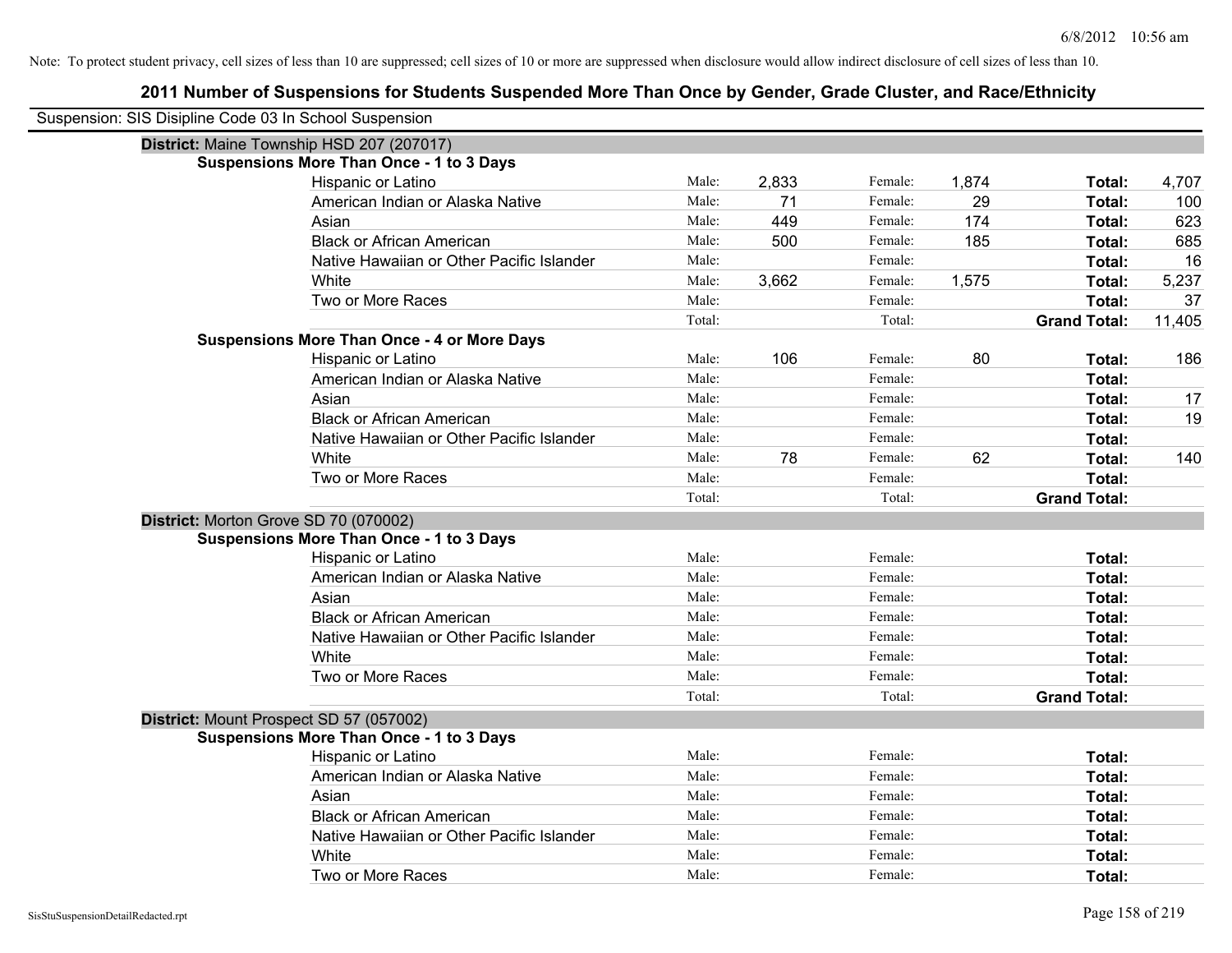| Suspension: SIS Disipline Code 03 In School Suspension |                                                    |        |       |         |       |                     |        |
|--------------------------------------------------------|----------------------------------------------------|--------|-------|---------|-------|---------------------|--------|
|                                                        | District: Maine Township HSD 207 (207017)          |        |       |         |       |                     |        |
|                                                        | <b>Suspensions More Than Once - 1 to 3 Days</b>    |        |       |         |       |                     |        |
|                                                        | Hispanic or Latino                                 | Male:  | 2,833 | Female: | 1,874 | Total:              | 4,707  |
|                                                        | American Indian or Alaska Native                   | Male:  | 71    | Female: | 29    | Total:              | 100    |
|                                                        | Asian                                              | Male:  | 449   | Female: | 174   | Total:              | 623    |
|                                                        | <b>Black or African American</b>                   | Male:  | 500   | Female: | 185   | Total:              | 685    |
|                                                        | Native Hawaiian or Other Pacific Islander          | Male:  |       | Female: |       | Total:              | 16     |
|                                                        | White                                              | Male:  | 3,662 | Female: | 1,575 | Total:              | 5,237  |
|                                                        | Two or More Races                                  | Male:  |       | Female: |       | Total:              | 37     |
|                                                        |                                                    | Total: |       | Total:  |       | <b>Grand Total:</b> | 11,405 |
|                                                        | <b>Suspensions More Than Once - 4 or More Days</b> |        |       |         |       |                     |        |
|                                                        | Hispanic or Latino                                 | Male:  | 106   | Female: | 80    | Total:              | 186    |
|                                                        | American Indian or Alaska Native                   | Male:  |       | Female: |       | Total:              |        |
|                                                        | Asian                                              | Male:  |       | Female: |       | Total:              | 17     |
|                                                        | <b>Black or African American</b>                   | Male:  |       | Female: |       | Total:              | 19     |
|                                                        | Native Hawaiian or Other Pacific Islander          | Male:  |       | Female: |       | Total:              |        |
|                                                        | White                                              | Male:  | 78    | Female: | 62    | Total:              | 140    |
|                                                        | Two or More Races                                  | Male:  |       | Female: |       | Total:              |        |
|                                                        |                                                    | Total: |       | Total:  |       | <b>Grand Total:</b> |        |
| District: Morton Grove SD 70 (070002)                  |                                                    |        |       |         |       |                     |        |
|                                                        | <b>Suspensions More Than Once - 1 to 3 Days</b>    |        |       |         |       |                     |        |
|                                                        | Hispanic or Latino                                 | Male:  |       | Female: |       | Total:              |        |
|                                                        | American Indian or Alaska Native                   | Male:  |       | Female: |       | Total:              |        |
|                                                        | Asian                                              | Male:  |       | Female: |       | Total:              |        |
|                                                        | <b>Black or African American</b>                   | Male:  |       | Female: |       | Total:              |        |
|                                                        | Native Hawaiian or Other Pacific Islander          | Male:  |       | Female: |       | Total:              |        |
|                                                        | White                                              | Male:  |       | Female: |       | Total:              |        |
|                                                        | Two or More Races                                  | Male:  |       | Female: |       | Total:              |        |
|                                                        |                                                    | Total: |       | Total:  |       | <b>Grand Total:</b> |        |
| District: Mount Prospect SD 57 (057002)                |                                                    |        |       |         |       |                     |        |
|                                                        | <b>Suspensions More Than Once - 1 to 3 Days</b>    |        |       |         |       |                     |        |
|                                                        | Hispanic or Latino                                 | Male:  |       | Female: |       | Total:              |        |
|                                                        | American Indian or Alaska Native                   | Male:  |       | Female: |       | Total:              |        |
|                                                        | Asian                                              | Male:  |       | Female: |       | Total:              |        |
|                                                        | <b>Black or African American</b>                   | Male:  |       | Female: |       | Total:              |        |
|                                                        | Native Hawaiian or Other Pacific Islander          | Male:  |       | Female: |       | Total:              |        |
|                                                        | White                                              | Male:  |       | Female: |       | Total:              |        |
|                                                        | Two or More Races                                  | Male:  |       | Female: |       | Total:              |        |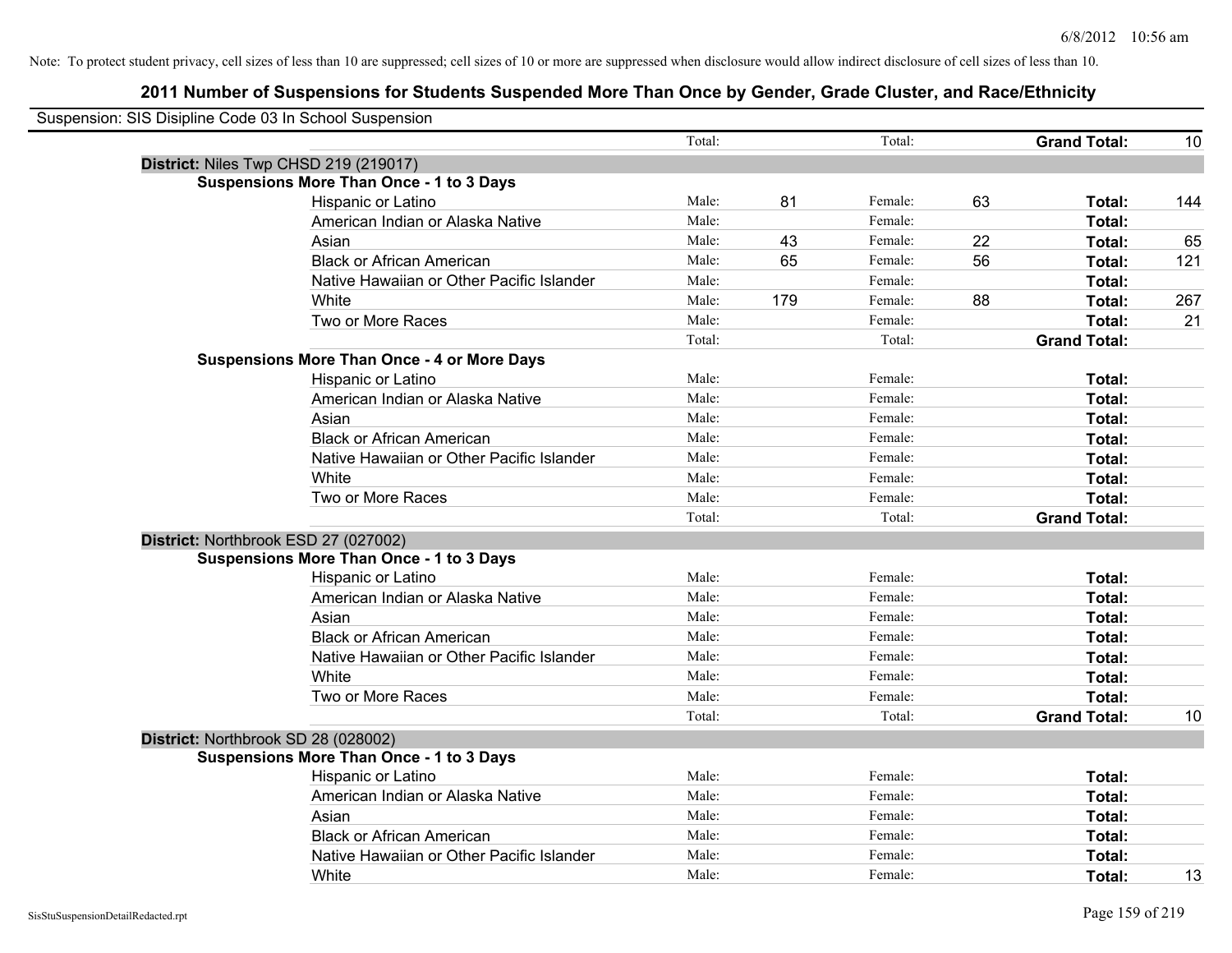| Suspension: SIS Disipline Code 03 In School Suspension |                                                    |        |     |         |    |                     |     |
|--------------------------------------------------------|----------------------------------------------------|--------|-----|---------|----|---------------------|-----|
|                                                        |                                                    | Total: |     | Total:  |    | <b>Grand Total:</b> | 10  |
|                                                        | District: Niles Twp CHSD 219 (219017)              |        |     |         |    |                     |     |
|                                                        | <b>Suspensions More Than Once - 1 to 3 Days</b>    |        |     |         |    |                     |     |
|                                                        | Hispanic or Latino                                 | Male:  | 81  | Female: | 63 | Total:              | 144 |
|                                                        | American Indian or Alaska Native                   | Male:  |     | Female: |    | Total:              |     |
|                                                        | Asian                                              | Male:  | 43  | Female: | 22 | Total:              | 65  |
|                                                        | <b>Black or African American</b>                   | Male:  | 65  | Female: | 56 | Total:              | 121 |
|                                                        | Native Hawaiian or Other Pacific Islander          | Male:  |     | Female: |    | Total:              |     |
|                                                        | White                                              | Male:  | 179 | Female: | 88 | Total:              | 267 |
|                                                        | Two or More Races                                  | Male:  |     | Female: |    | Total:              | 21  |
|                                                        |                                                    | Total: |     | Total:  |    | <b>Grand Total:</b> |     |
|                                                        | <b>Suspensions More Than Once - 4 or More Days</b> |        |     |         |    |                     |     |
|                                                        | Hispanic or Latino                                 | Male:  |     | Female: |    | Total:              |     |
|                                                        | American Indian or Alaska Native                   | Male:  |     | Female: |    | Total:              |     |
|                                                        | Asian                                              | Male:  |     | Female: |    | Total:              |     |
|                                                        | <b>Black or African American</b>                   | Male:  |     | Female: |    | Total:              |     |
|                                                        | Native Hawaiian or Other Pacific Islander          | Male:  |     | Female: |    | Total:              |     |
|                                                        | White                                              | Male:  |     | Female: |    | Total:              |     |
|                                                        | Two or More Races                                  | Male:  |     | Female: |    | Total:              |     |
|                                                        |                                                    | Total: |     | Total:  |    | <b>Grand Total:</b> |     |
| District: Northbrook ESD 27 (027002)                   |                                                    |        |     |         |    |                     |     |
|                                                        | <b>Suspensions More Than Once - 1 to 3 Days</b>    |        |     |         |    |                     |     |
|                                                        | Hispanic or Latino                                 | Male:  |     | Female: |    | Total:              |     |
|                                                        | American Indian or Alaska Native                   | Male:  |     | Female: |    | Total:              |     |
|                                                        | Asian                                              | Male:  |     | Female: |    | Total:              |     |
|                                                        | <b>Black or African American</b>                   | Male:  |     | Female: |    | Total:              |     |
|                                                        | Native Hawaiian or Other Pacific Islander          | Male:  |     | Female: |    | Total:              |     |
|                                                        | White                                              | Male:  |     | Female: |    | Total:              |     |
|                                                        | Two or More Races                                  | Male:  |     | Female: |    | Total:              |     |
|                                                        |                                                    | Total: |     | Total:  |    | <b>Grand Total:</b> | 10  |
| District: Northbrook SD 28 (028002)                    |                                                    |        |     |         |    |                     |     |
|                                                        | <b>Suspensions More Than Once - 1 to 3 Days</b>    |        |     |         |    |                     |     |
|                                                        | Hispanic or Latino                                 | Male:  |     | Female: |    | Total:              |     |
|                                                        | American Indian or Alaska Native                   | Male:  |     | Female: |    | Total:              |     |
|                                                        | Asian                                              | Male:  |     | Female: |    | Total:              |     |
|                                                        | <b>Black or African American</b>                   | Male:  |     | Female: |    | Total:              |     |
|                                                        | Native Hawaiian or Other Pacific Islander          | Male:  |     | Female: |    | Total:              |     |
|                                                        | White                                              | Male:  |     | Female: |    | Total:              | 13  |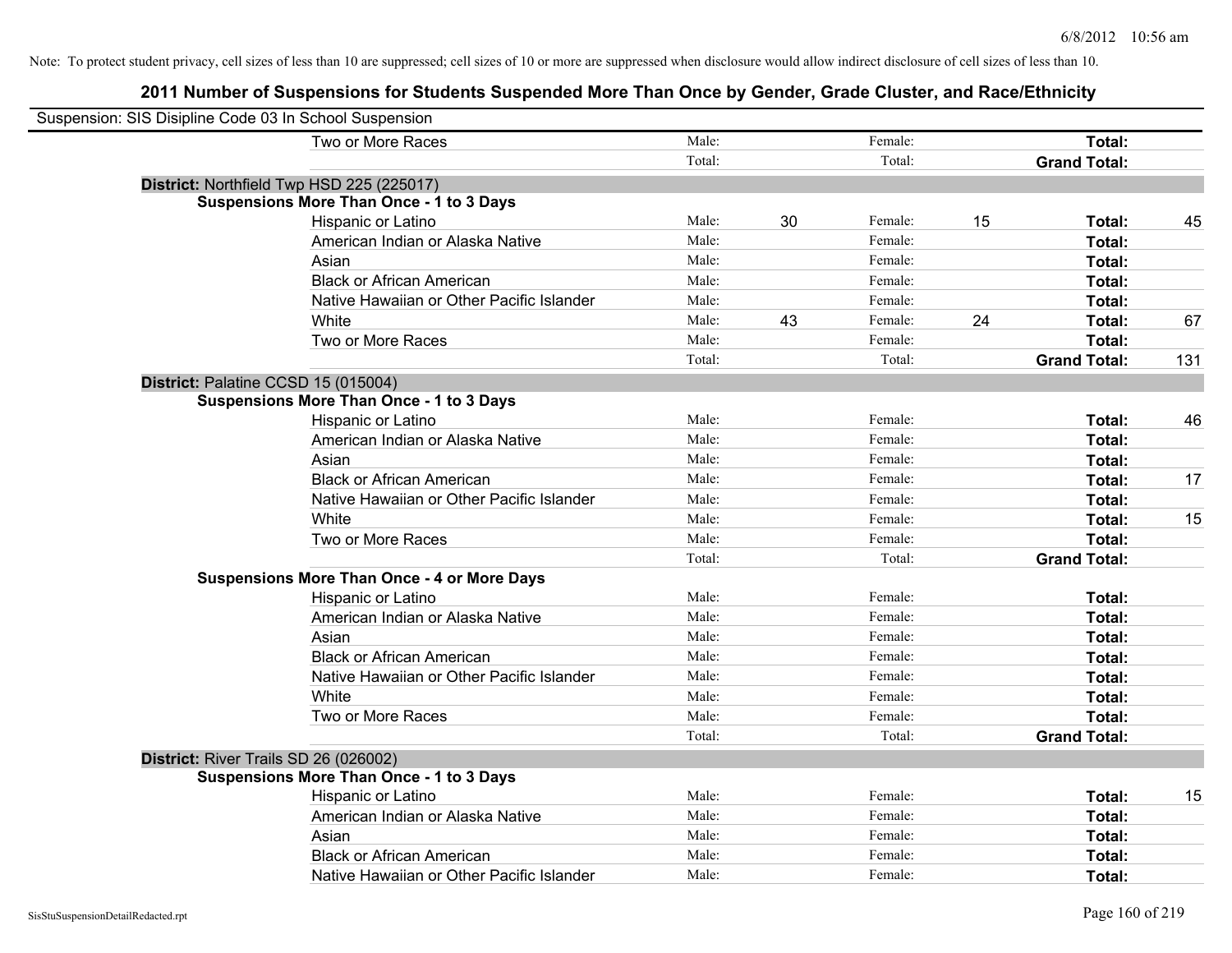| Suspension: SIS Disipline Code 03 In School Suspension |                                                    |        |    |         |    |                     |     |
|--------------------------------------------------------|----------------------------------------------------|--------|----|---------|----|---------------------|-----|
|                                                        | Two or More Races                                  | Male:  |    | Female: |    | Total:              |     |
|                                                        |                                                    | Total: |    | Total:  |    | <b>Grand Total:</b> |     |
|                                                        | District: Northfield Twp HSD 225 (225017)          |        |    |         |    |                     |     |
|                                                        | <b>Suspensions More Than Once - 1 to 3 Days</b>    |        |    |         |    |                     |     |
|                                                        | Hispanic or Latino                                 | Male:  | 30 | Female: | 15 | Total:              | 45  |
|                                                        | American Indian or Alaska Native                   | Male:  |    | Female: |    | Total:              |     |
|                                                        | Asian                                              | Male:  |    | Female: |    | Total:              |     |
|                                                        | <b>Black or African American</b>                   | Male:  |    | Female: |    | Total:              |     |
|                                                        | Native Hawaiian or Other Pacific Islander          | Male:  |    | Female: |    | Total:              |     |
|                                                        | White                                              | Male:  | 43 | Female: | 24 | Total:              | 67  |
|                                                        | Two or More Races                                  | Male:  |    | Female: |    | Total:              |     |
|                                                        |                                                    | Total: |    | Total:  |    | <b>Grand Total:</b> | 131 |
| District: Palatine CCSD 15 (015004)                    |                                                    |        |    |         |    |                     |     |
|                                                        | <b>Suspensions More Than Once - 1 to 3 Days</b>    |        |    |         |    |                     |     |
|                                                        | Hispanic or Latino                                 | Male:  |    | Female: |    | Total:              | 46  |
|                                                        | American Indian or Alaska Native                   | Male:  |    | Female: |    | Total:              |     |
|                                                        | Asian                                              | Male:  |    | Female: |    | Total:              |     |
|                                                        | <b>Black or African American</b>                   | Male:  |    | Female: |    | Total:              | 17  |
|                                                        | Native Hawaiian or Other Pacific Islander          | Male:  |    | Female: |    | Total:              |     |
|                                                        | White                                              | Male:  |    | Female: |    | Total:              | 15  |
|                                                        | Two or More Races                                  | Male:  |    | Female: |    | Total:              |     |
|                                                        |                                                    | Total: |    | Total:  |    | <b>Grand Total:</b> |     |
|                                                        | <b>Suspensions More Than Once - 4 or More Days</b> |        |    |         |    |                     |     |
|                                                        | Hispanic or Latino                                 | Male:  |    | Female: |    | Total:              |     |
|                                                        | American Indian or Alaska Native                   | Male:  |    | Female: |    | Total:              |     |
|                                                        | Asian                                              | Male:  |    | Female: |    | Total:              |     |
|                                                        | <b>Black or African American</b>                   | Male:  |    | Female: |    | Total:              |     |
|                                                        | Native Hawaiian or Other Pacific Islander          | Male:  |    | Female: |    | Total:              |     |
|                                                        | White                                              | Male:  |    | Female: |    | Total:              |     |
|                                                        | Two or More Races                                  | Male:  |    | Female: |    | Total:              |     |
|                                                        |                                                    | Total: |    | Total:  |    | <b>Grand Total:</b> |     |
| District: River Trails SD 26 (026002)                  |                                                    |        |    |         |    |                     |     |
|                                                        | <b>Suspensions More Than Once - 1 to 3 Days</b>    |        |    |         |    |                     |     |
|                                                        | Hispanic or Latino                                 | Male:  |    | Female: |    | Total:              | 15  |
|                                                        | American Indian or Alaska Native                   | Male:  |    | Female: |    | Total:              |     |
|                                                        | Asian                                              | Male:  |    | Female: |    | Total:              |     |
|                                                        | <b>Black or African American</b>                   | Male:  |    | Female: |    | Total:              |     |
|                                                        | Native Hawaiian or Other Pacific Islander          | Male:  |    | Female: |    | Total:              |     |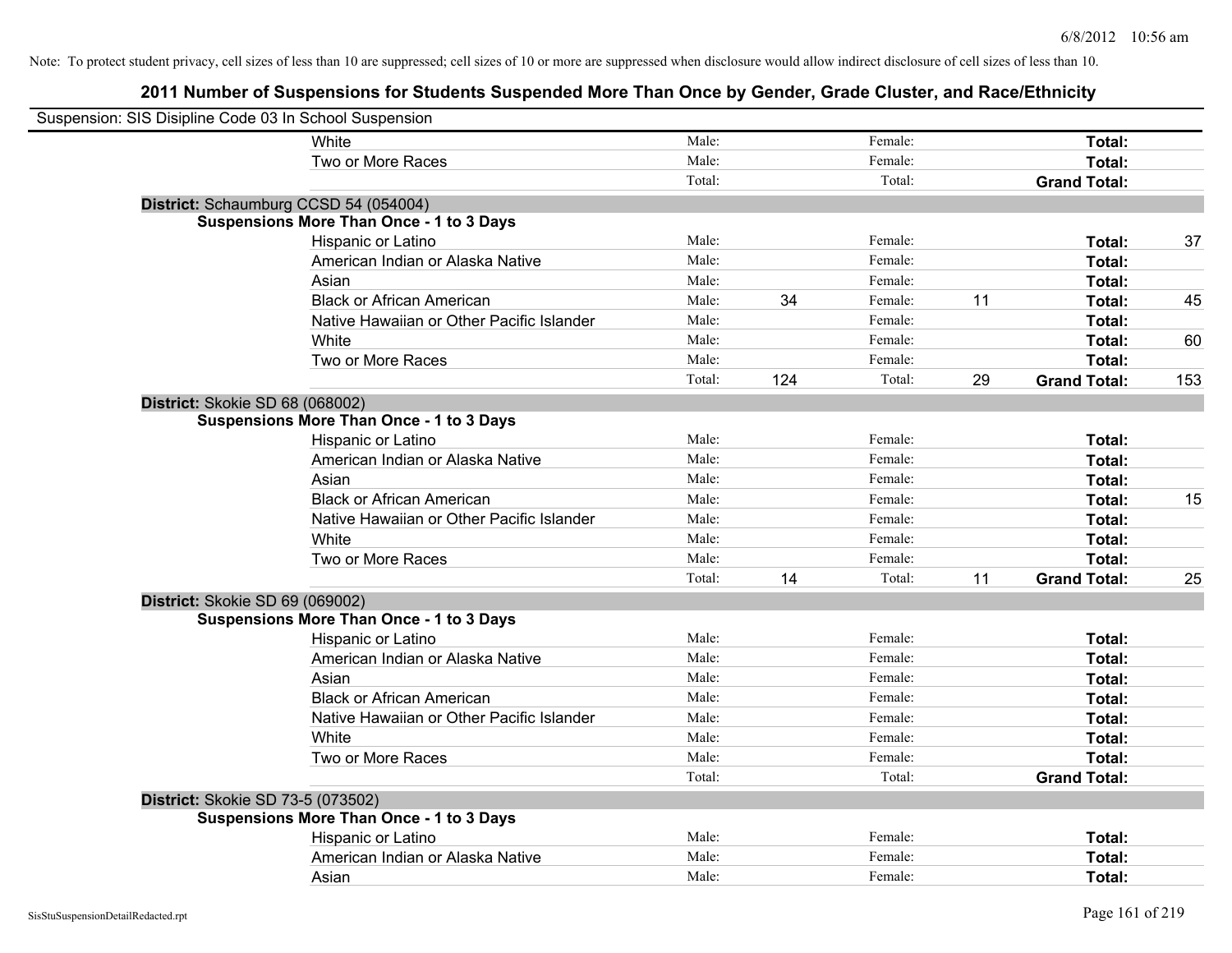| Suspension: SIS Disipline Code 03 In School Suspension |                                                 |        |     |         |    |                     |     |
|--------------------------------------------------------|-------------------------------------------------|--------|-----|---------|----|---------------------|-----|
|                                                        | White                                           | Male:  |     | Female: |    | Total:              |     |
|                                                        | Two or More Races                               | Male:  |     | Female: |    | Total:              |     |
|                                                        |                                                 | Total: |     | Total:  |    | <b>Grand Total:</b> |     |
| District: Schaumburg CCSD 54 (054004)                  |                                                 |        |     |         |    |                     |     |
|                                                        | <b>Suspensions More Than Once - 1 to 3 Days</b> |        |     |         |    |                     |     |
|                                                        | Hispanic or Latino                              | Male:  |     | Female: |    | Total:              | 37  |
|                                                        | American Indian or Alaska Native                | Male:  |     | Female: |    | Total:              |     |
|                                                        | Asian                                           | Male:  |     | Female: |    | Total:              |     |
|                                                        | <b>Black or African American</b>                | Male:  | 34  | Female: | 11 | Total:              | 45  |
|                                                        | Native Hawaiian or Other Pacific Islander       | Male:  |     | Female: |    | Total:              |     |
|                                                        | White                                           | Male:  |     | Female: |    | Total:              | 60  |
|                                                        | Two or More Races                               | Male:  |     | Female: |    | Total:              |     |
|                                                        |                                                 | Total: | 124 | Total:  | 29 | <b>Grand Total:</b> | 153 |
| District: Skokie SD 68 (068002)                        |                                                 |        |     |         |    |                     |     |
|                                                        | <b>Suspensions More Than Once - 1 to 3 Days</b> |        |     |         |    |                     |     |
|                                                        | Hispanic or Latino                              | Male:  |     | Female: |    | Total:              |     |
|                                                        | American Indian or Alaska Native                | Male:  |     | Female: |    | Total:              |     |
|                                                        | Asian                                           | Male:  |     | Female: |    | Total:              |     |
|                                                        | <b>Black or African American</b>                | Male:  |     | Female: |    | Total:              | 15  |
|                                                        | Native Hawaiian or Other Pacific Islander       | Male:  |     | Female: |    | Total:              |     |
|                                                        | White                                           | Male:  |     | Female: |    | Total:              |     |
|                                                        | Two or More Races                               | Male:  |     | Female: |    | Total:              |     |
|                                                        |                                                 | Total: | 14  | Total:  | 11 | <b>Grand Total:</b> | 25  |
| District: Skokie SD 69 (069002)                        |                                                 |        |     |         |    |                     |     |
|                                                        | <b>Suspensions More Than Once - 1 to 3 Days</b> |        |     |         |    |                     |     |
|                                                        | Hispanic or Latino                              | Male:  |     | Female: |    | Total:              |     |
|                                                        | American Indian or Alaska Native                | Male:  |     | Female: |    | Total:              |     |
|                                                        | Asian                                           | Male:  |     | Female: |    | Total:              |     |
|                                                        | <b>Black or African American</b>                | Male:  |     | Female: |    | Total:              |     |
|                                                        | Native Hawaiian or Other Pacific Islander       | Male:  |     | Female: |    | Total:              |     |
|                                                        | White                                           | Male:  |     | Female: |    | Total:              |     |
|                                                        | Two or More Races                               | Male:  |     | Female: |    | Total:              |     |
|                                                        |                                                 | Total: |     | Total:  |    | <b>Grand Total:</b> |     |
| District: Skokie SD 73-5 (073502)                      |                                                 |        |     |         |    |                     |     |
|                                                        | <b>Suspensions More Than Once - 1 to 3 Days</b> |        |     |         |    |                     |     |
|                                                        | Hispanic or Latino                              | Male:  |     | Female: |    | Total:              |     |
|                                                        | American Indian or Alaska Native                | Male:  |     | Female: |    | Total:              |     |
|                                                        | Asian                                           | Male:  |     | Female: |    | Total:              |     |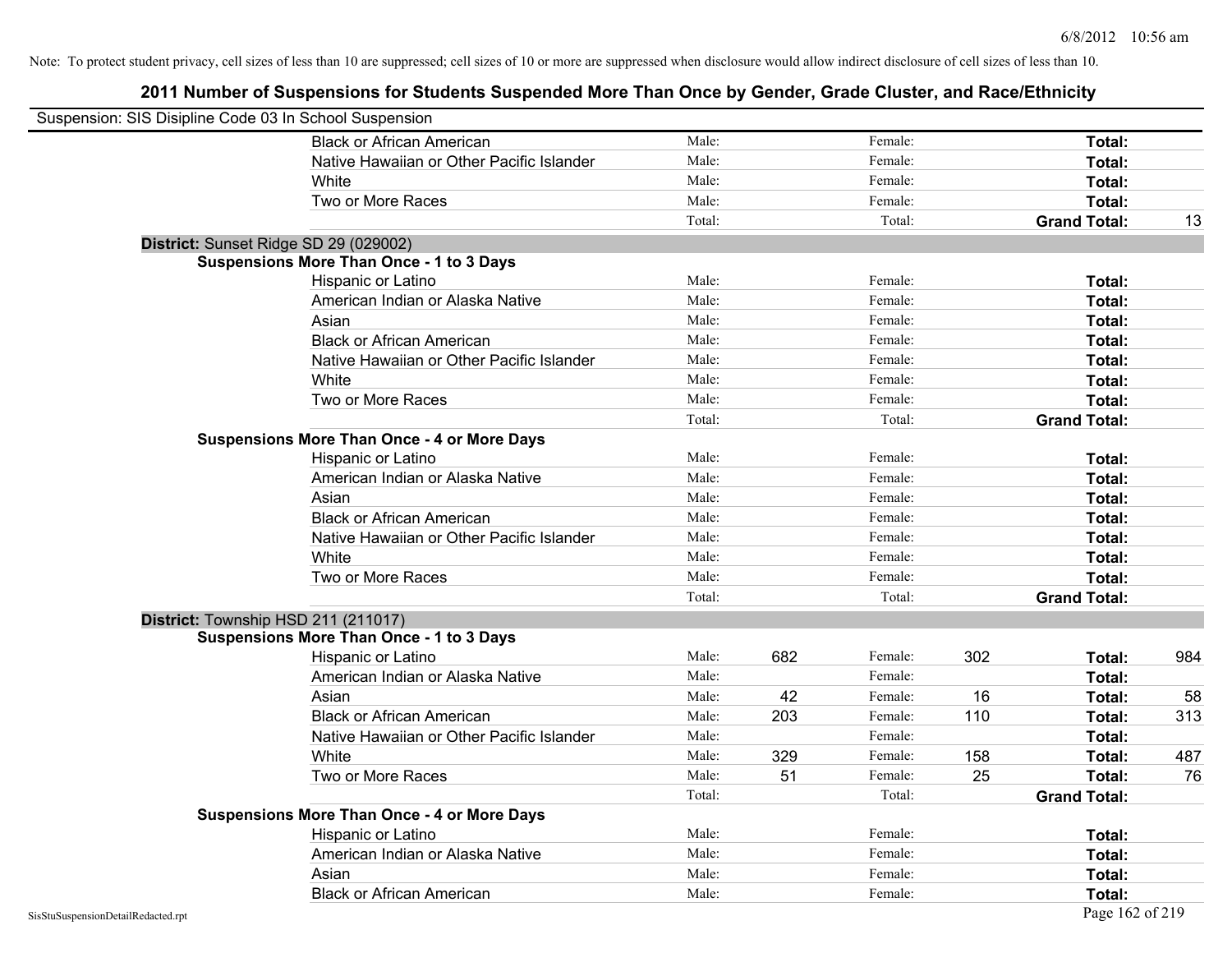| Suspension: SIS Disipline Code 03 In School Suspension |                                                    |        |     |         |     |                     |     |
|--------------------------------------------------------|----------------------------------------------------|--------|-----|---------|-----|---------------------|-----|
|                                                        | <b>Black or African American</b>                   | Male:  |     | Female: |     | Total:              |     |
|                                                        | Native Hawaiian or Other Pacific Islander          | Male:  |     | Female: |     | Total:              |     |
|                                                        | White                                              | Male:  |     | Female: |     | Total:              |     |
|                                                        | Two or More Races                                  | Male:  |     | Female: |     | Total:              |     |
|                                                        |                                                    | Total: |     | Total:  |     | <b>Grand Total:</b> | 13  |
|                                                        | District: Sunset Ridge SD 29 (029002)              |        |     |         |     |                     |     |
|                                                        | Suspensions More Than Once - 1 to 3 Days           |        |     |         |     |                     |     |
|                                                        | Hispanic or Latino                                 | Male:  |     | Female: |     | Total:              |     |
|                                                        | American Indian or Alaska Native                   | Male:  |     | Female: |     | Total:              |     |
|                                                        | Asian                                              | Male:  |     | Female: |     | Total:              |     |
|                                                        | <b>Black or African American</b>                   | Male:  |     | Female: |     | Total:              |     |
|                                                        | Native Hawaiian or Other Pacific Islander          | Male:  |     | Female: |     | Total:              |     |
|                                                        | White                                              | Male:  |     | Female: |     | Total:              |     |
|                                                        | Two or More Races                                  | Male:  |     | Female: |     | Total:              |     |
|                                                        |                                                    | Total: |     | Total:  |     | <b>Grand Total:</b> |     |
|                                                        | <b>Suspensions More Than Once - 4 or More Days</b> |        |     |         |     |                     |     |
|                                                        | Hispanic or Latino                                 | Male:  |     | Female: |     | Total:              |     |
|                                                        | American Indian or Alaska Native                   | Male:  |     | Female: |     | Total:              |     |
|                                                        | Asian                                              | Male:  |     | Female: |     | Total:              |     |
|                                                        | <b>Black or African American</b>                   | Male:  |     | Female: |     | Total:              |     |
|                                                        | Native Hawaiian or Other Pacific Islander          | Male:  |     | Female: |     | Total:              |     |
|                                                        | White                                              | Male:  |     | Female: |     | Total:              |     |
|                                                        | Two or More Races                                  | Male:  |     | Female: |     | Total:              |     |
|                                                        |                                                    | Total: |     | Total:  |     | <b>Grand Total:</b> |     |
|                                                        | District: Township HSD 211 (211017)                |        |     |         |     |                     |     |
|                                                        | <b>Suspensions More Than Once - 1 to 3 Days</b>    |        |     |         |     |                     |     |
|                                                        | Hispanic or Latino                                 | Male:  | 682 | Female: | 302 | Total:              | 984 |
|                                                        | American Indian or Alaska Native                   | Male:  |     | Female: |     | Total:              |     |
|                                                        | Asian                                              | Male:  | 42  | Female: | 16  | Total:              | 58  |
|                                                        | <b>Black or African American</b>                   | Male:  | 203 | Female: | 110 | Total:              | 313 |
|                                                        | Native Hawaiian or Other Pacific Islander          | Male:  |     | Female: |     | Total:              |     |
|                                                        | White                                              | Male:  | 329 | Female: | 158 | Total:              | 487 |
|                                                        | Two or More Races                                  | Male:  | 51  | Female: | 25  | <b>Total:</b>       | 76  |
|                                                        |                                                    | Total: |     | Total:  |     | <b>Grand Total:</b> |     |
|                                                        | <b>Suspensions More Than Once - 4 or More Days</b> |        |     |         |     |                     |     |
|                                                        | Hispanic or Latino                                 | Male:  |     | Female: |     | Total:              |     |
|                                                        | American Indian or Alaska Native                   | Male:  |     | Female: |     | Total:              |     |
|                                                        | Asian                                              | Male:  |     | Female: |     | Total:              |     |
|                                                        | <b>Black or African American</b>                   | Male:  |     | Female: |     | Total:              |     |
| SisStuSuspensionDetailRedacted.rpt                     |                                                    |        |     |         |     | Page 162 of 219     |     |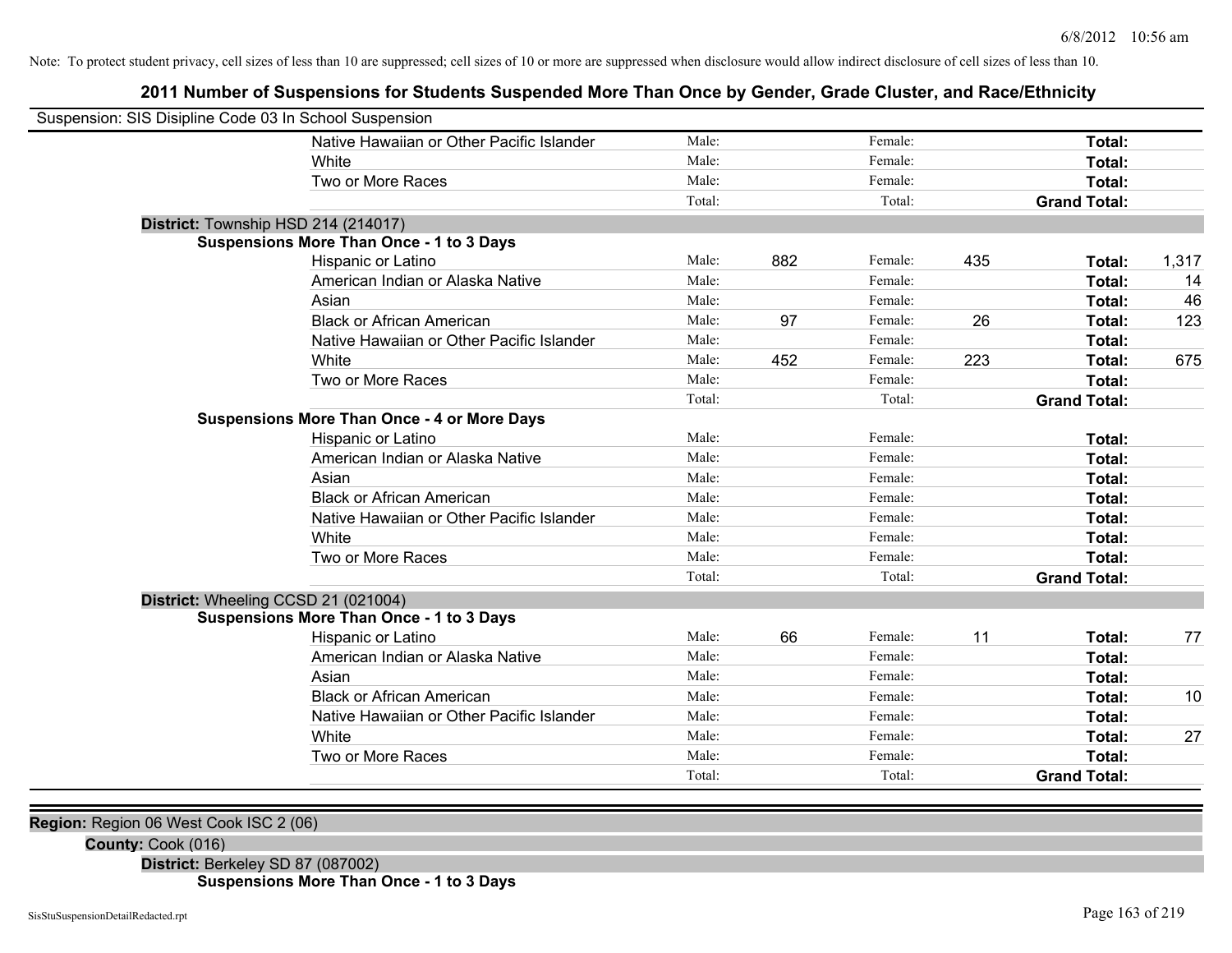## **2011 Number of Suspensions for Students Suspended More Than Once by Gender, Grade Cluster, and Race/Ethnicity**

| Suspension: SIS Disipline Code 03 In School Suspension |                                                    |        |     |         |     |                     |       |
|--------------------------------------------------------|----------------------------------------------------|--------|-----|---------|-----|---------------------|-------|
|                                                        | Native Hawaiian or Other Pacific Islander          | Male:  |     | Female: |     | Total:              |       |
|                                                        | White                                              | Male:  |     | Female: |     | Total:              |       |
|                                                        | Two or More Races                                  | Male:  |     | Female: |     | Total:              |       |
|                                                        |                                                    | Total: |     | Total:  |     | <b>Grand Total:</b> |       |
| District: Township HSD 214 (214017)                    |                                                    |        |     |         |     |                     |       |
|                                                        | <b>Suspensions More Than Once - 1 to 3 Days</b>    |        |     |         |     |                     |       |
|                                                        | Hispanic or Latino                                 | Male:  | 882 | Female: | 435 | Total:              | 1,317 |
|                                                        | American Indian or Alaska Native                   | Male:  |     | Female: |     | Total:              | 14    |
|                                                        | Asian                                              | Male:  |     | Female: |     | Total:              | 46    |
|                                                        | <b>Black or African American</b>                   | Male:  | 97  | Female: | 26  | Total:              | 123   |
|                                                        | Native Hawaiian or Other Pacific Islander          | Male:  |     | Female: |     | Total:              |       |
|                                                        | White                                              | Male:  | 452 | Female: | 223 | Total:              | 675   |
|                                                        | Two or More Races                                  | Male:  |     | Female: |     | Total:              |       |
|                                                        |                                                    | Total: |     | Total:  |     | <b>Grand Total:</b> |       |
|                                                        | <b>Suspensions More Than Once - 4 or More Days</b> |        |     |         |     |                     |       |
|                                                        | Hispanic or Latino                                 | Male:  |     | Female: |     | Total:              |       |
|                                                        | American Indian or Alaska Native                   | Male:  |     | Female: |     | Total:              |       |
|                                                        | Asian                                              | Male:  |     | Female: |     | Total:              |       |
|                                                        | <b>Black or African American</b>                   | Male:  |     | Female: |     | Total:              |       |
|                                                        | Native Hawaiian or Other Pacific Islander          | Male:  |     | Female: |     | Total:              |       |
|                                                        | White                                              | Male:  |     | Female: |     | Total:              |       |
|                                                        | Two or More Races                                  | Male:  |     | Female: |     | Total:              |       |
|                                                        |                                                    | Total: |     | Total:  |     | <b>Grand Total:</b> |       |
| District: Wheeling CCSD 21 (021004)                    |                                                    |        |     |         |     |                     |       |
|                                                        | <b>Suspensions More Than Once - 1 to 3 Days</b>    |        |     |         |     |                     |       |
|                                                        | Hispanic or Latino                                 | Male:  | 66  | Female: | 11  | Total:              | 77    |
|                                                        | American Indian or Alaska Native                   | Male:  |     | Female: |     | Total:              |       |
|                                                        | Asian                                              | Male:  |     | Female: |     | Total:              |       |
|                                                        | <b>Black or African American</b>                   | Male:  |     | Female: |     | Total:              | 10    |
|                                                        | Native Hawaiian or Other Pacific Islander          | Male:  |     | Female: |     | Total:              |       |
|                                                        | White                                              | Male:  |     | Female: |     | Total:              | 27    |
|                                                        | Two or More Races                                  | Male:  |     | Female: |     | Total:              |       |
|                                                        |                                                    | Total: |     | Total:  |     | <b>Grand Total:</b> |       |
|                                                        |                                                    |        |     |         |     |                     |       |

**Region:** Region 06 West Cook ISC 2 (06)

**County:** Cook (016)

**District:** Berkeley SD 87 (087002) **Suspensions More Than Once - 1 to 3 Days**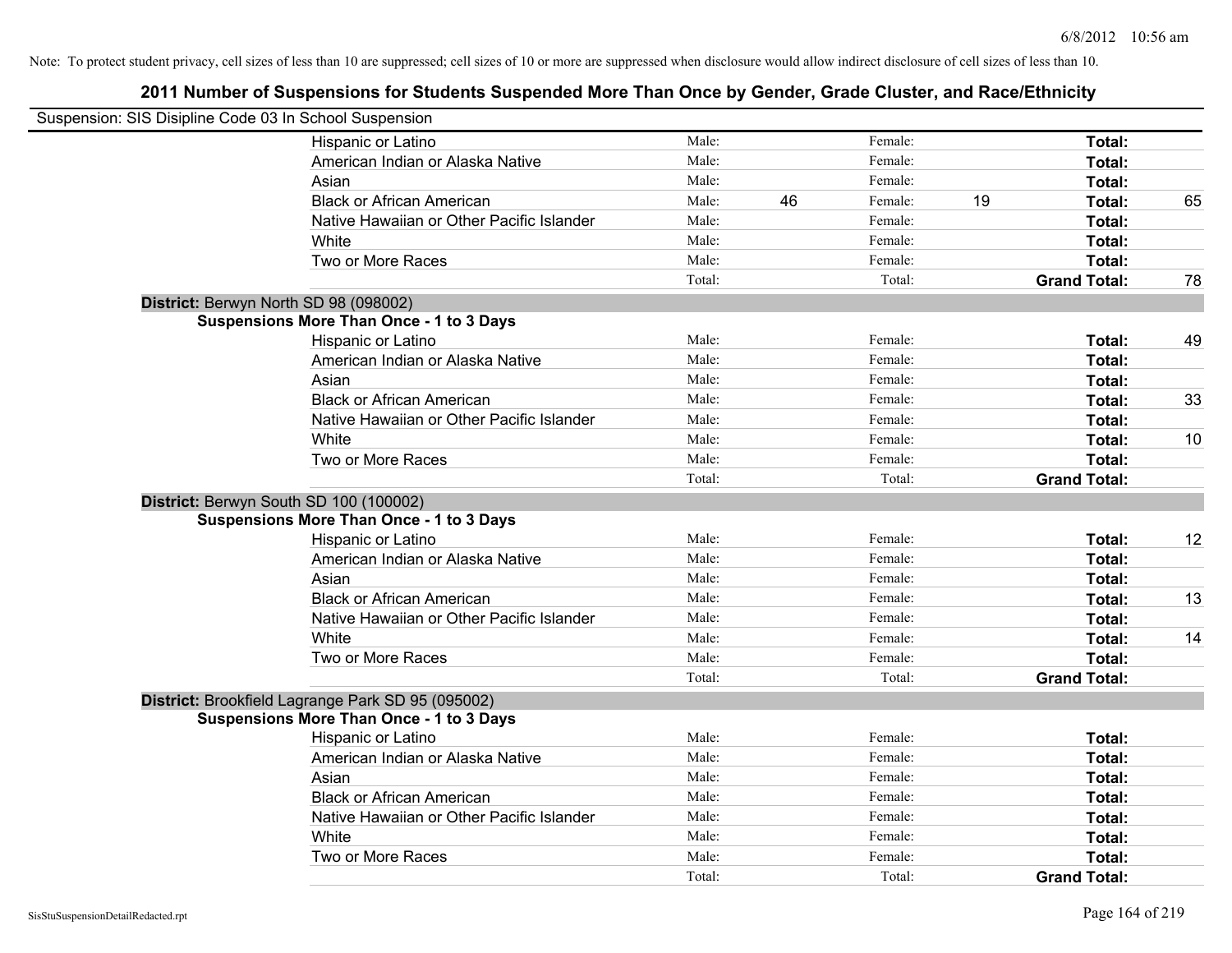| Suspension: SIS Disipline Code 03 In School Suspension |        |    |         |    |                     |    |
|--------------------------------------------------------|--------|----|---------|----|---------------------|----|
| Hispanic or Latino                                     | Male:  |    | Female: |    | Total:              |    |
| American Indian or Alaska Native                       | Male:  |    | Female: |    | Total:              |    |
| Asian                                                  | Male:  |    | Female: |    | Total:              |    |
| <b>Black or African American</b>                       | Male:  | 46 | Female: | 19 | Total:              | 65 |
| Native Hawaiian or Other Pacific Islander              | Male:  |    | Female: |    | Total:              |    |
| White                                                  | Male:  |    | Female: |    | Total:              |    |
| Two or More Races                                      | Male:  |    | Female: |    | Total:              |    |
|                                                        | Total: |    | Total:  |    | <b>Grand Total:</b> | 78 |
| District: Berwyn North SD 98 (098002)                  |        |    |         |    |                     |    |
| <b>Suspensions More Than Once - 1 to 3 Days</b>        |        |    |         |    |                     |    |
| Hispanic or Latino                                     | Male:  |    | Female: |    | Total:              | 49 |
| American Indian or Alaska Native                       | Male:  |    | Female: |    | Total:              |    |
| Asian                                                  | Male:  |    | Female: |    | Total:              |    |
| <b>Black or African American</b>                       | Male:  |    | Female: |    | Total:              | 33 |
| Native Hawaiian or Other Pacific Islander              | Male:  |    | Female: |    | Total:              |    |
| White                                                  | Male:  |    | Female: |    | Total:              | 10 |
| Two or More Races                                      | Male:  |    | Female: |    | Total:              |    |
|                                                        | Total: |    | Total:  |    | <b>Grand Total:</b> |    |
| District: Berwyn South SD 100 (100002)                 |        |    |         |    |                     |    |
| <b>Suspensions More Than Once - 1 to 3 Days</b>        |        |    |         |    |                     |    |
| Hispanic or Latino                                     | Male:  |    | Female: |    | Total:              | 12 |
| American Indian or Alaska Native                       | Male:  |    | Female: |    | Total:              |    |
| Asian                                                  | Male:  |    | Female: |    | Total:              |    |
| <b>Black or African American</b>                       | Male:  |    | Female: |    | Total:              | 13 |
| Native Hawaiian or Other Pacific Islander              | Male:  |    | Female: |    | Total:              |    |
| White                                                  | Male:  |    | Female: |    | Total:              | 14 |
| Two or More Races                                      | Male:  |    | Female: |    | Total:              |    |
|                                                        | Total: |    | Total:  |    | <b>Grand Total:</b> |    |
| District: Brookfield Lagrange Park SD 95 (095002)      |        |    |         |    |                     |    |
| <b>Suspensions More Than Once - 1 to 3 Days</b>        |        |    |         |    |                     |    |
| Hispanic or Latino                                     | Male:  |    | Female: |    | Total:              |    |
| American Indian or Alaska Native                       | Male:  |    | Female: |    | Total:              |    |
| Asian                                                  | Male:  |    | Female: |    | Total:              |    |
| <b>Black or African American</b>                       | Male:  |    | Female: |    | Total:              |    |
| Native Hawaiian or Other Pacific Islander              | Male:  |    | Female: |    | Total:              |    |
| White                                                  | Male:  |    | Female: |    | Total:              |    |
| Two or More Races                                      | Male:  |    | Female: |    | Total:              |    |
|                                                        | Total: |    | Total:  |    | <b>Grand Total:</b> |    |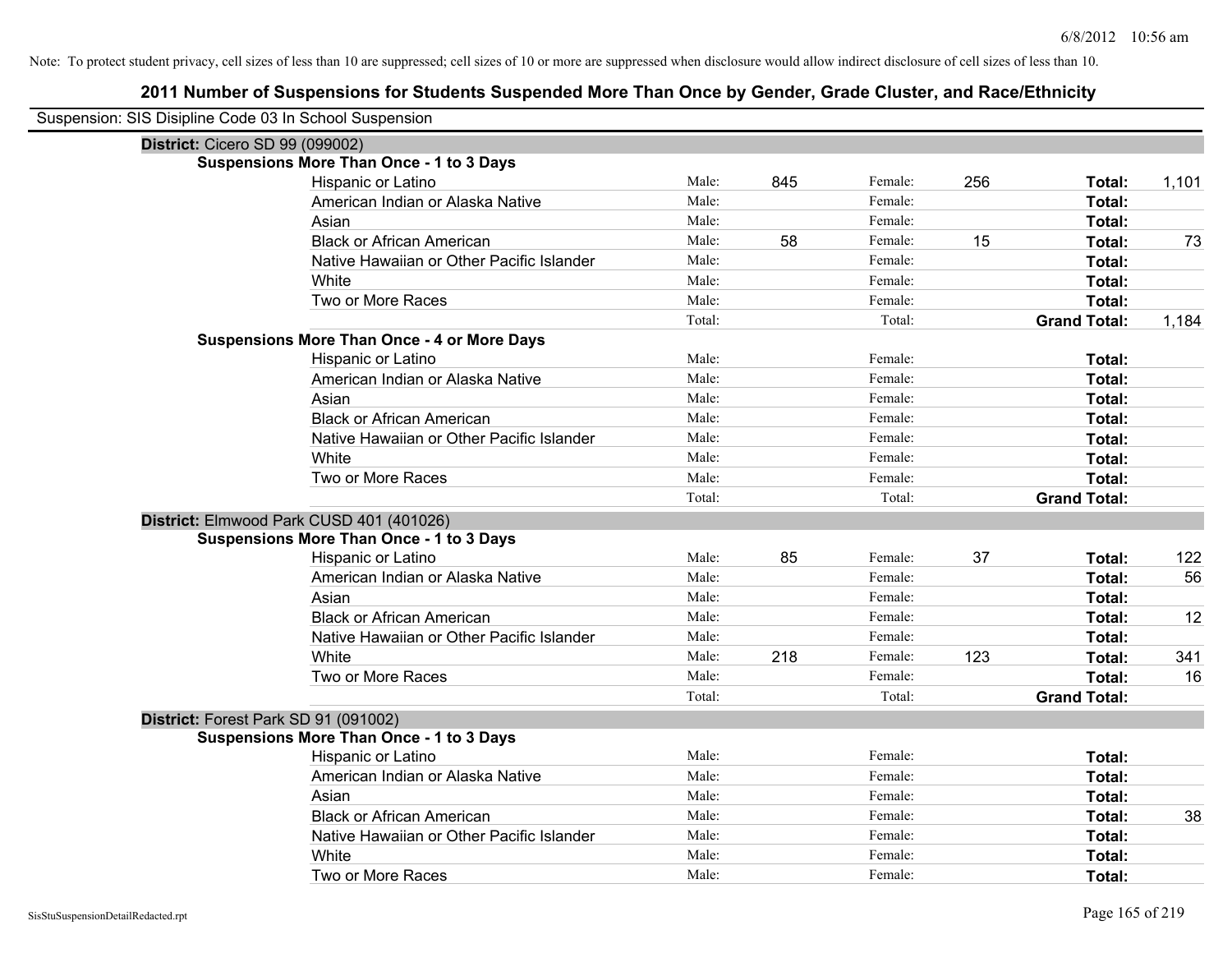| Suspension: SIS Disipline Code 03 In School Suspension |                                                    |        |     |         |     |                     |       |
|--------------------------------------------------------|----------------------------------------------------|--------|-----|---------|-----|---------------------|-------|
| District: Cicero SD 99 (099002)                        |                                                    |        |     |         |     |                     |       |
|                                                        | <b>Suspensions More Than Once - 1 to 3 Days</b>    |        |     |         |     |                     |       |
|                                                        | Hispanic or Latino                                 | Male:  | 845 | Female: | 256 | Total:              | 1,101 |
|                                                        | American Indian or Alaska Native                   | Male:  |     | Female: |     | Total:              |       |
|                                                        | Asian                                              | Male:  |     | Female: |     | Total:              |       |
|                                                        | <b>Black or African American</b>                   | Male:  | 58  | Female: | 15  | Total:              | 73    |
|                                                        | Native Hawaiian or Other Pacific Islander          | Male:  |     | Female: |     | Total:              |       |
|                                                        | White                                              | Male:  |     | Female: |     | Total:              |       |
|                                                        | Two or More Races                                  | Male:  |     | Female: |     | Total:              |       |
|                                                        |                                                    | Total: |     | Total:  |     | <b>Grand Total:</b> | 1,184 |
|                                                        | <b>Suspensions More Than Once - 4 or More Days</b> |        |     |         |     |                     |       |
|                                                        | Hispanic or Latino                                 | Male:  |     | Female: |     | Total:              |       |
|                                                        | American Indian or Alaska Native                   | Male:  |     | Female: |     | Total:              |       |
|                                                        | Asian                                              | Male:  |     | Female: |     | Total:              |       |
|                                                        | <b>Black or African American</b>                   | Male:  |     | Female: |     | Total:              |       |
|                                                        | Native Hawaiian or Other Pacific Islander          | Male:  |     | Female: |     | Total:              |       |
|                                                        | White                                              | Male:  |     | Female: |     | Total:              |       |
|                                                        | Two or More Races                                  | Male:  |     | Female: |     | Total:              |       |
|                                                        |                                                    | Total: |     | Total:  |     | <b>Grand Total:</b> |       |
| District: Elmwood Park CUSD 401 (401026)               |                                                    |        |     |         |     |                     |       |
|                                                        | <b>Suspensions More Than Once - 1 to 3 Days</b>    |        |     |         |     |                     |       |
|                                                        | Hispanic or Latino                                 | Male:  | 85  | Female: | 37  | Total:              | 122   |
|                                                        | American Indian or Alaska Native                   | Male:  |     | Female: |     | Total:              | 56    |
|                                                        | Asian                                              | Male:  |     | Female: |     | Total:              |       |
|                                                        | <b>Black or African American</b>                   | Male:  |     | Female: |     | Total:              | 12    |
|                                                        | Native Hawaiian or Other Pacific Islander          | Male:  |     | Female: |     | Total:              |       |
|                                                        | White                                              | Male:  | 218 | Female: | 123 | Total:              | 341   |
|                                                        | Two or More Races                                  | Male:  |     | Female: |     | Total:              | 16    |
|                                                        |                                                    | Total: |     | Total:  |     | <b>Grand Total:</b> |       |
| District: Forest Park SD 91 (091002)                   |                                                    |        |     |         |     |                     |       |
|                                                        | <b>Suspensions More Than Once - 1 to 3 Days</b>    |        |     |         |     |                     |       |
|                                                        | Hispanic or Latino                                 | Male:  |     | Female: |     | Total:              |       |
|                                                        | American Indian or Alaska Native                   | Male:  |     | Female: |     | Total:              |       |
|                                                        | Asian                                              | Male:  |     | Female: |     | Total:              |       |
|                                                        | <b>Black or African American</b>                   | Male:  |     | Female: |     | Total:              | 38    |
|                                                        | Native Hawaiian or Other Pacific Islander          | Male:  |     | Female: |     | Total:              |       |
|                                                        | White                                              | Male:  |     | Female: |     | Total:              |       |
|                                                        | Two or More Races                                  | Male:  |     | Female: |     | Total:              |       |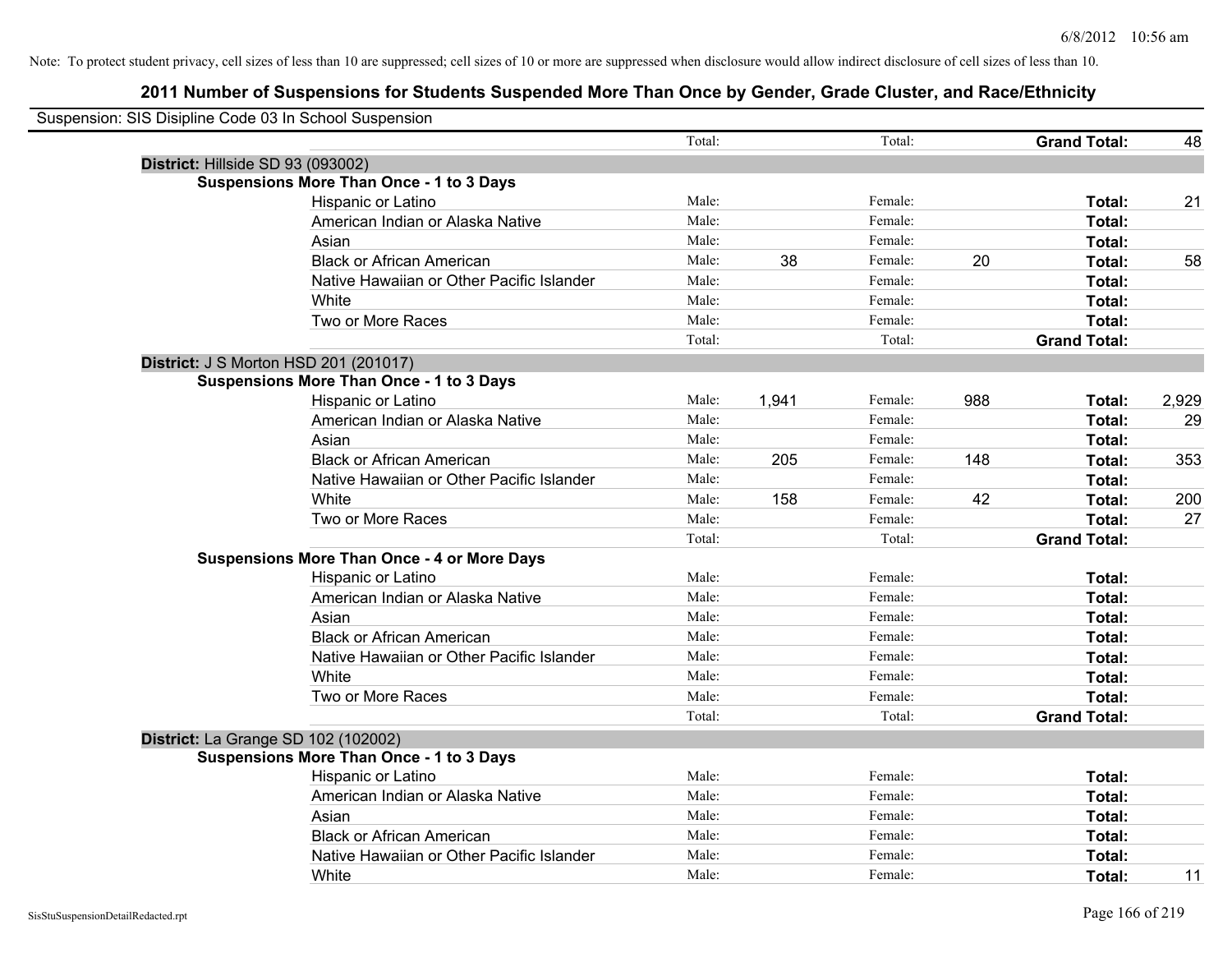| Suspension: SIS Disipline Code 03 In School Suspension |                                                    |        |       |         |     |                     |       |
|--------------------------------------------------------|----------------------------------------------------|--------|-------|---------|-----|---------------------|-------|
|                                                        |                                                    | Total: |       | Total:  |     | <b>Grand Total:</b> | 48    |
| District: Hillside SD 93 (093002)                      |                                                    |        |       |         |     |                     |       |
|                                                        | <b>Suspensions More Than Once - 1 to 3 Days</b>    |        |       |         |     |                     |       |
|                                                        | Hispanic or Latino                                 | Male:  |       | Female: |     | Total:              | 21    |
|                                                        | American Indian or Alaska Native                   | Male:  |       | Female: |     | Total:              |       |
|                                                        | Asian                                              | Male:  |       | Female: |     | Total:              |       |
|                                                        | <b>Black or African American</b>                   | Male:  | 38    | Female: | 20  | Total:              | 58    |
|                                                        | Native Hawaiian or Other Pacific Islander          | Male:  |       | Female: |     | Total:              |       |
|                                                        | White                                              | Male:  |       | Female: |     | Total:              |       |
|                                                        | Two or More Races                                  | Male:  |       | Female: |     | Total:              |       |
|                                                        |                                                    | Total: |       | Total:  |     | <b>Grand Total:</b> |       |
| District: J S Morton HSD 201 (201017)                  |                                                    |        |       |         |     |                     |       |
|                                                        | <b>Suspensions More Than Once - 1 to 3 Days</b>    |        |       |         |     |                     |       |
|                                                        | Hispanic or Latino                                 | Male:  | 1,941 | Female: | 988 | Total:              | 2,929 |
|                                                        | American Indian or Alaska Native                   | Male:  |       | Female: |     | Total:              | 29    |
|                                                        | Asian                                              | Male:  |       | Female: |     | Total:              |       |
|                                                        | <b>Black or African American</b>                   | Male:  | 205   | Female: | 148 | Total:              | 353   |
|                                                        | Native Hawaiian or Other Pacific Islander          | Male:  |       | Female: |     | Total:              |       |
|                                                        | White                                              | Male:  | 158   | Female: | 42  | Total:              | 200   |
|                                                        | Two or More Races                                  | Male:  |       | Female: |     | Total:              | 27    |
|                                                        |                                                    | Total: |       | Total:  |     | <b>Grand Total:</b> |       |
|                                                        | <b>Suspensions More Than Once - 4 or More Days</b> |        |       |         |     |                     |       |
|                                                        | Hispanic or Latino                                 | Male:  |       | Female: |     | Total:              |       |
|                                                        | American Indian or Alaska Native                   | Male:  |       | Female: |     | Total:              |       |
|                                                        | Asian                                              | Male:  |       | Female: |     | Total:              |       |
|                                                        | <b>Black or African American</b>                   | Male:  |       | Female: |     | Total:              |       |
|                                                        | Native Hawaiian or Other Pacific Islander          | Male:  |       | Female: |     | Total:              |       |
|                                                        | White                                              | Male:  |       | Female: |     | Total:              |       |
|                                                        | Two or More Races                                  | Male:  |       | Female: |     | Total:              |       |
|                                                        |                                                    | Total: |       | Total:  |     | <b>Grand Total:</b> |       |
| District: La Grange SD 102 (102002)                    |                                                    |        |       |         |     |                     |       |
|                                                        | <b>Suspensions More Than Once - 1 to 3 Days</b>    |        |       |         |     |                     |       |
|                                                        | Hispanic or Latino                                 | Male:  |       | Female: |     | Total:              |       |
|                                                        | American Indian or Alaska Native                   | Male:  |       | Female: |     | Total:              |       |
|                                                        | Asian                                              | Male:  |       | Female: |     | Total:              |       |
|                                                        | <b>Black or African American</b>                   | Male:  |       | Female: |     | Total:              |       |
|                                                        | Native Hawaiian or Other Pacific Islander          | Male:  |       | Female: |     | Total:              |       |
|                                                        | White                                              | Male:  |       | Female: |     | Total:              | 11    |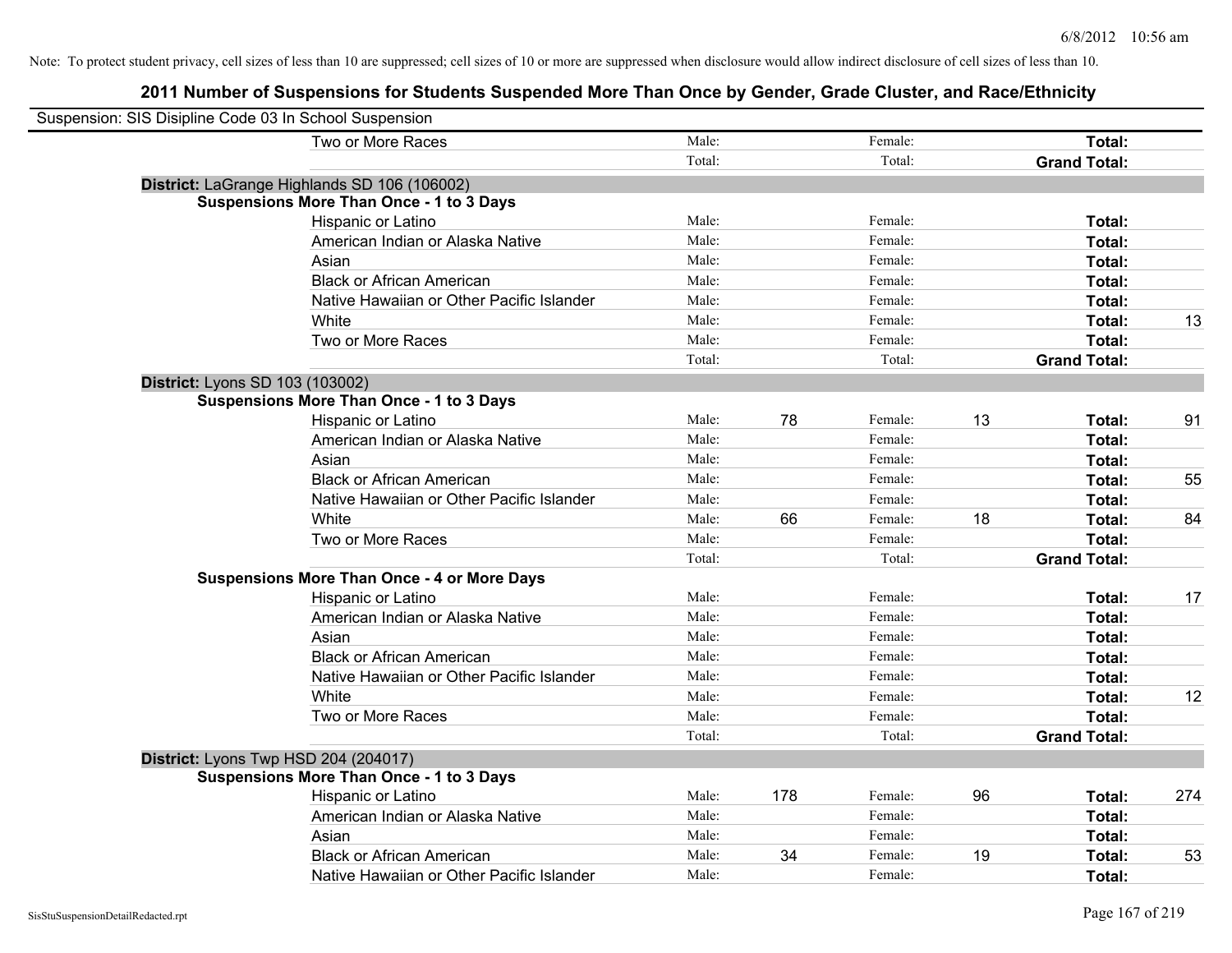| Suspension: SIS Disipline Code 03 In School Suspension |                                                    |        |     |         |    |                     |     |
|--------------------------------------------------------|----------------------------------------------------|--------|-----|---------|----|---------------------|-----|
|                                                        | Two or More Races                                  | Male:  |     | Female: |    | Total:              |     |
|                                                        |                                                    | Total: |     | Total:  |    | <b>Grand Total:</b> |     |
|                                                        | District: LaGrange Highlands SD 106 (106002)       |        |     |         |    |                     |     |
|                                                        | <b>Suspensions More Than Once - 1 to 3 Days</b>    |        |     |         |    |                     |     |
|                                                        | Hispanic or Latino                                 | Male:  |     | Female: |    | Total:              |     |
|                                                        | American Indian or Alaska Native                   | Male:  |     | Female: |    | Total:              |     |
|                                                        | Asian                                              | Male:  |     | Female: |    | Total:              |     |
|                                                        | <b>Black or African American</b>                   | Male:  |     | Female: |    | Total:              |     |
|                                                        | Native Hawaiian or Other Pacific Islander          | Male:  |     | Female: |    | Total:              |     |
|                                                        | White                                              | Male:  |     | Female: |    | Total:              | 13  |
|                                                        | Two or More Races                                  | Male:  |     | Female: |    | Total:              |     |
|                                                        |                                                    | Total: |     | Total:  |    | <b>Grand Total:</b> |     |
|                                                        | District: Lyons SD 103 (103002)                    |        |     |         |    |                     |     |
|                                                        | <b>Suspensions More Than Once - 1 to 3 Days</b>    |        |     |         |    |                     |     |
|                                                        | Hispanic or Latino                                 | Male:  | 78  | Female: | 13 | Total:              | 91  |
|                                                        | American Indian or Alaska Native                   | Male:  |     | Female: |    | Total:              |     |
|                                                        | Asian                                              | Male:  |     | Female: |    | Total:              |     |
|                                                        | <b>Black or African American</b>                   | Male:  |     | Female: |    | Total:              | 55  |
|                                                        | Native Hawaiian or Other Pacific Islander          | Male:  |     | Female: |    | Total:              |     |
|                                                        | White                                              | Male:  | 66  | Female: | 18 | Total:              | 84  |
|                                                        | Two or More Races                                  | Male:  |     | Female: |    | Total:              |     |
|                                                        |                                                    | Total: |     | Total:  |    | <b>Grand Total:</b> |     |
|                                                        | <b>Suspensions More Than Once - 4 or More Days</b> |        |     |         |    |                     |     |
|                                                        | Hispanic or Latino                                 | Male:  |     | Female: |    | Total:              | 17  |
|                                                        | American Indian or Alaska Native                   | Male:  |     | Female: |    | Total:              |     |
|                                                        | Asian                                              | Male:  |     | Female: |    | Total:              |     |
|                                                        | <b>Black or African American</b>                   | Male:  |     | Female: |    | Total:              |     |
|                                                        | Native Hawaiian or Other Pacific Islander          | Male:  |     | Female: |    | Total:              |     |
|                                                        | White                                              | Male:  |     | Female: |    | Total:              | 12  |
|                                                        | Two or More Races                                  | Male:  |     | Female: |    | Total:              |     |
|                                                        |                                                    | Total: |     | Total:  |    | <b>Grand Total:</b> |     |
|                                                        | District: Lyons Twp HSD 204 (204017)               |        |     |         |    |                     |     |
|                                                        | <b>Suspensions More Than Once - 1 to 3 Days</b>    |        |     |         |    |                     |     |
|                                                        | Hispanic or Latino                                 | Male:  | 178 | Female: | 96 | Total:              | 274 |
|                                                        | American Indian or Alaska Native                   | Male:  |     | Female: |    | <b>Total:</b>       |     |
|                                                        | Asian                                              | Male:  |     | Female: |    | Total:              |     |
|                                                        | <b>Black or African American</b>                   | Male:  | 34  | Female: | 19 | Total:              | 53  |
|                                                        | Native Hawaiian or Other Pacific Islander          | Male:  |     | Female: |    | Total:              |     |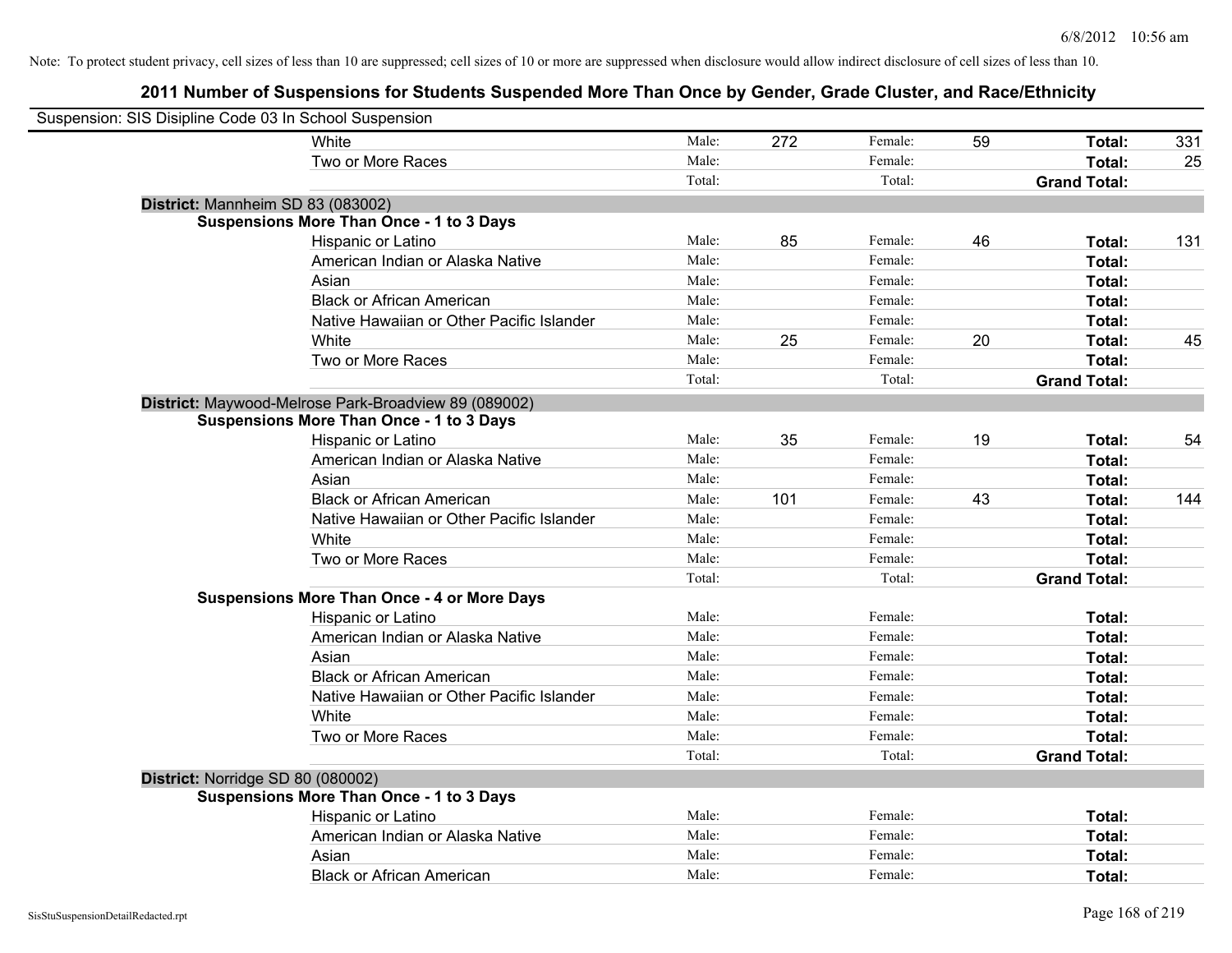| Suspension: SIS Disipline Code 03 In School Suspension |                                                      |        |     |         |    |                     |     |
|--------------------------------------------------------|------------------------------------------------------|--------|-----|---------|----|---------------------|-----|
|                                                        | <b>White</b>                                         | Male:  | 272 | Female: | 59 | Total:              | 331 |
|                                                        | Two or More Races                                    | Male:  |     | Female: |    | <b>Total:</b>       | 25  |
|                                                        |                                                      | Total: |     | Total:  |    | <b>Grand Total:</b> |     |
| District: Mannheim SD 83 (083002)                      |                                                      |        |     |         |    |                     |     |
|                                                        | <b>Suspensions More Than Once - 1 to 3 Days</b>      |        |     |         |    |                     |     |
|                                                        | Hispanic or Latino                                   | Male:  | 85  | Female: | 46 | Total:              | 131 |
|                                                        | American Indian or Alaska Native                     | Male:  |     | Female: |    | Total:              |     |
|                                                        | Asian                                                | Male:  |     | Female: |    | Total:              |     |
|                                                        | <b>Black or African American</b>                     | Male:  |     | Female: |    | Total:              |     |
|                                                        | Native Hawaiian or Other Pacific Islander            | Male:  |     | Female: |    | Total:              |     |
|                                                        | White                                                | Male:  | 25  | Female: | 20 | Total:              | 45  |
|                                                        | Two or More Races                                    | Male:  |     | Female: |    | Total:              |     |
|                                                        |                                                      | Total: |     | Total:  |    | <b>Grand Total:</b> |     |
|                                                        | District: Maywood-Melrose Park-Broadview 89 (089002) |        |     |         |    |                     |     |
|                                                        | <b>Suspensions More Than Once - 1 to 3 Days</b>      |        |     |         |    |                     |     |
|                                                        | Hispanic or Latino                                   | Male:  | 35  | Female: | 19 | Total:              | 54  |
|                                                        | American Indian or Alaska Native                     | Male:  |     | Female: |    | Total:              |     |
|                                                        | Asian                                                | Male:  |     | Female: |    | Total:              |     |
|                                                        | <b>Black or African American</b>                     | Male:  | 101 | Female: | 43 | Total:              | 144 |
|                                                        | Native Hawaiian or Other Pacific Islander            | Male:  |     | Female: |    | Total:              |     |
|                                                        | White                                                | Male:  |     | Female: |    | Total:              |     |
|                                                        | Two or More Races                                    | Male:  |     | Female: |    | Total:              |     |
|                                                        |                                                      | Total: |     | Total:  |    | <b>Grand Total:</b> |     |
|                                                        | <b>Suspensions More Than Once - 4 or More Days</b>   |        |     |         |    |                     |     |
|                                                        | Hispanic or Latino                                   | Male:  |     | Female: |    | Total:              |     |
|                                                        | American Indian or Alaska Native                     | Male:  |     | Female: |    | Total:              |     |
|                                                        | Asian                                                | Male:  |     | Female: |    | Total:              |     |
|                                                        | <b>Black or African American</b>                     | Male:  |     | Female: |    | Total:              |     |
|                                                        | Native Hawaiian or Other Pacific Islander            | Male:  |     | Female: |    | Total:              |     |
|                                                        | White                                                | Male:  |     | Female: |    | Total:              |     |
|                                                        | Two or More Races                                    | Male:  |     | Female: |    | Total:              |     |
|                                                        |                                                      | Total: |     | Total:  |    | <b>Grand Total:</b> |     |
| District: Norridge SD 80 (080002)                      |                                                      |        |     |         |    |                     |     |
|                                                        | <b>Suspensions More Than Once - 1 to 3 Days</b>      |        |     |         |    |                     |     |
|                                                        | Hispanic or Latino                                   | Male:  |     | Female: |    | Total:              |     |
|                                                        | American Indian or Alaska Native                     | Male:  |     | Female: |    | Total:              |     |
|                                                        | Asian                                                | Male:  |     | Female: |    | Total:              |     |
|                                                        | <b>Black or African American</b>                     | Male:  |     | Female: |    | Total:              |     |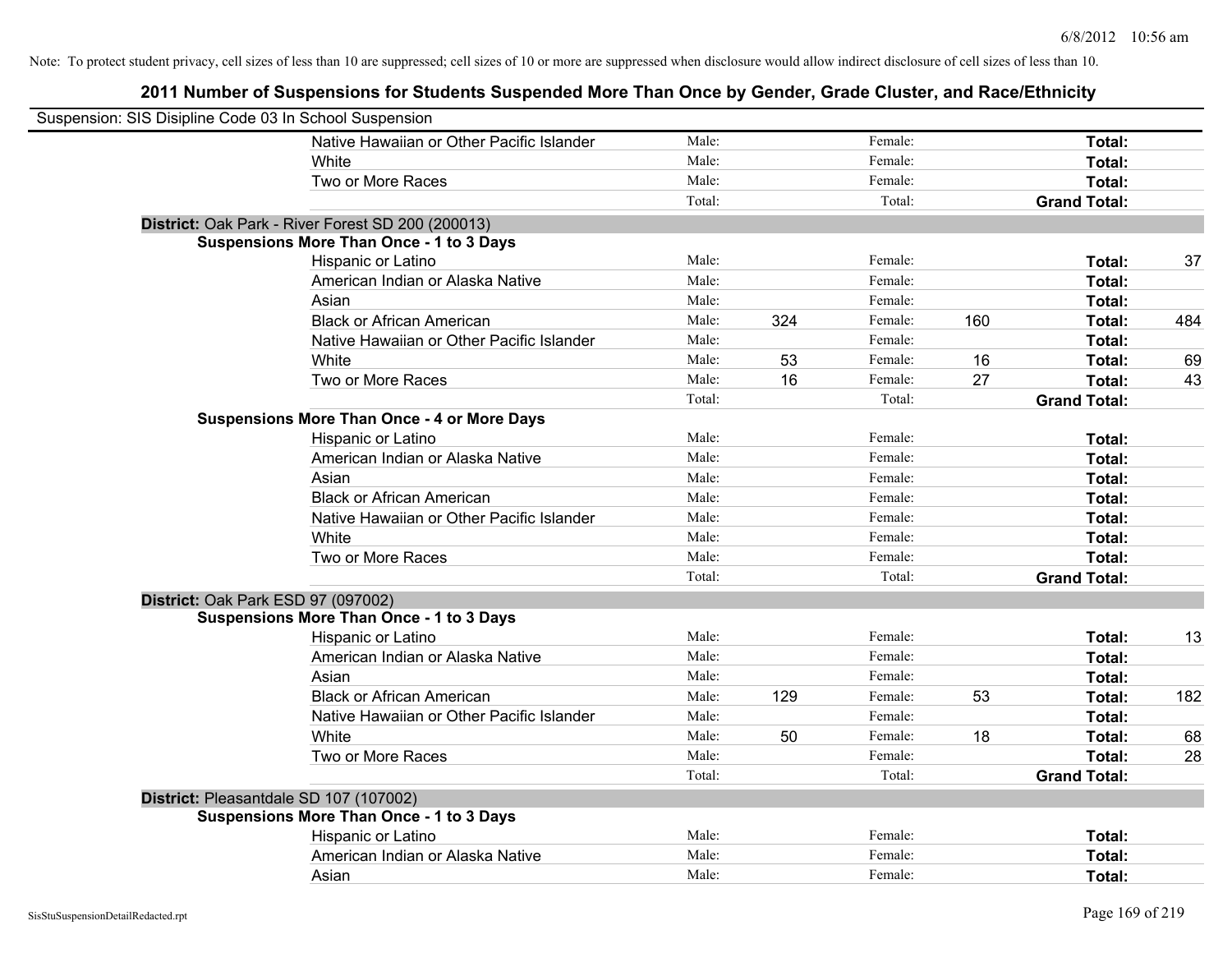| Suspension: SIS Disipline Code 03 In School Suspension |                                                    |        |     |         |     |                     |     |
|--------------------------------------------------------|----------------------------------------------------|--------|-----|---------|-----|---------------------|-----|
|                                                        | Native Hawaiian or Other Pacific Islander          | Male:  |     | Female: |     | Total:              |     |
|                                                        | White                                              | Male:  |     | Female: |     | Total:              |     |
|                                                        | Two or More Races                                  | Male:  |     | Female: |     | Total:              |     |
|                                                        |                                                    | Total: |     | Total:  |     | <b>Grand Total:</b> |     |
|                                                        | District: Oak Park - River Forest SD 200 (200013)  |        |     |         |     |                     |     |
|                                                        | <b>Suspensions More Than Once - 1 to 3 Days</b>    |        |     |         |     |                     |     |
|                                                        | Hispanic or Latino                                 | Male:  |     | Female: |     | Total:              | 37  |
|                                                        | American Indian or Alaska Native                   | Male:  |     | Female: |     | Total:              |     |
|                                                        | Asian                                              | Male:  |     | Female: |     | Total:              |     |
|                                                        | <b>Black or African American</b>                   | Male:  | 324 | Female: | 160 | Total:              | 484 |
|                                                        | Native Hawaiian or Other Pacific Islander          | Male:  |     | Female: |     | Total:              |     |
|                                                        | White                                              | Male:  | 53  | Female: | 16  | Total:              | 69  |
|                                                        | Two or More Races                                  | Male:  | 16  | Female: | 27  | Total:              | 43  |
|                                                        |                                                    | Total: |     | Total:  |     | <b>Grand Total:</b> |     |
|                                                        | <b>Suspensions More Than Once - 4 or More Days</b> |        |     |         |     |                     |     |
|                                                        | Hispanic or Latino                                 | Male:  |     | Female: |     | Total:              |     |
|                                                        | American Indian or Alaska Native                   | Male:  |     | Female: |     | Total:              |     |
|                                                        | Asian                                              | Male:  |     | Female: |     | Total:              |     |
|                                                        | <b>Black or African American</b>                   | Male:  |     | Female: |     | Total:              |     |
|                                                        | Native Hawaiian or Other Pacific Islander          | Male:  |     | Female: |     | Total:              |     |
|                                                        | White                                              | Male:  |     | Female: |     | Total:              |     |
|                                                        | Two or More Races                                  | Male:  |     | Female: |     | Total:              |     |
|                                                        |                                                    | Total: |     | Total:  |     | <b>Grand Total:</b> |     |
| District: Oak Park ESD 97 (097002)                     |                                                    |        |     |         |     |                     |     |
|                                                        | <b>Suspensions More Than Once - 1 to 3 Days</b>    |        |     |         |     |                     |     |
|                                                        | Hispanic or Latino                                 | Male:  |     | Female: |     | Total:              | 13  |
|                                                        | American Indian or Alaska Native                   | Male:  |     | Female: |     | Total:              |     |
|                                                        | Asian                                              | Male:  |     | Female: |     | Total:              |     |
|                                                        | <b>Black or African American</b>                   | Male:  | 129 | Female: | 53  | Total:              | 182 |
|                                                        | Native Hawaiian or Other Pacific Islander          | Male:  |     | Female: |     | Total:              |     |
|                                                        | White                                              | Male:  | 50  | Female: | 18  | Total:              | 68  |
|                                                        | Two or More Races                                  | Male:  |     | Female: |     | Total:              | 28  |
|                                                        |                                                    | Total: |     | Total:  |     | <b>Grand Total:</b> |     |
| District: Pleasantdale SD 107 (107002)                 |                                                    |        |     |         |     |                     |     |
|                                                        | <b>Suspensions More Than Once - 1 to 3 Days</b>    |        |     |         |     |                     |     |
|                                                        | Hispanic or Latino                                 | Male:  |     | Female: |     | Total:              |     |
|                                                        | American Indian or Alaska Native                   | Male:  |     | Female: |     | <b>Total:</b>       |     |
|                                                        | Asian                                              | Male:  |     | Female: |     | Total:              |     |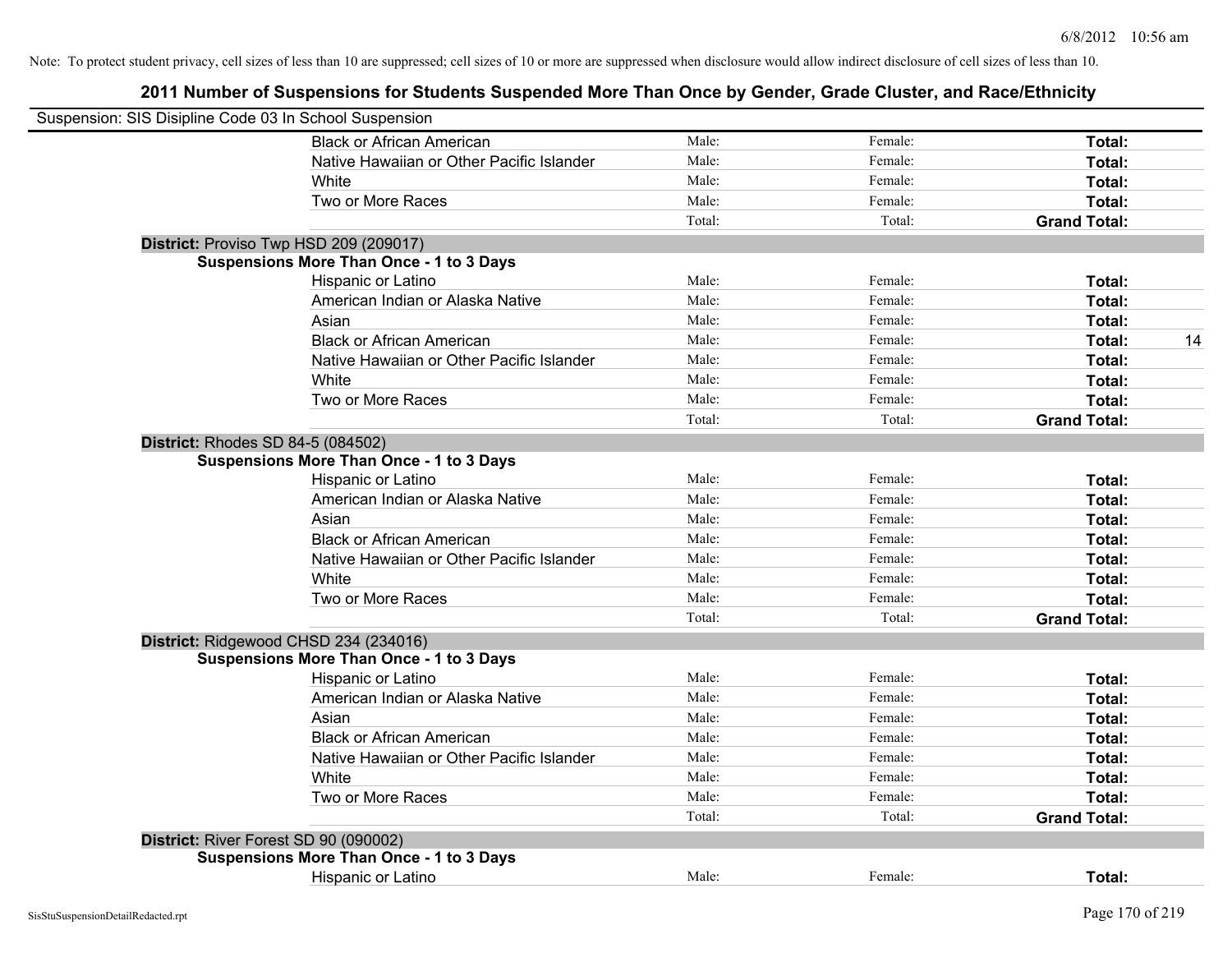| Suspension: SIS Disipline Code 03 In School Suspension |                                                 |        |         |                     |
|--------------------------------------------------------|-------------------------------------------------|--------|---------|---------------------|
|                                                        | <b>Black or African American</b>                | Male:  | Female: | Total:              |
|                                                        | Native Hawaiian or Other Pacific Islander       | Male:  | Female: | Total:              |
|                                                        | White                                           | Male:  | Female: | Total:              |
|                                                        | Two or More Races                               | Male:  | Female: | Total:              |
|                                                        |                                                 | Total: | Total:  | <b>Grand Total:</b> |
|                                                        | District: Proviso Twp HSD 209 (209017)          |        |         |                     |
|                                                        | <b>Suspensions More Than Once - 1 to 3 Days</b> |        |         |                     |
|                                                        | Hispanic or Latino                              | Male:  | Female: | Total:              |
|                                                        | American Indian or Alaska Native                | Male:  | Female: | Total:              |
|                                                        | Asian                                           | Male:  | Female: | Total:              |
|                                                        | <b>Black or African American</b>                | Male:  | Female: | 14<br>Total:        |
|                                                        | Native Hawaiian or Other Pacific Islander       | Male:  | Female: | Total:              |
|                                                        | White                                           | Male:  | Female: | Total:              |
|                                                        | Two or More Races                               | Male:  | Female: | Total:              |
|                                                        |                                                 | Total: | Total:  | <b>Grand Total:</b> |
| District: Rhodes SD 84-5 (084502)                      |                                                 |        |         |                     |
|                                                        | <b>Suspensions More Than Once - 1 to 3 Days</b> |        |         |                     |
|                                                        | Hispanic or Latino                              | Male:  | Female: | Total:              |
|                                                        | American Indian or Alaska Native                | Male:  | Female: | Total:              |
|                                                        | Asian                                           | Male:  | Female: | Total:              |
|                                                        | <b>Black or African American</b>                | Male:  | Female: | Total:              |
|                                                        | Native Hawaiian or Other Pacific Islander       | Male:  | Female: | Total:              |
|                                                        | White                                           | Male:  | Female: | Total:              |
|                                                        | Two or More Races                               | Male:  | Female: | Total:              |
|                                                        |                                                 | Total: | Total:  | <b>Grand Total:</b> |
|                                                        | District: Ridgewood CHSD 234 (234016)           |        |         |                     |
|                                                        | <b>Suspensions More Than Once - 1 to 3 Days</b> |        |         |                     |
|                                                        | Hispanic or Latino                              | Male:  | Female: | Total:              |
|                                                        | American Indian or Alaska Native                | Male:  | Female: | Total:              |
|                                                        | Asian                                           | Male:  | Female: | Total:              |
|                                                        | <b>Black or African American</b>                | Male:  | Female: | Total:              |
|                                                        | Native Hawaiian or Other Pacific Islander       | Male:  | Female: | Total:              |
|                                                        | White                                           | Male:  | Female: | Total:              |
|                                                        | Two or More Races                               | Male:  | Female: | Total:              |
|                                                        |                                                 | Total: | Total:  | <b>Grand Total:</b> |
|                                                        | District: River Forest SD 90 (090002)           |        |         |                     |
|                                                        | <b>Suspensions More Than Once - 1 to 3 Days</b> |        |         |                     |
|                                                        | Hispanic or Latino                              | Male:  | Female: | Total:              |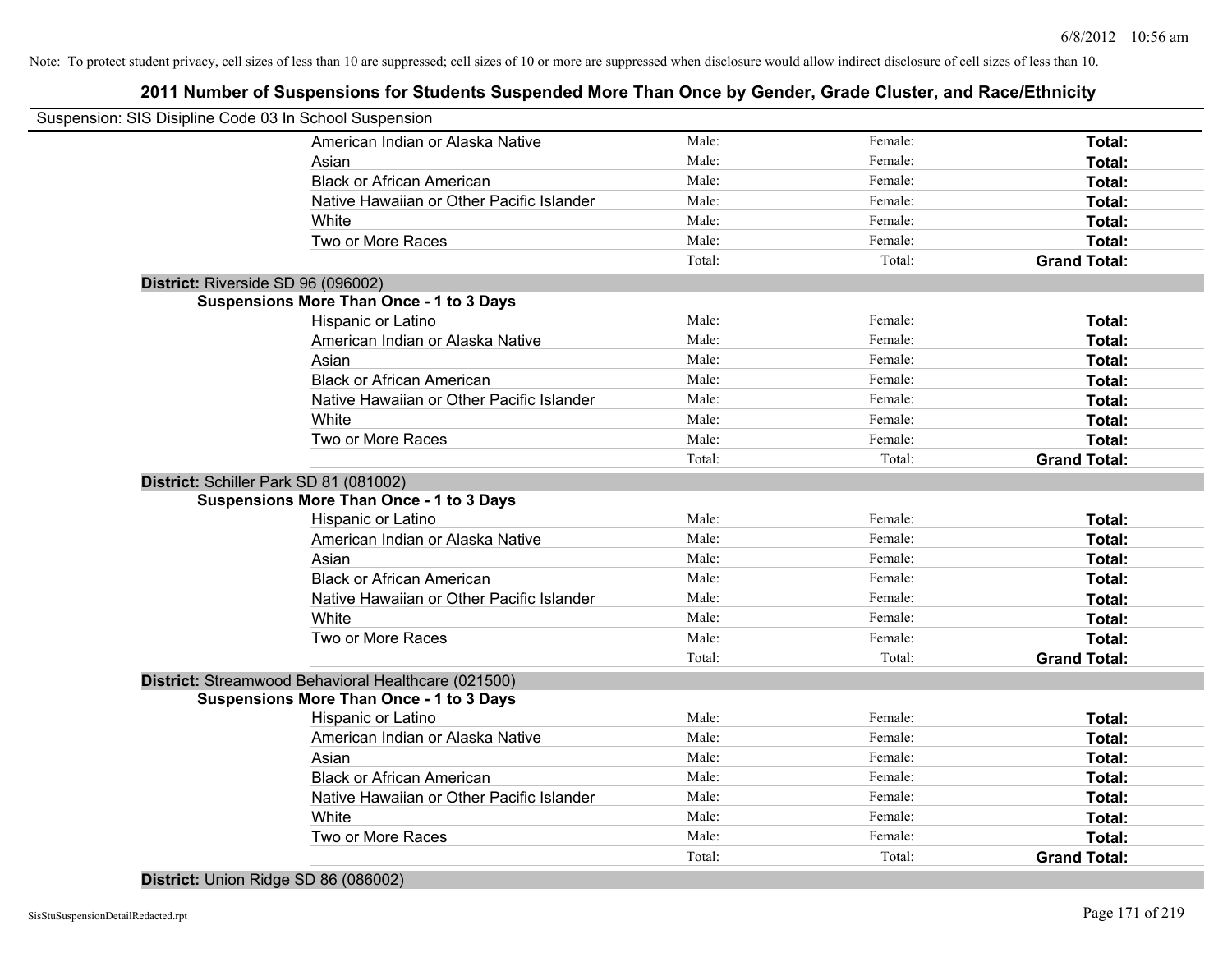## **2011 Number of Suspensions for Students Suspended More Than Once by Gender, Grade Cluster, and Race/Ethnicity**

|                                    | Suspension: SIS Disipline Code 03 In School Suspension |        |         |                     |
|------------------------------------|--------------------------------------------------------|--------|---------|---------------------|
|                                    | American Indian or Alaska Native                       | Male:  | Female: | Total:              |
|                                    | Asian                                                  | Male:  | Female: | Total:              |
|                                    | <b>Black or African American</b>                       | Male:  | Female: | Total:              |
|                                    | Native Hawaiian or Other Pacific Islander              | Male:  | Female: | Total:              |
|                                    | White                                                  | Male:  | Female: | Total:              |
|                                    | Two or More Races                                      | Male:  | Female: | Total:              |
|                                    |                                                        | Total: | Total:  | <b>Grand Total:</b> |
| District: Riverside SD 96 (096002) |                                                        |        |         |                     |
|                                    | <b>Suspensions More Than Once - 1 to 3 Days</b>        |        |         |                     |
|                                    | Hispanic or Latino                                     | Male:  | Female: | Total:              |
|                                    | American Indian or Alaska Native                       | Male:  | Female: | Total:              |
|                                    | Asian                                                  | Male:  | Female: | Total:              |
|                                    | <b>Black or African American</b>                       | Male:  | Female: | Total:              |
|                                    | Native Hawaiian or Other Pacific Islander              | Male:  | Female: | Total:              |
|                                    | White                                                  | Male:  | Female: | Total:              |
|                                    | Two or More Races                                      | Male:  | Female: | Total:              |
|                                    |                                                        | Total: | Total:  | <b>Grand Total:</b> |
|                                    | District: Schiller Park SD 81 (081002)                 |        |         |                     |
|                                    | <b>Suspensions More Than Once - 1 to 3 Days</b>        |        |         |                     |
|                                    | Hispanic or Latino                                     | Male:  | Female: | Total:              |
|                                    | American Indian or Alaska Native                       | Male:  | Female: | Total:              |
|                                    | Asian                                                  | Male:  | Female: | Total:              |
|                                    | <b>Black or African American</b>                       | Male:  | Female: | Total:              |
|                                    | Native Hawaiian or Other Pacific Islander              | Male:  | Female: | Total:              |
|                                    | White                                                  | Male:  | Female: | Total:              |
|                                    | Two or More Races                                      | Male:  | Female: | Total:              |
|                                    |                                                        | Total: | Total:  | <b>Grand Total:</b> |
|                                    | District: Streamwood Behavioral Healthcare (021500)    |        |         |                     |
|                                    | <b>Suspensions More Than Once - 1 to 3 Days</b>        |        |         |                     |
|                                    | Hispanic or Latino                                     | Male:  | Female: | Total:              |
|                                    | American Indian or Alaska Native                       | Male:  | Female: | Total:              |
|                                    | Asian                                                  | Male:  | Female: | Total:              |
|                                    | <b>Black or African American</b>                       | Male:  | Female: | Total:              |
|                                    | Native Hawaiian or Other Pacific Islander              | Male:  | Female: | Total:              |
|                                    | White                                                  | Male:  | Female: | Total:              |
|                                    | Two or More Races                                      | Male:  | Female: | Total:              |
|                                    |                                                        | Total: | Total:  | <b>Grand Total:</b> |
|                                    |                                                        |        |         |                     |

**District:** Union Ridge SD 86 (086002)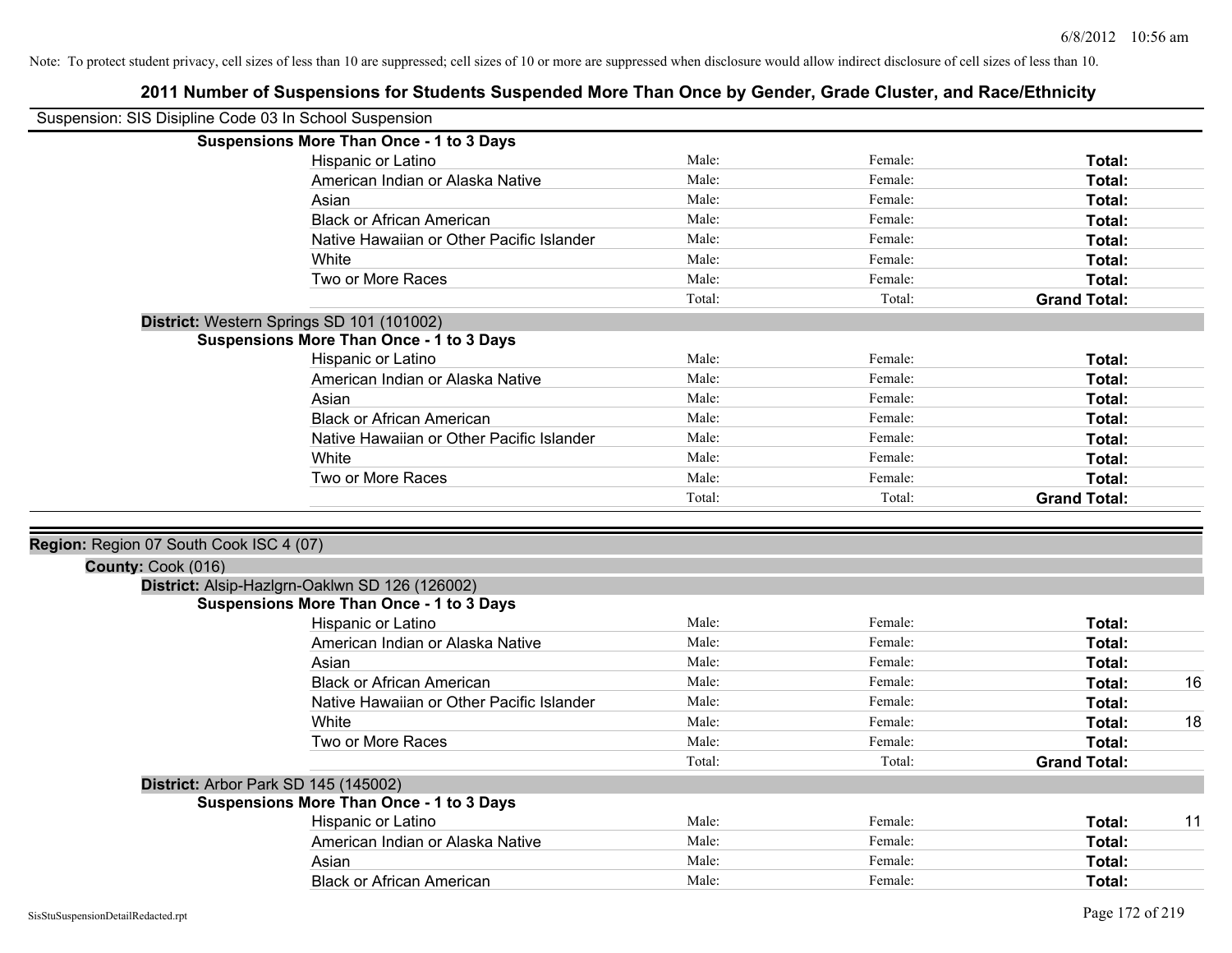| Suspension: SIS Disipline Code 03 In School Suspension        |                                                                                                   |        |         |                     |
|---------------------------------------------------------------|---------------------------------------------------------------------------------------------------|--------|---------|---------------------|
|                                                               | <b>Suspensions More Than Once - 1 to 3 Days</b>                                                   |        |         |                     |
|                                                               | Hispanic or Latino                                                                                | Male:  | Female: | Total:              |
|                                                               | American Indian or Alaska Native                                                                  | Male:  | Female: | Total:              |
|                                                               | Asian                                                                                             | Male:  | Female: | Total:              |
|                                                               | <b>Black or African American</b>                                                                  | Male:  | Female: | Total:              |
|                                                               | Native Hawaiian or Other Pacific Islander                                                         | Male:  | Female: | Total:              |
|                                                               | White                                                                                             | Male:  | Female: | Total:              |
|                                                               | Two or More Races                                                                                 | Male:  | Female: | Total:              |
|                                                               |                                                                                                   | Total: | Total:  | <b>Grand Total:</b> |
|                                                               | District: Western Springs SD 101 (101002)                                                         |        |         |                     |
|                                                               | <b>Suspensions More Than Once - 1 to 3 Days</b>                                                   |        |         |                     |
|                                                               | Hispanic or Latino                                                                                | Male:  | Female: | Total:              |
|                                                               | American Indian or Alaska Native                                                                  | Male:  | Female: | Total:              |
|                                                               | Asian                                                                                             | Male:  | Female: | Total:              |
|                                                               | <b>Black or African American</b>                                                                  | Male:  | Female: | Total:              |
|                                                               | Native Hawaiian or Other Pacific Islander                                                         | Male:  | Female: | Total:              |
|                                                               | White                                                                                             | Male:  | Female: | Total:              |
|                                                               | Two or More Races                                                                                 | Male:  | Female: | <b>Total:</b>       |
|                                                               |                                                                                                   | Total: | Total:  | <b>Grand Total:</b> |
| Region: Region 07 South Cook ISC 4 (07)<br>County: Cook (016) |                                                                                                   |        |         |                     |
|                                                               | District: Alsip-Hazlgrn-Oaklwn SD 126 (126002)<br><b>Suspensions More Than Once - 1 to 3 Days</b> |        |         |                     |
|                                                               | Hispanic or Latino                                                                                | Male:  | Female: | Total:              |
|                                                               | American Indian or Alaska Native                                                                  | Male:  | Female: | <b>Total:</b>       |
|                                                               | Asian                                                                                             | Male:  | Female: | Total:              |
|                                                               | <b>Black or African American</b>                                                                  | Male:  | Female: | 16<br>Total:        |
|                                                               | Native Hawaiian or Other Pacific Islander                                                         | Male:  | Female: | Total:              |
|                                                               | White                                                                                             | Male:  | Female: | Total:<br>18        |
|                                                               | Two or More Races                                                                                 | Male:  | Female: | Total:              |
|                                                               |                                                                                                   | Total: | Total:  | <b>Grand Total:</b> |
|                                                               | District: Arbor Park SD 145 (145002)                                                              |        |         |                     |
|                                                               | <b>Suspensions More Than Once - 1 to 3 Days</b>                                                   |        |         |                     |
|                                                               | Hispanic or Latino                                                                                | Male:  | Female: | 11<br>Total:        |
|                                                               | American Indian or Alaska Native                                                                  | Male:  | Female: | Total:              |
|                                                               | Asian                                                                                             | Male:  | Female: | Total:              |
|                                                               | <b>Black or African American</b>                                                                  | Male:  | Female: | Total:              |
|                                                               |                                                                                                   |        |         |                     |
| SisStuSuspensionDetailRedacted.rpt                            |                                                                                                   |        |         | Page 172 of 219     |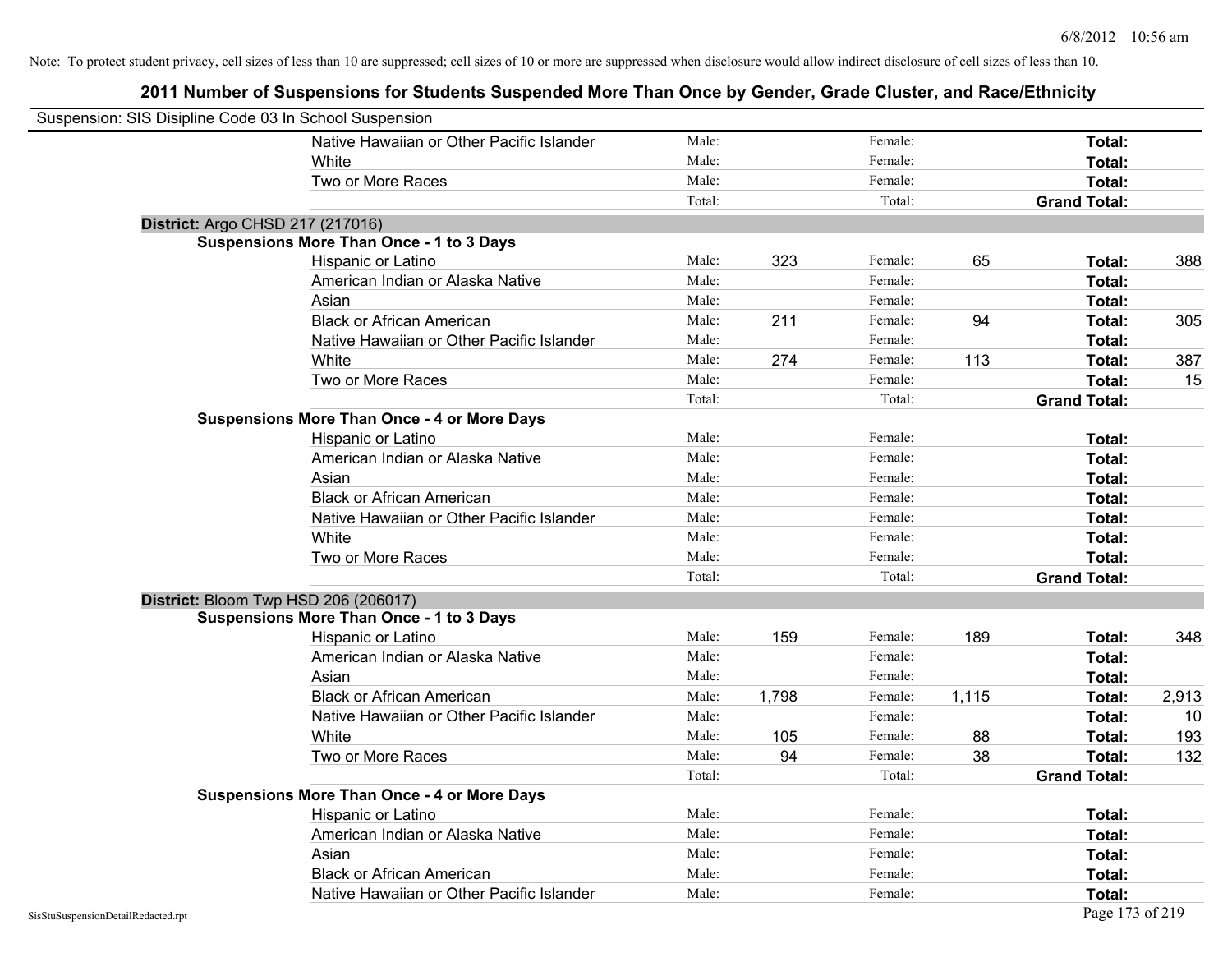| Suspension: SIS Disipline Code 03 In School Suspension |                                                    |        |       |         |       |                     |       |
|--------------------------------------------------------|----------------------------------------------------|--------|-------|---------|-------|---------------------|-------|
|                                                        | Native Hawaiian or Other Pacific Islander          | Male:  |       | Female: |       | Total:              |       |
|                                                        | White                                              | Male:  |       | Female: |       | Total:              |       |
|                                                        | Two or More Races                                  | Male:  |       | Female: |       | Total:              |       |
|                                                        |                                                    | Total: |       | Total:  |       | <b>Grand Total:</b> |       |
|                                                        | District: Argo CHSD 217 (217016)                   |        |       |         |       |                     |       |
|                                                        | <b>Suspensions More Than Once - 1 to 3 Days</b>    |        |       |         |       |                     |       |
|                                                        | Hispanic or Latino                                 | Male:  | 323   | Female: | 65    | Total:              | 388   |
|                                                        | American Indian or Alaska Native                   | Male:  |       | Female: |       | Total:              |       |
|                                                        | Asian                                              | Male:  |       | Female: |       | Total:              |       |
|                                                        | <b>Black or African American</b>                   | Male:  | 211   | Female: | 94    | Total:              | 305   |
|                                                        | Native Hawaiian or Other Pacific Islander          | Male:  |       | Female: |       | Total:              |       |
|                                                        | White                                              | Male:  | 274   | Female: | 113   | Total:              | 387   |
|                                                        | Two or More Races                                  | Male:  |       | Female: |       | Total:              | 15    |
|                                                        |                                                    | Total: |       | Total:  |       | <b>Grand Total:</b> |       |
|                                                        | <b>Suspensions More Than Once - 4 or More Days</b> |        |       |         |       |                     |       |
|                                                        | Hispanic or Latino                                 | Male:  |       | Female: |       | Total:              |       |
|                                                        | American Indian or Alaska Native                   | Male:  |       | Female: |       | Total:              |       |
|                                                        | Asian                                              | Male:  |       | Female: |       | Total:              |       |
|                                                        | <b>Black or African American</b>                   | Male:  |       | Female: |       | Total:              |       |
|                                                        | Native Hawaiian or Other Pacific Islander          | Male:  |       | Female: |       | Total:              |       |
|                                                        | White                                              | Male:  |       | Female: |       | Total:              |       |
|                                                        | Two or More Races                                  | Male:  |       | Female: |       | Total:              |       |
|                                                        |                                                    | Total: |       | Total:  |       | <b>Grand Total:</b> |       |
|                                                        | District: Bloom Twp HSD 206 (206017)               |        |       |         |       |                     |       |
|                                                        | <b>Suspensions More Than Once - 1 to 3 Days</b>    |        |       |         |       |                     |       |
|                                                        | Hispanic or Latino                                 | Male:  | 159   | Female: | 189   | Total:              | 348   |
|                                                        | American Indian or Alaska Native                   | Male:  |       | Female: |       | Total:              |       |
|                                                        | Asian                                              | Male:  |       | Female: |       | Total:              |       |
|                                                        | <b>Black or African American</b>                   | Male:  | 1,798 | Female: | 1,115 | Total:              | 2,913 |
|                                                        | Native Hawaiian or Other Pacific Islander          | Male:  |       | Female: |       | Total:              | 10    |
|                                                        | White                                              | Male:  | 105   | Female: | 88    | Total:              | 193   |
|                                                        | Two or More Races                                  | Male:  | 94    | Female: | 38    | Total:              | 132   |
|                                                        |                                                    | Total: |       | Total:  |       | <b>Grand Total:</b> |       |
|                                                        | <b>Suspensions More Than Once - 4 or More Days</b> |        |       |         |       |                     |       |
|                                                        | Hispanic or Latino                                 | Male:  |       | Female: |       | Total:              |       |
|                                                        | American Indian or Alaska Native                   | Male:  |       | Female: |       | Total:              |       |
|                                                        | Asian                                              | Male:  |       | Female: |       | Total:              |       |
|                                                        | <b>Black or African American</b>                   | Male:  |       | Female: |       | Total:              |       |
|                                                        | Native Hawaiian or Other Pacific Islander          | Male:  |       | Female: |       | Total:              |       |
| SisStuSuspensionDetailRedacted.rpt                     |                                                    |        |       |         |       | Page 173 of 219     |       |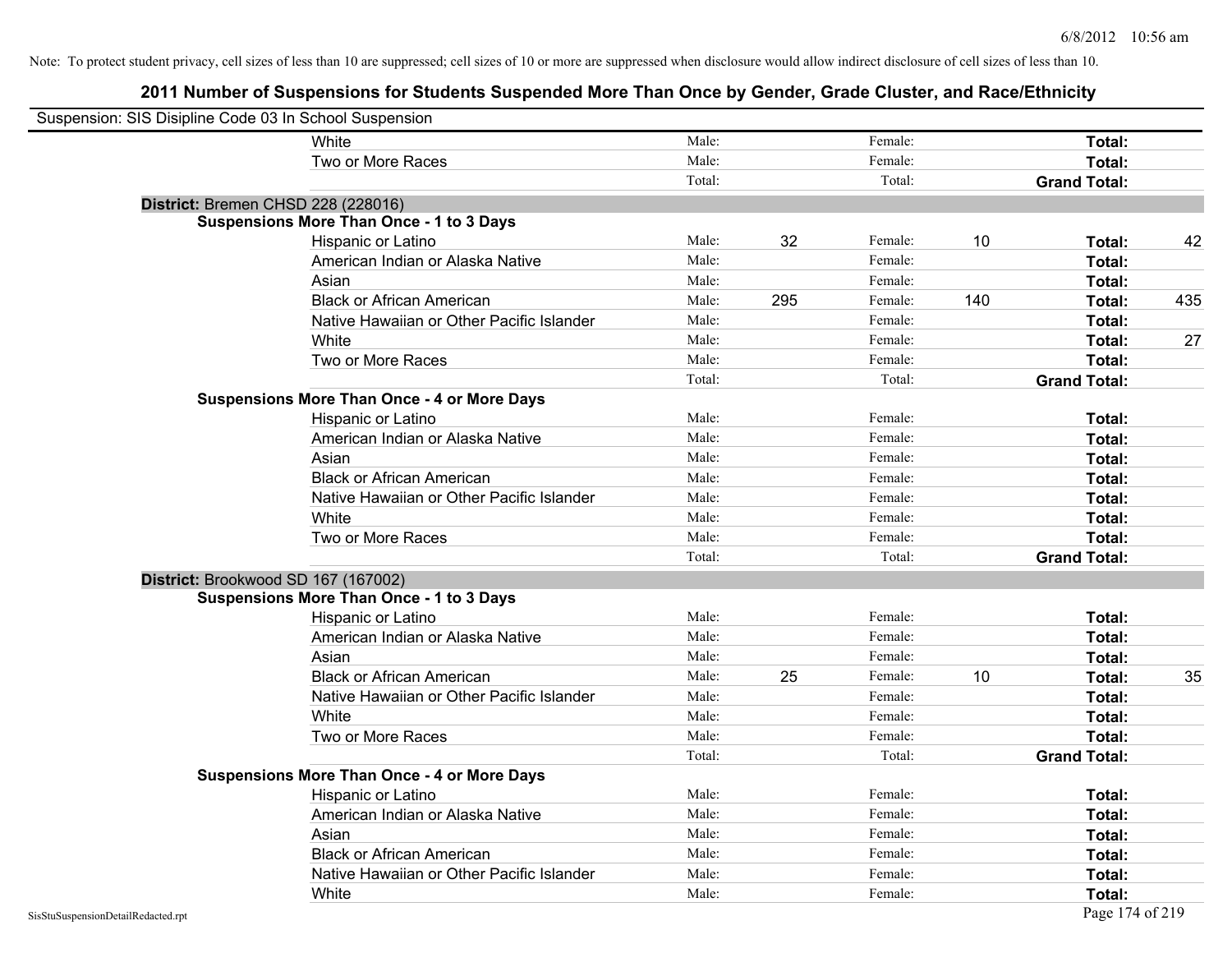| Suspension: SIS Disipline Code 03 In School Suspension |                                                    |        |     |         |     |                     |     |
|--------------------------------------------------------|----------------------------------------------------|--------|-----|---------|-----|---------------------|-----|
|                                                        | <b>White</b>                                       | Male:  |     | Female: |     | Total:              |     |
|                                                        | Two or More Races                                  | Male:  |     | Female: |     | Total:              |     |
|                                                        |                                                    | Total: |     | Total:  |     | <b>Grand Total:</b> |     |
| District: Bremen CHSD 228 (228016)                     |                                                    |        |     |         |     |                     |     |
|                                                        | <b>Suspensions More Than Once - 1 to 3 Days</b>    |        |     |         |     |                     |     |
|                                                        | Hispanic or Latino                                 | Male:  | 32  | Female: | 10  | Total:              | 42  |
|                                                        | American Indian or Alaska Native                   | Male:  |     | Female: |     | Total:              |     |
|                                                        | Asian                                              | Male:  |     | Female: |     | Total:              |     |
|                                                        | <b>Black or African American</b>                   | Male:  | 295 | Female: | 140 | Total:              | 435 |
|                                                        | Native Hawaiian or Other Pacific Islander          | Male:  |     | Female: |     | Total:              |     |
|                                                        | White                                              | Male:  |     | Female: |     | Total:              | 27  |
|                                                        | Two or More Races                                  | Male:  |     | Female: |     | Total:              |     |
|                                                        |                                                    | Total: |     | Total:  |     | <b>Grand Total:</b> |     |
|                                                        | <b>Suspensions More Than Once - 4 or More Days</b> |        |     |         |     |                     |     |
|                                                        | Hispanic or Latino                                 | Male:  |     | Female: |     | Total:              |     |
|                                                        | American Indian or Alaska Native                   | Male:  |     | Female: |     | Total:              |     |
|                                                        | Asian                                              | Male:  |     | Female: |     | Total:              |     |
|                                                        | <b>Black or African American</b>                   | Male:  |     | Female: |     | Total:              |     |
|                                                        | Native Hawaiian or Other Pacific Islander          | Male:  |     | Female: |     | Total:              |     |
|                                                        | White                                              | Male:  |     | Female: |     | Total:              |     |
|                                                        | Two or More Races                                  | Male:  |     | Female: |     | Total:              |     |
|                                                        |                                                    | Total: |     | Total:  |     | <b>Grand Total:</b> |     |
| District: Brookwood SD 167 (167002)                    |                                                    |        |     |         |     |                     |     |
|                                                        | <b>Suspensions More Than Once - 1 to 3 Days</b>    |        |     |         |     |                     |     |
|                                                        | Hispanic or Latino                                 | Male:  |     | Female: |     | Total:              |     |
|                                                        | American Indian or Alaska Native                   | Male:  |     | Female: |     | Total:              |     |
|                                                        | Asian                                              | Male:  |     | Female: |     | Total:              |     |
|                                                        | <b>Black or African American</b>                   | Male:  | 25  | Female: | 10  | Total:              | 35  |
|                                                        | Native Hawaiian or Other Pacific Islander          | Male:  |     | Female: |     | Total:              |     |
|                                                        | White                                              | Male:  |     | Female: |     | Total:              |     |
|                                                        | Two or More Races                                  | Male:  |     | Female: |     | Total:              |     |
|                                                        |                                                    | Total: |     | Total:  |     | <b>Grand Total:</b> |     |
|                                                        | <b>Suspensions More Than Once - 4 or More Days</b> |        |     |         |     |                     |     |
|                                                        | Hispanic or Latino                                 | Male:  |     | Female: |     | Total:              |     |
|                                                        | American Indian or Alaska Native                   | Male:  |     | Female: |     | Total:              |     |
|                                                        | Asian                                              | Male:  |     | Female: |     | Total:              |     |
|                                                        | <b>Black or African American</b>                   | Male:  |     | Female: |     | Total:              |     |
|                                                        | Native Hawaiian or Other Pacific Islander          | Male:  |     | Female: |     | Total:              |     |
|                                                        | White                                              | Male:  |     | Female: |     | Total:              |     |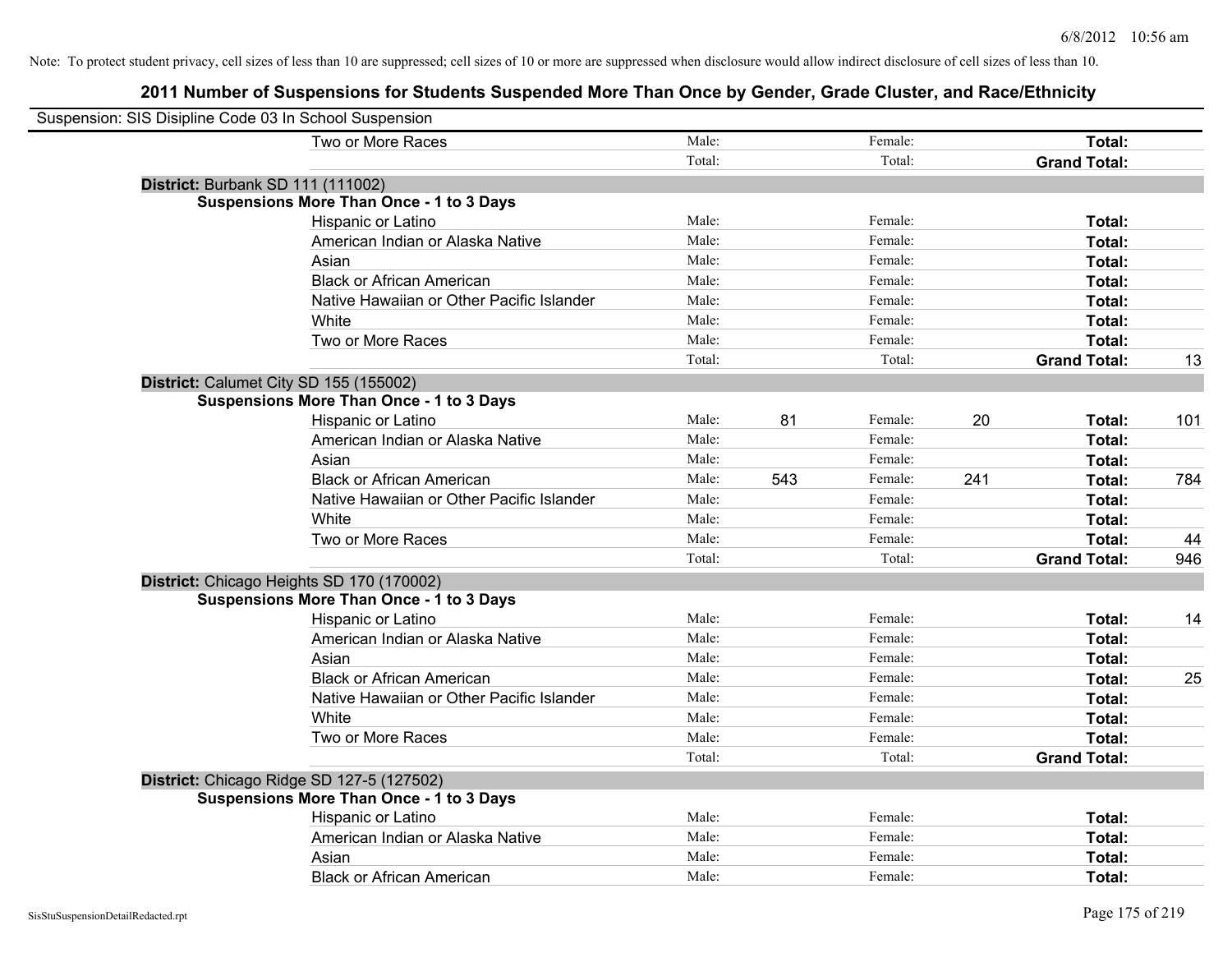| Suspension: SIS Disipline Code 03 In School Suspension |                                                 |        |     |         |     |                     |     |
|--------------------------------------------------------|-------------------------------------------------|--------|-----|---------|-----|---------------------|-----|
|                                                        | Two or More Races                               | Male:  |     | Female: |     | Total:              |     |
|                                                        |                                                 | Total: |     | Total:  |     | <b>Grand Total:</b> |     |
|                                                        | District: Burbank SD 111 (111002)               |        |     |         |     |                     |     |
|                                                        | <b>Suspensions More Than Once - 1 to 3 Days</b> |        |     |         |     |                     |     |
|                                                        | Hispanic or Latino                              | Male:  |     | Female: |     | Total:              |     |
|                                                        | American Indian or Alaska Native                | Male:  |     | Female: |     | Total:              |     |
|                                                        | Asian                                           | Male:  |     | Female: |     | Total:              |     |
|                                                        | <b>Black or African American</b>                | Male:  |     | Female: |     | Total:              |     |
|                                                        | Native Hawaiian or Other Pacific Islander       | Male:  |     | Female: |     | Total:              |     |
|                                                        | White                                           | Male:  |     | Female: |     | Total:              |     |
|                                                        | Two or More Races                               | Male:  |     | Female: |     | Total:              |     |
|                                                        |                                                 | Total: |     | Total:  |     | <b>Grand Total:</b> | 13  |
|                                                        | District: Calumet City SD 155 (155002)          |        |     |         |     |                     |     |
|                                                        | <b>Suspensions More Than Once - 1 to 3 Days</b> |        |     |         |     |                     |     |
|                                                        | Hispanic or Latino                              | Male:  | 81  | Female: | 20  | Total:              | 101 |
|                                                        | American Indian or Alaska Native                | Male:  |     | Female: |     | Total:              |     |
|                                                        | Asian                                           | Male:  |     | Female: |     | Total:              |     |
|                                                        | <b>Black or African American</b>                | Male:  | 543 | Female: | 241 | Total:              | 784 |
|                                                        | Native Hawaiian or Other Pacific Islander       | Male:  |     | Female: |     | Total:              |     |
|                                                        | White                                           | Male:  |     | Female: |     | Total:              |     |
|                                                        | Two or More Races                               | Male:  |     | Female: |     | Total:              | 44  |
|                                                        |                                                 | Total: |     | Total:  |     | <b>Grand Total:</b> | 946 |
|                                                        | District: Chicago Heights SD 170 (170002)       |        |     |         |     |                     |     |
|                                                        | <b>Suspensions More Than Once - 1 to 3 Days</b> |        |     |         |     |                     |     |
|                                                        | Hispanic or Latino                              | Male:  |     | Female: |     | Total:              | 14  |
|                                                        | American Indian or Alaska Native                | Male:  |     | Female: |     | Total:              |     |
|                                                        | Asian                                           | Male:  |     | Female: |     | Total:              |     |
|                                                        | <b>Black or African American</b>                | Male:  |     | Female: |     | Total:              | 25  |
|                                                        | Native Hawaiian or Other Pacific Islander       | Male:  |     | Female: |     | Total:              |     |
|                                                        | White                                           | Male:  |     | Female: |     | Total:              |     |
|                                                        | Two or More Races                               | Male:  |     | Female: |     | Total:              |     |
|                                                        |                                                 | Total: |     | Total:  |     | <b>Grand Total:</b> |     |
|                                                        | District: Chicago Ridge SD 127-5 (127502)       |        |     |         |     |                     |     |
|                                                        | <b>Suspensions More Than Once - 1 to 3 Days</b> |        |     |         |     |                     |     |
|                                                        | Hispanic or Latino                              | Male:  |     | Female: |     | Total:              |     |
|                                                        | American Indian or Alaska Native                | Male:  |     | Female: |     | Total:              |     |
|                                                        | Asian                                           | Male:  |     | Female: |     | Total:              |     |
|                                                        | <b>Black or African American</b>                | Male:  |     | Female: |     | Total:              |     |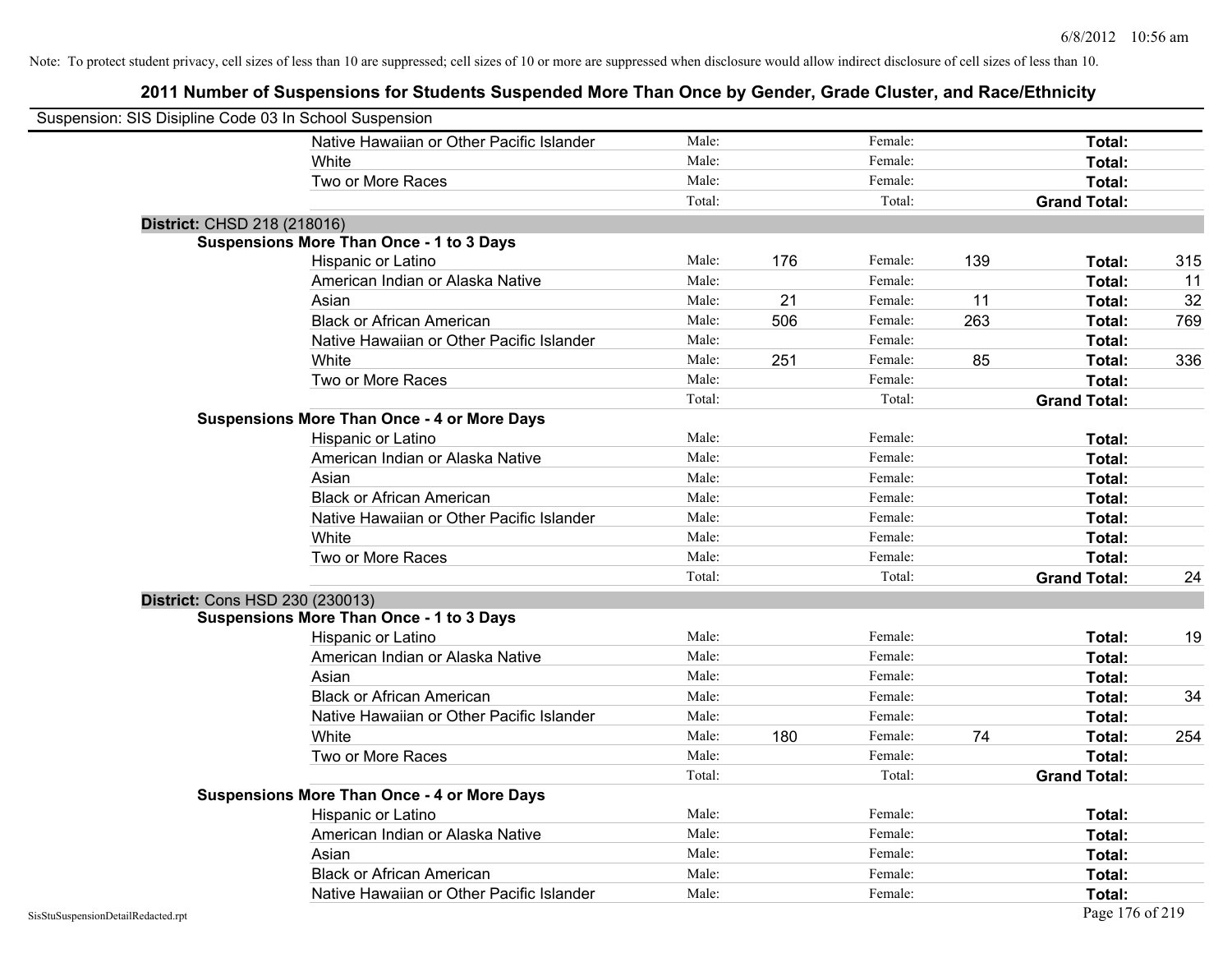| Suspension: SIS Disipline Code 03 In School Suspension |                                                    |        |     |         |     |                     |     |
|--------------------------------------------------------|----------------------------------------------------|--------|-----|---------|-----|---------------------|-----|
|                                                        | Native Hawaiian or Other Pacific Islander          | Male:  |     | Female: |     | Total:              |     |
|                                                        | White                                              | Male:  |     | Female: |     | Total:              |     |
|                                                        | Two or More Races                                  | Male:  |     | Female: |     | Total:              |     |
|                                                        |                                                    | Total: |     | Total:  |     | <b>Grand Total:</b> |     |
| District: CHSD 218 (218016)                            |                                                    |        |     |         |     |                     |     |
|                                                        | <b>Suspensions More Than Once - 1 to 3 Days</b>    |        |     |         |     |                     |     |
|                                                        | Hispanic or Latino                                 | Male:  | 176 | Female: | 139 | Total:              | 315 |
|                                                        | American Indian or Alaska Native                   | Male:  |     | Female: |     | Total:              | 11  |
|                                                        | Asian                                              | Male:  | 21  | Female: | 11  | Total:              | 32  |
|                                                        | <b>Black or African American</b>                   | Male:  | 506 | Female: | 263 | Total:              | 769 |
|                                                        | Native Hawaiian or Other Pacific Islander          | Male:  |     | Female: |     | Total:              |     |
|                                                        | White                                              | Male:  | 251 | Female: | 85  | Total:              | 336 |
|                                                        | Two or More Races                                  | Male:  |     | Female: |     | Total:              |     |
|                                                        |                                                    | Total: |     | Total:  |     | <b>Grand Total:</b> |     |
|                                                        | <b>Suspensions More Than Once - 4 or More Days</b> |        |     |         |     |                     |     |
|                                                        | Hispanic or Latino                                 | Male:  |     | Female: |     | Total:              |     |
|                                                        | American Indian or Alaska Native                   | Male:  |     | Female: |     | Total:              |     |
|                                                        | Asian                                              | Male:  |     | Female: |     | Total:              |     |
|                                                        | <b>Black or African American</b>                   | Male:  |     | Female: |     | Total:              |     |
|                                                        | Native Hawaiian or Other Pacific Islander          | Male:  |     | Female: |     | Total:              |     |
|                                                        | White                                              | Male:  |     | Female: |     | Total:              |     |
|                                                        | Two or More Races                                  | Male:  |     | Female: |     | Total:              |     |
|                                                        |                                                    | Total: |     | Total:  |     | <b>Grand Total:</b> | 24  |
| District: Cons HSD 230 (230013)                        |                                                    |        |     |         |     |                     |     |
|                                                        | <b>Suspensions More Than Once - 1 to 3 Days</b>    |        |     |         |     |                     |     |
|                                                        | Hispanic or Latino                                 | Male:  |     | Female: |     | Total:              | 19  |
|                                                        | American Indian or Alaska Native                   | Male:  |     | Female: |     | Total:              |     |
|                                                        | Asian                                              | Male:  |     | Female: |     | Total:              |     |
|                                                        | <b>Black or African American</b>                   | Male:  |     | Female: |     | Total:              | 34  |
|                                                        | Native Hawaiian or Other Pacific Islander          | Male:  |     | Female: |     | Total:              |     |
|                                                        | White                                              | Male:  | 180 | Female: | 74  | Total:              | 254 |
|                                                        | Two or More Races                                  | Male:  |     | Female: |     | Total:              |     |
|                                                        |                                                    | Total: |     | Total:  |     | <b>Grand Total:</b> |     |
|                                                        | <b>Suspensions More Than Once - 4 or More Days</b> |        |     |         |     |                     |     |
|                                                        | Hispanic or Latino                                 | Male:  |     | Female: |     | Total:              |     |
|                                                        | American Indian or Alaska Native                   | Male:  |     | Female: |     | Total:              |     |
|                                                        | Asian                                              | Male:  |     | Female: |     | Total:              |     |
|                                                        | <b>Black or African American</b>                   | Male:  |     | Female: |     | Total:              |     |
|                                                        | Native Hawaiian or Other Pacific Islander          | Male:  |     | Female: |     | Total:              |     |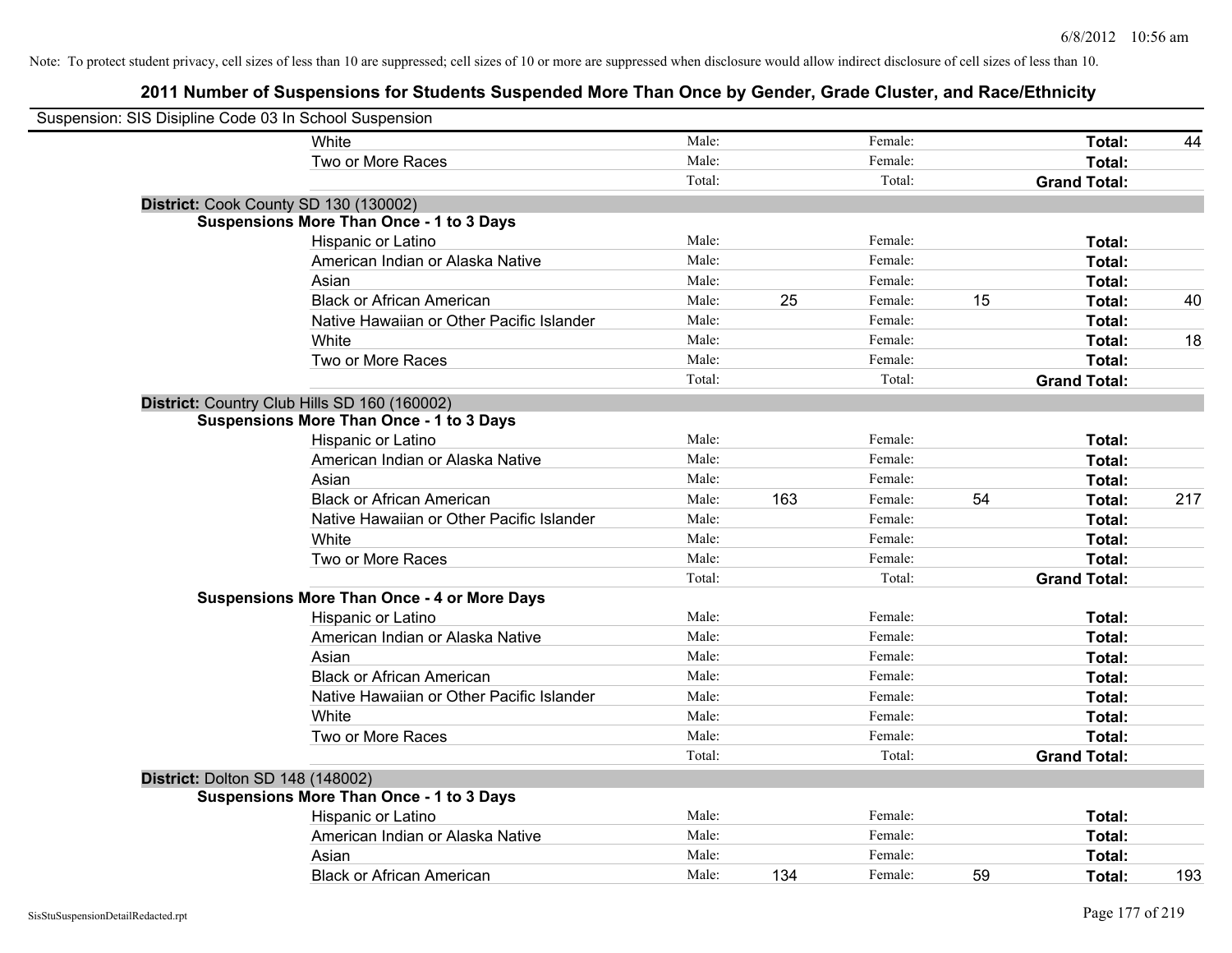| Suspension: SIS Disipline Code 03 In School Suspension |                                                    |        |     |         |    |                     |     |
|--------------------------------------------------------|----------------------------------------------------|--------|-----|---------|----|---------------------|-----|
|                                                        | White                                              | Male:  |     | Female: |    | Total:              | 44  |
|                                                        | Two or More Races                                  | Male:  |     | Female: |    | Total:              |     |
|                                                        |                                                    | Total: |     | Total:  |    | <b>Grand Total:</b> |     |
| District: Cook County SD 130 (130002)                  |                                                    |        |     |         |    |                     |     |
|                                                        | <b>Suspensions More Than Once - 1 to 3 Days</b>    |        |     |         |    |                     |     |
|                                                        | Hispanic or Latino                                 | Male:  |     | Female: |    | Total:              |     |
|                                                        | American Indian or Alaska Native                   | Male:  |     | Female: |    | Total:              |     |
|                                                        | Asian                                              | Male:  |     | Female: |    | Total:              |     |
|                                                        | <b>Black or African American</b>                   | Male:  | 25  | Female: | 15 | Total:              | 40  |
|                                                        | Native Hawaiian or Other Pacific Islander          | Male:  |     | Female: |    | Total:              |     |
|                                                        | White                                              | Male:  |     | Female: |    | Total:              | 18  |
|                                                        | Two or More Races                                  | Male:  |     | Female: |    | Total:              |     |
|                                                        |                                                    | Total: |     | Total:  |    | <b>Grand Total:</b> |     |
|                                                        | District: Country Club Hills SD 160 (160002)       |        |     |         |    |                     |     |
|                                                        | <b>Suspensions More Than Once - 1 to 3 Days</b>    |        |     |         |    |                     |     |
|                                                        | Hispanic or Latino                                 | Male:  |     | Female: |    | Total:              |     |
|                                                        | American Indian or Alaska Native                   | Male:  |     | Female: |    | Total:              |     |
|                                                        | Asian                                              | Male:  |     | Female: |    | Total:              |     |
|                                                        | <b>Black or African American</b>                   | Male:  | 163 | Female: | 54 | Total:              | 217 |
|                                                        | Native Hawaiian or Other Pacific Islander          | Male:  |     | Female: |    | Total:              |     |
|                                                        | White                                              | Male:  |     | Female: |    | Total:              |     |
|                                                        | Two or More Races                                  | Male:  |     | Female: |    | Total:              |     |
|                                                        |                                                    | Total: |     | Total:  |    | <b>Grand Total:</b> |     |
|                                                        | <b>Suspensions More Than Once - 4 or More Days</b> |        |     |         |    |                     |     |
|                                                        | Hispanic or Latino                                 | Male:  |     | Female: |    | Total:              |     |
|                                                        | American Indian or Alaska Native                   | Male:  |     | Female: |    | Total:              |     |
|                                                        | Asian                                              | Male:  |     | Female: |    | Total:              |     |
|                                                        | <b>Black or African American</b>                   | Male:  |     | Female: |    | Total:              |     |
|                                                        | Native Hawaiian or Other Pacific Islander          | Male:  |     | Female: |    | Total:              |     |
|                                                        | White                                              | Male:  |     | Female: |    | Total:              |     |
|                                                        | Two or More Races                                  | Male:  |     | Female: |    | Total:              |     |
|                                                        |                                                    | Total: |     | Total:  |    | <b>Grand Total:</b> |     |
| District: Dolton SD 148 (148002)                       |                                                    |        |     |         |    |                     |     |
|                                                        | <b>Suspensions More Than Once - 1 to 3 Days</b>    |        |     |         |    |                     |     |
|                                                        | Hispanic or Latino                                 | Male:  |     | Female: |    | Total:              |     |
|                                                        | American Indian or Alaska Native                   | Male:  |     | Female: |    | Total:              |     |
|                                                        | Asian                                              | Male:  |     | Female: |    | Total:              |     |
|                                                        | <b>Black or African American</b>                   | Male:  | 134 | Female: | 59 | Total:              | 193 |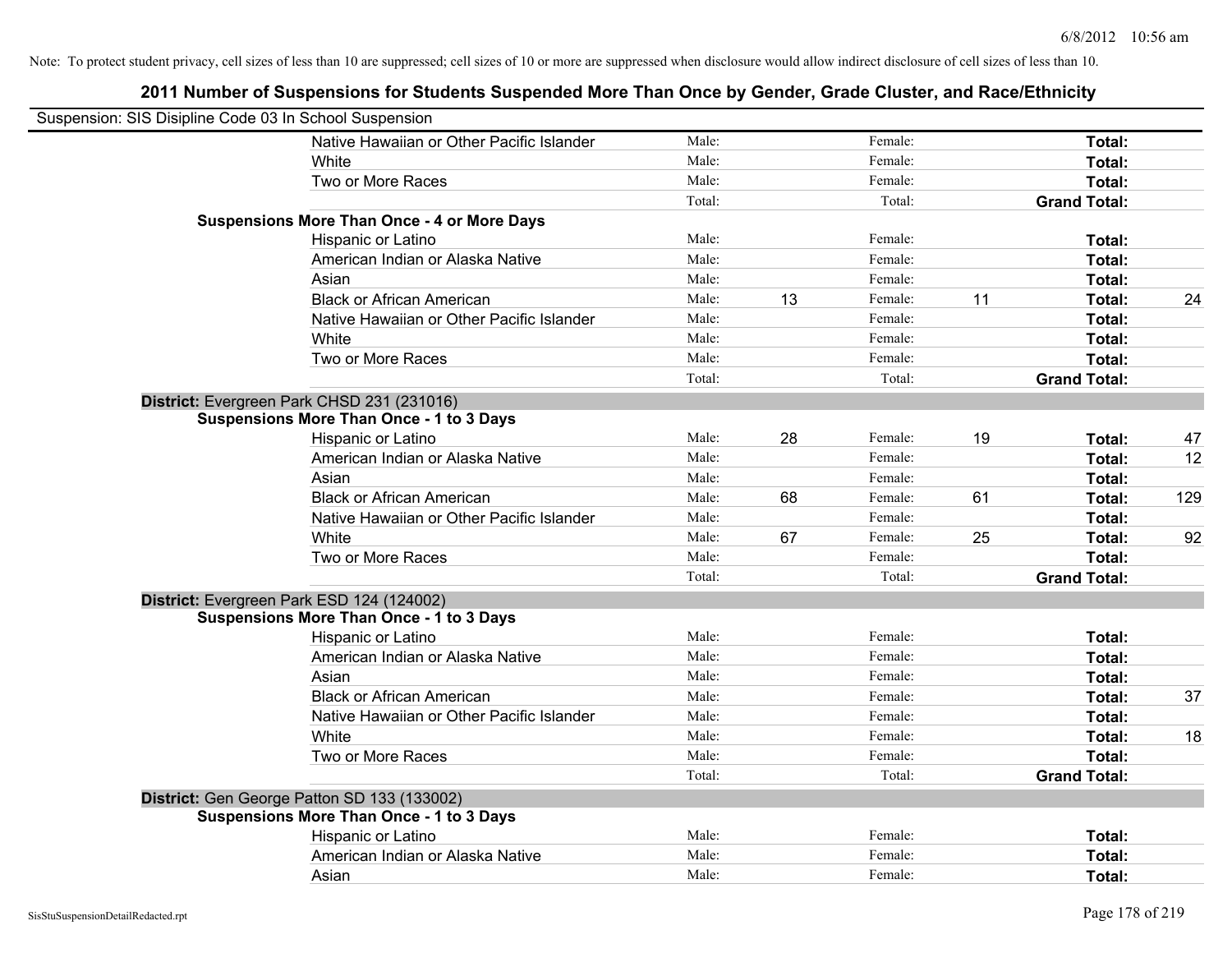| Suspension: SIS Disipline Code 03 In School Suspension |                                                    |        |    |         |    |                     |     |
|--------------------------------------------------------|----------------------------------------------------|--------|----|---------|----|---------------------|-----|
|                                                        | Native Hawaiian or Other Pacific Islander          | Male:  |    | Female: |    | Total:              |     |
|                                                        | <b>White</b>                                       | Male:  |    | Female: |    | Total:              |     |
|                                                        | Two or More Races                                  | Male:  |    | Female: |    | Total:              |     |
|                                                        |                                                    | Total: |    | Total:  |    | <b>Grand Total:</b> |     |
|                                                        | <b>Suspensions More Than Once - 4 or More Days</b> |        |    |         |    |                     |     |
|                                                        | Hispanic or Latino                                 | Male:  |    | Female: |    | Total:              |     |
|                                                        | American Indian or Alaska Native                   | Male:  |    | Female: |    | Total:              |     |
|                                                        | Asian                                              | Male:  |    | Female: |    | Total:              |     |
|                                                        | <b>Black or African American</b>                   | Male:  | 13 | Female: | 11 | Total:              | 24  |
|                                                        | Native Hawaiian or Other Pacific Islander          | Male:  |    | Female: |    | Total:              |     |
|                                                        | White                                              | Male:  |    | Female: |    | Total:              |     |
|                                                        | Two or More Races                                  | Male:  |    | Female: |    | Total:              |     |
|                                                        |                                                    | Total: |    | Total:  |    | <b>Grand Total:</b> |     |
|                                                        | District: Evergreen Park CHSD 231 (231016)         |        |    |         |    |                     |     |
|                                                        | <b>Suspensions More Than Once - 1 to 3 Days</b>    |        |    |         |    |                     |     |
|                                                        | Hispanic or Latino                                 | Male:  | 28 | Female: | 19 | Total:              | 47  |
|                                                        | American Indian or Alaska Native                   | Male:  |    | Female: |    | Total:              | 12  |
|                                                        | Asian                                              | Male:  |    | Female: |    | Total:              |     |
|                                                        | <b>Black or African American</b>                   | Male:  | 68 | Female: | 61 | Total:              | 129 |
|                                                        | Native Hawaiian or Other Pacific Islander          | Male:  |    | Female: |    | Total:              |     |
|                                                        | White                                              | Male:  | 67 | Female: | 25 | Total:              | 92  |
|                                                        | Two or More Races                                  | Male:  |    | Female: |    | Total:              |     |
|                                                        |                                                    | Total: |    | Total:  |    | <b>Grand Total:</b> |     |
| District: Evergreen Park ESD 124 (124002)              |                                                    |        |    |         |    |                     |     |
|                                                        | <b>Suspensions More Than Once - 1 to 3 Days</b>    |        |    |         |    |                     |     |
|                                                        | Hispanic or Latino                                 | Male:  |    | Female: |    | Total:              |     |
|                                                        | American Indian or Alaska Native                   | Male:  |    | Female: |    | Total:              |     |
|                                                        | Asian                                              | Male:  |    | Female: |    | Total:              |     |
|                                                        | <b>Black or African American</b>                   | Male:  |    | Female: |    | Total:              | 37  |
|                                                        | Native Hawaiian or Other Pacific Islander          | Male:  |    | Female: |    | Total:              |     |
|                                                        | White                                              | Male:  |    | Female: |    | Total:              | 18  |
|                                                        | Two or More Races                                  | Male:  |    | Female: |    | Total:              |     |
|                                                        |                                                    | Total: |    | Total:  |    | <b>Grand Total:</b> |     |
|                                                        | District: Gen George Patton SD 133 (133002)        |        |    |         |    |                     |     |
|                                                        | <b>Suspensions More Than Once - 1 to 3 Days</b>    |        |    |         |    |                     |     |
|                                                        | Hispanic or Latino                                 | Male:  |    | Female: |    | Total:              |     |
|                                                        | American Indian or Alaska Native                   | Male:  |    | Female: |    | Total:              |     |
|                                                        | Asian                                              | Male:  |    | Female: |    | Total:              |     |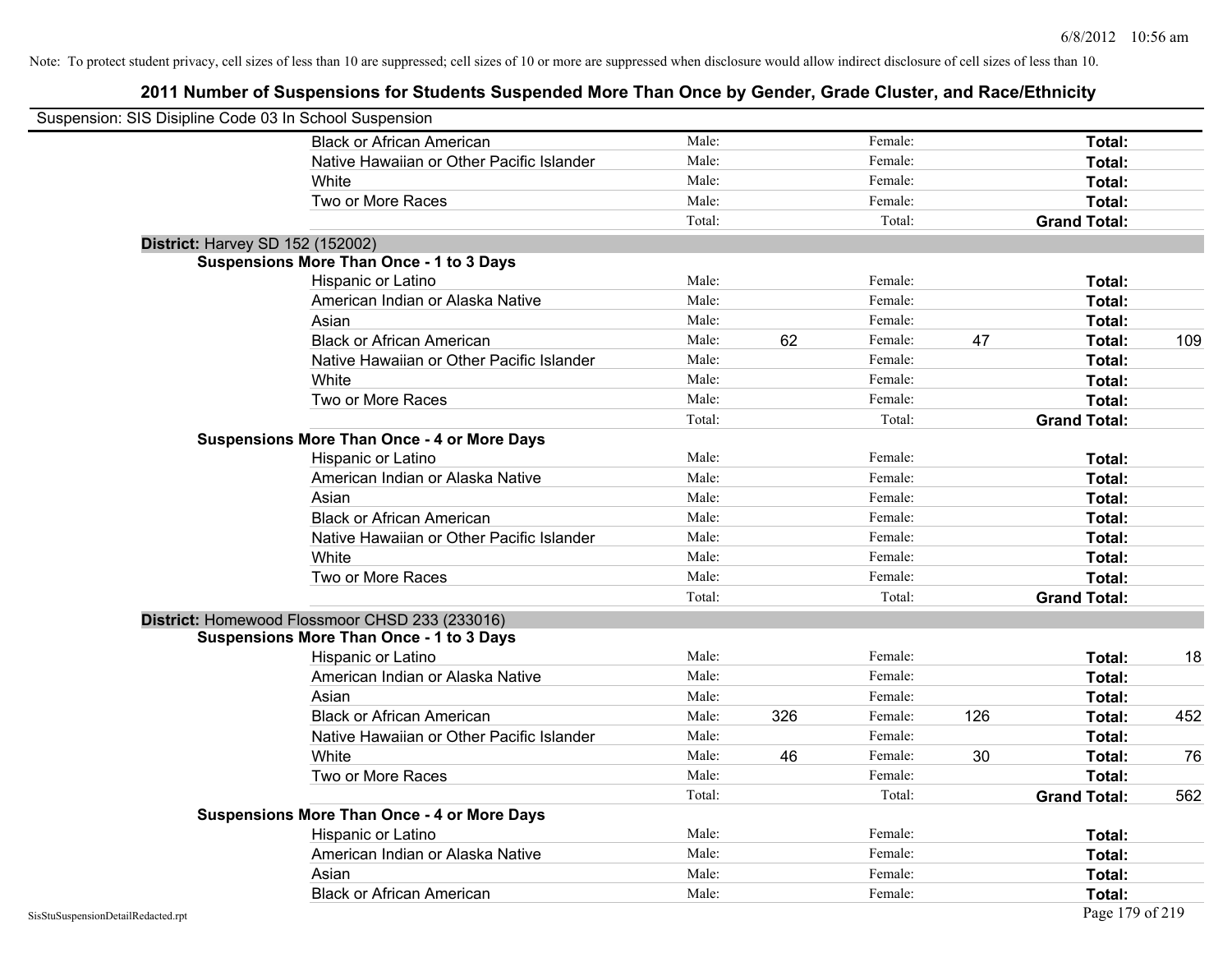| Suspension: SIS Disipline Code 03 In School Suspension |                                                    |        |     |         |     |                     |     |
|--------------------------------------------------------|----------------------------------------------------|--------|-----|---------|-----|---------------------|-----|
|                                                        | <b>Black or African American</b>                   | Male:  |     | Female: |     | Total:              |     |
|                                                        | Native Hawaiian or Other Pacific Islander          | Male:  |     | Female: |     | Total:              |     |
|                                                        | White                                              | Male:  |     | Female: |     | Total:              |     |
|                                                        | Two or More Races                                  | Male:  |     | Female: |     | Total:              |     |
|                                                        |                                                    | Total: |     | Total:  |     | <b>Grand Total:</b> |     |
|                                                        | <b>District: Harvey SD 152 (152002)</b>            |        |     |         |     |                     |     |
|                                                        | <b>Suspensions More Than Once - 1 to 3 Days</b>    |        |     |         |     |                     |     |
|                                                        | Hispanic or Latino                                 | Male:  |     | Female: |     | Total:              |     |
|                                                        | American Indian or Alaska Native                   | Male:  |     | Female: |     | Total:              |     |
|                                                        | Asian                                              | Male:  |     | Female: |     | Total:              |     |
|                                                        | <b>Black or African American</b>                   | Male:  | 62  | Female: | 47  | Total:              | 109 |
|                                                        | Native Hawaiian or Other Pacific Islander          | Male:  |     | Female: |     | Total:              |     |
|                                                        | White                                              | Male:  |     | Female: |     | Total:              |     |
|                                                        | Two or More Races                                  | Male:  |     | Female: |     | Total:              |     |
|                                                        |                                                    | Total: |     | Total:  |     | <b>Grand Total:</b> |     |
|                                                        | <b>Suspensions More Than Once - 4 or More Days</b> |        |     |         |     |                     |     |
|                                                        | Hispanic or Latino                                 | Male:  |     | Female: |     | Total:              |     |
|                                                        | American Indian or Alaska Native                   | Male:  |     | Female: |     | Total:              |     |
|                                                        | Asian                                              | Male:  |     | Female: |     | Total:              |     |
|                                                        | <b>Black or African American</b>                   | Male:  |     | Female: |     | Total:              |     |
|                                                        | Native Hawaiian or Other Pacific Islander          | Male:  |     | Female: |     | Total:              |     |
|                                                        | White                                              | Male:  |     | Female: |     | Total:              |     |
|                                                        | Two or More Races                                  | Male:  |     | Female: |     | Total:              |     |
|                                                        |                                                    | Total: |     | Total:  |     | <b>Grand Total:</b> |     |
|                                                        | District: Homewood Flossmoor CHSD 233 (233016)     |        |     |         |     |                     |     |
|                                                        | <b>Suspensions More Than Once - 1 to 3 Days</b>    |        |     |         |     |                     |     |
|                                                        | Hispanic or Latino                                 | Male:  |     | Female: |     | Total:              | 18  |
|                                                        | American Indian or Alaska Native                   | Male:  |     | Female: |     | Total:              |     |
|                                                        | Asian                                              | Male:  |     | Female: |     | Total:              |     |
|                                                        | <b>Black or African American</b>                   | Male:  | 326 | Female: | 126 | Total:              | 452 |
|                                                        | Native Hawaiian or Other Pacific Islander          | Male:  |     | Female: |     | Total:              |     |
|                                                        | White                                              | Male:  | 46  | Female: | 30  | Total:              | 76  |
|                                                        | Two or More Races                                  | Male:  |     | Female: |     | Total:              |     |
|                                                        |                                                    | Total: |     | Total:  |     | <b>Grand Total:</b> | 562 |
|                                                        | <b>Suspensions More Than Once - 4 or More Days</b> |        |     |         |     |                     |     |
|                                                        | Hispanic or Latino                                 | Male:  |     | Female: |     | Total:              |     |
|                                                        | American Indian or Alaska Native                   | Male:  |     | Female: |     | Total:              |     |
|                                                        | Asian                                              | Male:  |     | Female: |     | Total:              |     |
|                                                        | <b>Black or African American</b>                   | Male:  |     | Female: |     | Total:              |     |
|                                                        |                                                    |        |     |         |     |                     |     |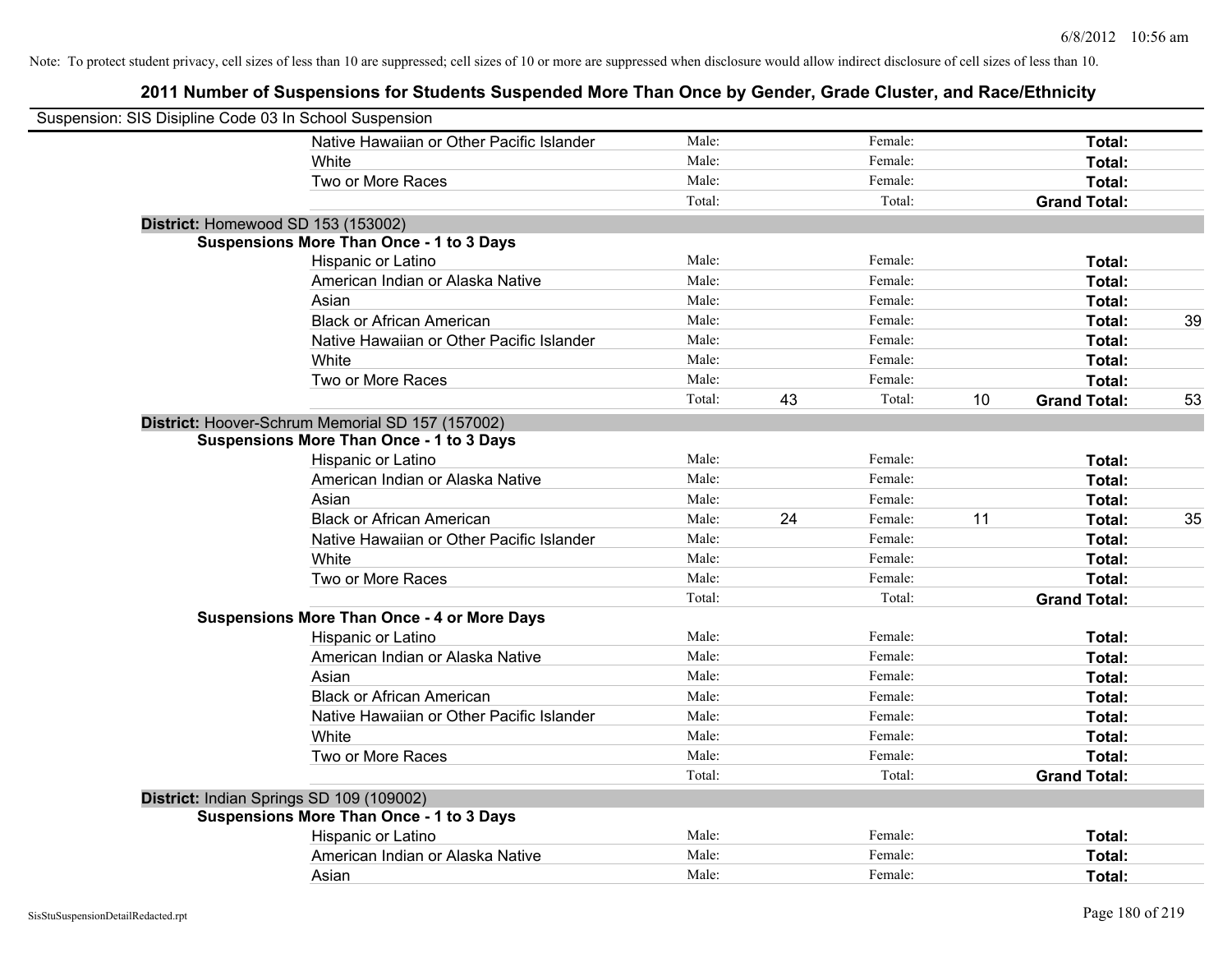| Suspension: SIS Disipline Code 03 In School Suspension |                                                    |        |    |         |    |                     |    |
|--------------------------------------------------------|----------------------------------------------------|--------|----|---------|----|---------------------|----|
|                                                        | Native Hawaiian or Other Pacific Islander          | Male:  |    | Female: |    | Total:              |    |
|                                                        | White                                              | Male:  |    | Female: |    | Total:              |    |
|                                                        | Two or More Races                                  | Male:  |    | Female: |    | Total:              |    |
|                                                        |                                                    | Total: |    | Total:  |    | <b>Grand Total:</b> |    |
| District: Homewood SD 153 (153002)                     |                                                    |        |    |         |    |                     |    |
|                                                        | <b>Suspensions More Than Once - 1 to 3 Days</b>    |        |    |         |    |                     |    |
|                                                        | Hispanic or Latino                                 | Male:  |    | Female: |    | Total:              |    |
|                                                        | American Indian or Alaska Native                   | Male:  |    | Female: |    | Total:              |    |
|                                                        | Asian                                              | Male:  |    | Female: |    | Total:              |    |
|                                                        | <b>Black or African American</b>                   | Male:  |    | Female: |    | Total:              | 39 |
|                                                        | Native Hawaiian or Other Pacific Islander          | Male:  |    | Female: |    | Total:              |    |
|                                                        | White                                              | Male:  |    | Female: |    | Total:              |    |
|                                                        | Two or More Races                                  | Male:  |    | Female: |    | Total:              |    |
|                                                        |                                                    | Total: | 43 | Total:  | 10 | <b>Grand Total:</b> | 53 |
|                                                        | District: Hoover-Schrum Memorial SD 157 (157002)   |        |    |         |    |                     |    |
|                                                        | <b>Suspensions More Than Once - 1 to 3 Days</b>    |        |    |         |    |                     |    |
|                                                        | Hispanic or Latino                                 | Male:  |    | Female: |    | Total:              |    |
|                                                        | American Indian or Alaska Native                   | Male:  |    | Female: |    | Total:              |    |
|                                                        | Asian                                              | Male:  |    | Female: |    | Total:              |    |
|                                                        | <b>Black or African American</b>                   | Male:  | 24 | Female: | 11 | Total:              | 35 |
|                                                        | Native Hawaiian or Other Pacific Islander          | Male:  |    | Female: |    | Total:              |    |
|                                                        | White                                              | Male:  |    | Female: |    | Total:              |    |
|                                                        | Two or More Races                                  | Male:  |    | Female: |    | Total:              |    |
|                                                        |                                                    | Total: |    | Total:  |    | <b>Grand Total:</b> |    |
|                                                        | <b>Suspensions More Than Once - 4 or More Days</b> |        |    |         |    |                     |    |
|                                                        | Hispanic or Latino                                 | Male:  |    | Female: |    | Total:              |    |
|                                                        | American Indian or Alaska Native                   | Male:  |    | Female: |    | Total:              |    |
|                                                        | Asian                                              | Male:  |    | Female: |    | Total:              |    |
|                                                        | <b>Black or African American</b>                   | Male:  |    | Female: |    | Total:              |    |
|                                                        | Native Hawaiian or Other Pacific Islander          | Male:  |    | Female: |    | Total:              |    |
|                                                        | White                                              | Male:  |    | Female: |    | Total:              |    |
|                                                        | Two or More Races                                  | Male:  |    | Female: |    | Total:              |    |
|                                                        |                                                    | Total: |    | Total:  |    | <b>Grand Total:</b> |    |
| District: Indian Springs SD 109 (109002)               |                                                    |        |    |         |    |                     |    |
|                                                        | <b>Suspensions More Than Once - 1 to 3 Days</b>    |        |    |         |    |                     |    |
|                                                        | Hispanic or Latino                                 | Male:  |    | Female: |    | Total:              |    |
|                                                        | American Indian or Alaska Native                   | Male:  |    | Female: |    | Total:              |    |
|                                                        | Asian                                              | Male:  |    | Female: |    | Total:              |    |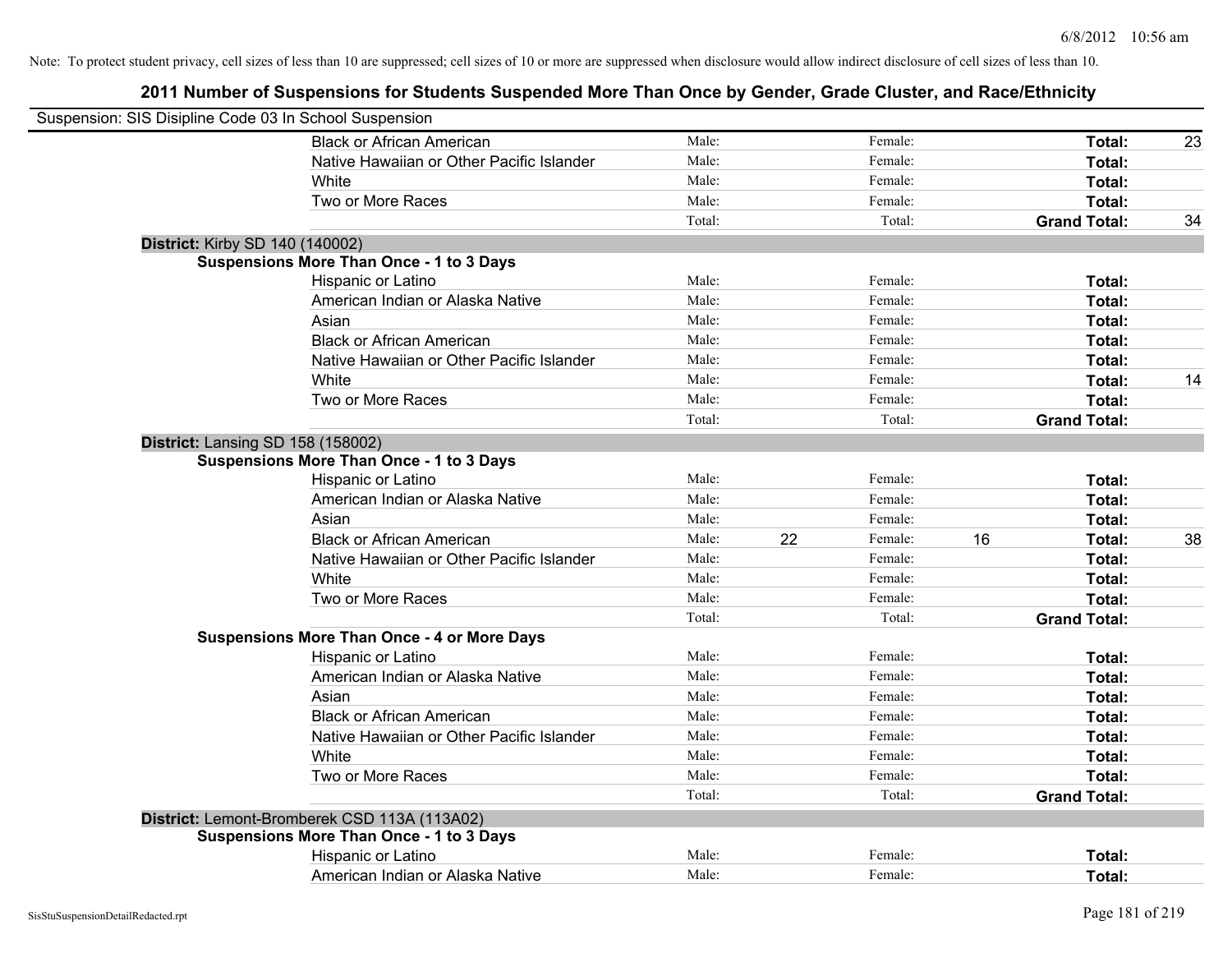| Suspension: SIS Disipline Code 03 In School Suspension |                                                    |        |    |         |    |                     |    |
|--------------------------------------------------------|----------------------------------------------------|--------|----|---------|----|---------------------|----|
|                                                        | <b>Black or African American</b>                   | Male:  |    | Female: |    | Total:              | 23 |
|                                                        | Native Hawaiian or Other Pacific Islander          | Male:  |    | Female: |    | Total:              |    |
|                                                        | White                                              | Male:  |    | Female: |    | Total:              |    |
|                                                        | Two or More Races                                  | Male:  |    | Female: |    | Total:              |    |
|                                                        |                                                    | Total: |    | Total:  |    | <b>Grand Total:</b> | 34 |
| <b>District: Kirby SD 140 (140002)</b>                 |                                                    |        |    |         |    |                     |    |
|                                                        | <b>Suspensions More Than Once - 1 to 3 Days</b>    |        |    |         |    |                     |    |
|                                                        | Hispanic or Latino                                 | Male:  |    | Female: |    | Total:              |    |
|                                                        | American Indian or Alaska Native                   | Male:  |    | Female: |    | Total:              |    |
|                                                        | Asian                                              | Male:  |    | Female: |    | Total:              |    |
|                                                        | <b>Black or African American</b>                   | Male:  |    | Female: |    | Total:              |    |
|                                                        | Native Hawaiian or Other Pacific Islander          | Male:  |    | Female: |    | Total:              |    |
|                                                        | White                                              | Male:  |    | Female: |    | Total:              | 14 |
|                                                        | Two or More Races                                  | Male:  |    | Female: |    | Total:              |    |
|                                                        |                                                    | Total: |    | Total:  |    | <b>Grand Total:</b> |    |
| District: Lansing SD 158 (158002)                      |                                                    |        |    |         |    |                     |    |
|                                                        | <b>Suspensions More Than Once - 1 to 3 Days</b>    |        |    |         |    |                     |    |
|                                                        | Hispanic or Latino                                 | Male:  |    | Female: |    | Total:              |    |
|                                                        | American Indian or Alaska Native                   | Male:  |    | Female: |    | Total:              |    |
|                                                        | Asian                                              | Male:  |    | Female: |    | Total:              |    |
|                                                        | <b>Black or African American</b>                   | Male:  | 22 | Female: | 16 | Total:              | 38 |
|                                                        | Native Hawaiian or Other Pacific Islander          | Male:  |    | Female: |    | Total:              |    |
|                                                        | White                                              | Male:  |    | Female: |    | Total:              |    |
|                                                        | Two or More Races                                  | Male:  |    | Female: |    | Total:              |    |
|                                                        |                                                    | Total: |    | Total:  |    | <b>Grand Total:</b> |    |
|                                                        | <b>Suspensions More Than Once - 4 or More Days</b> |        |    |         |    |                     |    |
|                                                        | Hispanic or Latino                                 | Male:  |    | Female: |    | Total:              |    |
|                                                        | American Indian or Alaska Native                   | Male:  |    | Female: |    | Total:              |    |
|                                                        | Asian                                              | Male:  |    | Female: |    | Total:              |    |
|                                                        | <b>Black or African American</b>                   | Male:  |    | Female: |    | Total:              |    |
|                                                        | Native Hawaiian or Other Pacific Islander          | Male:  |    | Female: |    | Total:              |    |
|                                                        | White                                              | Male:  |    | Female: |    | Total:              |    |
|                                                        | Two or More Races                                  | Male:  |    | Female: |    | Total:              |    |
|                                                        |                                                    | Total: |    | Total:  |    | <b>Grand Total:</b> |    |
|                                                        | District: Lemont-Bromberek CSD 113A (113A02)       |        |    |         |    |                     |    |
|                                                        | <b>Suspensions More Than Once - 1 to 3 Days</b>    |        |    |         |    |                     |    |
|                                                        | Hispanic or Latino                                 | Male:  |    | Female: |    | Total:              |    |
|                                                        | American Indian or Alaska Native                   | Male:  |    | Female: |    | Total:              |    |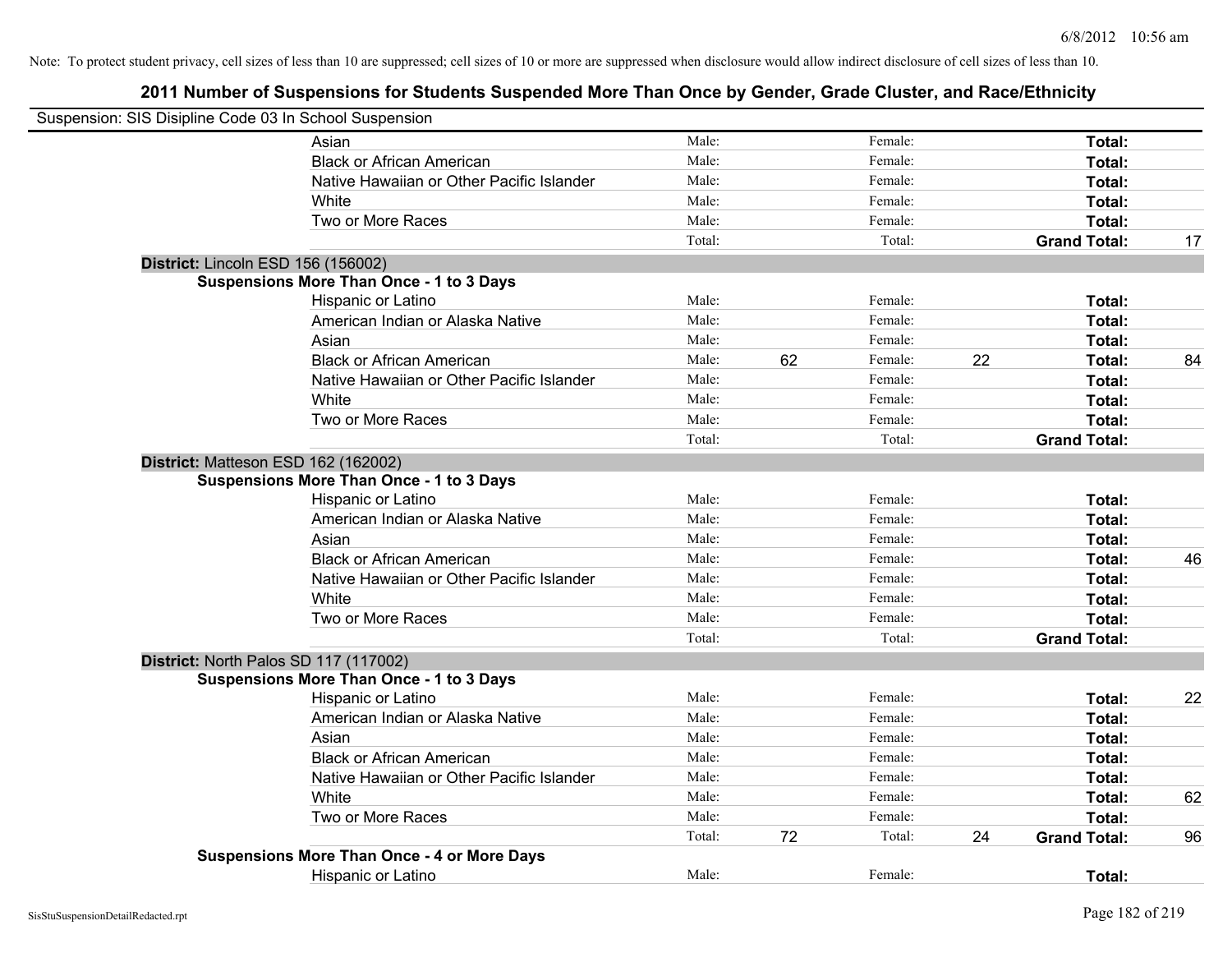| Suspension: SIS Disipline Code 03 In School Suspension |                                                    |        |    |         |    |                     |    |
|--------------------------------------------------------|----------------------------------------------------|--------|----|---------|----|---------------------|----|
|                                                        | Asian                                              | Male:  |    | Female: |    | Total:              |    |
|                                                        | <b>Black or African American</b>                   | Male:  |    | Female: |    | Total:              |    |
|                                                        | Native Hawaiian or Other Pacific Islander          | Male:  |    | Female: |    | Total:              |    |
|                                                        | White                                              | Male:  |    | Female: |    | Total:              |    |
|                                                        | Two or More Races                                  | Male:  |    | Female: |    | Total:              |    |
|                                                        |                                                    | Total: |    | Total:  |    | <b>Grand Total:</b> | 17 |
| District: Lincoln ESD 156 (156002)                     |                                                    |        |    |         |    |                     |    |
|                                                        | <b>Suspensions More Than Once - 1 to 3 Days</b>    |        |    |         |    |                     |    |
|                                                        | Hispanic or Latino                                 | Male:  |    | Female: |    | Total:              |    |
|                                                        | American Indian or Alaska Native                   | Male:  |    | Female: |    | Total:              |    |
|                                                        | Asian                                              | Male:  |    | Female: |    | Total:              |    |
|                                                        | <b>Black or African American</b>                   | Male:  | 62 | Female: | 22 | Total:              | 84 |
|                                                        | Native Hawaiian or Other Pacific Islander          | Male:  |    | Female: |    | Total:              |    |
|                                                        | White                                              | Male:  |    | Female: |    | Total:              |    |
|                                                        | Two or More Races                                  | Male:  |    | Female: |    | Total:              |    |
|                                                        |                                                    | Total: |    | Total:  |    | <b>Grand Total:</b> |    |
|                                                        | District: Matteson ESD 162 (162002)                |        |    |         |    |                     |    |
|                                                        | <b>Suspensions More Than Once - 1 to 3 Days</b>    |        |    |         |    |                     |    |
|                                                        | Hispanic or Latino                                 | Male:  |    | Female: |    | Total:              |    |
|                                                        | American Indian or Alaska Native                   | Male:  |    | Female: |    | Total:              |    |
|                                                        | Asian                                              | Male:  |    | Female: |    | Total:              |    |
|                                                        | <b>Black or African American</b>                   | Male:  |    | Female: |    | Total:              | 46 |
|                                                        | Native Hawaiian or Other Pacific Islander          | Male:  |    | Female: |    | Total:              |    |
|                                                        | White                                              | Male:  |    | Female: |    | Total:              |    |
|                                                        | Two or More Races                                  | Male:  |    | Female: |    | Total:              |    |
|                                                        |                                                    | Total: |    | Total:  |    | <b>Grand Total:</b> |    |
|                                                        | District: North Palos SD 117 (117002)              |        |    |         |    |                     |    |
|                                                        | <b>Suspensions More Than Once - 1 to 3 Days</b>    |        |    |         |    |                     |    |
|                                                        | Hispanic or Latino                                 | Male:  |    | Female: |    | Total:              | 22 |
|                                                        | American Indian or Alaska Native                   | Male:  |    | Female: |    | Total:              |    |
|                                                        | Asian                                              | Male:  |    | Female: |    | Total:              |    |
|                                                        | <b>Black or African American</b>                   | Male:  |    | Female: |    | Total:              |    |
|                                                        | Native Hawaiian or Other Pacific Islander          | Male:  |    | Female: |    | Total:              |    |
|                                                        | White                                              | Male:  |    | Female: |    | Total:              | 62 |
|                                                        | Two or More Races                                  | Male:  |    | Female: |    | Total:              |    |
|                                                        |                                                    | Total: | 72 | Total:  | 24 | <b>Grand Total:</b> | 96 |
|                                                        | <b>Suspensions More Than Once - 4 or More Days</b> |        |    |         |    |                     |    |
|                                                        | <b>Hispanic or Latino</b>                          | Male:  |    | Female: |    | Total:              |    |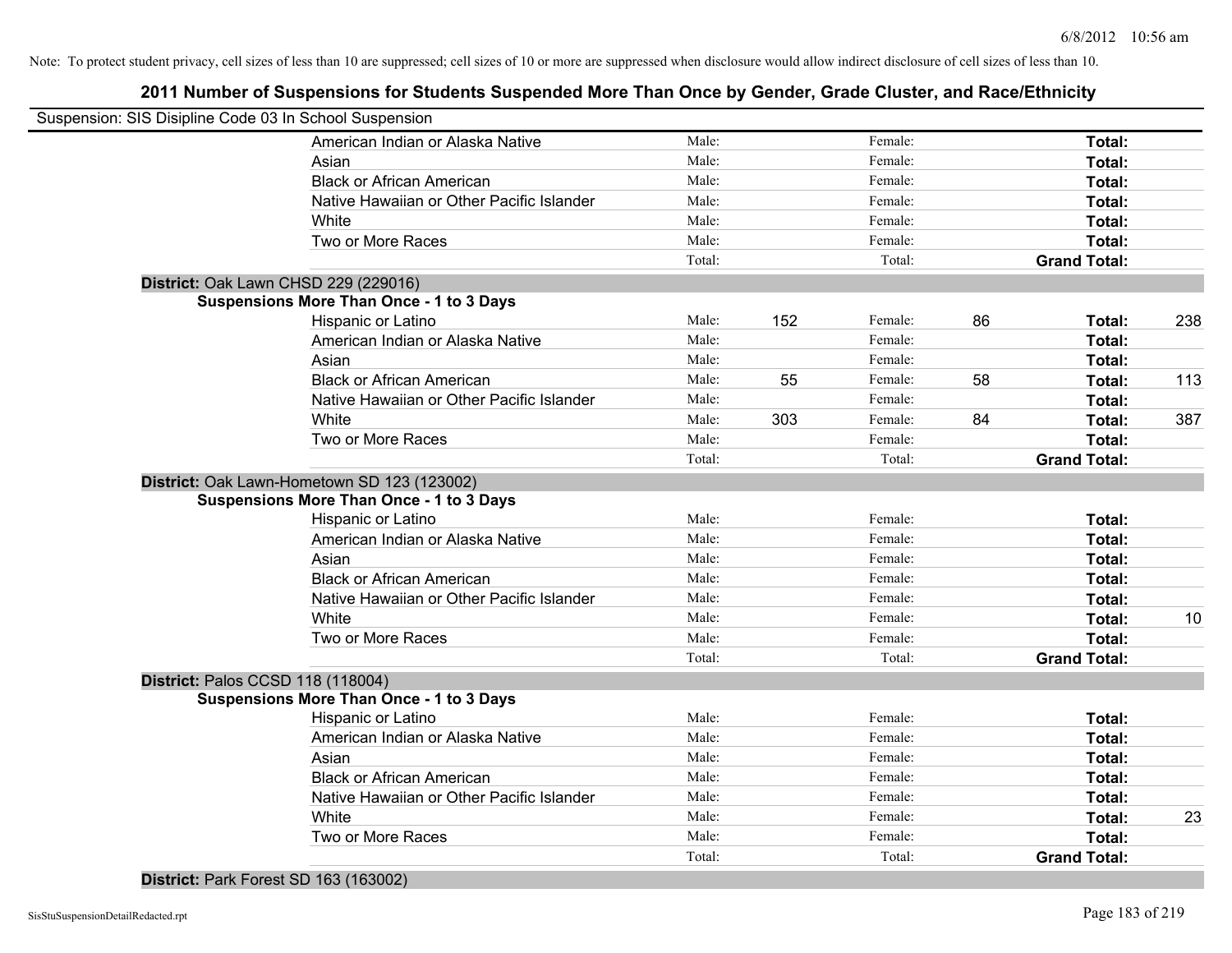## **2011 Number of Suspensions for Students Suspended More Than Once by Gender, Grade Cluster, and Race/Ethnicity**

|                                   | Suspension: SIS Disipline Code 03 In School Suspension |        |     |         |    |                     |     |
|-----------------------------------|--------------------------------------------------------|--------|-----|---------|----|---------------------|-----|
|                                   | American Indian or Alaska Native                       | Male:  |     | Female: |    | Total:              |     |
|                                   | Asian                                                  | Male:  |     | Female: |    | Total:              |     |
|                                   | <b>Black or African American</b>                       | Male:  |     | Female: |    | Total:              |     |
|                                   | Native Hawaiian or Other Pacific Islander              | Male:  |     | Female: |    | Total:              |     |
|                                   | White                                                  | Male:  |     | Female: |    | Total:              |     |
|                                   | Two or More Races                                      | Male:  |     | Female: |    | Total:              |     |
|                                   |                                                        | Total: |     | Total:  |    | <b>Grand Total:</b> |     |
|                                   | District: Oak Lawn CHSD 229 (229016)                   |        |     |         |    |                     |     |
|                                   | <b>Suspensions More Than Once - 1 to 3 Days</b>        |        |     |         |    |                     |     |
|                                   | Hispanic or Latino                                     | Male:  | 152 | Female: | 86 | Total:              | 238 |
|                                   | American Indian or Alaska Native                       | Male:  |     | Female: |    | Total:              |     |
|                                   | Asian                                                  | Male:  |     | Female: |    | Total:              |     |
|                                   | <b>Black or African American</b>                       | Male:  | 55  | Female: | 58 | Total:              | 113 |
|                                   | Native Hawaiian or Other Pacific Islander              | Male:  |     | Female: |    | Total:              |     |
|                                   | White                                                  | Male:  | 303 | Female: | 84 | Total:              | 387 |
|                                   | Two or More Races                                      | Male:  |     | Female: |    | Total:              |     |
|                                   |                                                        | Total: |     | Total:  |    | <b>Grand Total:</b> |     |
|                                   | District: Oak Lawn-Hometown SD 123 (123002)            |        |     |         |    |                     |     |
|                                   | <b>Suspensions More Than Once - 1 to 3 Days</b>        |        |     |         |    |                     |     |
|                                   | Hispanic or Latino                                     | Male:  |     | Female: |    | Total:              |     |
|                                   | American Indian or Alaska Native                       | Male:  |     | Female: |    | Total:              |     |
|                                   | Asian                                                  | Male:  |     | Female: |    | Total:              |     |
|                                   | <b>Black or African American</b>                       | Male:  |     | Female: |    | Total:              |     |
|                                   | Native Hawaiian or Other Pacific Islander              | Male:  |     | Female: |    | Total:              |     |
|                                   | White                                                  | Male:  |     | Female: |    | Total:              | 10  |
|                                   | Two or More Races                                      | Male:  |     | Female: |    | Total:              |     |
|                                   |                                                        | Total: |     | Total:  |    | <b>Grand Total:</b> |     |
| District: Palos CCSD 118 (118004) |                                                        |        |     |         |    |                     |     |
|                                   | <b>Suspensions More Than Once - 1 to 3 Days</b>        |        |     |         |    |                     |     |
|                                   | Hispanic or Latino                                     | Male:  |     | Female: |    | Total:              |     |
|                                   | American Indian or Alaska Native                       | Male:  |     | Female: |    | Total:              |     |
|                                   | Asian                                                  | Male:  |     | Female: |    | Total:              |     |
|                                   | <b>Black or African American</b>                       | Male:  |     | Female: |    | Total:              |     |
|                                   | Native Hawaiian or Other Pacific Islander              | Male:  |     | Female: |    | Total:              |     |
|                                   | White                                                  | Male:  |     | Female: |    | Total:              | 23  |
|                                   | Two or More Races                                      | Male:  |     | Female: |    | <b>Total:</b>       |     |
|                                   |                                                        | Total: |     | Total:  |    | <b>Grand Total:</b> |     |

### **District:** Park Forest SD 163 (163002)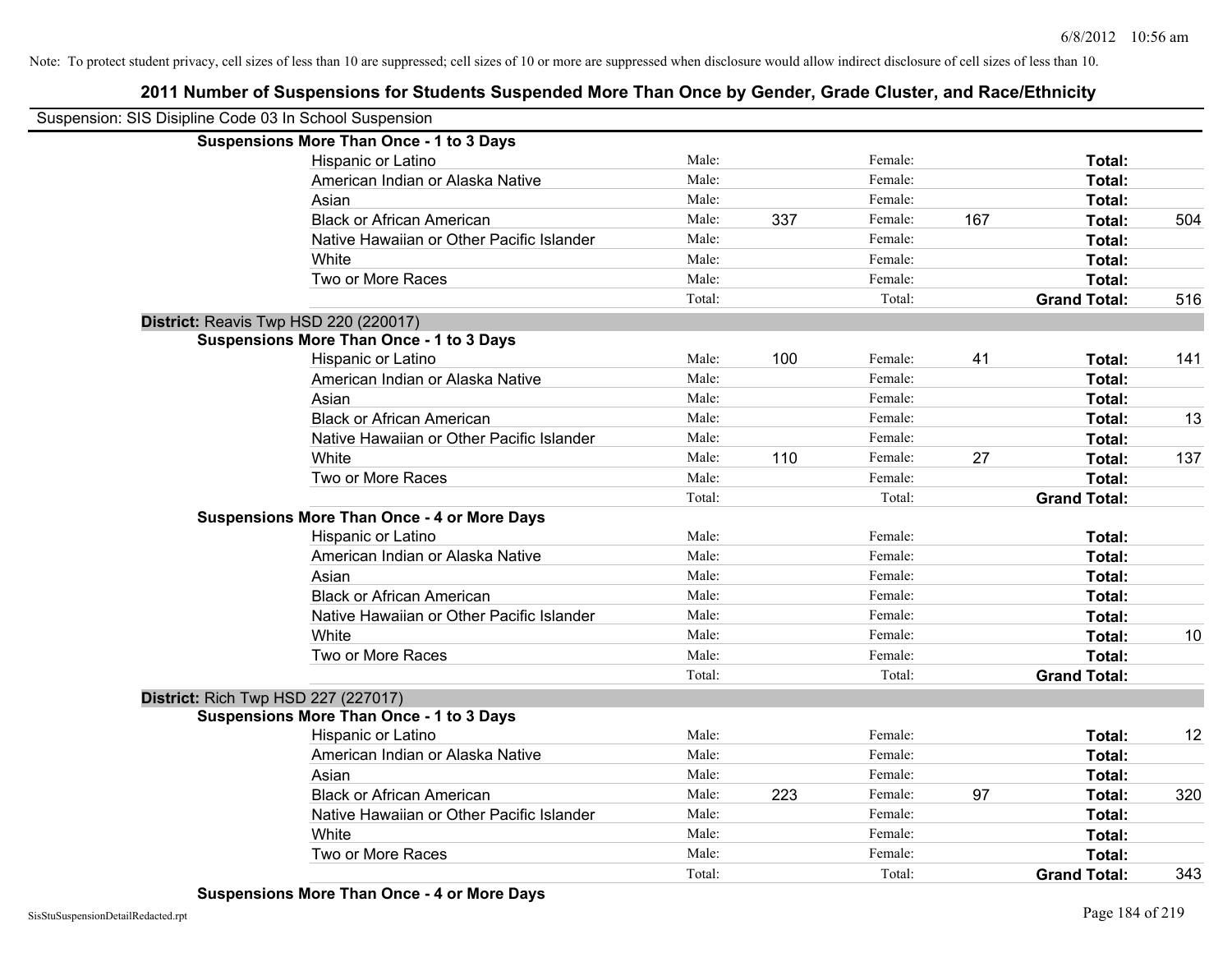| Suspension: SIS Disipline Code 03 In School Suspension |                                                    |        |     |         |     |                     |     |
|--------------------------------------------------------|----------------------------------------------------|--------|-----|---------|-----|---------------------|-----|
|                                                        | <b>Suspensions More Than Once - 1 to 3 Days</b>    |        |     |         |     |                     |     |
|                                                        | Hispanic or Latino                                 | Male:  |     | Female: |     | Total:              |     |
|                                                        | American Indian or Alaska Native                   | Male:  |     | Female: |     | Total:              |     |
|                                                        | Asian                                              | Male:  |     | Female: |     | Total:              |     |
|                                                        | <b>Black or African American</b>                   | Male:  | 337 | Female: | 167 | Total:              | 504 |
|                                                        | Native Hawaiian or Other Pacific Islander          | Male:  |     | Female: |     | Total:              |     |
|                                                        | White                                              | Male:  |     | Female: |     | Total:              |     |
|                                                        | Two or More Races                                  | Male:  |     | Female: |     | Total:              |     |
|                                                        |                                                    | Total: |     | Total:  |     | <b>Grand Total:</b> | 516 |
|                                                        | District: Reavis Twp HSD 220 (220017)              |        |     |         |     |                     |     |
|                                                        | <b>Suspensions More Than Once - 1 to 3 Days</b>    |        |     |         |     |                     |     |
|                                                        | Hispanic or Latino                                 | Male:  | 100 | Female: | 41  | Total:              | 141 |
|                                                        | American Indian or Alaska Native                   | Male:  |     | Female: |     | Total:              |     |
|                                                        | Asian                                              | Male:  |     | Female: |     | Total:              |     |
|                                                        | <b>Black or African American</b>                   | Male:  |     | Female: |     | Total:              | 13  |
|                                                        | Native Hawaiian or Other Pacific Islander          | Male:  |     | Female: |     | Total:              |     |
|                                                        | White                                              | Male:  | 110 | Female: | 27  | Total:              | 137 |
|                                                        | Two or More Races                                  | Male:  |     | Female: |     | Total:              |     |
|                                                        |                                                    | Total: |     | Total:  |     | <b>Grand Total:</b> |     |
|                                                        | <b>Suspensions More Than Once - 4 or More Days</b> |        |     |         |     |                     |     |
|                                                        | Hispanic or Latino                                 | Male:  |     | Female: |     | Total:              |     |
|                                                        | American Indian or Alaska Native                   | Male:  |     | Female: |     | Total:              |     |
|                                                        | Asian                                              | Male:  |     | Female: |     | Total:              |     |
|                                                        | <b>Black or African American</b>                   | Male:  |     | Female: |     | Total:              |     |
|                                                        | Native Hawaiian or Other Pacific Islander          | Male:  |     | Female: |     | Total:              |     |
|                                                        | White                                              | Male:  |     | Female: |     | Total:              | 10  |
|                                                        | Two or More Races                                  | Male:  |     | Female: |     | Total:              |     |
|                                                        |                                                    | Total: |     | Total:  |     | <b>Grand Total:</b> |     |
| <b>District: Rich Twp HSD 227 (227017)</b>             |                                                    |        |     |         |     |                     |     |
|                                                        | <b>Suspensions More Than Once - 1 to 3 Days</b>    |        |     |         |     |                     |     |
|                                                        | Hispanic or Latino                                 | Male:  |     | Female: |     | Total:              | 12  |
|                                                        | American Indian or Alaska Native                   | Male:  |     | Female: |     | Total:              |     |
|                                                        | Asian                                              | Male:  |     | Female: |     | Total:              |     |
|                                                        | <b>Black or African American</b>                   | Male:  | 223 | Female: | 97  | Total:              | 320 |
|                                                        | Native Hawaiian or Other Pacific Islander          | Male:  |     | Female: |     | Total:              |     |
|                                                        | White                                              | Male:  |     | Female: |     | Total:              |     |
|                                                        | Two or More Races                                  | Male:  |     | Female: |     | Total:              |     |
|                                                        |                                                    | Total: |     | Total:  |     | <b>Grand Total:</b> | 343 |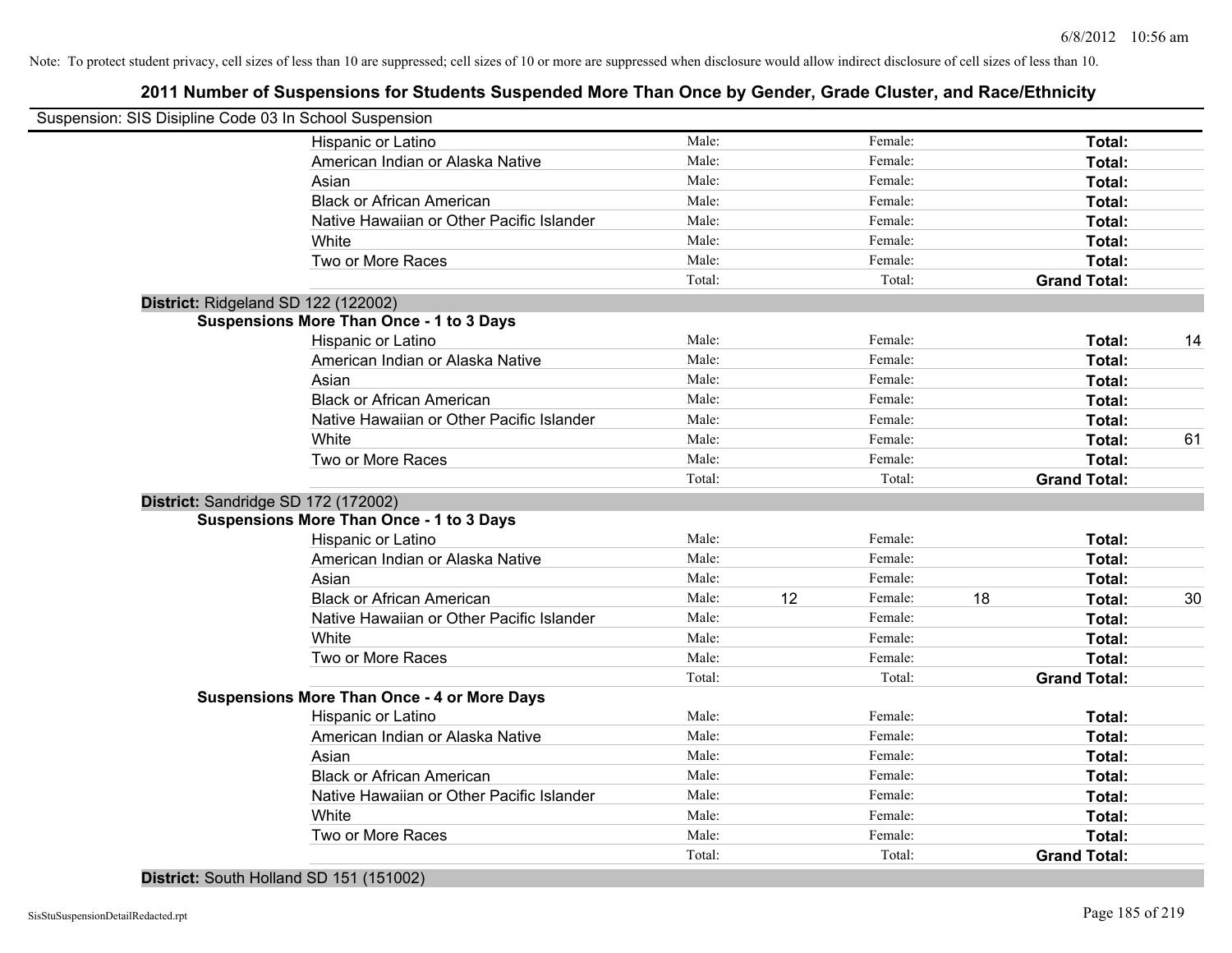## **2011 Number of Suspensions for Students Suspended More Than Once by Gender, Grade Cluster, and Race/Ethnicity**

| Suspension: SIS Disipline Code 03 In School Suspension |        |    |         |    |                     |    |
|--------------------------------------------------------|--------|----|---------|----|---------------------|----|
| Hispanic or Latino                                     | Male:  |    | Female: |    | Total:              |    |
| American Indian or Alaska Native                       | Male:  |    | Female: |    | Total:              |    |
| Asian                                                  | Male:  |    | Female: |    | Total:              |    |
| <b>Black or African American</b>                       | Male:  |    | Female: |    | Total:              |    |
| Native Hawaiian or Other Pacific Islander              | Male:  |    | Female: |    | Total:              |    |
| White                                                  | Male:  |    | Female: |    | Total:              |    |
| Two or More Races                                      | Male:  |    | Female: |    | Total:              |    |
|                                                        | Total: |    | Total:  |    | <b>Grand Total:</b> |    |
| District: Ridgeland SD 122 (122002)                    |        |    |         |    |                     |    |
| <b>Suspensions More Than Once - 1 to 3 Days</b>        |        |    |         |    |                     |    |
| Hispanic or Latino                                     | Male:  |    | Female: |    | Total:              | 14 |
| American Indian or Alaska Native                       | Male:  |    | Female: |    | Total:              |    |
| Asian                                                  | Male:  |    | Female: |    | Total:              |    |
| <b>Black or African American</b>                       | Male:  |    | Female: |    | Total:              |    |
| Native Hawaiian or Other Pacific Islander              | Male:  |    | Female: |    | Total:              |    |
| White                                                  | Male:  |    | Female: |    | Total:              | 61 |
| Two or More Races                                      | Male:  |    | Female: |    | Total:              |    |
|                                                        | Total: |    | Total:  |    | <b>Grand Total:</b> |    |
| District: Sandridge SD 172 (172002)                    |        |    |         |    |                     |    |
| <b>Suspensions More Than Once - 1 to 3 Days</b>        |        |    |         |    |                     |    |
| Hispanic or Latino                                     | Male:  |    | Female: |    | Total:              |    |
| American Indian or Alaska Native                       | Male:  |    | Female: |    | Total:              |    |
| Asian                                                  | Male:  |    | Female: |    | Total:              |    |
| <b>Black or African American</b>                       | Male:  | 12 | Female: | 18 | <b>Total:</b>       | 30 |
| Native Hawaiian or Other Pacific Islander              | Male:  |    | Female: |    | Total:              |    |
| White                                                  | Male:  |    | Female: |    | Total:              |    |
| Two or More Races                                      | Male:  |    | Female: |    | Total:              |    |
|                                                        | Total: |    | Total:  |    | <b>Grand Total:</b> |    |
| <b>Suspensions More Than Once - 4 or More Days</b>     |        |    |         |    |                     |    |
| Hispanic or Latino                                     | Male:  |    | Female: |    | Total:              |    |
| American Indian or Alaska Native                       | Male:  |    | Female: |    | Total:              |    |
| Asian                                                  | Male:  |    | Female: |    | Total:              |    |
| <b>Black or African American</b>                       | Male:  |    | Female: |    | Total:              |    |
| Native Hawaiian or Other Pacific Islander              | Male:  |    | Female: |    | Total:              |    |
| White                                                  | Male:  |    | Female: |    | Total:              |    |
| Two or More Races                                      | Male:  |    | Female: |    | Total:              |    |
|                                                        | Total: |    | Total:  |    | <b>Grand Total:</b> |    |
|                                                        |        |    |         |    |                     |    |

**District:** South Holland SD 151 (151002)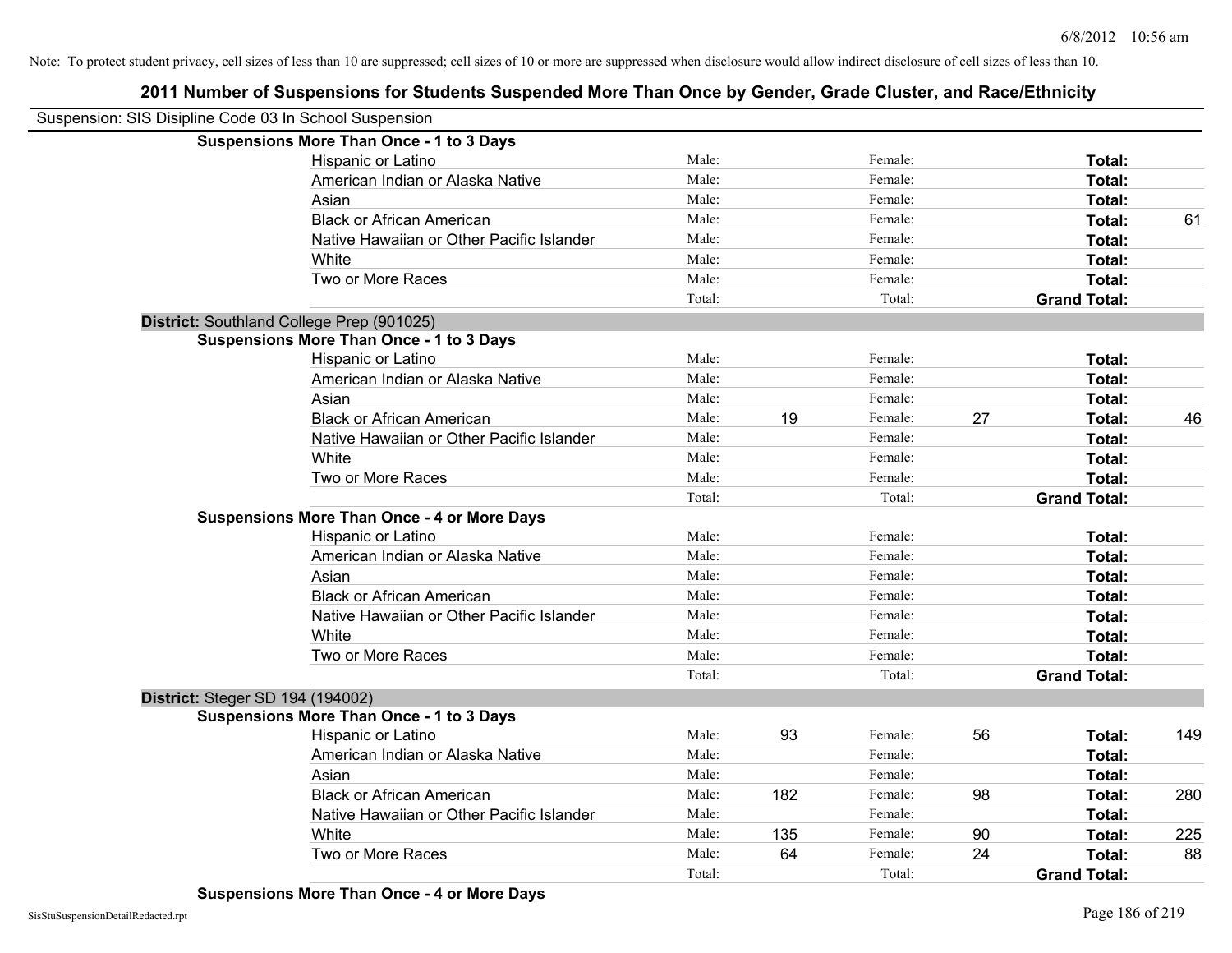| Suspension: SIS Disipline Code 03 In School Suspension |                                                    |        |     |         |    |                     |     |
|--------------------------------------------------------|----------------------------------------------------|--------|-----|---------|----|---------------------|-----|
|                                                        | <b>Suspensions More Than Once - 1 to 3 Days</b>    |        |     |         |    |                     |     |
|                                                        | Hispanic or Latino                                 | Male:  |     | Female: |    | Total:              |     |
|                                                        | American Indian or Alaska Native                   | Male:  |     | Female: |    | Total:              |     |
|                                                        | Asian                                              | Male:  |     | Female: |    | Total:              |     |
|                                                        | <b>Black or African American</b>                   | Male:  |     | Female: |    | Total:              | 61  |
|                                                        | Native Hawaiian or Other Pacific Islander          | Male:  |     | Female: |    | Total:              |     |
|                                                        | White                                              | Male:  |     | Female: |    | Total:              |     |
|                                                        | Two or More Races                                  | Male:  |     | Female: |    | Total:              |     |
|                                                        |                                                    | Total: |     | Total:  |    | <b>Grand Total:</b> |     |
|                                                        | District: Southland College Prep (901025)          |        |     |         |    |                     |     |
|                                                        | <b>Suspensions More Than Once - 1 to 3 Days</b>    |        |     |         |    |                     |     |
|                                                        | Hispanic or Latino                                 | Male:  |     | Female: |    | Total:              |     |
|                                                        | American Indian or Alaska Native                   | Male:  |     | Female: |    | Total:              |     |
|                                                        | Asian                                              | Male:  |     | Female: |    | Total:              |     |
|                                                        | <b>Black or African American</b>                   | Male:  | 19  | Female: | 27 | Total:              | 46  |
|                                                        | Native Hawaiian or Other Pacific Islander          | Male:  |     | Female: |    | Total:              |     |
|                                                        | White                                              | Male:  |     | Female: |    | Total:              |     |
|                                                        | Two or More Races                                  | Male:  |     | Female: |    | Total:              |     |
|                                                        |                                                    | Total: |     | Total:  |    | <b>Grand Total:</b> |     |
|                                                        | <b>Suspensions More Than Once - 4 or More Days</b> |        |     |         |    |                     |     |
|                                                        | Hispanic or Latino                                 | Male:  |     | Female: |    | Total:              |     |
|                                                        | American Indian or Alaska Native                   | Male:  |     | Female: |    | Total:              |     |
|                                                        | Asian                                              | Male:  |     | Female: |    | Total:              |     |
|                                                        | <b>Black or African American</b>                   | Male:  |     | Female: |    | Total:              |     |
|                                                        | Native Hawaiian or Other Pacific Islander          | Male:  |     | Female: |    | Total:              |     |
|                                                        | White                                              | Male:  |     | Female: |    | Total:              |     |
|                                                        | Two or More Races                                  | Male:  |     | Female: |    | Total:              |     |
|                                                        |                                                    | Total: |     | Total:  |    | <b>Grand Total:</b> |     |
| District: Steger SD 194 (194002)                       |                                                    |        |     |         |    |                     |     |
|                                                        | <b>Suspensions More Than Once - 1 to 3 Days</b>    |        |     |         |    |                     |     |
|                                                        | Hispanic or Latino                                 | Male:  | 93  | Female: | 56 | Total:              | 149 |
|                                                        | American Indian or Alaska Native                   | Male:  |     | Female: |    | Total:              |     |
|                                                        | Asian                                              | Male:  |     | Female: |    | Total:              |     |
|                                                        | <b>Black or African American</b>                   | Male:  | 182 | Female: | 98 | Total:              | 280 |
|                                                        | Native Hawaiian or Other Pacific Islander          | Male:  |     | Female: |    | Total:              |     |
|                                                        | White                                              | Male:  | 135 | Female: | 90 | Total:              | 225 |
|                                                        | Two or More Races                                  | Male:  | 64  | Female: | 24 | Total:              | 88  |
|                                                        |                                                    | Total: |     | Total:  |    | <b>Grand Total:</b> |     |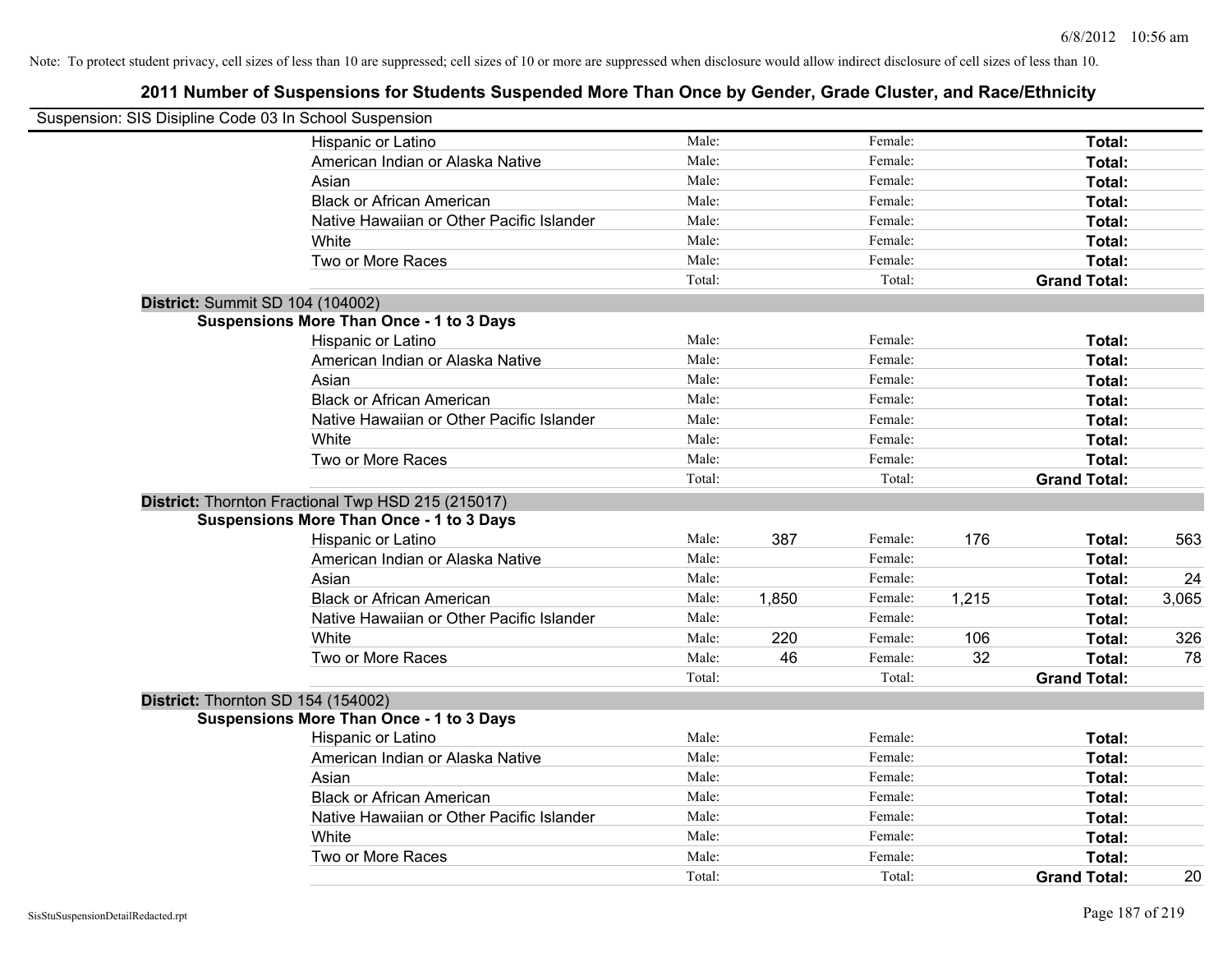| Suspension: SIS Disipline Code 03 In School Suspension |                                                    |        |       |         |       |                     |       |
|--------------------------------------------------------|----------------------------------------------------|--------|-------|---------|-------|---------------------|-------|
|                                                        | Hispanic or Latino                                 | Male:  |       | Female: |       | Total:              |       |
|                                                        | American Indian or Alaska Native                   | Male:  |       | Female: |       | Total:              |       |
|                                                        | Asian                                              | Male:  |       | Female: |       | Total:              |       |
|                                                        | <b>Black or African American</b>                   | Male:  |       | Female: |       | Total:              |       |
|                                                        | Native Hawaiian or Other Pacific Islander          | Male:  |       | Female: |       | Total:              |       |
|                                                        | White                                              | Male:  |       | Female: |       | Total:              |       |
|                                                        | Two or More Races                                  | Male:  |       | Female: |       | Total:              |       |
|                                                        |                                                    | Total: |       | Total:  |       | <b>Grand Total:</b> |       |
| District: Summit SD 104 (104002)                       |                                                    |        |       |         |       |                     |       |
|                                                        | <b>Suspensions More Than Once - 1 to 3 Days</b>    |        |       |         |       |                     |       |
|                                                        | Hispanic or Latino                                 | Male:  |       | Female: |       | Total:              |       |
|                                                        | American Indian or Alaska Native                   | Male:  |       | Female: |       | Total:              |       |
|                                                        | Asian                                              | Male:  |       | Female: |       | Total:              |       |
|                                                        | <b>Black or African American</b>                   | Male:  |       | Female: |       | Total:              |       |
|                                                        | Native Hawaiian or Other Pacific Islander          | Male:  |       | Female: |       | Total:              |       |
|                                                        | White                                              | Male:  |       | Female: |       | Total:              |       |
|                                                        | Two or More Races                                  | Male:  |       | Female: |       | Total:              |       |
|                                                        |                                                    | Total: |       | Total:  |       | <b>Grand Total:</b> |       |
|                                                        | District: Thornton Fractional Twp HSD 215 (215017) |        |       |         |       |                     |       |
|                                                        | <b>Suspensions More Than Once - 1 to 3 Days</b>    |        |       |         |       |                     |       |
|                                                        | Hispanic or Latino                                 | Male:  | 387   | Female: | 176   | Total:              | 563   |
|                                                        | American Indian or Alaska Native                   | Male:  |       | Female: |       | Total:              |       |
|                                                        | Asian                                              | Male:  |       | Female: |       | Total:              | 24    |
|                                                        | <b>Black or African American</b>                   | Male:  | 1,850 | Female: | 1,215 | Total:              | 3,065 |
|                                                        | Native Hawaiian or Other Pacific Islander          | Male:  |       | Female: |       | Total:              |       |
|                                                        | White                                              | Male:  | 220   | Female: | 106   | Total:              | 326   |
|                                                        | Two or More Races                                  | Male:  | 46    | Female: | 32    | Total:              | 78    |
|                                                        |                                                    | Total: |       | Total:  |       | <b>Grand Total:</b> |       |
| District: Thornton SD 154 (154002)                     |                                                    |        |       |         |       |                     |       |
|                                                        | <b>Suspensions More Than Once - 1 to 3 Days</b>    |        |       |         |       |                     |       |
|                                                        | Hispanic or Latino                                 | Male:  |       | Female: |       | Total:              |       |
|                                                        | American Indian or Alaska Native                   | Male:  |       | Female: |       | Total:              |       |
|                                                        | Asian                                              | Male:  |       | Female: |       | Total:              |       |
|                                                        | <b>Black or African American</b>                   | Male:  |       | Female: |       | Total:              |       |
|                                                        | Native Hawaiian or Other Pacific Islander          | Male:  |       | Female: |       | Total:              |       |
|                                                        | White                                              | Male:  |       | Female: |       | Total:              |       |
|                                                        | Two or More Races                                  | Male:  |       | Female: |       | Total:              |       |
|                                                        |                                                    | Total: |       | Total:  |       | <b>Grand Total:</b> | 20    |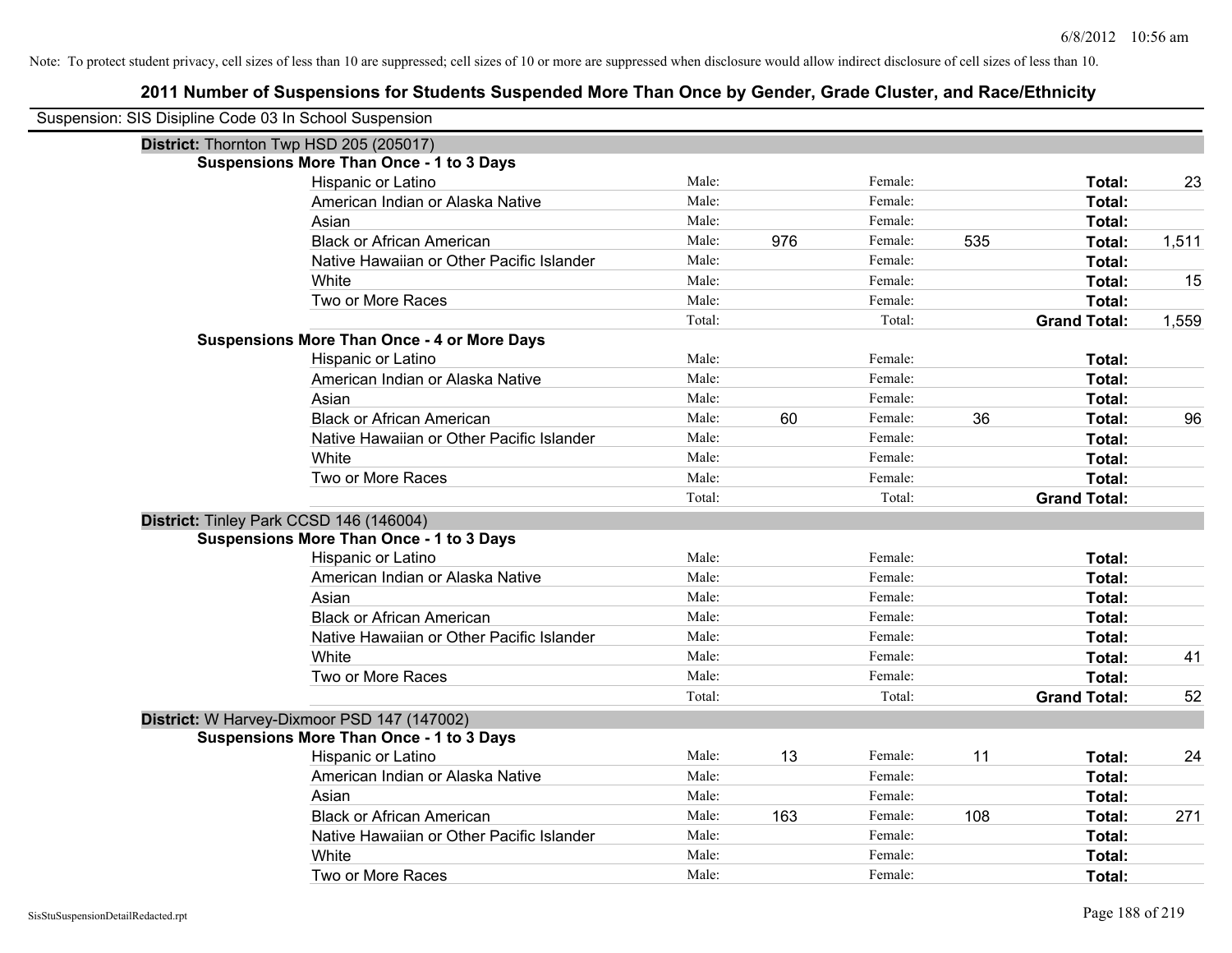| Suspension: SIS Disipline Code 03 In School Suspension |                                                    |        |     |         |     |                     |       |
|--------------------------------------------------------|----------------------------------------------------|--------|-----|---------|-----|---------------------|-------|
|                                                        | District: Thornton Twp HSD 205 (205017)            |        |     |         |     |                     |       |
|                                                        | <b>Suspensions More Than Once - 1 to 3 Days</b>    |        |     |         |     |                     |       |
|                                                        | Hispanic or Latino                                 | Male:  |     | Female: |     | Total:              | 23    |
|                                                        | American Indian or Alaska Native                   | Male:  |     | Female: |     | Total:              |       |
|                                                        | Asian                                              | Male:  |     | Female: |     | Total:              |       |
|                                                        | <b>Black or African American</b>                   | Male:  | 976 | Female: | 535 | Total:              | 1,511 |
|                                                        | Native Hawaiian or Other Pacific Islander          | Male:  |     | Female: |     | Total:              |       |
|                                                        | White                                              | Male:  |     | Female: |     | Total:              | 15    |
|                                                        | Two or More Races                                  | Male:  |     | Female: |     | Total:              |       |
|                                                        |                                                    | Total: |     | Total:  |     | <b>Grand Total:</b> | 1,559 |
|                                                        | <b>Suspensions More Than Once - 4 or More Days</b> |        |     |         |     |                     |       |
|                                                        | Hispanic or Latino                                 | Male:  |     | Female: |     | Total:              |       |
|                                                        | American Indian or Alaska Native                   | Male:  |     | Female: |     | Total:              |       |
|                                                        | Asian                                              | Male:  |     | Female: |     | Total:              |       |
|                                                        | <b>Black or African American</b>                   | Male:  | 60  | Female: | 36  | Total:              | 96    |
|                                                        | Native Hawaiian or Other Pacific Islander          | Male:  |     | Female: |     | Total:              |       |
|                                                        | White                                              | Male:  |     | Female: |     | Total:              |       |
|                                                        | Two or More Races                                  | Male:  |     | Female: |     | Total:              |       |
|                                                        |                                                    | Total: |     |         |     |                     |       |
|                                                        |                                                    |        |     | Total:  |     | <b>Grand Total:</b> |       |
| District: Tinley Park CCSD 146 (146004)                |                                                    |        |     |         |     |                     |       |
|                                                        | <b>Suspensions More Than Once - 1 to 3 Days</b>    |        |     |         |     |                     |       |
|                                                        | Hispanic or Latino                                 | Male:  |     | Female: |     | Total:              |       |
|                                                        | American Indian or Alaska Native                   | Male:  |     | Female: |     | Total:              |       |
|                                                        | Asian                                              | Male:  |     | Female: |     | Total:              |       |
|                                                        | <b>Black or African American</b>                   | Male:  |     | Female: |     | Total:              |       |
|                                                        | Native Hawaiian or Other Pacific Islander          | Male:  |     | Female: |     | Total:              |       |
|                                                        | White                                              | Male:  |     | Female: |     | Total:              | 41    |
|                                                        | Two or More Races                                  | Male:  |     | Female: |     | Total:              |       |
|                                                        |                                                    | Total: |     | Total:  |     | <b>Grand Total:</b> | 52    |
|                                                        | District: W Harvey-Dixmoor PSD 147 (147002)        |        |     |         |     |                     |       |
|                                                        | <b>Suspensions More Than Once - 1 to 3 Days</b>    |        |     |         |     |                     |       |
|                                                        | Hispanic or Latino                                 | Male:  | 13  | Female: | 11  | Total:              | 24    |
|                                                        | American Indian or Alaska Native                   | Male:  |     | Female: |     | Total:              |       |
|                                                        | Asian                                              | Male:  |     | Female: |     | Total:              |       |
|                                                        | <b>Black or African American</b>                   | Male:  | 163 | Female: | 108 | Total:              | 271   |
|                                                        | Native Hawaiian or Other Pacific Islander          | Male:  |     | Female: |     | Total:              |       |
|                                                        | White                                              | Male:  |     | Female: |     | Total:              |       |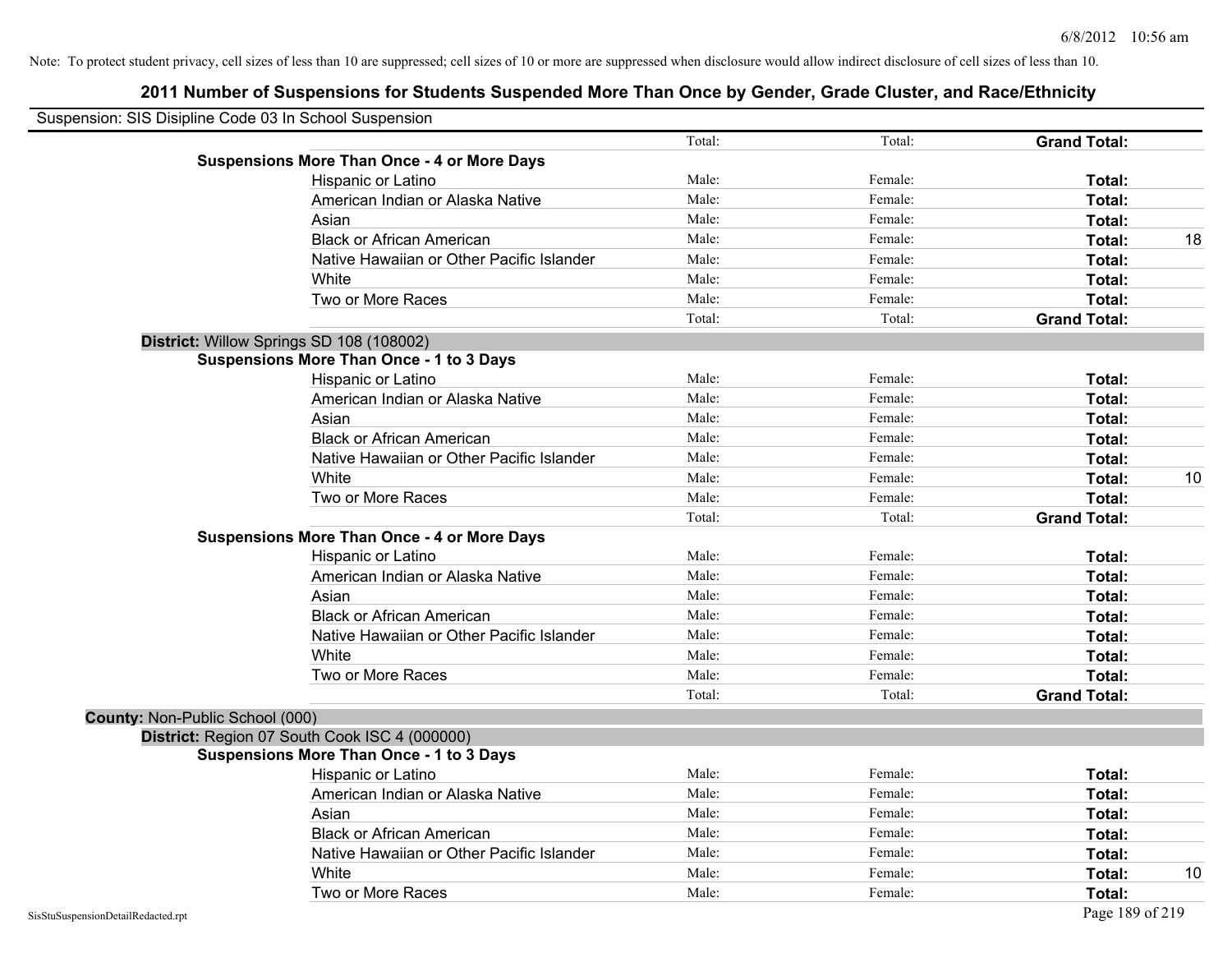| Suspension: SIS Disipline Code 03 In School Suspension |                                                    |        |         |                     |    |
|--------------------------------------------------------|----------------------------------------------------|--------|---------|---------------------|----|
|                                                        |                                                    | Total: | Total:  | <b>Grand Total:</b> |    |
|                                                        | <b>Suspensions More Than Once - 4 or More Days</b> |        |         |                     |    |
|                                                        | Hispanic or Latino                                 | Male:  | Female: | Total:              |    |
|                                                        | American Indian or Alaska Native                   | Male:  | Female: | Total:              |    |
|                                                        | Asian                                              | Male:  | Female: | Total:              |    |
|                                                        | <b>Black or African American</b>                   | Male:  | Female: | Total:              | 18 |
|                                                        | Native Hawaiian or Other Pacific Islander          | Male:  | Female: | Total:              |    |
|                                                        | White                                              | Male:  | Female: | Total:              |    |
|                                                        | Two or More Races                                  | Male:  | Female: | Total:              |    |
|                                                        |                                                    | Total: | Total:  | <b>Grand Total:</b> |    |
|                                                        | District: Willow Springs SD 108 (108002)           |        |         |                     |    |
|                                                        | <b>Suspensions More Than Once - 1 to 3 Days</b>    |        |         |                     |    |
|                                                        | Hispanic or Latino                                 | Male:  | Female: | Total:              |    |
|                                                        | American Indian or Alaska Native                   | Male:  | Female: | Total:              |    |
|                                                        | Asian                                              | Male:  | Female: | Total:              |    |
|                                                        | <b>Black or African American</b>                   | Male:  | Female: | Total:              |    |
|                                                        | Native Hawaiian or Other Pacific Islander          | Male:  | Female: | Total:              |    |
|                                                        | White                                              | Male:  | Female: | Total:              | 10 |
|                                                        | Two or More Races                                  | Male:  | Female: | Total:              |    |
|                                                        |                                                    | Total: | Total:  | <b>Grand Total:</b> |    |
|                                                        | <b>Suspensions More Than Once - 4 or More Days</b> |        |         |                     |    |
|                                                        | Hispanic or Latino                                 | Male:  | Female: | Total:              |    |
|                                                        | American Indian or Alaska Native                   | Male:  | Female: | Total:              |    |
|                                                        | Asian                                              | Male:  | Female: | Total:              |    |
|                                                        | <b>Black or African American</b>                   | Male:  | Female: | Total:              |    |
|                                                        | Native Hawaiian or Other Pacific Islander          | Male:  | Female: | Total:              |    |
|                                                        | White                                              | Male:  | Female: | Total:              |    |
|                                                        | Two or More Races                                  | Male:  | Female: | Total:              |    |
|                                                        |                                                    | Total: | Total:  | <b>Grand Total:</b> |    |
| <b>County: Non-Public School (000)</b>                 |                                                    |        |         |                     |    |
|                                                        | District: Region 07 South Cook ISC 4 (000000)      |        |         |                     |    |
|                                                        | <b>Suspensions More Than Once - 1 to 3 Days</b>    |        |         |                     |    |
|                                                        | Hispanic or Latino                                 | Male:  | Female: | Total:              |    |
|                                                        | American Indian or Alaska Native                   | Male:  | Female: | Total:              |    |
|                                                        | Asian                                              | Male:  | Female: | Total:              |    |
|                                                        | <b>Black or African American</b>                   | Male:  | Female: | Total:              |    |
|                                                        | Native Hawaiian or Other Pacific Islander          | Male:  | Female: | Total:              |    |
|                                                        | White                                              | Male:  | Female: | Total:              | 10 |
|                                                        | Two or More Races                                  | Male:  | Female: | Total:              |    |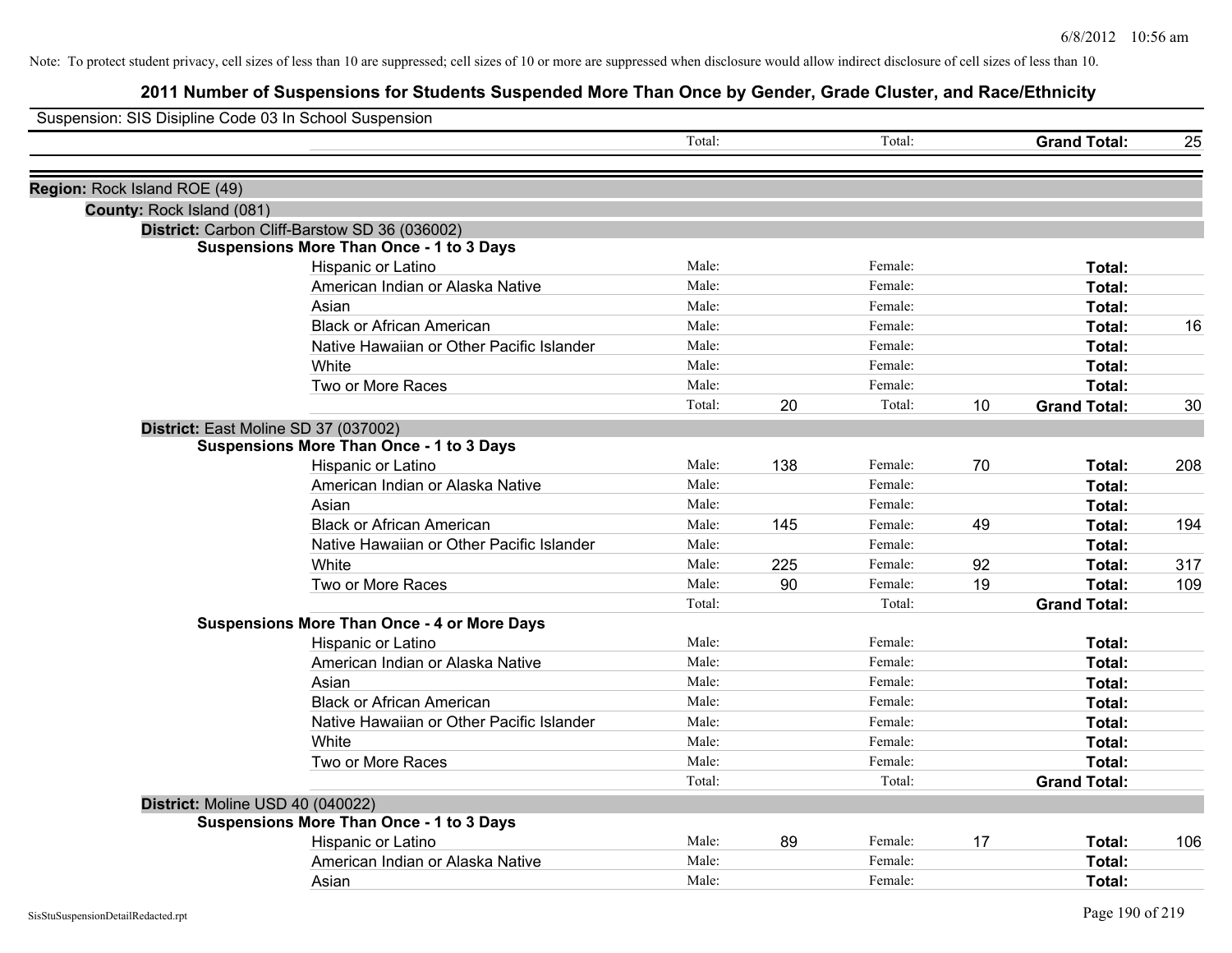| Suspension: SIS Disipline Code 03 In School Suspension |                                                    |        |     |         |    |                     |     |
|--------------------------------------------------------|----------------------------------------------------|--------|-----|---------|----|---------------------|-----|
|                                                        |                                                    | Total: |     | Total:  |    | <b>Grand Total:</b> | 25  |
| Region: Rock Island ROE (49)                           |                                                    |        |     |         |    |                     |     |
| County: Rock Island (081)                              |                                                    |        |     |         |    |                     |     |
|                                                        | District: Carbon Cliff-Barstow SD 36 (036002)      |        |     |         |    |                     |     |
|                                                        | <b>Suspensions More Than Once - 1 to 3 Days</b>    |        |     |         |    |                     |     |
|                                                        | Hispanic or Latino                                 | Male:  |     | Female: |    | Total:              |     |
|                                                        | American Indian or Alaska Native                   | Male:  |     | Female: |    | Total:              |     |
|                                                        | Asian                                              | Male:  |     | Female: |    | Total:              |     |
|                                                        | <b>Black or African American</b>                   | Male:  |     | Female: |    | Total:              | 16  |
|                                                        | Native Hawaiian or Other Pacific Islander          | Male:  |     | Female: |    | Total:              |     |
|                                                        | White                                              | Male:  |     | Female: |    | Total:              |     |
|                                                        | Two or More Races                                  | Male:  |     | Female: |    | Total:              |     |
|                                                        |                                                    | Total: | 20  | Total:  | 10 | <b>Grand Total:</b> | 30  |
|                                                        | District: East Moline SD 37 (037002)               |        |     |         |    |                     |     |
|                                                        | <b>Suspensions More Than Once - 1 to 3 Days</b>    |        |     |         |    |                     |     |
|                                                        | Hispanic or Latino                                 | Male:  | 138 | Female: | 70 | Total:              | 208 |
|                                                        | American Indian or Alaska Native                   | Male:  |     | Female: |    | Total:              |     |
|                                                        | Asian                                              | Male:  |     | Female: |    | Total:              |     |
|                                                        | <b>Black or African American</b>                   | Male:  | 145 | Female: | 49 | Total:              | 194 |
|                                                        | Native Hawaiian or Other Pacific Islander          | Male:  |     | Female: |    | Total:              |     |
|                                                        | White                                              | Male:  | 225 | Female: | 92 | Total:              | 317 |
|                                                        | Two or More Races                                  | Male:  | 90  | Female: | 19 | Total:              | 109 |
|                                                        |                                                    | Total: |     | Total:  |    | <b>Grand Total:</b> |     |
|                                                        | <b>Suspensions More Than Once - 4 or More Days</b> |        |     |         |    |                     |     |
|                                                        | Hispanic or Latino                                 | Male:  |     | Female: |    | Total:              |     |
|                                                        | American Indian or Alaska Native                   | Male:  |     | Female: |    | Total:              |     |
|                                                        | Asian                                              | Male:  |     | Female: |    | Total:              |     |
|                                                        | <b>Black or African American</b>                   | Male:  |     | Female: |    | Total:              |     |
|                                                        | Native Hawaiian or Other Pacific Islander          | Male:  |     | Female: |    | Total:              |     |
|                                                        | White                                              | Male:  |     | Female: |    | Total:              |     |
|                                                        | Two or More Races                                  | Male:  |     | Female: |    | Total:              |     |
|                                                        |                                                    | Total: |     | Total:  |    | <b>Grand Total:</b> |     |
| District: Moline USD 40 (040022)                       |                                                    |        |     |         |    |                     |     |
|                                                        | <b>Suspensions More Than Once - 1 to 3 Days</b>    |        |     |         |    |                     |     |
|                                                        | Hispanic or Latino                                 | Male:  | 89  | Female: | 17 | Total:              | 106 |
|                                                        | American Indian or Alaska Native                   | Male:  |     | Female: |    | Total:              |     |
|                                                        | Asian                                              | Male:  |     | Female: |    | Total:              |     |
|                                                        |                                                    |        |     |         |    |                     |     |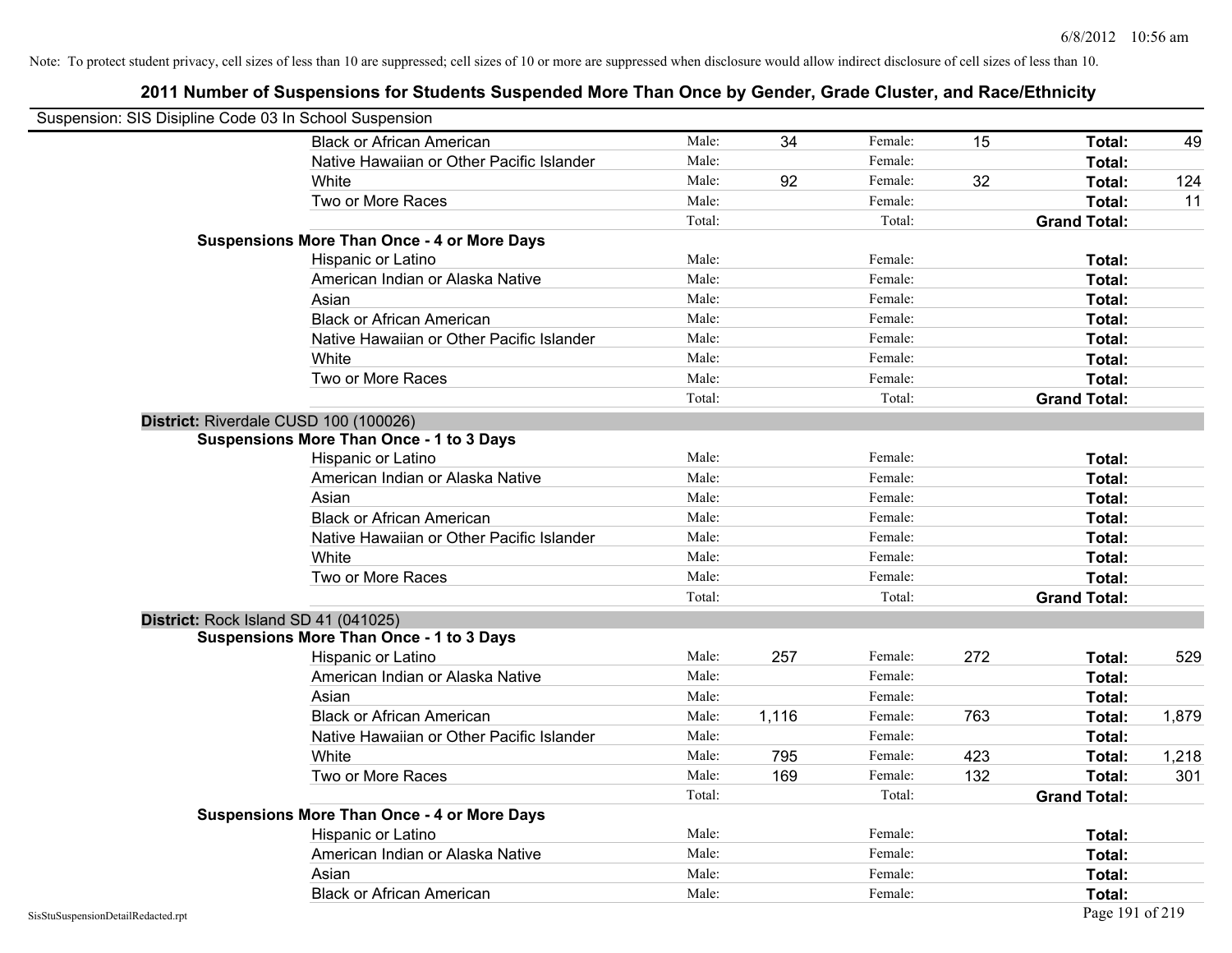|                                    | Suspension: SIS Disipline Code 03 In School Suspension |        |       |         |     |                     |       |
|------------------------------------|--------------------------------------------------------|--------|-------|---------|-----|---------------------|-------|
|                                    | <b>Black or African American</b>                       | Male:  | 34    | Female: | 15  | <b>Total:</b>       | 49    |
|                                    | Native Hawaiian or Other Pacific Islander              | Male:  |       | Female: |     | Total:              |       |
|                                    | White                                                  | Male:  | 92    | Female: | 32  | Total:              | 124   |
|                                    | Two or More Races                                      | Male:  |       | Female: |     | Total:              | 11    |
|                                    |                                                        | Total: |       | Total:  |     | <b>Grand Total:</b> |       |
|                                    | <b>Suspensions More Than Once - 4 or More Days</b>     |        |       |         |     |                     |       |
|                                    | Hispanic or Latino                                     | Male:  |       | Female: |     | Total:              |       |
|                                    | American Indian or Alaska Native                       | Male:  |       | Female: |     | Total:              |       |
|                                    | Asian                                                  | Male:  |       | Female: |     | Total:              |       |
|                                    | <b>Black or African American</b>                       | Male:  |       | Female: |     | Total:              |       |
|                                    | Native Hawaiian or Other Pacific Islander              | Male:  |       | Female: |     | Total:              |       |
|                                    | White                                                  | Male:  |       | Female: |     | Total:              |       |
|                                    | Two or More Races                                      | Male:  |       | Female: |     | Total:              |       |
|                                    |                                                        | Total: |       | Total:  |     | <b>Grand Total:</b> |       |
|                                    | District: Riverdale CUSD 100 (100026)                  |        |       |         |     |                     |       |
|                                    | <b>Suspensions More Than Once - 1 to 3 Days</b>        |        |       |         |     |                     |       |
|                                    | Hispanic or Latino                                     | Male:  |       | Female: |     | Total:              |       |
|                                    | American Indian or Alaska Native                       | Male:  |       | Female: |     | Total:              |       |
|                                    | Asian                                                  | Male:  |       | Female: |     | Total:              |       |
|                                    | <b>Black or African American</b>                       | Male:  |       | Female: |     | Total:              |       |
|                                    | Native Hawaiian or Other Pacific Islander              | Male:  |       | Female: |     | Total:              |       |
|                                    | White                                                  | Male:  |       | Female: |     | Total:              |       |
|                                    | Two or More Races                                      | Male:  |       | Female: |     | Total:              |       |
|                                    |                                                        | Total: |       | Total:  |     | <b>Grand Total:</b> |       |
|                                    | District: Rock Island SD 41 (041025)                   |        |       |         |     |                     |       |
|                                    | <b>Suspensions More Than Once - 1 to 3 Days</b>        |        |       |         |     |                     |       |
|                                    | Hispanic or Latino                                     | Male:  | 257   | Female: | 272 | Total:              | 529   |
|                                    | American Indian or Alaska Native                       | Male:  |       | Female: |     | Total:              |       |
|                                    | Asian                                                  | Male:  |       | Female: |     | Total:              |       |
|                                    | <b>Black or African American</b>                       | Male:  | 1,116 | Female: | 763 | Total:              | 1,879 |
|                                    | Native Hawaiian or Other Pacific Islander              | Male:  |       | Female: |     | Total:              |       |
|                                    | White                                                  | Male:  | 795   | Female: | 423 | Total:              | 1,218 |
|                                    | Two or More Races                                      | Male:  | 169   | Female: | 132 | Total:              | 301   |
|                                    |                                                        | Total: |       | Total:  |     | <b>Grand Total:</b> |       |
|                                    | <b>Suspensions More Than Once - 4 or More Days</b>     |        |       |         |     |                     |       |
|                                    | Hispanic or Latino                                     | Male:  |       | Female: |     | Total:              |       |
|                                    | American Indian or Alaska Native                       | Male:  |       | Female: |     | Total:              |       |
|                                    | Asian                                                  | Male:  |       | Female: |     | Total:              |       |
|                                    | <b>Black or African American</b>                       | Male:  |       | Female: |     | Total:              |       |
| SisStuSuspensionDetailRedacted.rpt |                                                        |        |       |         |     | Page 191 of 219     |       |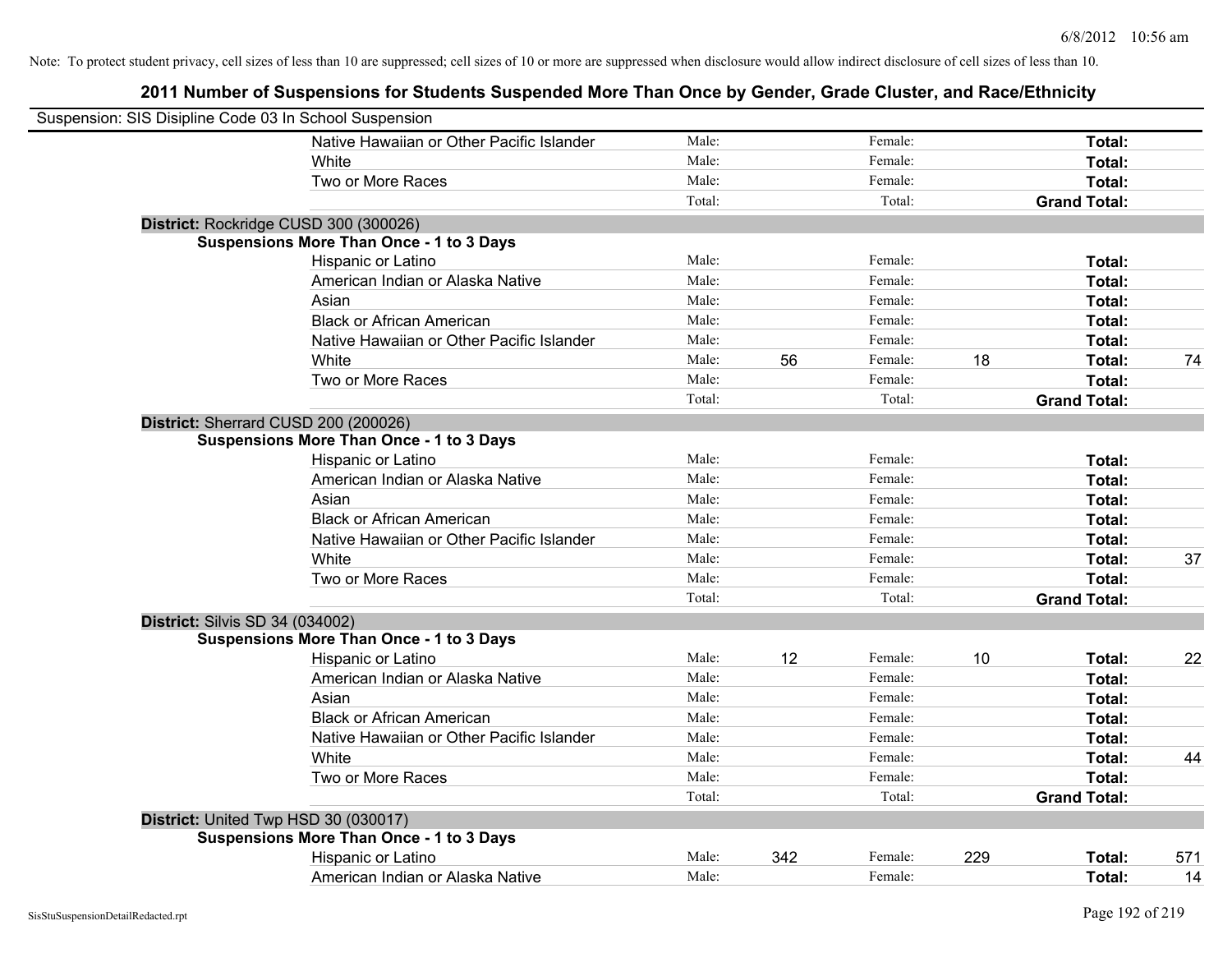| Suspension: SIS Disipline Code 03 In School Suspension |                                                 |        |     |         |     |                     |     |
|--------------------------------------------------------|-------------------------------------------------|--------|-----|---------|-----|---------------------|-----|
|                                                        | Native Hawaiian or Other Pacific Islander       | Male:  |     | Female: |     | Total:              |     |
|                                                        | White                                           | Male:  |     | Female: |     | Total:              |     |
|                                                        | Two or More Races                               | Male:  |     | Female: |     | Total:              |     |
|                                                        |                                                 | Total: |     | Total:  |     | <b>Grand Total:</b> |     |
| District: Rockridge CUSD 300 (300026)                  |                                                 |        |     |         |     |                     |     |
|                                                        | <b>Suspensions More Than Once - 1 to 3 Days</b> |        |     |         |     |                     |     |
|                                                        | Hispanic or Latino                              | Male:  |     | Female: |     | Total:              |     |
|                                                        | American Indian or Alaska Native                | Male:  |     | Female: |     | Total:              |     |
|                                                        | Asian                                           | Male:  |     | Female: |     | Total:              |     |
|                                                        | <b>Black or African American</b>                | Male:  |     | Female: |     | Total:              |     |
|                                                        | Native Hawaiian or Other Pacific Islander       | Male:  |     | Female: |     | Total:              |     |
|                                                        | White                                           | Male:  | 56  | Female: | 18  | Total:              | 74  |
|                                                        | Two or More Races                               | Male:  |     | Female: |     | Total:              |     |
|                                                        |                                                 | Total: |     | Total:  |     | <b>Grand Total:</b> |     |
| District: Sherrard CUSD 200 (200026)                   |                                                 |        |     |         |     |                     |     |
|                                                        | <b>Suspensions More Than Once - 1 to 3 Days</b> |        |     |         |     |                     |     |
|                                                        | Hispanic or Latino                              | Male:  |     | Female: |     | Total:              |     |
|                                                        | American Indian or Alaska Native                | Male:  |     | Female: |     | Total:              |     |
|                                                        | Asian                                           | Male:  |     | Female: |     | Total:              |     |
|                                                        | <b>Black or African American</b>                | Male:  |     | Female: |     | Total:              |     |
|                                                        | Native Hawaiian or Other Pacific Islander       | Male:  |     | Female: |     | Total:              |     |
|                                                        | White                                           | Male:  |     | Female: |     | Total:              | 37  |
|                                                        | Two or More Races                               | Male:  |     | Female: |     | Total:              |     |
|                                                        |                                                 | Total: |     | Total:  |     | <b>Grand Total:</b> |     |
| <b>District: Silvis SD 34 (034002)</b>                 |                                                 |        |     |         |     |                     |     |
|                                                        | <b>Suspensions More Than Once - 1 to 3 Days</b> |        |     |         |     |                     |     |
|                                                        | Hispanic or Latino                              | Male:  | 12  | Female: | 10  | Total:              | 22  |
|                                                        | American Indian or Alaska Native                | Male:  |     | Female: |     | Total:              |     |
|                                                        | Asian                                           | Male:  |     | Female: |     | Total:              |     |
|                                                        | <b>Black or African American</b>                | Male:  |     | Female: |     | Total:              |     |
|                                                        | Native Hawaiian or Other Pacific Islander       | Male:  |     | Female: |     | Total:              |     |
|                                                        | White                                           | Male:  |     | Female: |     | Total:              | 44  |
|                                                        | Two or More Races                               | Male:  |     | Female: |     | Total:              |     |
|                                                        |                                                 | Total: |     | Total:  |     | <b>Grand Total:</b> |     |
| District: United Twp HSD 30 (030017)                   |                                                 |        |     |         |     |                     |     |
|                                                        | <b>Suspensions More Than Once - 1 to 3 Days</b> |        |     |         |     |                     |     |
|                                                        | Hispanic or Latino                              | Male:  | 342 | Female: | 229 | Total:              | 571 |
|                                                        | American Indian or Alaska Native                | Male:  |     | Female: |     | Total:              | 14  |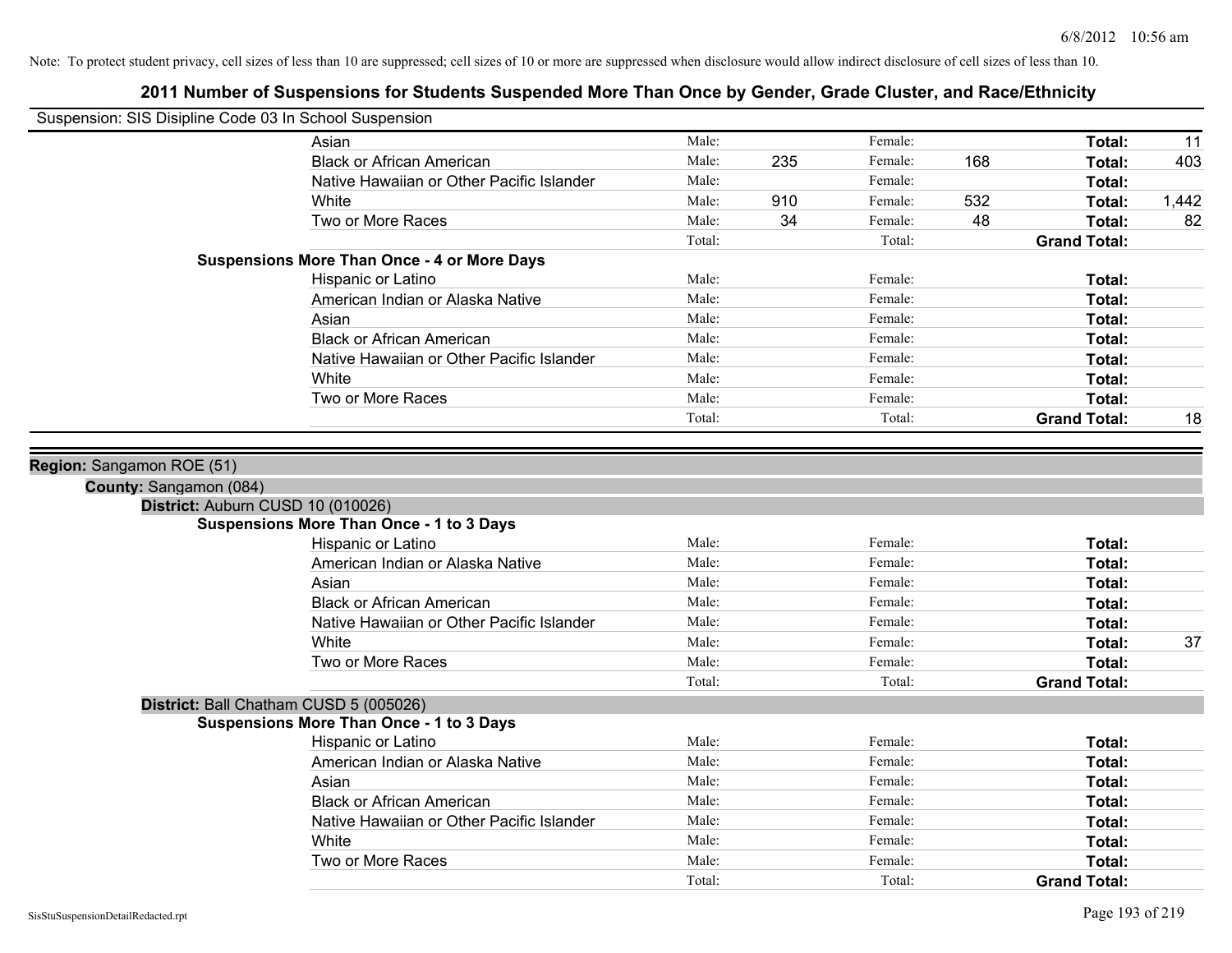| Suspension: SIS Disipline Code 03 In School Suspension |                                                                                           |        |     |         |     |                     |       |
|--------------------------------------------------------|-------------------------------------------------------------------------------------------|--------|-----|---------|-----|---------------------|-------|
|                                                        | Asian                                                                                     | Male:  |     | Female: |     | Total:              | 11    |
|                                                        | <b>Black or African American</b>                                                          | Male:  | 235 | Female: | 168 | Total:              | 403   |
|                                                        | Native Hawaiian or Other Pacific Islander                                                 | Male:  |     | Female: |     | Total:              |       |
|                                                        | White                                                                                     | Male:  | 910 | Female: | 532 | Total:              | 1,442 |
|                                                        | Two or More Races                                                                         | Male:  | 34  | Female: | 48  | Total:              | 82    |
|                                                        |                                                                                           | Total: |     | Total:  |     | <b>Grand Total:</b> |       |
|                                                        | <b>Suspensions More Than Once - 4 or More Days</b>                                        |        |     |         |     |                     |       |
|                                                        | Hispanic or Latino                                                                        | Male:  |     | Female: |     | Total:              |       |
|                                                        | American Indian or Alaska Native                                                          | Male:  |     | Female: |     | Total:              |       |
|                                                        | Asian                                                                                     | Male:  |     | Female: |     | Total:              |       |
|                                                        | <b>Black or African American</b>                                                          | Male:  |     | Female: |     | Total:              |       |
|                                                        | Native Hawaiian or Other Pacific Islander                                                 | Male:  |     | Female: |     | Total:              |       |
|                                                        | White                                                                                     | Male:  |     | Female: |     | <b>Total:</b>       |       |
|                                                        | Two or More Races                                                                         | Male:  |     | Female: |     | Total:              |       |
|                                                        |                                                                                           | Total: |     | Total:  |     | <b>Grand Total:</b> | 18    |
|                                                        |                                                                                           |        |     |         |     |                     |       |
| Region: Sangamon ROE (51)                              |                                                                                           |        |     |         |     |                     |       |
| County: Sangamon (084)                                 |                                                                                           |        |     |         |     |                     |       |
|                                                        | District: Auburn CUSD 10 (010026)                                                         |        |     |         |     |                     |       |
|                                                        | <b>Suspensions More Than Once - 1 to 3 Days</b>                                           | Male:  |     | Female: |     | Total:              |       |
|                                                        | Hispanic or Latino                                                                        | Male:  |     | Female: |     |                     |       |
|                                                        | American Indian or Alaska Native                                                          | Male:  |     | Female: |     | Total:<br>Total:    |       |
|                                                        | Asian<br><b>Black or African American</b>                                                 | Male:  |     | Female: |     | Total:              |       |
|                                                        | Native Hawaiian or Other Pacific Islander                                                 | Male:  |     | Female: |     | Total:              |       |
|                                                        | White                                                                                     | Male:  |     | Female: |     | <b>Total:</b>       | 37    |
|                                                        | Two or More Races                                                                         | Male:  |     | Female: |     | Total:              |       |
|                                                        |                                                                                           | Total: |     | Total:  |     | <b>Grand Total:</b> |       |
|                                                        |                                                                                           |        |     |         |     |                     |       |
|                                                        | District: Ball Chatham CUSD 5 (005026)<br><b>Suspensions More Than Once - 1 to 3 Days</b> |        |     |         |     |                     |       |
|                                                        | Hispanic or Latino                                                                        | Male:  |     | Female: |     | Total:              |       |
|                                                        | American Indian or Alaska Native                                                          | Male:  |     | Female: |     | Total:              |       |
|                                                        | Asian                                                                                     | Male:  |     | Female: |     | Total:              |       |
|                                                        | <b>Black or African American</b>                                                          | Male:  |     | Female: |     | Total:              |       |
|                                                        | Native Hawaiian or Other Pacific Islander                                                 | Male:  |     | Female: |     | Total:              |       |
|                                                        | White                                                                                     | Male:  |     | Female: |     | <b>Total:</b>       |       |
|                                                        | Two or More Races                                                                         | Male:  |     | Female: |     | Total:              |       |
|                                                        |                                                                                           | Total: |     | Total:  |     | <b>Grand Total:</b> |       |
|                                                        |                                                                                           |        |     |         |     |                     |       |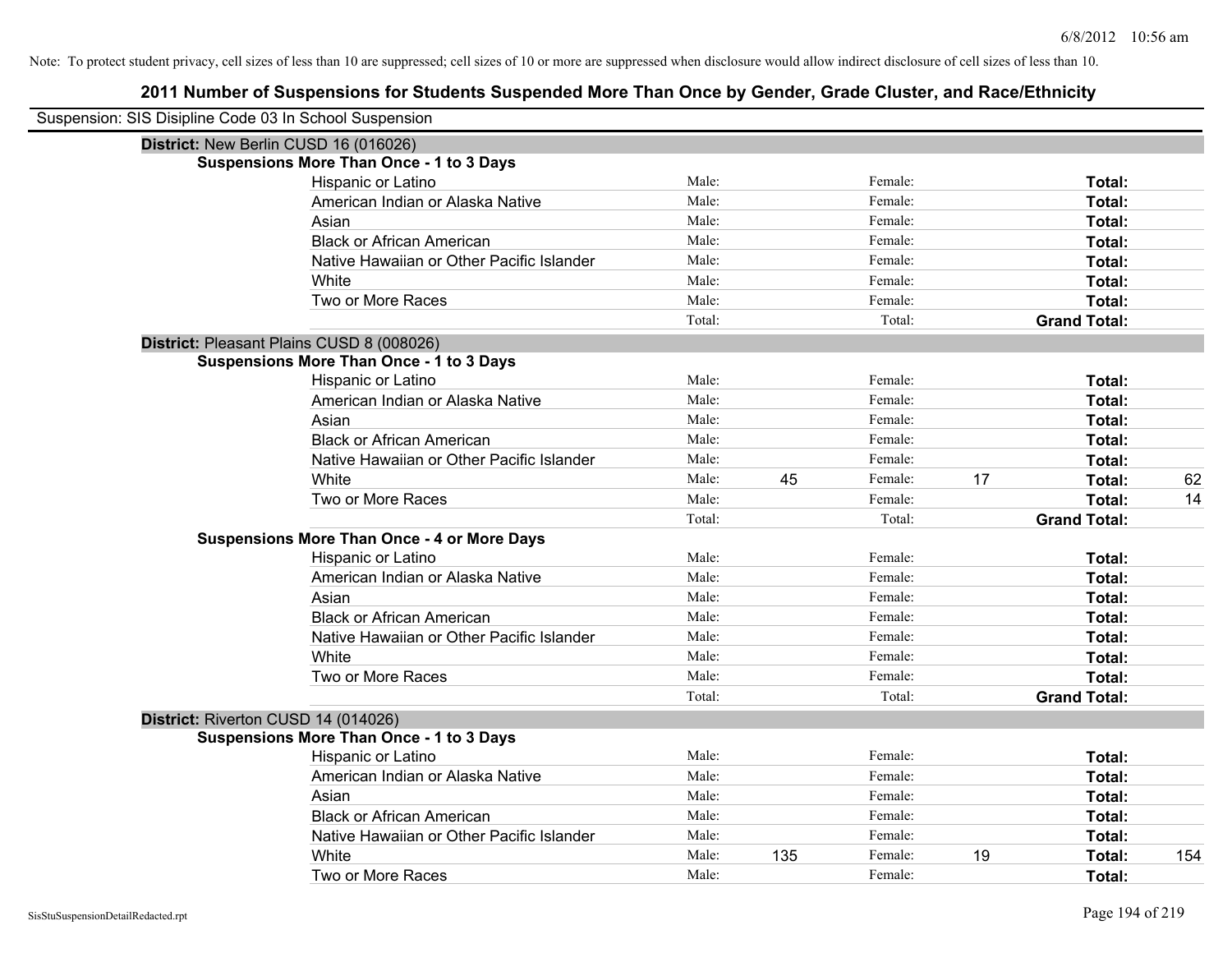| Suspension: SIS Disipline Code 03 In School Suspension |                                                    |        |     |         |    |                     |     |
|--------------------------------------------------------|----------------------------------------------------|--------|-----|---------|----|---------------------|-----|
| District: New Berlin CUSD 16 (016026)                  |                                                    |        |     |         |    |                     |     |
|                                                        | <b>Suspensions More Than Once - 1 to 3 Days</b>    |        |     |         |    |                     |     |
|                                                        | Hispanic or Latino                                 | Male:  |     | Female: |    | Total:              |     |
|                                                        | American Indian or Alaska Native                   | Male:  |     | Female: |    | Total:              |     |
|                                                        | Asian                                              | Male:  |     | Female: |    | Total:              |     |
|                                                        | <b>Black or African American</b>                   | Male:  |     | Female: |    | Total:              |     |
|                                                        | Native Hawaiian or Other Pacific Islander          | Male:  |     | Female: |    | Total:              |     |
|                                                        | White                                              | Male:  |     | Female: |    | Total:              |     |
|                                                        | Two or More Races                                  | Male:  |     | Female: |    | Total:              |     |
|                                                        |                                                    | Total: |     | Total:  |    | <b>Grand Total:</b> |     |
|                                                        | District: Pleasant Plains CUSD 8 (008026)          |        |     |         |    |                     |     |
|                                                        | <b>Suspensions More Than Once - 1 to 3 Days</b>    |        |     |         |    |                     |     |
|                                                        | Hispanic or Latino                                 | Male:  |     | Female: |    | Total:              |     |
|                                                        | American Indian or Alaska Native                   | Male:  |     | Female: |    | Total:              |     |
|                                                        | Asian                                              | Male:  |     | Female: |    | Total:              |     |
|                                                        | <b>Black or African American</b>                   | Male:  |     | Female: |    | Total:              |     |
|                                                        | Native Hawaiian or Other Pacific Islander          | Male:  |     | Female: |    | Total:              |     |
|                                                        | White                                              | Male:  | 45  | Female: | 17 | Total:              | 62  |
|                                                        | Two or More Races                                  | Male:  |     | Female: |    | Total:              | 14  |
|                                                        |                                                    | Total: |     | Total:  |    | <b>Grand Total:</b> |     |
|                                                        | <b>Suspensions More Than Once - 4 or More Days</b> |        |     |         |    |                     |     |
|                                                        | Hispanic or Latino                                 | Male:  |     | Female: |    | Total:              |     |
|                                                        | American Indian or Alaska Native                   | Male:  |     | Female: |    | Total:              |     |
|                                                        | Asian                                              | Male:  |     | Female: |    | Total:              |     |
|                                                        | <b>Black or African American</b>                   | Male:  |     | Female: |    | Total:              |     |
|                                                        | Native Hawaiian or Other Pacific Islander          | Male:  |     | Female: |    | Total:              |     |
|                                                        | White                                              | Male:  |     | Female: |    | Total:              |     |
|                                                        | Two or More Races                                  | Male:  |     | Female: |    | Total:              |     |
|                                                        |                                                    | Total: |     | Total:  |    | <b>Grand Total:</b> |     |
| District: Riverton CUSD 14 (014026)                    |                                                    |        |     |         |    |                     |     |
|                                                        | <b>Suspensions More Than Once - 1 to 3 Days</b>    |        |     |         |    |                     |     |
|                                                        | Hispanic or Latino                                 | Male:  |     | Female: |    | Total:              |     |
|                                                        | American Indian or Alaska Native                   | Male:  |     | Female: |    | Total:              |     |
|                                                        | Asian                                              | Male:  |     | Female: |    | Total:              |     |
|                                                        | <b>Black or African American</b>                   | Male:  |     | Female: |    | Total:              |     |
|                                                        | Native Hawaiian or Other Pacific Islander          | Male:  |     | Female: |    | Total:              |     |
|                                                        | White                                              | Male:  | 135 | Female: | 19 | <b>Total:</b>       | 154 |
|                                                        | Two or More Races                                  | Male:  |     | Female: |    | Total:              |     |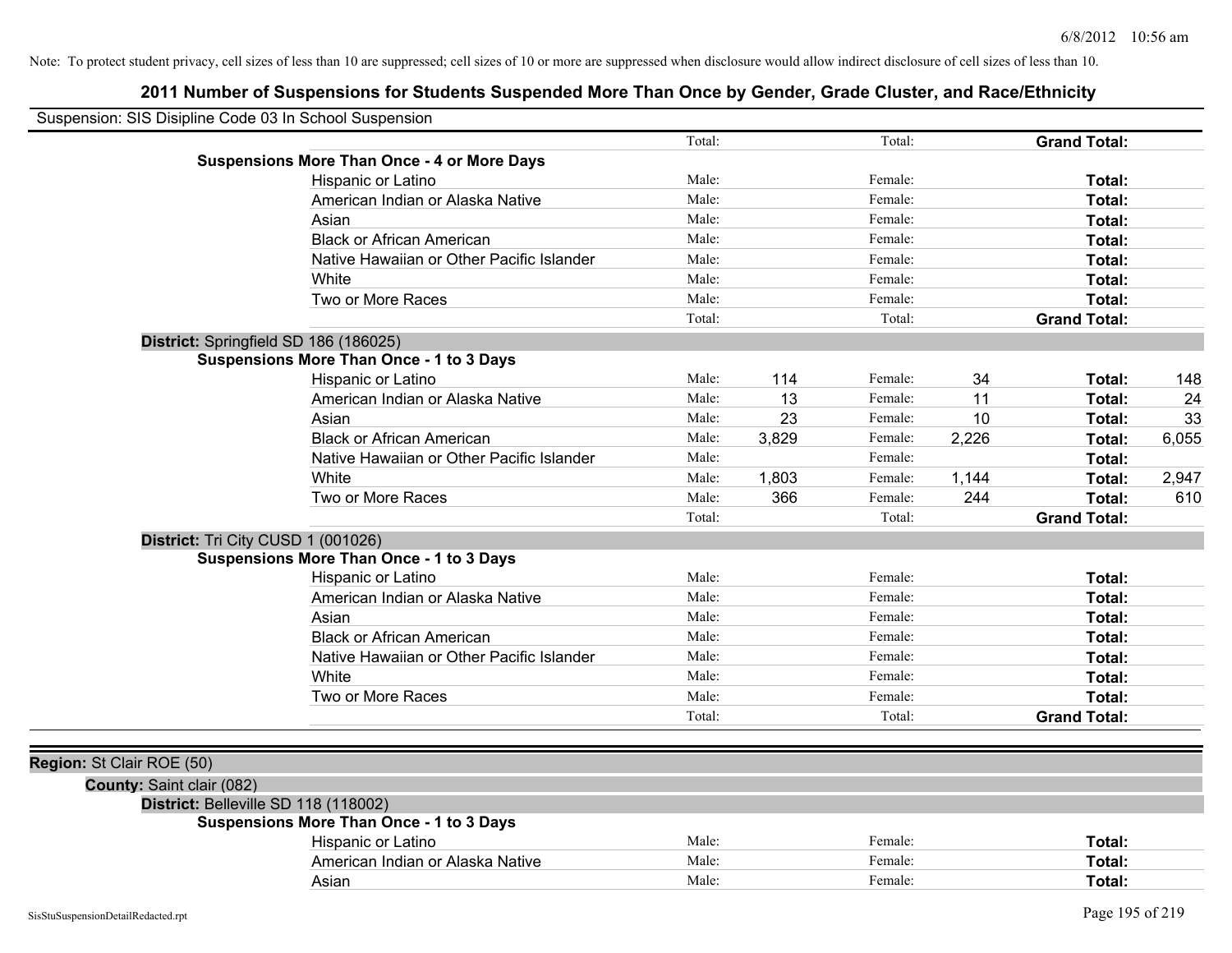| Suspension: SIS Disipline Code 03 In School Suspension |                                                    |        |       |         |       |                     |       |
|--------------------------------------------------------|----------------------------------------------------|--------|-------|---------|-------|---------------------|-------|
|                                                        |                                                    | Total: |       | Total:  |       | <b>Grand Total:</b> |       |
|                                                        | <b>Suspensions More Than Once - 4 or More Days</b> |        |       |         |       |                     |       |
|                                                        | Hispanic or Latino                                 | Male:  |       | Female: |       | Total:              |       |
|                                                        | American Indian or Alaska Native                   | Male:  |       | Female: |       | Total:              |       |
|                                                        | Asian                                              | Male:  |       | Female: |       | Total:              |       |
|                                                        | <b>Black or African American</b>                   | Male:  |       | Female: |       | Total:              |       |
|                                                        | Native Hawaiian or Other Pacific Islander          | Male:  |       | Female: |       | Total:              |       |
|                                                        | White                                              | Male:  |       | Female: |       | Total:              |       |
|                                                        | Two or More Races                                  | Male:  |       | Female: |       | Total:              |       |
|                                                        |                                                    | Total: |       | Total:  |       | <b>Grand Total:</b> |       |
| District: Springfield SD 186 (186025)                  |                                                    |        |       |         |       |                     |       |
|                                                        | <b>Suspensions More Than Once - 1 to 3 Days</b>    |        |       |         |       |                     |       |
|                                                        | Hispanic or Latino                                 | Male:  | 114   | Female: | 34    | Total:              | 148   |
|                                                        | American Indian or Alaska Native                   | Male:  | 13    | Female: | 11    | Total:              | 24    |
|                                                        | Asian                                              | Male:  | 23    | Female: | 10    | Total:              | 33    |
|                                                        | <b>Black or African American</b>                   | Male:  | 3,829 | Female: | 2,226 | Total:              | 6,055 |
|                                                        | Native Hawaiian or Other Pacific Islander          | Male:  |       | Female: |       | Total:              |       |
|                                                        | White                                              | Male:  | 1,803 | Female: | 1,144 | Total:              | 2,947 |
|                                                        | Two or More Races                                  | Male:  | 366   | Female: | 244   | Total:              | 610   |
|                                                        |                                                    | Total: |       | Total:  |       | <b>Grand Total:</b> |       |
| District: Tri City CUSD 1 (001026)                     |                                                    |        |       |         |       |                     |       |
|                                                        | <b>Suspensions More Than Once - 1 to 3 Days</b>    |        |       |         |       |                     |       |
|                                                        | Hispanic or Latino                                 | Male:  |       | Female: |       | Total:              |       |
|                                                        | American Indian or Alaska Native                   | Male:  |       | Female: |       | Total:              |       |
|                                                        | Asian                                              | Male:  |       | Female: |       | Total:              |       |
|                                                        | <b>Black or African American</b>                   | Male:  |       | Female: |       | Total:              |       |
|                                                        | Native Hawaiian or Other Pacific Islander          | Male:  |       | Female: |       | Total:              |       |
|                                                        | White                                              | Male:  |       | Female: |       | Total:              |       |
|                                                        | Two or More Races                                  | Male:  |       | Female: |       | Total:              |       |
|                                                        |                                                    | Total: |       | Total:  |       | <b>Grand Total:</b> |       |
|                                                        |                                                    |        |       |         |       |                     |       |
| Region: St Clair ROE (50)                              |                                                    |        |       |         |       |                     |       |
| County: Saint clair (082)                              |                                                    |        |       |         |       |                     |       |
| District: Belleville SD 118 (118002)                   |                                                    |        |       |         |       |                     |       |
|                                                        | <b>Suspensions More Than Once - 1 to 3 Days</b>    |        |       |         |       |                     |       |
|                                                        | Hispanic or Latino                                 | Male:  |       | Female: |       | Total:              |       |
|                                                        | American Indian or Alaska Native                   | Male:  |       | Female: |       | Total:              |       |
|                                                        | Asian                                              | Male:  |       | Female: |       | Total:              |       |
|                                                        |                                                    |        |       |         |       |                     |       |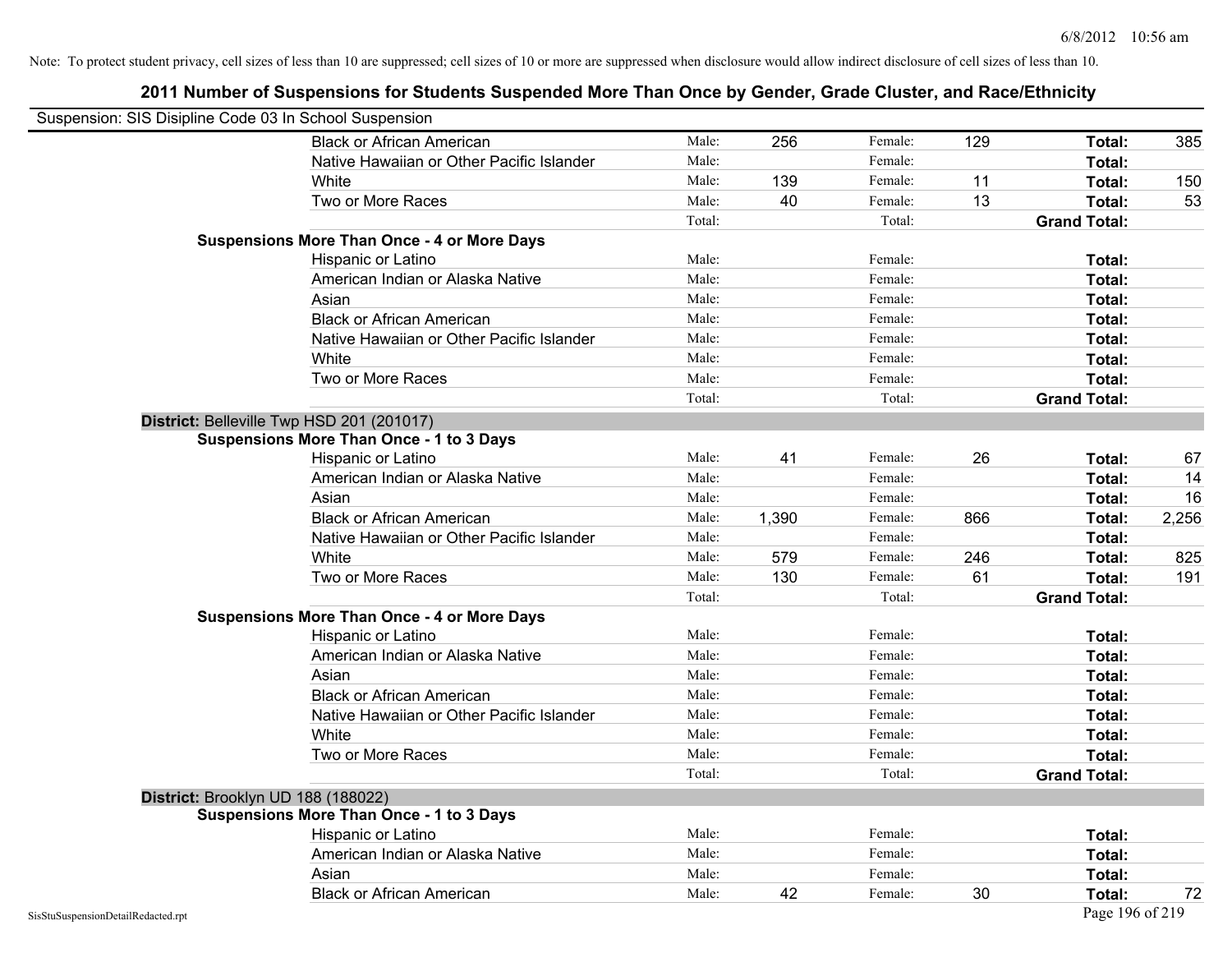| Suspension: SIS Disipline Code 03 In School Suspension |                                                    |        |       |         |     |                     |       |
|--------------------------------------------------------|----------------------------------------------------|--------|-------|---------|-----|---------------------|-------|
|                                                        | <b>Black or African American</b>                   | Male:  | 256   | Female: | 129 | Total:              | 385   |
|                                                        | Native Hawaiian or Other Pacific Islander          | Male:  |       | Female: |     | Total:              |       |
|                                                        | White                                              | Male:  | 139   | Female: | 11  | Total:              | 150   |
|                                                        | Two or More Races                                  | Male:  | 40    | Female: | 13  | Total:              | 53    |
|                                                        |                                                    | Total: |       | Total:  |     | <b>Grand Total:</b> |       |
|                                                        | <b>Suspensions More Than Once - 4 or More Days</b> |        |       |         |     |                     |       |
|                                                        | Hispanic or Latino                                 | Male:  |       | Female: |     | Total:              |       |
|                                                        | American Indian or Alaska Native                   | Male:  |       | Female: |     | Total:              |       |
|                                                        | Asian                                              | Male:  |       | Female: |     | Total:              |       |
|                                                        | <b>Black or African American</b>                   | Male:  |       | Female: |     | Total:              |       |
|                                                        | Native Hawaiian or Other Pacific Islander          | Male:  |       | Female: |     | Total:              |       |
|                                                        | White                                              | Male:  |       | Female: |     | Total:              |       |
|                                                        | Two or More Races                                  | Male:  |       | Female: |     | Total:              |       |
|                                                        |                                                    | Total: |       | Total:  |     | <b>Grand Total:</b> |       |
|                                                        | District: Belleville Twp HSD 201 (201017)          |        |       |         |     |                     |       |
|                                                        | <b>Suspensions More Than Once - 1 to 3 Days</b>    |        |       |         |     |                     |       |
|                                                        | Hispanic or Latino                                 | Male:  | 41    | Female: | 26  | Total:              | 67    |
|                                                        | American Indian or Alaska Native                   | Male:  |       | Female: |     | Total:              | 14    |
|                                                        | Asian                                              | Male:  |       | Female: |     | Total:              | 16    |
|                                                        | <b>Black or African American</b>                   | Male:  | 1,390 | Female: | 866 | Total:              | 2,256 |
|                                                        | Native Hawaiian or Other Pacific Islander          | Male:  |       | Female: |     | Total:              |       |
|                                                        | White                                              | Male:  | 579   | Female: | 246 | Total:              | 825   |
|                                                        | Two or More Races                                  | Male:  | 130   | Female: | 61  | Total:              | 191   |
|                                                        |                                                    | Total: |       | Total:  |     | <b>Grand Total:</b> |       |
|                                                        | <b>Suspensions More Than Once - 4 or More Days</b> |        |       |         |     |                     |       |
|                                                        | Hispanic or Latino                                 | Male:  |       | Female: |     | Total:              |       |
|                                                        | American Indian or Alaska Native                   | Male:  |       | Female: |     | Total:              |       |
|                                                        | Asian                                              | Male:  |       | Female: |     | Total:              |       |
|                                                        | <b>Black or African American</b>                   | Male:  |       | Female: |     | Total:              |       |
|                                                        | Native Hawaiian or Other Pacific Islander          | Male:  |       | Female: |     | Total:              |       |
|                                                        | White                                              | Male:  |       | Female: |     | Total:              |       |
|                                                        | Two or More Races                                  | Male:  |       | Female: |     | Total:              |       |
|                                                        |                                                    | Total: |       | Total:  |     | <b>Grand Total:</b> |       |
|                                                        | District: Brooklyn UD 188 (188022)                 |        |       |         |     |                     |       |
|                                                        | <b>Suspensions More Than Once - 1 to 3 Days</b>    |        |       |         |     |                     |       |
|                                                        | Hispanic or Latino                                 | Male:  |       | Female: |     | Total:              |       |
|                                                        | American Indian or Alaska Native                   | Male:  |       | Female: |     | Total:              |       |
|                                                        | Asian                                              | Male:  |       | Female: |     | Total:              |       |
|                                                        | <b>Black or African American</b>                   | Male:  | 42    | Female: | 30  | Total:              | 72    |
| SisStuSuspensionDetailRedacted.rpt                     |                                                    |        |       |         |     | Page 196 of 219     |       |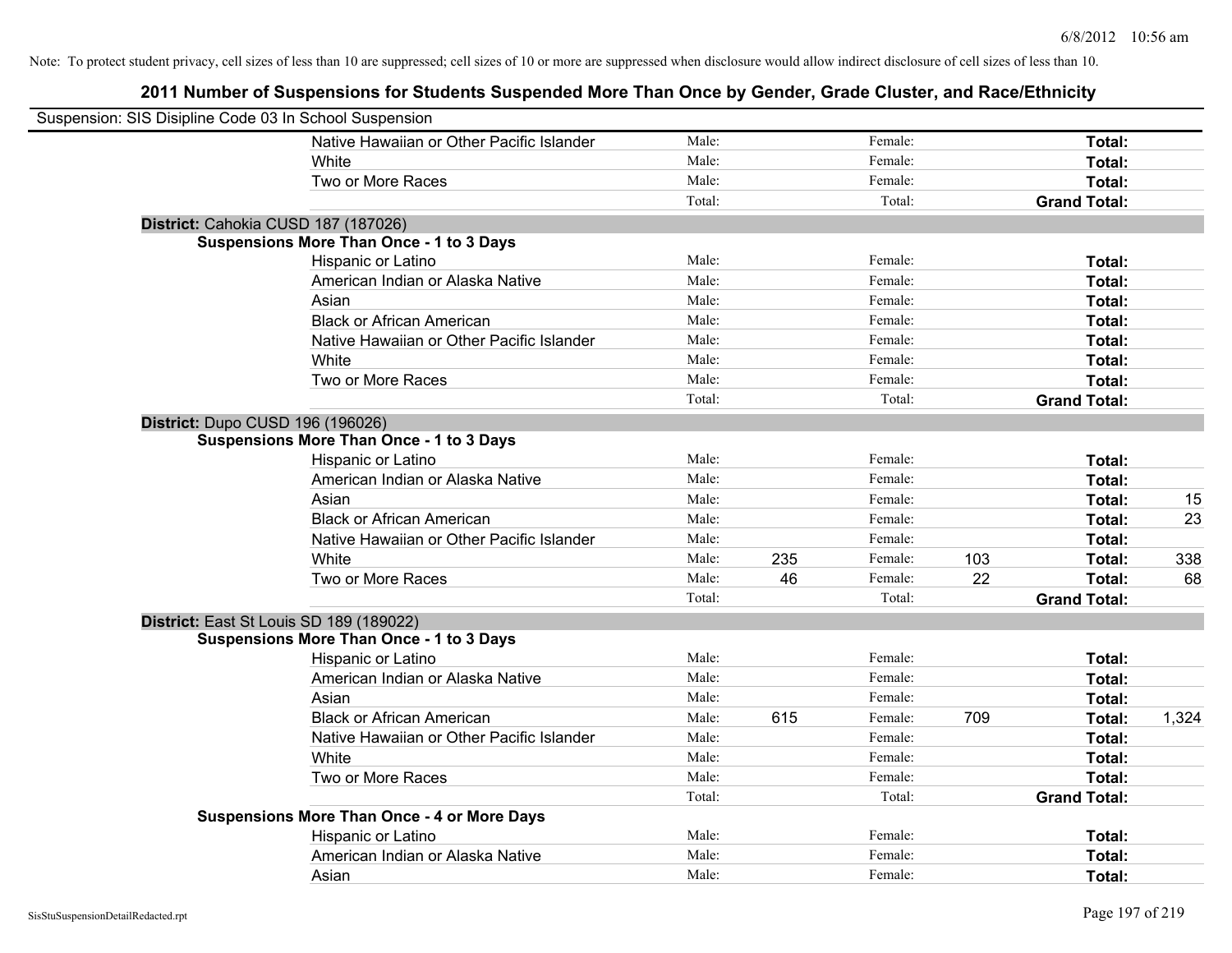| Suspension: SIS Disipline Code 03 In School Suspension |                                                        |        |     |                    |     |                     |       |
|--------------------------------------------------------|--------------------------------------------------------|--------|-----|--------------------|-----|---------------------|-------|
|                                                        | Native Hawaiian or Other Pacific Islander              | Male:  |     | Female:            |     | Total:              |       |
|                                                        | White                                                  | Male:  |     | Female:            |     | Total:              |       |
|                                                        | Two or More Races                                      | Male:  |     | Female:            |     | Total:              |       |
|                                                        |                                                        | Total: |     | Total:             |     | <b>Grand Total:</b> |       |
| District: Cahokia CUSD 187 (187026)                    |                                                        |        |     |                    |     |                     |       |
|                                                        | <b>Suspensions More Than Once - 1 to 3 Days</b>        |        |     |                    |     |                     |       |
|                                                        | Hispanic or Latino                                     | Male:  |     | Female:            |     | Total:              |       |
|                                                        | American Indian or Alaska Native                       | Male:  |     | Female:            |     | Total:              |       |
|                                                        | Asian                                                  | Male:  |     | Female:            |     | Total:              |       |
|                                                        | <b>Black or African American</b>                       | Male:  |     | Female:            |     | Total:              |       |
|                                                        | Native Hawaiian or Other Pacific Islander              | Male:  |     | Female:            |     | Total:              |       |
|                                                        | White                                                  | Male:  |     | Female:            |     | Total:              |       |
|                                                        | Two or More Races                                      | Male:  |     | Female:            |     | Total:              |       |
|                                                        |                                                        | Total: |     | Total:             |     | <b>Grand Total:</b> |       |
| District: Dupo CUSD 196 (196026)                       |                                                        |        |     |                    |     |                     |       |
|                                                        | <b>Suspensions More Than Once - 1 to 3 Days</b>        |        |     |                    |     |                     |       |
|                                                        | Hispanic or Latino                                     | Male:  |     | Female:            |     | Total:              |       |
|                                                        | American Indian or Alaska Native                       | Male:  |     | Female:            |     | Total:              |       |
|                                                        | Asian                                                  | Male:  |     | Female:            |     | Total:              | 15    |
|                                                        | <b>Black or African American</b>                       | Male:  |     | Female:            |     | Total:              | 23    |
|                                                        | Native Hawaiian or Other Pacific Islander              | Male:  |     | Female:            |     | Total:              |       |
|                                                        | White                                                  | Male:  | 235 | Female:            | 103 | Total:              | 338   |
|                                                        | Two or More Races                                      | Male:  | 46  | Female:            | 22  | Total:              | 68    |
|                                                        |                                                        | Total: |     | Total:             |     | <b>Grand Total:</b> |       |
| District: East St Louis SD 189 (189022)                |                                                        |        |     |                    |     |                     |       |
|                                                        | <b>Suspensions More Than Once - 1 to 3 Days</b>        |        |     |                    |     |                     |       |
|                                                        | Hispanic or Latino                                     | Male:  |     | Female:            |     | Total:              |       |
|                                                        | American Indian or Alaska Native                       | Male:  |     | Female:            |     | Total:              |       |
|                                                        | Asian                                                  | Male:  |     | Female:            |     | Total:              |       |
|                                                        | <b>Black or African American</b>                       | Male:  | 615 | Female:            | 709 | Total:              | 1,324 |
|                                                        | Native Hawaiian or Other Pacific Islander              | Male:  |     | Female:            |     | Total:              |       |
|                                                        | White                                                  | Male:  |     | Female:            |     | Total:              |       |
|                                                        | Two or More Races                                      | Male:  |     | Female:            |     | Total:              |       |
|                                                        |                                                        | Total: |     | Total:             |     | <b>Grand Total:</b> |       |
|                                                        | <b>Suspensions More Than Once - 4 or More Days</b>     | Male:  |     |                    |     |                     |       |
|                                                        | Hispanic or Latino<br>American Indian or Alaska Native | Male:  |     | Female:<br>Female: |     | Total:              |       |
|                                                        |                                                        | Male:  |     |                    |     | Total:              |       |
|                                                        | Asian                                                  |        |     | Female:            |     | Total:              |       |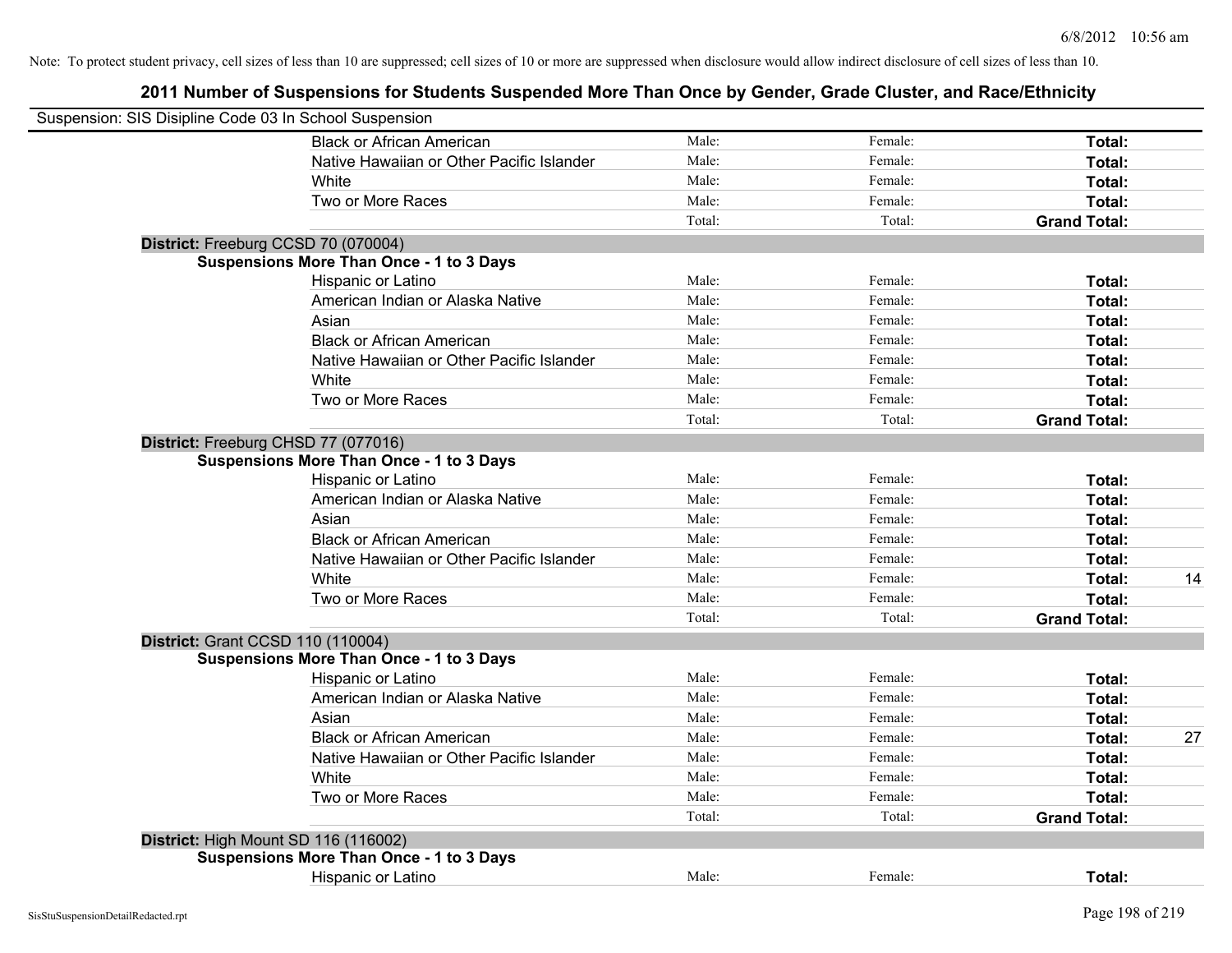| Suspension: SIS Disipline Code 03 In School Suspension |                                                 |        |         |                     |    |
|--------------------------------------------------------|-------------------------------------------------|--------|---------|---------------------|----|
|                                                        | <b>Black or African American</b>                | Male:  | Female: | Total:              |    |
|                                                        | Native Hawaiian or Other Pacific Islander       | Male:  | Female: | Total:              |    |
|                                                        | White                                           | Male:  | Female: | Total:              |    |
|                                                        | Two or More Races                               | Male:  | Female: | Total:              |    |
|                                                        |                                                 | Total: | Total:  | <b>Grand Total:</b> |    |
|                                                        | District: Freeburg CCSD 70 (070004)             |        |         |                     |    |
|                                                        | <b>Suspensions More Than Once - 1 to 3 Days</b> |        |         |                     |    |
|                                                        | Hispanic or Latino                              | Male:  | Female: | Total:              |    |
|                                                        | American Indian or Alaska Native                | Male:  | Female: | Total:              |    |
|                                                        | Asian                                           | Male:  | Female: | Total:              |    |
|                                                        | <b>Black or African American</b>                | Male:  | Female: | Total:              |    |
|                                                        | Native Hawaiian or Other Pacific Islander       | Male:  | Female: | Total:              |    |
|                                                        | White                                           | Male:  | Female: | Total:              |    |
|                                                        | Two or More Races                               | Male:  | Female: | Total:              |    |
|                                                        |                                                 | Total: | Total:  | <b>Grand Total:</b> |    |
|                                                        | District: Freeburg CHSD 77 (077016)             |        |         |                     |    |
|                                                        | <b>Suspensions More Than Once - 1 to 3 Days</b> |        |         |                     |    |
|                                                        | Hispanic or Latino                              | Male:  | Female: | Total:              |    |
|                                                        | American Indian or Alaska Native                | Male:  | Female: | Total:              |    |
|                                                        | Asian                                           | Male:  | Female: | Total:              |    |
|                                                        | <b>Black or African American</b>                | Male:  | Female: | Total:              |    |
|                                                        | Native Hawaiian or Other Pacific Islander       | Male:  | Female: | Total:              |    |
|                                                        | <b>White</b>                                    | Male:  | Female: | Total:              | 14 |
|                                                        | Two or More Races                               | Male:  | Female: | Total:              |    |
|                                                        |                                                 | Total: | Total:  | <b>Grand Total:</b> |    |
|                                                        | <b>District: Grant CCSD 110 (110004)</b>        |        |         |                     |    |
|                                                        | <b>Suspensions More Than Once - 1 to 3 Days</b> |        |         |                     |    |
|                                                        | Hispanic or Latino                              | Male:  | Female: | Total:              |    |
|                                                        | American Indian or Alaska Native                | Male:  | Female: | Total:              |    |
|                                                        | Asian                                           | Male:  | Female: | Total:              |    |
|                                                        | <b>Black or African American</b>                | Male:  | Female: | Total:              | 27 |
|                                                        | Native Hawaiian or Other Pacific Islander       | Male:  | Female: | Total:              |    |
|                                                        | <b>White</b>                                    | Male:  | Female: | Total:              |    |
|                                                        | Two or More Races                               | Male:  | Female: | Total:              |    |
|                                                        |                                                 | Total: | Total:  | <b>Grand Total:</b> |    |
|                                                        | District: High Mount SD 116 (116002)            |        |         |                     |    |
|                                                        | <b>Suspensions More Than Once - 1 to 3 Days</b> |        |         |                     |    |
|                                                        | Hispanic or Latino                              | Male:  | Female: | Total:              |    |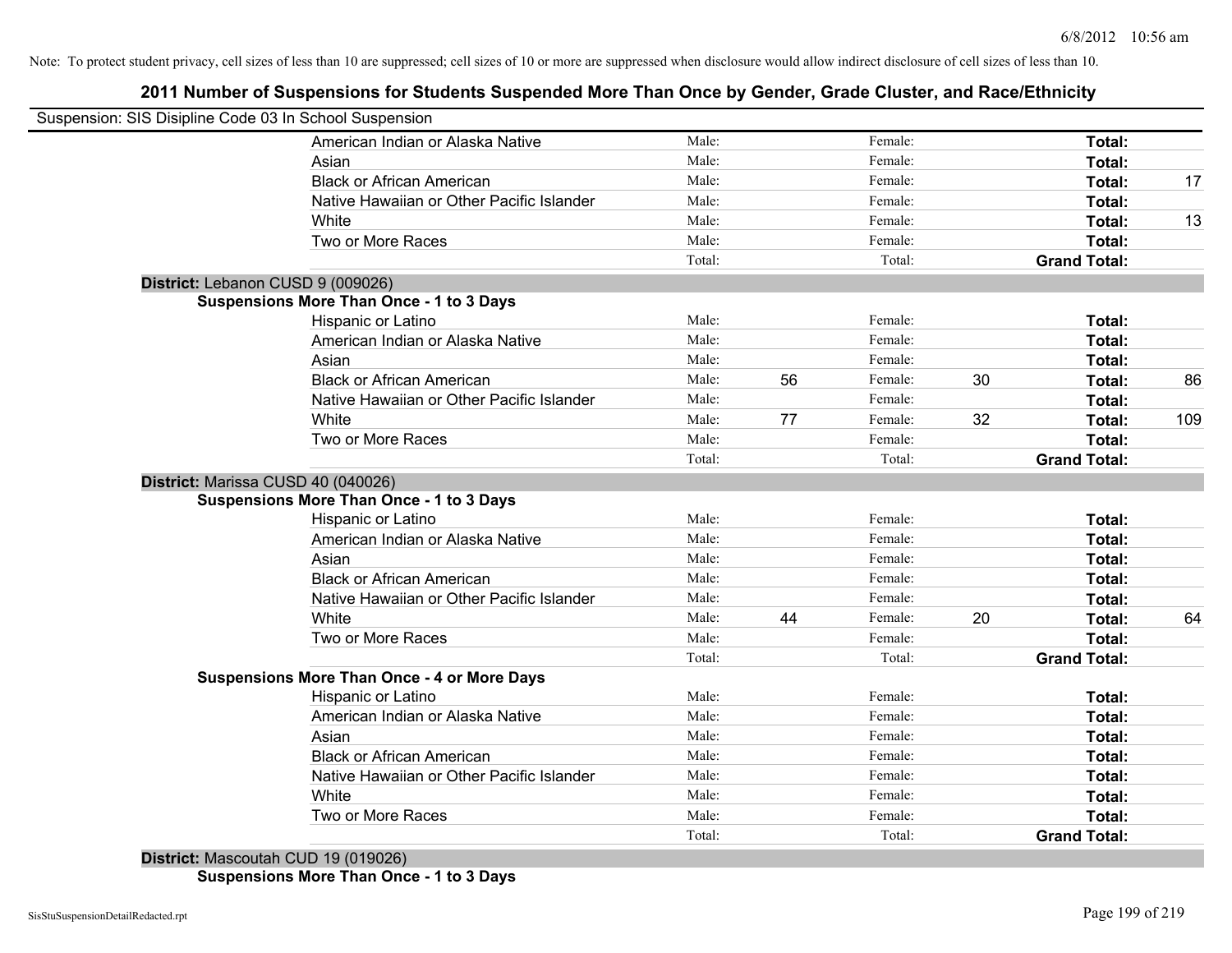## **2011 Number of Suspensions for Students Suspended More Than Once by Gender, Grade Cluster, and Race/Ethnicity**

| Suspension: SIS Disipline Code 03 In School Suspension |        |    |         |    |                     |     |
|--------------------------------------------------------|--------|----|---------|----|---------------------|-----|
| American Indian or Alaska Native                       | Male:  |    | Female: |    | Total:              |     |
| Asian                                                  | Male:  |    | Female: |    | Total:              |     |
| <b>Black or African American</b>                       | Male:  |    | Female: |    | Total:              | 17  |
| Native Hawaiian or Other Pacific Islander              | Male:  |    | Female: |    | Total:              |     |
| White                                                  | Male:  |    | Female: |    | Total:              | 13  |
| Two or More Races                                      | Male:  |    | Female: |    | Total:              |     |
|                                                        | Total: |    | Total:  |    | <b>Grand Total:</b> |     |
| District: Lebanon CUSD 9 (009026)                      |        |    |         |    |                     |     |
| <b>Suspensions More Than Once - 1 to 3 Days</b>        |        |    |         |    |                     |     |
| Hispanic or Latino                                     | Male:  |    | Female: |    | Total:              |     |
| American Indian or Alaska Native                       | Male:  |    | Female: |    | Total:              |     |
| Asian                                                  | Male:  |    | Female: |    | Total:              |     |
| <b>Black or African American</b>                       | Male:  | 56 | Female: | 30 | Total:              | 86  |
| Native Hawaiian or Other Pacific Islander              | Male:  |    | Female: |    | Total:              |     |
| White                                                  | Male:  | 77 | Female: | 32 | Total:              | 109 |
| Two or More Races                                      | Male:  |    | Female: |    | Total:              |     |
|                                                        | Total: |    | Total:  |    | <b>Grand Total:</b> |     |
| District: Marissa CUSD 40 (040026)                     |        |    |         |    |                     |     |
| <b>Suspensions More Than Once - 1 to 3 Days</b>        |        |    |         |    |                     |     |
| <b>Hispanic or Latino</b>                              | Male:  |    | Female: |    | Total:              |     |
| American Indian or Alaska Native                       | Male:  |    | Female: |    | Total:              |     |
| Asian                                                  | Male:  |    | Female: |    | Total:              |     |
| <b>Black or African American</b>                       | Male:  |    | Female: |    | Total:              |     |
| Native Hawaiian or Other Pacific Islander              | Male:  |    | Female: |    | Total:              |     |
| White                                                  | Male:  | 44 | Female: | 20 | <b>Total:</b>       | 64  |
| Two or More Races                                      | Male:  |    | Female: |    | Total:              |     |
|                                                        | Total: |    | Total:  |    | <b>Grand Total:</b> |     |
| <b>Suspensions More Than Once - 4 or More Days</b>     |        |    |         |    |                     |     |
| Hispanic or Latino                                     | Male:  |    | Female: |    | Total:              |     |
| American Indian or Alaska Native                       | Male:  |    | Female: |    | Total:              |     |
| Asian                                                  | Male:  |    | Female: |    | Total:              |     |
| <b>Black or African American</b>                       | Male:  |    | Female: |    | Total:              |     |
| Native Hawaiian or Other Pacific Islander              | Male:  |    | Female: |    | Total:              |     |
| White                                                  | Male:  |    | Female: |    | Total:              |     |
| Two or More Races                                      | Male:  |    | Female: |    | Total:              |     |
|                                                        | Total: |    | Total:  |    | <b>Grand Total:</b> |     |

**District:** Mascoutah CUD 19 (019026) **Suspensions More Than Once - 1 to 3 Days**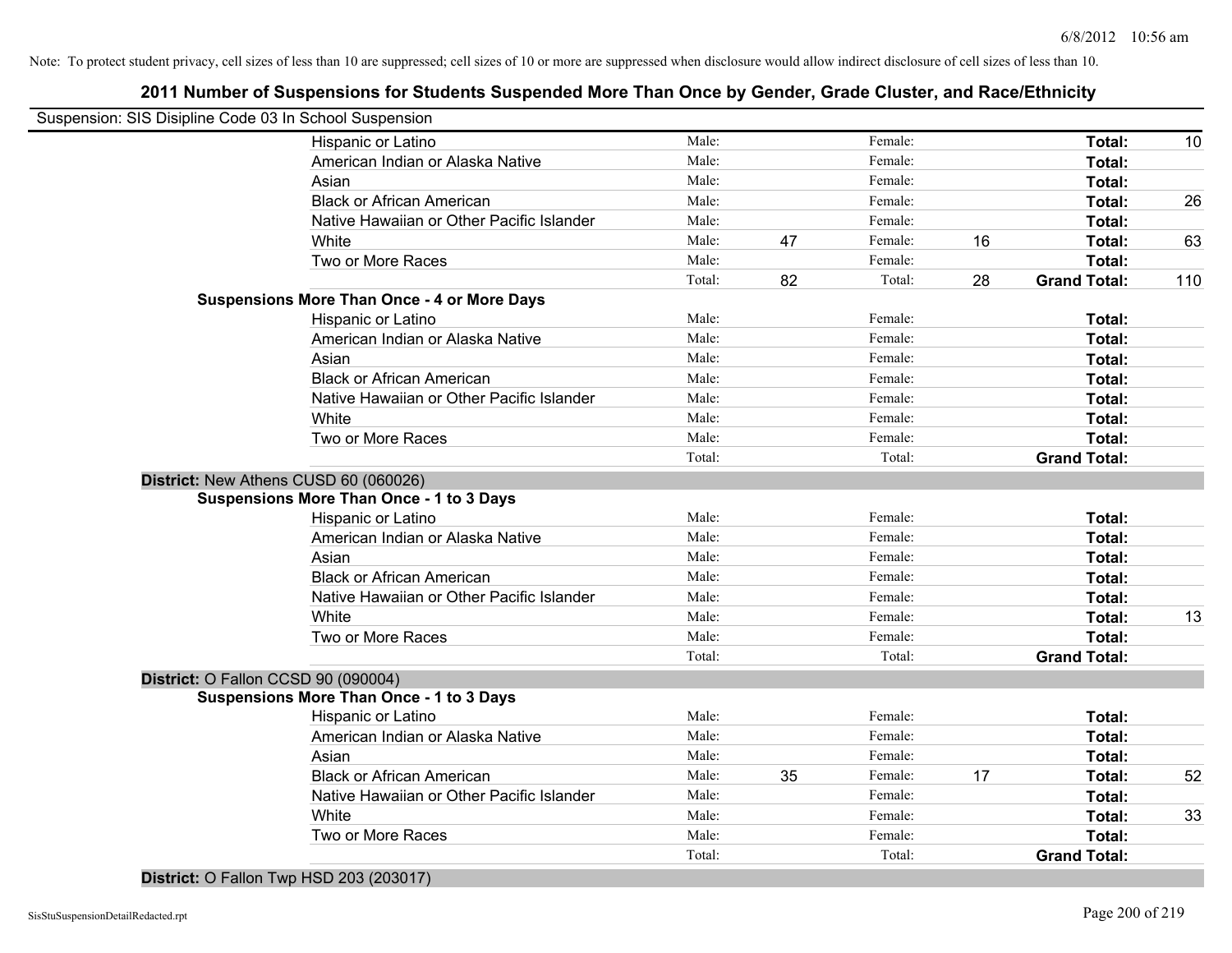## **2011 Number of Suspensions for Students Suspended More Than Once by Gender, Grade Cluster, and Race/Ethnicity**

| Total:<br>Total:<br>Total:<br>Total:<br>Total:<br>Total:<br>Total:<br><b>Grand Total:</b><br>Total:<br>Total:<br>Total:<br>Total:<br>Total:<br>Total:<br>Total: |                     |
|-----------------------------------------------------------------------------------------------------------------------------------------------------------------|---------------------|
|                                                                                                                                                                 | 10                  |
|                                                                                                                                                                 | 26<br>63<br>110     |
|                                                                                                                                                                 |                     |
|                                                                                                                                                                 |                     |
|                                                                                                                                                                 |                     |
|                                                                                                                                                                 |                     |
|                                                                                                                                                                 |                     |
|                                                                                                                                                                 |                     |
|                                                                                                                                                                 |                     |
|                                                                                                                                                                 |                     |
|                                                                                                                                                                 |                     |
|                                                                                                                                                                 |                     |
|                                                                                                                                                                 |                     |
|                                                                                                                                                                 |                     |
|                                                                                                                                                                 |                     |
|                                                                                                                                                                 |                     |
|                                                                                                                                                                 |                     |
| <b>Grand Total:</b>                                                                                                                                             |                     |
|                                                                                                                                                                 |                     |
|                                                                                                                                                                 |                     |
| Total:                                                                                                                                                          |                     |
| Total:                                                                                                                                                          |                     |
| Total:                                                                                                                                                          |                     |
| Total:                                                                                                                                                          |                     |
| Total:                                                                                                                                                          |                     |
| Total:                                                                                                                                                          | 13                  |
| <b>Total:</b>                                                                                                                                                   |                     |
| <b>Grand Total:</b>                                                                                                                                             |                     |
|                                                                                                                                                                 |                     |
|                                                                                                                                                                 |                     |
| Total:                                                                                                                                                          |                     |
| Total:                                                                                                                                                          |                     |
| Total:                                                                                                                                                          |                     |
| Total:                                                                                                                                                          | 52                  |
|                                                                                                                                                                 |                     |
| Total:                                                                                                                                                          | 33                  |
| Total:                                                                                                                                                          |                     |
| Total:                                                                                                                                                          |                     |
|                                                                                                                                                                 | <b>Grand Total:</b> |

**District:** O Fallon Twp HSD 203 (203017)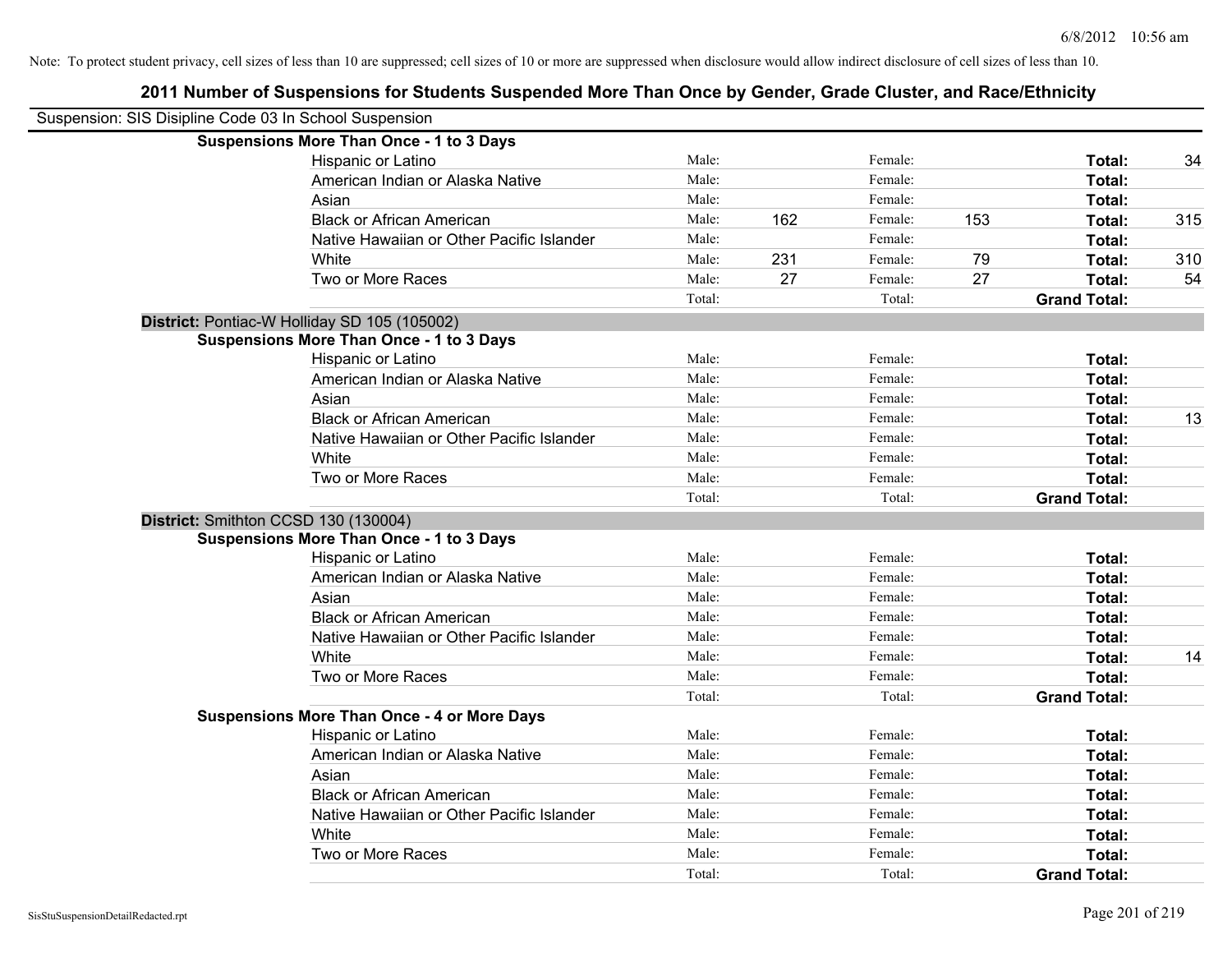| Suspension: SIS Disipline Code 03 In School Suspension |                                                    |        |     |         |     |                     |     |
|--------------------------------------------------------|----------------------------------------------------|--------|-----|---------|-----|---------------------|-----|
|                                                        | <b>Suspensions More Than Once - 1 to 3 Days</b>    |        |     |         |     |                     |     |
|                                                        | Hispanic or Latino                                 | Male:  |     | Female: |     | Total:              | 34  |
|                                                        | American Indian or Alaska Native                   | Male:  |     | Female: |     | Total:              |     |
|                                                        | Asian                                              | Male:  |     | Female: |     | Total:              |     |
|                                                        | <b>Black or African American</b>                   | Male:  | 162 | Female: | 153 | Total:              | 315 |
|                                                        | Native Hawaiian or Other Pacific Islander          | Male:  |     | Female: |     | Total:              |     |
|                                                        | White                                              | Male:  | 231 | Female: | 79  | Total:              | 310 |
|                                                        | Two or More Races                                  | Male:  | 27  | Female: | 27  | Total:              | 54  |
|                                                        |                                                    | Total: |     | Total:  |     | <b>Grand Total:</b> |     |
|                                                        | District: Pontiac-W Holliday SD 105 (105002)       |        |     |         |     |                     |     |
|                                                        | <b>Suspensions More Than Once - 1 to 3 Days</b>    |        |     |         |     |                     |     |
|                                                        | Hispanic or Latino                                 | Male:  |     | Female: |     | Total:              |     |
|                                                        | American Indian or Alaska Native                   | Male:  |     | Female: |     | Total:              |     |
|                                                        | Asian                                              | Male:  |     | Female: |     | Total:              |     |
|                                                        | <b>Black or African American</b>                   | Male:  |     | Female: |     | Total:              | 13  |
|                                                        | Native Hawaiian or Other Pacific Islander          | Male:  |     | Female: |     | Total:              |     |
|                                                        | White                                              | Male:  |     | Female: |     | Total:              |     |
|                                                        | Two or More Races                                  | Male:  |     | Female: |     | Total:              |     |
|                                                        |                                                    | Total: |     | Total:  |     | <b>Grand Total:</b> |     |
|                                                        | District: Smithton CCSD 130 (130004)               |        |     |         |     |                     |     |
|                                                        | <b>Suspensions More Than Once - 1 to 3 Days</b>    |        |     |         |     |                     |     |
|                                                        | Hispanic or Latino                                 | Male:  |     | Female: |     | Total:              |     |
|                                                        | American Indian or Alaska Native                   | Male:  |     | Female: |     | Total:              |     |
|                                                        | Asian                                              | Male:  |     | Female: |     | Total:              |     |
|                                                        | <b>Black or African American</b>                   | Male:  |     | Female: |     | Total:              |     |
|                                                        | Native Hawaiian or Other Pacific Islander          | Male:  |     | Female: |     | Total:              |     |
|                                                        | White                                              | Male:  |     | Female: |     | Total:              | 14  |
|                                                        | Two or More Races                                  | Male:  |     | Female: |     | <b>Total:</b>       |     |
|                                                        |                                                    | Total: |     | Total:  |     | <b>Grand Total:</b> |     |
|                                                        | <b>Suspensions More Than Once - 4 or More Days</b> |        |     |         |     |                     |     |
|                                                        | Hispanic or Latino                                 | Male:  |     | Female: |     | Total:              |     |
|                                                        | American Indian or Alaska Native                   | Male:  |     | Female: |     | Total:              |     |
|                                                        | Asian                                              | Male:  |     | Female: |     | Total:              |     |
|                                                        | <b>Black or African American</b>                   | Male:  |     | Female: |     | Total:              |     |
|                                                        | Native Hawaiian or Other Pacific Islander          | Male:  |     | Female: |     | Total:              |     |
|                                                        | White                                              | Male:  |     | Female: |     | Total:              |     |
|                                                        | Two or More Races                                  | Male:  |     | Female: |     | <b>Total:</b>       |     |
|                                                        |                                                    | Total: |     | Total:  |     | <b>Grand Total:</b> |     |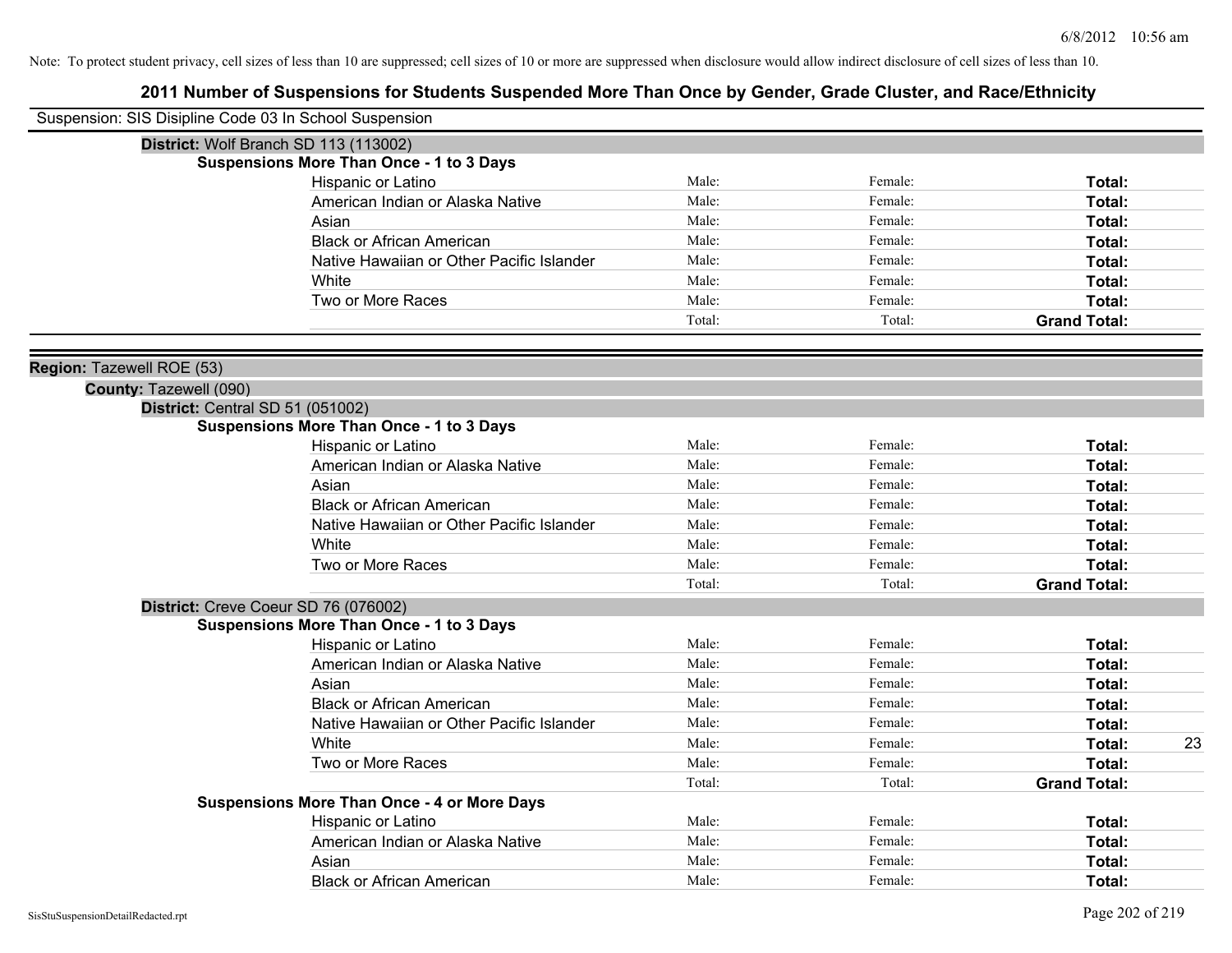| Suspension: SIS Disipline Code 03 In School Suspension |                                                    |        |         |                     |    |
|--------------------------------------------------------|----------------------------------------------------|--------|---------|---------------------|----|
|                                                        | District: Wolf Branch SD 113 (113002)              |        |         |                     |    |
|                                                        | <b>Suspensions More Than Once - 1 to 3 Days</b>    |        |         |                     |    |
|                                                        | Hispanic or Latino                                 | Male:  | Female: | Total:              |    |
|                                                        | American Indian or Alaska Native                   | Male:  | Female: | <b>Total:</b>       |    |
|                                                        | Asian                                              | Male:  | Female: | <b>Total:</b>       |    |
|                                                        | <b>Black or African American</b>                   | Male:  | Female: | <b>Total:</b>       |    |
|                                                        | Native Hawaiian or Other Pacific Islander          | Male:  | Female: | Total:              |    |
|                                                        | White                                              | Male:  | Female: | Total:              |    |
|                                                        | Two or More Races                                  | Male:  | Female: | Total:              |    |
|                                                        |                                                    | Total: | Total:  | <b>Grand Total:</b> |    |
| Region: Tazewell ROE (53)                              |                                                    |        |         |                     |    |
| County: Tazewell (090)                                 |                                                    |        |         |                     |    |
| District: Central SD 51 (051002)                       |                                                    |        |         |                     |    |
|                                                        | <b>Suspensions More Than Once - 1 to 3 Days</b>    |        |         |                     |    |
|                                                        | Hispanic or Latino                                 | Male:  | Female: | Total:              |    |
|                                                        | American Indian or Alaska Native                   | Male:  | Female: | Total:              |    |
|                                                        | Asian                                              | Male:  | Female: | <b>Total:</b>       |    |
|                                                        | <b>Black or African American</b>                   | Male:  | Female: | <b>Total:</b>       |    |
|                                                        | Native Hawaiian or Other Pacific Islander          | Male:  | Female: | Total:              |    |
|                                                        | White                                              | Male:  | Female: | Total:              |    |
|                                                        | Two or More Races                                  | Male:  | Female: | Total:              |    |
|                                                        |                                                    | Total: | Total:  | <b>Grand Total:</b> |    |
|                                                        | District: Creve Coeur SD 76 (076002)               |        |         |                     |    |
|                                                        | <b>Suspensions More Than Once - 1 to 3 Days</b>    |        |         |                     |    |
|                                                        | Hispanic or Latino                                 | Male:  | Female: | <b>Total:</b>       |    |
|                                                        | American Indian or Alaska Native                   | Male:  | Female: | <b>Total:</b>       |    |
|                                                        | Asian                                              | Male:  | Female: | Total:              |    |
|                                                        | <b>Black or African American</b>                   | Male:  | Female: | Total:              |    |
|                                                        | Native Hawaiian or Other Pacific Islander          | Male:  | Female: | Total:              |    |
|                                                        | White                                              | Male:  | Female: | Total:              | 23 |
|                                                        | Two or More Races                                  | Male:  | Female: | Total:              |    |
|                                                        |                                                    | Total: | Total:  | <b>Grand Total:</b> |    |
|                                                        | <b>Suspensions More Than Once - 4 or More Days</b> |        |         |                     |    |
|                                                        | Hispanic or Latino                                 | Male:  | Female: | Total:              |    |
|                                                        | American Indian or Alaska Native                   | Male:  | Female: | Total:              |    |
|                                                        | Asian                                              | Male:  | Female: | <b>Total:</b>       |    |
|                                                        | <b>Black or African American</b>                   | Male:  | Female: | Total:              |    |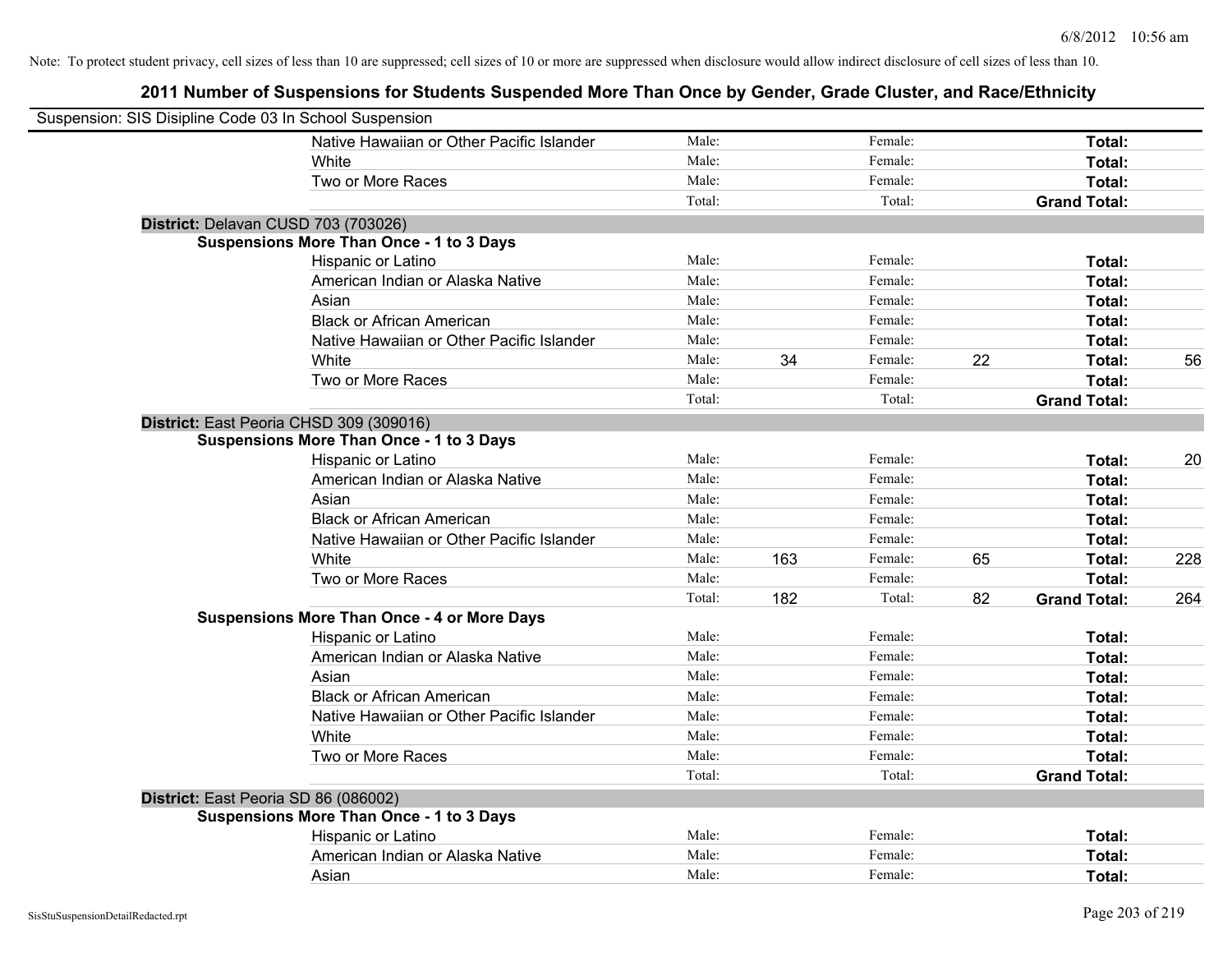| Suspension: SIS Disipline Code 03 In School Suspension |                                                    |        |     |         |    |                     |     |
|--------------------------------------------------------|----------------------------------------------------|--------|-----|---------|----|---------------------|-----|
|                                                        | Native Hawaiian or Other Pacific Islander          | Male:  |     | Female: |    | Total:              |     |
|                                                        | White                                              | Male:  |     | Female: |    | Total:              |     |
|                                                        | Two or More Races                                  | Male:  |     | Female: |    | Total:              |     |
|                                                        |                                                    | Total: |     | Total:  |    | <b>Grand Total:</b> |     |
| District: Delavan CUSD 703 (703026)                    |                                                    |        |     |         |    |                     |     |
|                                                        | <b>Suspensions More Than Once - 1 to 3 Days</b>    |        |     |         |    |                     |     |
|                                                        | Hispanic or Latino                                 | Male:  |     | Female: |    | Total:              |     |
|                                                        | American Indian or Alaska Native                   | Male:  |     | Female: |    | Total:              |     |
|                                                        | Asian                                              | Male:  |     | Female: |    | Total:              |     |
|                                                        | <b>Black or African American</b>                   | Male:  |     | Female: |    | Total:              |     |
|                                                        | Native Hawaiian or Other Pacific Islander          | Male:  |     | Female: |    | Total:              |     |
|                                                        | White                                              | Male:  | 34  | Female: | 22 | Total:              | 56  |
|                                                        | Two or More Races                                  | Male:  |     | Female: |    | Total:              |     |
|                                                        |                                                    | Total: |     | Total:  |    | <b>Grand Total:</b> |     |
| District: East Peoria CHSD 309 (309016)                |                                                    |        |     |         |    |                     |     |
|                                                        | <b>Suspensions More Than Once - 1 to 3 Days</b>    |        |     |         |    |                     |     |
|                                                        | Hispanic or Latino                                 | Male:  |     | Female: |    | Total:              | 20  |
|                                                        | American Indian or Alaska Native                   | Male:  |     | Female: |    | Total:              |     |
|                                                        | Asian                                              | Male:  |     | Female: |    | Total:              |     |
|                                                        | <b>Black or African American</b>                   | Male:  |     | Female: |    | Total:              |     |
|                                                        | Native Hawaiian or Other Pacific Islander          | Male:  |     | Female: |    | Total:              |     |
|                                                        | White                                              | Male:  | 163 | Female: | 65 | Total:              | 228 |
|                                                        | Two or More Races                                  | Male:  |     | Female: |    | Total:              |     |
|                                                        |                                                    | Total: | 182 | Total:  | 82 | <b>Grand Total:</b> | 264 |
|                                                        | <b>Suspensions More Than Once - 4 or More Days</b> |        |     |         |    |                     |     |
|                                                        | Hispanic or Latino                                 | Male:  |     | Female: |    | Total:              |     |
|                                                        | American Indian or Alaska Native                   | Male:  |     | Female: |    | Total:              |     |
|                                                        | Asian                                              | Male:  |     | Female: |    | Total:              |     |
|                                                        | <b>Black or African American</b>                   | Male:  |     | Female: |    | Total:              |     |
|                                                        | Native Hawaiian or Other Pacific Islander          | Male:  |     | Female: |    | Total:              |     |
|                                                        | White                                              | Male:  |     | Female: |    | Total:              |     |
|                                                        | Two or More Races                                  | Male:  |     | Female: |    | Total:              |     |
|                                                        |                                                    | Total: |     | Total:  |    | <b>Grand Total:</b> |     |
| District: East Peoria SD 86 (086002)                   |                                                    |        |     |         |    |                     |     |
|                                                        | <b>Suspensions More Than Once - 1 to 3 Days</b>    |        |     |         |    |                     |     |
|                                                        | Hispanic or Latino                                 | Male:  |     | Female: |    | Total:              |     |
|                                                        | American Indian or Alaska Native                   | Male:  |     | Female: |    | Total:              |     |
|                                                        | Asian                                              | Male:  |     | Female: |    | Total:              |     |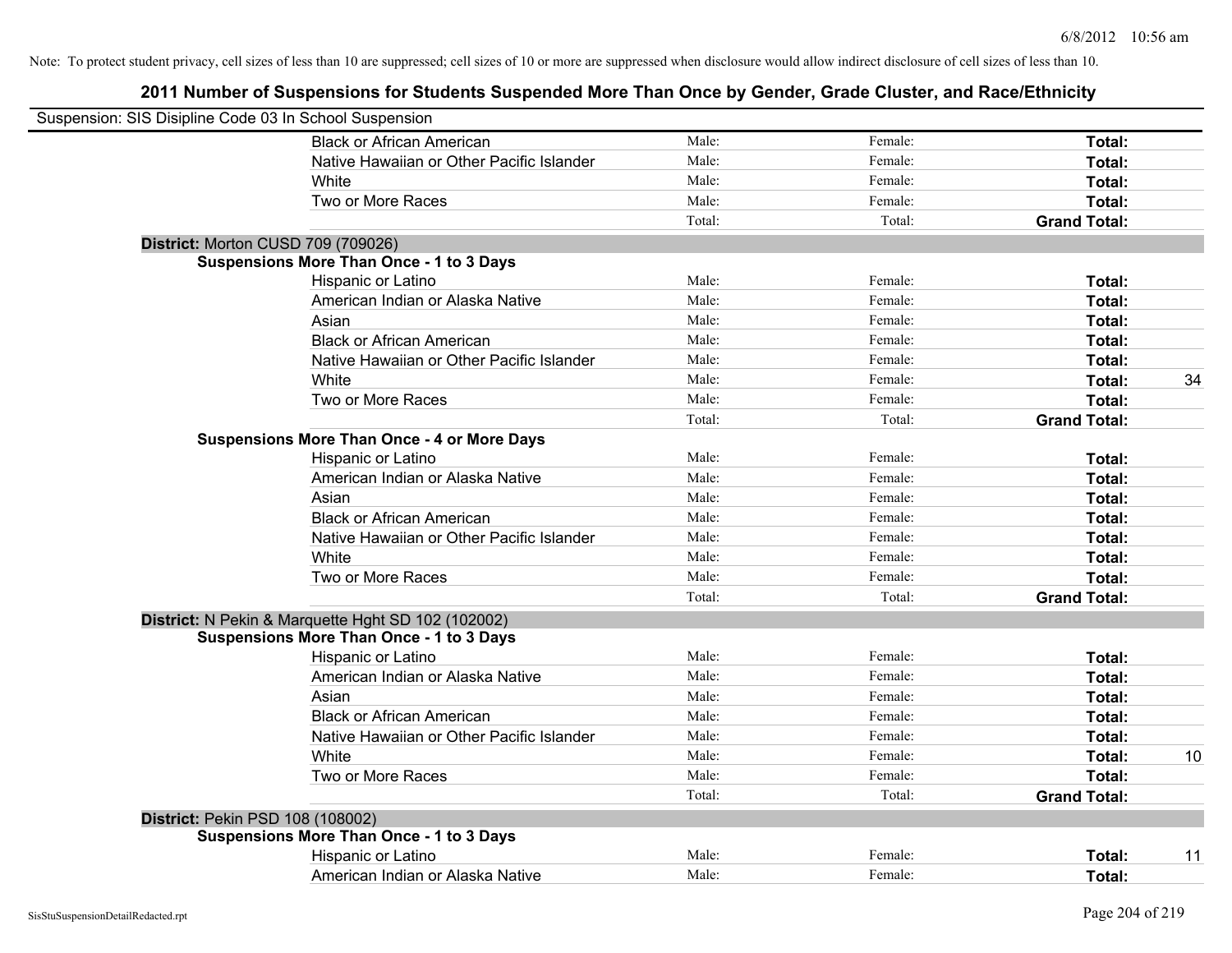| Suspension: SIS Disipline Code 03 In School Suspension |                                                    |        |         |                     |    |
|--------------------------------------------------------|----------------------------------------------------|--------|---------|---------------------|----|
|                                                        | <b>Black or African American</b>                   | Male:  | Female: | Total:              |    |
|                                                        | Native Hawaiian or Other Pacific Islander          | Male:  | Female: | Total:              |    |
|                                                        | White                                              | Male:  | Female: | Total:              |    |
|                                                        | Two or More Races                                  | Male:  | Female: | Total:              |    |
|                                                        |                                                    | Total: | Total:  | <b>Grand Total:</b> |    |
|                                                        | District: Morton CUSD 709 (709026)                 |        |         |                     |    |
|                                                        | <b>Suspensions More Than Once - 1 to 3 Days</b>    |        |         |                     |    |
|                                                        | Hispanic or Latino                                 | Male:  | Female: | Total:              |    |
|                                                        | American Indian or Alaska Native                   | Male:  | Female: | Total:              |    |
|                                                        | Asian                                              | Male:  | Female: | Total:              |    |
|                                                        | <b>Black or African American</b>                   | Male:  | Female: | Total:              |    |
|                                                        | Native Hawaiian or Other Pacific Islander          | Male:  | Female: | Total:              |    |
|                                                        | White                                              | Male:  | Female: | Total:              | 34 |
|                                                        | Two or More Races                                  | Male:  | Female: | Total:              |    |
|                                                        |                                                    | Total: | Total:  | <b>Grand Total:</b> |    |
|                                                        | <b>Suspensions More Than Once - 4 or More Days</b> |        |         |                     |    |
|                                                        | Hispanic or Latino                                 | Male:  | Female: | Total:              |    |
|                                                        | American Indian or Alaska Native                   | Male:  | Female: | Total:              |    |
|                                                        | Asian                                              | Male:  | Female: | Total:              |    |
|                                                        | <b>Black or African American</b>                   | Male:  | Female: | Total:              |    |
|                                                        | Native Hawaiian or Other Pacific Islander          | Male:  | Female: | Total:              |    |
|                                                        | White                                              | Male:  | Female: | Total:              |    |
|                                                        | Two or More Races                                  | Male:  | Female: | Total:              |    |
|                                                        |                                                    | Total: | Total:  | <b>Grand Total:</b> |    |
|                                                        | District: N Pekin & Marquette Hght SD 102 (102002) |        |         |                     |    |
|                                                        | <b>Suspensions More Than Once - 1 to 3 Days</b>    |        |         |                     |    |
|                                                        | Hispanic or Latino                                 | Male:  | Female: | Total:              |    |
|                                                        | American Indian or Alaska Native                   | Male:  | Female: | Total:              |    |
|                                                        | Asian                                              | Male:  | Female: | Total:              |    |
|                                                        | <b>Black or African American</b>                   | Male:  | Female: | Total:              |    |
|                                                        | Native Hawaiian or Other Pacific Islander          | Male:  | Female: | Total:              |    |
|                                                        | White                                              | Male:  | Female: | Total:              | 10 |
|                                                        | Two or More Races                                  | Male:  | Female: | Total:              |    |
|                                                        |                                                    | Total: | Total:  | <b>Grand Total:</b> |    |
| District: Pekin PSD 108 (108002)                       |                                                    |        |         |                     |    |
|                                                        | <b>Suspensions More Than Once - 1 to 3 Days</b>    |        |         |                     |    |
|                                                        | Hispanic or Latino                                 | Male:  | Female: | Total:              | 11 |
|                                                        | American Indian or Alaska Native                   | Male:  | Female: | Total:              |    |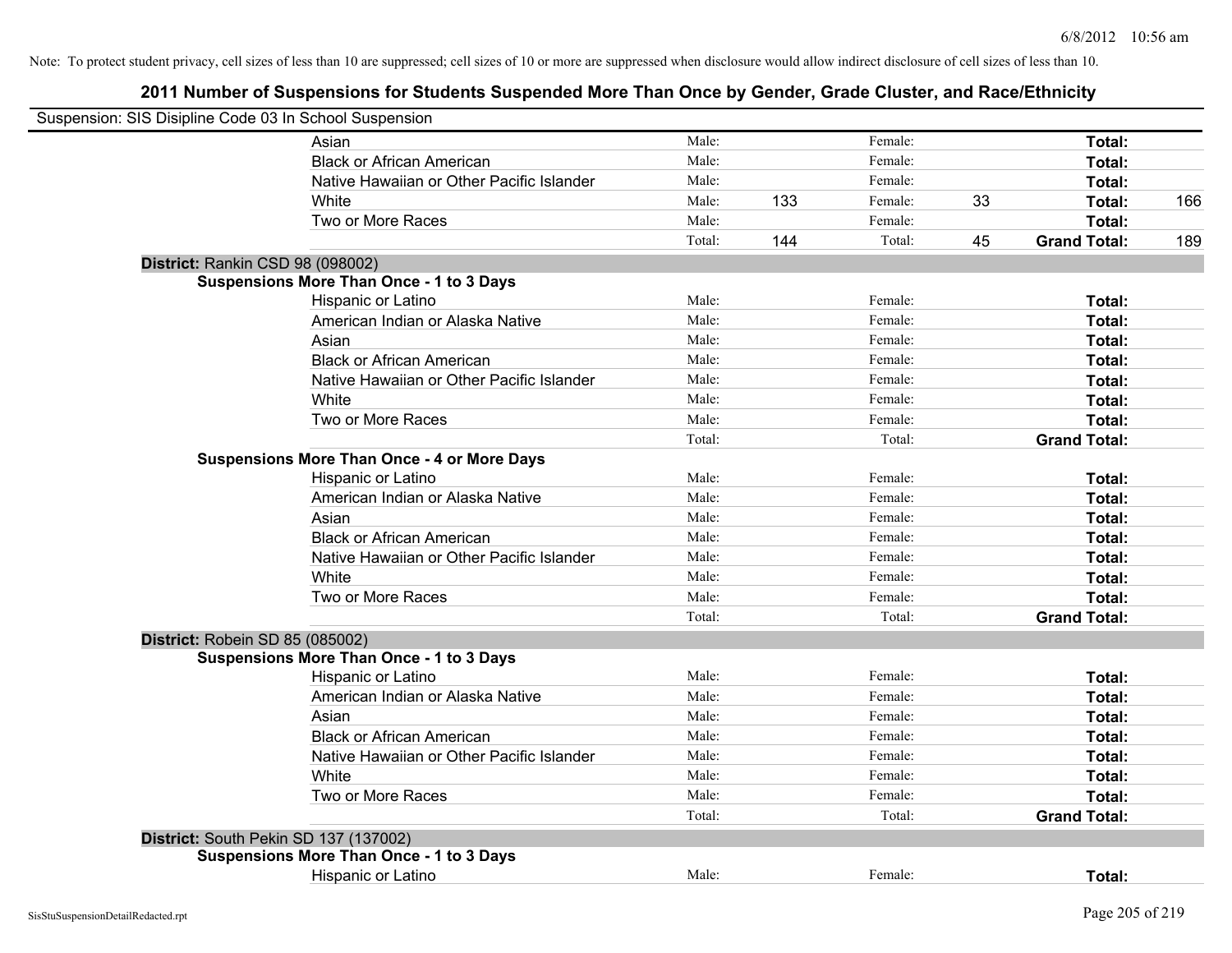| Suspension: SIS Disipline Code 03 In School Suspension |        |                |    |                     |     |
|--------------------------------------------------------|--------|----------------|----|---------------------|-----|
| Asian                                                  | Male:  | Female:        |    | Total:              |     |
| <b>Black or African American</b>                       | Male:  | Female:        |    | Total:              |     |
| Native Hawaiian or Other Pacific Islander              | Male:  | Female:        |    | Total:              |     |
| White                                                  | Male:  | 133<br>Female: | 33 | Total:              | 166 |
| Two or More Races                                      | Male:  | Female:        |    | Total:              |     |
|                                                        | Total: | 144<br>Total:  | 45 | <b>Grand Total:</b> | 189 |
| District: Rankin CSD 98 (098002)                       |        |                |    |                     |     |
| <b>Suspensions More Than Once - 1 to 3 Days</b>        |        |                |    |                     |     |
| Hispanic or Latino                                     | Male:  | Female:        |    | Total:              |     |
| American Indian or Alaska Native                       | Male:  | Female:        |    | Total:              |     |
| Asian                                                  | Male:  | Female:        |    | Total:              |     |
| <b>Black or African American</b>                       | Male:  | Female:        |    | Total:              |     |
| Native Hawaiian or Other Pacific Islander              | Male:  | Female:        |    | Total:              |     |
| White                                                  | Male:  | Female:        |    | Total:              |     |
| Two or More Races                                      | Male:  | Female:        |    | Total:              |     |
|                                                        | Total: | Total:         |    | <b>Grand Total:</b> |     |
| <b>Suspensions More Than Once - 4 or More Days</b>     |        |                |    |                     |     |
| Hispanic or Latino                                     | Male:  | Female:        |    | Total:              |     |
| American Indian or Alaska Native                       | Male:  | Female:        |    | Total:              |     |
| Asian                                                  | Male:  | Female:        |    | Total:              |     |
| <b>Black or African American</b>                       | Male:  | Female:        |    | Total:              |     |
| Native Hawaiian or Other Pacific Islander              | Male:  | Female:        |    | Total:              |     |
| White                                                  | Male:  | Female:        |    | Total:              |     |
| Two or More Races                                      | Male:  | Female:        |    | Total:              |     |
|                                                        | Total: | Total:         |    | <b>Grand Total:</b> |     |
| District: Robein SD 85 (085002)                        |        |                |    |                     |     |
| <b>Suspensions More Than Once - 1 to 3 Days</b>        |        |                |    |                     |     |
| Hispanic or Latino                                     | Male:  | Female:        |    | Total:              |     |
| American Indian or Alaska Native                       | Male:  | Female:        |    | Total:              |     |
| Asian                                                  | Male:  | Female:        |    | Total:              |     |
| <b>Black or African American</b>                       | Male:  | Female:        |    | Total:              |     |
| Native Hawaiian or Other Pacific Islander              | Male:  | Female:        |    | Total:              |     |
| White                                                  | Male:  | Female:        |    | Total:              |     |
| Two or More Races                                      | Male:  | Female:        |    | Total:              |     |
|                                                        | Total: | Total:         |    | <b>Grand Total:</b> |     |
| District: South Pekin SD 137 (137002)                  |        |                |    |                     |     |
| <b>Suspensions More Than Once - 1 to 3 Days</b>        |        |                |    |                     |     |
| Hispanic or Latino                                     | Male:  | Female:        |    | Total:              |     |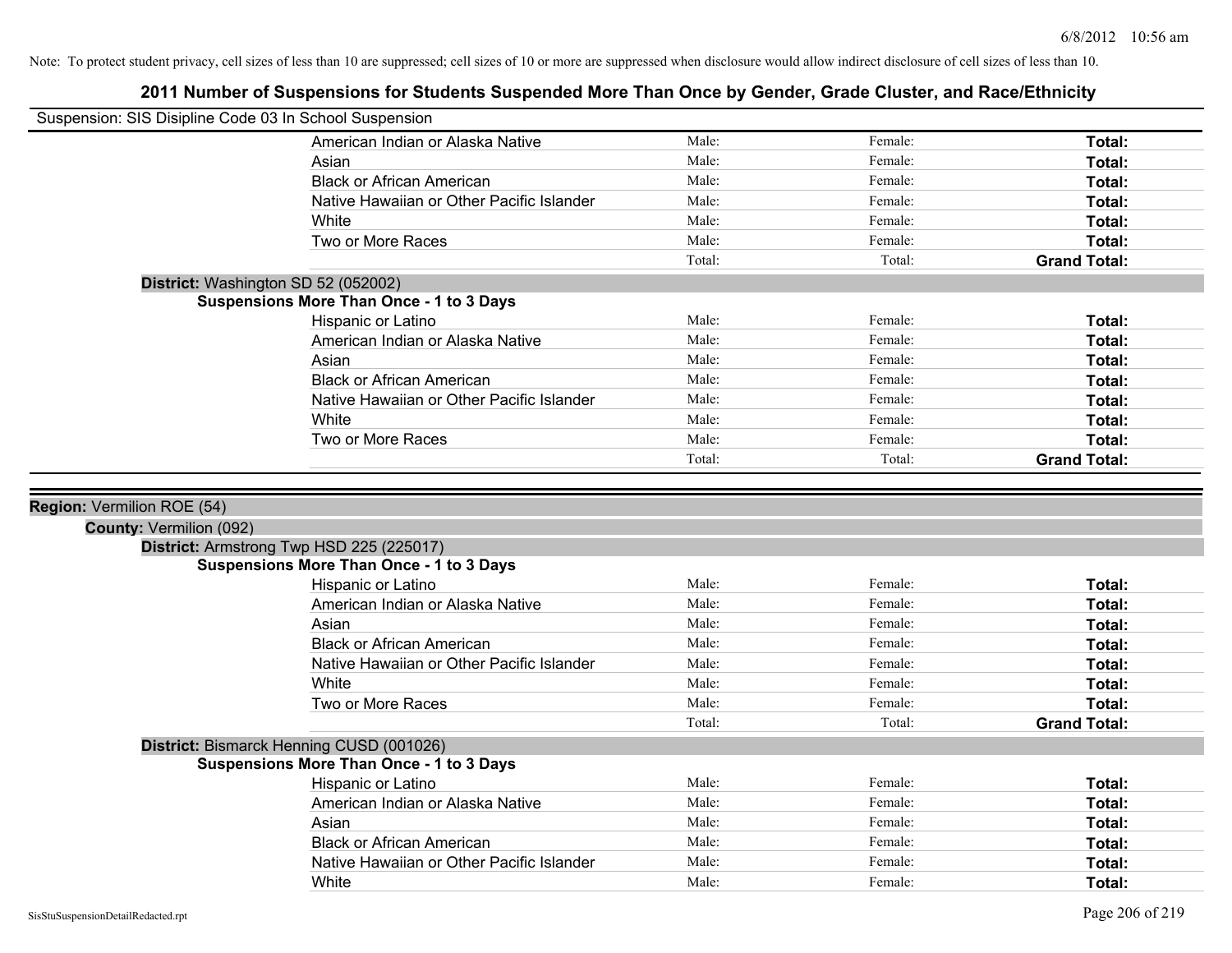| Suspension: SIS Disipline Code 03 In School Suspension |                                                                                             |        |         |                     |
|--------------------------------------------------------|---------------------------------------------------------------------------------------------|--------|---------|---------------------|
|                                                        | American Indian or Alaska Native                                                            | Male:  | Female: | Total:              |
|                                                        | Asian                                                                                       | Male:  | Female: | Total:              |
|                                                        | <b>Black or African American</b>                                                            | Male:  | Female: | Total:              |
|                                                        | Native Hawaiian or Other Pacific Islander                                                   | Male:  | Female: | Total:              |
|                                                        | White                                                                                       | Male:  | Female: | Total:              |
|                                                        | Two or More Races                                                                           | Male:  | Female: | Total:              |
|                                                        |                                                                                             | Total: | Total:  | <b>Grand Total:</b> |
|                                                        | District: Washington SD 52 (052002)                                                         |        |         |                     |
|                                                        | <b>Suspensions More Than Once - 1 to 3 Days</b>                                             |        |         |                     |
|                                                        | Hispanic or Latino                                                                          | Male:  | Female: | Total:              |
|                                                        | American Indian or Alaska Native                                                            | Male:  | Female: | Total:              |
|                                                        | Asian                                                                                       | Male:  | Female: | Total:              |
|                                                        | <b>Black or African American</b>                                                            | Male:  | Female: | Total:              |
|                                                        | Native Hawaiian or Other Pacific Islander                                                   | Male:  | Female: | Total:              |
|                                                        | White                                                                                       | Male:  | Female: | Total:              |
|                                                        | Two or More Races                                                                           | Male:  | Female: | Total:              |
|                                                        |                                                                                             | Total: | Total:  | <b>Grand Total:</b> |
|                                                        |                                                                                             |        |         |                     |
|                                                        |                                                                                             |        |         |                     |
|                                                        |                                                                                             |        |         |                     |
| Region: Vermilion ROE (54)                             |                                                                                             |        |         |                     |
| <b>County: Vermilion (092)</b>                         |                                                                                             |        |         |                     |
|                                                        | District: Armstrong Twp HSD 225 (225017)<br><b>Suspensions More Than Once - 1 to 3 Days</b> |        |         |                     |
|                                                        | Hispanic or Latino                                                                          | Male:  | Female: | Total:              |
|                                                        | American Indian or Alaska Native                                                            | Male:  | Female: | Total:              |
|                                                        | Asian                                                                                       | Male:  | Female: | Total:              |
|                                                        | <b>Black or African American</b>                                                            | Male:  | Female: | Total:              |
|                                                        | Native Hawaiian or Other Pacific Islander                                                   | Male:  | Female: | Total:              |
|                                                        | White                                                                                       | Male:  | Female: | Total:              |
|                                                        | Two or More Races                                                                           | Male:  | Female: | Total:              |
|                                                        |                                                                                             | Total: | Total:  | <b>Grand Total:</b> |
|                                                        |                                                                                             |        |         |                     |
|                                                        | District: Bismarck Henning CUSD (001026)<br><b>Suspensions More Than Once - 1 to 3 Days</b> |        |         |                     |
|                                                        | Hispanic or Latino                                                                          | Male:  | Female: | Total:              |
|                                                        | American Indian or Alaska Native                                                            | Male:  | Female: | Total:              |
|                                                        | Asian                                                                                       | Male:  | Female: | Total:              |
|                                                        | <b>Black or African American</b>                                                            | Male:  | Female: | Total:              |
|                                                        | Native Hawaiian or Other Pacific Islander                                                   | Male:  | Female: | Total:              |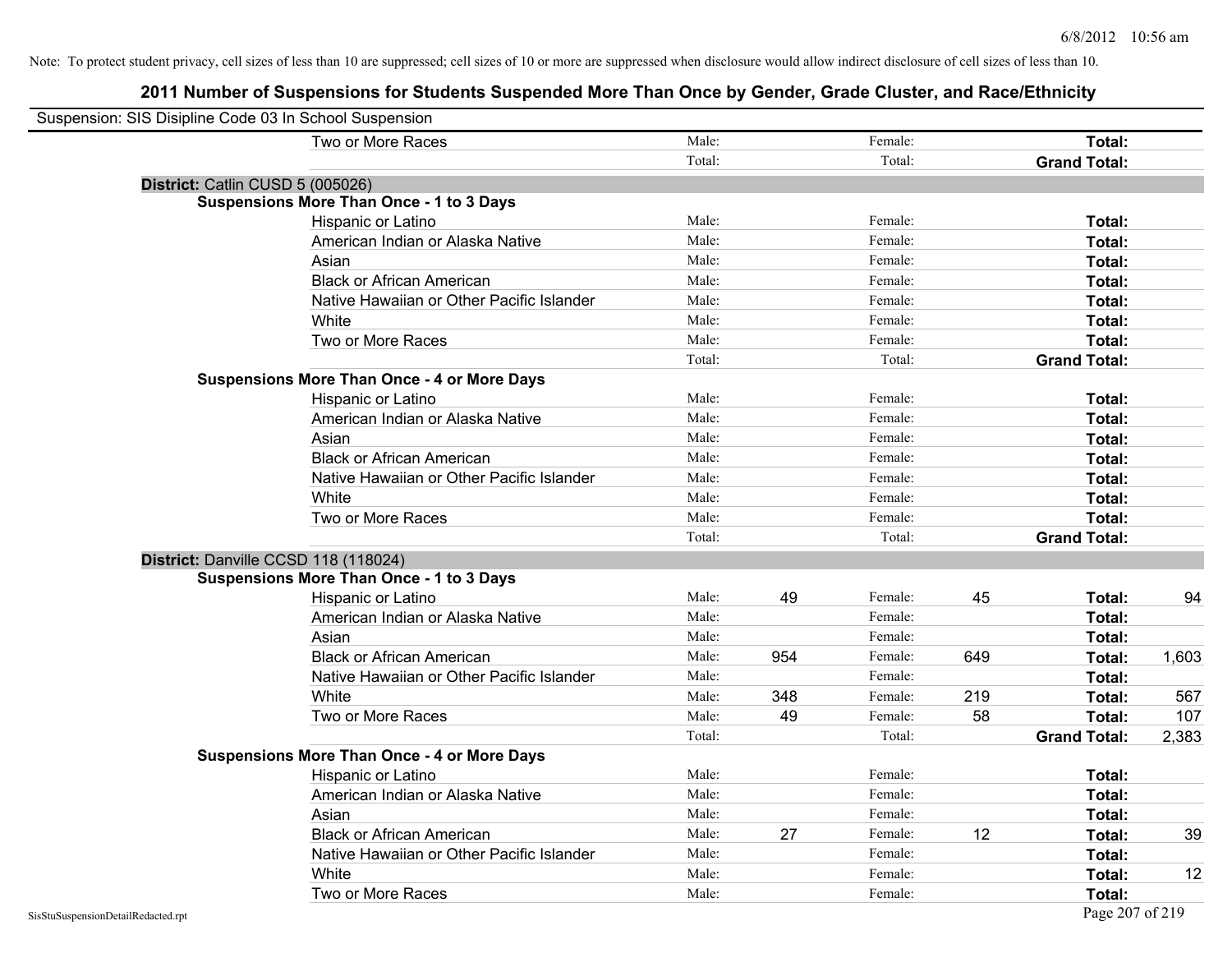|                                    | Suspension: SIS Disipline Code 03 In School Suspension |        |     |         |     |                     |       |
|------------------------------------|--------------------------------------------------------|--------|-----|---------|-----|---------------------|-------|
|                                    | Two or More Races                                      | Male:  |     | Female: |     | Total:              |       |
|                                    |                                                        | Total: |     | Total:  |     | <b>Grand Total:</b> |       |
|                                    | District: Catlin CUSD 5 (005026)                       |        |     |         |     |                     |       |
|                                    | <b>Suspensions More Than Once - 1 to 3 Days</b>        |        |     |         |     |                     |       |
|                                    | Hispanic or Latino                                     | Male:  |     | Female: |     | Total:              |       |
|                                    | American Indian or Alaska Native                       | Male:  |     | Female: |     | Total:              |       |
|                                    | Asian                                                  | Male:  |     | Female: |     | Total:              |       |
|                                    | <b>Black or African American</b>                       | Male:  |     | Female: |     | Total:              |       |
|                                    | Native Hawaiian or Other Pacific Islander              | Male:  |     | Female: |     | Total:              |       |
|                                    | White                                                  | Male:  |     | Female: |     | Total:              |       |
|                                    | Two or More Races                                      | Male:  |     | Female: |     | Total:              |       |
|                                    |                                                        | Total: |     | Total:  |     | <b>Grand Total:</b> |       |
|                                    | <b>Suspensions More Than Once - 4 or More Days</b>     |        |     |         |     |                     |       |
|                                    | Hispanic or Latino                                     | Male:  |     | Female: |     | Total:              |       |
|                                    | American Indian or Alaska Native                       | Male:  |     | Female: |     | Total:              |       |
|                                    | Asian                                                  | Male:  |     | Female: |     | Total:              |       |
|                                    | <b>Black or African American</b>                       | Male:  |     | Female: |     | Total:              |       |
|                                    | Native Hawaiian or Other Pacific Islander              | Male:  |     | Female: |     | Total:              |       |
|                                    | White                                                  | Male:  |     | Female: |     | Total:              |       |
|                                    | Two or More Races                                      | Male:  |     | Female: |     | Total:              |       |
|                                    |                                                        | Total: |     | Total:  |     | <b>Grand Total:</b> |       |
|                                    | District: Danville CCSD 118 (118024)                   |        |     |         |     |                     |       |
|                                    | <b>Suspensions More Than Once - 1 to 3 Days</b>        |        |     |         |     |                     |       |
|                                    | Hispanic or Latino                                     | Male:  | 49  | Female: | 45  | Total:              | 94    |
|                                    | American Indian or Alaska Native                       | Male:  |     | Female: |     | Total:              |       |
|                                    | Asian                                                  | Male:  |     | Female: |     | Total:              |       |
|                                    | <b>Black or African American</b>                       | Male:  | 954 | Female: | 649 | Total:              | 1,603 |
|                                    | Native Hawaiian or Other Pacific Islander              | Male:  |     | Female: |     | Total:              |       |
|                                    | White                                                  | Male:  | 348 | Female: | 219 | Total:              | 567   |
|                                    | Two or More Races                                      | Male:  | 49  | Female: | 58  | Total:              | 107   |
|                                    |                                                        | Total: |     | Total:  |     | <b>Grand Total:</b> | 2,383 |
|                                    | <b>Suspensions More Than Once - 4 or More Days</b>     |        |     |         |     |                     |       |
|                                    | Hispanic or Latino                                     | Male:  |     | Female: |     | Total:              |       |
|                                    | American Indian or Alaska Native                       | Male:  |     | Female: |     | Total:              |       |
|                                    | Asian                                                  | Male:  |     | Female: |     | Total:              |       |
|                                    | <b>Black or African American</b>                       | Male:  | 27  | Female: | 12  | Total:              | 39    |
|                                    | Native Hawaiian or Other Pacific Islander              | Male:  |     | Female: |     | Total:              |       |
|                                    | White                                                  | Male:  |     | Female: |     | Total:              | 12    |
|                                    | Two or More Races                                      | Male:  |     | Female: |     | Total:              |       |
| SisStuSuspensionDetailRedacted.rpt |                                                        |        |     |         |     | Page 207 of 219     |       |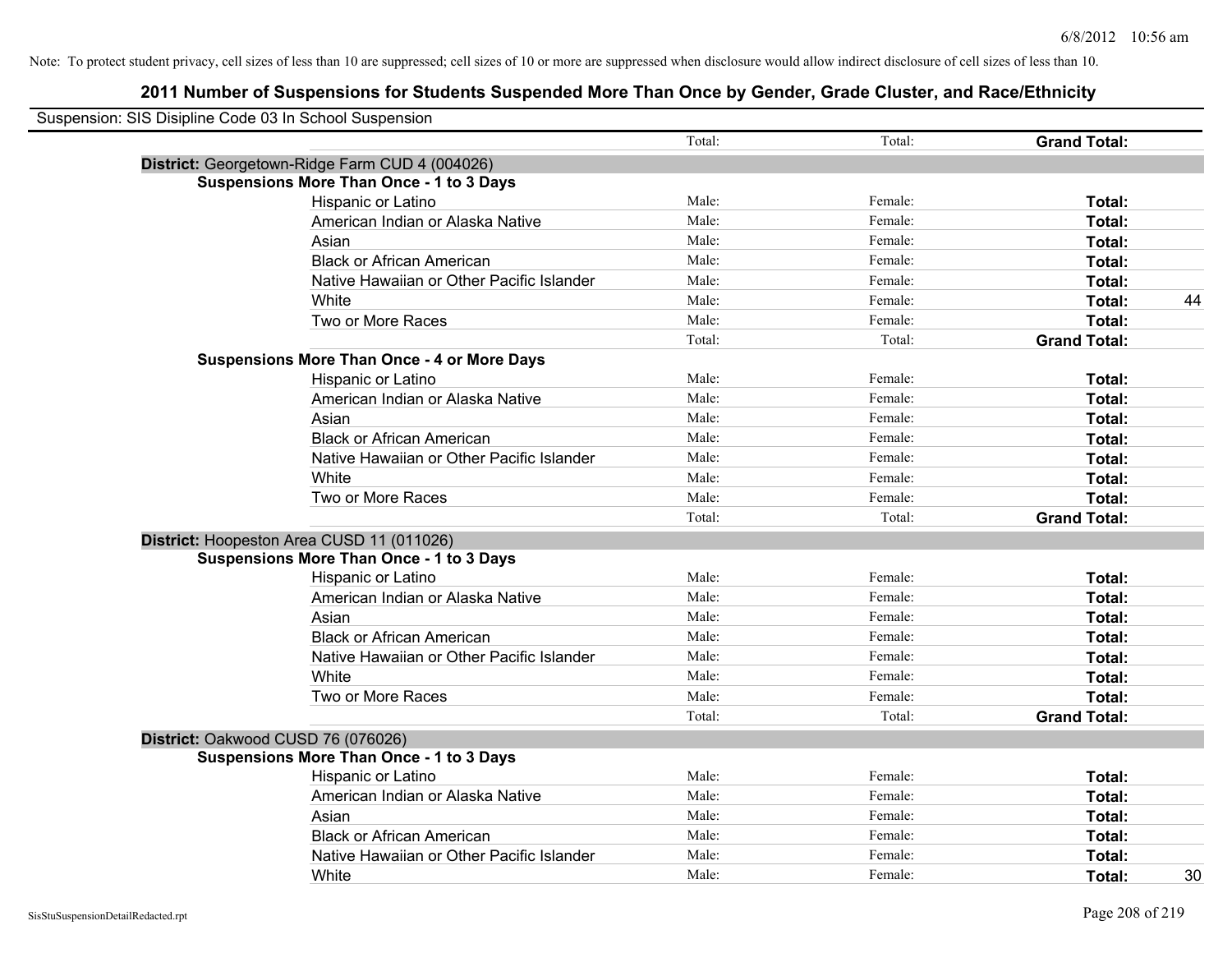| Suspension: SIS Disipline Code 03 In School Suspension |                                                    |        |         |                     |
|--------------------------------------------------------|----------------------------------------------------|--------|---------|---------------------|
|                                                        |                                                    | Total: | Total:  | <b>Grand Total:</b> |
|                                                        | District: Georgetown-Ridge Farm CUD 4 (004026)     |        |         |                     |
|                                                        | <b>Suspensions More Than Once - 1 to 3 Days</b>    |        |         |                     |
|                                                        | Hispanic or Latino                                 | Male:  | Female: | Total:              |
|                                                        | American Indian or Alaska Native                   | Male:  | Female: | Total:              |
|                                                        | Asian                                              | Male:  | Female: | Total:              |
|                                                        | <b>Black or African American</b>                   | Male:  | Female: | Total:              |
|                                                        | Native Hawaiian or Other Pacific Islander          | Male:  | Female: | Total:              |
|                                                        | White                                              | Male:  | Female: | Total:<br>44        |
|                                                        | Two or More Races                                  | Male:  | Female: | Total:              |
|                                                        |                                                    | Total: | Total:  | <b>Grand Total:</b> |
|                                                        | <b>Suspensions More Than Once - 4 or More Days</b> |        |         |                     |
|                                                        | Hispanic or Latino                                 | Male:  | Female: | Total:              |
|                                                        | American Indian or Alaska Native                   | Male:  | Female: | Total:              |
|                                                        | Asian                                              | Male:  | Female: | Total:              |
|                                                        | <b>Black or African American</b>                   | Male:  | Female: | Total:              |
|                                                        | Native Hawaiian or Other Pacific Islander          | Male:  | Female: | Total:              |
|                                                        | White                                              | Male:  | Female: | Total:              |
|                                                        | Two or More Races                                  | Male:  | Female: | Total:              |
|                                                        |                                                    | Total: | Total:  | <b>Grand Total:</b> |
|                                                        | District: Hoopeston Area CUSD 11 (011026)          |        |         |                     |
|                                                        | <b>Suspensions More Than Once - 1 to 3 Days</b>    |        |         |                     |
|                                                        | Hispanic or Latino                                 | Male:  | Female: | Total:              |
|                                                        | American Indian or Alaska Native                   | Male:  | Female: | Total:              |
|                                                        | Asian                                              | Male:  | Female: | Total:              |
|                                                        | <b>Black or African American</b>                   | Male:  | Female: | Total:              |
|                                                        | Native Hawaiian or Other Pacific Islander          | Male:  | Female: | Total:              |
|                                                        | White                                              | Male:  | Female: | Total:              |
|                                                        | Two or More Races                                  | Male:  | Female: | Total:              |
|                                                        |                                                    | Total: | Total:  | <b>Grand Total:</b> |
|                                                        | District: Oakwood CUSD 76 (076026)                 |        |         |                     |
|                                                        | <b>Suspensions More Than Once - 1 to 3 Days</b>    |        |         |                     |
|                                                        | Hispanic or Latino                                 | Male:  | Female: | Total:              |
|                                                        | American Indian or Alaska Native                   | Male:  | Female: | Total:              |
|                                                        | Asian                                              | Male:  | Female: | Total:              |
|                                                        | <b>Black or African American</b>                   | Male:  | Female: | Total:              |
|                                                        | Native Hawaiian or Other Pacific Islander          | Male:  | Female: | Total:              |
|                                                        | White                                              | Male:  | Female: | 30<br>Total:        |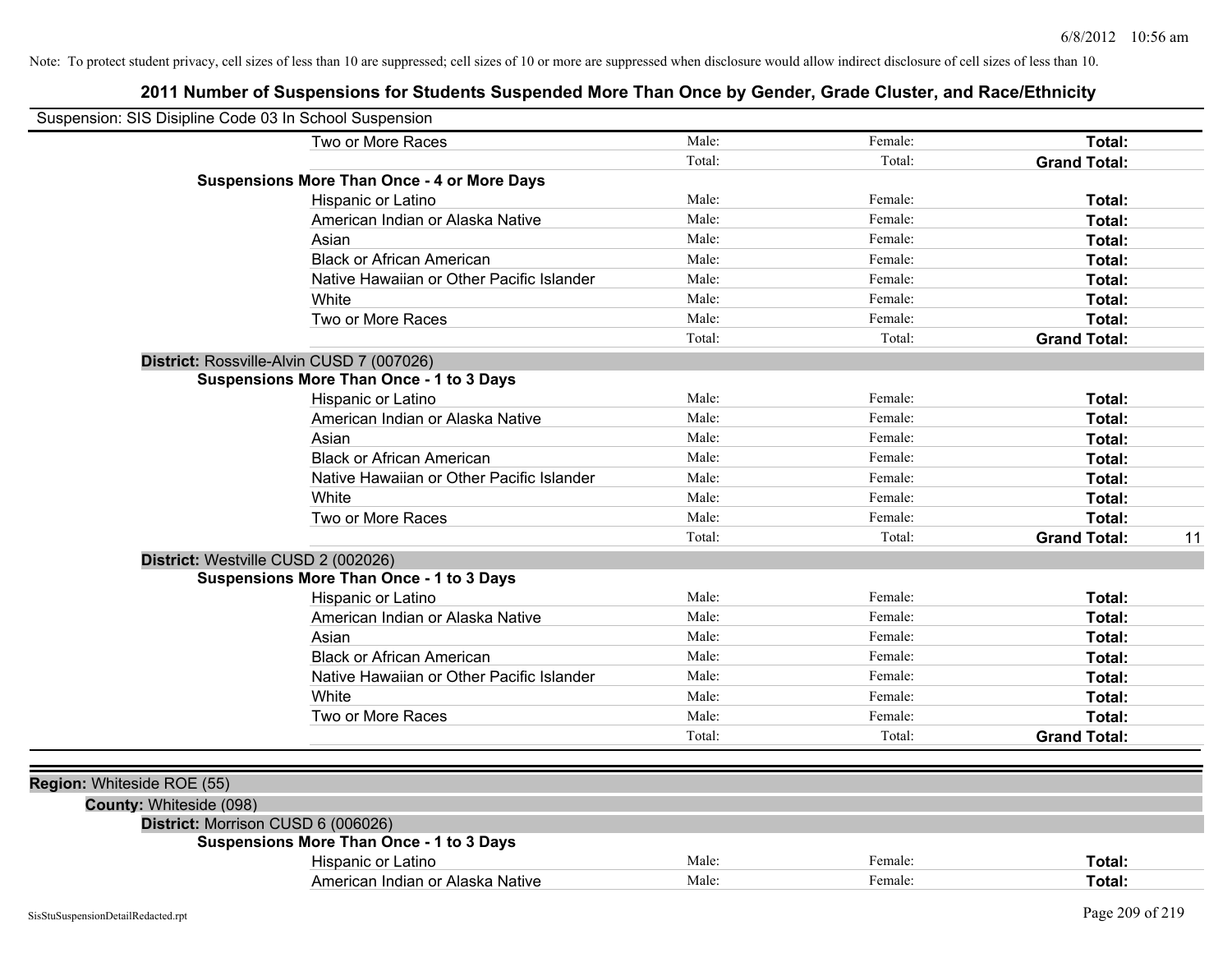| Suspension: SIS Disipline Code 03 In School Suspension |                                                    |        |         |                           |
|--------------------------------------------------------|----------------------------------------------------|--------|---------|---------------------------|
|                                                        | Two or More Races                                  | Male:  | Female: | Total:                    |
|                                                        |                                                    | Total: | Total:  | <b>Grand Total:</b>       |
|                                                        | <b>Suspensions More Than Once - 4 or More Days</b> |        |         |                           |
|                                                        | Hispanic or Latino                                 | Male:  | Female: | Total:                    |
|                                                        | American Indian or Alaska Native                   | Male:  | Female: | Total:                    |
|                                                        | Asian                                              | Male:  | Female: | Total:                    |
|                                                        | <b>Black or African American</b>                   | Male:  | Female: | Total:                    |
|                                                        | Native Hawaiian or Other Pacific Islander          | Male:  | Female: | Total:                    |
|                                                        | White                                              | Male:  | Female: | Total:                    |
|                                                        | Two or More Races                                  | Male:  | Female: | Total:                    |
|                                                        |                                                    | Total: | Total:  | <b>Grand Total:</b>       |
|                                                        | District: Rossville-Alvin CUSD 7 (007026)          |        |         |                           |
|                                                        | <b>Suspensions More Than Once - 1 to 3 Days</b>    |        |         |                           |
|                                                        | Hispanic or Latino                                 | Male:  | Female: | Total:                    |
|                                                        | American Indian or Alaska Native                   | Male:  | Female: | Total:                    |
|                                                        | Asian                                              | Male:  | Female: | Total:                    |
|                                                        | <b>Black or African American</b>                   | Male:  | Female: | Total:                    |
|                                                        | Native Hawaiian or Other Pacific Islander          | Male:  | Female: | Total:                    |
|                                                        | White                                              | Male:  | Female: | Total:                    |
|                                                        | Two or More Races                                  | Male:  | Female: | Total:                    |
|                                                        |                                                    | Total: | Total:  | <b>Grand Total:</b><br>11 |
|                                                        | District: Westville CUSD 2 (002026)                |        |         |                           |
|                                                        | <b>Suspensions More Than Once - 1 to 3 Days</b>    |        |         |                           |
|                                                        | Hispanic or Latino                                 | Male:  | Female: | Total:                    |
|                                                        | American Indian or Alaska Native                   | Male:  | Female: | Total:                    |
|                                                        | Asian                                              | Male:  | Female: | Total:                    |
|                                                        | <b>Black or African American</b>                   | Male:  | Female: | Total:                    |
|                                                        | Native Hawaiian or Other Pacific Islander          | Male:  | Female: | Total:                    |
|                                                        | White                                              | Male:  | Female: | Total:                    |
|                                                        | Two or More Races                                  | Male:  | Female: | Total:                    |
|                                                        |                                                    | Total: | Total:  | <b>Grand Total:</b>       |
|                                                        |                                                    |        |         |                           |
| Region: Whiteside ROE (55)                             |                                                    |        |         |                           |
| County: Whiteside (098)                                |                                                    |        |         |                           |
|                                                        | District: Morrison CUSD 6 (006026)                 |        |         |                           |
|                                                        | <b>Suspensions More Than Once - 1 to 3 Days</b>    |        |         |                           |
|                                                        | Hispanic or Latino                                 | Male:  | Female: | Total:                    |
|                                                        | American Indian or Alaska Native                   | Male:  | Female: | Total:                    |
|                                                        |                                                    |        |         |                           |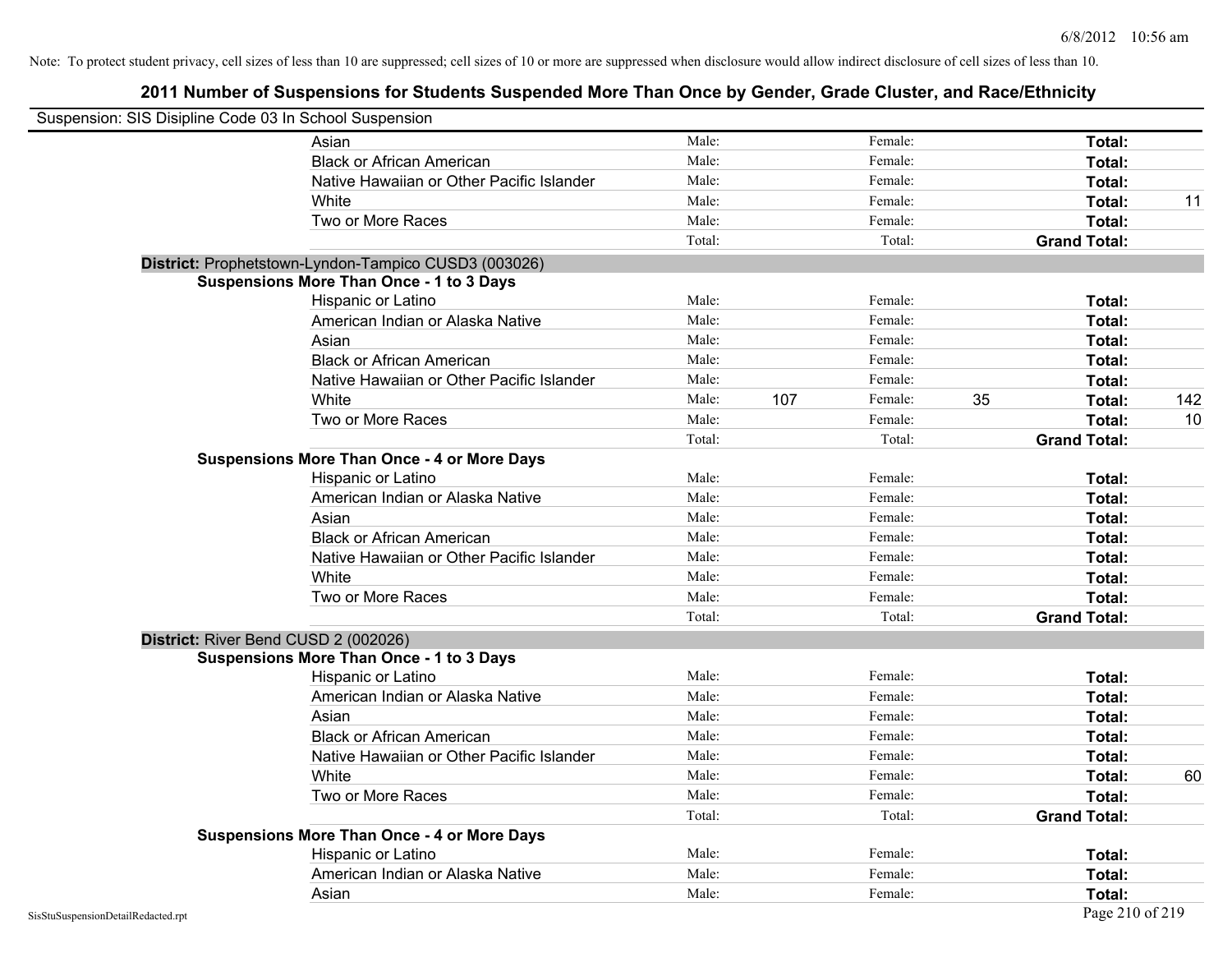| Suspension: SIS Disipline Code 03 In School Suspension |                                                      |        |     |         |                     |     |
|--------------------------------------------------------|------------------------------------------------------|--------|-----|---------|---------------------|-----|
|                                                        | Asian                                                | Male:  |     | Female: | Total:              |     |
|                                                        | <b>Black or African American</b>                     | Male:  |     | Female: | Total:              |     |
|                                                        | Native Hawaiian or Other Pacific Islander            | Male:  |     | Female: | Total:              |     |
|                                                        | White                                                | Male:  |     | Female: | Total:              | 11  |
|                                                        | Two or More Races                                    | Male:  |     | Female: | Total:              |     |
|                                                        |                                                      | Total: |     | Total:  | <b>Grand Total:</b> |     |
|                                                        | District: Prophetstown-Lyndon-Tampico CUSD3 (003026) |        |     |         |                     |     |
|                                                        | <b>Suspensions More Than Once - 1 to 3 Days</b>      |        |     |         |                     |     |
|                                                        | Hispanic or Latino                                   | Male:  |     | Female: | Total:              |     |
|                                                        | American Indian or Alaska Native                     | Male:  |     | Female: | Total:              |     |
|                                                        | Asian                                                | Male:  |     | Female: | Total:              |     |
|                                                        | <b>Black or African American</b>                     | Male:  |     | Female: | Total:              |     |
|                                                        | Native Hawaiian or Other Pacific Islander            | Male:  |     | Female: | Total:              |     |
|                                                        | White                                                | Male:  | 107 | Female: | 35<br>Total:        | 142 |
|                                                        | Two or More Races                                    | Male:  |     | Female: | Total:              | 10  |
|                                                        |                                                      | Total: |     | Total:  | <b>Grand Total:</b> |     |
|                                                        | <b>Suspensions More Than Once - 4 or More Days</b>   |        |     |         |                     |     |
|                                                        | Hispanic or Latino                                   | Male:  |     | Female: | Total:              |     |
|                                                        | American Indian or Alaska Native                     | Male:  |     | Female: | Total:              |     |
|                                                        | Asian                                                | Male:  |     | Female: | Total:              |     |
|                                                        | <b>Black or African American</b>                     | Male:  |     | Female: | Total:              |     |
|                                                        | Native Hawaiian or Other Pacific Islander            | Male:  |     | Female: | Total:              |     |
|                                                        | White                                                | Male:  |     | Female: | Total:              |     |
|                                                        | Two or More Races                                    | Male:  |     | Female: | Total:              |     |
|                                                        |                                                      | Total: |     | Total:  | <b>Grand Total:</b> |     |
|                                                        | District: River Bend CUSD 2 (002026)                 |        |     |         |                     |     |
|                                                        | <b>Suspensions More Than Once - 1 to 3 Days</b>      |        |     |         |                     |     |
|                                                        | Hispanic or Latino                                   | Male:  |     | Female: | Total:              |     |
|                                                        | American Indian or Alaska Native                     | Male:  |     | Female: | Total:              |     |
|                                                        | Asian                                                | Male:  |     | Female: | Total:              |     |
|                                                        | <b>Black or African American</b>                     | Male:  |     | Female: | Total:              |     |
|                                                        | Native Hawaiian or Other Pacific Islander            | Male:  |     | Female: | Total:              |     |
|                                                        | White                                                | Male:  |     | Female: | Total:              | 60  |
|                                                        | Two or More Races                                    | Male:  |     | Female: | Total:              |     |
|                                                        |                                                      | Total: |     | Total:  | <b>Grand Total:</b> |     |
|                                                        | <b>Suspensions More Than Once - 4 or More Days</b>   |        |     |         |                     |     |
|                                                        | Hispanic or Latino                                   | Male:  |     | Female: | Total:              |     |
|                                                        | American Indian or Alaska Native                     | Male:  |     | Female: | Total:              |     |
|                                                        | Asian                                                | Male:  |     | Female: | Total:              |     |
| SisStuSuspensionDetailRedacted.rpt                     |                                                      |        |     |         | Page 210 of 219     |     |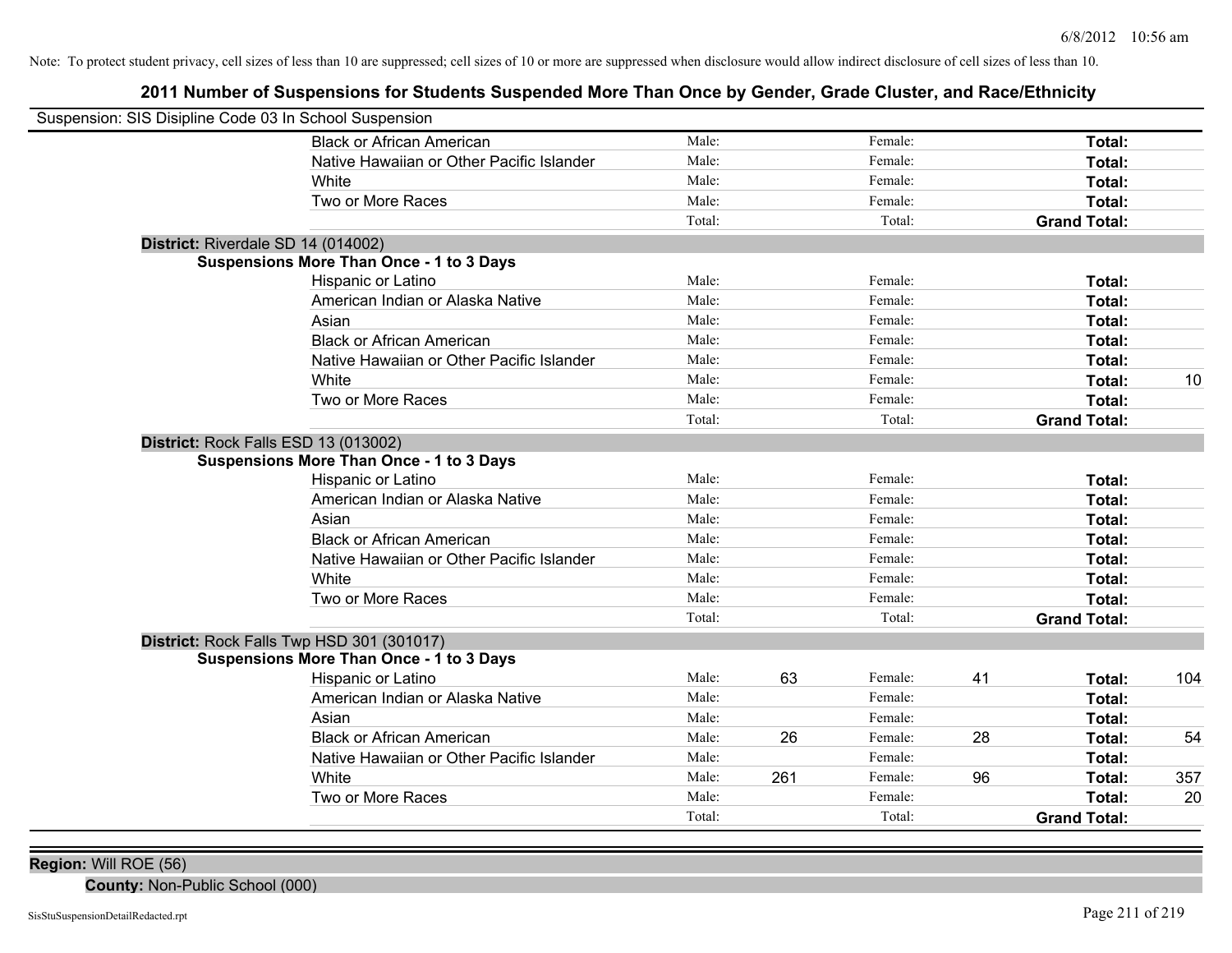## **2011 Number of Suspensions for Students Suspended More Than Once by Gender, Grade Cluster, and Race/Ethnicity**

| Male:<br>Female:<br>Total:<br><b>Black or African American</b><br>Male:<br>Native Hawaiian or Other Pacific Islander<br>Female:<br>Total:<br>Male:<br>Female:<br>White<br>Total:<br>Male:<br>Female:<br>Two or More Races<br>Total:<br>Total:<br>Total:<br><b>Grand Total:</b><br>District: Riverdale SD 14 (014002)<br><b>Suspensions More Than Once - 1 to 3 Days</b><br>Male:<br>Female:<br>Hispanic or Latino<br>Total:<br>American Indian or Alaska Native<br>Male:<br>Female:<br>Total:<br>Male:<br>Female:<br>Asian<br>Total:<br>Male:<br><b>Black or African American</b><br>Female:<br>Total:<br>Male:<br>Native Hawaiian or Other Pacific Islander<br>Female:<br>Total:<br>Male:<br>White<br>Female:<br>Total:<br>10<br>Male:<br>Two or More Races<br>Female:<br>Total:<br>Total:<br>Total:<br><b>Grand Total:</b><br>District: Rock Falls ESD 13 (013002)<br><b>Suspensions More Than Once - 1 to 3 Days</b><br>Male:<br>Female:<br>Total:<br>Hispanic or Latino<br>Male:<br>Female:<br>American Indian or Alaska Native<br>Total:<br>Male:<br>Female:<br>Asian<br>Total:<br><b>Black or African American</b><br>Male:<br>Female:<br>Total:<br>Male:<br>Native Hawaiian or Other Pacific Islander<br>Female:<br>Total:<br>Male:<br>Female:<br>White<br>Total:<br>Male:<br>Two or More Races<br>Female:<br>Total:<br>Total:<br>Total:<br><b>Grand Total:</b><br>District: Rock Falls Twp HSD 301 (301017)<br><b>Suspensions More Than Once - 1 to 3 Days</b><br>63<br>Male:<br>Female:<br>41<br>104<br><b>Hispanic or Latino</b><br>Total:<br>American Indian or Alaska Native<br>Male:<br>Female:<br>Total:<br>Asian<br>Male:<br>Female:<br>Total:<br><b>Black or African American</b><br>26<br>28<br>Male:<br>Female:<br>54<br>Total:<br>Native Hawaiian or Other Pacific Islander<br>Female:<br>Male:<br>Total:<br>96<br>White<br>261<br>357<br>Male:<br>Female:<br>Total:<br>Two or More Races<br>Female:<br>20<br>Male:<br>Total:<br>Total:<br>Total:<br><b>Grand Total:</b> | Suspension: SIS Disipline Code 03 In School Suspension |  |  |  |  |
|---------------------------------------------------------------------------------------------------------------------------------------------------------------------------------------------------------------------------------------------------------------------------------------------------------------------------------------------------------------------------------------------------------------------------------------------------------------------------------------------------------------------------------------------------------------------------------------------------------------------------------------------------------------------------------------------------------------------------------------------------------------------------------------------------------------------------------------------------------------------------------------------------------------------------------------------------------------------------------------------------------------------------------------------------------------------------------------------------------------------------------------------------------------------------------------------------------------------------------------------------------------------------------------------------------------------------------------------------------------------------------------------------------------------------------------------------------------------------------------------------------------------------------------------------------------------------------------------------------------------------------------------------------------------------------------------------------------------------------------------------------------------------------------------------------------------------------------------------------------------------------------------------------------------------------------------------------------------------------------------|--------------------------------------------------------|--|--|--|--|
|                                                                                                                                                                                                                                                                                                                                                                                                                                                                                                                                                                                                                                                                                                                                                                                                                                                                                                                                                                                                                                                                                                                                                                                                                                                                                                                                                                                                                                                                                                                                                                                                                                                                                                                                                                                                                                                                                                                                                                                             |                                                        |  |  |  |  |
|                                                                                                                                                                                                                                                                                                                                                                                                                                                                                                                                                                                                                                                                                                                                                                                                                                                                                                                                                                                                                                                                                                                                                                                                                                                                                                                                                                                                                                                                                                                                                                                                                                                                                                                                                                                                                                                                                                                                                                                             |                                                        |  |  |  |  |
|                                                                                                                                                                                                                                                                                                                                                                                                                                                                                                                                                                                                                                                                                                                                                                                                                                                                                                                                                                                                                                                                                                                                                                                                                                                                                                                                                                                                                                                                                                                                                                                                                                                                                                                                                                                                                                                                                                                                                                                             |                                                        |  |  |  |  |
|                                                                                                                                                                                                                                                                                                                                                                                                                                                                                                                                                                                                                                                                                                                                                                                                                                                                                                                                                                                                                                                                                                                                                                                                                                                                                                                                                                                                                                                                                                                                                                                                                                                                                                                                                                                                                                                                                                                                                                                             |                                                        |  |  |  |  |
|                                                                                                                                                                                                                                                                                                                                                                                                                                                                                                                                                                                                                                                                                                                                                                                                                                                                                                                                                                                                                                                                                                                                                                                                                                                                                                                                                                                                                                                                                                                                                                                                                                                                                                                                                                                                                                                                                                                                                                                             |                                                        |  |  |  |  |
|                                                                                                                                                                                                                                                                                                                                                                                                                                                                                                                                                                                                                                                                                                                                                                                                                                                                                                                                                                                                                                                                                                                                                                                                                                                                                                                                                                                                                                                                                                                                                                                                                                                                                                                                                                                                                                                                                                                                                                                             |                                                        |  |  |  |  |
|                                                                                                                                                                                                                                                                                                                                                                                                                                                                                                                                                                                                                                                                                                                                                                                                                                                                                                                                                                                                                                                                                                                                                                                                                                                                                                                                                                                                                                                                                                                                                                                                                                                                                                                                                                                                                                                                                                                                                                                             |                                                        |  |  |  |  |
|                                                                                                                                                                                                                                                                                                                                                                                                                                                                                                                                                                                                                                                                                                                                                                                                                                                                                                                                                                                                                                                                                                                                                                                                                                                                                                                                                                                                                                                                                                                                                                                                                                                                                                                                                                                                                                                                                                                                                                                             |                                                        |  |  |  |  |
|                                                                                                                                                                                                                                                                                                                                                                                                                                                                                                                                                                                                                                                                                                                                                                                                                                                                                                                                                                                                                                                                                                                                                                                                                                                                                                                                                                                                                                                                                                                                                                                                                                                                                                                                                                                                                                                                                                                                                                                             |                                                        |  |  |  |  |
|                                                                                                                                                                                                                                                                                                                                                                                                                                                                                                                                                                                                                                                                                                                                                                                                                                                                                                                                                                                                                                                                                                                                                                                                                                                                                                                                                                                                                                                                                                                                                                                                                                                                                                                                                                                                                                                                                                                                                                                             |                                                        |  |  |  |  |
|                                                                                                                                                                                                                                                                                                                                                                                                                                                                                                                                                                                                                                                                                                                                                                                                                                                                                                                                                                                                                                                                                                                                                                                                                                                                                                                                                                                                                                                                                                                                                                                                                                                                                                                                                                                                                                                                                                                                                                                             |                                                        |  |  |  |  |
|                                                                                                                                                                                                                                                                                                                                                                                                                                                                                                                                                                                                                                                                                                                                                                                                                                                                                                                                                                                                                                                                                                                                                                                                                                                                                                                                                                                                                                                                                                                                                                                                                                                                                                                                                                                                                                                                                                                                                                                             |                                                        |  |  |  |  |
|                                                                                                                                                                                                                                                                                                                                                                                                                                                                                                                                                                                                                                                                                                                                                                                                                                                                                                                                                                                                                                                                                                                                                                                                                                                                                                                                                                                                                                                                                                                                                                                                                                                                                                                                                                                                                                                                                                                                                                                             |                                                        |  |  |  |  |
|                                                                                                                                                                                                                                                                                                                                                                                                                                                                                                                                                                                                                                                                                                                                                                                                                                                                                                                                                                                                                                                                                                                                                                                                                                                                                                                                                                                                                                                                                                                                                                                                                                                                                                                                                                                                                                                                                                                                                                                             |                                                        |  |  |  |  |
|                                                                                                                                                                                                                                                                                                                                                                                                                                                                                                                                                                                                                                                                                                                                                                                                                                                                                                                                                                                                                                                                                                                                                                                                                                                                                                                                                                                                                                                                                                                                                                                                                                                                                                                                                                                                                                                                                                                                                                                             |                                                        |  |  |  |  |
|                                                                                                                                                                                                                                                                                                                                                                                                                                                                                                                                                                                                                                                                                                                                                                                                                                                                                                                                                                                                                                                                                                                                                                                                                                                                                                                                                                                                                                                                                                                                                                                                                                                                                                                                                                                                                                                                                                                                                                                             |                                                        |  |  |  |  |
|                                                                                                                                                                                                                                                                                                                                                                                                                                                                                                                                                                                                                                                                                                                                                                                                                                                                                                                                                                                                                                                                                                                                                                                                                                                                                                                                                                                                                                                                                                                                                                                                                                                                                                                                                                                                                                                                                                                                                                                             |                                                        |  |  |  |  |
|                                                                                                                                                                                                                                                                                                                                                                                                                                                                                                                                                                                                                                                                                                                                                                                                                                                                                                                                                                                                                                                                                                                                                                                                                                                                                                                                                                                                                                                                                                                                                                                                                                                                                                                                                                                                                                                                                                                                                                                             |                                                        |  |  |  |  |
|                                                                                                                                                                                                                                                                                                                                                                                                                                                                                                                                                                                                                                                                                                                                                                                                                                                                                                                                                                                                                                                                                                                                                                                                                                                                                                                                                                                                                                                                                                                                                                                                                                                                                                                                                                                                                                                                                                                                                                                             |                                                        |  |  |  |  |
|                                                                                                                                                                                                                                                                                                                                                                                                                                                                                                                                                                                                                                                                                                                                                                                                                                                                                                                                                                                                                                                                                                                                                                                                                                                                                                                                                                                                                                                                                                                                                                                                                                                                                                                                                                                                                                                                                                                                                                                             |                                                        |  |  |  |  |
|                                                                                                                                                                                                                                                                                                                                                                                                                                                                                                                                                                                                                                                                                                                                                                                                                                                                                                                                                                                                                                                                                                                                                                                                                                                                                                                                                                                                                                                                                                                                                                                                                                                                                                                                                                                                                                                                                                                                                                                             |                                                        |  |  |  |  |
|                                                                                                                                                                                                                                                                                                                                                                                                                                                                                                                                                                                                                                                                                                                                                                                                                                                                                                                                                                                                                                                                                                                                                                                                                                                                                                                                                                                                                                                                                                                                                                                                                                                                                                                                                                                                                                                                                                                                                                                             |                                                        |  |  |  |  |
|                                                                                                                                                                                                                                                                                                                                                                                                                                                                                                                                                                                                                                                                                                                                                                                                                                                                                                                                                                                                                                                                                                                                                                                                                                                                                                                                                                                                                                                                                                                                                                                                                                                                                                                                                                                                                                                                                                                                                                                             |                                                        |  |  |  |  |
|                                                                                                                                                                                                                                                                                                                                                                                                                                                                                                                                                                                                                                                                                                                                                                                                                                                                                                                                                                                                                                                                                                                                                                                                                                                                                                                                                                                                                                                                                                                                                                                                                                                                                                                                                                                                                                                                                                                                                                                             |                                                        |  |  |  |  |
|                                                                                                                                                                                                                                                                                                                                                                                                                                                                                                                                                                                                                                                                                                                                                                                                                                                                                                                                                                                                                                                                                                                                                                                                                                                                                                                                                                                                                                                                                                                                                                                                                                                                                                                                                                                                                                                                                                                                                                                             |                                                        |  |  |  |  |
|                                                                                                                                                                                                                                                                                                                                                                                                                                                                                                                                                                                                                                                                                                                                                                                                                                                                                                                                                                                                                                                                                                                                                                                                                                                                                                                                                                                                                                                                                                                                                                                                                                                                                                                                                                                                                                                                                                                                                                                             |                                                        |  |  |  |  |
|                                                                                                                                                                                                                                                                                                                                                                                                                                                                                                                                                                                                                                                                                                                                                                                                                                                                                                                                                                                                                                                                                                                                                                                                                                                                                                                                                                                                                                                                                                                                                                                                                                                                                                                                                                                                                                                                                                                                                                                             |                                                        |  |  |  |  |
|                                                                                                                                                                                                                                                                                                                                                                                                                                                                                                                                                                                                                                                                                                                                                                                                                                                                                                                                                                                                                                                                                                                                                                                                                                                                                                                                                                                                                                                                                                                                                                                                                                                                                                                                                                                                                                                                                                                                                                                             |                                                        |  |  |  |  |
|                                                                                                                                                                                                                                                                                                                                                                                                                                                                                                                                                                                                                                                                                                                                                                                                                                                                                                                                                                                                                                                                                                                                                                                                                                                                                                                                                                                                                                                                                                                                                                                                                                                                                                                                                                                                                                                                                                                                                                                             |                                                        |  |  |  |  |
|                                                                                                                                                                                                                                                                                                                                                                                                                                                                                                                                                                                                                                                                                                                                                                                                                                                                                                                                                                                                                                                                                                                                                                                                                                                                                                                                                                                                                                                                                                                                                                                                                                                                                                                                                                                                                                                                                                                                                                                             |                                                        |  |  |  |  |
|                                                                                                                                                                                                                                                                                                                                                                                                                                                                                                                                                                                                                                                                                                                                                                                                                                                                                                                                                                                                                                                                                                                                                                                                                                                                                                                                                                                                                                                                                                                                                                                                                                                                                                                                                                                                                                                                                                                                                                                             |                                                        |  |  |  |  |
|                                                                                                                                                                                                                                                                                                                                                                                                                                                                                                                                                                                                                                                                                                                                                                                                                                                                                                                                                                                                                                                                                                                                                                                                                                                                                                                                                                                                                                                                                                                                                                                                                                                                                                                                                                                                                                                                                                                                                                                             |                                                        |  |  |  |  |
|                                                                                                                                                                                                                                                                                                                                                                                                                                                                                                                                                                                                                                                                                                                                                                                                                                                                                                                                                                                                                                                                                                                                                                                                                                                                                                                                                                                                                                                                                                                                                                                                                                                                                                                                                                                                                                                                                                                                                                                             |                                                        |  |  |  |  |
|                                                                                                                                                                                                                                                                                                                                                                                                                                                                                                                                                                                                                                                                                                                                                                                                                                                                                                                                                                                                                                                                                                                                                                                                                                                                                                                                                                                                                                                                                                                                                                                                                                                                                                                                                                                                                                                                                                                                                                                             |                                                        |  |  |  |  |
|                                                                                                                                                                                                                                                                                                                                                                                                                                                                                                                                                                                                                                                                                                                                                                                                                                                                                                                                                                                                                                                                                                                                                                                                                                                                                                                                                                                                                                                                                                                                                                                                                                                                                                                                                                                                                                                                                                                                                                                             |                                                        |  |  |  |  |

**Region:** Will ROE (56)

**County:** Non-Public School (000)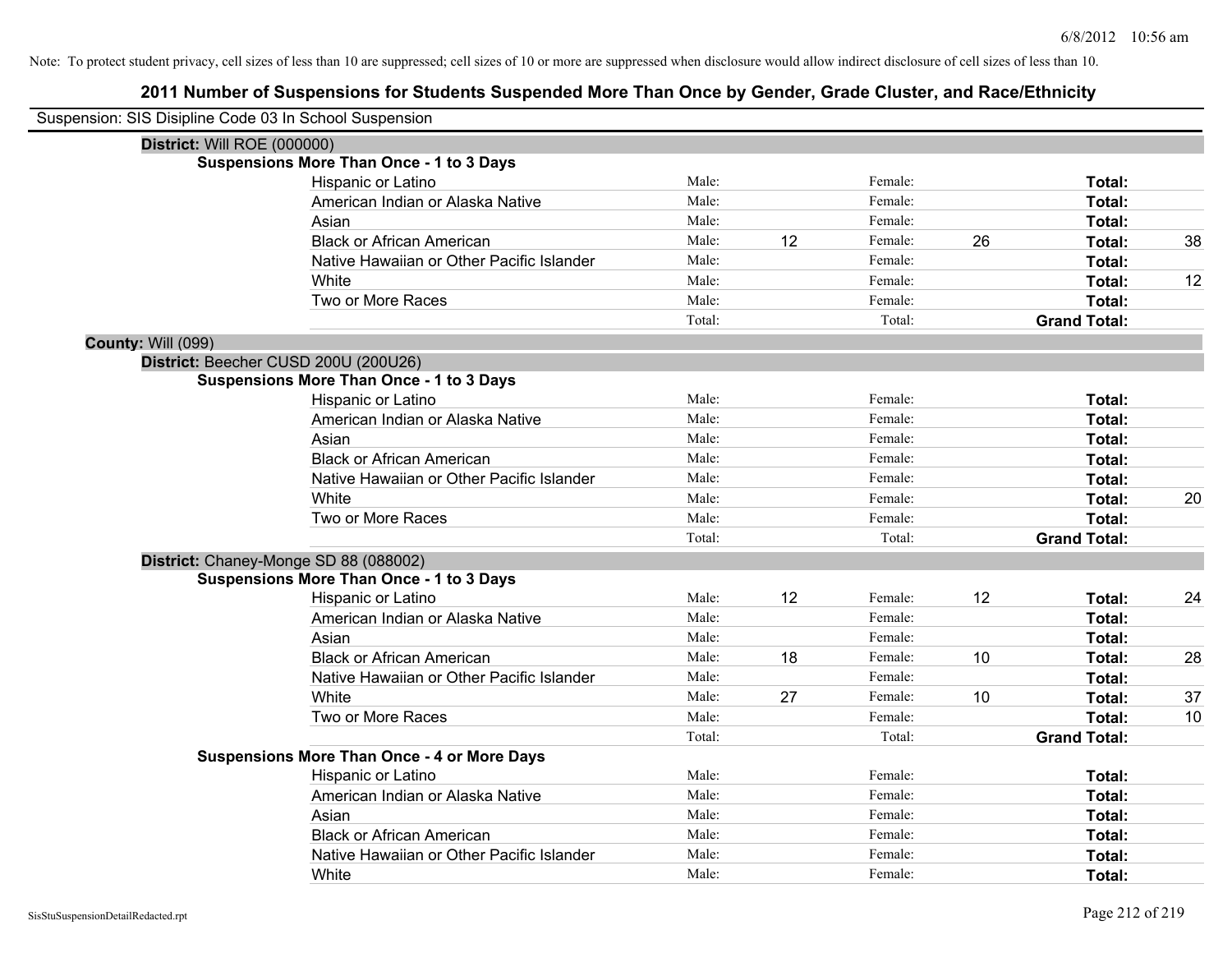| Suspension: SIS Disipline Code 03 In School Suspension |                                                    |        |    |         |    |                     |    |
|--------------------------------------------------------|----------------------------------------------------|--------|----|---------|----|---------------------|----|
| District: Will ROE (000000)                            |                                                    |        |    |         |    |                     |    |
|                                                        | <b>Suspensions More Than Once - 1 to 3 Days</b>    |        |    |         |    |                     |    |
|                                                        | Hispanic or Latino                                 | Male:  |    | Female: |    | Total:              |    |
|                                                        | American Indian or Alaska Native                   | Male:  |    | Female: |    | Total:              |    |
|                                                        | Asian                                              | Male:  |    | Female: |    | Total:              |    |
|                                                        | <b>Black or African American</b>                   | Male:  | 12 | Female: | 26 | Total:              | 38 |
|                                                        | Native Hawaiian or Other Pacific Islander          | Male:  |    | Female: |    | Total:              |    |
|                                                        | White                                              | Male:  |    | Female: |    | Total:              | 12 |
|                                                        | Two or More Races                                  | Male:  |    | Female: |    | Total:              |    |
|                                                        |                                                    | Total: |    | Total:  |    | <b>Grand Total:</b> |    |
| County: Will (099)                                     |                                                    |        |    |         |    |                     |    |
|                                                        | District: Beecher CUSD 200U (200U26)               |        |    |         |    |                     |    |
|                                                        | <b>Suspensions More Than Once - 1 to 3 Days</b>    |        |    |         |    |                     |    |
|                                                        | Hispanic or Latino                                 | Male:  |    | Female: |    | Total:              |    |
|                                                        | American Indian or Alaska Native                   | Male:  |    | Female: |    | Total:              |    |
|                                                        | Asian                                              | Male:  |    | Female: |    | Total:              |    |
|                                                        | <b>Black or African American</b>                   | Male:  |    | Female: |    | Total:              |    |
|                                                        | Native Hawaiian or Other Pacific Islander          | Male:  |    | Female: |    | Total:              |    |
|                                                        | White                                              | Male:  |    | Female: |    | Total:              | 20 |
|                                                        | Two or More Races                                  | Male:  |    | Female: |    | Total:              |    |
|                                                        |                                                    | Total: |    | Total:  |    | <b>Grand Total:</b> |    |
|                                                        | District: Chaney-Monge SD 88 (088002)              |        |    |         |    |                     |    |
|                                                        | <b>Suspensions More Than Once - 1 to 3 Days</b>    |        |    |         |    |                     |    |
|                                                        | Hispanic or Latino                                 | Male:  | 12 | Female: | 12 | Total:              | 24 |
|                                                        | American Indian or Alaska Native                   | Male:  |    | Female: |    | Total:              |    |
|                                                        | Asian                                              | Male:  |    | Female: |    | Total:              |    |
|                                                        | <b>Black or African American</b>                   | Male:  | 18 | Female: | 10 | Total:              | 28 |
|                                                        | Native Hawaiian or Other Pacific Islander          | Male:  |    | Female: |    | Total:              |    |
|                                                        | White                                              | Male:  | 27 | Female: | 10 | Total:              | 37 |
|                                                        | Two or More Races                                  | Male:  |    | Female: |    | Total:              | 10 |
|                                                        |                                                    | Total: |    | Total:  |    | <b>Grand Total:</b> |    |
|                                                        | <b>Suspensions More Than Once - 4 or More Days</b> |        |    |         |    |                     |    |
|                                                        | Hispanic or Latino                                 | Male:  |    | Female: |    | Total:              |    |
|                                                        | American Indian or Alaska Native                   | Male:  |    | Female: |    | Total:              |    |
|                                                        | Asian                                              | Male:  |    | Female: |    | Total:              |    |
|                                                        | <b>Black or African American</b>                   | Male:  |    | Female: |    | Total:              |    |
|                                                        | Native Hawaiian or Other Pacific Islander          | Male:  |    | Female: |    | Total:              |    |
|                                                        | White                                              | Male:  |    | Female: |    | Total:              |    |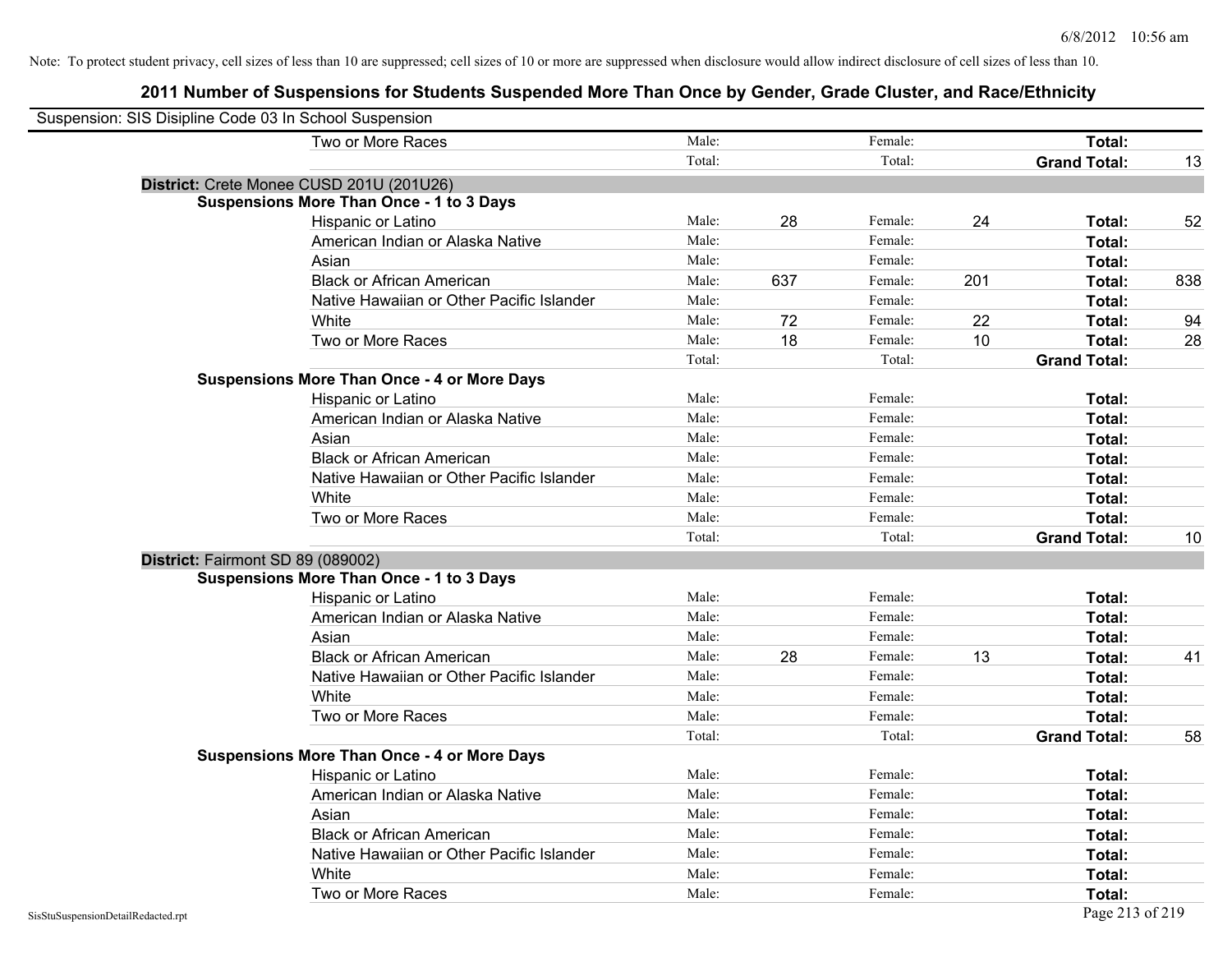| Suspension: SIS Disipline Code 03 In School Suspension |                                                    |        |     |         |     |                     |     |
|--------------------------------------------------------|----------------------------------------------------|--------|-----|---------|-----|---------------------|-----|
|                                                        | Two or More Races                                  | Male:  |     | Female: |     | Total:              |     |
|                                                        |                                                    | Total: |     | Total:  |     | <b>Grand Total:</b> | 13  |
|                                                        | District: Crete Monee CUSD 201U (201U26)           |        |     |         |     |                     |     |
|                                                        | <b>Suspensions More Than Once - 1 to 3 Days</b>    |        |     |         |     |                     |     |
|                                                        | Hispanic or Latino                                 | Male:  | 28  | Female: | 24  | Total:              | 52  |
|                                                        | American Indian or Alaska Native                   | Male:  |     | Female: |     | Total:              |     |
|                                                        | Asian                                              | Male:  |     | Female: |     | Total:              |     |
|                                                        | <b>Black or African American</b>                   | Male:  | 637 | Female: | 201 | Total:              | 838 |
|                                                        | Native Hawaiian or Other Pacific Islander          | Male:  |     | Female: |     | Total:              |     |
|                                                        | White                                              | Male:  | 72  | Female: | 22  | Total:              | 94  |
|                                                        | Two or More Races                                  | Male:  | 18  | Female: | 10  | Total:              | 28  |
|                                                        |                                                    | Total: |     | Total:  |     | <b>Grand Total:</b> |     |
|                                                        | <b>Suspensions More Than Once - 4 or More Days</b> |        |     |         |     |                     |     |
|                                                        | Hispanic or Latino                                 | Male:  |     | Female: |     | Total:              |     |
|                                                        | American Indian or Alaska Native                   | Male:  |     | Female: |     | Total:              |     |
|                                                        | Asian                                              | Male:  |     | Female: |     | Total:              |     |
|                                                        | <b>Black or African American</b>                   | Male:  |     | Female: |     | Total:              |     |
|                                                        | Native Hawaiian or Other Pacific Islander          | Male:  |     | Female: |     | Total:              |     |
|                                                        | White                                              | Male:  |     | Female: |     | Total:              |     |
|                                                        | Two or More Races                                  | Male:  |     | Female: |     | Total:              |     |
|                                                        |                                                    | Total: |     | Total:  |     | <b>Grand Total:</b> | 10  |
| District: Fairmont SD 89 (089002)                      |                                                    |        |     |         |     |                     |     |
|                                                        | <b>Suspensions More Than Once - 1 to 3 Days</b>    |        |     |         |     |                     |     |
|                                                        | Hispanic or Latino                                 | Male:  |     | Female: |     | Total:              |     |
|                                                        | American Indian or Alaska Native                   | Male:  |     | Female: |     | Total:              |     |
|                                                        | Asian                                              | Male:  |     | Female: |     | Total:              |     |
|                                                        | <b>Black or African American</b>                   | Male:  | 28  | Female: | 13  | Total:              | 41  |
|                                                        | Native Hawaiian or Other Pacific Islander          | Male:  |     | Female: |     | Total:              |     |
|                                                        | White                                              | Male:  |     | Female: |     | Total:              |     |
|                                                        | Two or More Races                                  | Male:  |     | Female: |     | Total:              |     |
|                                                        |                                                    | Total: |     | Total:  |     | <b>Grand Total:</b> | 58  |
|                                                        | <b>Suspensions More Than Once - 4 or More Days</b> |        |     |         |     |                     |     |
|                                                        | Hispanic or Latino                                 | Male:  |     | Female: |     | Total:              |     |
|                                                        | American Indian or Alaska Native                   | Male:  |     | Female: |     | Total:              |     |
|                                                        | Asian                                              | Male:  |     | Female: |     | Total:              |     |
|                                                        | <b>Black or African American</b>                   | Male:  |     | Female: |     | Total:              |     |
|                                                        | Native Hawaiian or Other Pacific Islander          | Male:  |     | Female: |     | Total:              |     |
|                                                        | White                                              | Male:  |     | Female: |     | Total:              |     |
|                                                        | Two or More Races                                  | Male:  |     | Female: |     | Total:              |     |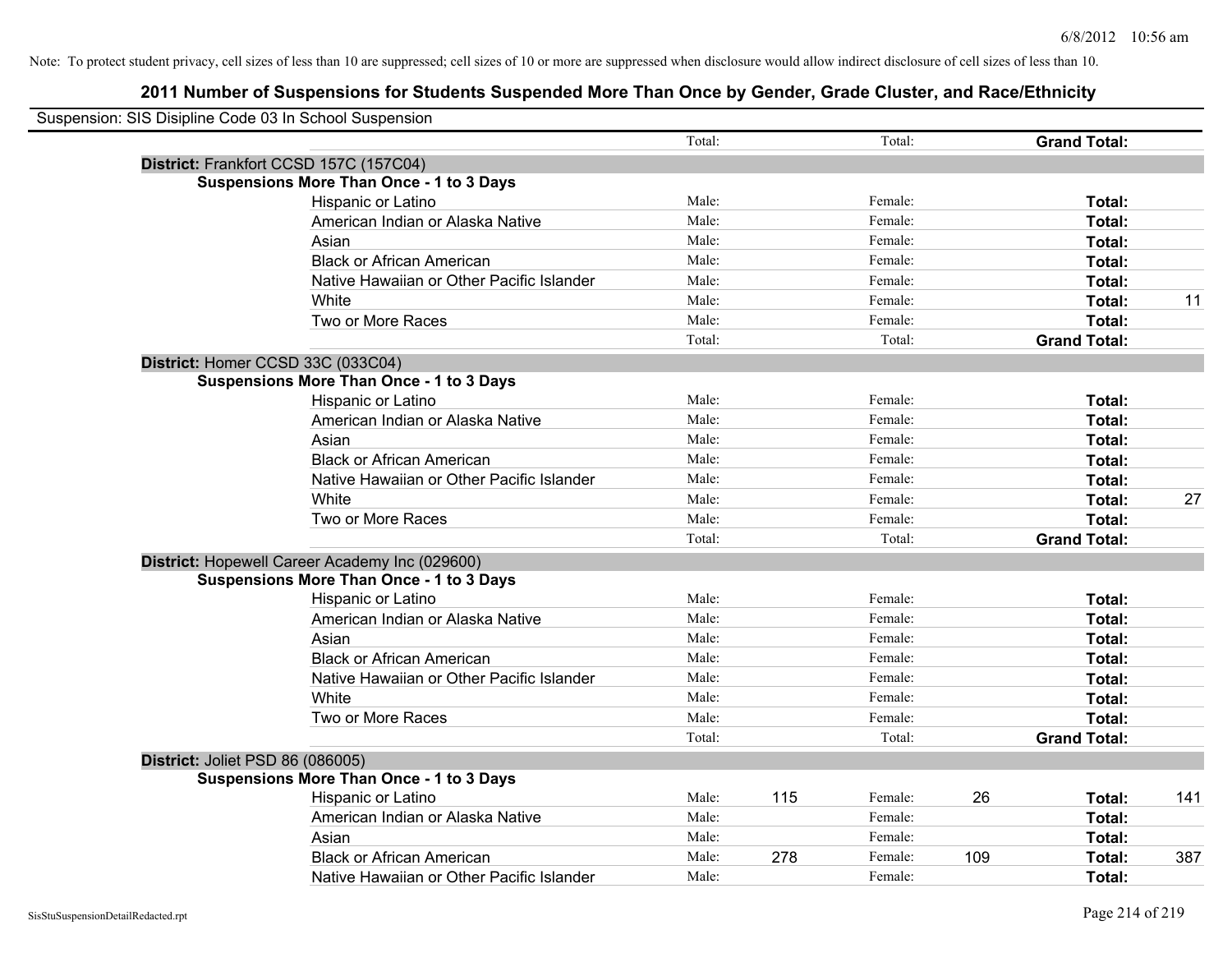| Suspension: SIS Disipline Code 03 In School Suspension |                                                 |        |     |         |     |                     |     |
|--------------------------------------------------------|-------------------------------------------------|--------|-----|---------|-----|---------------------|-----|
|                                                        |                                                 | Total: |     | Total:  |     | <b>Grand Total:</b> |     |
|                                                        | District: Frankfort CCSD 157C (157C04)          |        |     |         |     |                     |     |
|                                                        | Suspensions More Than Once - 1 to 3 Days        |        |     |         |     |                     |     |
|                                                        | Hispanic or Latino                              | Male:  |     | Female: |     | Total:              |     |
|                                                        | American Indian or Alaska Native                | Male:  |     | Female: |     | Total:              |     |
|                                                        | Asian                                           | Male:  |     | Female: |     | Total:              |     |
|                                                        | <b>Black or African American</b>                | Male:  |     | Female: |     | Total:              |     |
|                                                        | Native Hawaiian or Other Pacific Islander       | Male:  |     | Female: |     | Total:              |     |
|                                                        | White                                           | Male:  |     | Female: |     | Total:              | 11  |
|                                                        | Two or More Races                               | Male:  |     | Female: |     | Total:              |     |
|                                                        |                                                 | Total: |     | Total:  |     | <b>Grand Total:</b> |     |
|                                                        | District: Homer CCSD 33C (033C04)               |        |     |         |     |                     |     |
|                                                        | <b>Suspensions More Than Once - 1 to 3 Days</b> |        |     |         |     |                     |     |
|                                                        | Hispanic or Latino                              | Male:  |     | Female: |     | Total:              |     |
|                                                        | American Indian or Alaska Native                | Male:  |     | Female: |     | Total:              |     |
|                                                        | Asian                                           | Male:  |     | Female: |     | Total:              |     |
|                                                        | <b>Black or African American</b>                | Male:  |     | Female: |     | Total:              |     |
|                                                        | Native Hawaiian or Other Pacific Islander       | Male:  |     | Female: |     | Total:              |     |
|                                                        | White                                           | Male:  |     | Female: |     | Total:              | 27  |
|                                                        | Two or More Races                               | Male:  |     | Female: |     | Total:              |     |
|                                                        |                                                 | Total: |     | Total:  |     | <b>Grand Total:</b> |     |
|                                                        | District: Hopewell Career Academy Inc (029600)  |        |     |         |     |                     |     |
|                                                        | <b>Suspensions More Than Once - 1 to 3 Days</b> |        |     |         |     |                     |     |
|                                                        | Hispanic or Latino                              | Male:  |     | Female: |     | Total:              |     |
|                                                        | American Indian or Alaska Native                | Male:  |     | Female: |     | Total:              |     |
|                                                        | Asian                                           | Male:  |     | Female: |     | Total:              |     |
|                                                        | <b>Black or African American</b>                | Male:  |     | Female: |     | Total:              |     |
|                                                        | Native Hawaiian or Other Pacific Islander       | Male:  |     | Female: |     | Total:              |     |
|                                                        | White                                           | Male:  |     | Female: |     | Total:              |     |
|                                                        | Two or More Races                               | Male:  |     | Female: |     | Total:              |     |
|                                                        |                                                 | Total: |     | Total:  |     | <b>Grand Total:</b> |     |
| District: Joliet PSD 86 (086005)                       |                                                 |        |     |         |     |                     |     |
|                                                        | <b>Suspensions More Than Once - 1 to 3 Days</b> |        |     |         |     |                     |     |
|                                                        | Hispanic or Latino                              | Male:  | 115 | Female: | 26  | Total:              | 141 |
|                                                        | American Indian or Alaska Native                | Male:  |     | Female: |     | Total:              |     |
|                                                        | Asian                                           | Male:  |     | Female: |     | Total:              |     |
|                                                        | <b>Black or African American</b>                | Male:  | 278 | Female: | 109 | Total:              | 387 |
|                                                        | Native Hawaiian or Other Pacific Islander       | Male:  |     | Female: |     | Total:              |     |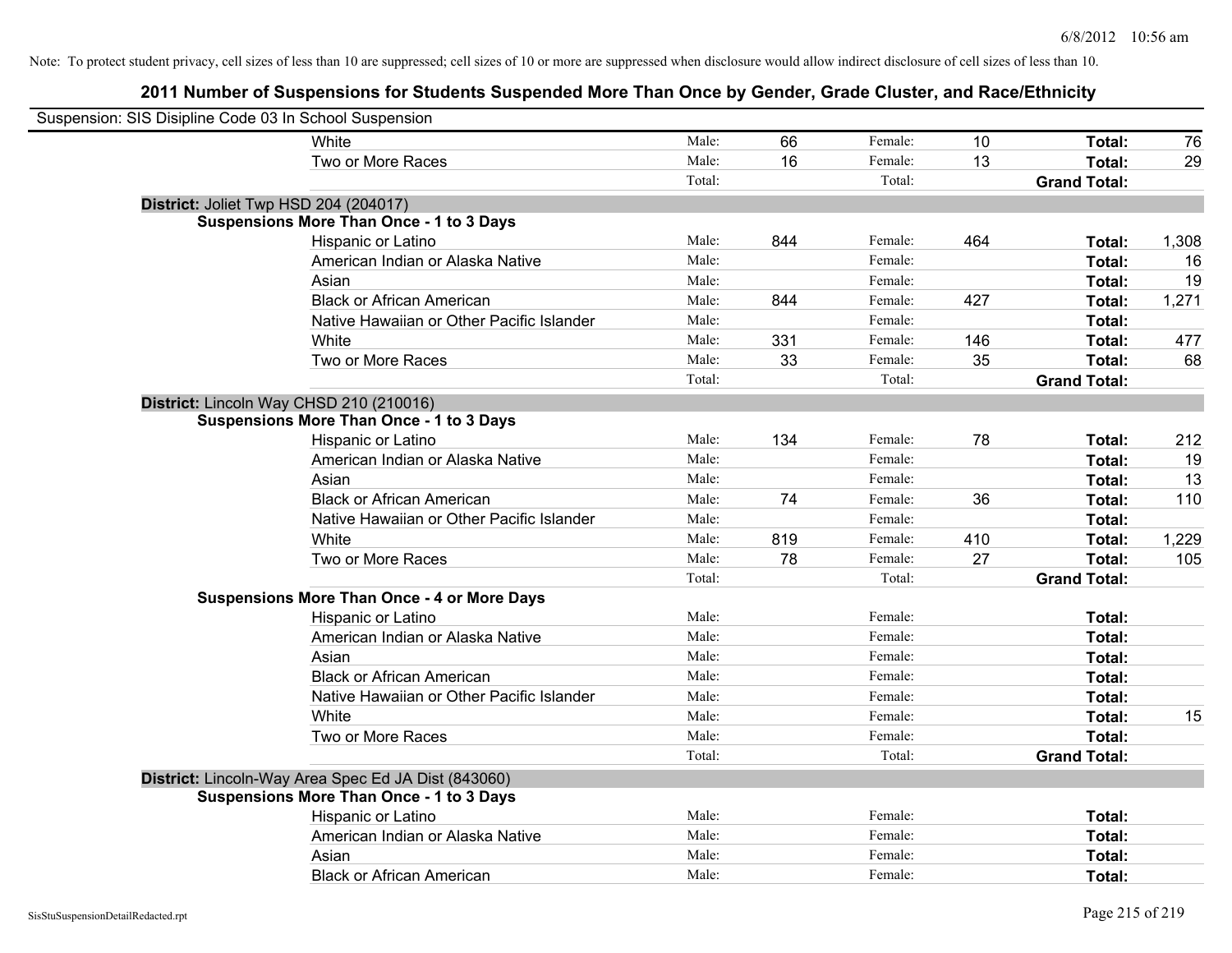| Suspension: SIS Disipline Code 03 In School Suspension |                                                     |        |     |         |     |                     |       |
|--------------------------------------------------------|-----------------------------------------------------|--------|-----|---------|-----|---------------------|-------|
|                                                        | White                                               | Male:  | 66  | Female: | 10  | Total:              | 76    |
|                                                        | Two or More Races                                   | Male:  | 16  | Female: | 13  | Total:              | 29    |
|                                                        |                                                     | Total: |     | Total:  |     | <b>Grand Total:</b> |       |
| District: Joliet Twp HSD 204 (204017)                  |                                                     |        |     |         |     |                     |       |
|                                                        | <b>Suspensions More Than Once - 1 to 3 Days</b>     |        |     |         |     |                     |       |
|                                                        | Hispanic or Latino                                  | Male:  | 844 | Female: | 464 | Total:              | 1,308 |
|                                                        | American Indian or Alaska Native                    | Male:  |     | Female: |     | Total:              | 16    |
|                                                        | Asian                                               | Male:  |     | Female: |     | Total:              | 19    |
|                                                        | <b>Black or African American</b>                    | Male:  | 844 | Female: | 427 | Total:              | 1,271 |
|                                                        | Native Hawaiian or Other Pacific Islander           | Male:  |     | Female: |     | Total:              |       |
|                                                        | White                                               | Male:  | 331 | Female: | 146 | Total:              | 477   |
|                                                        | Two or More Races                                   | Male:  | 33  | Female: | 35  | Total:              | 68    |
|                                                        |                                                     | Total: |     | Total:  |     | <b>Grand Total:</b> |       |
| District: Lincoln Way CHSD 210 (210016)                |                                                     |        |     |         |     |                     |       |
|                                                        | <b>Suspensions More Than Once - 1 to 3 Days</b>     |        |     |         |     |                     |       |
|                                                        | Hispanic or Latino                                  | Male:  | 134 | Female: | 78  | Total:              | 212   |
|                                                        | American Indian or Alaska Native                    | Male:  |     | Female: |     | Total:              | 19    |
|                                                        | Asian                                               | Male:  |     | Female: |     | Total:              | 13    |
|                                                        | <b>Black or African American</b>                    | Male:  | 74  | Female: | 36  | Total:              | 110   |
|                                                        | Native Hawaiian or Other Pacific Islander           | Male:  |     | Female: |     | Total:              |       |
|                                                        | White                                               | Male:  | 819 | Female: | 410 | Total:              | 1,229 |
|                                                        | Two or More Races                                   | Male:  | 78  | Female: | 27  | Total:              | 105   |
|                                                        |                                                     | Total: |     | Total:  |     | <b>Grand Total:</b> |       |
|                                                        | <b>Suspensions More Than Once - 4 or More Days</b>  |        |     |         |     |                     |       |
|                                                        | Hispanic or Latino                                  | Male:  |     | Female: |     | Total:              |       |
|                                                        | American Indian or Alaska Native                    | Male:  |     | Female: |     | Total:              |       |
|                                                        | Asian                                               | Male:  |     | Female: |     | Total:              |       |
|                                                        | <b>Black or African American</b>                    | Male:  |     | Female: |     | Total:              |       |
|                                                        | Native Hawaiian or Other Pacific Islander           | Male:  |     | Female: |     | Total:              |       |
|                                                        | White                                               | Male:  |     | Female: |     | Total:              | 15    |
|                                                        | Two or More Races                                   | Male:  |     | Female: |     | Total:              |       |
|                                                        |                                                     | Total: |     | Total:  |     | <b>Grand Total:</b> |       |
|                                                        | District: Lincoln-Way Area Spec Ed JA Dist (843060) |        |     |         |     |                     |       |
|                                                        | <b>Suspensions More Than Once - 1 to 3 Days</b>     |        |     |         |     |                     |       |
|                                                        | Hispanic or Latino                                  | Male:  |     | Female: |     | Total:              |       |
|                                                        | American Indian or Alaska Native                    | Male:  |     | Female: |     | Total:              |       |
|                                                        | Asian                                               | Male:  |     | Female: |     | Total:              |       |
|                                                        | <b>Black or African American</b>                    | Male:  |     | Female: |     | Total:              |       |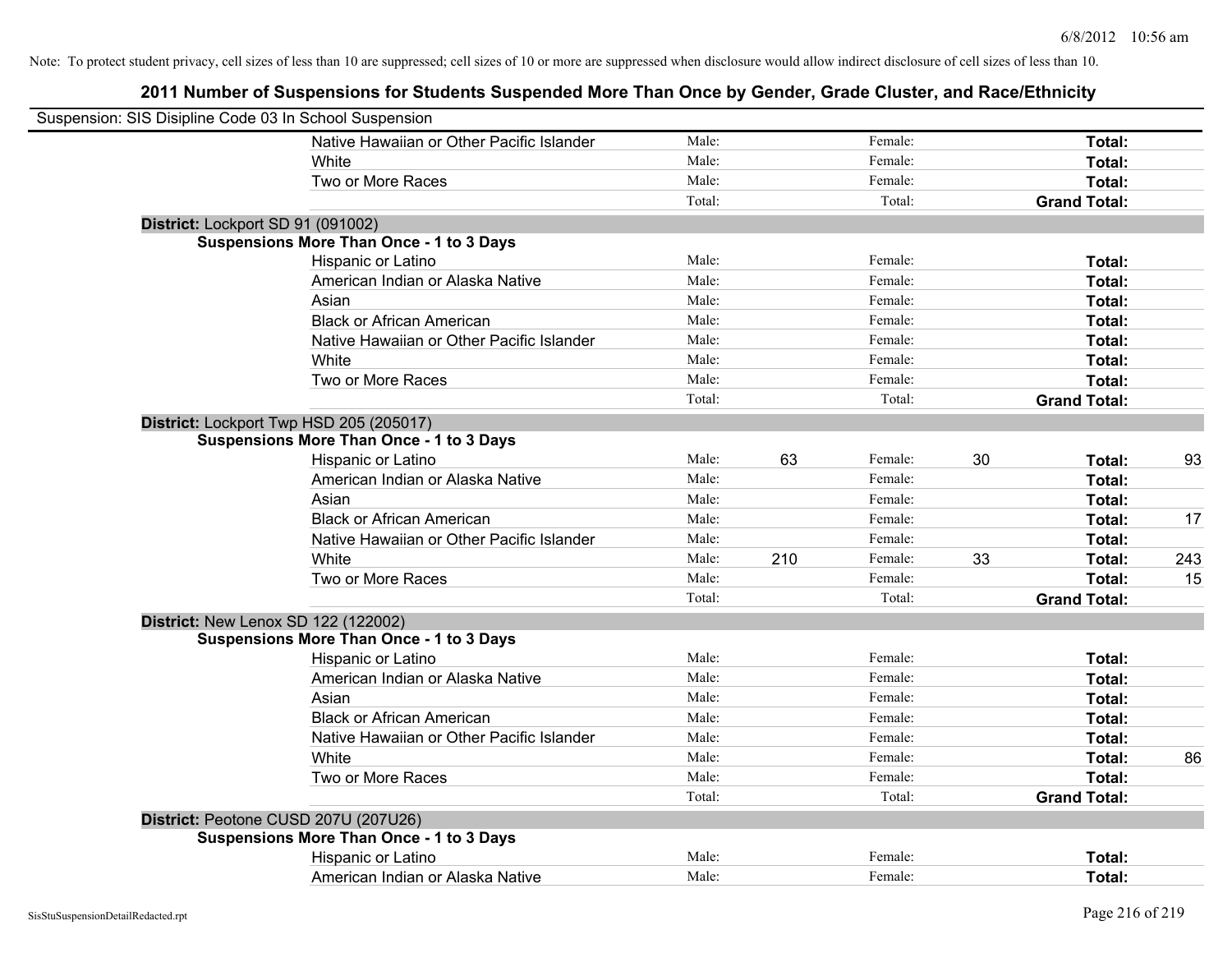| Suspension: SIS Disipline Code 03 In School Suspension |                                                 |        |     |         |    |                     |     |
|--------------------------------------------------------|-------------------------------------------------|--------|-----|---------|----|---------------------|-----|
|                                                        | Native Hawaiian or Other Pacific Islander       | Male:  |     | Female: |    | Total:              |     |
|                                                        | White                                           | Male:  |     | Female: |    | Total:              |     |
|                                                        | Two or More Races                               | Male:  |     | Female: |    | Total:              |     |
|                                                        |                                                 | Total: |     | Total:  |    | <b>Grand Total:</b> |     |
| District: Lockport SD 91 (091002)                      |                                                 |        |     |         |    |                     |     |
|                                                        | <b>Suspensions More Than Once - 1 to 3 Days</b> |        |     |         |    |                     |     |
|                                                        | Hispanic or Latino                              | Male:  |     | Female: |    | Total:              |     |
|                                                        | American Indian or Alaska Native                | Male:  |     | Female: |    | Total:              |     |
|                                                        | Asian                                           | Male:  |     | Female: |    | Total:              |     |
|                                                        | <b>Black or African American</b>                | Male:  |     | Female: |    | Total:              |     |
|                                                        | Native Hawaiian or Other Pacific Islander       | Male:  |     | Female: |    | Total:              |     |
|                                                        | White                                           | Male:  |     | Female: |    | Total:              |     |
|                                                        | Two or More Races                               | Male:  |     | Female: |    | Total:              |     |
|                                                        |                                                 | Total: |     | Total:  |    | <b>Grand Total:</b> |     |
| District: Lockport Twp HSD 205 (205017)                |                                                 |        |     |         |    |                     |     |
|                                                        | <b>Suspensions More Than Once - 1 to 3 Days</b> |        |     |         |    |                     |     |
|                                                        | Hispanic or Latino                              | Male:  | 63  | Female: | 30 | Total:              | 93  |
|                                                        | American Indian or Alaska Native                | Male:  |     | Female: |    | Total:              |     |
|                                                        | Asian                                           | Male:  |     | Female: |    | Total:              |     |
|                                                        | <b>Black or African American</b>                | Male:  |     | Female: |    | Total:              | 17  |
|                                                        | Native Hawaiian or Other Pacific Islander       | Male:  |     | Female: |    | Total:              |     |
|                                                        | White                                           | Male:  | 210 | Female: | 33 | Total:              | 243 |
|                                                        | Two or More Races                               | Male:  |     | Female: |    | Total:              | 15  |
|                                                        |                                                 | Total: |     | Total:  |    | <b>Grand Total:</b> |     |
| <b>District: New Lenox SD 122 (122002)</b>             |                                                 |        |     |         |    |                     |     |
|                                                        | <b>Suspensions More Than Once - 1 to 3 Days</b> |        |     |         |    |                     |     |
|                                                        | Hispanic or Latino                              | Male:  |     | Female: |    | Total:              |     |
|                                                        | American Indian or Alaska Native                | Male:  |     | Female: |    | Total:              |     |
|                                                        | Asian                                           | Male:  |     | Female: |    | Total:              |     |
|                                                        | <b>Black or African American</b>                | Male:  |     | Female: |    | Total:              |     |
|                                                        | Native Hawaiian or Other Pacific Islander       | Male:  |     | Female: |    | Total:              |     |
|                                                        | White                                           | Male:  |     | Female: |    | Total:              | 86  |
|                                                        | Two or More Races                               | Male:  |     | Female: |    | Total:              |     |
|                                                        |                                                 | Total: |     | Total:  |    | <b>Grand Total:</b> |     |
| District: Peotone CUSD 207U (207U26)                   |                                                 |        |     |         |    |                     |     |
|                                                        | <b>Suspensions More Than Once - 1 to 3 Days</b> |        |     |         |    |                     |     |
|                                                        | Hispanic or Latino                              | Male:  |     | Female: |    | Total:              |     |
|                                                        | American Indian or Alaska Native                | Male:  |     | Female: |    | Total:              |     |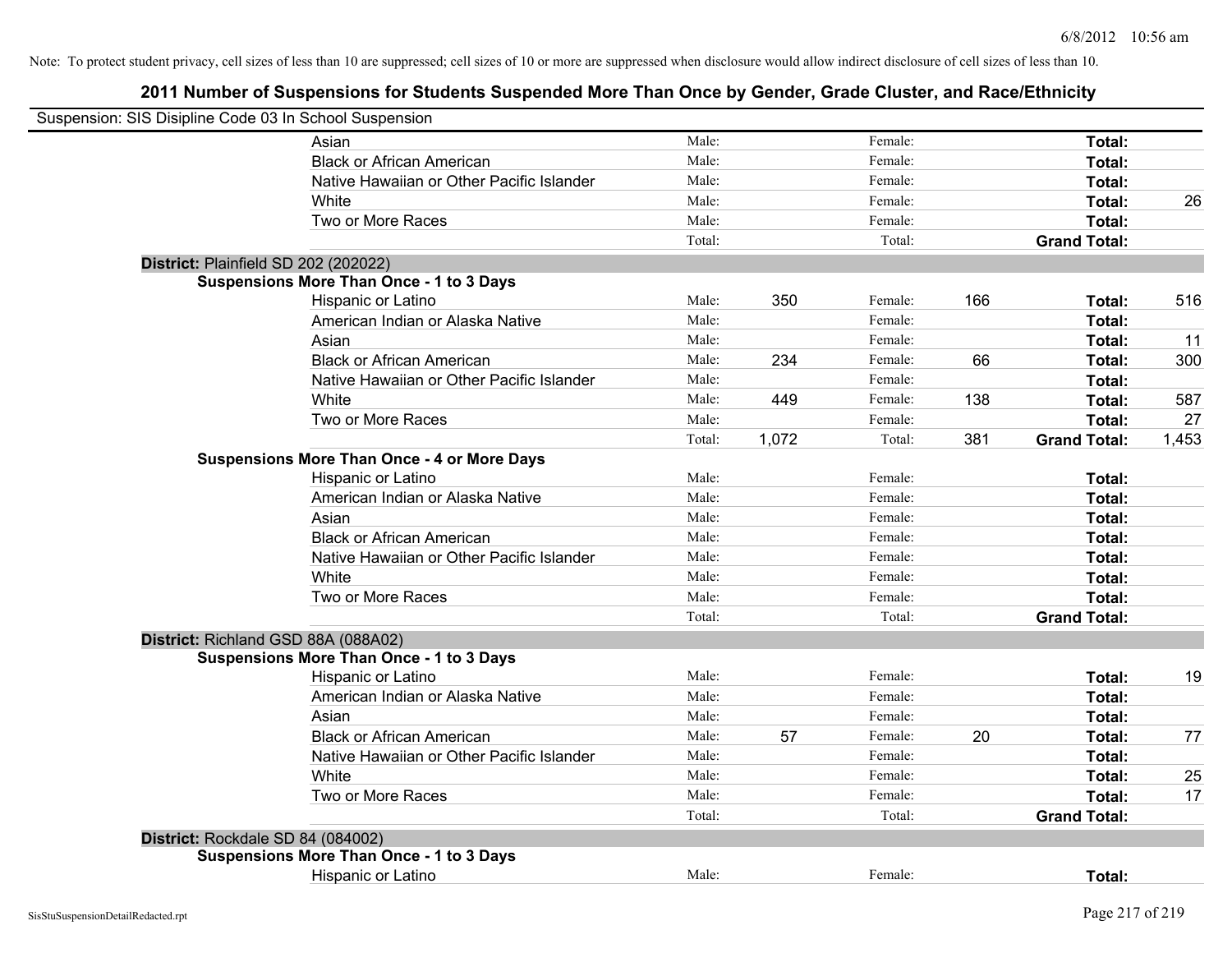Note: To protect student privacy, cell sizes of less than 10 are suppressed; cell sizes of 10 or more are suppressed when disclosure would allow indirect disclosure of cell sizes of less than 10.

## **2011 Number of Suspensions for Students Suspended More Than Once by Gender, Grade Cluster, and Race/Ethnicity**

| Suspension: SIS Disipline Code 03 In School Suspension |        |       |         |     |                     |       |
|--------------------------------------------------------|--------|-------|---------|-----|---------------------|-------|
| Asian                                                  | Male:  |       | Female: |     | Total:              |       |
| <b>Black or African American</b>                       | Male:  |       | Female: |     | Total:              |       |
| Native Hawaiian or Other Pacific Islander              | Male:  |       | Female: |     | Total:              |       |
| White                                                  | Male:  |       | Female: |     | Total:              | 26    |
| Two or More Races                                      | Male:  |       | Female: |     | Total:              |       |
|                                                        | Total: |       | Total:  |     | <b>Grand Total:</b> |       |
| District: Plainfield SD 202 (202022)                   |        |       |         |     |                     |       |
| <b>Suspensions More Than Once - 1 to 3 Days</b>        |        |       |         |     |                     |       |
| Hispanic or Latino                                     | Male:  | 350   | Female: | 166 | Total:              | 516   |
| American Indian or Alaska Native                       | Male:  |       | Female: |     | Total:              |       |
| Asian                                                  | Male:  |       | Female: |     | Total:              | 11    |
| <b>Black or African American</b>                       | Male:  | 234   | Female: | 66  | Total:              | 300   |
| Native Hawaiian or Other Pacific Islander              | Male:  |       | Female: |     | Total:              |       |
| White                                                  | Male:  | 449   | Female: | 138 | Total:              | 587   |
| Two or More Races                                      | Male:  |       | Female: |     | Total:              | 27    |
|                                                        | Total: | 1,072 | Total:  | 381 | <b>Grand Total:</b> | 1,453 |
| <b>Suspensions More Than Once - 4 or More Days</b>     |        |       |         |     |                     |       |
| Hispanic or Latino                                     | Male:  |       | Female: |     | Total:              |       |
| American Indian or Alaska Native                       | Male:  |       | Female: |     | Total:              |       |
| Asian                                                  | Male:  |       | Female: |     | Total:              |       |
| <b>Black or African American</b>                       | Male:  |       | Female: |     | Total:              |       |
| Native Hawaiian or Other Pacific Islander              | Male:  |       | Female: |     | Total:              |       |
| White                                                  | Male:  |       | Female: |     | Total:              |       |
| Two or More Races                                      | Male:  |       | Female: |     | Total:              |       |
|                                                        | Total: |       | Total:  |     | <b>Grand Total:</b> |       |
| District: Richland GSD 88A (088A02)                    |        |       |         |     |                     |       |
| <b>Suspensions More Than Once - 1 to 3 Days</b>        |        |       |         |     |                     |       |
| Hispanic or Latino                                     | Male:  |       | Female: |     | Total:              | 19    |
| American Indian or Alaska Native                       | Male:  |       | Female: |     | Total:              |       |
| Asian                                                  | Male:  |       | Female: |     | Total:              |       |
| <b>Black or African American</b>                       | Male:  | 57    | Female: | 20  | Total:              | 77    |
| Native Hawaiian or Other Pacific Islander              | Male:  |       | Female: |     | Total:              |       |
| White                                                  | Male:  |       | Female: |     | Total:              | 25    |
| Two or More Races                                      | Male:  |       | Female: |     | Total:              | 17    |
|                                                        | Total: |       | Total:  |     | <b>Grand Total:</b> |       |
| District: Rockdale SD 84 (084002)                      |        |       |         |     |                     |       |
| <b>Suspensions More Than Once - 1 to 3 Days</b>        |        |       |         |     |                     |       |
| Hispanic or Latino                                     | Male:  |       | Female: |     | Total:              |       |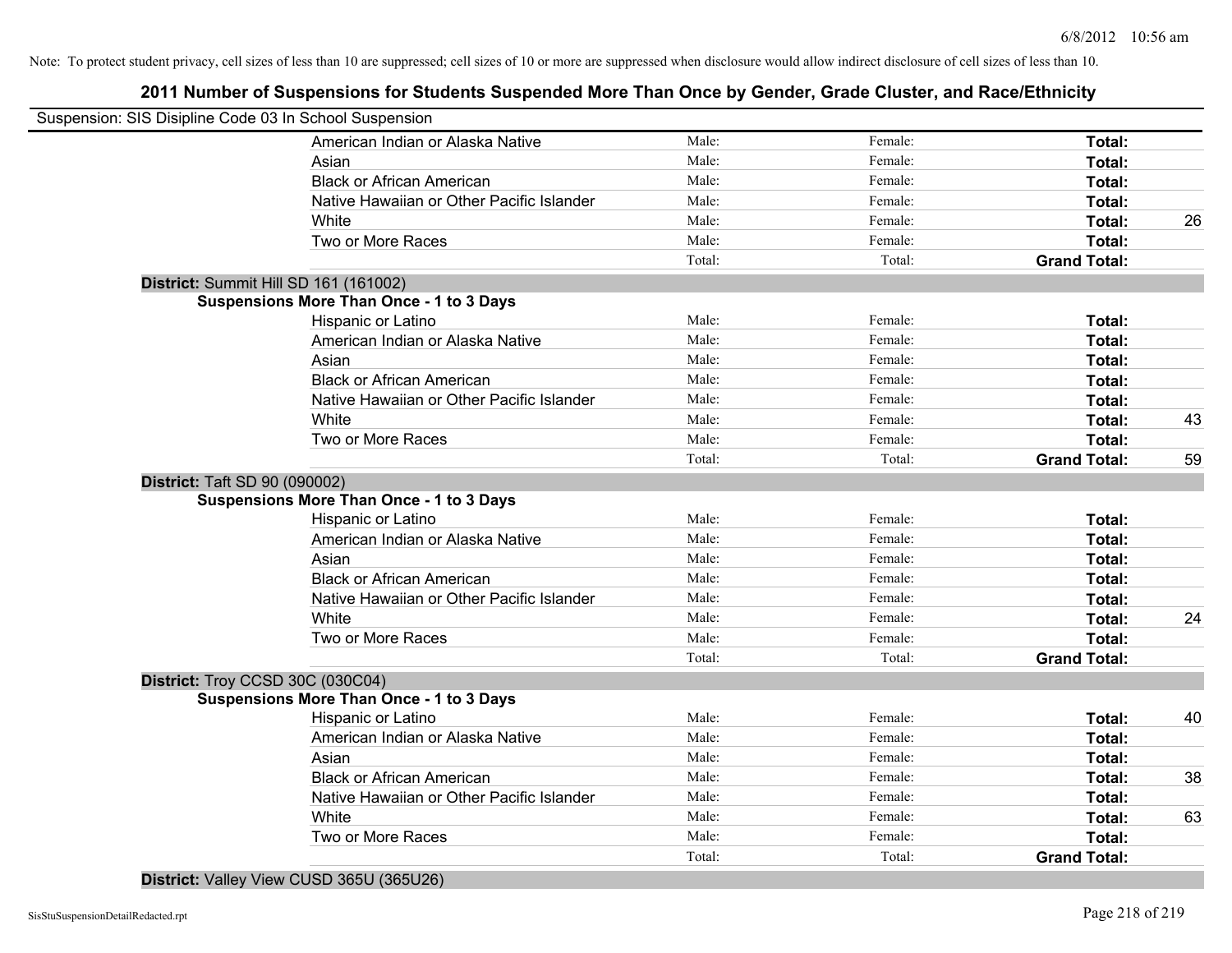Note: To protect student privacy, cell sizes of less than 10 are suppressed; cell sizes of 10 or more are suppressed when disclosure would allow indirect disclosure of cell sizes of less than 10.

## **2011 Number of Suspensions for Students Suspended More Than Once by Gender, Grade Cluster, and Race/Ethnicity**

| Suspension: SIS Disipline Code 03 In School Suspension |                                                 |        |         |                     |    |
|--------------------------------------------------------|-------------------------------------------------|--------|---------|---------------------|----|
|                                                        | American Indian or Alaska Native                | Male:  | Female: | Total:              |    |
|                                                        | Asian                                           | Male:  | Female: | Total:              |    |
|                                                        | <b>Black or African American</b>                | Male:  | Female: | Total:              |    |
|                                                        | Native Hawaiian or Other Pacific Islander       | Male:  | Female: | Total:              |    |
|                                                        | White                                           | Male:  | Female: | Total:              | 26 |
|                                                        | Two or More Races                               | Male:  | Female: | Total:              |    |
|                                                        |                                                 | Total: | Total:  | <b>Grand Total:</b> |    |
| District: Summit Hill SD 161 (161002)                  |                                                 |        |         |                     |    |
|                                                        | <b>Suspensions More Than Once - 1 to 3 Days</b> |        |         |                     |    |
|                                                        | Hispanic or Latino                              | Male:  | Female: | Total:              |    |
|                                                        | American Indian or Alaska Native                | Male:  | Female: | Total:              |    |
|                                                        | Asian                                           | Male:  | Female: | Total:              |    |
|                                                        | <b>Black or African American</b>                | Male:  | Female: | Total:              |    |
|                                                        | Native Hawaiian or Other Pacific Islander       | Male:  | Female: | Total:              |    |
|                                                        | White                                           | Male:  | Female: | Total:              | 43 |
|                                                        | Two or More Races                               | Male:  | Female: | Total:              |    |
|                                                        |                                                 | Total: | Total:  | <b>Grand Total:</b> | 59 |
| <b>District: Taft SD 90 (090002)</b>                   |                                                 |        |         |                     |    |
|                                                        | <b>Suspensions More Than Once - 1 to 3 Days</b> |        |         |                     |    |
|                                                        | Hispanic or Latino                              | Male:  | Female: | Total:              |    |
|                                                        | American Indian or Alaska Native                | Male:  | Female: | Total:              |    |
|                                                        | Asian                                           | Male:  | Female: | Total:              |    |
|                                                        | <b>Black or African American</b>                | Male:  | Female: | Total:              |    |
|                                                        | Native Hawaiian or Other Pacific Islander       | Male:  | Female: | Total:              |    |
|                                                        | White                                           | Male:  | Female: | <b>Total:</b>       | 24 |
|                                                        | Two or More Races                               | Male:  | Female: | Total:              |    |
|                                                        |                                                 | Total: | Total:  | <b>Grand Total:</b> |    |
| District: Troy CCSD 30C (030C04)                       |                                                 |        |         |                     |    |
|                                                        | <b>Suspensions More Than Once - 1 to 3 Days</b> |        |         |                     |    |
|                                                        | Hispanic or Latino                              | Male:  | Female: | Total:              | 40 |
|                                                        | American Indian or Alaska Native                | Male:  | Female: | Total:              |    |
|                                                        | Asian                                           | Male:  | Female: | Total:              |    |
|                                                        | <b>Black or African American</b>                | Male:  | Female: | Total:              | 38 |
|                                                        | Native Hawaiian or Other Pacific Islander       | Male:  | Female: | Total:              |    |
|                                                        | White                                           | Male:  | Female: | Total:              | 63 |
|                                                        | Two or More Races                               | Male:  | Female: | Total:              |    |
|                                                        |                                                 | Total: | Total:  | <b>Grand Total:</b> |    |

**District:** Valley View CUSD 365U (365U26)